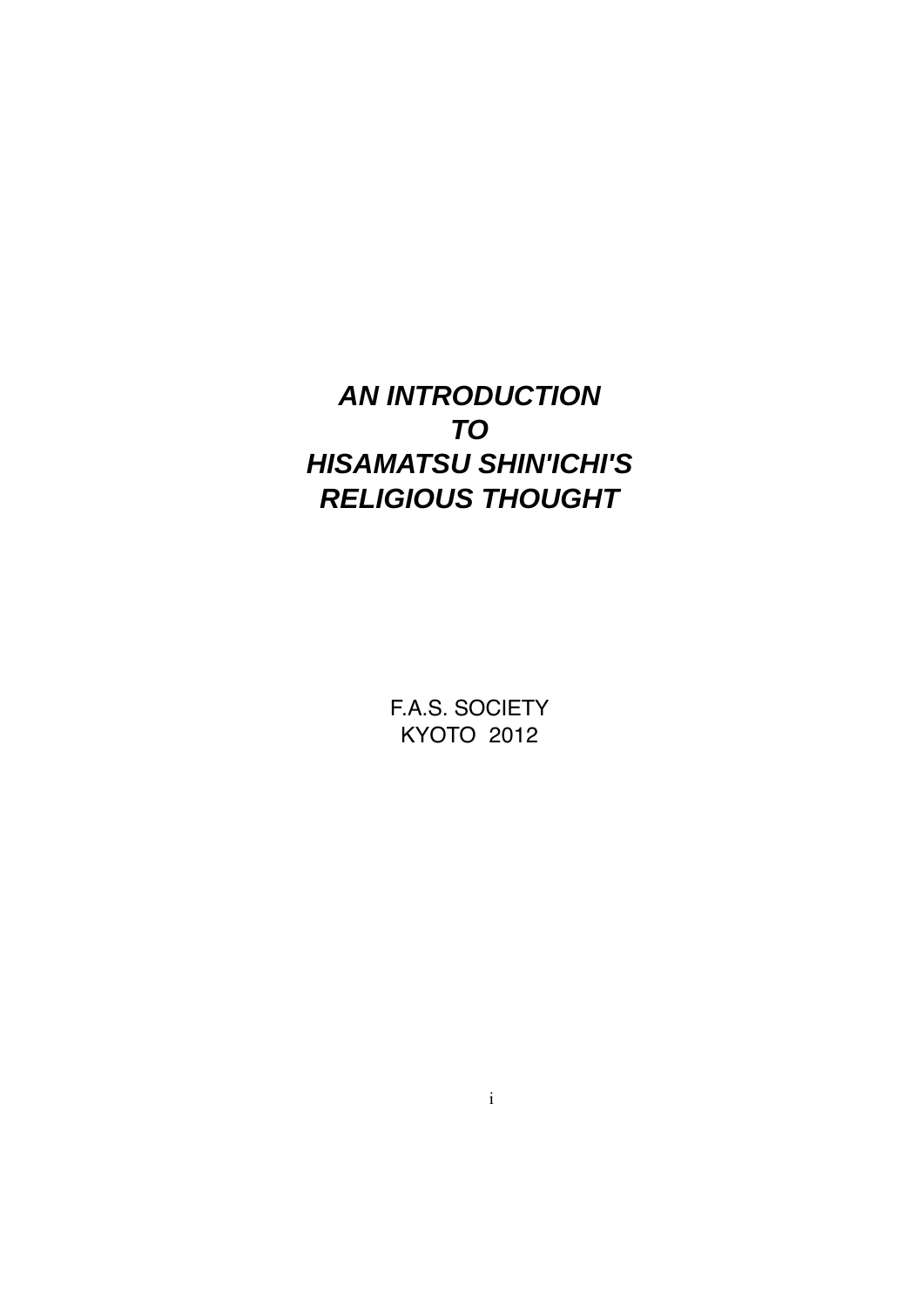# **AN INTRODUCTION TO HISAMATSU SHIN'ICHI'S RELIGIOUS THOUGHT**

F.A.S. SOCIETY KYOTO 2012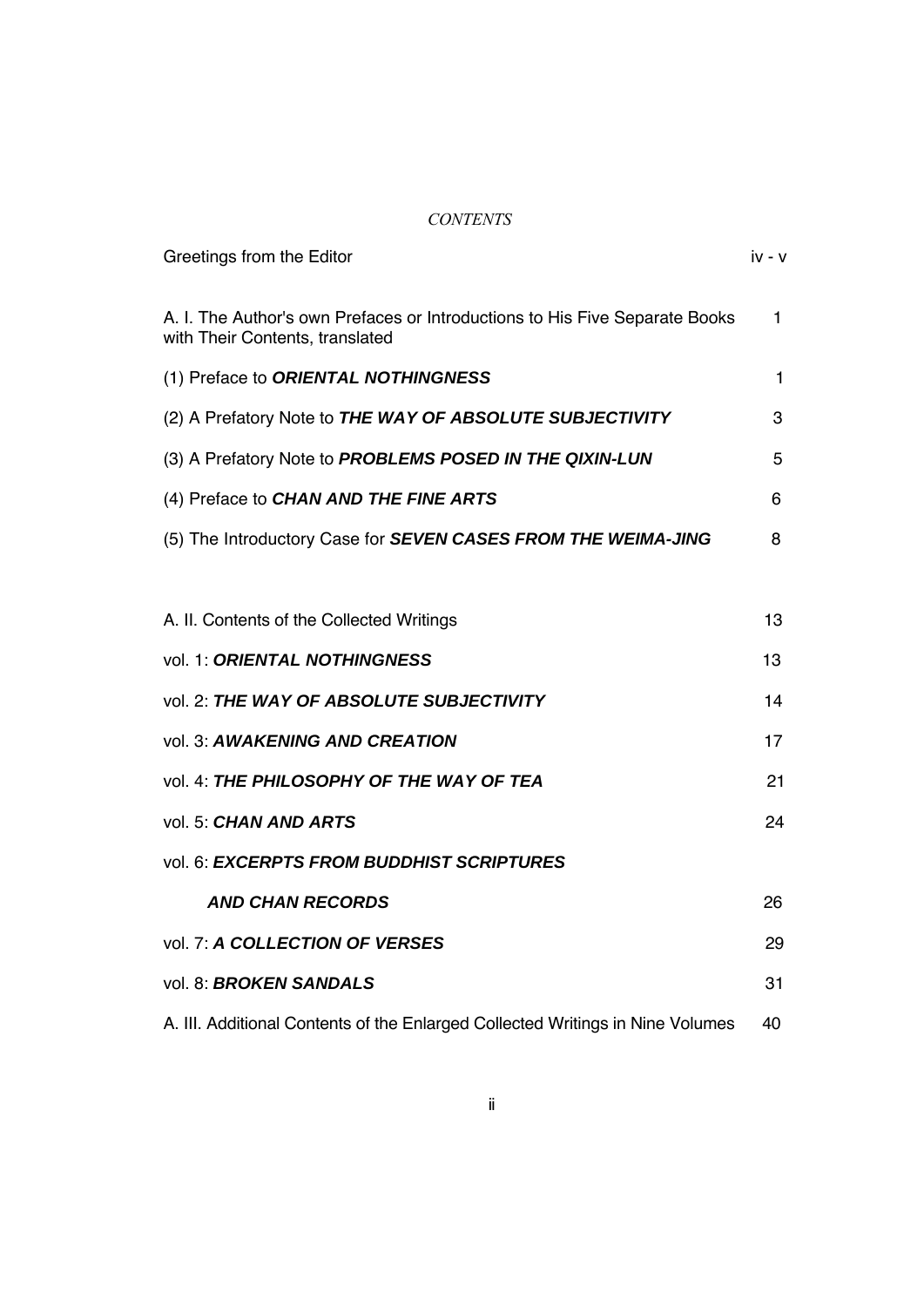## *CONTENTS*

| Greetings from the Editor                                                                                      | iv - v |  |  |
|----------------------------------------------------------------------------------------------------------------|--------|--|--|
| A. I. The Author's own Prefaces or Introductions to His Five Separate Books<br>with Their Contents, translated | 1      |  |  |
| (1) Preface to ORIENTAL NOTHINGNESS                                                                            |        |  |  |
| (2) A Prefatory Note to THE WAY OF ABSOLUTE SUBJECTIVITY                                                       | 3      |  |  |
| (3) A Prefatory Note to PROBLEMS POSED IN THE QIXIN-LUN                                                        |        |  |  |
| (4) Preface to CHAN AND THE FINE ARTS                                                                          | 6      |  |  |
| (5) The Introductory Case for SEVEN CASES FROM THE WEIMA-JING                                                  | 8      |  |  |
|                                                                                                                |        |  |  |
| A. II. Contents of the Collected Writings                                                                      | 13     |  |  |
| vol. 1: ORIENTAL NOTHINGNESS                                                                                   | 13     |  |  |
| vol. 2: THE WAY OF ABSOLUTE SUBJECTIVITY                                                                       | 14     |  |  |
| vol. 3: AWAKENING AND CREATION                                                                                 | 17     |  |  |
| vol. 4: THE PHILOSOPHY OF THE WAY OF TEA                                                                       | 21     |  |  |
| vol. 5: CHAN AND ARTS                                                                                          | 24     |  |  |
| vol. 6: EXCERPTS FROM BUDDHIST SCRIPTURES                                                                      |        |  |  |
| <b>AND CHAN RECORDS</b>                                                                                        | 26     |  |  |
| vol. 7: A COLLECTION OF VERSES                                                                                 | 29     |  |  |
| vol. 8: <b>BROKEN SANDALS</b>                                                                                  | 31     |  |  |
| A. III. Additional Contents of the Enlarged Collected Writings in Nine Volumes                                 |        |  |  |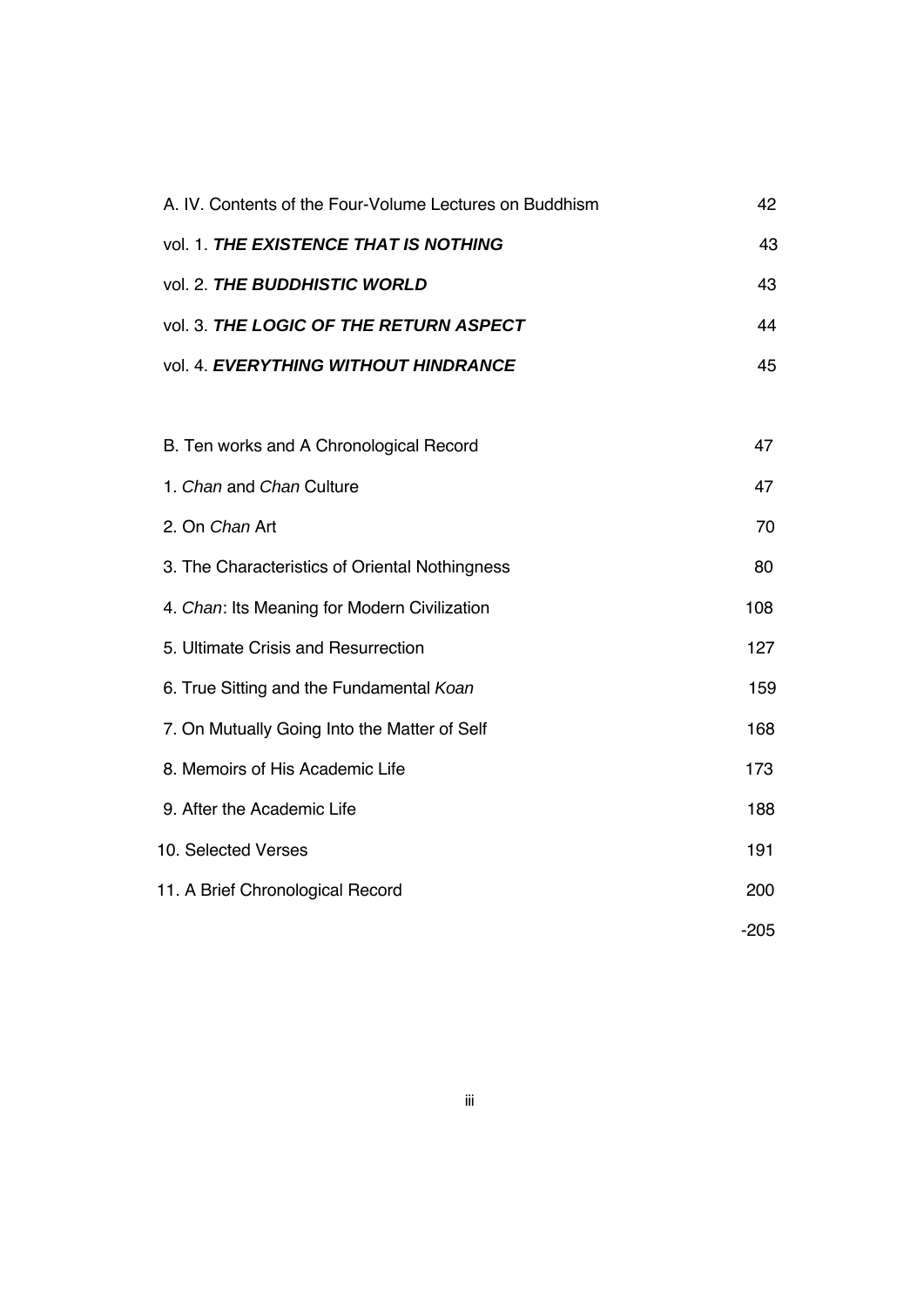| A. IV. Contents of the Four-Volume Lectures on Buddhism | 42     |
|---------------------------------------------------------|--------|
| vol. 1. THE EXISTENCE THAT IS NOTHING                   | 43     |
| vol. 2. THE BUDDHISTIC WORLD                            | 43     |
| vol. 3. THE LOGIC OF THE RETURN ASPECT                  | 44     |
| <b>vol. 4. EVERYTHING WITHOUT HINDRANCE</b>             | 45     |
|                                                         |        |
| B. Ten works and A Chronological Record                 | 47     |
| 1. Chan and Chan Culture                                | 47     |
| 2. On Chan Art                                          | 70     |
| 3. The Characteristics of Oriental Nothingness          | 80     |
| 4. Chan: Its Meaning for Modern Civilization            | 108    |
| 5. Ultimate Crisis and Resurrection                     | 127    |
| 6. True Sitting and the Fundamental Koan                | 159    |
| 7. On Mutually Going Into the Matter of Self            | 168    |
| 8. Memoirs of His Academic Life                         | 173    |
| 9. After the Academic Life                              | 188    |
| 10. Selected Verses                                     | 191    |
| 11. A Brief Chronological Record                        | 200    |
|                                                         | $-205$ |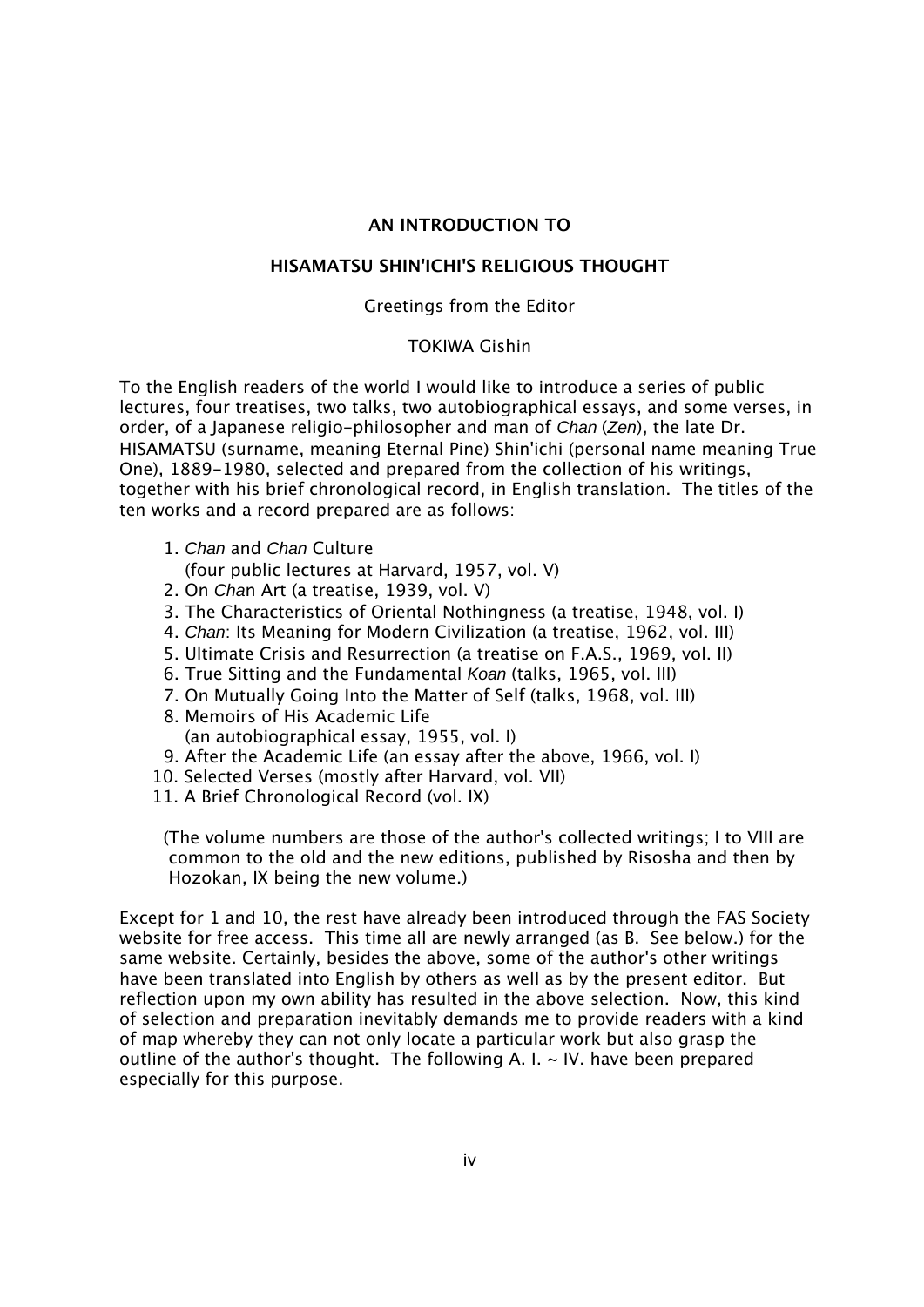## **AN INTRODUCTION TO**

## **HISAMATSU SHIN'ICHI'S RELIGIOUS THOUGHT**

## Greetings from the Editor

#### TOKIWA Gishin

To the English readers of the world I would like to introduce a series of public lectures, four treatises, two talks, two autobiographical essays, and some verses, in order, of a Japanese religio-philosopher and man of Chan (Zen), the late Dr. HISAMATSU (surname, meaning Eternal Pine) Shin'ichi (personal name meaning True One), 1889-1980, selected and prepared from the collection of his writings, together with his brief chronological record, in English translation. The titles of the ten works and a record prepared are as follows:

- 1. Chan and Chan Culture
- (four public lectures at Harvard, 1957, vol. V)
- 2. On Chan Art (a treatise, 1939, vol. V)
- 3. The Characteristics of Oriental Nothingness (a treatise, 1948, vol. I)
- 4. Chan: Its Meaning for Modern Civilization (a treatise, 1962, vol. III)
- 5. Ultimate Crisis and Resurrection (a treatise on F.A.S., 1969, vol. II)
- 6. True Sitting and the Fundamental Koan (talks, 1965, vol. III)
- 7. On Mutually Going Into the Matter of Self (talks, 1968, vol. III)
- 8. Memoirs of His Academic Life (an autobiographical essay, 1955, vol. I)
- 9. After the Academic Life (an essay after the above, 1966, vol. I)
- 10. Selected Verses (mostly after Harvard, vol. VII)
- 11. A Brief Chronological Record (vol. IX)

(The volume numbers are those of the author's collected writings; I to VIII are common to the old and the new editions, published by Risosha and then by Hozokan, IX being the new volume.)

Except for 1 and 10, the rest have already been introduced through the FAS Society website for free access. This time all are newly arranged (as B. See below.) for the same website. Certainly, besides the above, some of the author's other writings have been translated into English by others as well as by the present editor. But reflection upon my own ability has resulted in the above selection. Now, this kind of selection and preparation inevitably demands me to provide readers with a kind of map whereby they can not only locate a particular work but also grasp the outline of the author's thought. The following A. I.  $\sim$  IV. have been prepared especially for this purpose.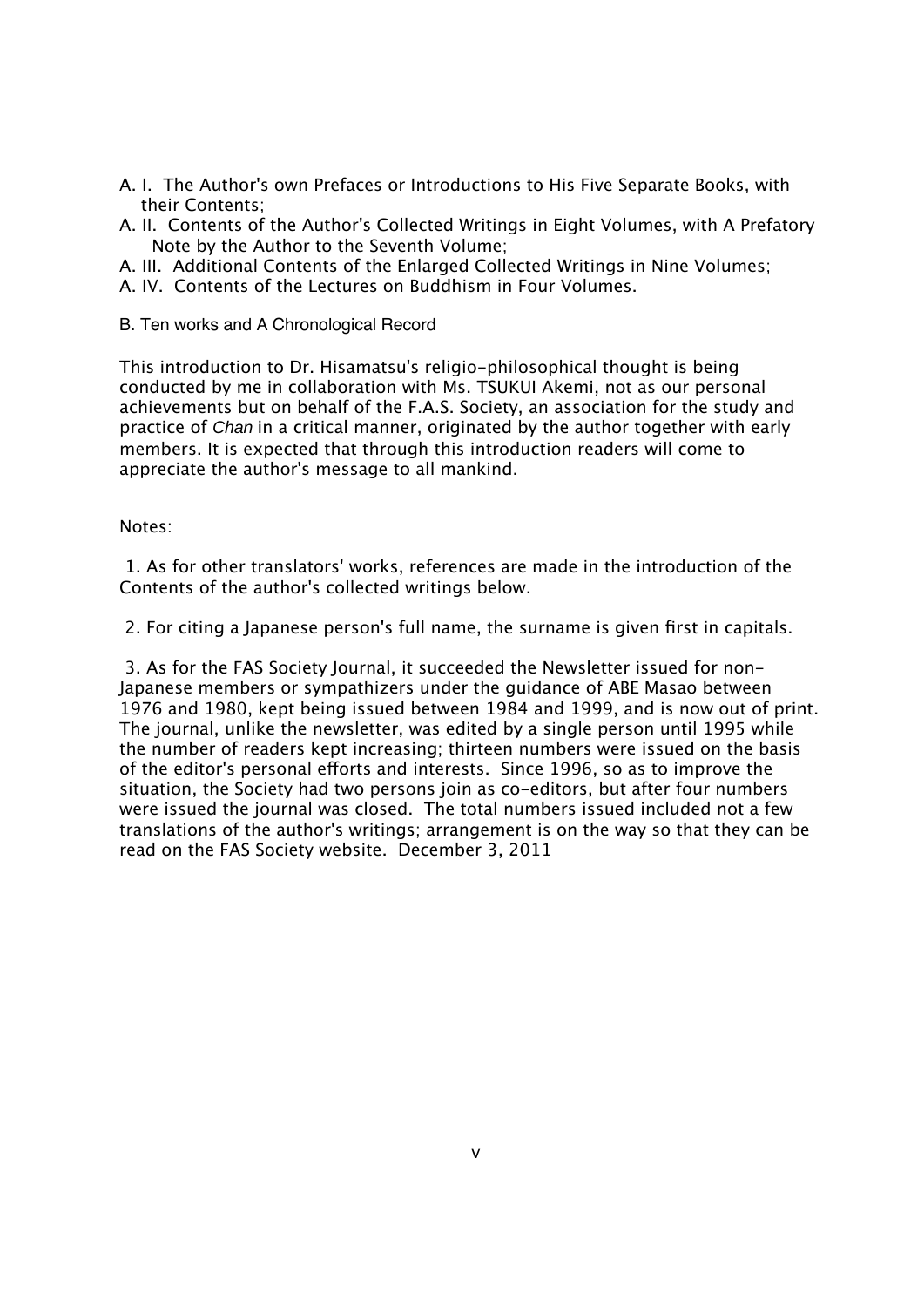- A. I. The Author's own Prefaces or Introductions to His Five Separate Books, with their Contents;
- A. II. Contents of the Author's Collected Writings in Eight Volumes, with A Prefatory Note by the Author to the Seventh Volume;
- A. III. Additional Contents of the Enlarged Collected Writings in Nine Volumes;
- A. IV. Contents of the Lectures on Buddhism in Four Volumes.

B. Ten works and A Chronological Record

This introduction to Dr. Hisamatsu's religio-philosophical thought is being conducted by me in collaboration with Ms. TSUKUI Akemi, not as our personal achievements but on behalf of the F.A.S. Society, an association for the study and practice of Chan in a critical manner, originated by the author together with early members. It is expected that through this introduction readers will come to appreciate the author's message to all mankind.

Notes:

 1. As for other translators' works, references are made in the introduction of the Contents of the author's collected writings below.

2. For citing a Japanese person's full name, the surname is given first in capitals.

 3. As for the FAS Society Journal, it succeeded the Newsletter issued for non-Japanese members or sympathizers under the guidance of ABE Masao between 1976 and 1980, kept being issued between 1984 and 1999, and is now out of print. The journal, unlike the newsletter, was edited by a single person until 1995 while the number of readers kept increasing; thirteen numbers were issued on the basis of the editor's personal efforts and interests. Since 1996, so as to improve the situation, the Society had two persons join as co-editors, but after four numbers were issued the journal was closed. The total numbers issued included not a few translations of the author's writings; arrangement is on the way so that they can be read on the FAS Society website. December 3, 2011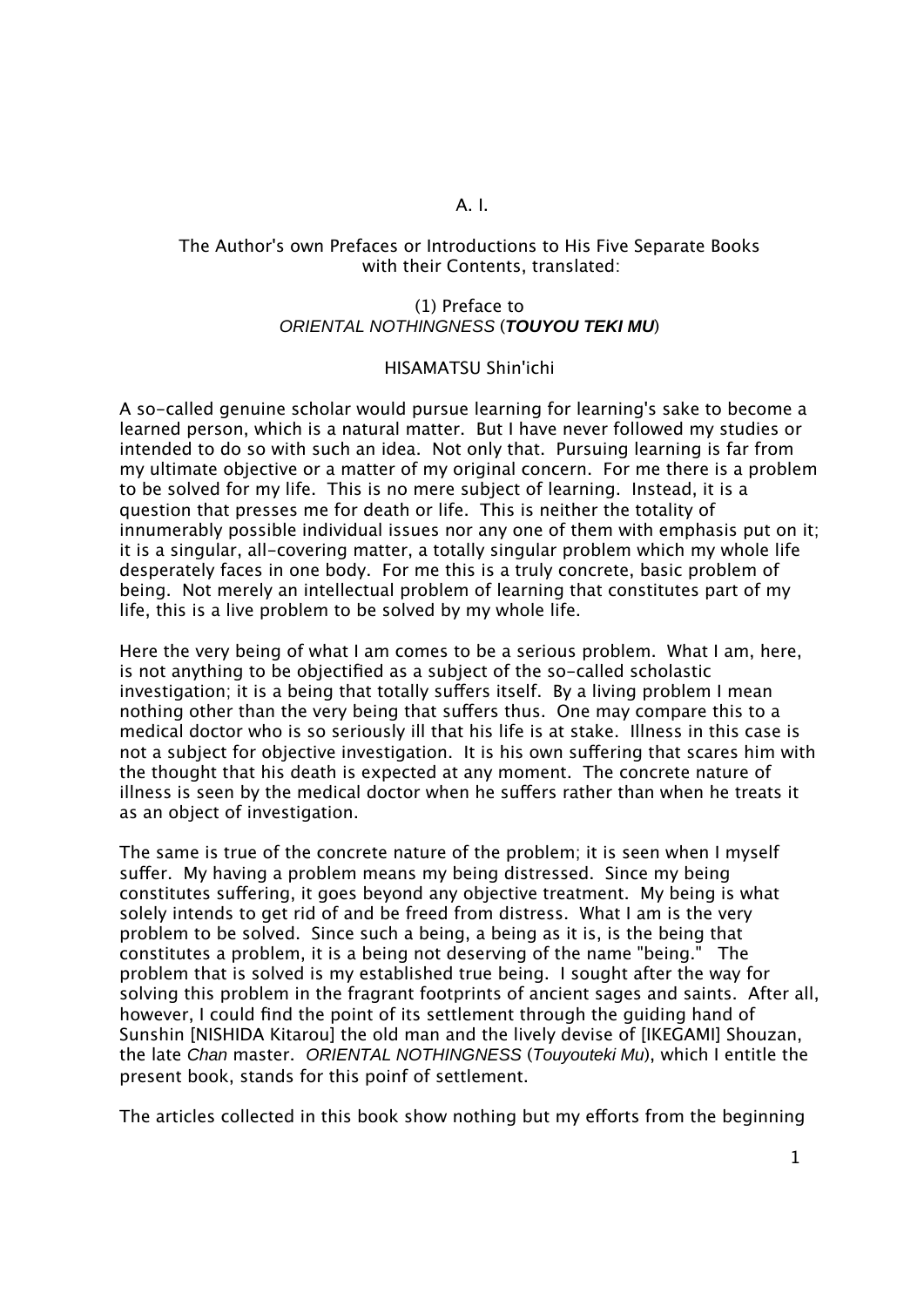# A. I.

## The Author's own Prefaces or Introductions to His Five Separate Books with their Contents, translated:

#### (1) Preface to ORIENTAL NOTHINGNESS (**TOUYOU TEKI MU**)

#### HISAMATSU Shin'ichi

A so-called genuine scholar would pursue learning for learning's sake to become a learned person, which is a natural matter. But I have never followed my studies or intended to do so with such an idea. Not only that. Pursuing learning is far from my ultimate objective or a matter of my original concern. For me there is a problem to be solved for my life. This is no mere subject of learning. Instead, it is a question that presses me for death or life. This is neither the totality of innumerably possible individual issues nor any one of them with emphasis put on it; it is a singular, all-covering matter, a totally singular problem which my whole life desperately faces in one body. For me this is a truly concrete, basic problem of being. Not merely an intellectual problem of learning that constitutes part of my life, this is a live problem to be solved by my whole life.

Here the very being of what I am comes to be a serious problem. What I am, here, is not anything to be objectified as a subject of the so-called scholastic investigation; it is a being that totally suffers itself. By a living problem I mean nothing other than the very being that suffers thus. One may compare this to a medical doctor who is so seriously ill that his life is at stake. Illness in this case is not a subject for objective investigation. It is his own suffering that scares him with the thought that his death is expected at any moment. The concrete nature of illness is seen by the medical doctor when he suffers rather than when he treats it as an object of investigation.

The same is true of the concrete nature of the problem; it is seen when I myself suffer. My having a problem means my being distressed. Since my being constitutes suffering, it goes beyond any objective treatment. My being is what solely intends to get rid of and be freed from distress. What I am is the very problem to be solved. Since such a being, a being as it is, is the being that constitutes a problem, it is a being not deserving of the name "being." The problem that is solved is my established true being. I sought after the way for solving this problem in the fragrant footprints of ancient sages and saints. After all, however, I could find the point of its settlement through the guiding hand of Sunshin [NISHIDA Kitarou] the old man and the lively devise of [IKEGAMI] Shouzan, the late Chan master. ORIENTAL NOTHINGNESS (Touyouteki Mu), which I entitle the present book, stands for this poinf of settlement.

The articles collected in this book show nothing but my efforts from the beginning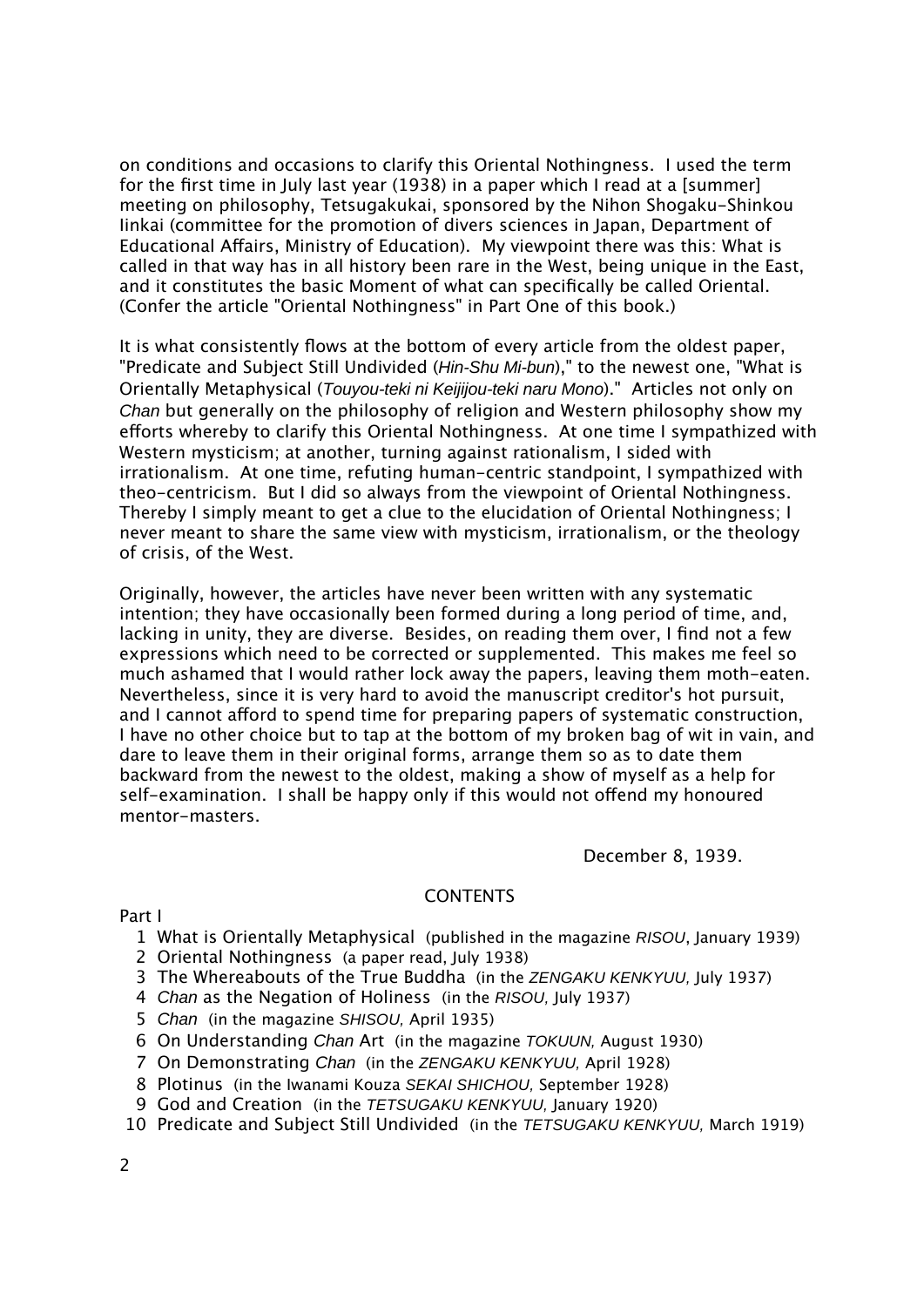on conditions and occasions to clarify this Oriental Nothingness. I used the term for the first time in July last year (1938) in a paper which I read at a [summer] meeting on philosophy, Tetsugakukai, sponsored by the Nihon Shogaku-Shinkou Iinkai (committee for the promotion of divers sciences in Japan, Department of Educational Affairs, Ministry of Education). My viewpoint there was this: What is called in that way has in all history been rare in the West, being unique in the East, and it constitutes the basic Moment of what can specifically be called Oriental. (Confer the article "Oriental Nothingness" in Part One of this book.)

It is what consistently flows at the bottom of every article from the oldest paper, "Predicate and Subject Still Undivided (Hin-Shu Mi-bun)," to the newest one, "What is Orientally Metaphysical (Touyou-teki ni Keijijou-teki naru Mono)." Articles not only on Chan but generally on the philosophy of religion and Western philosophy show my efforts whereby to clarify this Oriental Nothingness. At one time I sympathized with Western mysticism; at another, turning against rationalism, I sided with irrationalism. At one time, refuting human-centric standpoint, I sympathized with theo-centricism. But I did so always from the viewpoint of Oriental Nothingness. Thereby I simply meant to get a clue to the elucidation of Oriental Nothingness; I never meant to share the same view with mysticism, irrationalism, or the theology of crisis, of the West.

Originally, however, the articles have never been written with any systematic intention; they have occasionally been formed during a long period of time, and, lacking in unity, they are diverse. Besides, on reading them over, I find not a few expressions which need to be corrected or supplemented. This makes me feel so much ashamed that I would rather lock away the papers, leaving them moth-eaten. Nevertheless, since it is very hard to avoid the manuscript creditor's hot pursuit, and I cannot afford to spend time for preparing papers of systematic construction, I have no other choice but to tap at the bottom of my broken bag of wit in vain, and dare to leave them in their original forms, arrange them so as to date them backward from the newest to the oldest, making a show of myself as a help for self-examination. I shall be happy only if this would not offend my honoured mentor-masters.

December 8, 1939.

## **CONTENTS**

Part I

- 1 What is Orientally Metaphysical (published in the magazine RISOU, January 1939)
- 2 Oriental Nothingness (a paper read, July 1938)
- 3 The Whereabouts of the True Buddha (in the ZENGAKU KENKYUU, July 1937)
- 4 Chan as the Negation of Holiness (in the RISOU, July 1937)
- 5 *Chan* (in the magazine SHISOU, April 1935)
- 6 On Understanding Chan Art (in the magazine TOKUUN, August 1930)
- 7 On Demonstrating Chan (in the ZENGAKU KENKYUU, April 1928)
- 8 Plotinus (in the Iwanami Kouza SEKAI SHICHOU, September 1928)
- 9 God and Creation (in the TETSUGAKU KENKYUU, January 1920)
- 10 Predicate and Subject Still Undivided (in the TETSUGAKU KENKYUU, March 1919)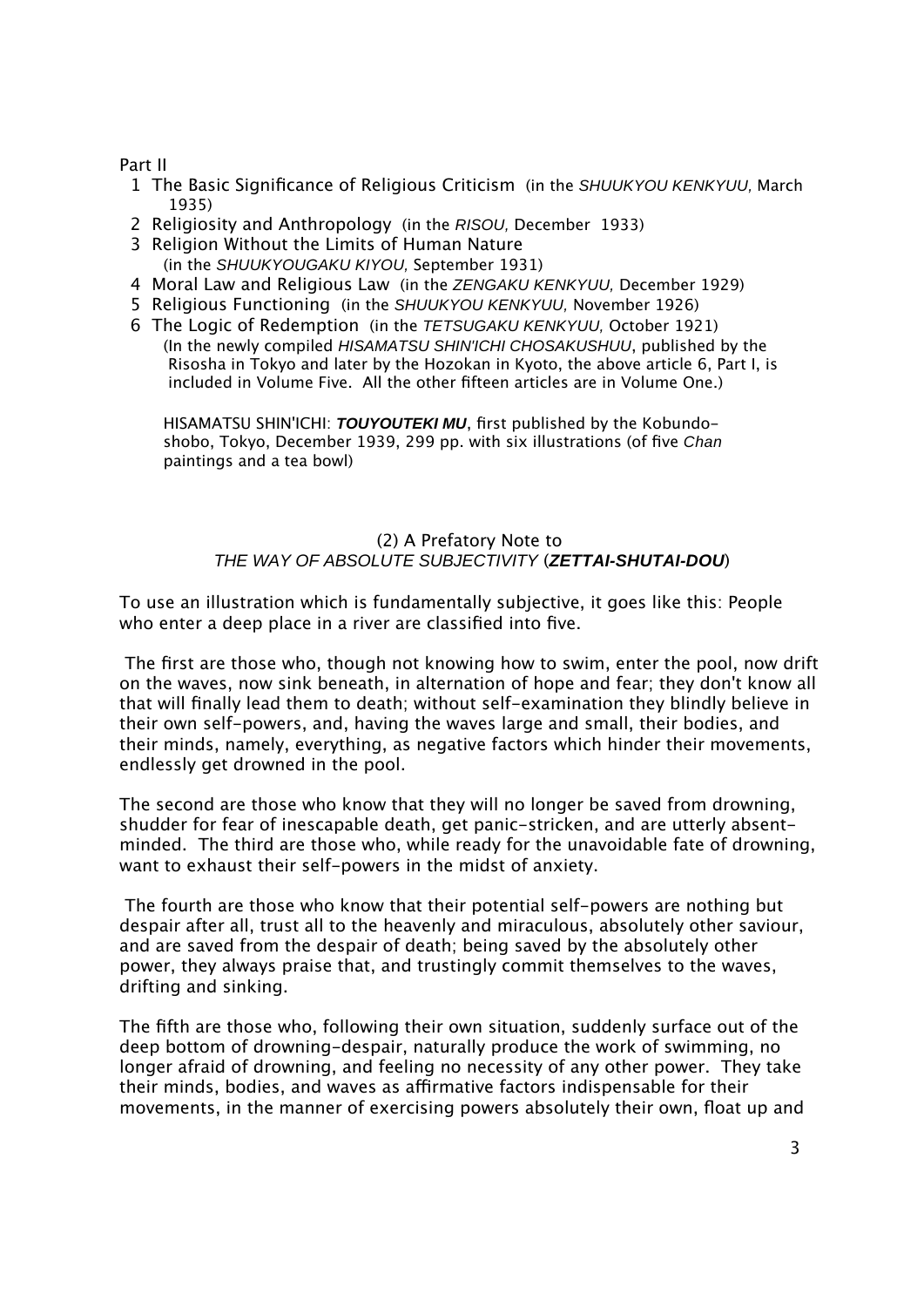# Part II

- 1 The Basic Significance of Religious Criticism (in the SHUUKYOU KENKYUU, March 1935)
- 2 Religiosity and Anthropology (in the RISOU, December 1933)
- 3 Religion Without the Limits of Human Nature
- (in the SHUUKYOUGAKU KIYOU, September 1931)
- 4 Moral Law and Religious Law (in the ZENGAKU KENKYUU, December 1929)
- 5 Religious Functioning (in the SHUUKYOU KENKYUU, November 1926)
- 6 The Logic of Redemption (in the TETSUGAKU KENKYUU, October 1921) (In the newly compiled HISAMATSU SHIN'ICHI CHOSAKUSHUU, published by the Risosha in Tokyo and later by the Hozokan in Kyoto, the above article 6, Part I, is included in Volume Five. All the other fifteen articles are in Volume One.)

HISAMATSU SHIN'ICHI: **TOUYOUTEKI MU**, first published by the Kobundoshobo, Tokyo, December 1939, 299 pp. with six illustrations (of five Chan paintings and a tea bowl)

## (2) A Prefatory Note to THE WAY OF ABSOLUTE SUBJECTIVITY (**ZETTAI-SHUTAI-DOU**)

To use an illustration which is fundamentally subjective, it goes like this: People who enter a deep place in a river are classified into five.

 The first are those who, though not knowing how to swim, enter the pool, now drift on the waves, now sink beneath, in alternation of hope and fear; they don't know all that will finally lead them to death; without self-examination they blindly believe in their own self-powers, and, having the waves large and small, their bodies, and their minds, namely, everything, as negative factors which hinder their movements, endlessly get drowned in the pool.

The second are those who know that they will no longer be saved from drowning, shudder for fear of inescapable death, get panic-stricken, and are utterly absentminded. The third are those who, while ready for the unavoidable fate of drowning, want to exhaust their self-powers in the midst of anxiety.

 The fourth are those who know that their potential self-powers are nothing but despair after all, trust all to the heavenly and miraculous, absolutely other saviour, and are saved from the despair of death; being saved by the absolutely other power, they always praise that, and trustingly commit themselves to the waves, drifting and sinking.

The fifth are those who, following their own situation, suddenly surface out of the deep bottom of drowning-despair, naturally produce the work of swimming, no longer afraid of drowning, and feeling no necessity of any other power. They take their minds, bodies, and waves as affirmative factors indispensable for their movements, in the manner of exercising powers absolutely their own, float up and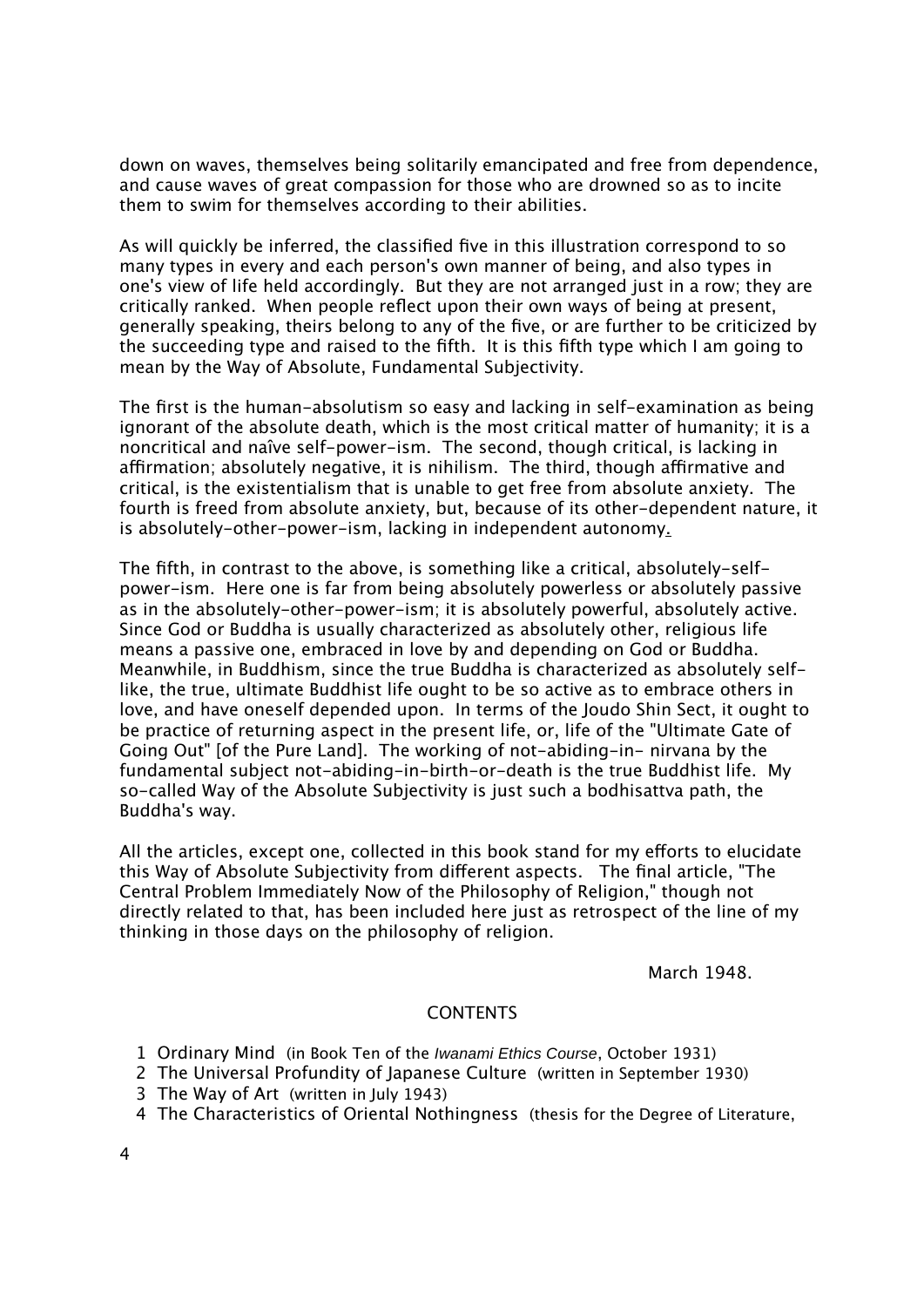down on waves, themselves being solitarily emancipated and free from dependence, and cause waves of great compassion for those who are drowned so as to incite them to swim for themselves according to their abilities.

As will quickly be inferred, the classified five in this illustration correspond to so many types in every and each person's own manner of being, and also types in one's view of life held accordingly. But they are not arranged just in a row; they are critically ranked. When people reflect upon their own ways of being at present, generally speaking, theirs belong to any of the five, or are further to be criticized by the succeeding type and raised to the fifth. It is this fifth type which I am going to mean by the Way of Absolute, Fundamental Subjectivity.

The first is the human-absolutism so easy and lacking in self-examination as being ignorant of the absolute death, which is the most critical matter of humanity; it is a noncritical and naîve self-power-ism. The second, though critical, is lacking in affirmation; absolutely negative, it is nihilism. The third, though affirmative and critical, is the existentialism that is unable to get free from absolute anxiety. The fourth is freed from absolute anxiety, but, because of its other-dependent nature, it is absolutely-other-power-ism, lacking in independent autonomy.

The fifth, in contrast to the above, is something like a critical, absolutely-selfpower-ism. Here one is far from being absolutely powerless or absolutely passive as in the absolutely-other-power-ism; it is absolutely powerful, absolutely active. Since God or Buddha is usually characterized as absolutely other, religious life means a passive one, embraced in love by and depending on God or Buddha. Meanwhile, in Buddhism, since the true Buddha is characterized as absolutely selflike, the true, ultimate Buddhist life ought to be so active as to embrace others in love, and have oneself depended upon. In terms of the Joudo Shin Sect, it ought to be practice of returning aspect in the present life, or, life of the "Ultimate Gate of Going Out" [of the Pure Land]. The working of not-abiding-in- nirvana by the fundamental subject not-abiding-in-birth-or-death is the true Buddhist life. My so-called Way of the Absolute Subjectivity is just such a bodhisattva path, the Buddha's way.

All the articles, except one, collected in this book stand for my efforts to elucidate this Way of Absolute Subjectivity from different aspects. The final article, "The Central Problem Immediately Now of the Philosophy of Religion," though not directly related to that, has been included here just as retrospect of the line of my thinking in those days on the philosophy of religion.

March 1948.

## CONTENTS

- 1 Ordinary Mind (in Book Ten of the Iwanami Ethics Course, October 1931)
- 2 The Universal Profundity of Japanese Culture (written in September 1930)
- 3 The Way of Art (written in July 1943)
- 4 The Characteristics of Oriental Nothingness (thesis for the Degree of Literature,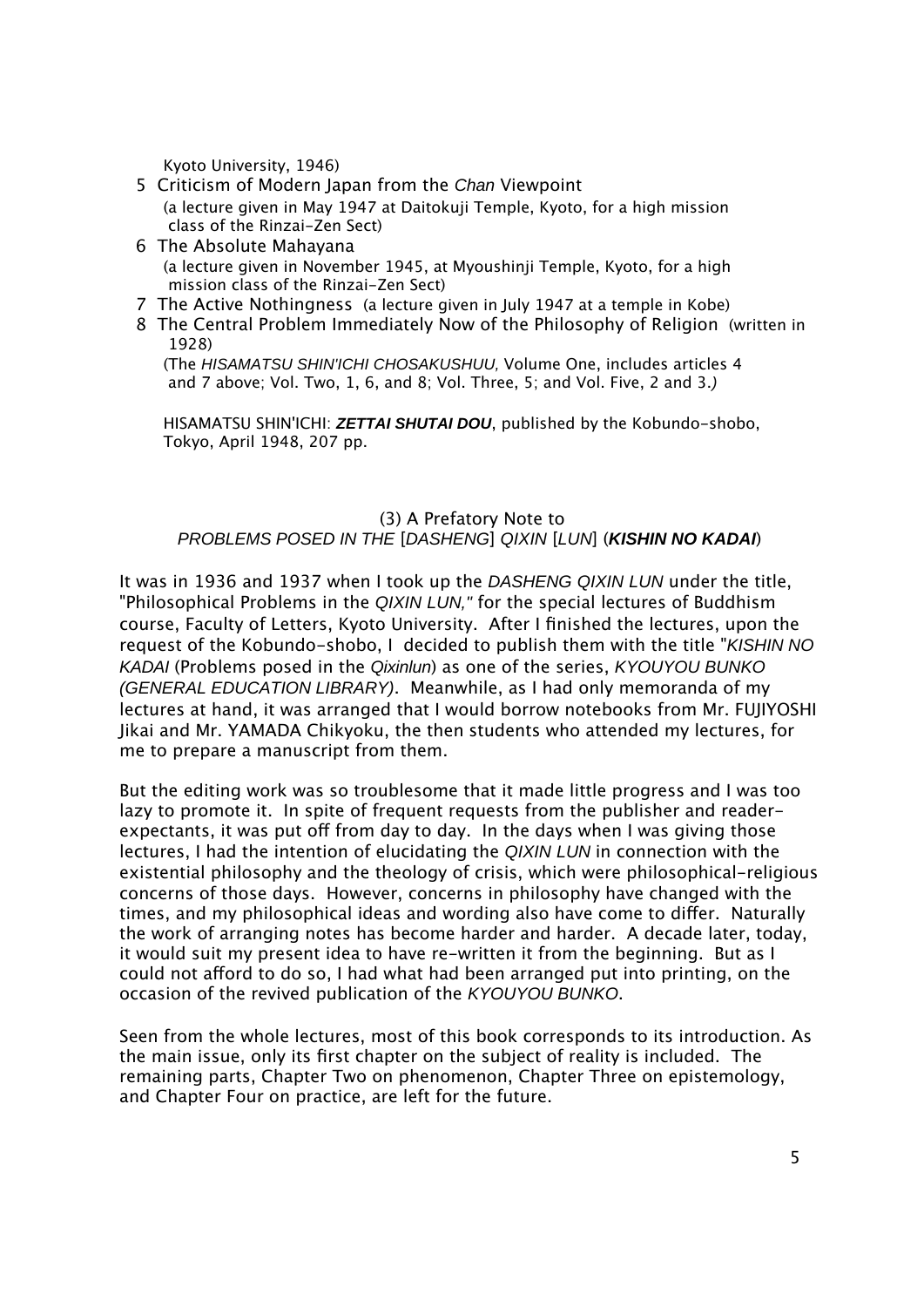Kyoto University, 1946)

- 5 Criticism of Modern Japan from the Chan Viewpoint (a lecture given in May 1947 at Daitokuji Temple, Kyoto, for a high mission class of the Rinzai-Zen Sect)
- 6 The Absolute Mahayana (a lecture given in November 1945, at Myoushinji Temple, Kyoto, for a high mission class of the Rinzai-Zen Sect)
- 7 The Active Nothingness (a lecture given in July 1947 at a temple in Kobe)
- 8 The Central Problem Immediately Now of the Philosophy of Religion (written in 1928)

(The HISAMATSU SHIN'ICHI CHOSAKUSHUU, Volume One, includes articles 4 and 7 above; Vol. Two, 1, 6, and 8; Vol. Three, 5; and Vol. Five, 2 and 3.)

HISAMATSU SHIN'ICHI: **ZETTAI SHUTAI DOU**, published by the Kobundo-shobo, Tokyo, April 1948, 207 pp.

# (3) A Prefatory Note to

# PROBLEMS POSED IN THE [DASHENG] QIXIN [LUN] (**KISHIN NO KADAI**)

It was in 1936 and 1937 when I took up the DASHENG QIXIN LUN under the title, "Philosophical Problems in the QIXIN LUN," for the special lectures of Buddhism course, Faculty of Letters, Kyoto University. After I finished the lectures, upon the request of the Kobundo-shobo, I decided to publish them with the title "KISHIN NO KADAI (Problems posed in the Qixinlun) as one of the series, KYOUYOU BUNKO (GENERAL EDUCATION LIBRARY). Meanwhile, as I had only memoranda of my lectures at hand, it was arranged that I would borrow notebooks from Mr. FUJIYOSHI Jikai and Mr. YAMADA Chikyoku, the then students who attended my lectures, for me to prepare a manuscript from them.

But the editing work was so troublesome that it made little progress and I was too lazy to promote it. In spite of frequent requests from the publisher and readerexpectants, it was put off from day to day. In the days when I was giving those lectures, I had the intention of elucidating the QIXIN LUN in connection with the existential philosophy and the theology of crisis, which were philosophical-religious concerns of those days. However, concerns in philosophy have changed with the times, and my philosophical ideas and wording also have come to differ. Naturally the work of arranging notes has become harder and harder. A decade later, today, it would suit my present idea to have re-written it from the beginning. But as I could not afford to do so, I had what had been arranged put into printing, on the occasion of the revived publication of the KYOUYOU BUNKO.

Seen from the whole lectures, most of this book corresponds to its introduction. As the main issue, only its first chapter on the subject of reality is included. The remaining parts, Chapter Two on phenomenon, Chapter Three on epistemology, and Chapter Four on practice, are left for the future.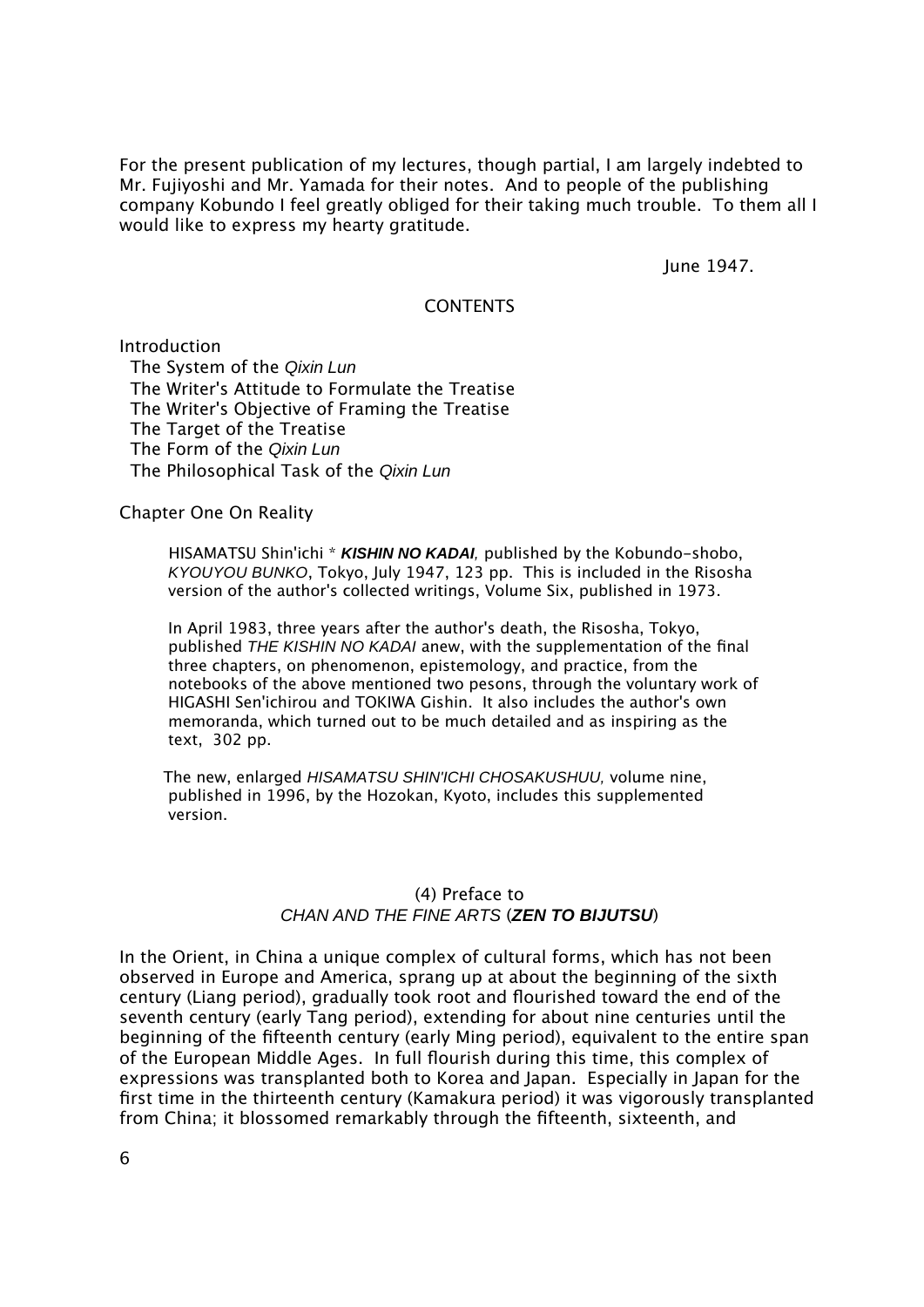For the present publication of my lectures, though partial, I am largely indebted to Mr. Fujiyoshi and Mr. Yamada for their notes. And to people of the publishing company Kobundo I feel greatly obliged for their taking much trouble. To them all I would like to express my hearty gratitude.

June 1947.

#### **CONTENTS**

Introduction

 The System of the Qixin Lun The Writer's Attitude to Formulate the Treatise The Writer's Objective of Framing the Treatise The Target of the Treatise The Form of the Qixin Lun The Philosophical Task of the Qixin Lun

Chapter One On Reality

HISAMATSU Shin'ichi \* **KISHIN NO KADAI**, published by the Kobundo-shobo, KYOUYOU BUNKO, Tokyo, July 1947, 123 pp. This is included in the Risosha version of the author's collected writings, Volume Six, published in 1973.

 In April 1983, three years after the author's death, the Risosha, Tokyo, published THE KISHIN NO KADAI anew, with the supplementation of the final three chapters, on phenomenon, epistemology, and practice, from the notebooks of the above mentioned two pesons, through the voluntary work of HIGASHI Sen'ichirou and TOKIWA Gishin. It also includes the author's own memoranda, which turned out to be much detailed and as inspiring as the text, 302 pp.

The new, enlarged HISAMATSU SHIN'ICHI CHOSAKUSHUU, volume nine, published in 1996, by the Hozokan, Kyoto, includes this supplemented version.

## (4) Preface to CHAN AND THE FINE ARTS (**ZEN TO BIJUTSU**)

In the Orient, in China a unique complex of cultural forms, which has not been observed in Europe and America, sprang up at about the beginning of the sixth century (Liang period), gradually took root and flourished toward the end of the seventh century (early Tang period), extending for about nine centuries until the beginning of the fifteenth century (early Ming period), equivalent to the entire span of the European Middle Ages. In full flourish during this time, this complex of expressions was transplanted both to Korea and Japan. Especially in Japan for the first time in the thirteenth century (Kamakura period) it was vigorously transplanted from China; it blossomed remarkably through the fifteenth, sixteenth, and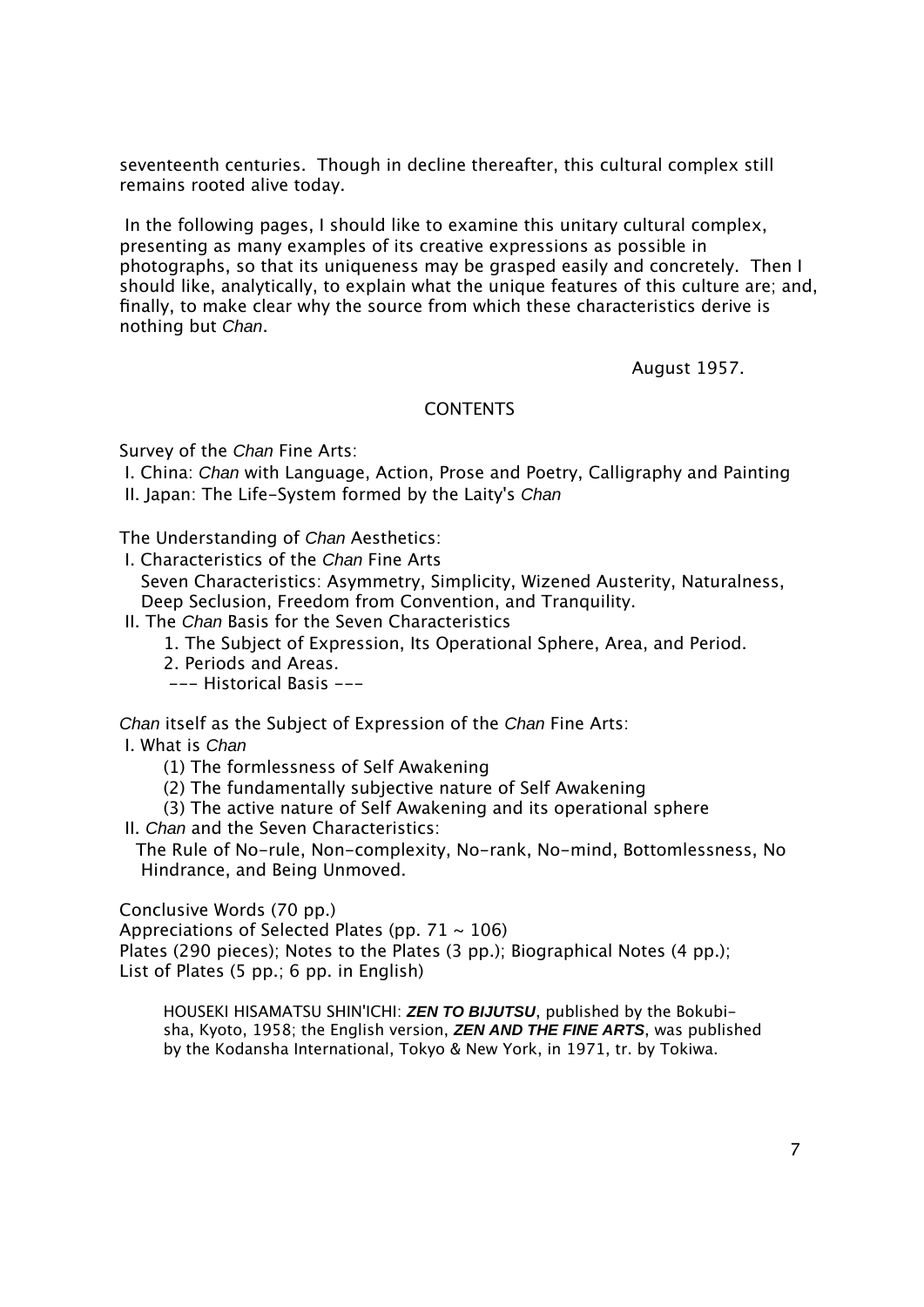seventeenth centuries. Though in decline thereafter, this cultural complex still remains rooted alive today.

 In the following pages, I should like to examine this unitary cultural complex, presenting as many examples of its creative expressions as possible in photographs, so that its uniqueness may be grasped easily and concretely. Then I should like, analytically, to explain what the unique features of this culture are; and, finally, to make clear why the source from which these characteristics derive is nothing but Chan.

August 1957.

#### **CONTENTS**

Survey of the Chan Fine Arts:

 I. China: Chan with Language, Action, Prose and Poetry, Calligraphy and Painting II. Japan: The Life-System formed by the Laity's Chan

The Understanding of Chan Aesthetics:

I. Characteristics of the Chan Fine Arts

 Seven Characteristics: Asymmetry, Simplicity, Wizened Austerity, Naturalness, Deep Seclusion, Freedom from Convention, and Tranquility.

- II. The Chan Basis for the Seven Characteristics
	- 1. The Subject of Expression, Its Operational Sphere, Area, and Period.
	- 2. Periods and Areas.

--- Historical Basis ---

Chan itself as the Subject of Expression of the Chan Fine Arts:

I. What is Chan

(1) The formlessness of Self Awakening

(2) The fundamentally subjective nature of Self Awakening

(3) The active nature of Self Awakening and its operational sphere II. Chan and the Seven Characteristics:

 The Rule of No-rule, Non-complexity, No-rank, No-mind, Bottomlessness, No Hindrance, and Being Unmoved.

Conclusive Words (70 pp.)

Appreciations of Selected Plates (pp.  $71 \sim 106$ ) Plates (290 pieces); Notes to the Plates (3 pp.); Biographical Notes (4 pp.); List of Plates (5 pp.; 6 pp. in English)

HOUSEKI HISAMATSU SHIN'ICHI: **ZEN TO BIJUTSU**, published by the Bokubisha, Kyoto, 1958; the English version, **ZEN AND THE FINE ARTS**, was published by the Kodansha International, Tokyo & New York, in 1971, tr. by Tokiwa.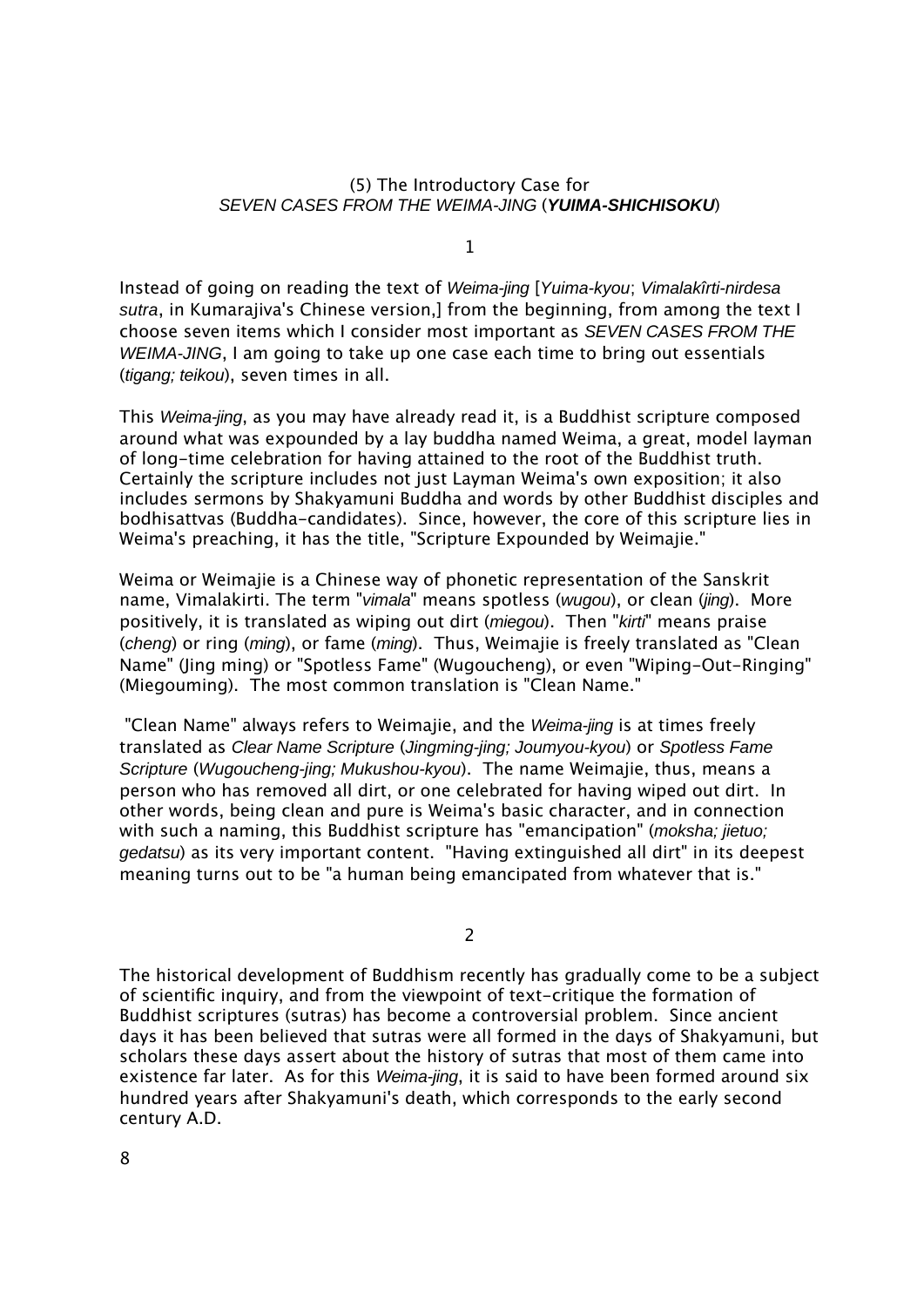## (5) The Introductory Case for SEVEN CASES FROM THE WEIMA-JING (**YUIMA-SHICHISOKU**)

1

Instead of going on reading the text of Weima-jing [Yuima-kyou; Vimalakîrti-nirdesa sutra, in Kumarajiva's Chinese version, from the beginning, from among the text I choose seven items which I consider most important as SEVEN CASES FROM THE WEIMA-JING, I am going to take up one case each time to bring out essentials (tigang; teikou), seven times in all.

This Weima-jing, as you may have already read it, is a Buddhist scripture composed around what was expounded by a lay buddha named Weima, a great, model layman of long-time celebration for having attained to the root of the Buddhist truth. Certainly the scripture includes not just Layman Weima's own exposition; it also includes sermons by Shakyamuni Buddha and words by other Buddhist disciples and bodhisattvas (Buddha-candidates). Since, however, the core of this scripture lies in Weima's preaching, it has the title, "Scripture Expounded by Weimajie."

Weima or Weimajie is a Chinese way of phonetic representation of the Sanskrit name, Vimalakirti. The term "vimala" means spotless (wugou), or clean (jing). More positively, it is translated as wiping out dirt (*miegou*). Then "*kirti*" means praise (cheng) or ring (ming), or fame (ming). Thus, Weimajie is freely translated as "Clean Name" (Jing ming) or "Spotless Fame" (Wugoucheng), or even "Wiping-Out-Ringing" (Miegouming). The most common translation is "Clean Name."

 "Clean Name" always refers to Weimajie, and the Weima-jing is at times freely translated as Clear Name Scripture (Jingming-jing; Joumyou-kyou) or Spotless Fame Scripture (Wugoucheng-jing; Mukushou-kyou). The name Weimajie, thus, means a person who has removed all dirt, or one celebrated for having wiped out dirt. In other words, being clean and pure is Weima's basic character, and in connection with such a naming, this Buddhist scripture has "emancipation" (moksha; jietuo; gedatsu) as its very important content. "Having extinguished all dirt" in its deepest meaning turns out to be "a human being emancipated from whatever that is."

2

The historical development of Buddhism recently has gradually come to be a subject of scientific inquiry, and from the viewpoint of text-critique the formation of Buddhist scriptures (sutras) has become a controversial problem. Since ancient days it has been believed that sutras were all formed in the days of Shakyamuni, but scholars these days assert about the history of sutras that most of them came into existence far later. As for this Weima-jing, it is said to have been formed around six hundred years after Shakyamuni's death, which corresponds to the early second century A.D.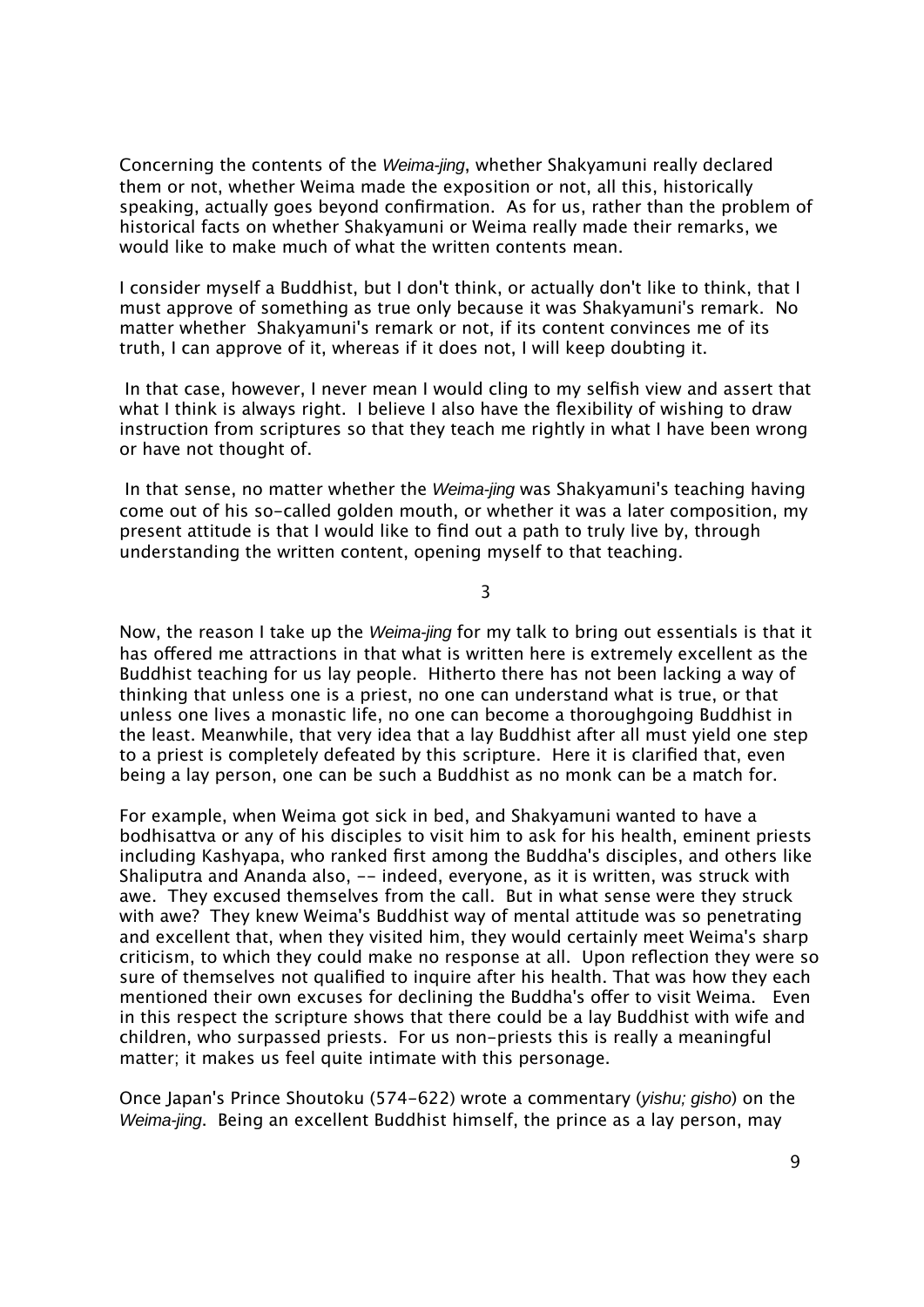Concerning the contents of the Weima-jing, whether Shakyamuni really declared them or not, whether Weima made the exposition or not, all this, historically speaking, actually goes beyond confirmation. As for us, rather than the problem of historical facts on whether Shakyamuni or Weima really made their remarks, we would like to make much of what the written contents mean.

I consider myself a Buddhist, but I don't think, or actually don't like to think, that I must approve of something as true only because it was Shakyamuni's remark. No matter whether Shakyamuni's remark or not, if its content convinces me of its truth, I can approve of it, whereas if it does not, I will keep doubting it.

 In that case, however, I never mean I would cling to my selfish view and assert that what I think is always right. I believe I also have the flexibility of wishing to draw instruction from scriptures so that they teach me rightly in what I have been wrong or have not thought of.

In that sense, no matter whether the Weima-jing was Shakyamuni's teaching having come out of his so-called golden mouth, or whether it was a later composition, my present attitude is that I would like to find out a path to truly live by, through understanding the written content, opening myself to that teaching.

3

Now, the reason I take up the *Weima-jing* for my talk to bring out essentials is that it has offered me attractions in that what is written here is extremely excellent as the Buddhist teaching for us lay people. Hitherto there has not been lacking a way of thinking that unless one is a priest, no one can understand what is true, or that unless one lives a monastic life, no one can become a thoroughgoing Buddhist in the least. Meanwhile, that very idea that a lay Buddhist after all must yield one step to a priest is completely defeated by this scripture. Here it is clarified that, even being a lay person, one can be such a Buddhist as no monk can be a match for.

For example, when Weima got sick in bed, and Shakyamuni wanted to have a bodhisattva or any of his disciples to visit him to ask for his health, eminent priests including Kashyapa, who ranked first among the Buddha's disciples, and others like Shaliputra and Ananda also,  $-$  indeed, everyone, as it is written, was struck with awe. They excused themselves from the call. But in what sense were they struck with awe? They knew Weima's Buddhist way of mental attitude was so penetrating and excellent that, when they visited him, they would certainly meet Weima's sharp criticism, to which they could make no response at all. Upon reflection they were so sure of themselves not qualified to inquire after his health. That was how they each mentioned their own excuses for declining the Buddha's offer to visit Weima. Even in this respect the scripture shows that there could be a lay Buddhist with wife and children, who surpassed priests. For us non-priests this is really a meaningful matter; it makes us feel quite intimate with this personage.

Once Japan's Prince Shoutoku (574-622) wrote a commentary (yishu; gisho) on the Weima-jing. Being an excellent Buddhist himself, the prince as a lay person, may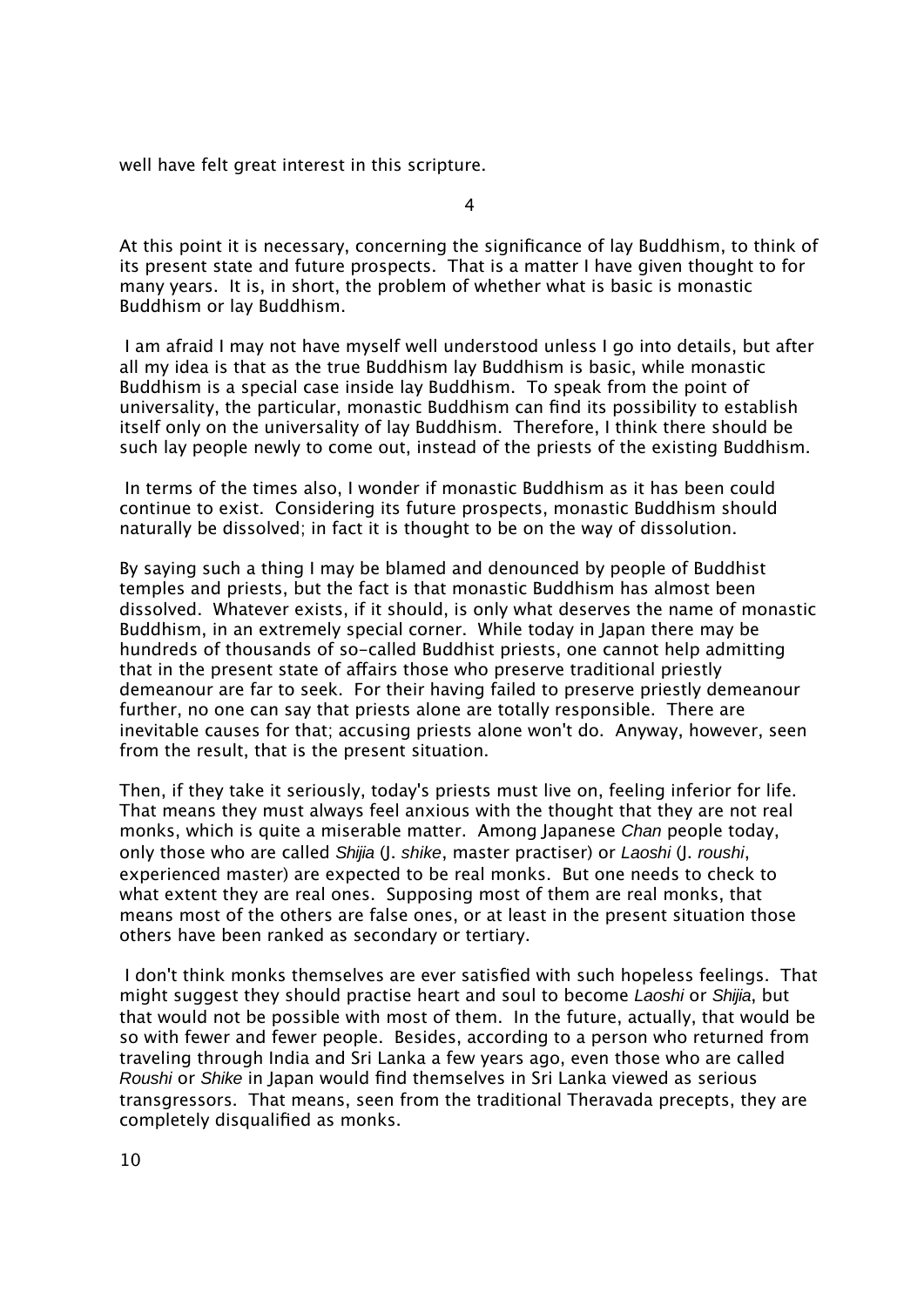well have felt great interest in this scripture.

At this point it is necessary, concerning the significance of lay Buddhism, to think of its present state and future prospects. That is a matter I have given thought to for many years. It is, in short, the problem of whether what is basic is monastic Buddhism or lay Buddhism.

4

 I am afraid I may not have myself well understood unless I go into details, but after all my idea is that as the true Buddhism lay Buddhism is basic, while monastic Buddhism is a special case inside lay Buddhism. To speak from the point of universality, the particular, monastic Buddhism can find its possibility to establish itself only on the universality of lay Buddhism. Therefore, I think there should be such lay people newly to come out, instead of the priests of the existing Buddhism.

 In terms of the times also, I wonder if monastic Buddhism as it has been could continue to exist. Considering its future prospects, monastic Buddhism should naturally be dissolved; in fact it is thought to be on the way of dissolution.

By saying such a thing I may be blamed and denounced by people of Buddhist temples and priests, but the fact is that monastic Buddhism has almost been dissolved. Whatever exists, if it should, is only what deserves the name of monastic Buddhism, in an extremely special corner. While today in Japan there may be hundreds of thousands of so-called Buddhist priests, one cannot help admitting that in the present state of affairs those who preserve traditional priestly demeanour are far to seek. For their having failed to preserve priestly demeanour further, no one can say that priests alone are totally responsible. There are inevitable causes for that; accusing priests alone won't do. Anyway, however, seen from the result, that is the present situation.

Then, if they take it seriously, today's priests must live on, feeling inferior for life. That means they must always feel anxious with the thought that they are not real monks, which is quite a miserable matter. Among Japanese Chan people today, only those who are called Shijia (J. shike, master practiser) or Laoshi (J. roushi, experienced master) are expected to be real monks. But one needs to check to what extent they are real ones. Supposing most of them are real monks, that means most of the others are false ones, or at least in the present situation those others have been ranked as secondary or tertiary.

 I don't think monks themselves are ever satisfied with such hopeless feelings. That might suggest they should practise heart and soul to become Laoshi or Shijia, but that would not be possible with most of them. In the future, actually, that would be so with fewer and fewer people. Besides, according to a person who returned from traveling through India and Sri Lanka a few years ago, even those who are called Roushi or Shike in Japan would find themselves in Sri Lanka viewed as serious transgressors. That means, seen from the traditional Theravada precepts, they are completely disqualified as monks.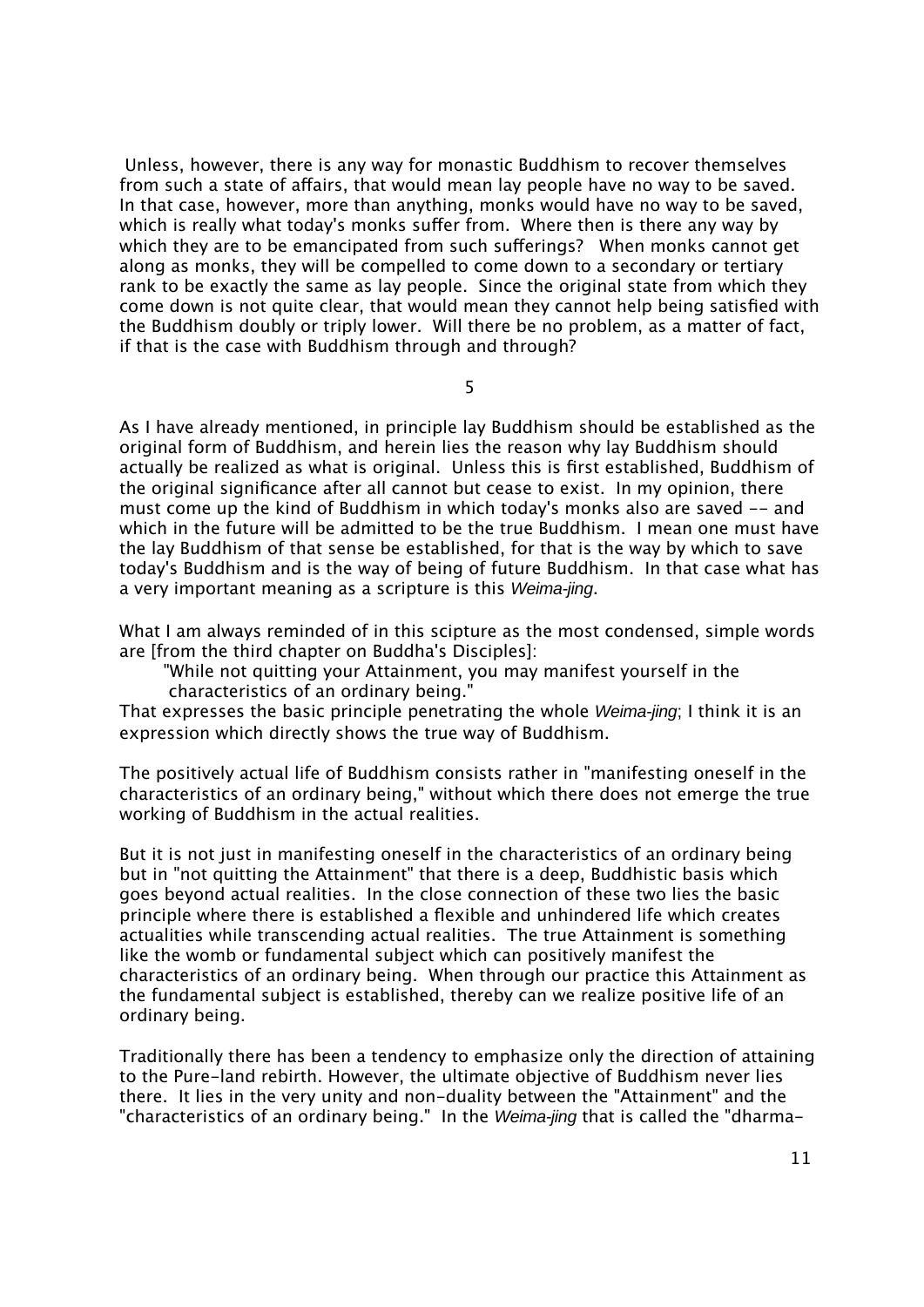Unless, however, there is any way for monastic Buddhism to recover themselves from such a state of affairs, that would mean lay people have no way to be saved. In that case, however, more than anything, monks would have no way to be saved, which is really what today's monks suffer from. Where then is there any way by which they are to be emancipated from such sufferings? When monks cannot get along as monks, they will be compelled to come down to a secondary or tertiary rank to be exactly the same as lay people. Since the original state from which they come down is not quite clear, that would mean they cannot help being satisfied with the Buddhism doubly or triply lower. Will there be no problem, as a matter of fact, if that is the case with Buddhism through and through?

5

As I have already mentioned, in principle lay Buddhism should be established as the original form of Buddhism, and herein lies the reason why lay Buddhism should actually be realized as what is original. Unless this is first established, Buddhism of the original significance after all cannot but cease to exist. In my opinion, there must come up the kind of Buddhism in which today's monks also are saved -- and which in the future will be admitted to be the true Buddhism. I mean one must have the lay Buddhism of that sense be established, for that is the way by which to save today's Buddhism and is the way of being of future Buddhism. In that case what has a very important meaning as a scripture is this Weima-jing.

What I am always reminded of in this scipture as the most condensed, simple words are [from the third chapter on Buddha's Disciples]:

"While not quitting your Attainment, you may manifest yourself in the characteristics of an ordinary being."

That expresses the basic principle penetrating the whole Weima-jing; I think it is an expression which directly shows the true way of Buddhism.

The positively actual life of Buddhism consists rather in "manifesting oneself in the characteristics of an ordinary being," without which there does not emerge the true working of Buddhism in the actual realities.

But it is not just in manifesting oneself in the characteristics of an ordinary being but in "not quitting the Attainment" that there is a deep, Buddhistic basis which goes beyond actual realities. In the close connection of these two lies the basic principle where there is established a flexible and unhindered life which creates actualities while transcending actual realities. The true Attainment is something like the womb or fundamental subject which can positively manifest the characteristics of an ordinary being. When through our practice this Attainment as the fundamental subject is established, thereby can we realize positive life of an ordinary being.

Traditionally there has been a tendency to emphasize only the direction of attaining to the Pure-land rebirth. However, the ultimate objective of Buddhism never lies there. It lies in the very unity and non-duality between the "Attainment" and the "characteristics of an ordinary being." In the Weima-jing that is called the "dharma-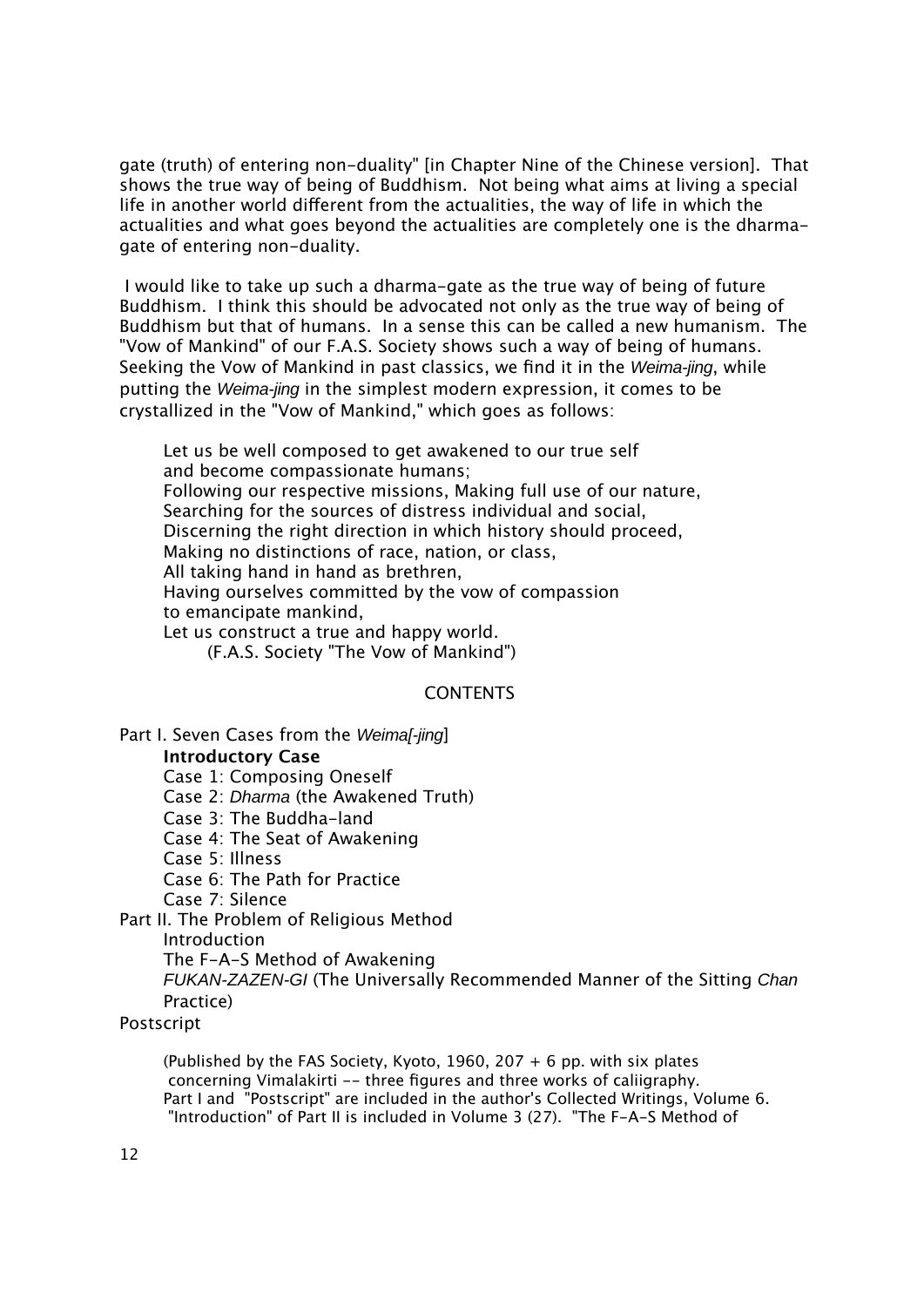gate (truth) of entering non-duality" [in Chapter Nine of the Chinese version]. That shows the true way of being of Buddhism. Not being what aims at living a special life in another world different from the actualities, the way of life in which the actualities and what goes beyond the actualities are completely one is the dharmagate of entering non-duality.

 I would like to take up such a dharma-gate as the true way of being of future Buddhism. I think this should be advocated not only as the true way of being of Buddhism but that of humans. In a sense this can be called a new humanism. The "Vow of Mankind" of our F.A.S. Society shows such a way of being of humans. Seeking the Vow of Mankind in past classics, we find it in the Weima-jing, while putting the Weima-jing in the simplest modern expression, it comes to be crystallized in the "Vow of Mankind," which goes as follows:

Let us be well composed to get awakened to our true self and become compassionate humans; Following our respective missions, Making full use of our nature, Searching for the sources of distress individual and social, Discerning the right direction in which history should proceed, Making no distinctions of race, nation, or class, All taking hand in hand as brethren, Having ourselves committed by the vow of compassion to emancipate mankind, Let us construct a true and happy world. (F.A.S. Society "The Vow of Mankind")

#### **CONTENTS**

Part I. Seven Cases from the Weima[-jing] **Introductory Case**

Case 1: Composing Oneself

Case 2: Dharma (the Awakened Truth)

Case 3: The Buddha-land

Case 4: The Seat of Awakening

Case 5: Illness

Case 6: The Path for Practice

Case 7: Silence

Part II. The Problem of Religious Method

Introduction

The F-A-S Method of Awakening

FUKAN-ZAZEN-GI (The Universally Recommended Manner of the Sitting Chan Practice)

Postscript

(Published by the FAS Society, Kyoto, 1960, 207  $+$  6 pp. with six plates concerning Vimalakirti -- three figures and three works of caliigraphy. Part I and "Postscript" are included in the author's Collected Writings, Volume 6. "Introduction" of Part II is included in Volume 3 (27). "The F-A-S Method of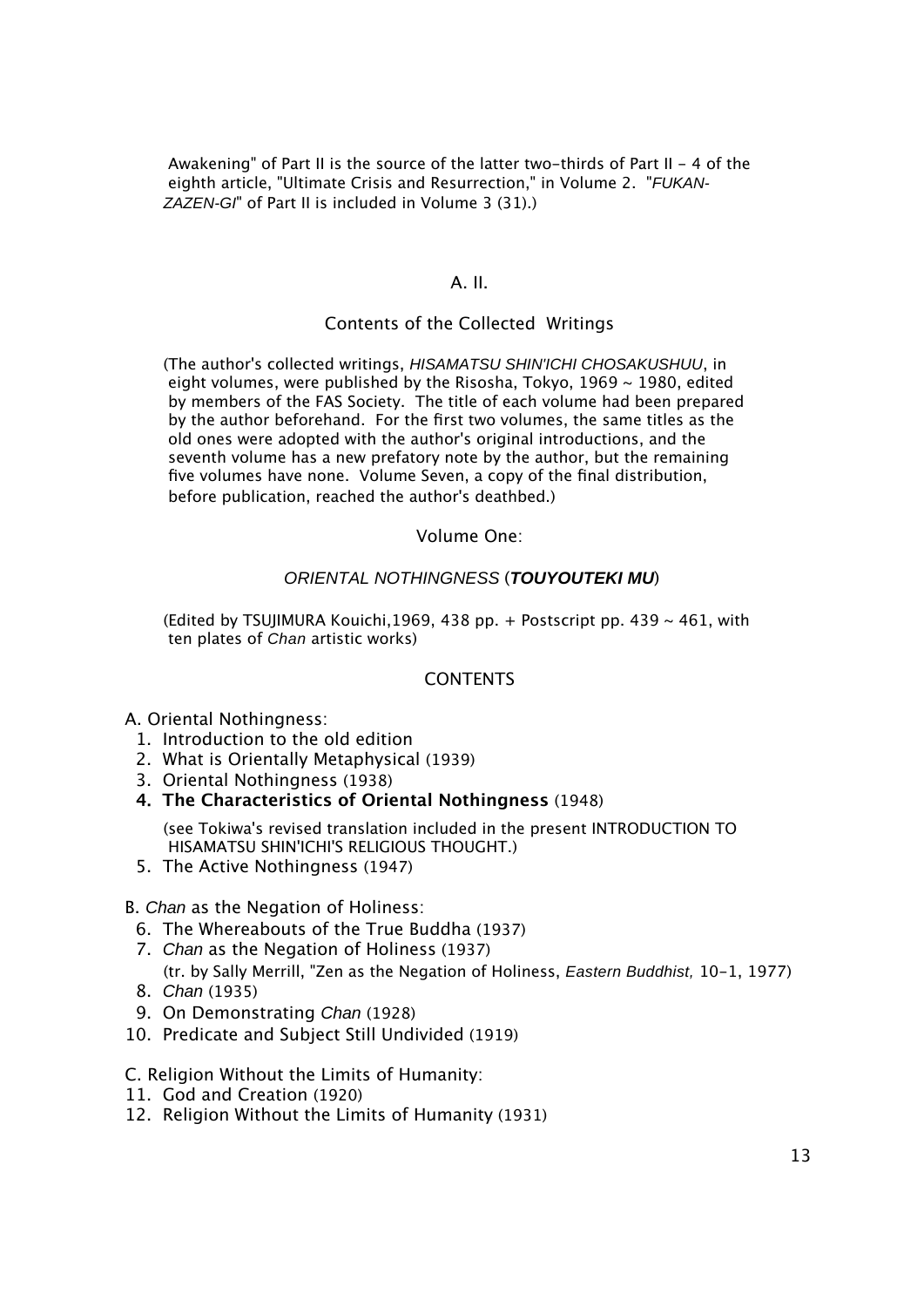Awakening" of Part II is the source of the latter two-thirds of Part II - 4 of the eighth article, "Ultimate Crisis and Resurrection," in Volume 2. "FUKAN-ZAZEN-GI" of Part II is included in Volume 3 (31).)

# A. II.

#### Contents of the Collected Writings

(The author's collected writings, HISAMATSU SHIN'ICHI CHOSAKUSHUU, in eight volumes, were published by the Risosha, Tokyo,  $1969 \sim 1980$ , edited by members of the FAS Society. The title of each volume had been prepared by the author beforehand. For the first two volumes, the same titles as the old ones were adopted with the author's original introductions, and the seventh volume has a new prefatory note by the author, but the remaining five volumes have none. Volume Seven, a copy of the final distribution, before publication, reached the author's deathbed.)

#### Volume One:

#### ORIENTAL NOTHINGNESS (**TOUYOUTEKI MU**)

(Edited by TSUJIMURA Kouichi, 1969, 438 pp. + Postscript pp. 439  $\sim$  461, with ten plates of Chan artistic works)

#### **CONTENTS**

A. Oriental Nothingness:

- 1. Introduction to the old edition
- 2. What is Orientally Metaphysical (1939)
- 3. Oriental Nothingness (1938)
- **4**. **The Characteristics of Oriental Nothingness** (1948)

(see Tokiwa's revised translation included in the present INTRODUCTION TO HISAMATSU SHIN'ICHI'S RELIGIOUS THOUGHT.)

5. The Active Nothingness (1947)

B. Chan as the Negation of Holiness:

- 6. The Whereabouts of the True Buddha (1937)
- 7. Chan as the Negation of Holiness (1937)

(tr. by Sally Merrill, "Zen as the Negation of Holiness, Eastern Buddhist, 10-1, 1977)

- 8. Chan (1935)
- 9. On Demonstrating Chan (1928)
- 10. Predicate and Subject Still Undivided (1919)

#### C. Religion Without the Limits of Humanity:

- 11. God and Creation (1920)
- 12. Religion Without the Limits of Humanity (1931)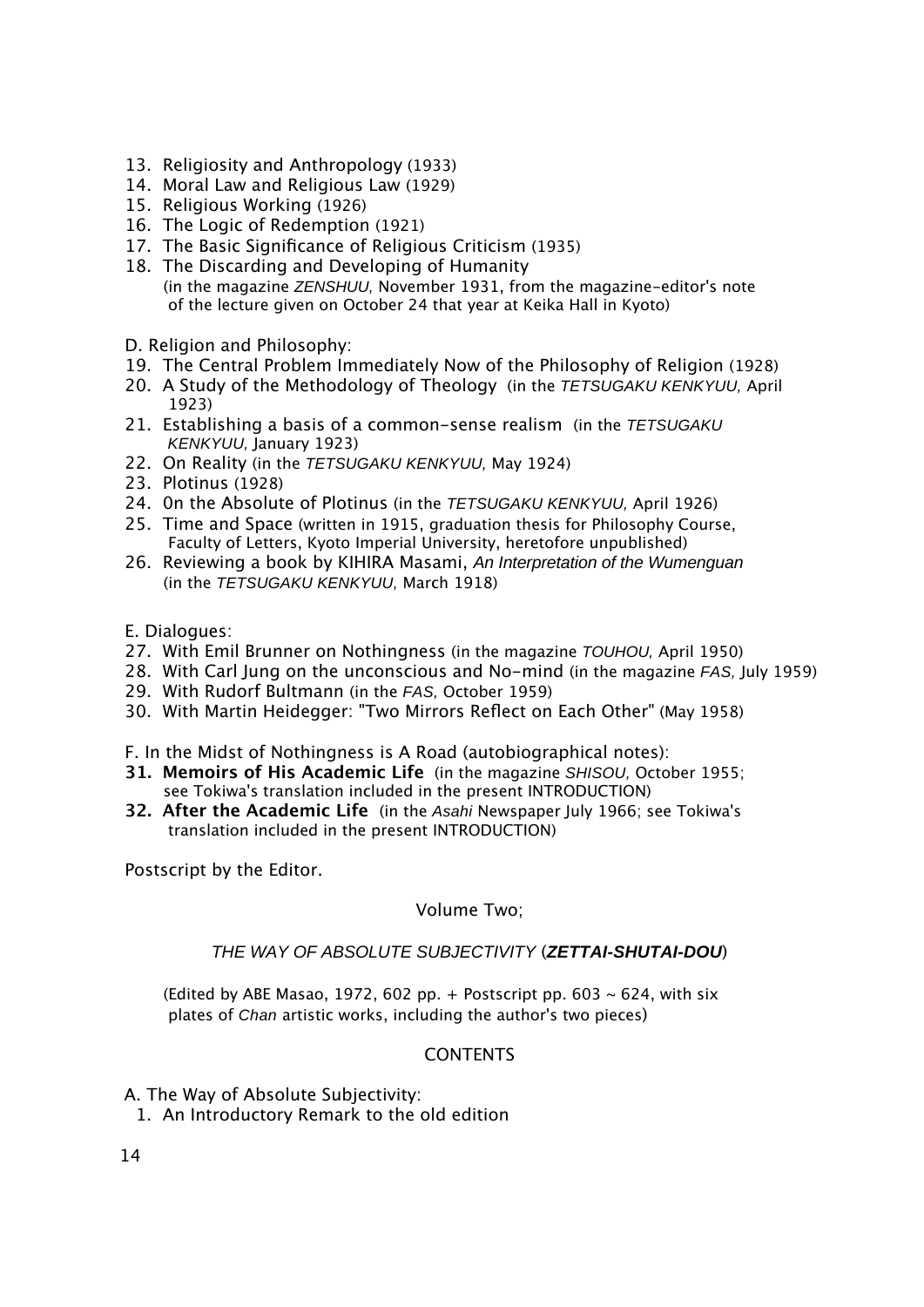- 13. Religiosity and Anthropology (1933)
- 14. Moral Law and Religious Law (1929)
- 15. Religious Working (1926)
- 16. The Logic of Redemption (1921)
- 17. The Basic Significance of Religious Criticism (1935)
- 18. The Discarding and Developing of Humanity (in the magazine ZENSHUU, November 1931, from the magazine-editor's note of the lecture given on October 24 that year at Keika Hall in Kyoto)
- D. Religion and Philosophy:
- 19. The Central Problem Immediately Now of the Philosophy of Religion (1928)
- 20. A Study of the Methodology of Theology (in the TETSUGAKU KENKYUU, April 1923)
- 21. Establishing a basis of a common-sense realism (in the TETSUGAKU KENKYUU, January 1923)
- 22. On Reality (in the TETSUGAKU KENKYUU, May 1924)
- 23. Plotinus (1928)
- 24. On the Absolute of Plotinus (in the TETSUGAKU KENKYUU, April 1926)
- 25. Time and Space (written in 1915, graduation thesis for Philosophy Course, Faculty of Letters, Kyoto Imperial University, heretofore unpublished)
- 26. Reviewing a book by KIHIRA Masami, An Interpretation of the Wumenguan (in the TETSUGAKU KENKYUU, March 1918)

E. Dialogues:

- 27. With Emil Brunner on Nothingness (in the magazine TOUHOU, April 1950)
- 28. With Carl Jung on the unconscious and No-mind (in the magazine FAS, July 1959)
- 29. With Rudorf Bultmann (in the FAS, October 1959)
- 30. With Martin Heidegger: "Two Mirrors Reflect on Each Other" (May 1958)
- F. In the Midst of Nothingness is A Road (autobiographical notes):
- **31. Memoirs of His Academic Life** (in the magazine SHISOU, October 1955; see Tokiwa's translation included in the present INTRODUCTION)
- **32. After the Academic Life** (in the Asahi Newspaper July 1966; see Tokiwa's translation included in the present INTRODUCTION)

Postscript by the Editor.

## Volume Two;

# THE WAY OF ABSOLUTE SUBJECTIVITY (**ZETTAI-SHUTAI-DOU**)

(Edited by ABE Masao, 1972, 602 pp. + Postscript pp. 603  $\sim$  624, with six plates of Chan artistic works, including the author's two pieces)

# **CONTENTS**

A. The Way of Absolute Subjectivity:

1. An Introductory Remark to the old edition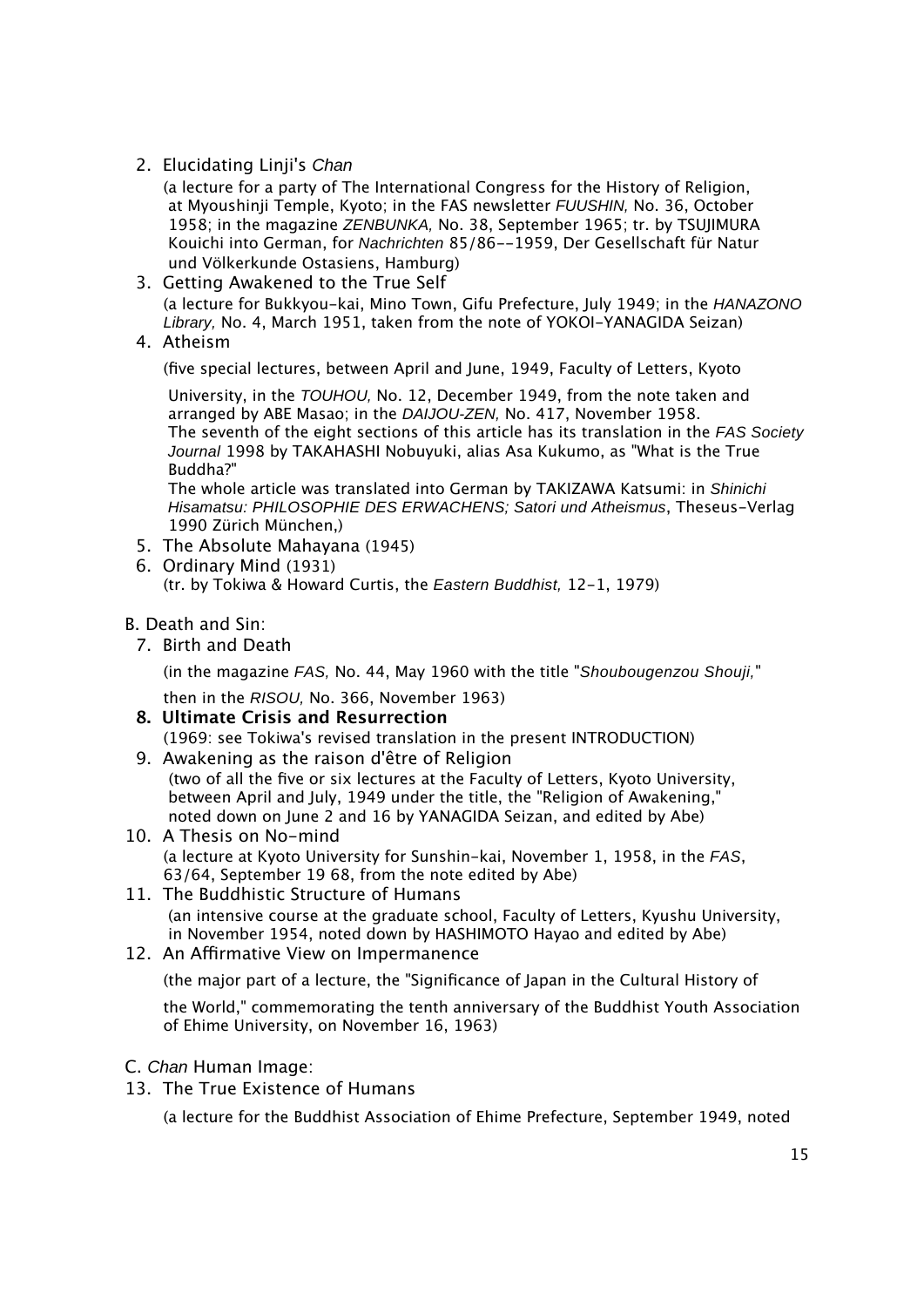2. Elucidating Linji's Chan

(a lecture for a party of The International Congress for the History of Religion, at Myoushinji Temple, Kyoto; in the FAS newsletter FUUSHIN, No. 36, October 1958; in the magazine ZENBUNKA, No. 38, September 1965; tr. by TSUJIMURA Kouichi into German, for Nachrichten 85/86--1959, Der Gesellschaft für Natur und Völkerkunde Ostasiens, Hamburg)

- 3. Getting Awakened to the True Self (a lecture for Bukkyou-kai, Mino Town, Gifu Prefecture, July 1949; in the HANAZONO Library, No. 4, March 1951, taken from the note of YOKOI-YANAGIDA Seizan)
- 4. Atheism

(five special lectures, between April and June, 1949, Faculty of Letters, Kyoto

 University, in the TOUHOU, No. 12, December 1949, from the note taken and arranged by ABE Masao; in the DAIJOU-ZEN, No. 417, November 1958. The seventh of the eight sections of this article has its translation in the FAS Society Journal 1998 by TAKAHASHI Nobuyuki, alias Asa Kukumo, as "What is the True Buddha?"

 The whole article was translated into German by TAKIZAWA Katsumi: in Shinichi Hisamatsu: PHILOSOPHIE DES ERWACHENS; Satori und Atheismus, Theseus-Verlag 1990 Zürich München,)

- 5. The Absolute Mahayana (1945)
- 6. Ordinary Mind (1931) (tr. by Tokiwa & Howard Curtis, the Eastern Buddhist, 12-1, 1979)

#### B. Death and Sin:

7. Birth and Death

(in the magazine FAS, No. 44, May 1960 with the title "Shoubougenzou Shouji,"

then in the RISOU, No. 366, November 1963)

**8. Ultimate Crisis and Resurrection**

(1969: see Tokiwa's revised translation in the present INTRODUCTION)

- 9. Awakening as the raison d'être of Religion (two of all the five or six lectures at the Faculty of Letters, Kyoto University, between April and July, 1949 under the title, the "Religion of Awakening," noted down on June 2 and 16 by YANAGIDA Seizan, and edited by Abe)
- 10. A Thesis on No-mind (a lecture at Kyoto University for Sunshin-kai, November 1, 1958, in the FAS, 63/64, September 19 68, from the note edited by Abe)
- 11. The Buddhistic Structure of Humans (an intensive course at the graduate school, Faculty of Letters, Kyushu University, in November 1954, noted down by HASHIMOTO Hayao and edited by Abe)
- 12. An Affirmative View on Impermanence

(the major part of a lecture, the "Significance of Japan in the Cultural History of

the World," commemorating the tenth anniversary of the Buddhist Youth Association of Ehime University, on November 16, 1963)

- C. Chan Human Image:
- 13. The True Existence of Humans

(a lecture for the Buddhist Association of Ehime Prefecture, September 1949, noted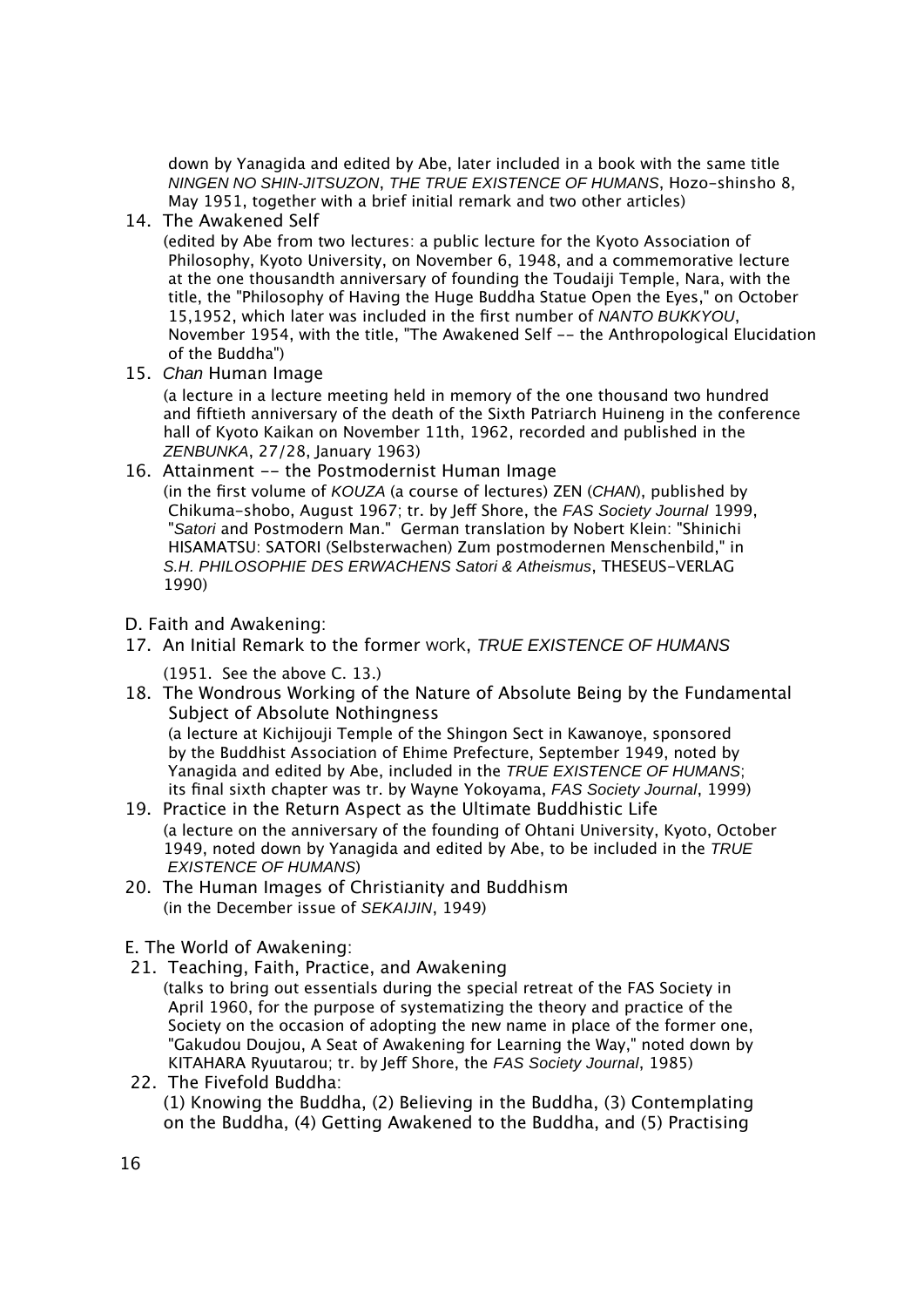down by Yanagida and edited by Abe, later included in a book with the same title NINGEN NO SHIN-JITSUZON, THE TRUE EXISTENCE OF HUMANS, Hozo-shinsho 8, May 1951, together with a brief initial remark and two other articles)

14. The Awakened Self

(edited by Abe from two lectures: a public lecture for the Kyoto Association of Philosophy, Kyoto University, on November 6, 1948, and a commemorative lecture at the one thousandth anniversary of founding the Toudaiji Temple, Nara, with the title, the "Philosophy of Having the Huge Buddha Statue Open the Eyes," on October 15,1952, which later was included in the first number of NANTO BUKKYOU, November 1954, with the title, "The Awakened Self -- the Anthropological Elucidation of the Buddha")

15. Chan Human Image

(a lecture in a lecture meeting held in memory of the one thousand two hundred and fiftieth anniversary of the death of the Sixth Patriarch Huineng in the conference hall of Kyoto Kaikan on November 11th, 1962, recorded and published in the ZENBUNKA, 27/28, January 1963)

- 16. Attainment -- the Postmodernist Human Image (in the first volume of KOUZA (a course of lectures) ZEN (CHAN), published by Chikuma-shobo, August 1967; tr. by Jeff Shore, the FAS Society Journal 1999, "Satori and Postmodern Man." German translation by Nobert Klein: "Shinichi HISAMATSU: SATORI (Selbsterwachen) Zum postmodernen Menschenbild," in S.H. PHILOSOPHIE DES ERWACHENS Satori & Atheismus, THESEUS-VERLAG 1990)
- D. Faith and Awakening:
- 17. An Initial Remark to the former work, TRUE EXISTENCE OF HUMANS

(1951. See the above C. 13.)

- 18. The Wondrous Working of the Nature of Absolute Being by the Fundamental Subject of Absolute Nothingness (a lecture at Kichijouji Temple of the Shingon Sect in Kawanoye, sponsored by the Buddhist Association of Ehime Prefecture, September 1949, noted by Yanagida and edited by Abe, included in the TRUE EXISTENCE OF HUMANS; its final sixth chapter was tr. by Wayne Yokoyama, FAS Society Journal, 1999)
- 19. Practice in the Return Aspect as the Ultimate Buddhistic Life (a lecture on the anniversary of the founding of Ohtani University, Kyoto, October 1949, noted down by Yanagida and edited by Abe, to be included in the TRUE EXISTENCE OF HUMANS)
- 20. The Human Images of Christianity and Buddhism (in the December issue of SEKAIJIN, 1949)
- E. The World of Awakening:
- 21. Teaching, Faith, Practice, and Awakening (talks to bring out essentials during the special retreat of the FAS Society in April 1960, for the purpose of systematizing the theory and practice of the Society on the occasion of adopting the new name in place of the former one, "Gakudou Doujou, A Seat of Awakening for Learning the Way," noted down by KITAHARA Ryuutarou; tr. by Jeff Shore, the FAS Society Journal, 1985)
- 22. The Fivefold Buddha: (1) Knowing the Buddha, (2) Believing in the Buddha, (3) Contemplating on the Buddha, (4) Getting Awakened to the Buddha, and (5) Practising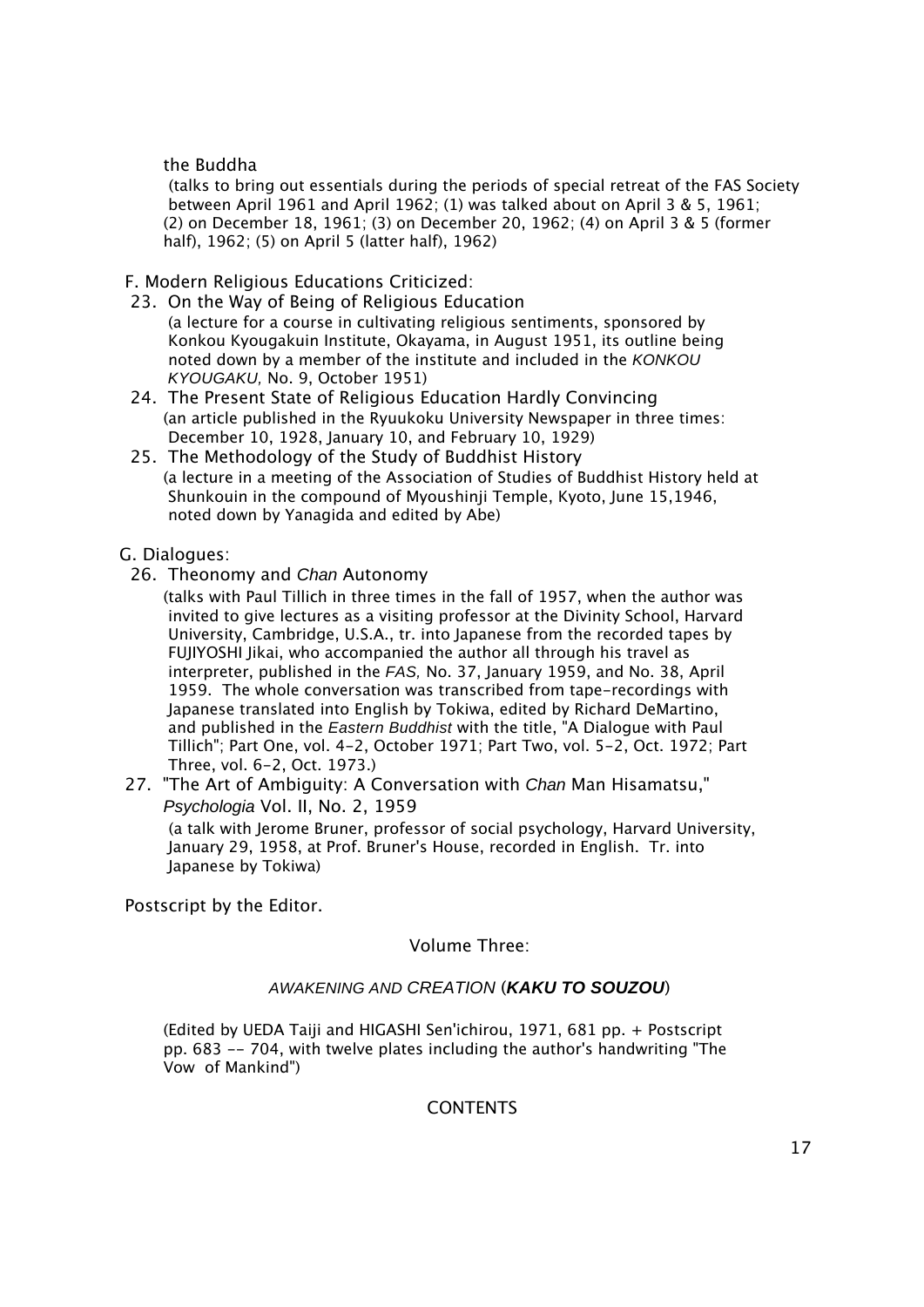the Buddha

(talks to bring out essentials during the periods of special retreat of the FAS Society between April 1961 and April 1962; (1) was talked about on April 3 & 5, 1961; (2) on December 18, 1961; (3) on December 20, 1962; (4) on April 3 & 5 (former half), 1962; (5) on April 5 (latter half), 1962)

F. Modern Religious Educations Criticized:

- 23. On the Way of Being of Religious Education (a lecture for a course in cultivating religious sentiments, sponsored by Konkou Kyougakuin Institute, Okayama, in August 1951, its outline being noted down by a member of the institute and included in the KONKOU KYOUGAKU, No. 9, October 1951)
- 24. The Present State of Religious Education Hardly Convincing (an article published in the Ryuukoku University Newspaper in three times: December 10, 1928, January 10, and February 10, 1929)
- 25. The Methodology of the Study of Buddhist History (a lecture in a meeting of the Association of Studies of Buddhist History held at Shunkouin in the compound of Myoushinji Temple, Kyoto, June 15,1946, noted down by Yanagida and edited by Abe)

# G. Dialogues:

- 26. Theonomy and Chan Autonomy
	- (talks with Paul Tillich in three times in the fall of 1957, when the author was invited to give lectures as a visiting professor at the Divinity School, Harvard University, Cambridge, U.S.A., tr. into Japanese from the recorded tapes by FUJIYOSHI Jikai, who accompanied the author all through his travel as interpreter, published in the FAS, No. 37, January 1959, and No. 38, April 1959. The whole conversation was transcribed from tape-recordings with Japanese translated into English by Tokiwa, edited by Richard DeMartino, and published in the Eastern Buddhist with the title, "A Dialogue with Paul Tillich"; Part One, vol. 4-2, October 1971; Part Two, vol. 5-2, Oct. 1972; Part Three, vol. 6-2, Oct. 1973.)
- 27. "The Art of Ambiguity: A Conversation with Chan Man Hisamatsu," Psychologia Vol. II, No. 2, 1959

(a talk with Jerome Bruner, professor of social psychology, Harvard University, January 29, 1958, at Prof. Bruner's House, recorded in English. Tr. into Japanese by Tokiwa)

Postscript by the Editor.

Volume Three:

# AWAKENING AND CREATION (**KAKU TO SOUZOU**)

(Edited by UEDA Taiji and HIGASHI Sen'ichirou, 1971, 681 pp. + Postscript pp. 683 -- 704, with twelve plates including the author's handwriting "The Vow of Mankind")

# **CONTENTS**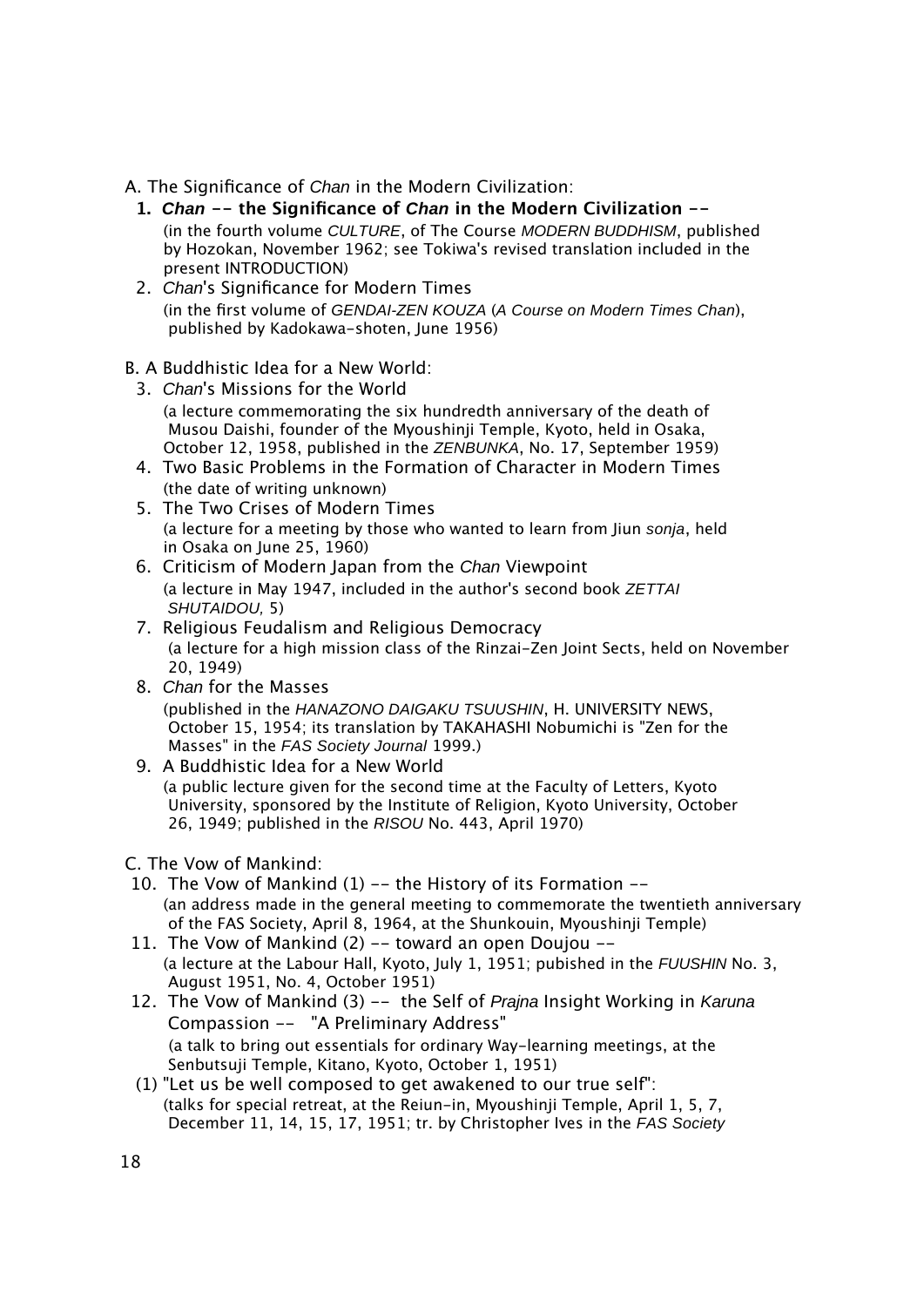A. The Significance of Chan in the Modern Civilization:

- **1. Chan -- the Significance of Chan in the Modern Civilization --** (in the fourth volume CULTURE, of The Course MODERN BUDDHISM, published by Hozokan, November 1962; see Tokiwa's revised translation included in the present INTRODUCTION)
- 2. *Chan's Significance for Modern Times* (in the first volume of GENDAI-ZEN KOUZA (A Course on Modern Times Chan), published by Kadokawa-shoten, June 1956)
- B. A Buddhistic Idea for a New World:
	- 3. Chan's Missions for the World
		- (a lecture commemorating the six hundredth anniversary of the death of Musou Daishi, founder of the Myoushinji Temple, Kyoto, held in Osaka, October 12, 1958, published in the ZENBUNKA, No. 17, September 1959)
	- 4. Two Basic Problems in the Formation of Character in Modern Times (the date of writing unknown)
	- 5. The Two Crises of Modern Times (a lecture for a meeting by those who wanted to learn from Jiun sonja, held in Osaka on June 25, 1960)
	- 6. Criticism of Modern Japan from the Chan Viewpoint (a lecture in May 1947, included in the author's second book ZETTAI SHUTAIDOU, 5)
	- 7. Religious Feudalism and Religious Democracy (a lecture for a high mission class of the Rinzai-Zen Joint Sects, held on November 20, 1949)
	- 8. Chan for the Masses (published in the HANAZONO DAIGAKU TSUUSHIN, H. UNIVERSITY NEWS, October 15, 1954; its translation by TAKAHASHI Nobumichi is "Zen for the Masses" in the FAS Society Journal 1999.)
	- 9. A Buddhistic Idea for a New World (a public lecture given for the second time at the Faculty of Letters, Kyoto University, sponsored by the Institute of Religion, Kyoto University, October 26, 1949; published in the RISOU No. 443, April 1970)
- C. The Vow of Mankind:
- 10. The Vow of Mankind (1) -- the History of its Formation --(an address made in the general meeting to commemorate the twentieth anniversary of the FAS Society, April 8, 1964, at the Shunkouin, Myoushinji Temple)
- 11. The Vow of Mankind  $(2)$  -- toward an open Doujou --(a lecture at the Labour Hall, Kyoto, July 1, 1951; pubished in the FUUSHIN No. 3, August 1951, No. 4, October 1951)
- 12. The Vow of Mankind (3) -- the Self of Prajna Insight Working in Karuna Compassion -- "A Preliminary Address" (a talk to bring out essentials for ordinary Way-learning meetings, at the Senbutsuji Temple, Kitano, Kyoto, October 1, 1951)
- (1) "Let us be well composed to get awakened to our true self": (talks for special retreat, at the Reiun-in, Myoushinji Temple, April 1, 5, 7, December 11, 14, 15, 17, 1951; tr. by Christopher Ives in the FAS Society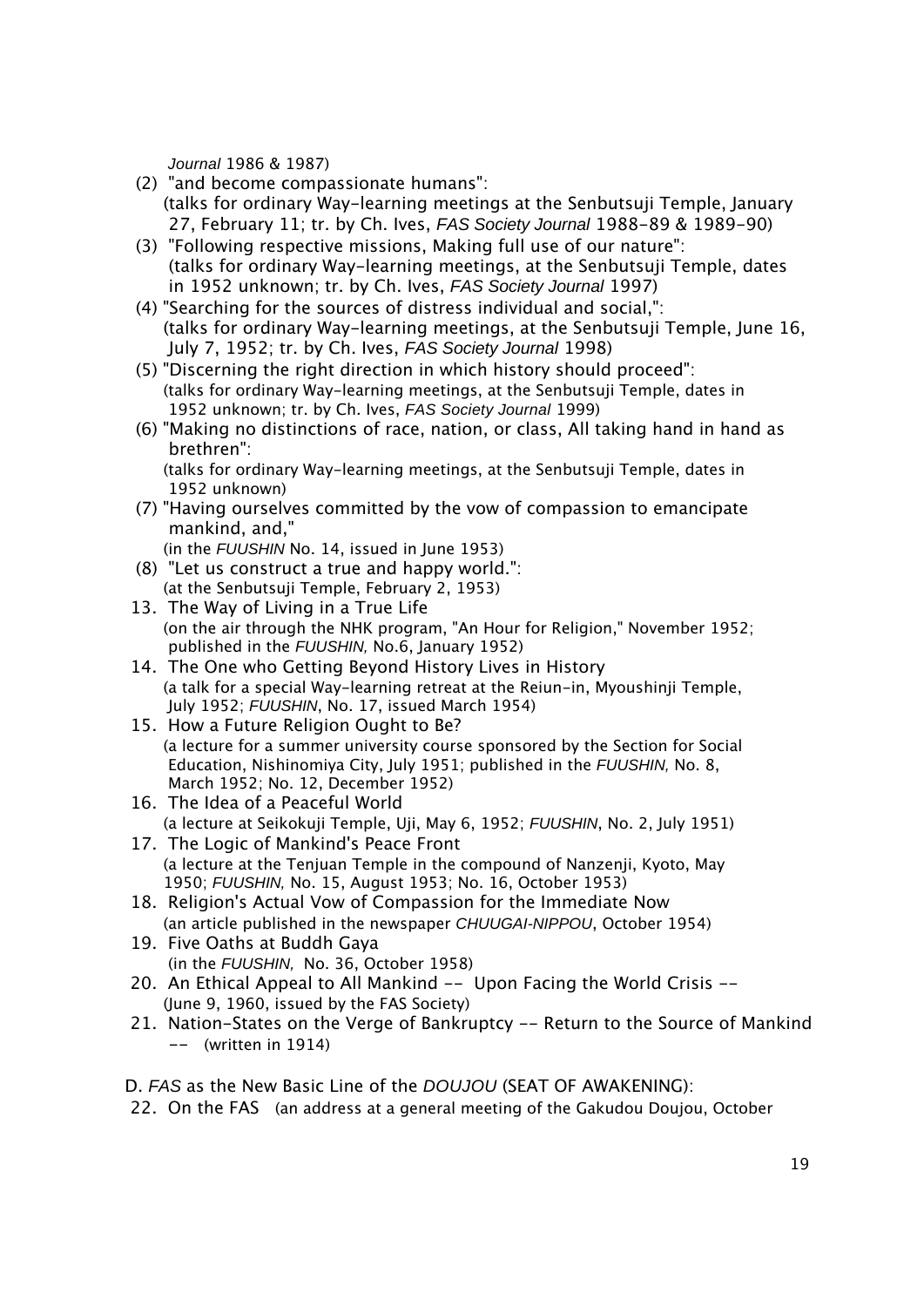Journal 1986 & 1987)

- (2) "and become compassionate humans": (talks for ordinary Way-learning meetings at the Senbutsuji Temple, January 27, February 11; tr. by Ch. Ives, FAS Society Journal 1988-89 & 1989-90)
- (3) "Following respective missions, Making full use of our nature": (talks for ordinary Way-learning meetings, at the Senbutsuji Temple, dates in 1952 unknown; tr. by Ch. Ives, FAS Society Journal 1997)
- (4) "Searching for the sources of distress individual and social,": (talks for ordinary Way-learning meetings, at the Senbutsuji Temple, June 16, July 7, 1952; tr. by Ch. Ives, FAS Society Journal 1998)
- (5) "Discerning the right direction in which history should proceed": (talks for ordinary Way-learning meetings, at the Senbutsuji Temple, dates in 1952 unknown; tr. by Ch. Ives, FAS Society Journal 1999)
- (6) "Making no distinctions of race, nation, or class, All taking hand in hand as brethren": (talks for ordinary Way-learning meetings, at the Senbutsuji Temple, dates in

1952 unknown)

 (7) "Having ourselves committed by the vow of compassion to emancipate mankind, and,"

(in the FUUSHIN No. 14, issued in June 1953)

- (8) "Let us construct a true and happy world.": (at the Senbutsuji Temple, February 2, 1953)
- 13. The Way of Living in a True Life (on the air through the NHK program, "An Hour for Religion," November 1952; published in the FUUSHIN, No.6, January 1952)
- 14. The One who Getting Beyond History Lives in History (a talk for a special Way-learning retreat at the Reiun-in, Myoushinji Temple, July 1952; FUUSHIN, No. 17, issued March 1954)
- 15. How a Future Religion Ought to Be? (a lecture for a summer university course sponsored by the Section for Social Education, Nishinomiya City, July 1951; published in the FUUSHIN, No. 8, March 1952; No. 12, December 1952)
- 16. The Idea of a Peaceful World (a lecture at Seikokuji Temple, Uji, May 6, 1952; FUUSHIN, No. 2, July 1951)
- 17. The Logic of Mankind's Peace Front (a lecture at the Tenjuan Temple in the compound of Nanzenji, Kyoto, May 1950; FUUSHIN, No. 15, August 1953; No. 16, October 1953)
- 18. Religion's Actual Vow of Compassion for the Immediate Now (an article published in the newspaper CHUUGAI-NIPPOU, October 1954)
- 19. Five Oaths at Buddh Gaya (in the FUUSHIN, No. 36, October 1958)
- 20. An Ethical Appeal to All Mankind -- Upon Facing the World Crisis -- (June 9, 1960, issued by the FAS Society)
- 21. Nation-States on the Verge of Bankruptcy -- Return to the Source of Mankind -- (written in 1914)
- D. FAS as the New Basic Line of the DOUJOU (SEAT OF AWAKENING):
- 22. On the FAS (an address at a general meeting of the Gakudou Doujou, October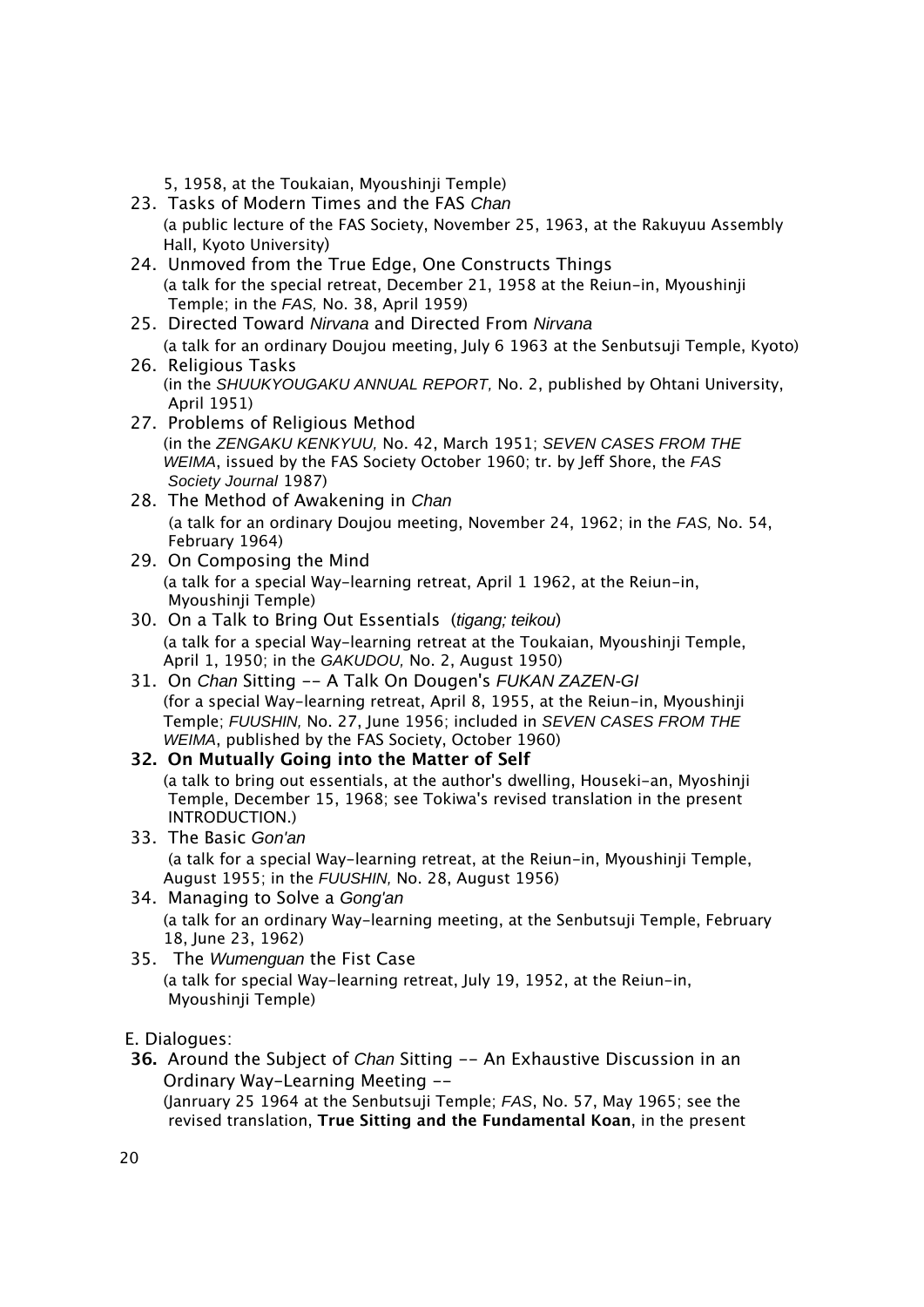- 5, 1958, at the Toukaian, Myoushinji Temple)
- 23. Tasks of Modern Times and the FAS Chan (a public lecture of the FAS Society, November 25, 1963, at the Rakuyuu Assembly Hall, Kyoto University)
- 24. Unmoved from the True Edge, One Constructs Things (a talk for the special retreat, December 21, 1958 at the Reiun-in, Myoushinji Temple; in the FAS, No. 38, April 1959)
- 25. Directed Toward Nirvana and Directed From Nirvana (a talk for an ordinary Doujou meeting, July 6 1963 at the Senbutsuji Temple, Kyoto)
- 26. Religious Tasks (in the SHUUKYOUGAKU ANNUAL REPORT, No. 2, published by Ohtani University, April 1951)
- 27. Problems of Religious Method (in the ZENGAKU KENKYUU, No. 42, March 1951; SEVEN CASES FROM THE WEIMA, issued by the FAS Society October 1960; tr. by Jeff Shore, the FAS Society Journal 1987)
- 28. The Method of Awakening in Chan (a talk for an ordinary Doujou meeting, November 24, 1962; in the FAS, No. 54, February 1964)
- 29. On Composing the Mind (a talk for a special Way-learning retreat, April 1 1962, at the Reiun-in, Myoushinji Temple)
- 30. On a Talk to Bring Out Essentials (tigang; teikou) (a talk for a special Way-learning retreat at the Toukaian, Myoushinji Temple, April 1, 1950; in the GAKUDOU, No. 2, August 1950)
- 31. On Chan Sitting -- A Talk On Dougen's FUKAN ZAZEN-GI (for a special Way-learning retreat, April 8, 1955, at the Reiun-in, Myoushinji Temple; FUUSHIN, No. 27, June 1956; included in SEVEN CASES FROM THE WEIMA, published by the FAS Society, October 1960)

## **32. On Mutually Going into the Matter of Self**  (a talk to bring out essentials, at the author's dwelling, Houseki-an, Myoshinji Temple, December 15, 1968; see Tokiwa's revised translation in the present INTRODUCTION.)

- 33. The Basic Gon'an (a talk for a special Way-learning retreat, at the Reiun-in, Myoushinji Temple, August 1955; in the FUUSHIN, No. 28, August 1956)
- 34. Managing to Solve a Gong'an (a talk for an ordinary Way-learning meeting, at the Senbutsuji Temple, February 18, June 23, 1962)
- 35. The Wumenguan the Fist Case (a talk for special Way-learning retreat, July 19, 1952, at the Reiun-in, Myoushinji Temple)

E. Dialogues:

 **36.** Around the Subject of Chan Sitting -- An Exhaustive Discussion in an Ordinary Way-Learning Meeting --

(Janruary 25 1964 at the Senbutsuji Temple; FAS, No. 57, May 1965; see the revised translation, **True Sitting and the Fundamental Koan**, in the present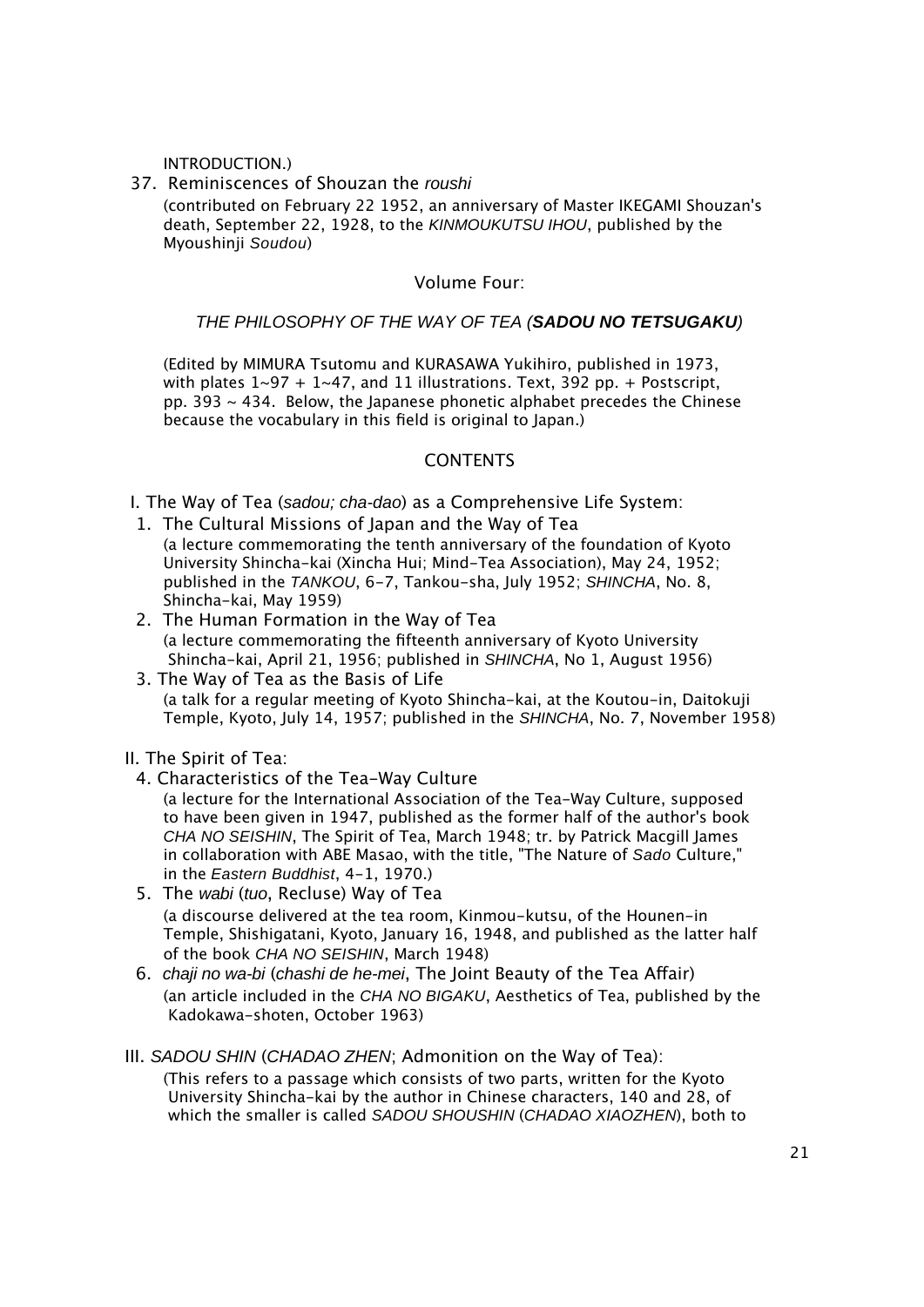INTRODUCTION.)

37. Reminiscences of Shouzan the roushi

(contributed on February 22 1952, an anniversary of Master IKEGAMI Shouzan's death, September 22, 1928, to the KINMOUKUTSU IHOU, published by the Myoushinji Soudou)

# Volume Four:

# THE PHILOSOPHY OF THE WAY OF TEA (**SADOU NO TETSUGAKU**)

 (Edited by MIMURA Tsutomu and KURASAWA Yukihiro, published in 1973, with plates  $1 \sim 97 + 1 \sim 47$ , and 11 illustrations. Text, 392 pp. + Postscript, pp. 393  $\sim$  434. Below, the Japanese phonetic alphabet precedes the Chinese because the vocabulary in this field is original to Japan.)

#### **CONTENTS**

I. The Way of Tea (sadou; cha-dao) as a Comprehensive Life System:

- 1. The Cultural Missions of Japan and the Way of Tea (a lecture commemorating the tenth anniversary of the foundation of Kyoto University Shincha-kai (Xincha Hui; Mind-Tea Association), May 24, 1952; published in the TANKOU, 6-7, Tankou-sha, July 1952; SHINCHA, No. 8, Shincha-kai, May 1959)
- 2. The Human Formation in the Way of Tea (a lecture commemorating the fifteenth anniversary of Kyoto University Shincha-kai, April 21, 1956; published in SHINCHA, No 1, August 1956)
- 3. The Way of Tea as the Basis of Life (a talk for a regular meeting of Kyoto Shincha-kai, at the Koutou-in, Daitokuji Temple, Kyoto, July 14, 1957; published in the SHINCHA, No. 7, November 1958)
- II. The Spirit of Tea:
	- 4. Characteristics of the Tea-Way Culture

(a lecture for the International Association of the Tea-Way Culture, supposed to have been given in 1947, published as the former half of the author's book CHA NO SEISHIN, The Spirit of Tea, March 1948; tr. by Patrick Macgill James in collaboration with ABE Masao, with the title, "The Nature of Sado Culture," in the Eastern Buddhist, 4-1, 1970.)

- 5. The wabi (tuo, Recluse) Way of Tea (a discourse delivered at the tea room, Kinmou-kutsu, of the Hounen-in Temple, Shishigatani, Kyoto, January 16, 1948, and published as the latter half of the book CHA NO SEISHIN, March 1948)
- 6. chaji no wa-bi (chashi de he-mei, The Joint Beauty of the Tea Affair) (an article included in the CHA NO BIGAKU, Aesthetics of Tea, published by the Kadokawa-shoten, October 1963)
- III. SADOU SHIN (CHADAO ZHEN; Admonition on the Way of Tea):

(This refers to a passage which consists of two parts, written for the Kyoto University Shincha-kai by the author in Chinese characters, 140 and 28, of which the smaller is called SADOU SHOUSHIN (CHADAO XIAOZHEN), both to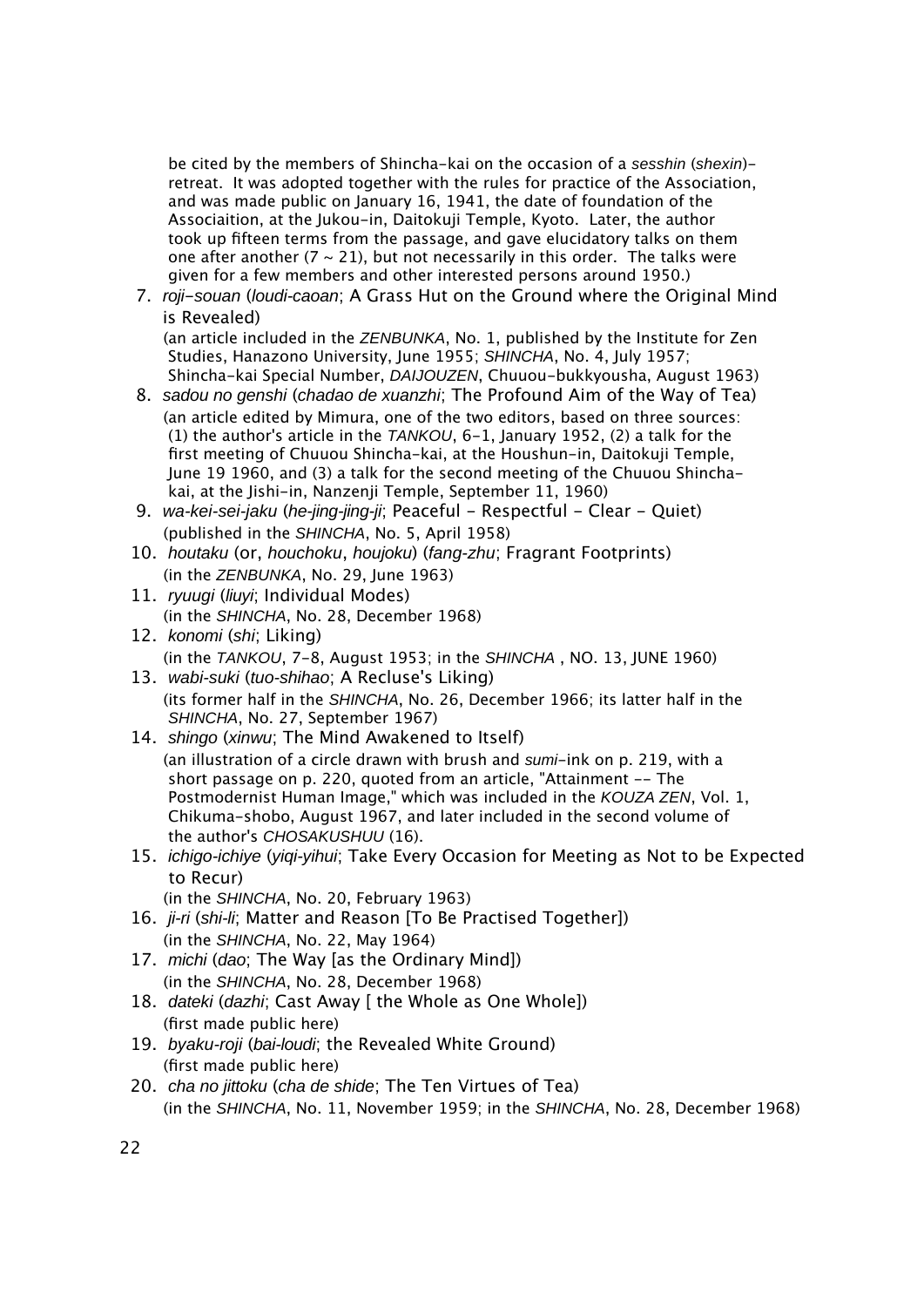be cited by the members of Shincha-kai on the occasion of a sesshin (shexin) retreat. It was adopted together with the rules for practice of the Association, and was made public on January 16, 1941, the date of foundation of the Associaition, at the Jukou-in, Daitokuji Temple, Kyoto. Later, the author took up fifteen terms from the passage, and gave elucidatory talks on them one after another  $(7 \sim 21)$ , but not necessarily in this order. The talks were given for a few members and other interested persons around 1950.)

 7. roji-souan (loudi-caoan; A Grass Hut on the Ground where the Original Mind is Revealed) (an article included in the ZENBUNKA, No. 1, published by the Institute for Zen

 Studies, Hanazono University, June 1955; SHINCHA, No. 4, July 1957; Shincha-kai Special Number, DAIJOUZEN, Chuuou-bukkyousha, August 1963)

- 8. sadou no genshi (chadao de xuanzhi; The Profound Aim of the Way of Tea) (an article edited by Mimura, one of the two editors, based on three sources: (1) the author's article in the TANKOU, 6-1, January 1952, (2) a talk for the first meeting of Chuuou Shincha-kai, at the Houshun-in, Daitokuji Temple, June 19 1960, and (3) a talk for the second meeting of the Chuuou Shincha kai, at the Jishi-in, Nanzenji Temple, September 11, 1960)
- 9. wa-kei-sei-jaku (he-jing-jing-ji; Peaceful Respectful Clear Quiet) (published in the SHINCHA, No. 5, April 1958)
- 10. houtaku (or, houchoku, houjoku) (fang-zhu; Fragrant Footprints) (in the ZENBUNKA, No. 29, June 1963)
- 11. ryuugi (liuyi; Individual Modes) (in the SHINCHA, No. 28, December 1968)
- 12. konomi (shi; Liking) (in the TANKOU, 7-8, August 1953; in the SHINCHA , NO. 13, JUNE 1960) 13. wabi-suki (tuo-shihao; A Recluse's Liking)
- (its former half in the SHINCHA, No. 26, December 1966; its latter half in the SHINCHA, No. 27, September 1967)
- 14. shingo (xinwu; The Mind Awakened to Itself) (an illustration of a circle drawn with brush and sumi-ink on p. 219, with a short passage on p. 220, quoted from an article, "Attainment -- The Postmodernist Human Image," which was included in the KOUZA ZEN, Vol. 1, Chikuma-shobo, August 1967, and later included in the second volume of the author's CHOSAKUSHUU (16).
- 15. ichigo-ichiye (yiqi-yihui; Take Every Occasion for Meeting as Not to be Expected to Recur)
	- (in the SHINCHA, No. 20, February 1963)
- 16. *ji-ri* (*shi-li*; Matter and Reason [To Be Practised Together]) (in the SHINCHA, No. 22, May 1964)
- 17. michi (dao; The Way [as the Ordinary Mind]) (in the SHINCHA, No. 28, December 1968)
- 18. dateki (dazhi; Cast Away [ the Whole as One Whole]) (first made public here)
- 19. byaku-roji (bai-loudi; the Revealed White Ground) (first made public here)
- 20. cha no jittoku (cha de shide; The Ten Virtues of Tea) (in the SHINCHA, No. 11, November 1959; in the SHINCHA, No. 28, December 1968)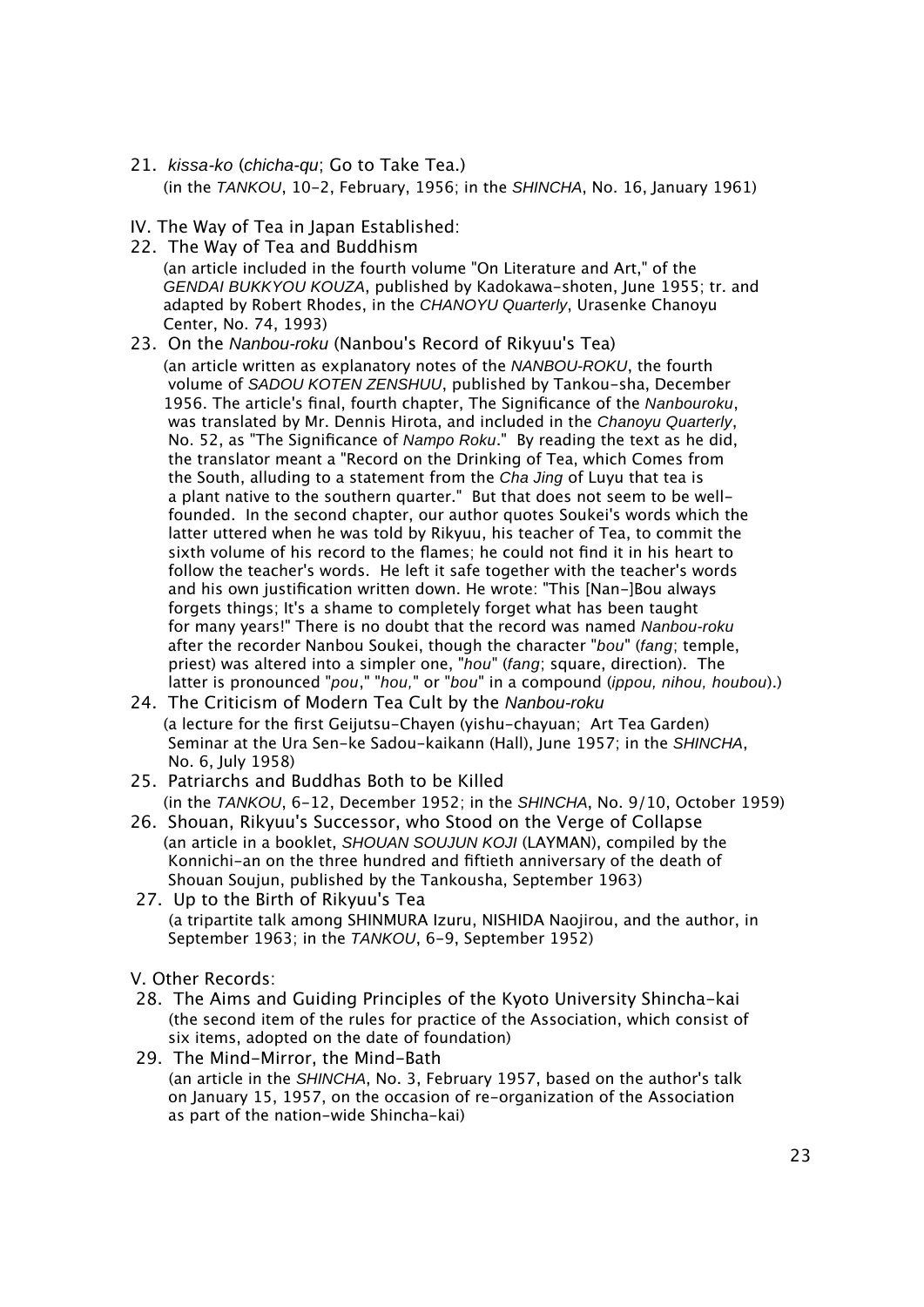- 21. kissa-ko (chicha-qu; Go to Take Tea.) (in the TANKOU, 10-2, February, 1956; in the SHINCHA, No. 16, January 1961)
- IV. The Way of Tea in Japan Established:
- 22. The Way of Tea and Buddhism (an article included in the fourth volume "On Literature and Art," of the GENDAI BUKKYOU KOUZA, published by Kadokawa-shoten, June 1955; tr. and adapted by Robert Rhodes, in the CHANOYU Quarterly, Urasenke Chanoyu Center, No. 74, 1993)
- 23. On the Nanbou-roku (Nanbou's Record of Rikyuu's Tea) (an article written as explanatory notes of the NANBOU-ROKU, the fourth volume of SADOU KOTEN ZENSHUU, published by Tankou-sha, December 1956. The article's final, fourth chapter, The Significance of the Nanbouroku, was translated by Mr. Dennis Hirota, and included in the Chanoyu Quarterly, No. 52, as "The Significance of Nampo Roku." By reading the text as he did, the translator meant a "Record on the Drinking of Tea, which Comes from the South, alluding to a statement from the Cha Jing of Luyu that tea is a plant native to the southern quarter." But that does not seem to be well founded. In the second chapter, our author quotes Soukei's words which the latter uttered when he was told by Rikyuu, his teacher of Tea, to commit the sixth volume of his record to the flames; he could not find it in his heart to follow the teacher's words. He left it safe together with the teacher's words and his own justification written down. He wrote: "This [Nan-]Bou always forgets things; It's a shame to completely forget what has been taught for many years!" There is no doubt that the record was named Nanbou-roku after the recorder Nanbou Soukei, though the character "bou" (fang; temple, priest) was altered into a simpler one, "hou" (fang; square, direction). The latter is pronounced "pou," "hou," or "bou" in a compound (ippou, nihou, houbou).)
- 24. The Criticism of Modern Tea Cult by the Nanbou-roku (a lecture for the first Geijutsu-Chayen (yishu-chayuan; Art Tea Garden) Seminar at the Ura Sen-ke Sadou-kaikann (Hall), June 1957; in the SHINCHA, No. 6, July 1958)
- 25. Patriarchs and Buddhas Both to be Killed (in the TANKOU, 6-12, December 1952; in the SHINCHA, No. 9/10, October 1959)
- 26. Shouan, Rikyuu's Successor, who Stood on the Verge of Collapse (an article in a booklet, SHOUAN SOUJUN KOJI (LAYMAN), compiled by the Konnichi-an on the three hundred and fiftieth anniversary of the death of Shouan Soujun, published by the Tankousha, September 1963)
- 27. Up to the Birth of Rikyuu's Tea (a tripartite talk among SHINMURA Izuru, NISHIDA Naojirou, and the author, in September 1963; in the TANKOU, 6-9, September 1952)
- V. Other Records:
- 28. The Aims and Guiding Principles of the Kyoto University Shincha-kai (the second item of the rules for practice of the Association, which consist of six items, adopted on the date of foundation)
- 29. The Mind-Mirror, the Mind-Bath (an article in the SHINCHA, No. 3, February 1957, based on the author's talk on January 15, 1957, on the occasion of re-organization of the Association as part of the nation-wide Shincha-kai)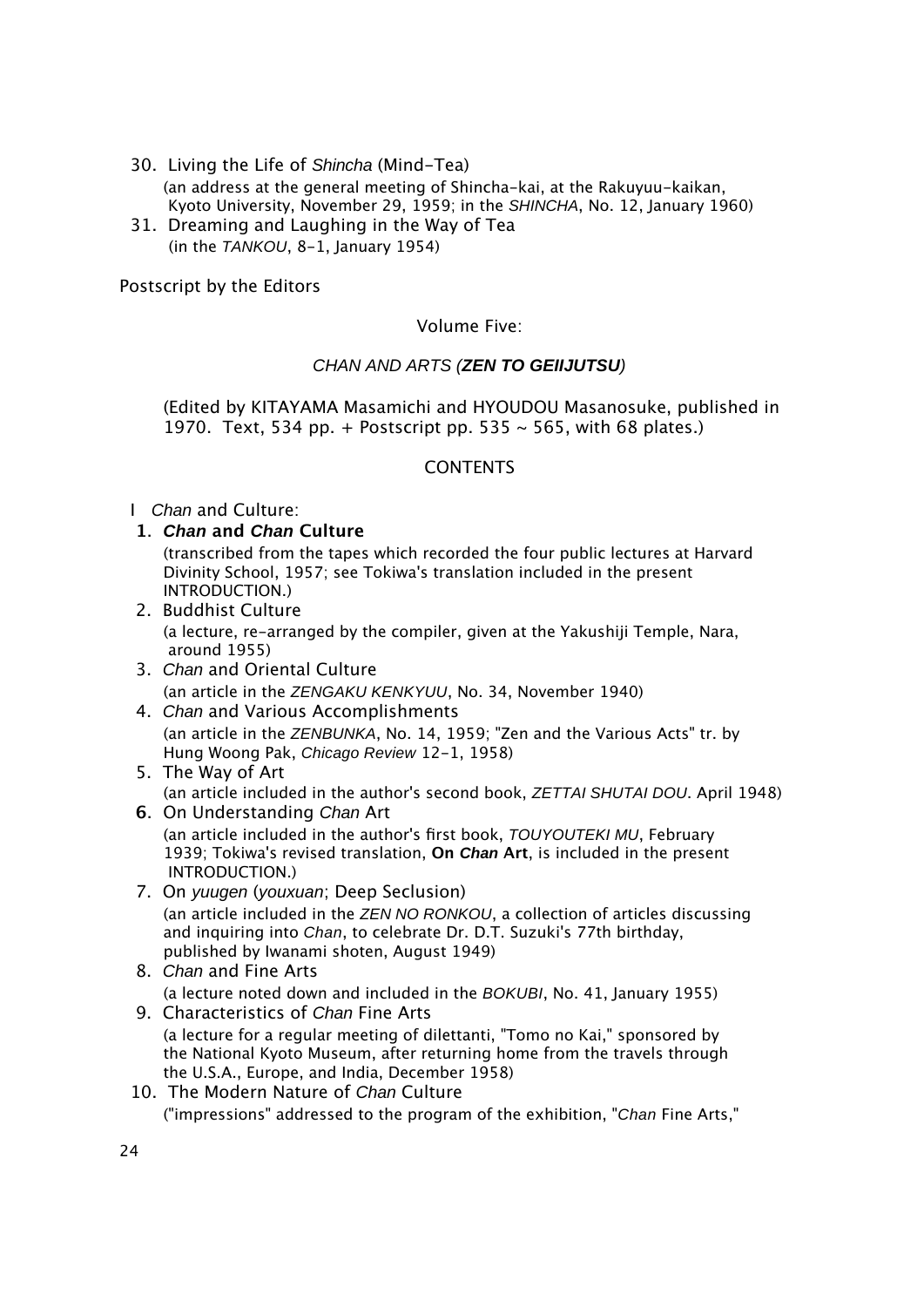- 30. Living the Life of Shincha (Mind-Tea) (an address at the general meeting of Shincha-kai, at the Rakuyuu-kaikan, Kyoto University, November 29, 1959; in the SHINCHA, No. 12, January 1960)
- 31. Dreaming and Laughing in the Way of Tea (in the TANKOU, 8-1, January 1954)

Postscript by the Editors

Volume Five:

# CHAN AND ARTS (**ZEN TO GEIIJUTSU**)

(Edited by KITAYAMA Masamichi and HYOUDOU Masanosuke, published in 1970. Text, 534 pp. + Postscript pp. 535 ~ 565, with 68 plates.)

# **CONTENTS**

## I Chan and Culture:

# **1**. **Chan and Chan Culture**

(transcribed from the tapes which recorded the four public lectures at Harvard Divinity School, 1957; see Tokiwa's translation included in the present INTRODUCTION.)

- 2. Buddhist Culture (a lecture, re-arranged by the compiler, given at the Yakushiji Temple, Nara, around 1955)
- 3. Chan and Oriental Culture (an article in the ZENGAKU KENKYUU, No. 34, November 1940)
- 4. Chan and Various Accomplishments (an article in the ZENBUNKA, No. 14, 1959; "Zen and the Various Acts" tr. by Hung Woong Pak, Chicago Review 12-1, 1958)
- 5. The Way of Art (an article included in the author's second book, ZETTAI SHUTAI DOU. April 1948)
- **6**. On Understanding Chan Art (an article included in the author's first book, TOUYOUTEKI MU, February 1939; Tokiwa's revised translation, **On Chan Art**, is included in the present INTRODUCTION.)
- 7. On yuugen (youxuan; Deep Seclusion) (an article included in the ZEN NO RONKOU, a collection of articles discussing and inquiring into Chan, to celebrate Dr. D.T. Suzuki's 77th birthday, published by Iwanami shoten, August 1949)
- 8. Chan and Fine Arts (a lecture noted down and included in the BOKUBI, No. 41, January 1955)
- 9. Characteristics of Chan Fine Arts (a lecture for a regular meeting of dilettanti, "Tomo no Kai," sponsored by the National Kyoto Museum, after returning home from the travels through the U.S.A., Europe, and India, December 1958)
- 10. The Modern Nature of Chan Culture ("impressions" addressed to the program of the exhibition, "Chan Fine Arts,"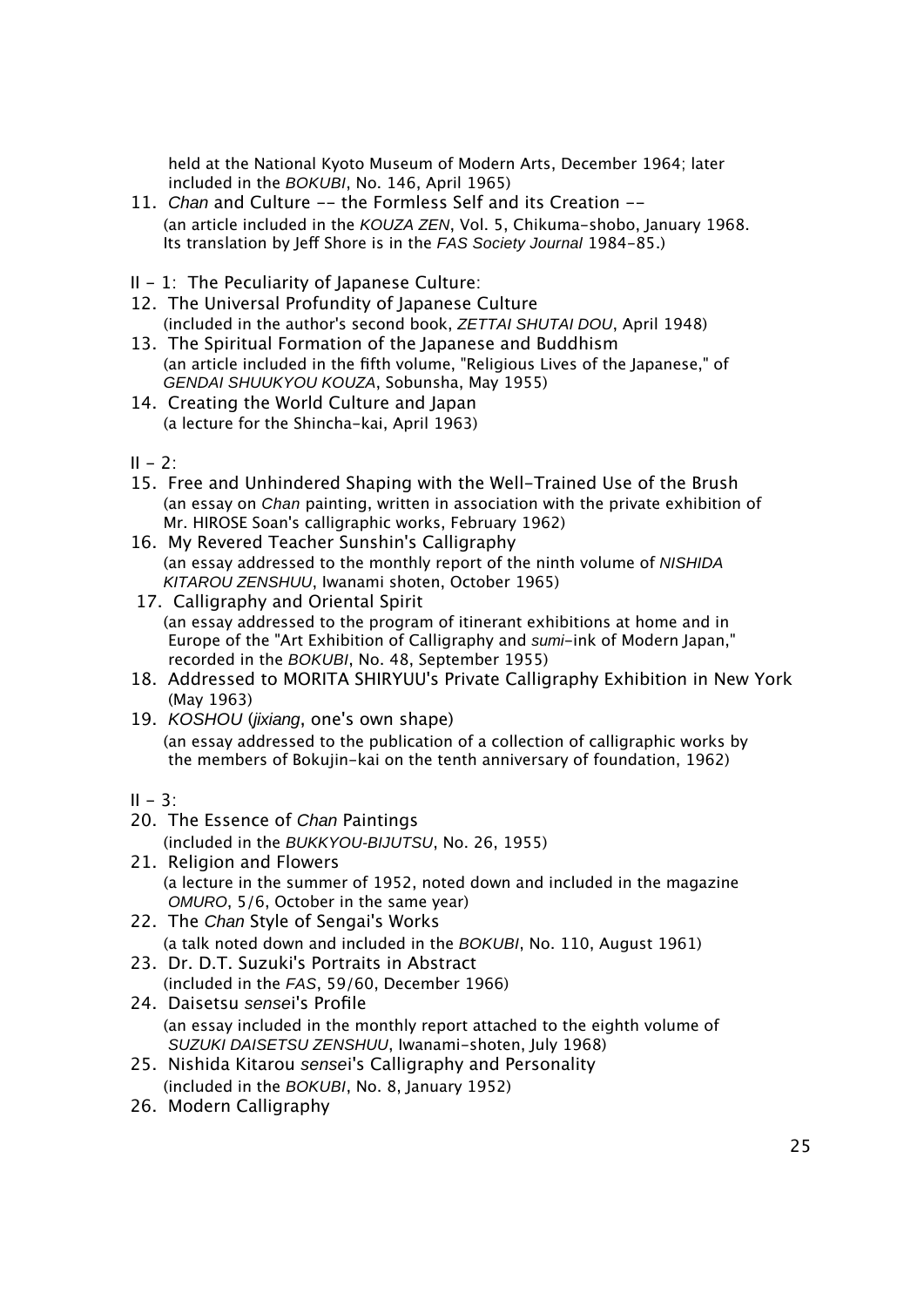held at the National Kyoto Museum of Modern Arts, December 1964; later included in the BOKUBI, No. 146, April 1965)

- 11. Chan and Culture -- the Formless Self and its Creation -- (an article included in the KOUZA ZEN, Vol. 5, Chikuma-shobo, January 1968. Its translation by Jeff Shore is in the FAS Society Journal 1984-85.)
- $II 1$ : The Peculiarity of Japanese Culture:
- 12. The Universal Profundity of Japanese Culture (included in the author's second book, ZETTAI SHUTAI DOU, April 1948)
- 13. The Spiritual Formation of the Japanese and Buddhism (an article included in the fifth volume, "Religious Lives of the Japanese," of GENDAI SHUUKYOU KOUZA, Sobunsha, May 1955)
- 14. Creating the World Culture and Japan (a lecture for the Shincha-kai, April 1963)
- $II 2$
- 15. Free and Unhindered Shaping with the Well-Trained Use of the Brush (an essay on Chan painting, written in association with the private exhibition of Mr. HIROSE Soan's calligraphic works, February 1962)
- 16. My Revered Teacher Sunshin's Calligraphy (an essay addressed to the monthly report of the ninth volume of NISHIDA KITAROU ZENSHUU, Iwanami shoten, October 1965)
- 17. Calligraphy and Oriental Spirit (an essay addressed to the program of itinerant exhibitions at home and in Europe of the "Art Exhibition of Calligraphy and sumi-ink of Modern Japan," recorded in the BOKUBI, No. 48, September 1955)
- 18. Addressed to MORITA SHIRYUU's Private Calligraphy Exhibition in New York (May 1963)
- 19. KOSHOU (jixiang, one's own shape) (an essay addressed to the publication of a collection of calligraphic works by the members of Bokujin-kai on the tenth anniversary of foundation, 1962)
- $II 3:$
- 20. The Essence of Chan Paintings (included in the BUKKYOU-BIJUTSU, No. 26, 1955)
- 21. Religion and Flowers (a lecture in the summer of 1952, noted down and included in the magazine OMURO, 5/6, October in the same year)
- 22. The Chan Style of Sengai's Works (a talk noted down and included in the BOKUBI, No. 110, August 1961)
- 23. Dr. D.T. Suzuki's Portraits in Abstract (included in the FAS, 59/60, December 1966)
- 24. Daisetsu sensei's Profile (an essay included in the monthly report attached to the eighth volume of SUZUKI DAISETSU ZENSHUU, Iwanami-shoten, July 1968)
- 25. Nishida Kitarou sensei's Calligraphy and Personality (included in the BOKUBI, No. 8, January 1952)
- 26. Modern Calligraphy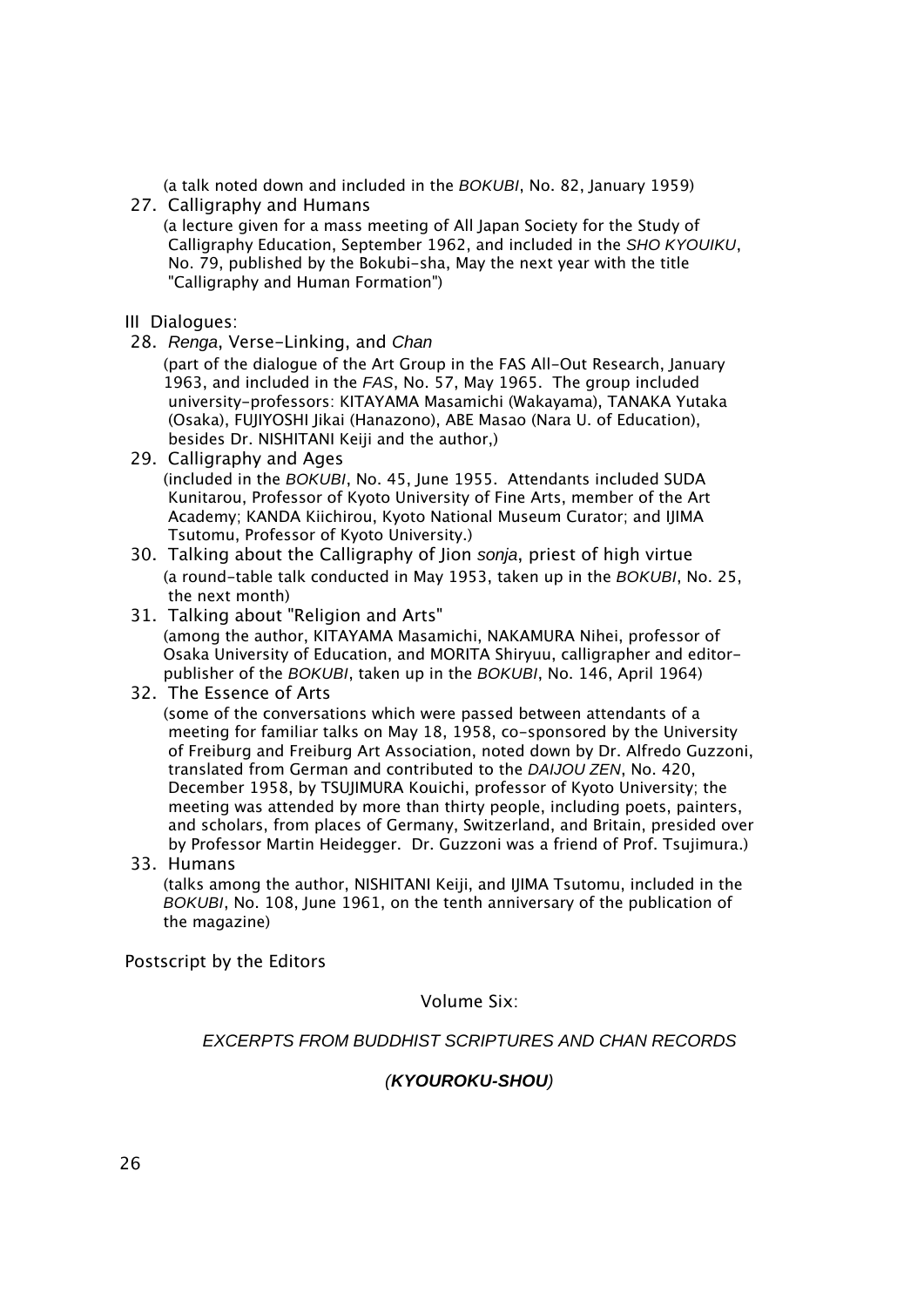(a talk noted down and included in the BOKUBI, No. 82, January 1959)

27. Calligraphy and Humans

(a lecture given for a mass meeting of All Japan Society for the Study of Calligraphy Education, September 1962, and included in the SHO KYOUIKU, No. 79, published by the Bokubi-sha, May the next year with the title "Calligraphy and Human Formation")

#### III Dialogues:

28. Renga, Verse-Linking, and Chan

(part of the dialogue of the Art Group in the FAS All-Out Research, January 1963, and included in the FAS, No. 57, May 1965. The group included university-professors: KITAYAMA Masamichi (Wakayama), TANAKA Yutaka (Osaka), FUJIYOSHI Jikai (Hanazono), ABE Masao (Nara U. of Education), besides Dr. NISHITANI Keiji and the author,)

- 29. Calligraphy and Ages (included in the BOKUBI, No. 45, June 1955. Attendants included SUDA Kunitarou, Professor of Kyoto University of Fine Arts, member of the Art Academy; KANDA Kiichirou, Kyoto National Museum Curator; and IJIMA Tsutomu, Professor of Kyoto University.)
- 30. Talking about the Calligraphy of Jion sonja, priest of high virtue (a round-table talk conducted in May 1953, taken up in the BOKUBI, No. 25, the next month)
- 31. Talking about "Religion and Arts" (among the author, KITAYAMA Masamichi, NAKAMURA Nihei, professor of Osaka University of Education, and MORITA Shiryuu, calligrapher and editorpublisher of the BOKUBI, taken up in the BOKUBI, No. 146, April 1964)
- 32. The Essence of Arts

(some of the conversations which were passed between attendants of a meeting for familiar talks on May 18, 1958, co-sponsored by the University of Freiburg and Freiburg Art Association, noted down by Dr. Alfredo Guzzoni, translated from German and contributed to the DAIJOU ZEN, No. 420, December 1958, by TSUJIMURA Kouichi, professor of Kyoto University; the meeting was attended by more than thirty people, including poets, painters, and scholars, from places of Germany, Switzerland, and Britain, presided over by Professor Martin Heidegger. Dr. Guzzoni was a friend of Prof. Tsujimura.)

33. Humans

(talks among the author, NISHITANI Keiji, and IJIMA Tsutomu, included in the BOKUBI, No. 108, June 1961, on the tenth anniversary of the publication of the magazine)

Postscript by the Editors

Volume Six:

EXCERPTS FROM BUDDHIST SCRIPTURES AND CHAN RECORDS

## (**KYOUROKU-SHOU**)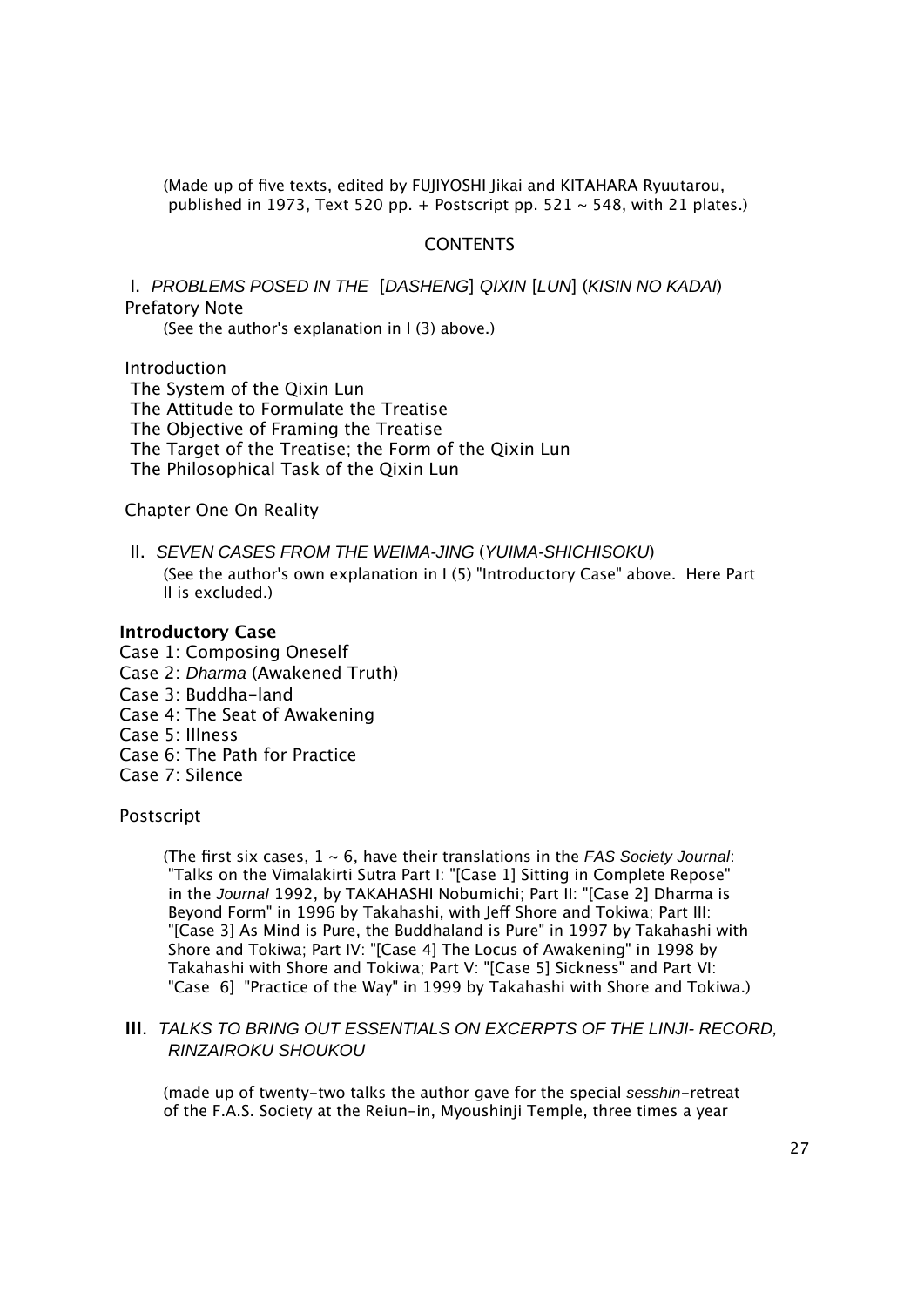(Made up of five texts, edited by FUJIYOSHI Jikai and KITAHARA Ryuutarou, published in 1973, Text 520 pp. + Postscript pp. 521  $\sim$  548, with 21 plates.)

#### **CONTENTS**

 I. PROBLEMS POSED IN THE [DASHENG] QIXIN [LUN] (KISIN NO KADAI) Prefatory Note

(See the author's explanation in I (3) above.)

 Introduction The System of the Qixin Lun The Attitude to Formulate the Treatise The Objective of Framing the Treatise The Target of the Treatise; the Form of the Qixin Lun The Philosophical Task of the Qixin Lun

Chapter One On Reality

 II. SEVEN CASES FROM THE WEIMA-JING (YUIMA-SHICHISOKU) (See the author's own explanation in I (5) "Introductory Case" above. Here Part II is excluded.)

#### **Introductory Case**

Case 1: Composing Oneself Case 2: Dharma (Awakened Truth) Case 3: Buddha-land Case 4: The Seat of Awakening Case 5: Illness Case 6: The Path for Practice Case 7: Silence

#### Postscript

(The first six cases,  $1 \sim 6$ , have their translations in the FAS Society Journal: "Talks on the Vimalakirti Sutra Part I: "[Case 1] Sitting in Complete Repose" in the Journal 1992, by TAKAHASHI Nobumichi; Part II: "[Case 2] Dharma is Beyond Form" in 1996 by Takahashi, with Jeff Shore and Tokiwa; Part III: "[Case 3] As Mind is Pure, the Buddhaland is Pure" in 1997 by Takahashi with Shore and Tokiwa; Part IV: "[Case 4] The Locus of Awakening" in 1998 by Takahashi with Shore and Tokiwa; Part V: "[Case 5] Sickness" and Part VI: "Case 6] "Practice of the Way" in 1999 by Takahashi with Shore and Tokiwa.)

## **III**. TALKS TO BRING OUT ESSENTIALS ON EXCERPTS OF THE LINJI- RECORD, RINZAIROKU SHOUKOU

(made up of twenty-two talks the author gave for the special sesshin-retreat of the F.A.S. Society at the Reiun-in, Myoushinji Temple, three times a year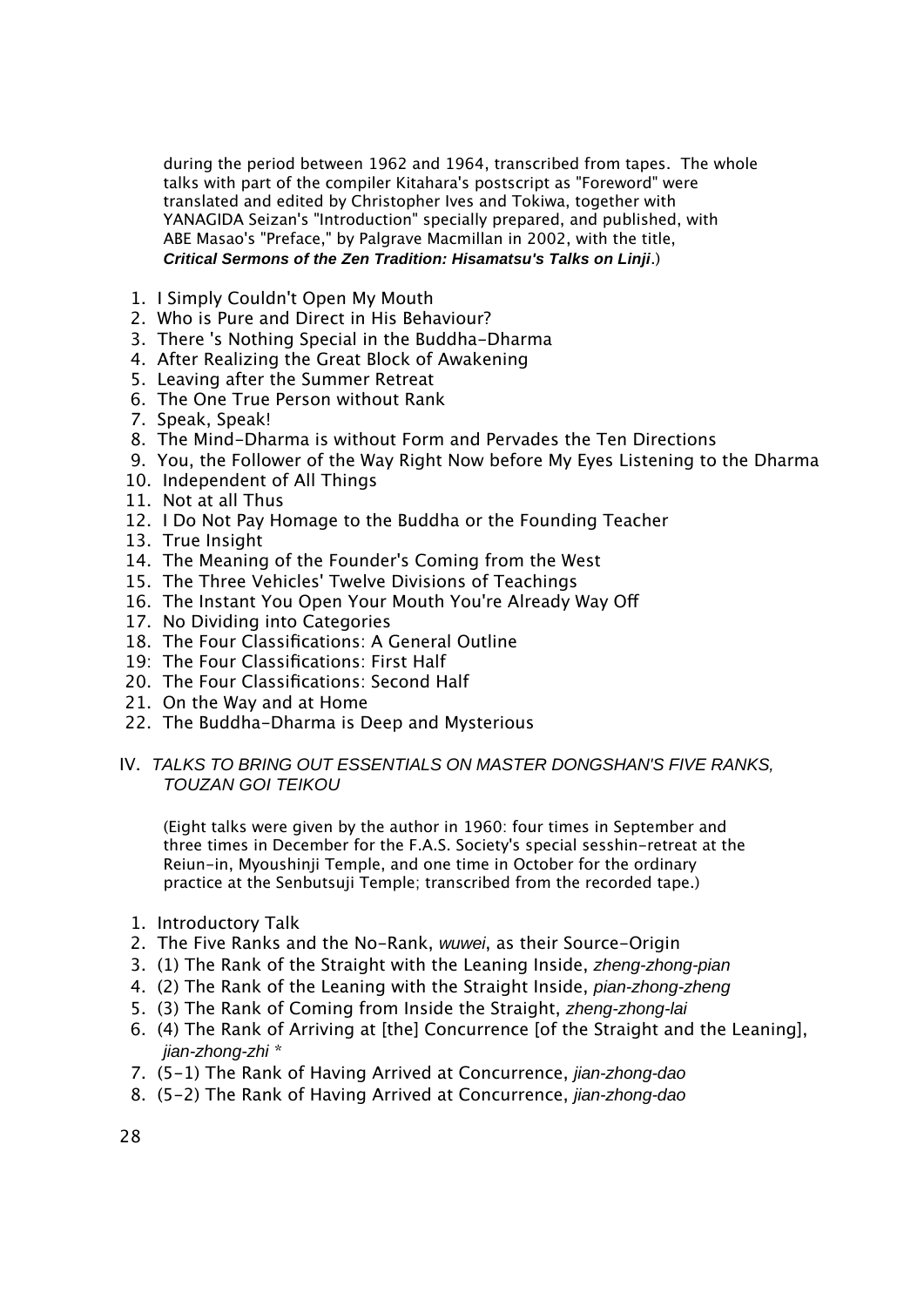during the period between 1962 and 1964, transcribed from tapes. The whole talks with part of the compiler Kitahara's postscript as "Foreword" were translated and edited by Christopher Ives and Tokiwa, together with YANAGIDA Seizan's "Introduction" specially prepared, and published, with ABE Masao's "Preface," by Palgrave Macmillan in 2002, with the title, **Critical Sermons of the Zen Tradition: Hisamatsu's Talks on Linji**.)

- 1. I Simply Couldn't Open My Mouth
- 2. Who is Pure and Direct in His Behaviour?
- 3. There 's Nothing Special in the Buddha-Dharma
- 4. After Realizing the Great Block of Awakening
- 5. Leaving after the Summer Retreat
- 6. The One True Person without Rank
- 7. Speak, Speak!
- 8. The Mind-Dharma is without Form and Pervades the Ten Directions
- 9. You, the Follower of the Way Right Now before My Eyes Listening to the Dharma
- 10. Independent of All Things
- 11. Not at all Thus
- 12. I Do Not Pay Homage to the Buddha or the Founding Teacher
- 13. True Insight
- 14. The Meaning of the Founder's Coming from the West
- 15. The Three Vehicles' Twelve Divisions of Teachings
- 16. The Instant You Open Your Mouth You're Already Way Off
- 17. No Dividing into Categories
- 18. The Four Classifications: A General Outline
- 19: The Four Classifications: First Half
- 20. The Four Classifications: Second Half
- 21. On the Way and at Home
- 22. The Buddha-Dharma is Deep and Mysterious
- IV. TALKS TO BRING OUT ESSENTIALS ON MASTER DONGSHAN'S FIVE RANKS, TOUZAN GOI TEIKOU

(Eight talks were given by the author in 1960: four times in September and three times in December for the F.A.S. Society's special sesshin-retreat at the Reiun-in, Myoushinji Temple, and one time in October for the ordinary practice at the Senbutsuji Temple; transcribed from the recorded tape.)

- 1. Introductory Talk
- 2. The Five Ranks and the No-Rank, wuwei, as their Source-Origin
- 3. (1) The Rank of the Straight with the Leaning Inside, zheng-zhong-pian
- 4. (2) The Rank of the Leaning with the Straight Inside, pian-zhong-zheng
- 5. (3) The Rank of Coming from Inside the Straight, zheng-zhong-lai
- 6. (4) The Rank of Arriving at [the] Concurrence [of the Straight and the Leaning], jian-zhong-zhi \*
- 7. (5-1) The Rank of Having Arrived at Concurrence, *jian-zhong-dao*
- 8. (5-2) The Rank of Having Arrived at Concurrence, *jian-zhong-dao*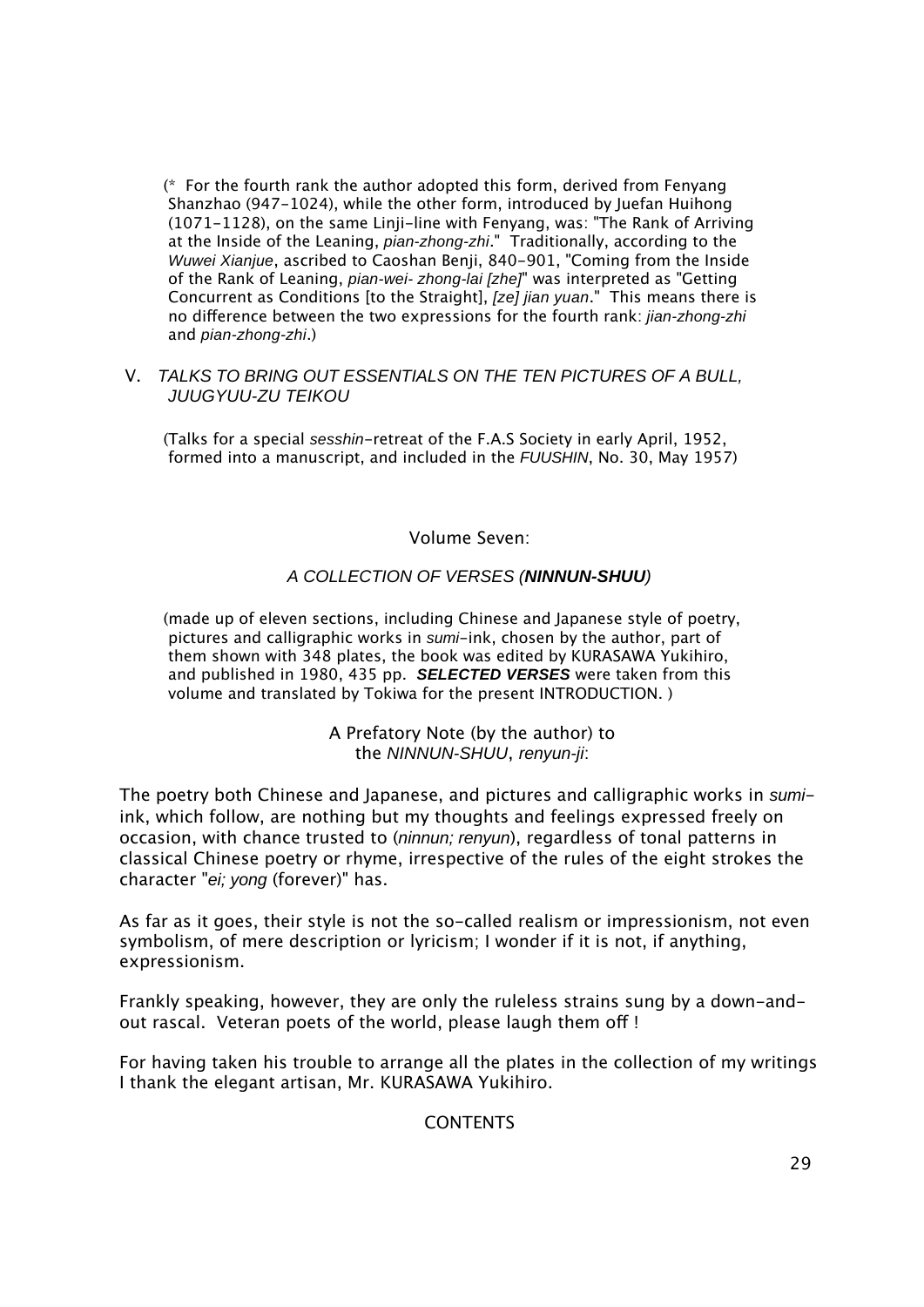(\* For the fourth rank the author adopted this form, derived from Fenyang Shanzhao (947-1024), while the other form, introduced by Juefan Huihong (1071-1128), on the same Linji-line with Fenyang, was: "The Rank of Arriving at the Inside of the Leaning, pian-zhong-zhi." Traditionally, according to the Wuwei Xianjue, ascribed to Caoshan Benji, 840-901, "Coming from the Inside of the Rank of Leaning, pian-wei- zhong-lai [zhe]" was interpreted as "Getting Concurrent as Conditions [to the Straight], [ze] jian yuan." This means there is no difference between the two expressions for the fourth rank: jian-zhong-zhi and pian-zhong-zhi.)

#### V. TALKS TO BRING OUT ESSENTIALS ON THE TEN PICTURES OF A BULL, JUUGYUU-ZU TEIKOU

(Talks for a special sesshin-retreat of the F.A.S Society in early April, 1952, formed into a manuscript, and included in the FUUSHIN, No. 30, May 1957)

Volume Seven:

#### A COLLECTION OF VERSES (**NINNUN-SHUU**)

(made up of eleven sections, including Chinese and Japanese style of poetry, pictures and calligraphic works in sumi-ink, chosen by the author, part of them shown with 348 plates, the book was edited by KURASAWA Yukihiro, and published in 1980, 435 pp. **SELECTED VERSES** were taken from this volume and translated by Tokiwa for the present INTRODUCTION. )

> A Prefatory Note (by the author) to the NINNUN-SHUU, renyun-ji:

The poetry both Chinese and Japanese, and pictures and calligraphic works in sumiink, which follow, are nothing but my thoughts and feelings expressed freely on occasion, with chance trusted to (ninnun; renyun), regardless of tonal patterns in classical Chinese poetry or rhyme, irrespective of the rules of the eight strokes the character "ei; yong (forever)" has.

As far as it goes, their style is not the so-called realism or impressionism, not even symbolism, of mere description or lyricism; I wonder if it is not, if anything, expressionism.

Frankly speaking, however, they are only the ruleless strains sung by a down-andout rascal. Veteran poets of the world, please laugh them off !

For having taken his trouble to arrange all the plates in the collection of my writings I thank the elegant artisan, Mr. KURASAWA Yukihiro.

#### **CONTENTS**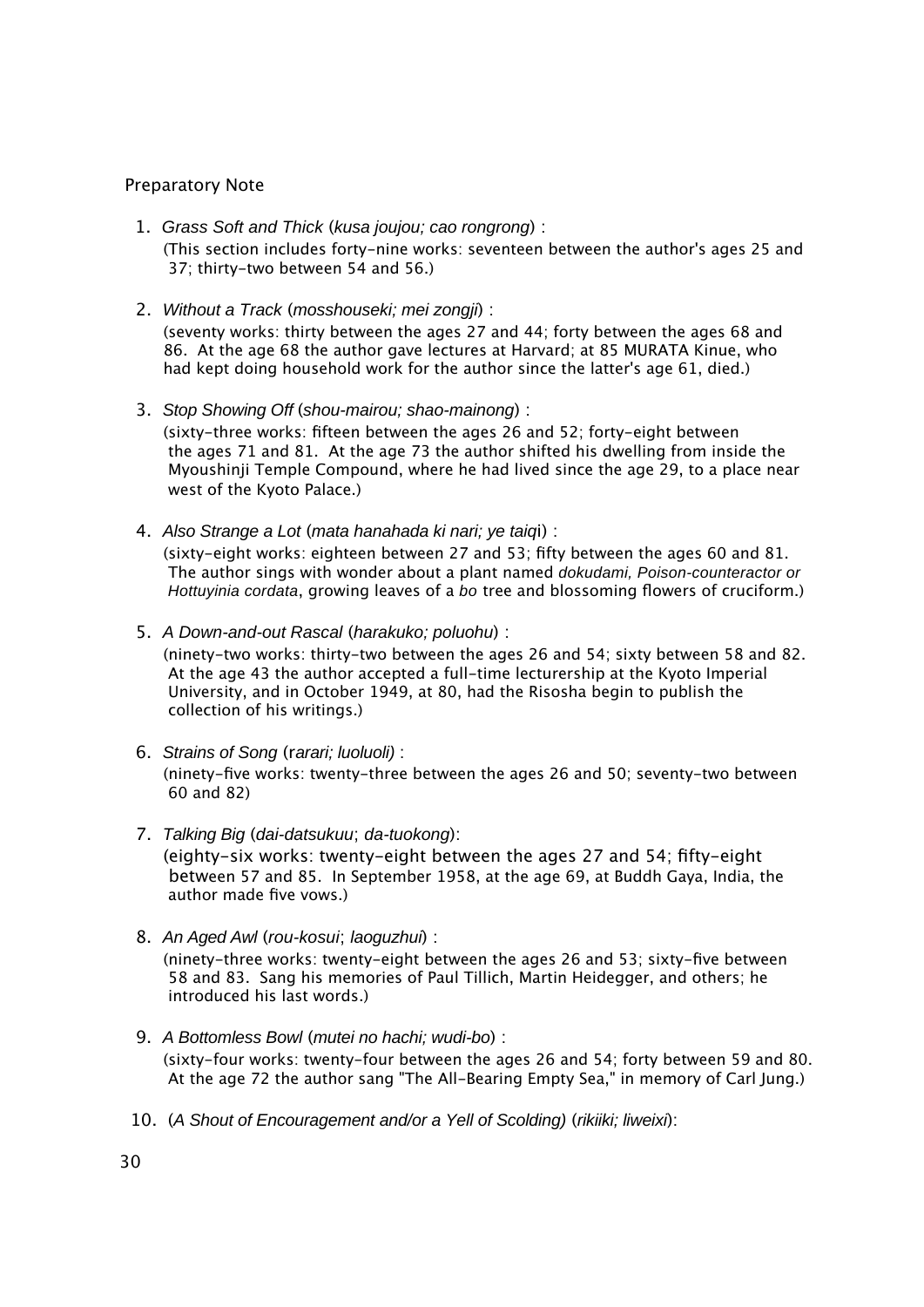## Preparatory Note

- 1. Grass Soft and Thick (kusa joujou; cao rongrong) : (This section includes forty-nine works: seventeen between the author's ages 25 and 37; thirty-two between 54 and 56.)
- 2. Without a Track (mosshouseki; mei zongji) :

(seventy works: thirty between the ages 27 and 44; forty between the ages 68 and 86. At the age 68 the author gave lectures at Harvard; at 85 MURATA Kinue, who had kept doing household work for the author since the latter's age 61, died.)

- 3. Stop Showing Off (shou-mairou; shao-mainong) : (sixty-three works: fifteen between the ages 26 and 52; forty-eight between the ages 71 and 81. At the age 73 the author shifted his dwelling from inside the Myoushinji Temple Compound, where he had lived since the age 29, to a place near west of the Kyoto Palace.)
- 4. Also Strange a Lot (mata hanahada ki nari; ye taiqi) : (sixty-eight works: eighteen between 27 and 53; fifty between the ages 60 and 81. The author sings with wonder about a plant named dokudami, Poison-counteractor or Hottuyinia cordata, growing leaves of a bo tree and blossoming flowers of cruciform.)
- 5. A Down-and-out Rascal (harakuko; poluohu) : (ninety-two works: thirty-two between the ages 26 and 54; sixty between 58 and 82.

 At the age 43 the author accepted a full-time lecturership at the Kyoto Imperial University, and in October 1949, at 80, had the Risosha begin to publish the collection of his writings.)

- 6. Strains of Song (rarari; luoluoli) : (ninety-five works: twenty-three between the ages 26 and 50; seventy-two between 60 and 82)
- 7. Talking Big (dai-datsukuu; da-tuokong): (eighty-six works: twenty-eight between the ages 27 and 54; fifty-eight between 57 and 85. In September 1958, at the age 69, at Buddh Gaya, India, the author made five vows.)
- 8. An Aged Awl (rou-kosui; laoguzhui) : (ninety-three works: twenty-eight between the ages 26 and 53; sixty-five between 58 and 83. Sang his memories of Paul Tillich, Martin Heidegger, and others; he introduced his last words.)
- 9. A Bottomless Bowl (mutei no hachi; wudi-bo) : (sixty-four works: twenty-four between the ages 26 and 54; forty between 59 and 80. At the age 72 the author sang "The All-Bearing Empty Sea," in memory of Carl Jung.)
- 10. (A Shout of Encouragement and/or a Yell of Scolding) (rikiiki; liweixi):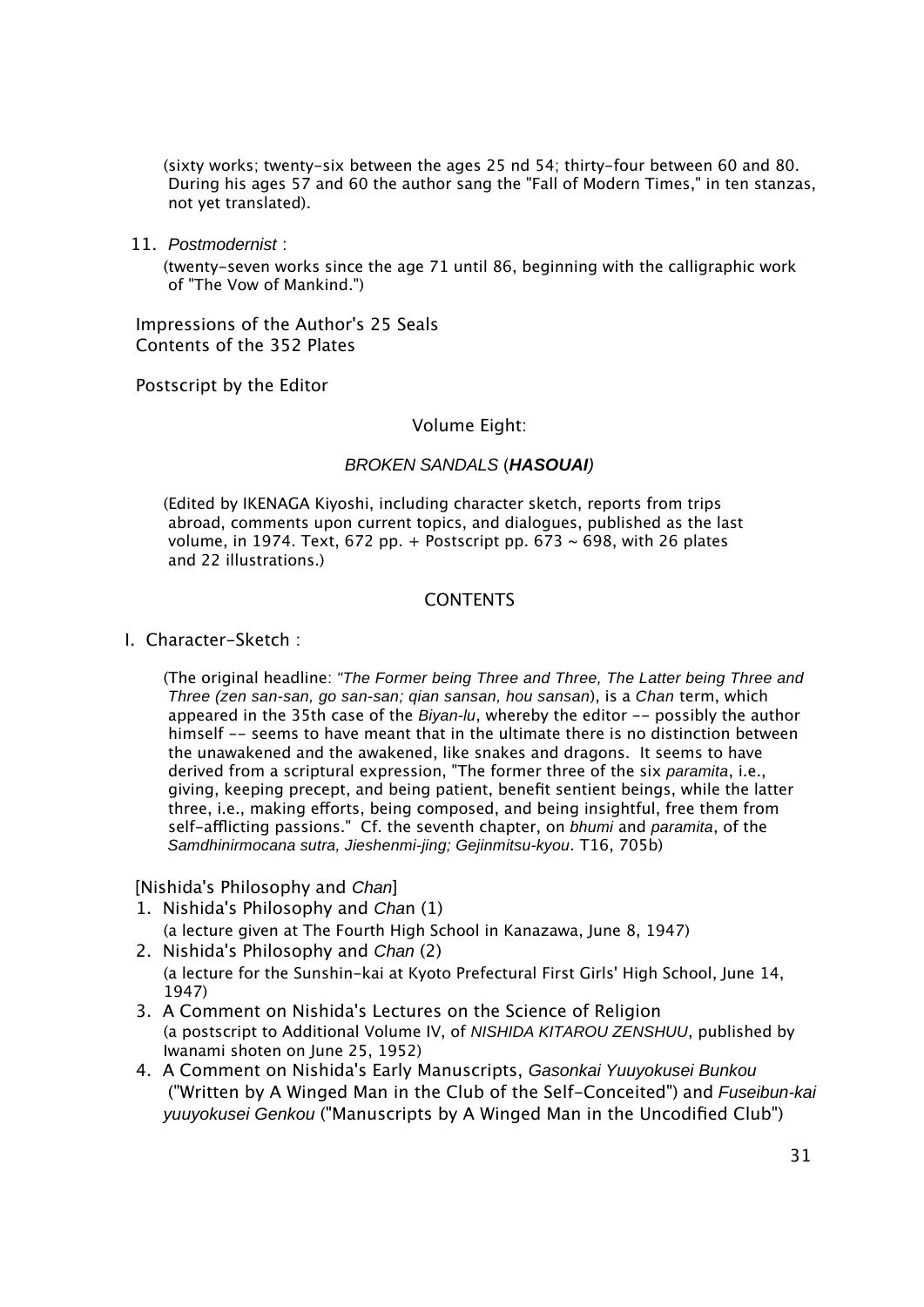(sixty works; twenty-six between the ages 25 nd 54; thirty-four between 60 and 80. During his ages 57 and 60 the author sang the "Fall of Modern Times," in ten stanzas, not yet translated).

11. Postmodernist :

(twenty-seven works since the age 71 until 86, beginning with the calligraphic work of "The Vow of Mankind.")

 Impressions of the Author's 25 Seals Contents of the 352 Plates

Postscript by the Editor

#### Volume Eight:

#### BROKEN SANDALS (**HASOUAI**)

(Edited by IKENAGA Kiyoshi, including character sketch, reports from trips abroad, comments upon current topics, and dialogues, published as the last volume, in 1974. Text, 672 pp.  $+$  Postscript pp. 673  $\sim$  698, with 26 plates and 22 illustrations.)

#### **CONTENTS**

#### I. Character-Sketch :

(The original headline: "The Former being Three and Three, The Latter being Three and Three (zen san-san, go san-san; qian sansan, hou sansan), is a Chan term, which appeared in the 35th case of the Biyan-lu, whereby the editor -- possibly the author himself -- seems to have meant that in the ultimate there is no distinction between the unawakened and the awakened, like snakes and dragons. It seems to have derived from a scriptural expression, "The former three of the six paramita, i.e., giving, keeping precept, and being patient, benefit sentient beings, while the latter three, i.e., making efforts, being composed, and being insightful, free them from self-afflicting passions." Cf. the seventh chapter, on *bhumi* and *paramita*, of the Samdhinirmocana sutra, Jieshenmi-jing; Gejinmitsu-kyou. T16, 705b)

[Nishida's Philosophy and Chan]

1. Nishida's Philosophy and Chan (1)

(a lecture given at The Fourth High School in Kanazawa, June 8, 1947) 2. Nishida's Philosophy and Chan (2)

- (a lecture for the Sunshin-kai at Kyoto Prefectural First Girls' High School, June 14, 1947)
- 3. A Comment on Nishida's Lectures on the Science of Religion (a postscript to Additional Volume IV, of NISHIDA KITAROU ZENSHUU, published by Iwanami shoten on June 25, 1952)
- 4. A Comment on Nishida's Early Manuscripts, Gasonkai Yuuyokusei Bunkou ("Written by A Winged Man in the Club of the Self-Conceited") and Fuseibun-kai yuuyokusei Genkou ("Manuscripts by A Winged Man in the Uncodified Club")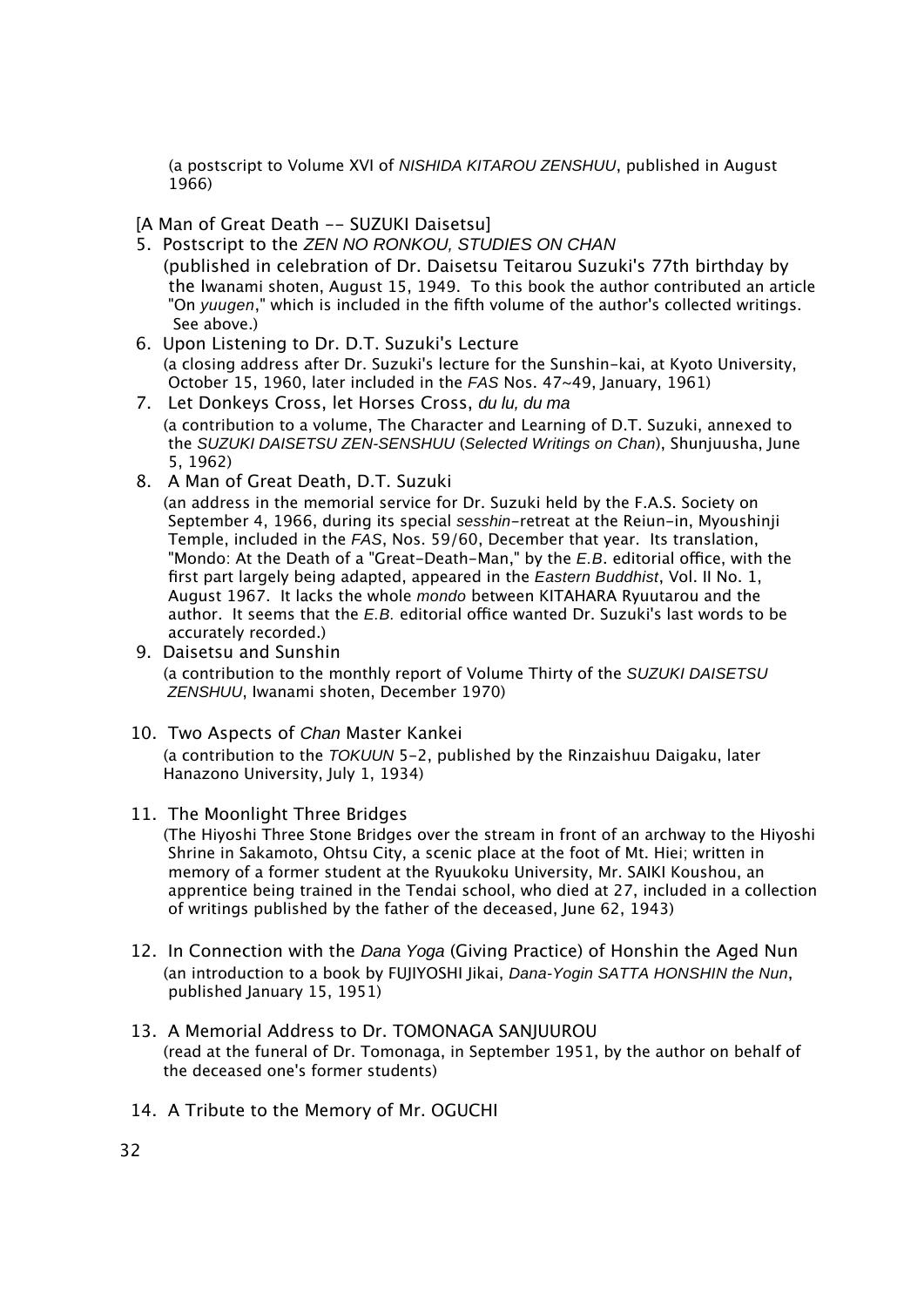(a postscript to Volume XVI of NISHIDA KITAROU ZENSHUU, published in August 1966)

[A Man of Great Death -- SUZUKI Daisetsu]

- 5. Postscript to the ZEN NO RONKOU, STUDIES ON CHAN (published in celebration of Dr. Daisetsu Teitarou Suzuki's 77th birthday by the Iwanami shoten, August 15, 1949. To this book the author contributed an article "On yuugen," which is included in the fifth volume of the author's collected writings. See above.)
- 6. Upon Listening to Dr. D.T. Suzuki's Lecture (a closing address after Dr. Suzuki's lecture for the Sunshin-kai, at Kyoto University, October 15, 1960, later included in the FAS Nos. 47~49, January, 1961)
- 7. Let Donkeys Cross, let Horses Cross, du lu, du ma (a contribution to a volume, The Character and Learning of D.T. Suzuki, annexed to the SUZUKI DAISETSU ZEN-SENSHUU (Selected Writings on Chan), Shunjuusha, June 5, 1962)
- 8. A Man of Great Death, D.T. Suzuki (an address in the memorial service for Dr. Suzuki held by the F.A.S. Society on September 4, 1966, during its special sesshin-retreat at the Reiun-in, Myoushinji Temple, included in the FAS, Nos. 59/60, December that year. Its translation, "Mondo: At the Death of a "Great-Death-Man," by the E.B. editorial office, with the first part largely being adapted, appeared in the Eastern Buddhist, Vol. II No. 1, August 1967. It lacks the whole mondo between KITAHARA Ryuutarou and the author. It seems that the E.B. editorial office wanted Dr. Suzuki's last words to be accurately recorded.)
- 9. Daisetsu and Sunshin (a contribution to the monthly report of Volume Thirty of the SUZUKI DAISETSU ZENSHUU, Iwanami shoten, December 1970)
- 10. Two Aspects of Chan Master Kankei (a contribution to the TOKUUN 5-2, published by the Rinzaishuu Daigaku, later Hanazono University, July 1, 1934)
- 11. The Moonlight Three Bridges

(The Hiyoshi Three Stone Bridges over the stream in front of an archway to the Hiyoshi Shrine in Sakamoto, Ohtsu City, a scenic place at the foot of Mt. Hiei; written in memory of a former student at the Ryuukoku University, Mr. SAIKI Koushou, an apprentice being trained in the Tendai school, who died at 27, included in a collection of writings published by the father of the deceased, June 62, 1943)

- 12. In Connection with the Dana Yoga (Giving Practice) of Honshin the Aged Nun (an introduction to a book by FUJIYOSHI Jikai, Dana-Yogin SATTA HONSHIN the Nun, published January 15, 1951)
- 13. A Memorial Address to Dr. TOMONAGA SANJUUROU (read at the funeral of Dr. Tomonaga, in September 1951, by the author on behalf of the deceased one's former students)
- 14. A Tribute to the Memory of Mr. OGUCHI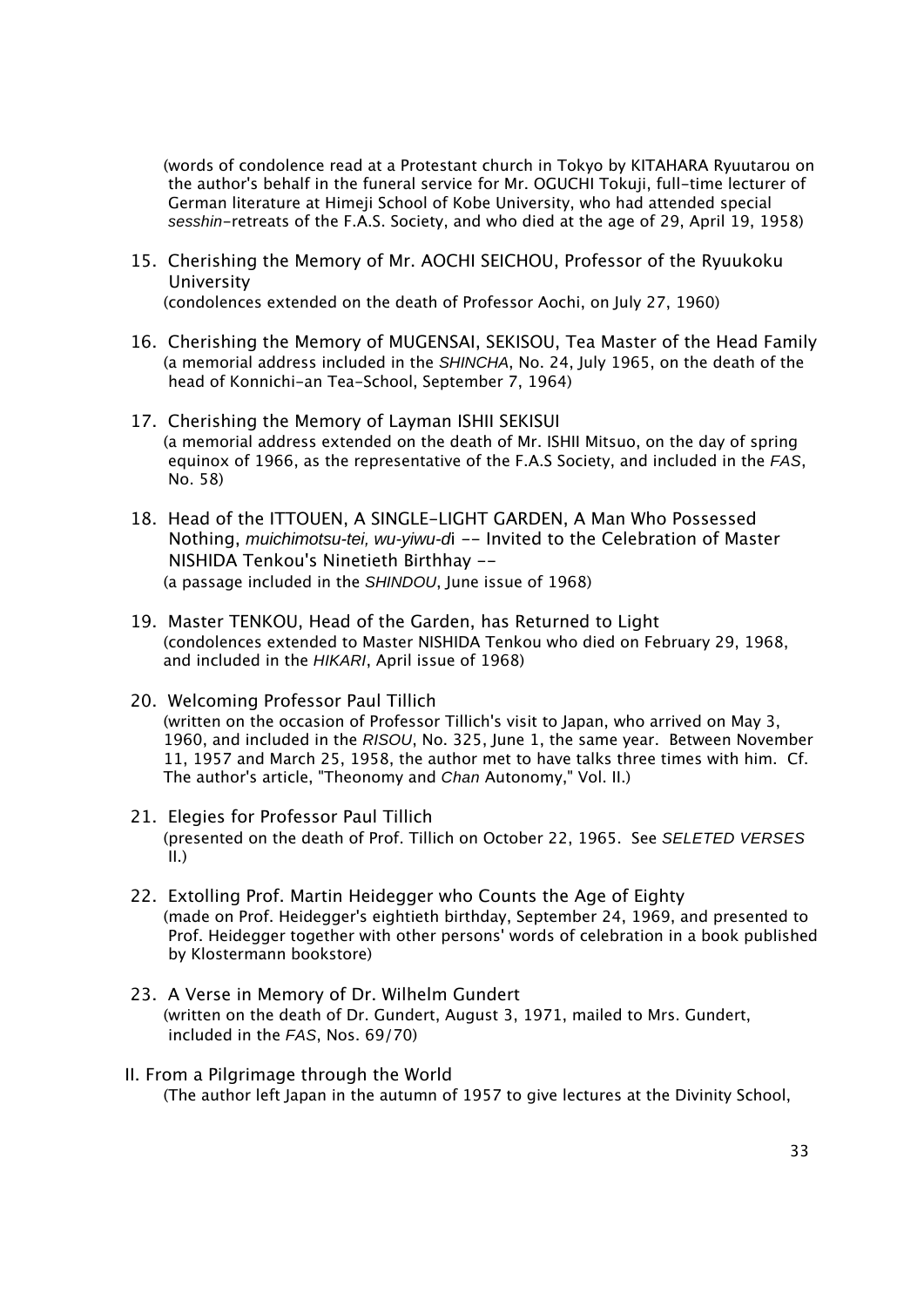(words of condolence read at a Protestant church in Tokyo by KITAHARA Ryuutarou on the author's behalf in the funeral service for Mr. OGUCHI Tokuji, full-time lecturer of German literature at Himeji School of Kobe University, who had attended special sesshin-retreats of the F.A.S. Society, and who died at the age of 29, April 19, 1958)

- 15. Cherishing the Memory of Mr. AOCHI SEICHOU, Professor of the Ryuukoku University (condolences extended on the death of Professor Aochi, on July 27, 1960)
- 16. Cherishing the Memory of MUGENSAI, SEKISOU, Tea Master of the Head Family (a memorial address included in the SHINCHA, No. 24, July 1965, on the death of the head of Konnichi-an Tea-School, September 7, 1964)
- 17. Cherishing the Memory of Layman ISHII SEKISUI (a memorial address extended on the death of Mr. ISHII Mitsuo, on the day of spring equinox of 1966, as the representative of the F.A.S Society, and included in the FAS, No. 58)
- 18. Head of the ITTOUEN, A SINGLE-LIGHT GARDEN, A Man Who Possessed Nothing, muichimotsu-tei, wu-yiwu-di -- Invited to the Celebration of Master NISHIDA Tenkou's Ninetieth Birthhay -- (a passage included in the SHINDOU, June issue of 1968)
- 19. Master TENKOU, Head of the Garden, has Returned to Light (condolences extended to Master NISHIDA Tenkou who died on February 29, 1968, and included in the HIKARI, April issue of 1968)
- 20. Welcoming Professor Paul Tillich (written on the occasion of Professor Tillich's visit to Japan, who arrived on May 3, 1960, and included in the RISOU, No. 325, June 1, the same year. Between November 11, 1957 and March 25, 1958, the author met to have talks three times with him. Cf. The author's article, "Theonomy and Chan Autonomy," Vol. II.)
- 21. Elegies for Professor Paul Tillich (presented on the death of Prof. Tillich on October 22, 1965. See SELETED VERSES II.)
- 22. Extolling Prof. Martin Heidegger who Counts the Age of Eighty (made on Prof. Heidegger's eightieth birthday, September 24, 1969, and presented to Prof. Heidegger together with other persons' words of celebration in a book published by Klostermann bookstore)
- 23. A Verse in Memory of Dr. Wilhelm Gundert (written on the death of Dr. Gundert, August 3, 1971, mailed to Mrs. Gundert, included in the FAS, Nos. 69/70)
- II. From a Pilgrimage through the World (The author left Japan in the autumn of 1957 to give lectures at the Divinity School,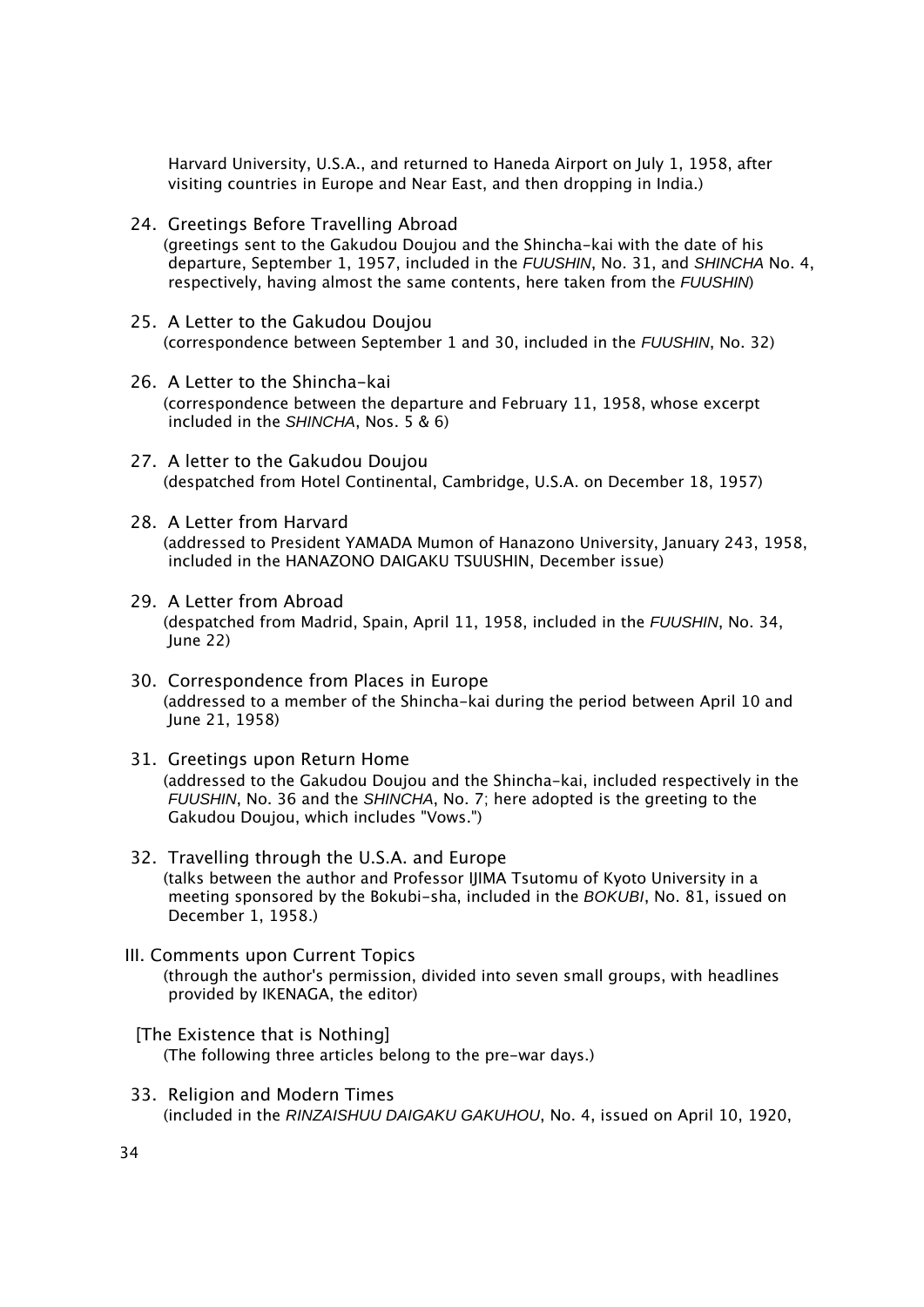Harvard University, U.S.A., and returned to Haneda Airport on July 1, 1958, after visiting countries in Europe and Near East, and then dropping in India.)

- 24. Greetings Before Travelling Abroad (greetings sent to the Gakudou Doujou and the Shincha-kai with the date of his departure, September 1, 1957, included in the FUUSHIN, No. 31, and SHINCHA No. 4, respectively, having almost the same contents, here taken from the FUUSHIN)
- 25. A Letter to the Gakudou Doujou (correspondence between September 1 and 30, included in the FUUSHIN, No. 32)
- 26. A Letter to the Shincha-kai (correspondence between the departure and February 11, 1958, whose excerpt included in the SHINCHA, Nos. 5 & 6)
- 27. A letter to the Gakudou Doujou (despatched from Hotel Continental, Cambridge, U.S.A. on December 18, 1957)
- 28. A Letter from Harvard (addressed to President YAMADA Mumon of Hanazono University, January 243, 1958, included in the HANAZONO DAIGAKU TSUUSHIN, December issue)
- 29. A Letter from Abroad (despatched from Madrid, Spain, April 11, 1958, included in the FUUSHIN, No. 34, June 22)
- 30. Correspondence from Places in Europe (addressed to a member of the Shincha-kai during the period between April 10 and June 21, 1958)
- 31. Greetings upon Return Home (addressed to the Gakudou Doujou and the Shincha-kai, included respectively in the FUUSHIN, No. 36 and the SHINCHA, No. 7; here adopted is the greeting to the Gakudou Doujou, which includes "Vows.")
- 32. Travelling through the U.S.A. and Europe (talks between the author and Professor IJIMA Tsutomu of Kyoto University in a meeting sponsored by the Bokubi-sha, included in the BOKUBI, No. 81, issued on December 1, 1958.)
- III. Comments upon Current Topics (through the author's permission, divided into seven small groups, with headlines provided by IKENAGA, the editor)
- [The Existence that is Nothing] (The following three articles belong to the pre-war days.)
- 33. Religion and Modern Times (included in the RINZAISHUU DAIGAKU GAKUHOU, No. 4, issued on April 10, 1920,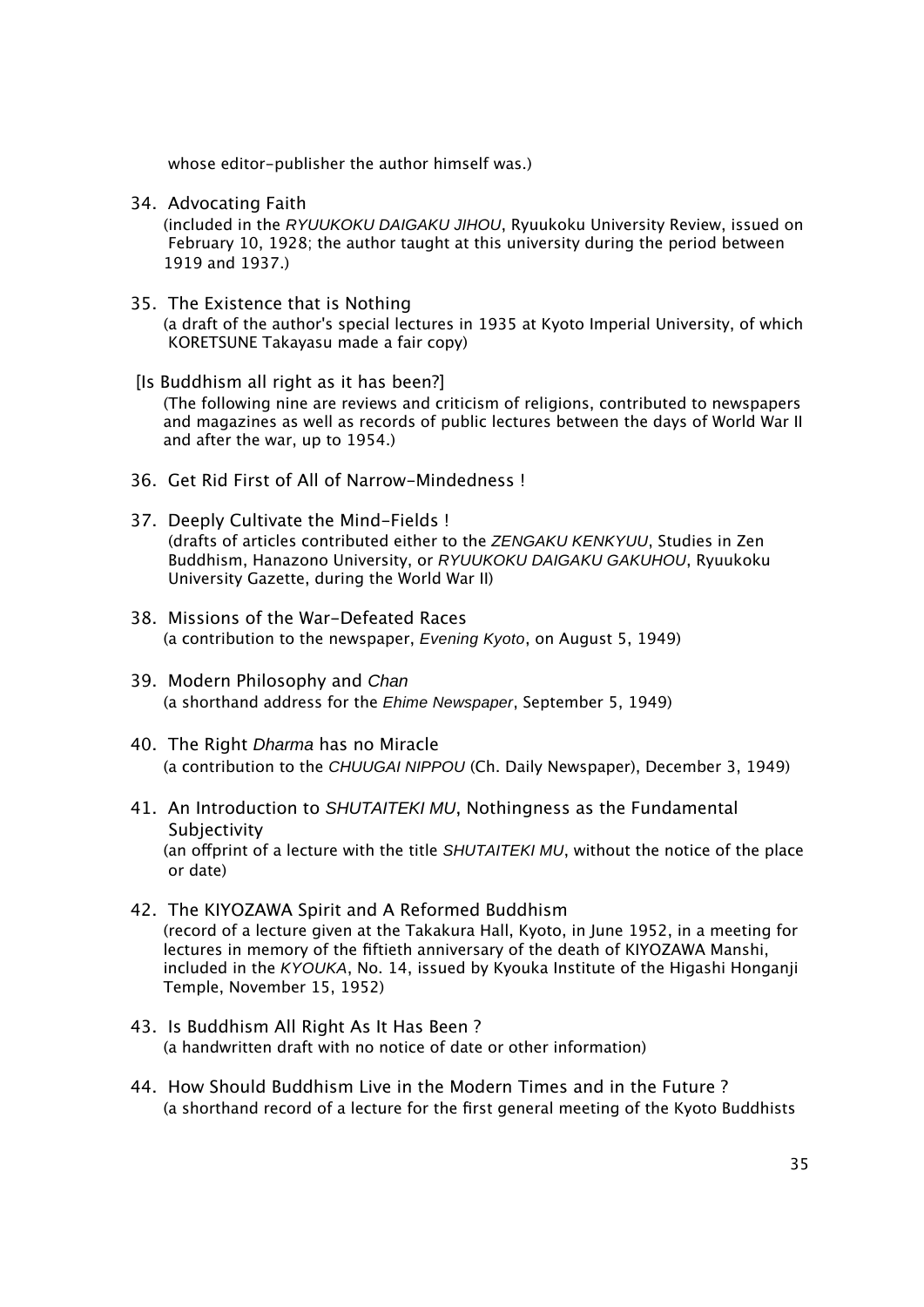whose editor-publisher the author himself was.)

34. Advocating Faith

(included in the RYUUKOKU DAIGAKU JIHOU, Ryuukoku University Review, issued on February 10, 1928; the author taught at this university during the period between 1919 and 1937.)

- 35. The Existence that is Nothing (a draft of the author's special lectures in 1935 at Kyoto Imperial University, of which KORETSUNE Takayasu made a fair copy)
- [Is Buddhism all right as it has been?] (The following nine are reviews and criticism of religions, contributed to newspapers and magazines as well as records of public lectures between the days of World War II and after the war, up to 1954.)
- 36. Get Rid First of All of Narrow-Mindedness !
- 37. Deeply Cultivate the Mind-Fields ! (drafts of articles contributed either to the ZENGAKU KENKYUU, Studies in Zen Buddhism, Hanazono University, or RYUUKOKU DAIGAKU GAKUHOU, Ryuukoku University Gazette, during the World War II)
- 38. Missions of the War-Defeated Races (a contribution to the newspaper, Evening Kyoto, on August 5, 1949)
- 39. Modern Philosophy and Chan (a shorthand address for the Ehime Newspaper, September 5, 1949)
- 40. The Right Dharma has no Miracle (a contribution to the CHUUGAI NIPPOU (Ch. Daily Newspaper), December 3, 1949)
- 41. An Introduction to SHUTAITEKI MU, Nothingness as the Fundamental Subjectivity (an offprint of a lecture with the title SHUTAITEKI MU, without the notice of the place or date)
- 42. The KIYOZAWA Spirit and A Reformed Buddhism (record of a lecture given at the Takakura Hall, Kyoto, in June 1952, in a meeting for lectures in memory of the fiftieth anniversary of the death of KIYOZAWA Manshi, included in the KYOUKA, No. 14, issued by Kyouka Institute of the Higashi Honganji Temple, November 15, 1952)
- 43. Is Buddhism All Right As It Has Been ? (a handwritten draft with no notice of date or other information)
- 44. How Should Buddhism Live in the Modern Times and in the Future ? (a shorthand record of a lecture for the first general meeting of the Kyoto Buddhists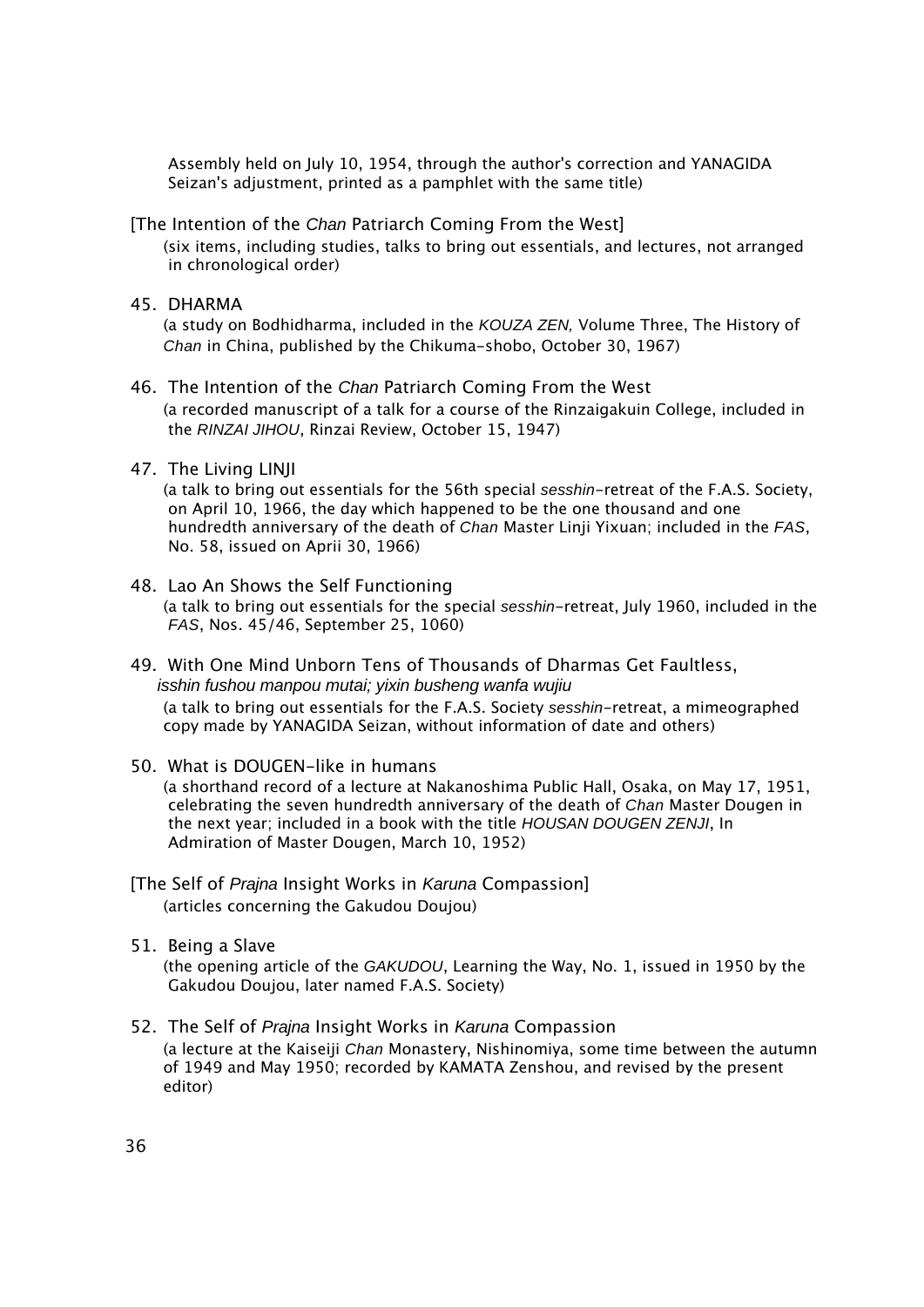Assembly held on July 10, 1954, through the author's correction and YANAGIDA Seizan's adjustment, printed as a pamphlet with the same title)

[The Intention of the Chan Patriarch Coming From the West]

(six items, including studies, talks to bring out essentials, and lectures, not arranged in chronological order)

45. DHARMA

(a study on Bodhidharma, included in the KOUZA ZEN, Volume Three, The History of Chan in China, published by the Chikuma-shobo, October 30, 1967)

 46. The Intention of the Chan Patriarch Coming From the West (a recorded manuscript of a talk for a course of the Rinzaigakuin College, included in the RINZAI JIHOU, Rinzai Review, October 15, 1947)

## 47. The Living LINJI

(a talk to bring out essentials for the 56th special sesshin-retreat of the F.A.S. Society, on April 10, 1966, the day which happened to be the one thousand and one hundredth anniversary of the death of Chan Master Linji Yixuan; included in the FAS, No. 58, issued on Aprii 30, 1966)

## 48. Lao An Shows the Self Functioning

(a talk to bring out essentials for the special sesshin-retreat, July 1960, included in the FAS, Nos. 45/46, September 25, 1060)

## 49. With One Mind Unborn Tens of Thousands of Dharmas Get Faultless, isshin fushou manpou mutai; yixin busheng wanfa wujiu (a talk to bring out essentials for the F.A.S. Society sesshin-retreat, a mimeographed

copy made by YANAGIDA Seizan, without information of date and others)

50. What is DOUGEN-like in humans

(a shorthand record of a lecture at Nakanoshima Public Hall, Osaka, on May 17, 1951, celebrating the seven hundredth anniversary of the death of Chan Master Dougen in the next year; included in a book with the title HOUSAN DOUGEN ZENJI, In Admiration of Master Dougen, March 10, 1952)

- [The Self of Prajna Insight Works in Karuna Compassion] (articles concerning the Gakudou Doujou)
- 51. Being a Slave

(the opening article of the GAKUDOU, Learning the Way, No. 1, issued in 1950 by the Gakudou Doujou, later named F.A.S. Society)

52. The Self of Prajna Insight Works in Karuna Compassion (a lecture at the Kaiseiji Chan Monastery, Nishinomiya, some time between the autumn of 1949 and May 1950; recorded by KAMATA Zenshou, and revised by the present editor)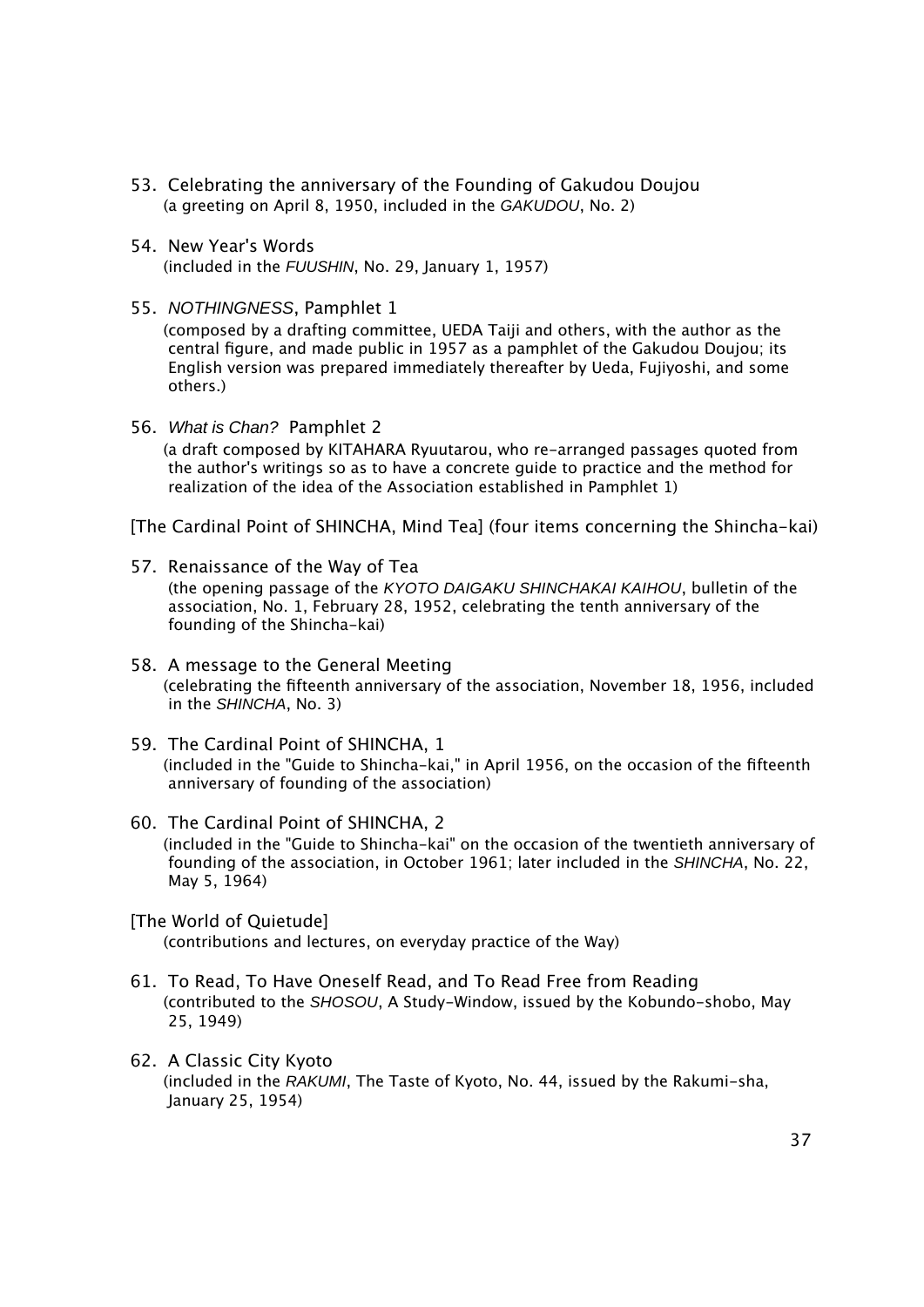- 53. Celebrating the anniversary of the Founding of Gakudou Doujou (a greeting on April 8, 1950, included in the GAKUDOU, No. 2)
- 54. New Year's Words (included in the FUUSHIN, No. 29, January 1, 1957)
- 55. NOTHINGNESS, Pamphlet 1

(composed by a drafting committee, UEDA Taiji and others, with the author as the central figure, and made public in 1957 as a pamphlet of the Gakudou Doujou; its English version was prepared immediately thereafter by Ueda, Fujiyoshi, and some others.)

 56. What is Chan? Pamphlet 2 (a draft composed by KITAHARA Ryuutarou, who re-arranged passages quoted from the author's writings so as to have a concrete guide to practice and the method for realization of the idea of the Association established in Pamphlet 1)

[The Cardinal Point of SHINCHA, Mind Tea] (four items concerning the Shincha-kai)

- 57. Renaissance of the Way of Tea (the opening passage of the KYOTO DAIGAKU SHINCHAKAI KAIHOU, bulletin of the association, No. 1, February 28, 1952, celebrating the tenth anniversary of the founding of the Shincha-kai)
- 58. A message to the General Meeting (celebrating the fifteenth anniversary of the association, November 18, 1956, included in the SHINCHA, No. 3)
- 59. The Cardinal Point of SHINCHA, 1 (included in the "Guide to Shincha-kai," in April 1956, on the occasion of the fifteenth anniversary of founding of the association)
- 60. The Cardinal Point of SHINCHA, 2 (included in the "Guide to Shincha-kai" on the occasion of the twentieth anniversary of founding of the association, in October 1961; later included in the SHINCHA, No. 22, May 5, 1964)
- [The World of Quietude] (contributions and lectures, on everyday practice of the Way)
- 61. To Read, To Have Oneself Read, and To Read Free from Reading (contributed to the SHOSOU, A Study-Window, issued by the Kobundo-shobo, May 25, 1949)
- 62. A Classic City Kyoto (included in the RAKUMI, The Taste of Kyoto, No. 44, issued by the Rakumi-sha, January 25, 1954)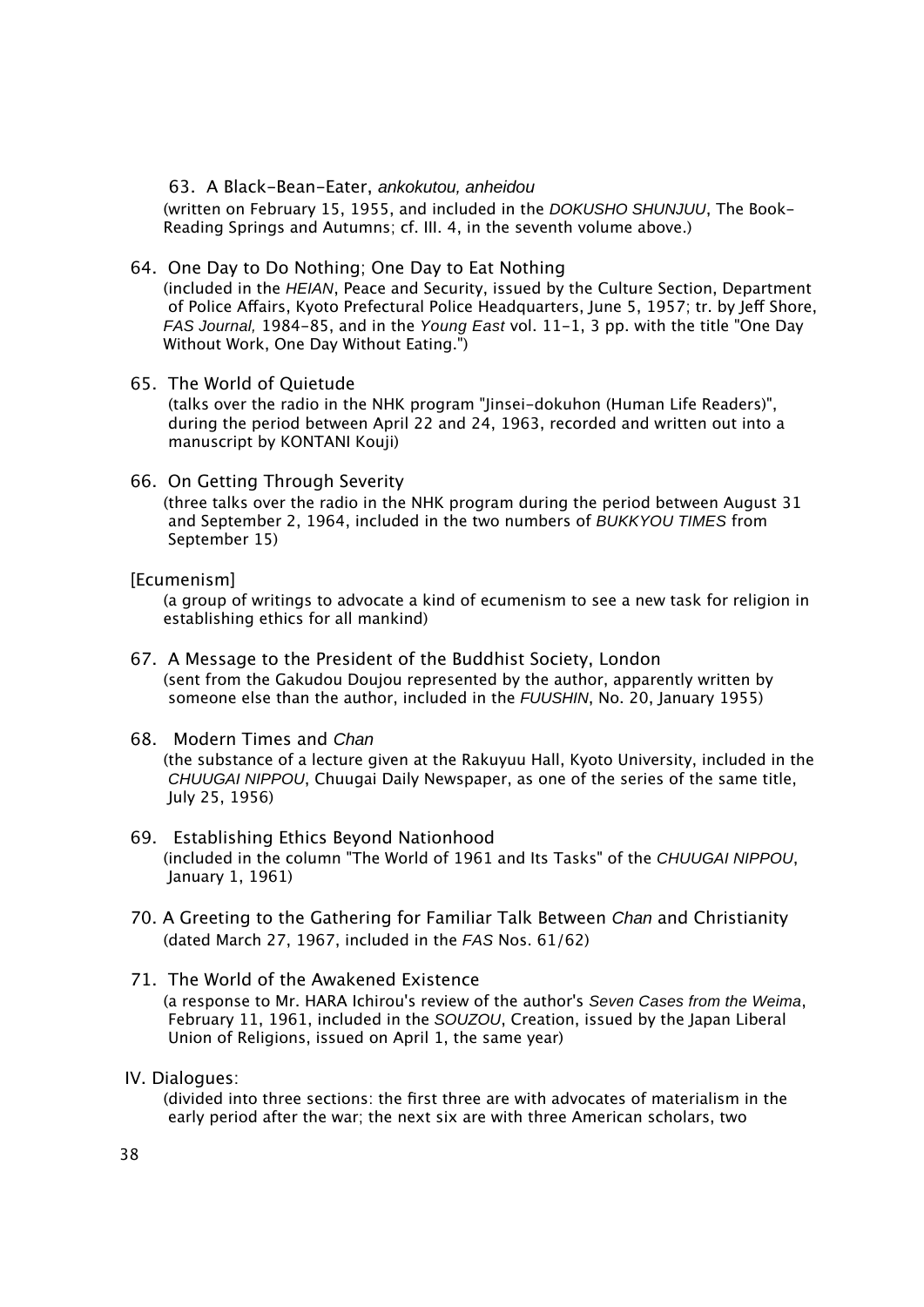63. A Black-Bean-Eater, ankokutou, anheidou

(written on February 15, 1955, and included in the DOKUSHO SHUNJUU, The Book-Reading Springs and Autumns; cf. III. 4, in the seventh volume above.)

### 64. One Day to Do Nothing; One Day to Eat Nothing

(included in the HEIAN, Peace and Security, issued by the Culture Section, Department of Police Affairs, Kyoto Prefectural Police Headquarters, June 5, 1957; tr. by Jeff Shore,  $FAS$  Journal, 1984-85, and in the Young East vol. 11-1, 3 pp. with the title "One Day Without Work, One Day Without Eating.")

65. The World of Quietude

 (talks over the radio in the NHK program "Jinsei-dokuhon (Human Life Readers)", during the period between April 22 and 24, 1963, recorded and written out into a manuscript by KONTANI Kouji)

66. On Getting Through Severity

(three talks over the radio in the NHK program during the period between August 31 and September 2, 1964, included in the two numbers of BUKKYOU TIMES from September 15)

### [Ecumenism]

(a group of writings to advocate a kind of ecumenism to see a new task for religion in establishing ethics for all mankind)

 67. A Message to the President of the Buddhist Society, London (sent from the Gakudou Doujou represented by the author, apparently written by someone else than the author, included in the FUUSHIN, No. 20, January 1955)

## 68. Modern Times and Chan

(the substance of a lecture given at the Rakuyuu Hall, Kyoto University, included in the CHUUGAI NIPPOU, Chuugai Daily Newspaper, as one of the series of the same title, July 25, 1956)

- 69. Establishing Ethics Beyond Nationhood (included in the column "The World of 1961 and Its Tasks" of the CHUUGAI NIPPOU, January 1, 1961)
- 70. A Greeting to the Gathering for Familiar Talk Between Chan and Christianity (dated March 27, 1967, included in the FAS Nos. 61/62)
- 71. The World of the Awakened Existence

(a response to Mr. HARA Ichirou's review of the author's Seven Cases from the Weima, February 11, 1961, included in the SOUZOU, Creation, issued by the Japan Liberal Union of Religions, issued on April 1, the same year)

#### IV. Dialogues:

(divided into three sections: the first three are with advocates of materialism in the early period after the war; the next six are with three American scholars, two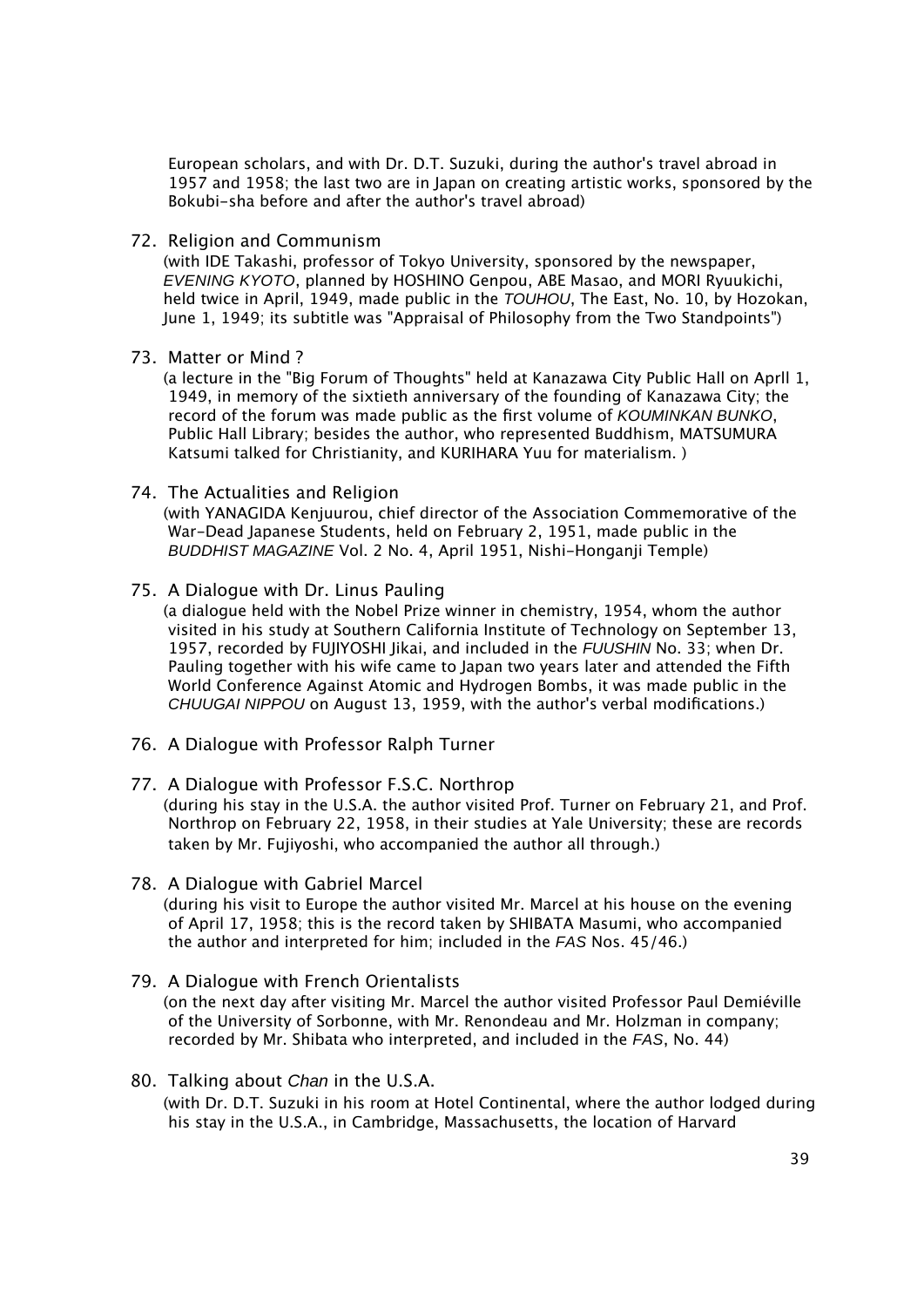European scholars, and with Dr. D.T. Suzuki, during the author's travel abroad in 1957 and 1958; the last two are in Japan on creating artistic works, sponsored by the Bokubi-sha before and after the author's travel abroad)

72. Religion and Communism

(with IDE Takashi, professor of Tokyo University, sponsored by the newspaper, EVENING KYOTO, planned by HOSHINO Genpou, ABE Masao, and MORI Ryuukichi, held twice in April, 1949, made public in the TOUHOU, The East, No. 10, by Hozokan, June 1, 1949; its subtitle was "Appraisal of Philosophy from the Two Standpoints")

73. Matter or Mind ?

(a lecture in the "Big Forum of Thoughts" held at Kanazawa City Public Hall on Aprll 1, 1949, in memory of the sixtieth anniversary of the founding of Kanazawa City; the record of the forum was made public as the first volume of KOUMINKAN BUNKO, Public Hall Library; besides the author, who represented Buddhism, MATSUMURA Katsumi talked for Christianity, and KURIHARA Yuu for materialism. )

#### 74. The Actualities and Religion

(with YANAGIDA Kenjuurou, chief director of the Association Commemorative of the War-Dead Japanese Students, held on February 2, 1951, made public in the BUDDHIST MAGAZINE Vol. 2 No. 4, April 1951, Nishi-Honganji Temple)

75. A Dialogue with Dr. Linus Pauling

(a dialogue held with the Nobel Prize winner in chemistry, 1954, whom the author visited in his study at Southern California Institute of Technology on September 13, 1957, recorded by FUJIYOSHI Jikai, and included in the FUUSHIN No. 33; when Dr. Pauling together with his wife came to Japan two years later and attended the Fifth World Conference Against Atomic and Hydrogen Bombs, it was made public in the CHUUGAI NIPPOU on August 13, 1959, with the author's verbal modifications.)

- 76. A Dialogue with Professor Ralph Turner
- 77. A Dialogue with Professor F.S.C. Northrop (during his stay in the U.S.A. the author visited Prof. Turner on February 21, and Prof. Northrop on February 22, 1958, in their studies at Yale University; these are records taken by Mr. Fujiyoshi, who accompanied the author all through.)
- 78. A Dialogue with Gabriel Marcel (during his visit to Europe the author visited Mr. Marcel at his house on the evening of April 17, 1958; this is the record taken by SHIBATA Masumi, who accompanied the author and interpreted for him; included in the FAS Nos. 45/46.)
- 79. A Dialogue with French Orientalists (on the next day after visiting Mr. Marcel the author visited Professor Paul Demiéville of the University of Sorbonne, with Mr. Renondeau and Mr. Holzman in company; recorded by Mr. Shibata who interpreted, and included in the FAS, No. 44)
- 80. Talking about Chan in the U.S.A. (with Dr. D.T. Suzuki in his room at Hotel Continental, where the author lodged during his stay in the U.S.A., in Cambridge, Massachusetts, the location of Harvard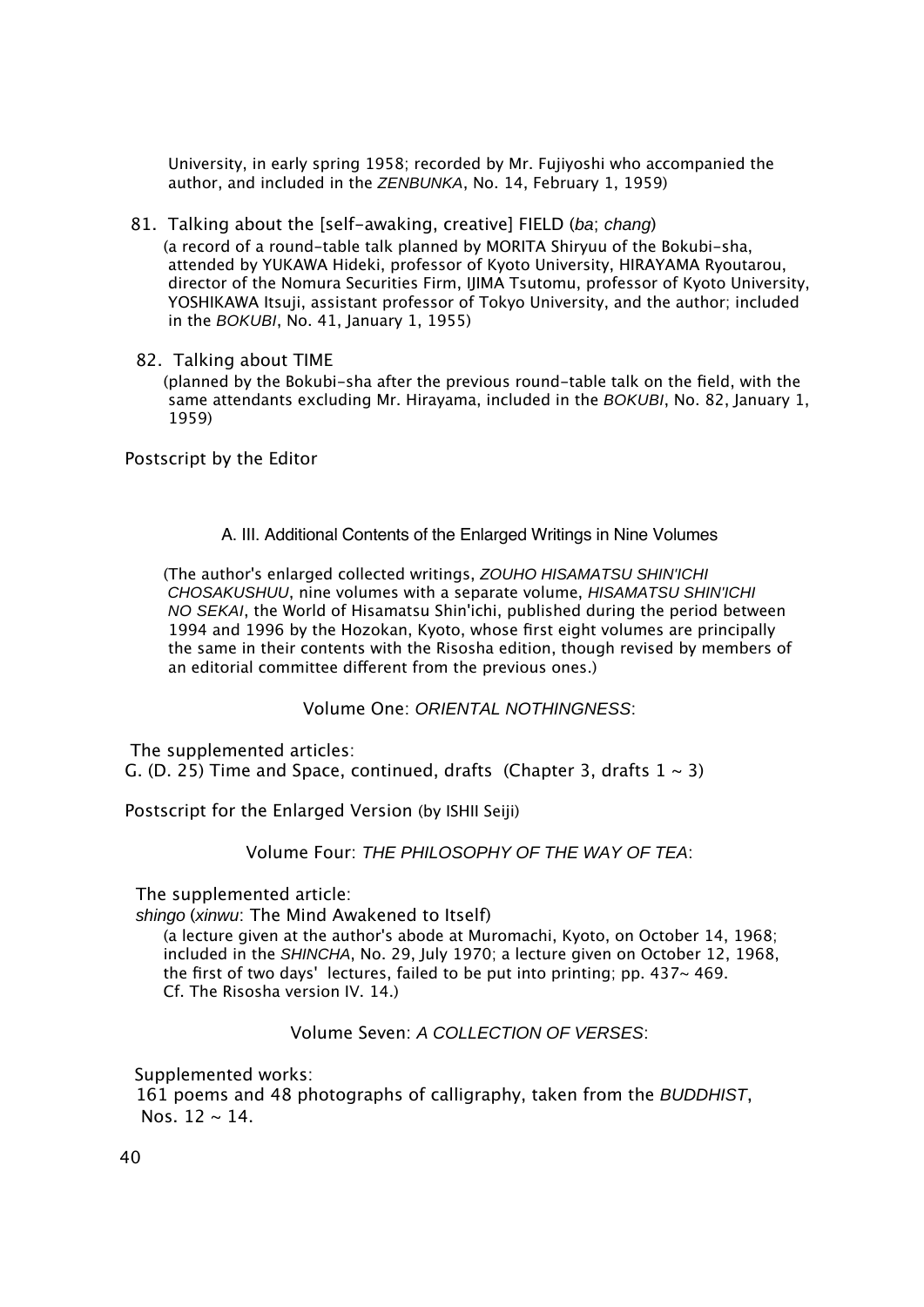University, in early spring 1958; recorded by Mr. Fujiyoshi who accompanied the author, and included in the ZENBUNKA, No. 14, February 1, 1959)

 81. Talking about the [self-awaking, creative] FIELD (ba; chang) (a record of a round-table talk planned by MORITA Shiryuu of the Bokubi-sha, attended by YUKAWA Hideki, professor of Kyoto University, HIRAYAMA Ryoutarou, director of the Nomura Securities Firm, IJIMA Tsutomu, professor of Kyoto University, YOSHIKAWA Itsuji, assistant professor of Tokyo University, and the author; included in the BOKUBI, No. 41, January 1, 1955)

## 82. Talking about TIME

(planned by the Bokubi-sha after the previous round-table talk on the field, with the same attendants excluding Mr. Hirayama, included in the BOKUBI, No. 82, January 1, 1959)

Postscript by the Editor

## A. III. Additional Contents of the Enlarged Writings in Nine Volumes

(The author's enlarged collected writings, ZOUHO HISAMATSU SHIN'ICHI CHOSAKUSHUU, nine volumes with a separate volume, HISAMATSU SHIN'ICHI NO SEKAI, the World of Hisamatsu Shin'ichi, published during the period between 1994 and 1996 by the Hozokan, Kyoto, whose first eight volumes are principally the same in their contents with the Risosha edition, though revised by members of an editorial committee different from the previous ones.)

Volume One: ORIENTAL NOTHINGNESS:

The supplemented articles:

G. (D. 25) Time and Space, continued, drafts (Chapter 3, drafts  $1 \sim 3$ )

Postscript for the Enlarged Version (by ISHII Seiji)

Volume Four: THE PHILOSOPHY OF THE WAY OF TEA:

The supplemented article:

shingo (xinwu: The Mind Awakened to Itself)

(a lecture given at the author's abode at Muromachi, Kyoto, on October 14, 1968; included in the SHINCHA, No. 29, July 1970; a lecture given on October 12, 1968, the first of two days' lectures, failed to be put into printing; pp. 437~ 469. Cf. The Risosha version IV. 14.)

Volume Seven: A COLLECTION OF VERSES:

Supplemented works:

 161 poems and 48 photographs of calligraphy, taken from the BUDDHIST, Nos.  $12 \sim 14$ .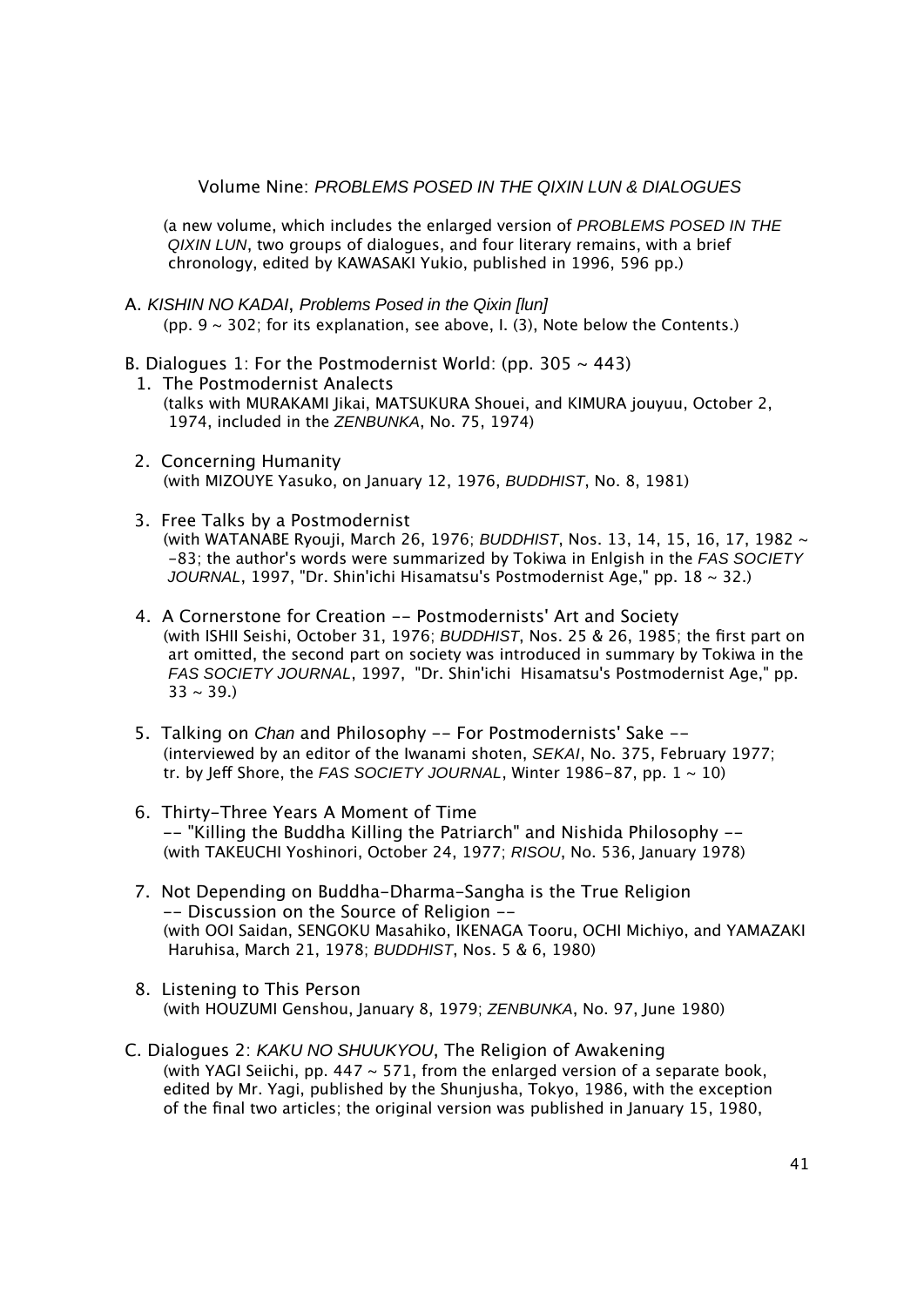Volume Nine: PROBLEMS POSED IN THE QIXIN LUN & DIALOGUES

(a new volume, which includes the enlarged version of PROBLEMS POSED IN THE QIXIN LUN, two groups of dialogues, and four literary remains, with a brief chronology, edited by KAWASAKI Yukio, published in 1996, 596 pp.)

- A. KISHIN NO KADAI, Problems Posed in the Qixin [lun] (pp.  $9 \sim 302$ ; for its explanation, see above, I. (3), Note below the Contents.)
- B. Dialogues 1: For the Postmodernist World: (pp. 305  $\sim$  443)
	- 1. The Postmodernist Analects (talks with MURAKAMI Jikai, MATSUKURA Shouei, and KIMURA jouyuu, October 2, 1974, included in the ZENBUNKA, No. 75, 1974)
	- 2. Concerning Humanity (with MIZOUYE Yasuko, on January 12, 1976, BUDDHIST, No. 8, 1981)
	- 3. Free Talks by a Postmodernist (with WATANABE Ryouji, March 26, 1976; BUDDHIST, Nos. 13, 14, 15, 16, 17, 1982 ~ -83; the author's words were summarized by Tokiwa in Enlgish in the FAS SOCIETY JOURNAL, 1997, "Dr. Shin'ichi Hisamatsu's Postmodernist Age," pp. 18 ~ 32.)
	- 4. A Cornerstone for Creation -- Postmodernists' Art and Society (with ISHII Seishi, October 31, 1976; BUDDHIST, Nos. 25 & 26, 1985; the first part on art omitted, the second part on society was introduced in summary by Tokiwa in the FAS SOCIETY JOURNAL, 1997, "Dr. Shin'ichi Hisamatsu's Postmodernist Age," pp.  $33 \sim 39.$
	- 5. Talking on Chan and Philosophy -- For Postmodernists' Sake --(interviewed by an editor of the Iwanami shoten, SEKAI, No. 375, February 1977; tr. by Jeff Shore, the FAS SOCIETY JOURNAL, Winter 1986-87, pp.  $1 \sim 10$ )
	- 6. Thirty-Three Years A Moment of Time -- "Killing the Buddha Killing the Patriarch" and Nishida Philosophy -- (with TAKEUCHI Yoshinori, October 24, 1977; RISOU, No. 536, January 1978)
	- 7. Not Depending on Buddha-Dharma-Sangha is the True Religion -- Discussion on the Source of Religion -- (with OOI Saidan, SENGOKU Masahiko, IKENAGA Tooru, OCHI Michiyo, and YAMAZAKI Haruhisa, March 21, 1978; BUDDHIST, Nos. 5 & 6, 1980)
	- 8. Listening to This Person (with HOUZUMI Genshou, January 8, 1979; ZENBUNKA, No. 97, June 1980)
- C. Dialogues 2: KAKU NO SHUUKYOU, The Religion of Awakening (with YAGI Seiichi, pp.  $447 \sim 571$ , from the enlarged version of a separate book, edited by Mr. Yagi, published by the Shunjusha, Tokyo, 1986, with the exception of the final two articles; the original version was published in January 15, 1980,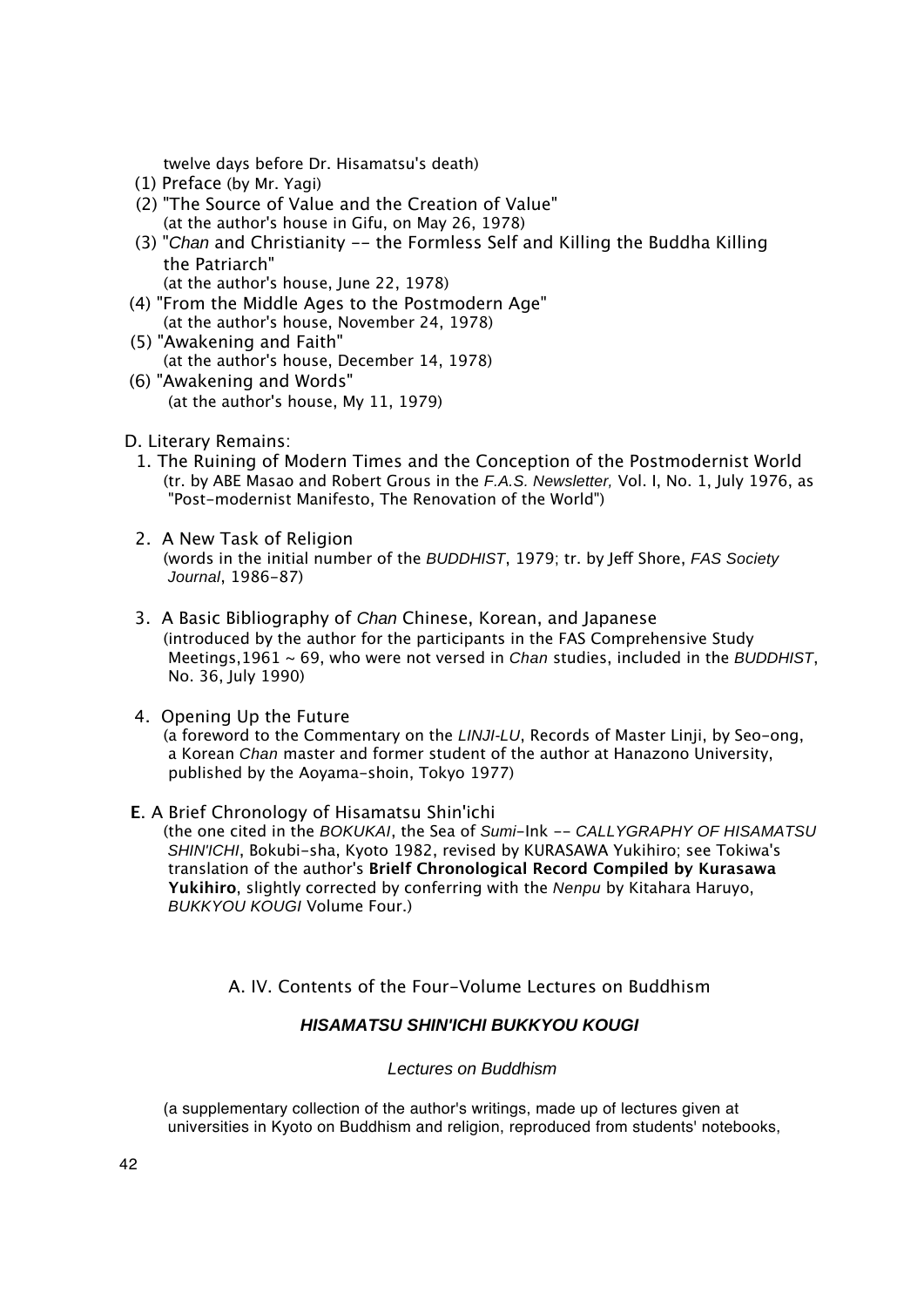twelve days before Dr. Hisamatsu's death)

- (1) Preface (by Mr. Yagi)
- (2) "The Source of Value and the Creation of Value" (at the author's house in Gifu, on May 26, 1978)
- (3) "Chan and Christianity -- the Formless Self and Killing the Buddha Killing the Patriarch"
	- (at the author's house, June 22, 1978)
- (4) "From the Middle Ages to the Postmodern Age" (at the author's house, November 24, 1978)
- (5) "Awakening and Faith" (at the author's house, December 14, 1978)
- (6) "Awakening and Words" (at the author's house, My 11, 1979)
- D. Literary Remains:
	- 1. The Ruining of Modern Times and the Conception of the Postmodernist World (tr. by ABE Masao and Robert Grous in the F.A.S. Newsletter, Vol. I, No. 1, July 1976, as "Post-modernist Manifesto, The Renovation of the World")
	- 2. A New Task of Religion (words in the initial number of the BUDDHIST, 1979; tr. by Jeff Shore, FAS Society Journal, 1986-87)
	- 3. A Basic Bibliography of Chan Chinese, Korean, and Japanese (introduced by the author for the participants in the FAS Comprehensive Study Meetings, 1961  $\sim$  69, who were not versed in *Chan* studies, included in the *BUDDHIST*, No. 36, July 1990)
	- 4. Opening Up the Future (a foreword to the Commentary on the LINJI-LU, Records of Master Linji, by Seo-ong, a Korean Chan master and former student of the author at Hanazono University, published by the Aoyama-shoin, Tokyo 1977)
- **E**. A Brief Chronology of Hisamatsu Shin'ichi

(the one cited in the BOKUKAI, the Sea of Sumi-Ink -- CALLYGRAPHY OF HISAMATSU SHIN'ICHI, Bokubi-sha, Kyoto 1982, revised by KURASAWA Yukihiro; see Tokiwa's translation of the author's **Brielf Chronological Record Compiled by Kurasawa Yukihiro**, slightly corrected by conferring with the Nenpu by Kitahara Haruyo, BUKKYOU KOUGI Volume Four.)

A. IV. Contents of the Four-Volume Lectures on Buddhism

## **HISAMATSU SHIN'ICHI BUKKYOU KOUGI**

### Lectures on Buddhism

(a supplementary collection of the author's writings, made up of lectures given at universities in Kyoto on Buddhism and religion, reproduced from students' notebooks,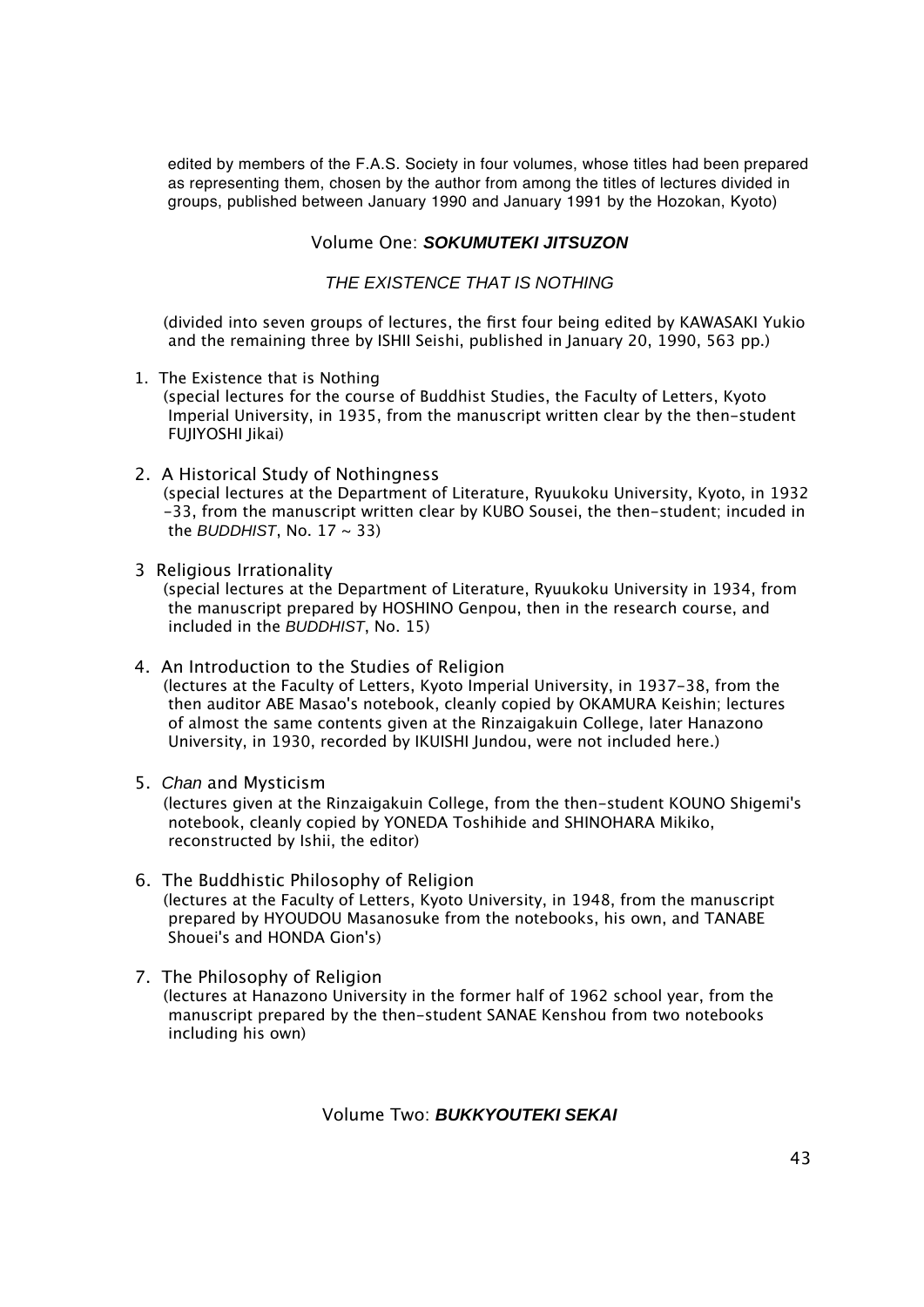edited by members of the F.A.S. Society in four volumes, whose titles had been prepared as representing them, chosen by the author from among the titles of lectures divided in groups, published between January 1990 and January 1991 by the Hozokan, Kyoto)

### Volume One: **SOKUMUTEKI JITSUZON**

## THE EXISTENCE THAT IS NOTHING

(divided into seven groups of lectures, the first four being edited by KAWASAKI Yukio and the remaining three by ISHII Seishi, published in January 20, 1990, 563 pp.)

- 1. The Existence that is Nothing (special lectures for the course of Buddhist Studies, the Faculty of Letters, Kyoto Imperial University, in 1935, from the manuscript written clear by the then-student FUJIYOSHI Jikai)
- 2. A Historical Study of Nothingness (special lectures at the Department of Literature, Ryuukoku University, Kyoto, in 1932

-33, from the manuscript written clear by KUBO Sousei, the then-student; incuded in the *BUDDHIST*, No.  $17 \sim 33$ )

3 Religious Irrationality

(special lectures at the Department of Literature, Ryuukoku University in 1934, from the manuscript prepared by HOSHINO Genpou, then in the research course, and included in the BUDDHIST, No. 15)

4. An Introduction to the Studies of Religion

(lectures at the Faculty of Letters, Kyoto Imperial University, in 1937-38, from the then auditor ABE Masao's notebook, cleanly copied by OKAMURA Keishin; lectures of almost the same contents given at the Rinzaigakuin College, later Hanazono University, in 1930, recorded by IKUISHI Jundou, were not included here.)

5. Chan and Mysticism

(lectures given at the Rinzaigakuin College, from the then-student KOUNO Shigemi's notebook, cleanly copied by YONEDA Toshihide and SHINOHARA Mikiko, reconstructed by Ishii, the editor)

- 6. The Buddhistic Philosophy of Religion (lectures at the Faculty of Letters, Kyoto University, in 1948, from the manuscript prepared by HYOUDOU Masanosuke from the notebooks, his own, and TANABE Shouei's and HONDA Gion's)
- 7. The Philosophy of Religion (lectures at Hanazono University in the former half of 1962 school year, from the manuscript prepared by the then-student SANAE Kenshou from two notebooks including his own)

## Volume Two: **BUKKYOUTEKI SEKAI**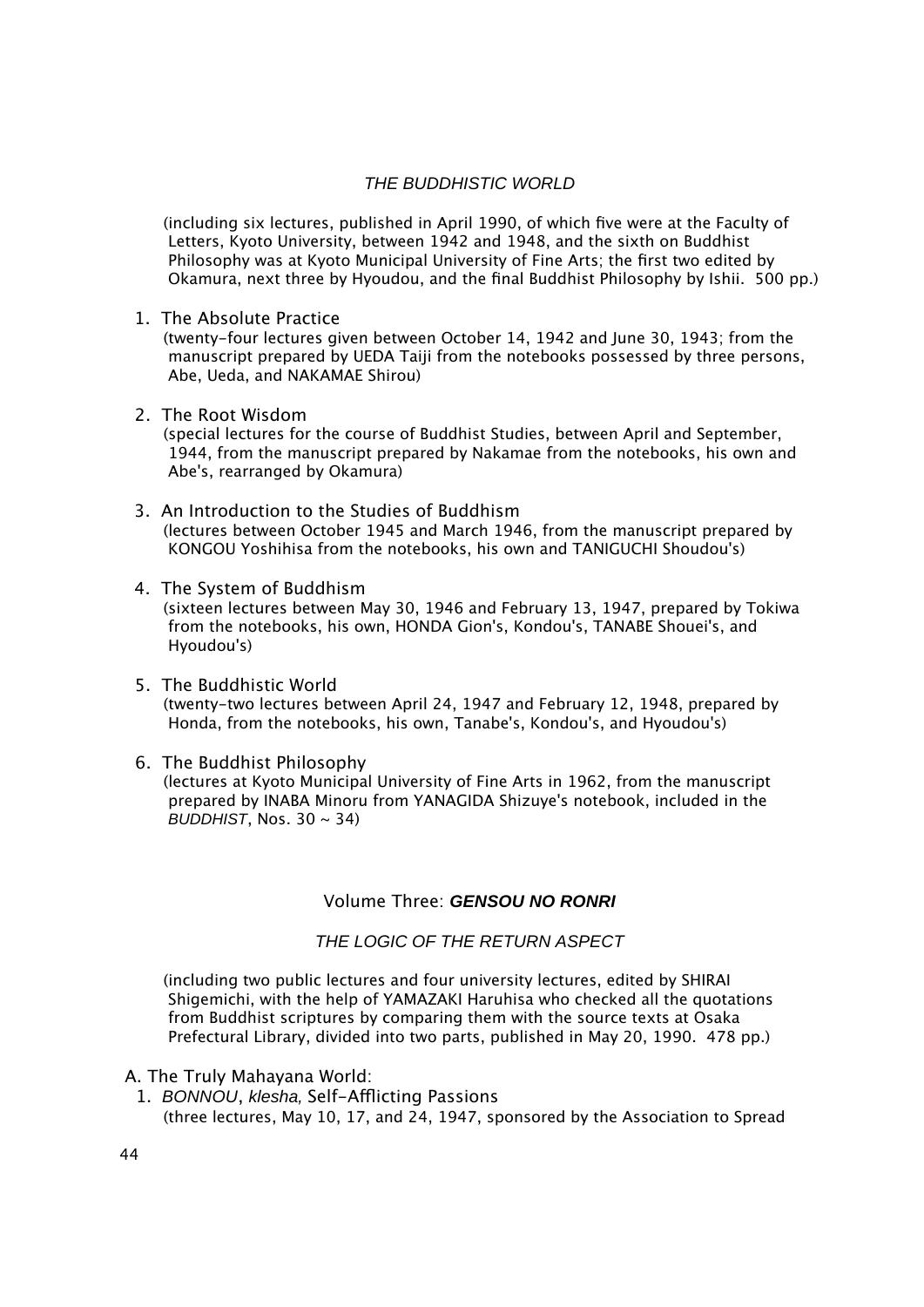## THE BUDDHISTIC WORLD

(including six lectures, published in April 1990, of which five were at the Faculty of Letters, Kyoto University, between 1942 and 1948, and the sixth on Buddhist Philosophy was at Kyoto Municipal University of Fine Arts; the first two edited by Okamura, next three by Hyoudou, and the final Buddhist Philosophy by Ishii. 500 pp.)

1. The Absolute Practice

(twenty-four lectures given between October 14, 1942 and June 30, 1943; from the manuscript prepared by UEDA Taiji from the notebooks possessed by three persons, Abe, Ueda, and NAKAMAE Shirou)

2. The Root Wisdom

(special lectures for the course of Buddhist Studies, between April and September, 1944, from the manuscript prepared by Nakamae from the notebooks, his own and Abe's, rearranged by Okamura)

- 3. An Introduction to the Studies of Buddhism (lectures between October 1945 and March 1946, from the manuscript prepared by KONGOU Yoshihisa from the notebooks, his own and TANIGUCHI Shoudou's)
- 4. The System of Buddhism (sixteen lectures between May 30, 1946 and February 13, 1947, prepared by Tokiwa from the notebooks, his own, HONDA Gion's, Kondou's, TANABE Shouei's, and Hyoudou's)
- 5. The Buddhistic World (twenty-two lectures between April 24, 1947 and February 12, 1948, prepared by Honda, from the notebooks, his own, Tanabe's, Kondou's, and Hyoudou's)
- 6. The Buddhist Philosophy (lectures at Kyoto Municipal University of Fine Arts in 1962, from the manuscript prepared by INABA Minoru from YANAGIDA Shizuye's notebook, included in the BUDDHIST, Nos.  $30 \sim 34$ )

## Volume Three: **GENSOU NO RONRI**

## THE LOGIC OF THE RETURN ASPECT

(including two public lectures and four university lectures, edited by SHIRAI Shigemichi, with the help of YAMAZAKI Haruhisa who checked all the quotations from Buddhist scriptures by comparing them with the source texts at Osaka Prefectural Library, divided into two parts, published in May 20, 1990. 478 pp.)

- A. The Truly Mahayana World:
	- 1. BONNOU, klesha, Self-Afflicting Passions (three lectures, May 10, 17, and 24, 1947, sponsored by the Association to Spread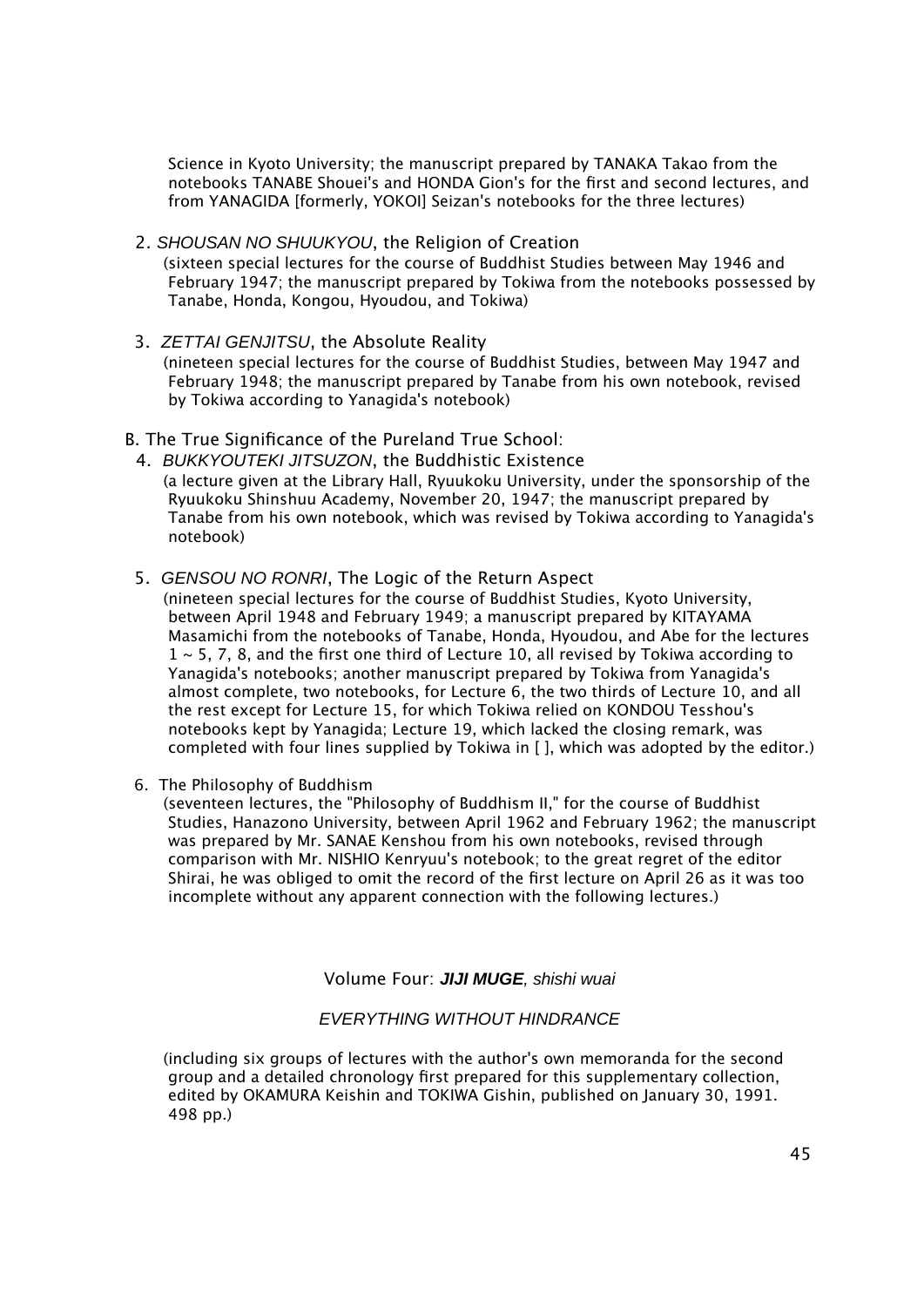Science in Kyoto University; the manuscript prepared by TANAKA Takao from the notebooks TANABE Shouei's and HONDA Gion's for the first and second lectures, and from YANAGIDA [formerly, YOKOI] Seizan's notebooks for the three lectures)

- 2. SHOUSAN NO SHUUKYOU, the Religion of Creation (sixteen special lectures for the course of Buddhist Studies between May 1946 and February 1947; the manuscript prepared by Tokiwa from the notebooks possessed by Tanabe, Honda, Kongou, Hyoudou, and Tokiwa)
- 3. ZETTAI GENJITSU, the Absolute Reality (nineteen special lectures for the course of Buddhist Studies, between May 1947 and February 1948; the manuscript prepared by Tanabe from his own notebook, revised by Tokiwa according to Yanagida's notebook)
- B. The True Significance of the Pureland True School:
	- 4. BUKKYOUTEKI JITSUZON, the Buddhistic Existence (a lecture given at the Library Hall, Ryuukoku University, under the sponsorship of the Ryuukoku Shinshuu Academy, November 20, 1947; the manuscript prepared by Tanabe from his own notebook, which was revised by Tokiwa according to Yanagida's notebook)
	- 5. GENSOU NO RONRI, The Logic of the Return Aspect

(nineteen special lectures for the course of Buddhist Studies, Kyoto University, between April 1948 and February 1949; a manuscript prepared by KITAYAMA Masamichi from the notebooks of Tanabe, Honda, Hyoudou, and Abe for the lectures  $1 \sim 5$ , 7, 8, and the first one third of Lecture 10, all revised by Tokiwa according to Yanagida's notebooks; another manuscript prepared by Tokiwa from Yanagida's almost complete, two notebooks, for Lecture 6, the two thirds of Lecture 10, and all the rest except for Lecture 15, for which Tokiwa relied on KONDOU Tesshou's notebooks kept by Yanagida; Lecture 19, which lacked the closing remark, was completed with four lines supplied by Tokiwa in [ ], which was adopted by the editor.)

6. The Philosophy of Buddhism

(seventeen lectures, the "Philosophy of Buddhism II," for the course of Buddhist Studies, Hanazono University, between April 1962 and February 1962; the manuscript was prepared by Mr. SANAE Kenshou from his own notebooks, revised through comparison with Mr. NISHIO Kenryuu's notebook; to the great regret of the editor Shirai, he was obliged to omit the record of the first lecture on April 26 as it was too incomplete without any apparent connection with the following lectures.)

Volume Four: **JIJI MUGE**, shishi wuai

## EVERYTHING WITHOUT HINDRANCE

(including six groups of lectures with the author's own memoranda for the second group and a detailed chronology first prepared for this supplementary collection, edited by OKAMURA Keishin and TOKIWA Gishin, published on January 30, 1991. 498 pp.)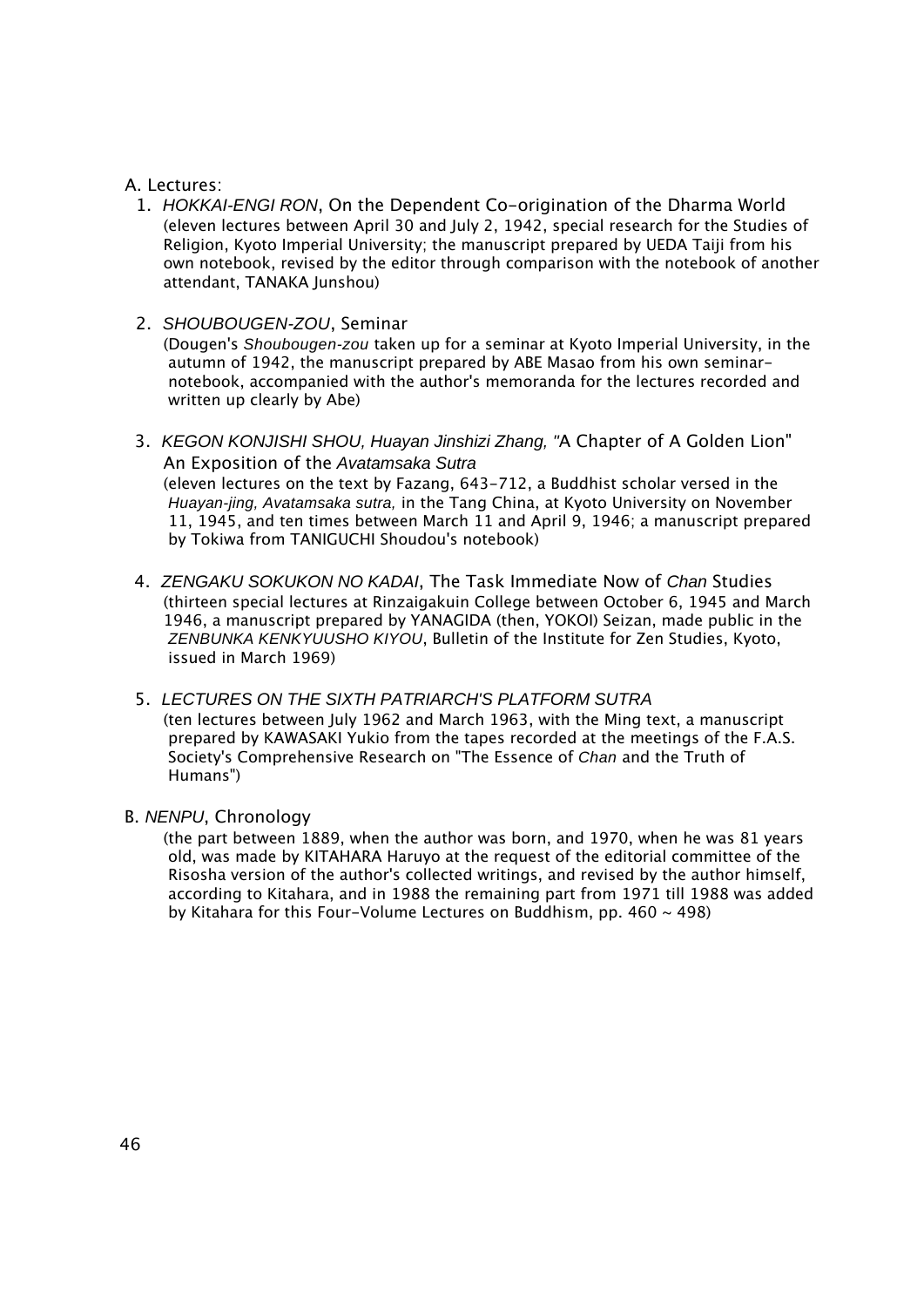## A. Lectures:

- 1. HOKKAI-ENGI RON, On the Dependent Co-origination of the Dharma World (eleven lectures between April 30 and July 2, 1942, special research for the Studies of Religion, Kyoto Imperial University; the manuscript prepared by UEDA Taiji from his own notebook, revised by the editor through comparison with the notebook of another attendant, TANAKA Junshou)
- 2. SHOUBOUGEN-ZOU, Seminar

(Dougen's Shoubougen-zou taken up for a seminar at Kyoto Imperial University, in the autumn of 1942, the manuscript prepared by ABE Masao from his own seminar notebook, accompanied with the author's memoranda for the lectures recorded and written up clearly by Abe)

- 3. KEGON KONJISHI SHOU, Huayan Jinshizi Zhang, "A Chapter of A Golden Lion" An Exposition of the Avatamsaka Sutra (eleven lectures on the text by Fazang, 643-712, a Buddhist scholar versed in the Huayan-jing, Avatamsaka sutra, in the Tang China, at Kyoto University on November 11, 1945, and ten times between March 11 and April 9, 1946; a manuscript prepared by Tokiwa from TANIGUCHI Shoudou's notebook)
- 4. ZENGAKU SOKUKON NO KADAI, The Task Immediate Now of Chan Studies (thirteen special lectures at Rinzaigakuin College between October 6, 1945 and March 1946, a manuscript prepared by YANAGIDA (then, YOKOI) Seizan, made public in the ZENBUNKA KENKYUUSHO KIYOU, Bulletin of the Institute for Zen Studies, Kyoto, issued in March 1969)
- 5. LECTURES ON THE SIXTH PATRIARCH'S PLATFORM SUTRA (ten lectures between July 1962 and March 1963, with the Ming text, a manuscript prepared by KAWASAKI Yukio from the tapes recorded at the meetings of the F.A.S. Society's Comprehensive Research on "The Essence of Chan and the Truth of Humans")

### B. NENPU, Chronology

(the part between 1889, when the author was born, and 1970, when he was 81 years old, was made by KITAHARA Haruyo at the request of the editorial committee of the Risosha version of the author's collected writings, and revised by the author himself, according to Kitahara, and in 1988 the remaining part from 1971 till 1988 was added by Kitahara for this Four-Volume Lectures on Buddhism, pp. 460 ~ 498)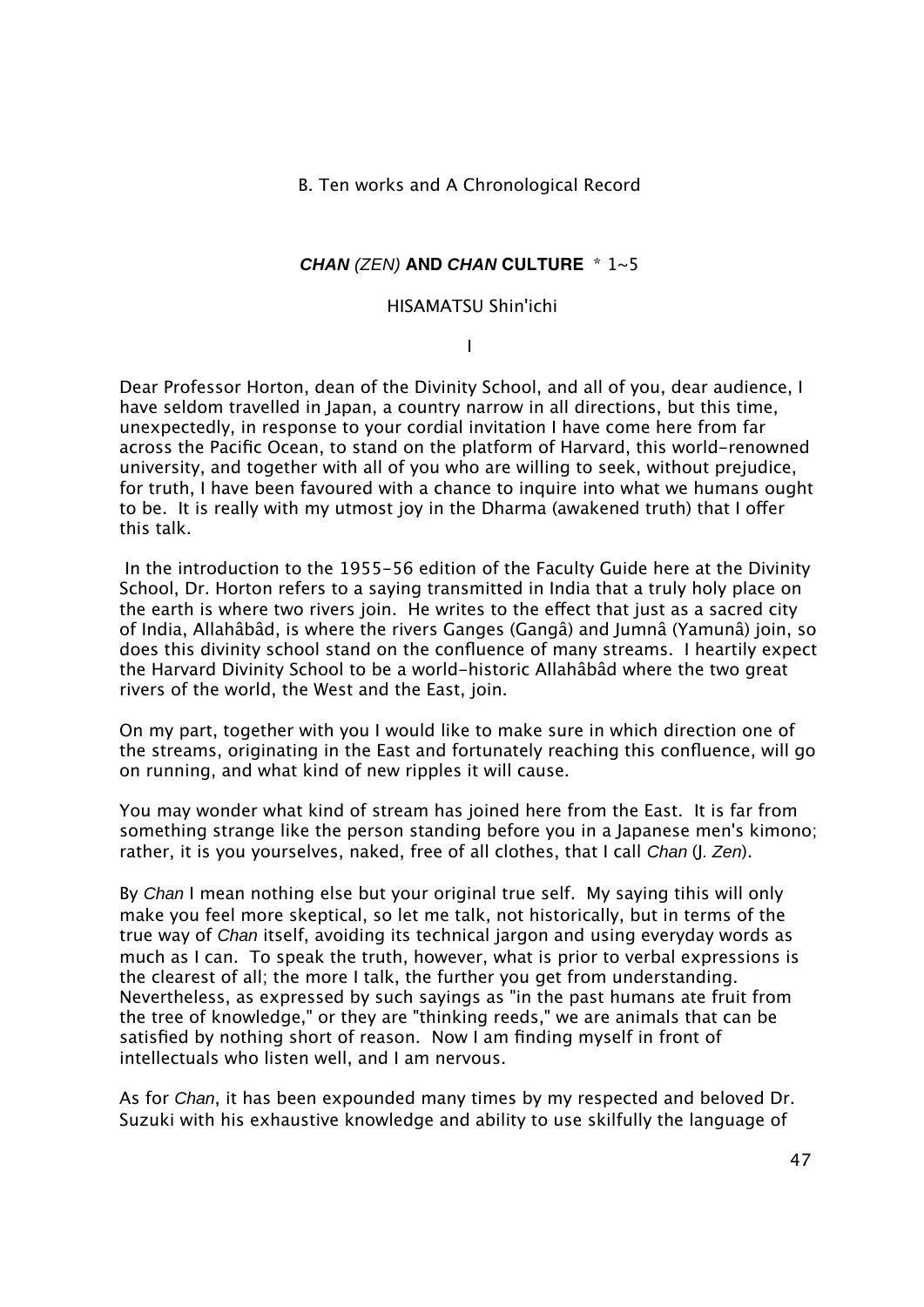B. Ten works and A Chronological Record

# **CHAN** (ZEN) **AND CHAN CULTURE** \* 1~5

## HISAMATSU Shin'ichi

I

Dear Professor Horton, dean of the Divinity School, and all of you, dear audience, I have seldom travelled in Japan, a country narrow in all directions, but this time, unexpectedly, in response to your cordial invitation I have come here from far across the Pacific Ocean, to stand on the platform of Harvard, this world-renowned university, and together with all of you who are willing to seek, without prejudice, for truth, I have been favoured with a chance to inquire into what we humans ought to be. It is really with my utmost joy in the Dharma (awakened truth) that I offer this talk.

 In the introduction to the 1955-56 edition of the Faculty Guide here at the Divinity School, Dr. Horton refers to a saying transmitted in India that a truly holy place on the earth is where two rivers join. He writes to the effect that just as a sacred city of India, Allahâbâd, is where the rivers Ganges (Gangâ) and Jumnâ (Yamunâ) join, so does this divinity school stand on the confluence of many streams. I heartily expect the Harvard Divinity School to be a world-historic Allahâbâd where the two great rivers of the world, the West and the East, join.

On my part, together with you I would like to make sure in which direction one of the streams, originating in the East and fortunately reaching this confluence, will go on running, and what kind of new ripples it will cause.

You may wonder what kind of stream has joined here from the East. It is far from something strange like the person standing before you in a Japanese men's kimono; rather, it is you yourselves, naked, free of all clothes, that I call Chan (J. Zen).

By Chan I mean nothing else but your original true self. My saying tihis will only make you feel more skeptical, so let me talk, not historically, but in terms of the true way of *Chan* itself, avoiding its technical jargon and using everyday words as much as I can. To speak the truth, however, what is prior to verbal expressions is the clearest of all; the more I talk, the further you get from understanding. Nevertheless, as expressed by such sayings as "in the past humans ate fruit from the tree of knowledge," or they are "thinking reeds," we are animals that can be satisfied by nothing short of reason. Now I am finding myself in front of intellectuals who listen well, and I am nervous.

As for Chan, it has been expounded many times by my respected and beloved Dr. Suzuki with his exhaustive knowledge and ability to use skilfully the language of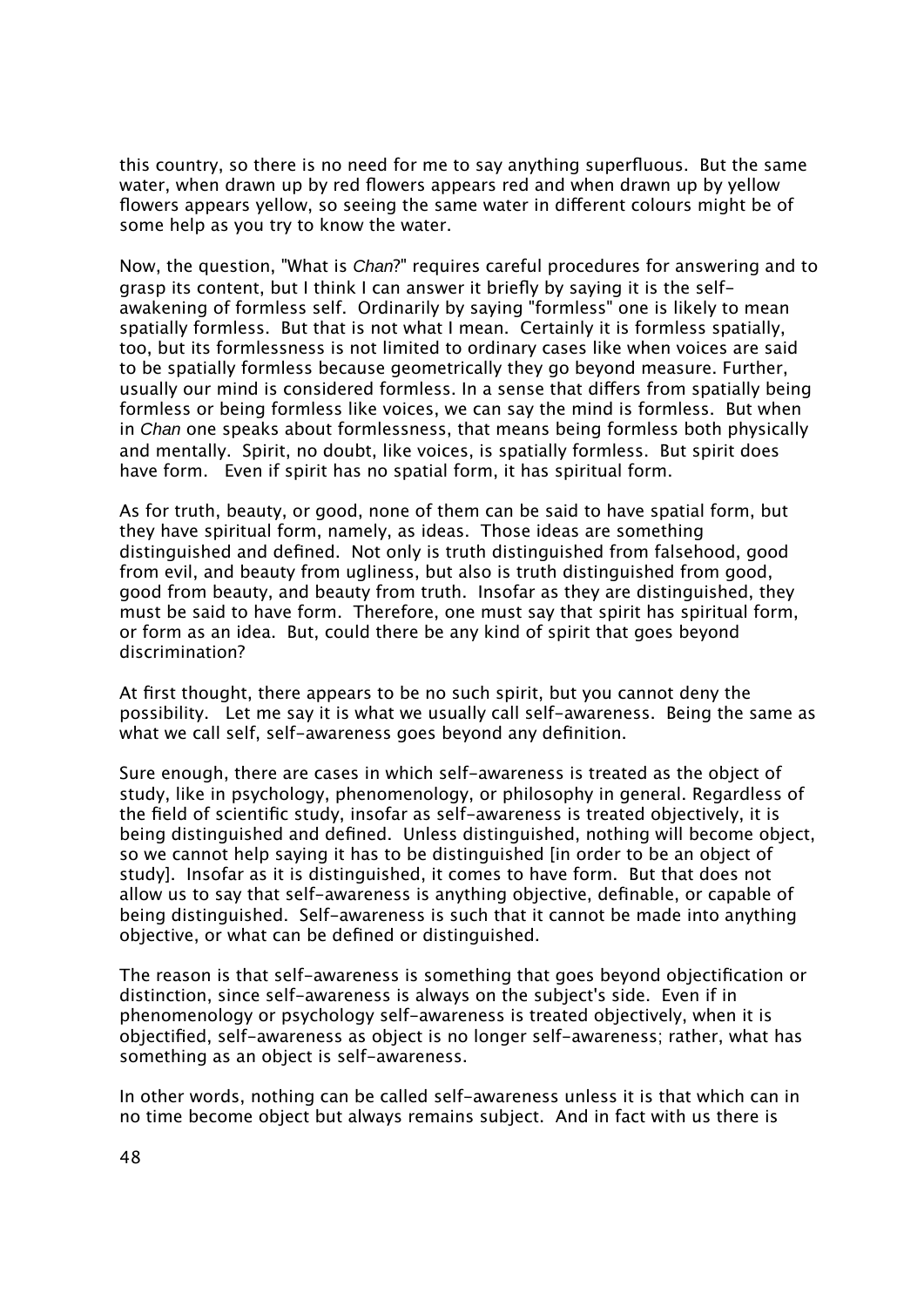this country, so there is no need for me to say anything superfluous. But the same water, when drawn up by red flowers appears red and when drawn up by yellow flowers appears yellow, so seeing the same water in different colours might be of some help as you try to know the water.

Now, the question, "What is Chan?" requires careful procedures for answering and to grasp its content, but I think I can answer it briefly by saying it is the selfawakening of formless self. Ordinarily by saying "formless" one is likely to mean spatially formless. But that is not what I mean. Certainly it is formless spatially, too, but its formlessness is not limited to ordinary cases like when voices are said to be spatially formless because geometrically they go beyond measure. Further, usually our mind is considered formless. In a sense that differs from spatially being formless or being formless like voices, we can say the mind is formless. But when in Chan one speaks about formlessness, that means being formless both physically and mentally. Spirit, no doubt, like voices, is spatially formless. But spirit does have form. Even if spirit has no spatial form, it has spiritual form.

As for truth, beauty, or good, none of them can be said to have spatial form, but they have spiritual form, namely, as ideas. Those ideas are something distinguished and defined. Not only is truth distinguished from falsehood, good from evil, and beauty from ugliness, but also is truth distinguished from good, good from beauty, and beauty from truth. Insofar as they are distinguished, they must be said to have form. Therefore, one must say that spirit has spiritual form, or form as an idea. But, could there be any kind of spirit that goes beyond discrimination?

At first thought, there appears to be no such spirit, but you cannot deny the possibility. Let me say it is what we usually call self-awareness. Being the same as what we call self, self-awareness goes beyond any definition.

Sure enough, there are cases in which self-awareness is treated as the object of study, like in psychology, phenomenology, or philosophy in general. Regardless of the field of scientific study, insofar as self-awareness is treated objectively, it is being distinguished and defined. Unless distinguished, nothing will become object, so we cannot help saying it has to be distinguished [in order to be an object of study]. Insofar as it is distinguished, it comes to have form. But that does not allow us to say that self-awareness is anything objective, definable, or capable of being distinguished. Self-awareness is such that it cannot be made into anything objective, or what can be defined or distinguished.

The reason is that self-awareness is something that goes beyond objectification or distinction, since self-awareness is always on the subject's side. Even if in phenomenology or psychology self-awareness is treated objectively, when it is objectified, self-awareness as object is no longer self-awareness; rather, what has something as an object is self-awareness.

In other words, nothing can be called self-awareness unless it is that which can in no time become object but always remains subject. And in fact with us there is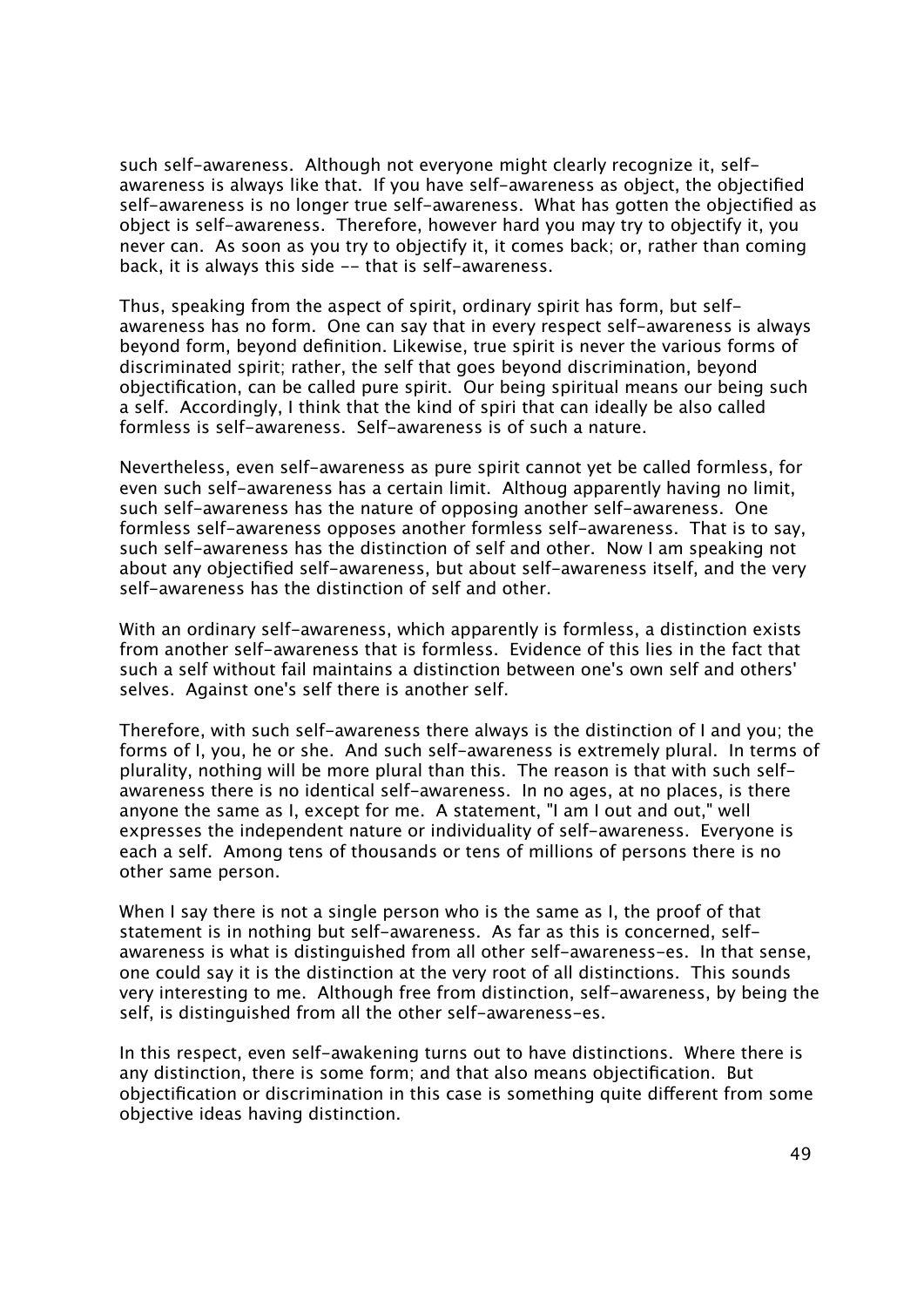such self-awareness. Although not everyone might clearly recognize it, selfawareness is always like that. If you have self-awareness as object, the objectified self-awareness is no longer true self-awareness. What has gotten the objectified as object is self-awareness. Therefore, however hard you may try to objectify it, you never can. As soon as you try to objectify it, it comes back; or, rather than coming back, it is always this side -- that is self-awareness.

Thus, speaking from the aspect of spirit, ordinary spirit has form, but selfawareness has no form. One can say that in every respect self-awareness is always beyond form, beyond definition. Likewise, true spirit is never the various forms of discriminated spirit; rather, the self that goes beyond discrimination, beyond objectification, can be called pure spirit. Our being spiritual means our being such a self. Accordingly, I think that the kind of spiri that can ideally be also called formless is self-awareness. Self-awareness is of such a nature.

Nevertheless, even self-awareness as pure spirit cannot yet be called formless, for even such self-awareness has a certain limit. Althoug apparently having no limit, such self-awareness has the nature of opposing another self-awareness. One formless self-awareness opposes another formless self-awareness. That is to say, such self-awareness has the distinction of self and other. Now I am speaking not about any objectified self-awareness, but about self-awareness itself, and the very self-awareness has the distinction of self and other.

With an ordinary self-awareness, which apparently is formless, a distinction exists from another self-awareness that is formless. Evidence of this lies in the fact that such a self without fail maintains a distinction between one's own self and others' selves. Against one's self there is another self.

Therefore, with such self-awareness there always is the distinction of I and you; the forms of I, you, he or she. And such self-awareness is extremely plural. In terms of plurality, nothing will be more plural than this. The reason is that with such selfawareness there is no identical self-awareness. In no ages, at no places, is there anyone the same as I, except for me. A statement, "I am I out and out," well expresses the independent nature or individuality of self-awareness. Everyone is each a self. Among tens of thousands or tens of millions of persons there is no other same person.

When I say there is not a single person who is the same as I, the proof of that statement is in nothing but self-awareness. As far as this is concerned, selfawareness is what is distinguished from all other self-awareness-es. In that sense, one could say it is the distinction at the very root of all distinctions. This sounds very interesting to me. Although free from distinction, self-awareness, by being the self, is distinguished from all the other self-awareness-es.

In this respect, even self-awakening turns out to have distinctions. Where there is any distinction, there is some form; and that also means objectification. But objectification or discrimination in this case is something quite different from some objective ideas having distinction.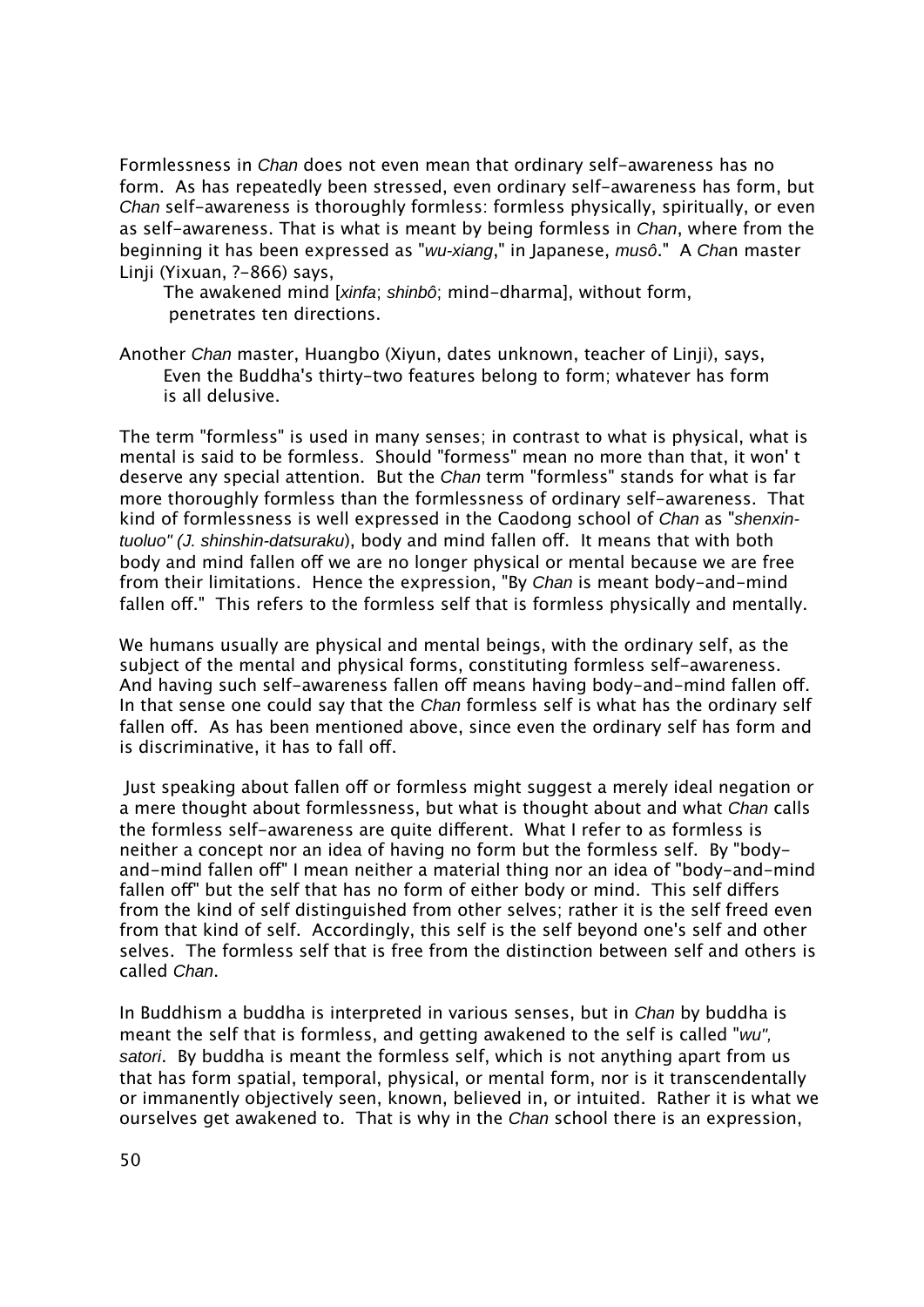Formlessness in Chan does not even mean that ordinary self-awareness has no form. As has repeatedly been stressed, even ordinary self-awareness has form, but Chan self-awareness is thoroughly formless: formless physically, spiritually, or even as self-awareness. That is what is meant by being formless in Chan, where from the beginning it has been expressed as "wu-xiang." in Japanese, *musô*." A Chan master Linji (Yixuan, ?-866) says,

The awakened mind [xinfa; shinbô; mind-dharma], without form, penetrates ten directions.

Another Chan master, Huangbo (Xiyun, dates unknown, teacher of Linji), says, Even the Buddha's thirty-two features belong to form; whatever has form is all delusive.

The term "formless" is used in many senses; in contrast to what is physical, what is mental is said to be formless. Should "formess" mean no more than that, it won' t deserve any special attention. But the Chan term "formless" stands for what is far more thoroughly formless than the formlessness of ordinary self-awareness. That kind of formlessness is well expressed in the Caodong school of Chan as "shenxintuoluo" (J. shinshin-datsuraku), body and mind fallen off. It means that with both body and mind fallen off we are no longer physical or mental because we are free from their limitations. Hence the expression, "By Chan is meant body-and-mind fallen off." This refers to the formless self that is formless physically and mentally.

We humans usually are physical and mental beings, with the ordinary self, as the subject of the mental and physical forms, constituting formless self-awareness. And having such self-awareness fallen off means having body-and-mind fallen off. In that sense one could say that the *Chan* formless self is what has the ordinary self fallen off. As has been mentioned above, since even the ordinary self has form and is discriminative, it has to fall off.

 Just speaking about fallen off or formless might suggest a merely ideal negation or a mere thought about formlessness, but what is thought about and what Chan calls the formless self-awareness are quite different. What I refer to as formless is neither a concept nor an idea of having no form but the formless self. By "bodyand-mind fallen off" I mean neither a material thing nor an idea of "body-and-mind fallen off" but the self that has no form of either body or mind. This self differs from the kind of self distinguished from other selves; rather it is the self freed even from that kind of self. Accordingly, this self is the self beyond one's self and other selves. The formless self that is free from the distinction between self and others is called Chan.

In Buddhism a buddha is interpreted in various senses, but in *Chan* by buddha is meant the self that is formless, and getting awakened to the self is called "wu", satori. By buddha is meant the formless self, which is not anything apart from us that has form spatial, temporal, physical, or mental form, nor is it transcendentally or immanently objectively seen, known, believed in, or intuited. Rather it is what we ourselves get awakened to. That is why in the Chan school there is an expression,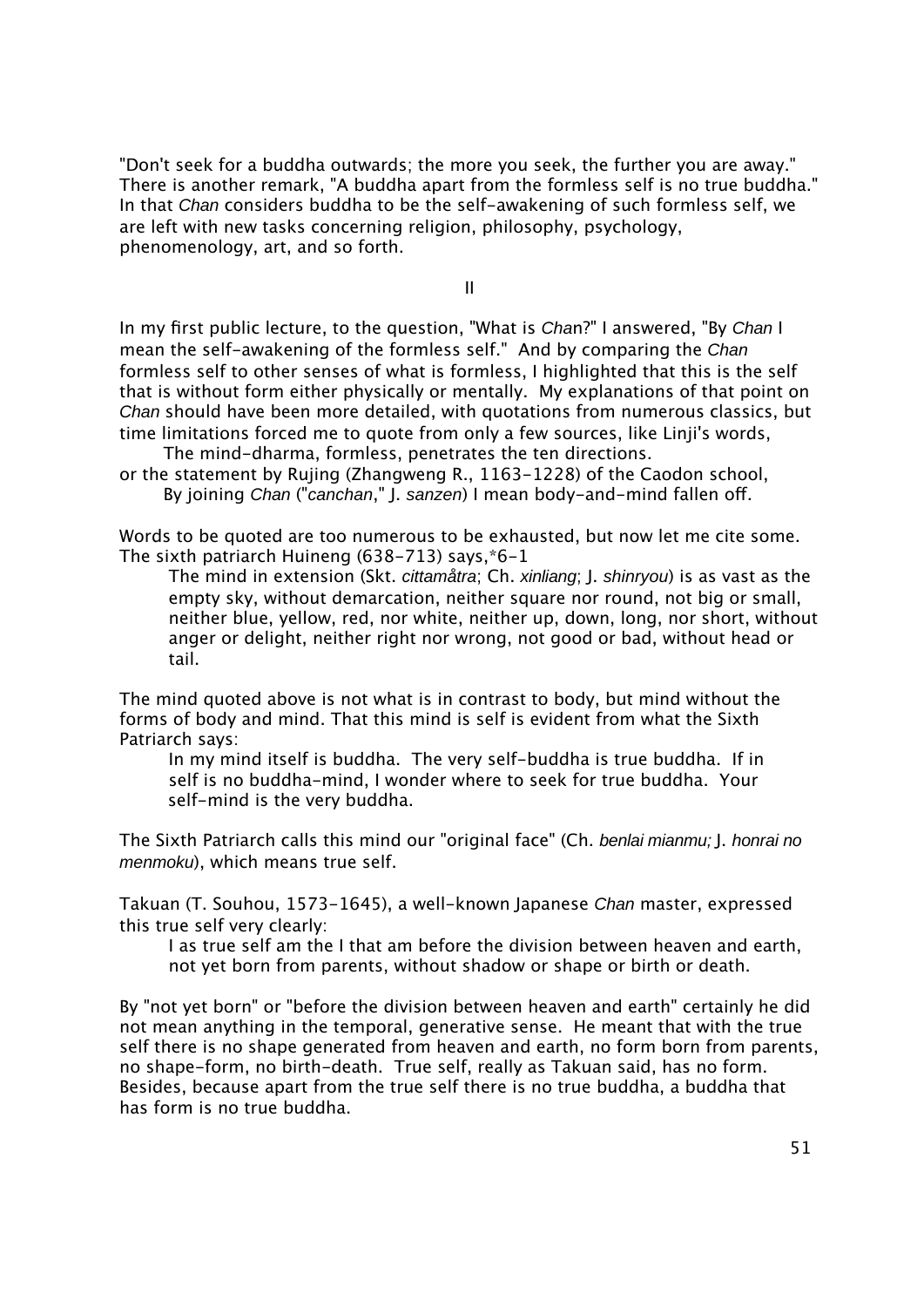"Don't seek for a buddha outwards; the more you seek, the further you are away." There is another remark, "A buddha apart from the formless self is no true buddha." In that Chan considers buddha to be the self-awakening of such formless self, we are left with new tasks concerning religion, philosophy, psychology, phenomenology, art, and so forth.

II

In my first public lecture, to the question, "What is Chan?" I answered, "By Chan I mean the self-awakening of the formless self." And by comparing the Chan formless self to other senses of what is formless, I highlighted that this is the self that is without form either physically or mentally. My explanations of that point on Chan should have been more detailed, with quotations from numerous classics, but time limitations forced me to quote from only a few sources, like Linji's words, The mind-dharma, formless, penetrates the ten directions.

or the statement by Rujing (Zhangweng R., 1163-1228) of the Caodon school, By joining Chan ("canchan," J. sanzen) I mean body-and-mind fallen off.

Words to be quoted are too numerous to be exhausted, but now let me cite some. The sixth patriarch Huineng (638-713) says,\*6-1

The mind in extension (Skt. cittamåtra; Ch. xinliang; J. shinryou) is as vast as the empty sky, without demarcation, neither square nor round, not big or small, neither blue, yellow, red, nor white, neither up, down, long, nor short, without anger or delight, neither right nor wrong, not good or bad, without head or tail.

The mind quoted above is not what is in contrast to body, but mind without the forms of body and mind. That this mind is self is evident from what the Sixth Patriarch says:

 In my mind itself is buddha. The very self-buddha is true buddha. If in self is no buddha-mind, I wonder where to seek for true buddha. Your self-mind is the very buddha.

The Sixth Patriarch calls this mind our "original face" (Ch. benlai mianmu; J. honrai no menmoku), which means true self.

Takuan (T. Souhou, 1573-1645), a well-known Japanese Chan master, expressed this true self very clearly:

 I as true self am the I that am before the division between heaven and earth, not yet born from parents, without shadow or shape or birth or death.

By "not yet born" or "before the division between heaven and earth" certainly he did not mean anything in the temporal, generative sense. He meant that with the true self there is no shape generated from heaven and earth, no form born from parents, no shape-form, no birth-death. True self, really as Takuan said, has no form. Besides, because apart from the true self there is no true buddha, a buddha that has form is no true buddha.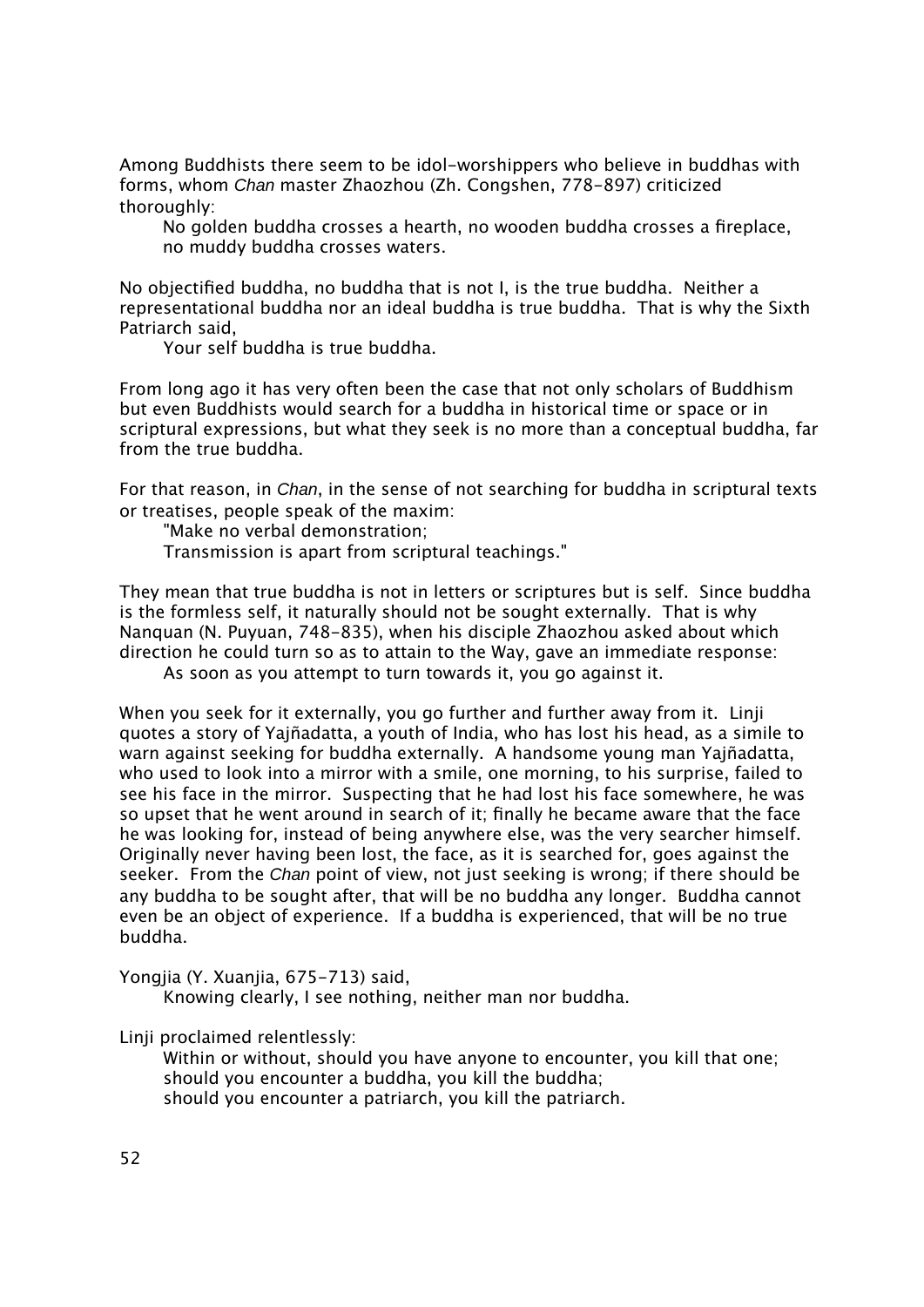Among Buddhists there seem to be idol-worshippers who believe in buddhas with forms, whom Chan master Zhaozhou (Zh. Congshen, 778-897) criticized thoroughly:

 No golden buddha crosses a hearth, no wooden buddha crosses a fireplace, no muddy buddha crosses waters.

No objectified buddha, no buddha that is not I, is the true buddha. Neither a representational buddha nor an ideal buddha is true buddha. That is why the Sixth Patriarch said,

Your self buddha is true buddha.

From long ago it has very often been the case that not only scholars of Buddhism but even Buddhists would search for a buddha in historical time or space or in scriptural expressions, but what they seek is no more than a conceptual buddha, far from the true buddha.

For that reason, in Chan, in the sense of not searching for buddha in scriptural texts or treatises, people speak of the maxim:

"Make no verbal demonstration;

Transmission is apart from scriptural teachings."

They mean that true buddha is not in letters or scriptures but is self. Since buddha is the formless self, it naturally should not be sought externally. That is why Nanquan (N. Puyuan, 748-835), when his disciple Zhaozhou asked about which direction he could turn so as to attain to the Way, gave an immediate response: As soon as you attempt to turn towards it, you go against it.

When you seek for it externally, you go further and further away from it. Linji quotes a story of Yajñadatta, a youth of India, who has lost his head, as a simile to warn against seeking for buddha externally. A handsome young man Yajñadatta, who used to look into a mirror with a smile, one morning, to his surprise, failed to see his face in the mirror. Suspecting that he had lost his face somewhere, he was so upset that he went around in search of it; finally he became aware that the face he was looking for, instead of being anywhere else, was the very searcher himself. Originally never having been lost, the face, as it is searched for, goes against the seeker. From the Chan point of view, not just seeking is wrong; if there should be any buddha to be sought after, that will be no buddha any longer. Buddha cannot even be an object of experience. If a buddha is experienced, that will be no true buddha.

Yongjia (Y. Xuanjia, 675-713) said,

Knowing clearly, I see nothing, neither man nor buddha.

Linji proclaimed relentlessly:

Within or without, should you have anyone to encounter, you kill that one; should you encounter a buddha, you kill the buddha; should you encounter a patriarch, you kill the patriarch.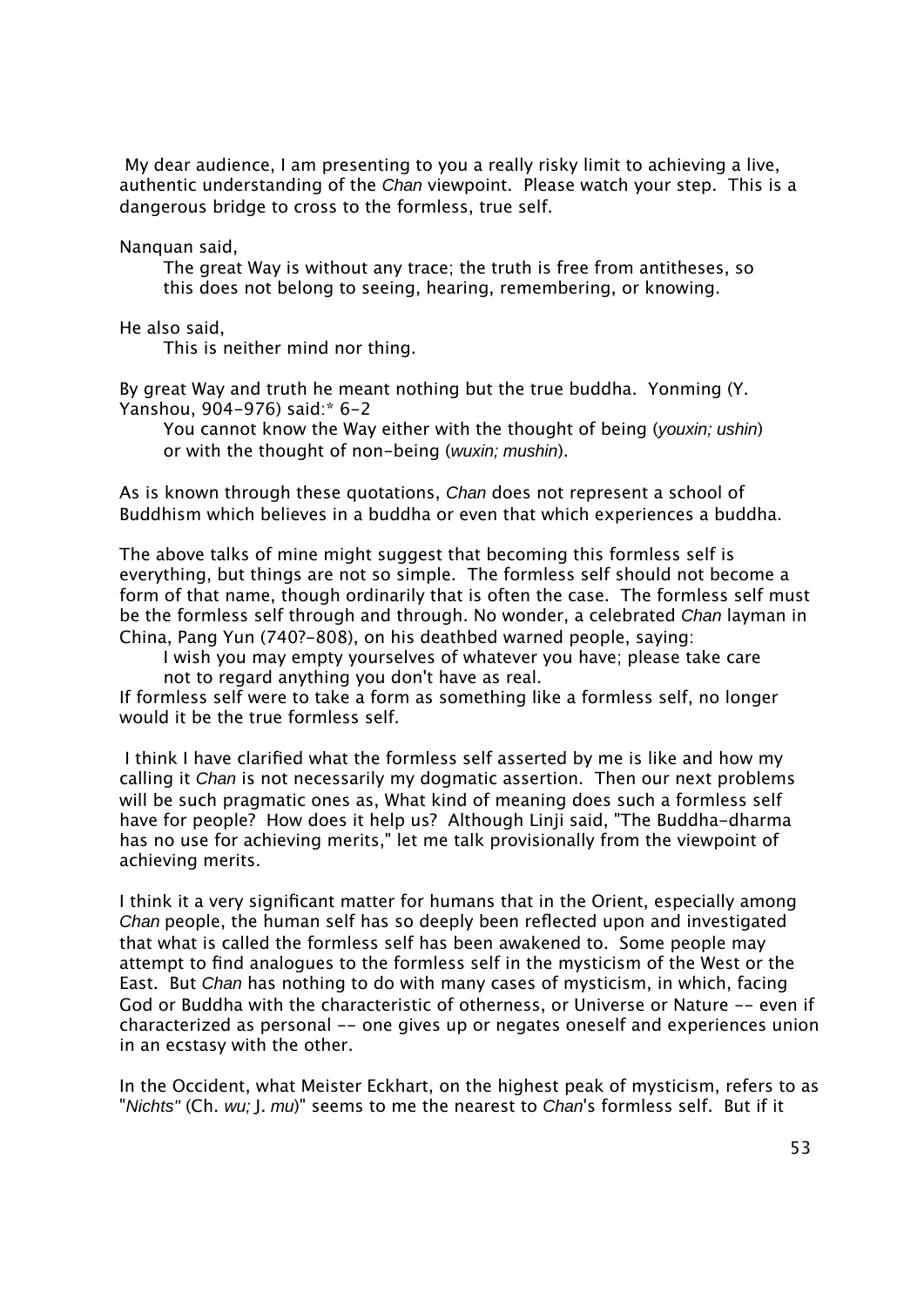My dear audience, I am presenting to you a really risky limit to achieving a live, authentic understanding of the Chan viewpoint. Please watch your step. This is a dangerous bridge to cross to the formless, true self.

Nanquan said,

The great Way is without any trace; the truth is free from antitheses, so this does not belong to seeing, hearing, remembering, or knowing.

He also said,

This is neither mind nor thing.

By great Way and truth he meant nothing but the true buddha. Yonming (Y. Yanshou, 904-976) said:\* 6-2

You cannot know the Way either with the thought of being (youxin; ushin) or with the thought of non-being (wuxin; mushin).

As is known through these quotations, Chan does not represent a school of Buddhism which believes in a buddha or even that which experiences a buddha.

The above talks of mine might suggest that becoming this formless self is everything, but things are not so simple. The formless self should not become a form of that name, though ordinarily that is often the case. The formless self must be the formless self through and through. No wonder, a celebrated Chan layman in China, Pang Yun (740?-808), on his deathbed warned people, saying:

I wish you may empty yourselves of whatever you have; please take care not to regard anything you don't have as real.

If formless self were to take a form as something like a formless self, no longer would it be the true formless self.

 I think I have clarified what the formless self asserted by me is like and how my calling it Chan is not necessarily my dogmatic assertion. Then our next problems will be such pragmatic ones as, What kind of meaning does such a formless self have for people? How does it help us? Although Linji said, "The Buddha-dharma has no use for achieving merits," let me talk provisionally from the viewpoint of achieving merits.

I think it a very significant matter for humans that in the Orient, especially among Chan people, the human self has so deeply been reflected upon and investigated that what is called the formless self has been awakened to. Some people may attempt to find analogues to the formless self in the mysticism of the West or the East. But Chan has nothing to do with many cases of mysticism, in which, facing God or Buddha with the characteristic of otherness, or Universe or Nature -- even if characterized as personal -- one gives up or negates oneself and experiences union in an ecstasy with the other.

In the Occident, what Meister Eckhart, on the highest peak of mysticism, refers to as "Nichts" (Ch. wu; J. mu)" seems to me the nearest to Chan's formless self. But if it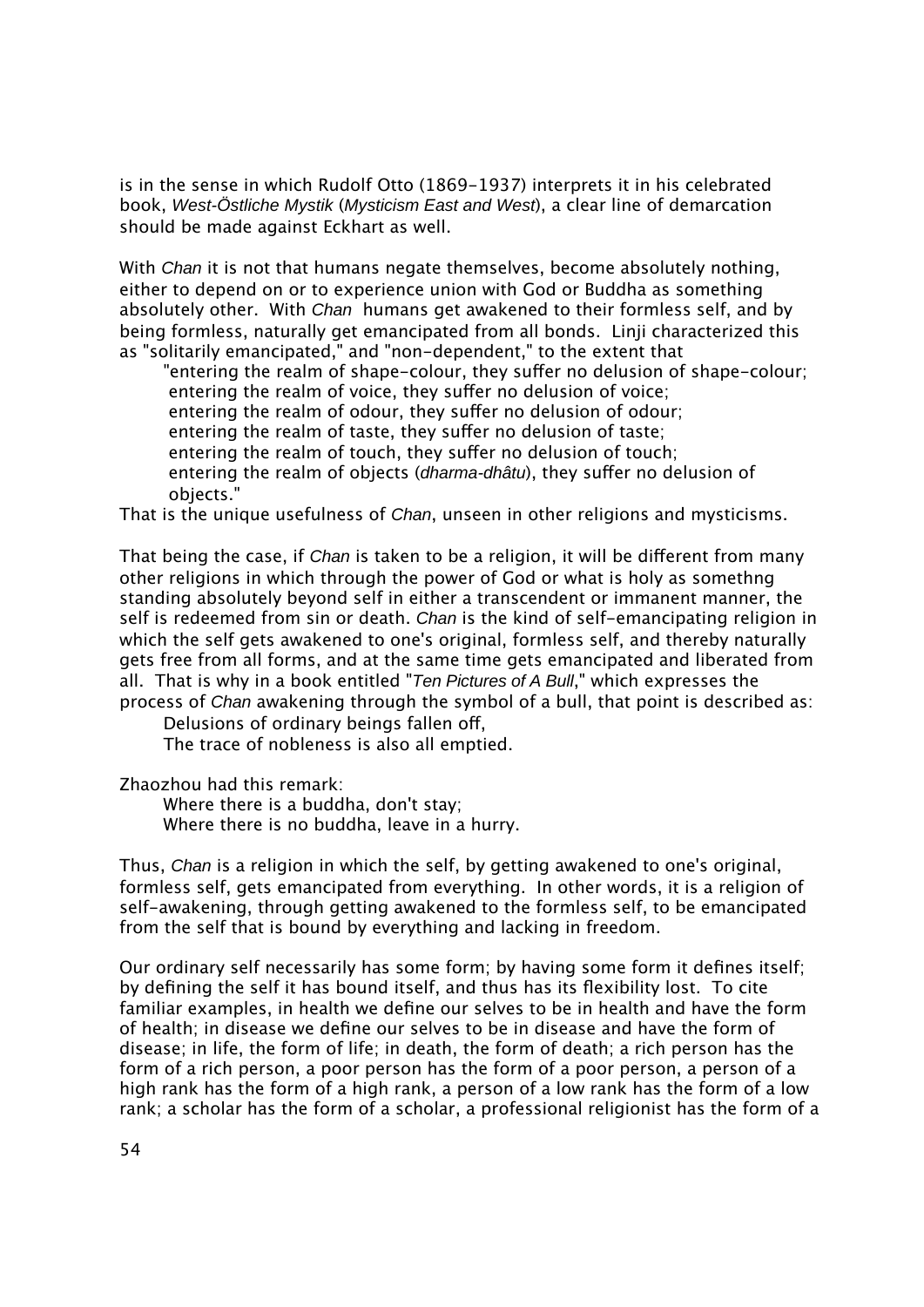is in the sense in which Rudolf Otto (1869-1937) interprets it in his celebrated book, West-Östliche Mystik (Mysticism East and West), a clear line of demarcation should be made against Eckhart as well.

With *Chan* it is not that humans negate themselves, become absolutely nothing, either to depend on or to experience union with God or Buddha as something absolutely other. With Chan humans get awakened to their formless self, and by being formless, naturally get emancipated from all bonds. Linji characterized this as "solitarily emancipated," and "non-dependent," to the extent that

"entering the realm of shape-colour, they suffer no delusion of shape-colour; entering the realm of voice, they suffer no delusion of voice; entering the realm of odour, they suffer no delusion of odour;

entering the realm of taste, they suffer no delusion of taste;

entering the realm of touch, they suffer no delusion of touch;

 entering the realm of objects (dharma-dhâtu), they suffer no delusion of objects."

That is the unique usefulness of *Chan*, unseen in other religions and mysticisms.

That being the case, if *Chan* is taken to be a religion, it will be different from many other religions in which through the power of God or what is holy as somethng standing absolutely beyond self in either a transcendent or immanent manner, the self is redeemed from sin or death. *Chan* is the kind of self-emancipating religion in which the self gets awakened to one's original, formless self, and thereby naturally gets free from all forms, and at the same time gets emancipated and liberated from all. That is why in a book entitled "Ten Pictures of A Bull," which expresses the process of Chan awakening through the symbol of a bull, that point is described as: Delusions of ordinary beings fallen off,

The trace of nobleness is also all emptied.

Zhaozhou had this remark:

Where there is a buddha, don't stay; Where there is no buddha, leave in a hurry.

Thus, Chan is a religion in which the self, by getting awakened to one's original, formless self, gets emancipated from everything. In other words, it is a religion of self-awakening, through getting awakened to the formless self, to be emancipated from the self that is bound by everything and lacking in freedom.

Our ordinary self necessarily has some form; by having some form it defines itself; by defining the self it has bound itself, and thus has its flexibility lost. To cite familiar examples, in health we define our selves to be in health and have the form of health; in disease we define our selves to be in disease and have the form of disease; in life, the form of life; in death, the form of death; a rich person has the form of a rich person, a poor person has the form of a poor person, a person of a high rank has the form of a high rank, a person of a low rank has the form of a low rank; a scholar has the form of a scholar, a professional religionist has the form of a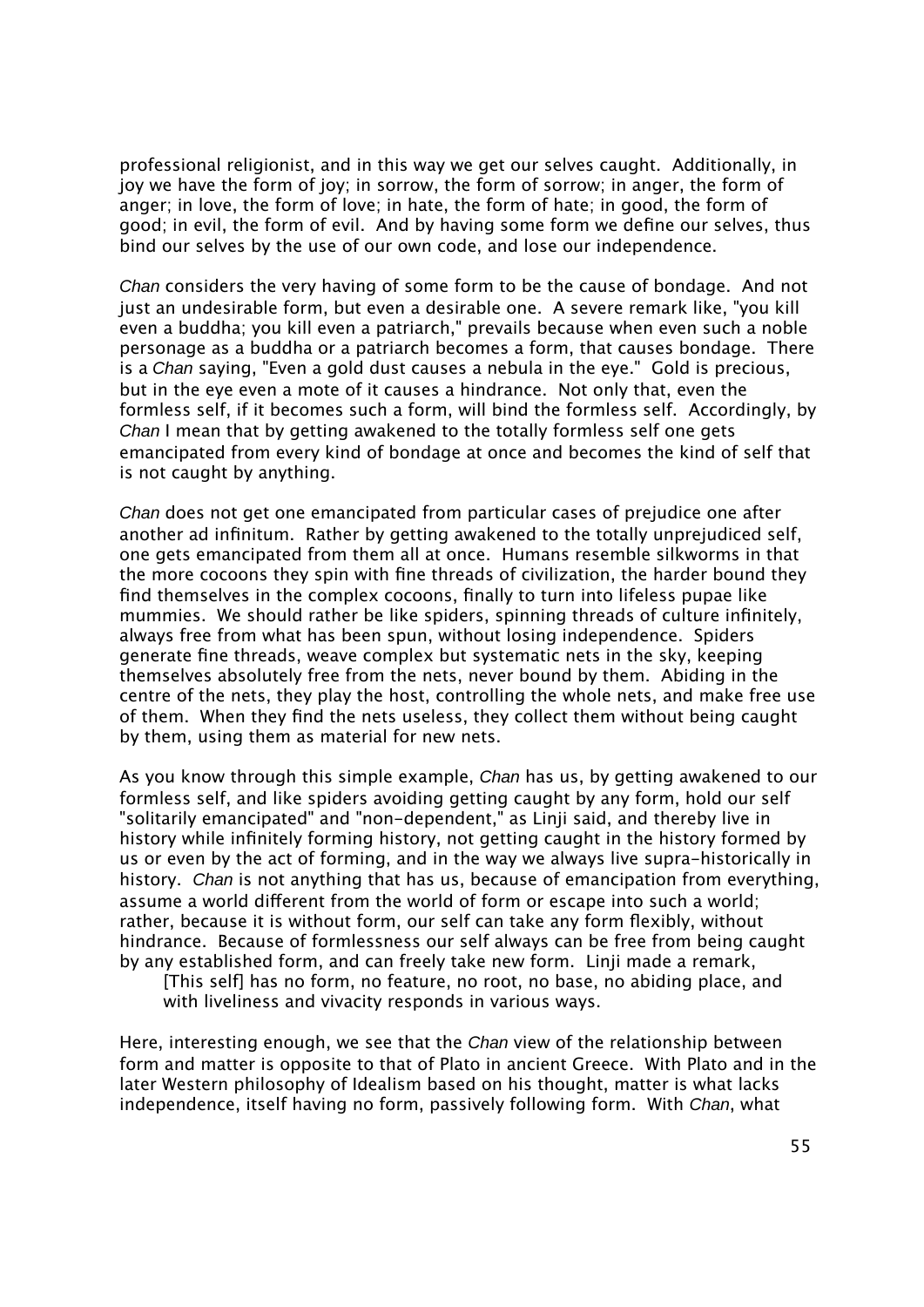professional religionist, and in this way we get our selves caught. Additionally, in joy we have the form of joy; in sorrow, the form of sorrow; in anger, the form of anger; in love, the form of love; in hate, the form of hate; in good, the form of good; in evil, the form of evil. And by having some form we define our selves, thus bind our selves by the use of our own code, and lose our independence.

Chan considers the very having of some form to be the cause of bondage. And not just an undesirable form, but even a desirable one. A severe remark like, "you kill even a buddha; you kill even a patriarch," prevails because when even such a noble personage as a buddha or a patriarch becomes a form, that causes bondage. There is a Chan saying, "Even a gold dust causes a nebula in the eye." Gold is precious, but in the eye even a mote of it causes a hindrance. Not only that, even the formless self, if it becomes such a form, will bind the formless self. Accordingly, by Chan I mean that by getting awakened to the totally formless self one gets emancipated from every kind of bondage at once and becomes the kind of self that is not caught by anything.

Chan does not get one emancipated from particular cases of prejudice one after another ad infinitum. Rather by getting awakened to the totally unprejudiced self, one gets emancipated from them all at once. Humans resemble silkworms in that the more cocoons they spin with fine threads of civilization, the harder bound they find themselves in the complex cocoons, finally to turn into lifeless pupae like mummies. We should rather be like spiders, spinning threads of culture infinitely, always free from what has been spun, without losing independence. Spiders generate fine threads, weave complex but systematic nets in the sky, keeping themselves absolutely free from the nets, never bound by them. Abiding in the centre of the nets, they play the host, controlling the whole nets, and make free use of them. When they find the nets useless, they collect them without being caught by them, using them as material for new nets.

As you know through this simple example, *Chan* has us, by getting awakened to our formless self, and like spiders avoiding getting caught by any form, hold our self "solitarily emancipated" and "non-dependent," as Linji said, and thereby live in history while infinitely forming history, not getting caught in the history formed by us or even by the act of forming, and in the way we always live supra-historically in history. Chan is not anything that has us, because of emancipation from everything, assume a world different from the world of form or escape into such a world; rather, because it is without form, our self can take any form flexibly, without hindrance. Because of formlessness our self always can be free from being caught by any established form, and can freely take new form. Linji made a remark,

[This self] has no form, no feature, no root, no base, no abiding place, and with liveliness and vivacity responds in various ways.

Here, interesting enough, we see that the *Chan* view of the relationship between form and matter is opposite to that of Plato in ancient Greece. With Plato and in the later Western philosophy of Idealism based on his thought, matter is what lacks independence, itself having no form, passively following form. With Chan, what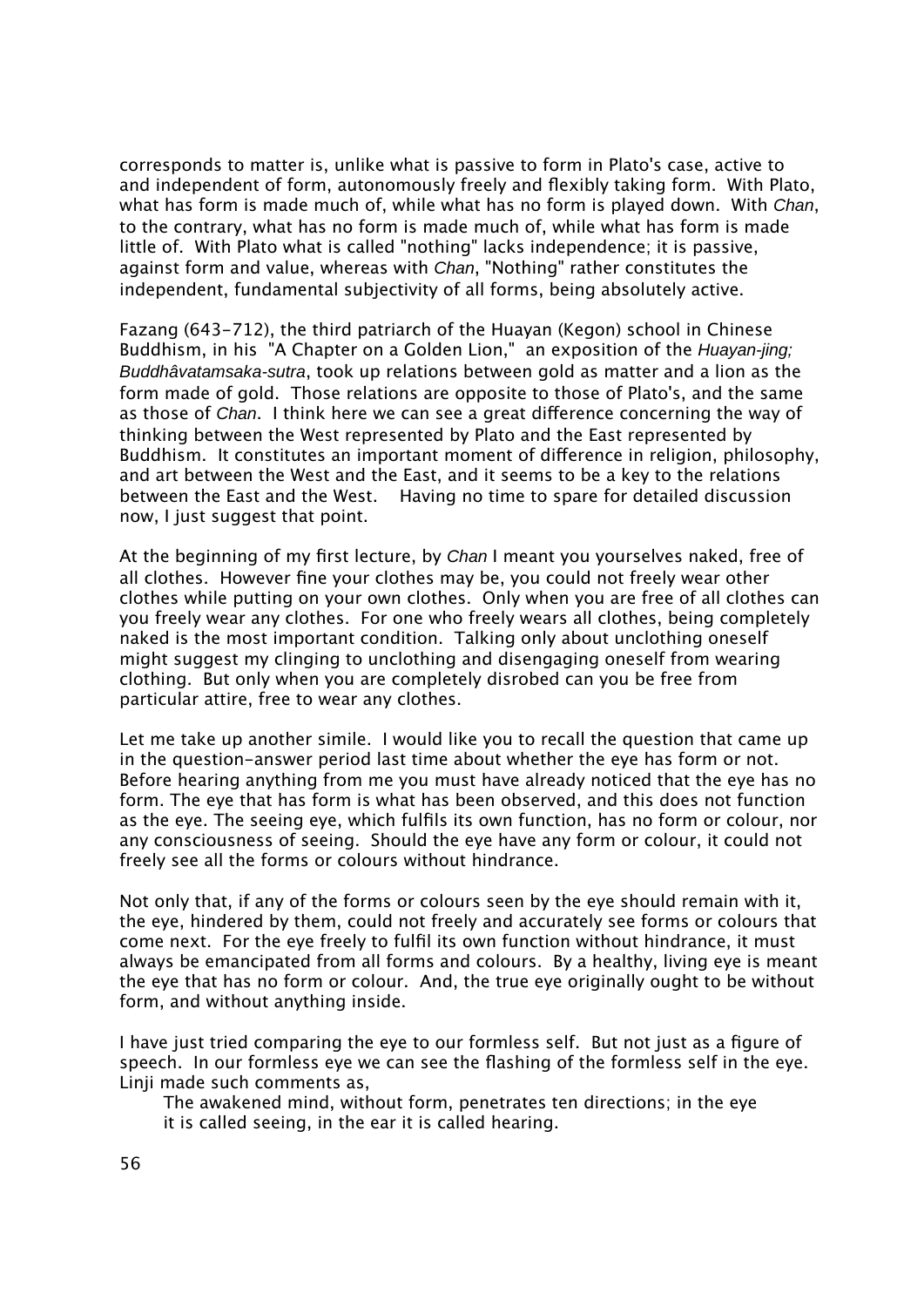corresponds to matter is, unlike what is passive to form in Plato's case, active to and independent of form, autonomously freely and flexibly taking form. With Plato, what has form is made much of, while what has no form is played down. With *Chan*, to the contrary, what has no form is made much of, while what has form is made little of. With Plato what is called "nothing" lacks independence; it is passive, against form and value, whereas with Chan, "Nothing" rather constitutes the independent, fundamental subjectivity of all forms, being absolutely active.

Fazang (643-712), the third patriarch of the Huayan (Kegon) school in Chinese Buddhism, in his "A Chapter on a Golden Lion," an exposition of the *Huayan-jing*; Buddhâvatamsaka-sutra, took up relations between gold as matter and a lion as the form made of gold. Those relations are opposite to those of Plato's, and the same as those of *Chan*. I think here we can see a great difference concerning the way of thinking between the West represented by Plato and the East represented by Buddhism. It constitutes an important moment of difference in religion, philosophy, and art between the West and the East, and it seems to be a key to the relations between the East and the West. Having no time to spare for detailed discussion now, I just suggest that point.

At the beginning of my first lecture, by Chan I meant you yourselves naked, free of all clothes. However fine your clothes may be, you could not freely wear other clothes while putting on your own clothes. Only when you are free of all clothes can you freely wear any clothes. For one who freely wears all clothes, being completely naked is the most important condition. Talking only about unclothing oneself might suggest my clinging to unclothing and disengaging oneself from wearing clothing. But only when you are completely disrobed can you be free from particular attire, free to wear any clothes.

Let me take up another simile. I would like you to recall the question that came up in the question-answer period last time about whether the eye has form or not. Before hearing anything from me you must have already noticed that the eye has no form. The eye that has form is what has been observed, and this does not function as the eye. The seeing eye, which fulfils its own function, has no form or colour, nor any consciousness of seeing. Should the eye have any form or colour, it could not freely see all the forms or colours without hindrance.

Not only that, if any of the forms or colours seen by the eye should remain with it, the eye, hindered by them, could not freely and accurately see forms or colours that come next. For the eye freely to fulfil its own function without hindrance, it must always be emancipated from all forms and colours. By a healthy, living eye is meant the eye that has no form or colour. And, the true eye originally ought to be without form, and without anything inside.

I have just tried comparing the eye to our formless self. But not just as a figure of speech. In our formless eye we can see the flashing of the formless self in the eye. Linji made such comments as,

The awakened mind, without form, penetrates ten directions; in the eye it is called seeing, in the ear it is called hearing.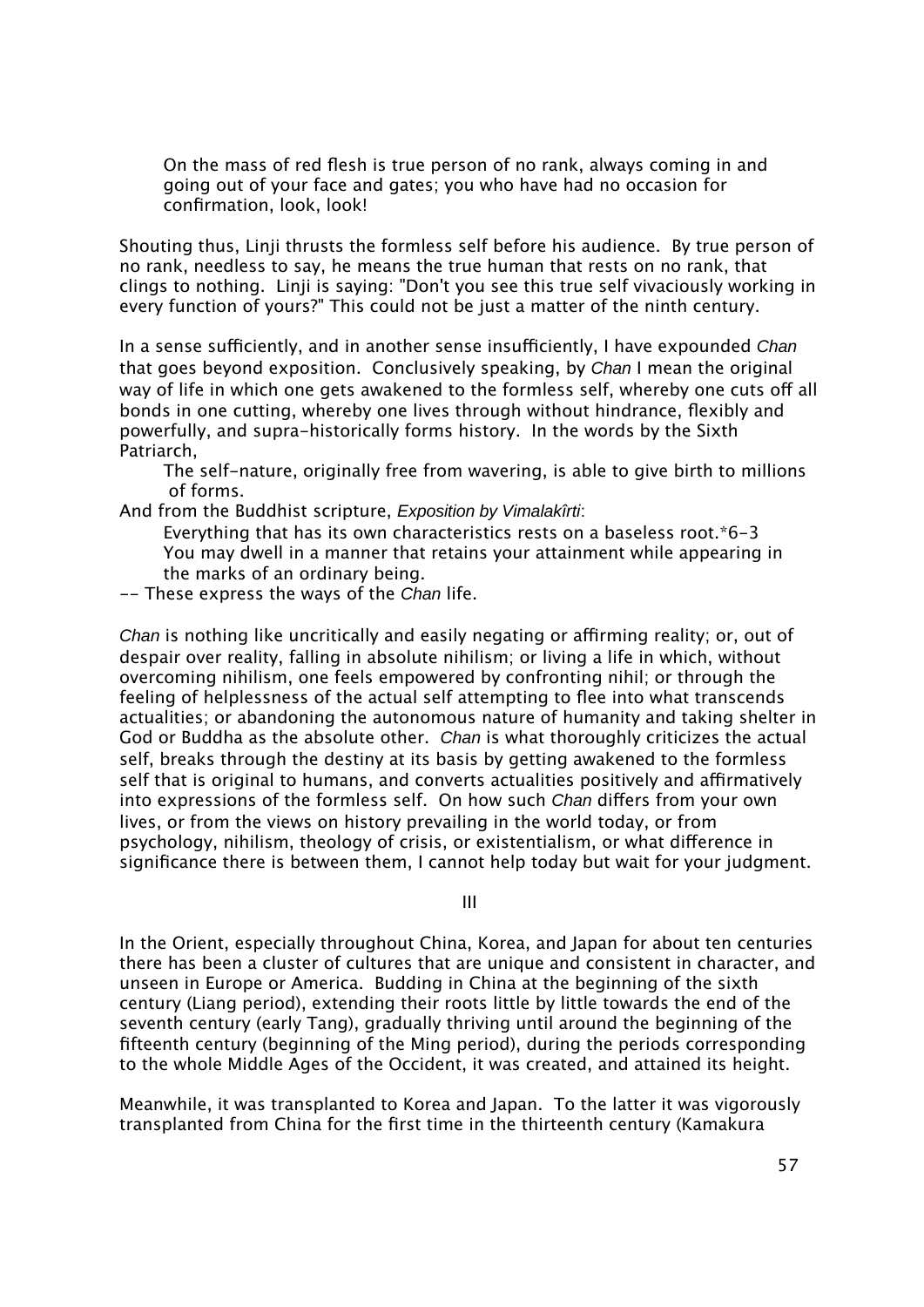On the mass of red flesh is true person of no rank, always coming in and going out of your face and gates; you who have had no occasion for confirmation, look, look!

Shouting thus, Linji thrusts the formless self before his audience. By true person of no rank, needless to say, he means the true human that rests on no rank, that clings to nothing. Linji is saying: "Don't you see this true self vivaciously working in every function of yours?" This could not be just a matter of the ninth century.

In a sense sufficiently, and in another sense insufficiently, I have expounded Chan that goes beyond exposition. Conclusively speaking, by Chan I mean the original way of life in which one gets awakened to the formless self, whereby one cuts off all bonds in one cutting, whereby one lives through without hindrance, flexibly and powerfully, and supra-historically forms history. In the words by the Sixth Patriarch,

The self-nature, originally free from wavering, is able to give birth to millions of forms.

And from the Buddhist scripture, Exposition by Vimalakîrti:

Everything that has its own characteristics rests on a baseless root.\*6-3 You may dwell in a manner that retains your attainment while appearing in the marks of an ordinary being.

-- These express the ways of the Chan life.

Chan is nothing like uncritically and easily negating or affirming reality; or, out of despair over reality, falling in absolute nihilism; or living a life in which, without overcoming nihilism, one feels empowered by confronting nihil; or through the feeling of helplessness of the actual self attempting to flee into what transcends actualities; or abandoning the autonomous nature of humanity and taking shelter in God or Buddha as the absolute other. Chan is what thoroughly criticizes the actual self, breaks through the destiny at its basis by getting awakened to the formless self that is original to humans, and converts actualities positively and affirmatively into expressions of the formless self. On how such Chan differs from your own lives, or from the views on history prevailing in the world today, or from psychology, nihilism, theology of crisis, or existentialism, or what difference in significance there is between them, I cannot help today but wait for your judgment.

III

In the Orient, especially throughout China, Korea, and Japan for about ten centuries there has been a cluster of cultures that are unique and consistent in character, and unseen in Europe or America. Budding in China at the beginning of the sixth century (Liang period), extending their roots little by little towards the end of the seventh century (early Tang), gradually thriving until around the beginning of the fifteenth century (beginning of the Ming period), during the periods corresponding to the whole Middle Ages of the Occident, it was created, and attained its height.

Meanwhile, it was transplanted to Korea and Japan. To the latter it was vigorously transplanted from China for the first time in the thirteenth century (Kamakura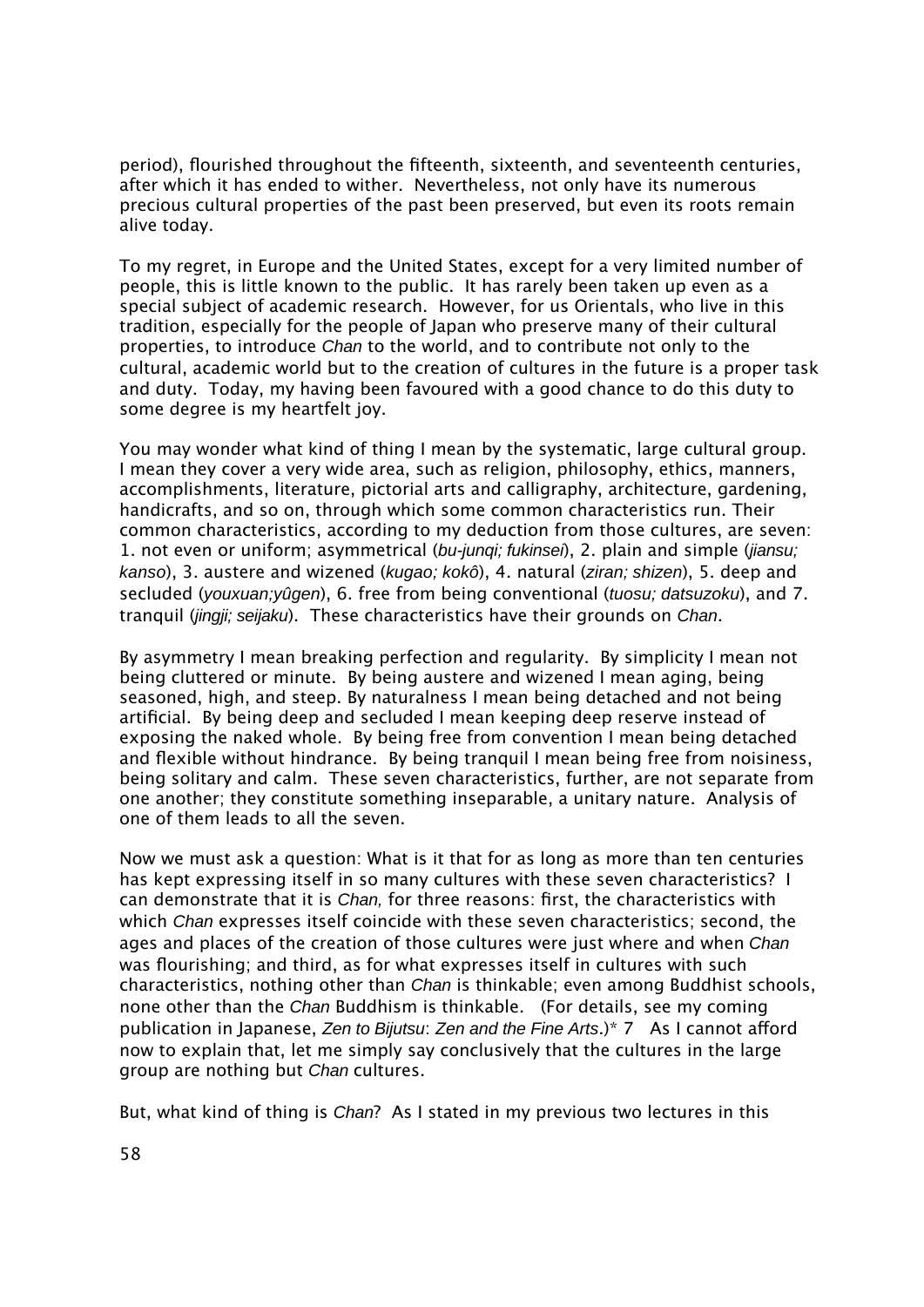period), flourished throughout the fifteenth, sixteenth, and seventeenth centuries, after which it has ended to wither. Nevertheless, not only have its numerous precious cultural properties of the past been preserved, but even its roots remain alive today.

To my regret, in Europe and the United States, except for a very limited number of people, this is little known to the public. It has rarely been taken up even as a special subject of academic research. However, for us Orientals, who live in this tradition, especially for the people of Japan who preserve many of their cultural properties, to introduce Chan to the world, and to contribute not only to the cultural, academic world but to the creation of cultures in the future is a proper task and duty. Today, my having been favoured with a good chance to do this duty to some degree is my heartfelt joy.

You may wonder what kind of thing I mean by the systematic, large cultural group. I mean they cover a very wide area, such as religion, philosophy, ethics, manners, accomplishments, literature, pictorial arts and calligraphy, architecture, gardening, handicrafts, and so on, through which some common characteristics run. Their common characteristics, according to my deduction from those cultures, are seven: 1. not even or uniform; asymmetrical (bu-jungi; fukinsei), 2. plain and simple (jiansu; kanso), 3. austere and wizened (kugao; kokô), 4. natural (ziran; shizen), 5. deep and secluded (youxuan;yûgen), 6. free from being conventional (tuosu; datsuzoku), and 7. tranquil (jingji; seijaku). These characteristics have their grounds on Chan.

By asymmetry I mean breaking perfection and regularity. By simplicity I mean not being cluttered or minute. By being austere and wizened I mean aging, being seasoned, high, and steep. By naturalness I mean being detached and not being artificial. By being deep and secluded I mean keeping deep reserve instead of exposing the naked whole. By being free from convention I mean being detached and flexible without hindrance. By being tranquil I mean being free from noisiness, being solitary and calm. These seven characteristics, further, are not separate from one another; they constitute something inseparable, a unitary nature. Analysis of one of them leads to all the seven.

Now we must ask a question: What is it that for as long as more than ten centuries has kept expressing itself in so many cultures with these seven characteristics? I can demonstrate that it is Chan, for three reasons: first, the characteristics with which Chan expresses itself coincide with these seven characteristics; second, the ages and places of the creation of those cultures were just where and when Chan was flourishing; and third, as for what expresses itself in cultures with such characteristics, nothing other than Chan is thinkable; even among Buddhist schools, none other than the Chan Buddhism is thinkable. (For details, see my coming publication in Japanese, Zen to Bijutsu: Zen and the Fine Arts.)\* 7 As I cannot afford now to explain that, let me simply say conclusively that the cultures in the large group are nothing but Chan cultures.

But, what kind of thing is *Chan*? As I stated in my previous two lectures in this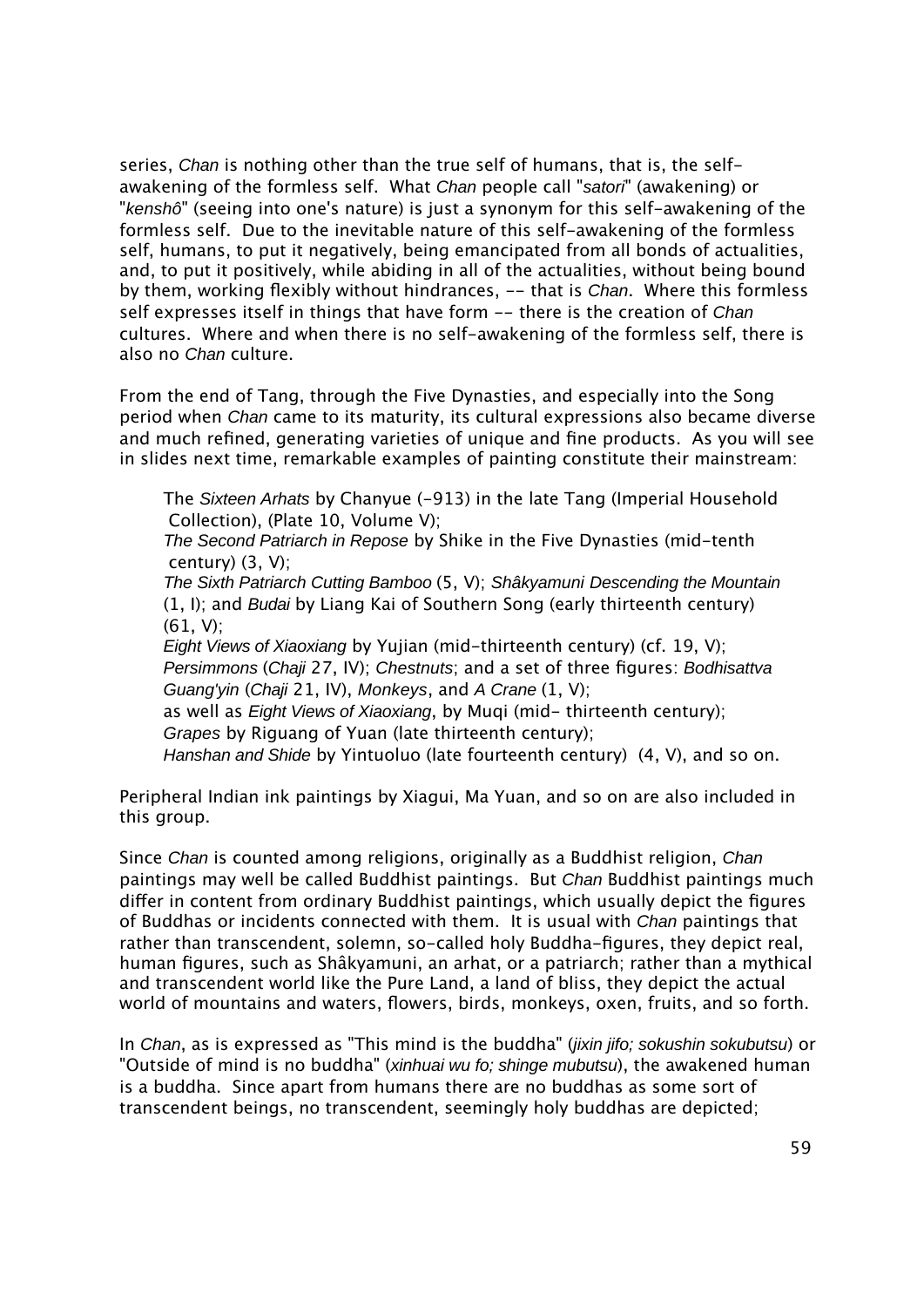series, Chan is nothing other than the true self of humans, that is, the selfawakening of the formless self. What *Chan* people call "satori" (awakening) or "kenshô" (seeing into one's nature) is just a synonym for this self-awakening of the formless self. Due to the inevitable nature of this self-awakening of the formless self, humans, to put it negatively, being emancipated from all bonds of actualities, and, to put it positively, while abiding in all of the actualities, without being bound by them, working flexibly without hindrances, -- that is *Chan*. Where this formless self expresses itself in things that have form -- there is the creation of Chan cultures. Where and when there is no self-awakening of the formless self, there is also no Chan culture.

From the end of Tang, through the Five Dynasties, and especially into the Song period when Chan came to its maturity, its cultural expressions also became diverse and much refined, generating varieties of unique and fine products. As you will see in slides next time, remarkable examples of painting constitute their mainstream:

The Sixteen Arhats by Chanyue (-913) in the late Tang (Imperial Household Collection), (Plate 10, Volume V);

The Second Patriarch in Repose by Shike in the Five Dynasties (mid-tenth century)  $(3, V)$ ;

The Sixth Patriarch Cutting Bamboo (5, V); Shâkyamuni Descending the Mountain (1, I); and Budai by Liang Kai of Southern Song (early thirteenth century) (61, V);

Eight Views of Xiaoxiang by Yujian (mid-thirteenth century) (cf. 19, V); Persimmons (Chaji 27, IV); Chestnuts; and a set of three figures: Bodhisattva Guang'yin (Chaji 21, IV), Monkeys, and A Crane (1, V);

as well as Eight Views of Xiaoxiang, by Muqi (mid- thirteenth century); Grapes by Riguang of Yuan (late thirteenth century);

Hanshan and Shide by Yintuoluo (late fourteenth century) (4, V), and so on.

Peripheral Indian ink paintings by Xiagui, Ma Yuan, and so on are also included in this group.

Since Chan is counted among religions, originally as a Buddhist religion, Chan paintings may well be called Buddhist paintings. But *Chan* Buddhist paintings much differ in content from ordinary Buddhist paintings, which usually depict the figures of Buddhas or incidents connected with them. It is usual with Chan paintings that rather than transcendent, solemn, so-called holy Buddha-figures, they depict real, human figures, such as Shâkyamuni, an arhat, or a patriarch; rather than a mythical and transcendent world like the Pure Land, a land of bliss, they depict the actual world of mountains and waters, flowers, birds, monkeys, oxen, fruits, and so forth.

In Chan, as is expressed as "This mind is the buddha" (jixin jifo; sokushin sokubutsu) or "Outside of mind is no buddha" (xinhuai wu fo; shinge mubutsu), the awakened human is a buddha. Since apart from humans there are no buddhas as some sort of transcendent beings, no transcendent, seemingly holy buddhas are depicted;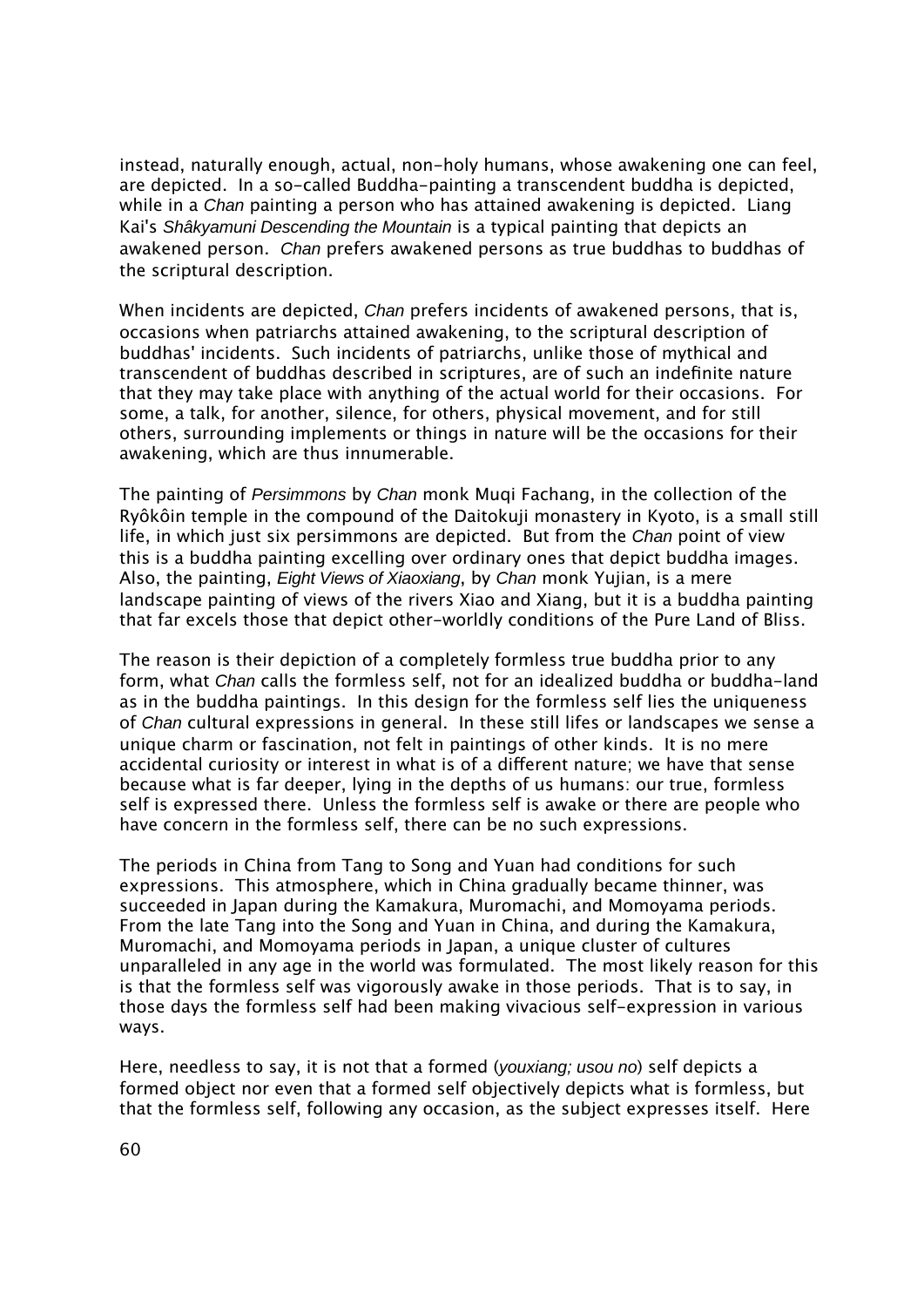instead, naturally enough, actual, non-holy humans, whose awakening one can feel, are depicted. In a so-called Buddha-painting a transcendent buddha is depicted, while in a Chan painting a person who has attained awakening is depicted. Liang Kai's Shâkyamuni Descending the Mountain is a typical painting that depicts an awakened person. Chan prefers awakened persons as true buddhas to buddhas of the scriptural description.

When incidents are depicted, *Chan* prefers incidents of awakened persons, that is, occasions when patriarchs attained awakening, to the scriptural description of buddhas' incidents. Such incidents of patriarchs, unlike those of mythical and transcendent of buddhas described in scriptures, are of such an indefinite nature that they may take place with anything of the actual world for their occasions. For some, a talk, for another, silence, for others, physical movement, and for still others, surrounding implements or things in nature will be the occasions for their awakening, which are thus innumerable.

The painting of Persimmons by Chan monk Muqi Fachang, in the collection of the Ryôkôin temple in the compound of the Daitokuji monastery in Kyoto, is a small still life, in which just six persimmons are depicted. But from the *Chan* point of view this is a buddha painting excelling over ordinary ones that depict buddha images. Also, the painting, Eight Views of Xiaoxiang, by Chan monk Yujian, is a mere landscape painting of views of the rivers Xiao and Xiang, but it is a buddha painting that far excels those that depict other-worldly conditions of the Pure Land of Bliss.

The reason is their depiction of a completely formless true buddha prior to any form, what Chan calls the formless self, not for an idealized buddha or buddha-land as in the buddha paintings. In this design for the formless self lies the uniqueness of Chan cultural expressions in general. In these still lifes or landscapes we sense a unique charm or fascination, not felt in paintings of other kinds. It is no mere accidental curiosity or interest in what is of a different nature; we have that sense because what is far deeper, lying in the depths of us humans: our true, formless self is expressed there. Unless the formless self is awake or there are people who have concern in the formless self, there can be no such expressions.

The periods in China from Tang to Song and Yuan had conditions for such expressions. This atmosphere, which in China gradually became thinner, was succeeded in Japan during the Kamakura, Muromachi, and Momoyama periods. From the late Tang into the Song and Yuan in China, and during the Kamakura, Muromachi, and Momoyama periods in Japan, a unique cluster of cultures unparalleled in any age in the world was formulated. The most likely reason for this is that the formless self was vigorously awake in those periods. That is to say, in those days the formless self had been making vivacious self-expression in various ways.

Here, needless to say, it is not that a formed (*youxiang; usou no*) self depicts a formed object nor even that a formed self objectively depicts what is formless, but that the formless self, following any occasion, as the subject expresses itself. Here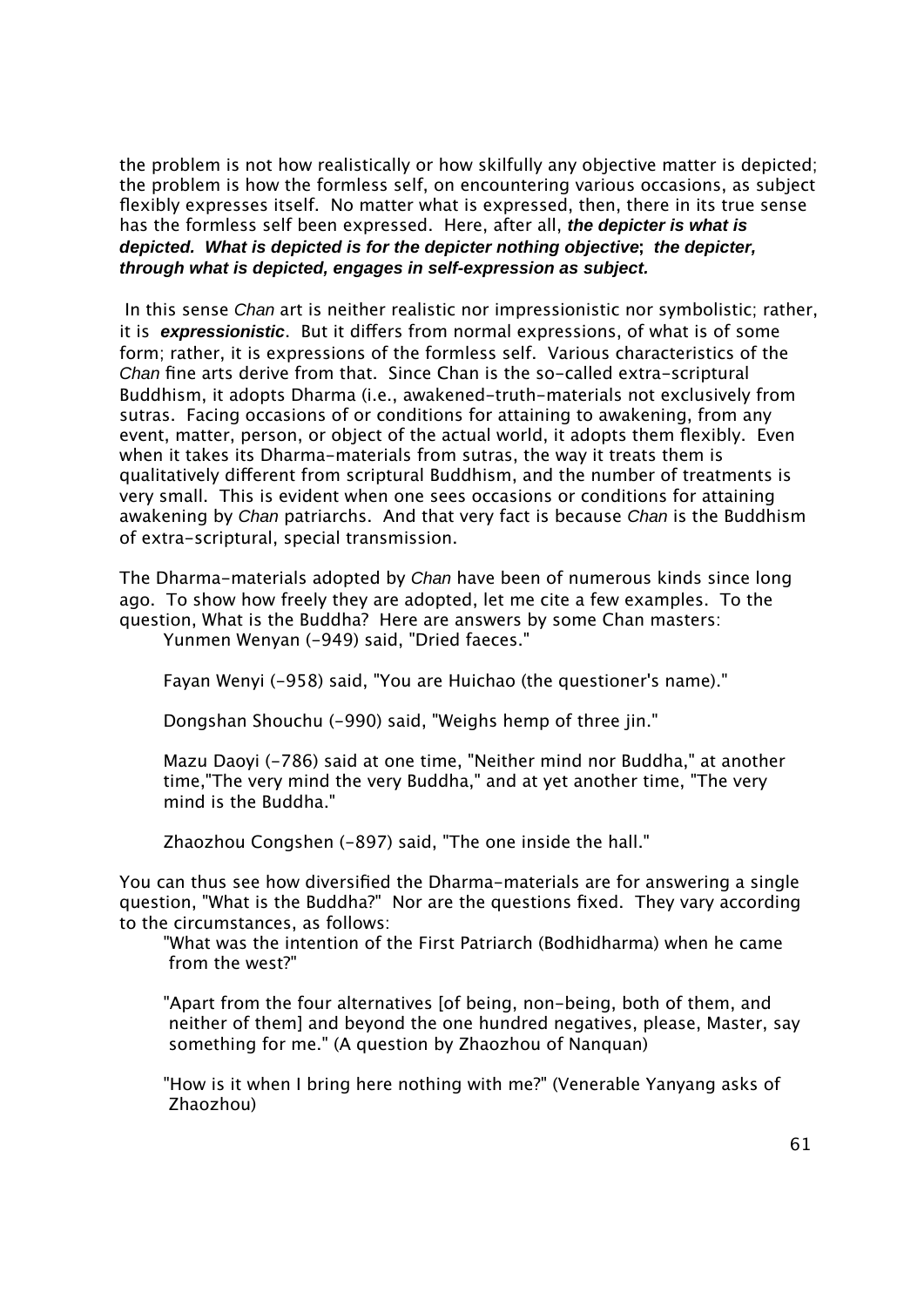the problem is not how realistically or how skilfully any objective matter is depicted; the problem is how the formless self, on encountering various occasions, as subject flexibly expresses itself. No matter what is expressed, then, there in its true sense has the formless self been expressed. Here, after all, **the depicter is what is depicted. What is depicted is for the depicter nothing objective; the depicter, through what is depicted, engages in self-expression as subject.**

In this sense *Chan* art is neither realistic nor impressionistic nor symbolistic; rather, it is **expressionistic**. But it differs from normal expressions, of what is of some form; rather, it is expressions of the formless self. Various characteristics of the Chan fine arts derive from that. Since Chan is the so-called extra-scriptural Buddhism, it adopts Dharma (i.e., awakened-truth-materials not exclusively from sutras. Facing occasions of or conditions for attaining to awakening, from any event, matter, person, or object of the actual world, it adopts them flexibly. Even when it takes its Dharma-materials from sutras, the way it treats them is qualitatively different from scriptural Buddhism, and the number of treatments is very small. This is evident when one sees occasions or conditions for attaining awakening by Chan patriarchs. And that very fact is because Chan is the Buddhism of extra-scriptural, special transmission.

The Dharma-materials adopted by Chan have been of numerous kinds since long ago. To show how freely they are adopted, let me cite a few examples. To the question, What is the Buddha? Here are answers by some Chan masters:

Yunmen Wenyan (-949) said, "Dried faeces."

Fayan Wenyi (-958) said, "You are Huichao (the questioner's name)."

Dongshan Shouchu (-990) said, "Weighs hemp of three jin."

Mazu Daoyi (-786) said at one time, "Neither mind nor Buddha," at another time,"The very mind the very Buddha," and at yet another time, "The very mind is the Buddha."

Zhaozhou Congshen (-897) said, "The one inside the hall."

You can thus see how diversified the Dharma-materials are for answering a single question, "What is the Buddha?" Nor are the questions fixed. They vary according to the circumstances, as follows:

"What was the intention of the First Patriarch (Bodhidharma) when he came from the west?"

"Apart from the four alternatives [of being, non-being, both of them, and neither of them] and beyond the one hundred negatives, please, Master, say something for me." (A question by Zhaozhou of Nanquan)

"How is it when I bring here nothing with me?" (Venerable Yanyang asks of Zhaozhou)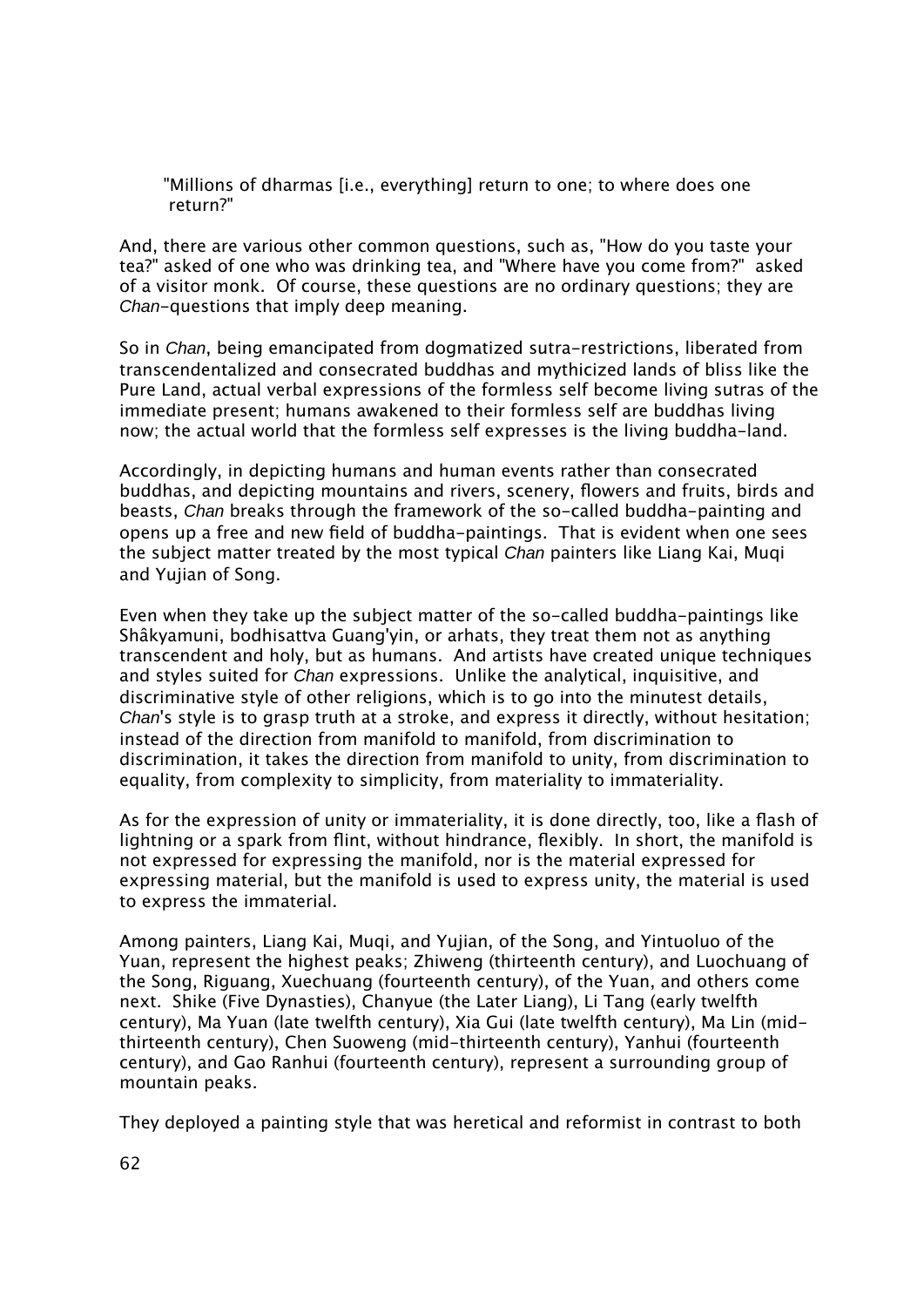"Millions of dharmas [i.e., everything] return to one; to where does one return?"

And, there are various other common questions, such as, "How do you taste your tea?" asked of one who was drinking tea, and "Where have you come from?" asked of a visitor monk. Of course, these questions are no ordinary questions; they are Chan-questions that imply deep meaning.

So in Chan, being emancipated from dogmatized sutra-restrictions, liberated from transcendentalized and consecrated buddhas and mythicized lands of bliss like the Pure Land, actual verbal expressions of the formless self become living sutras of the immediate present; humans awakened to their formless self are buddhas living now; the actual world that the formless self expresses is the living buddha-land.

Accordingly, in depicting humans and human events rather than consecrated buddhas, and depicting mountains and rivers, scenery, flowers and fruits, birds and beasts, Chan breaks through the framework of the so-called buddha-painting and opens up a free and new field of buddha-paintings. That is evident when one sees the subject matter treated by the most typical *Chan* painters like Liang Kai, Mugi and Yujian of Song.

Even when they take up the subject matter of the so-called buddha-paintings like Shâkyamuni, bodhisattva Guang'yin, or arhats, they treat them not as anything transcendent and holy, but as humans. And artists have created unique techniques and styles suited for *Chan* expressions. Unlike the analytical, inquisitive, and discriminative style of other religions, which is to go into the minutest details, Chan's style is to grasp truth at a stroke, and express it directly, without hesitation; instead of the direction from manifold to manifold, from discrimination to discrimination, it takes the direction from manifold to unity, from discrimination to equality, from complexity to simplicity, from materiality to immateriality.

As for the expression of unity or immateriality, it is done directly, too, like a flash of lightning or a spark from flint, without hindrance, flexibly. In short, the manifold is not expressed for expressing the manifold, nor is the material expressed for expressing material, but the manifold is used to express unity, the material is used to express the immaterial.

Among painters, Liang Kai, Muqi, and Yujian, of the Song, and Yintuoluo of the Yuan, represent the highest peaks; Zhiweng (thirteenth century), and Luochuang of the Song, Riguang, Xuechuang (fourteenth century), of the Yuan, and others come next. Shike (Five Dynasties), Chanyue (the Later Liang), Li Tang (early twelfth century), Ma Yuan (late twelfth century), Xia Gui (late twelfth century), Ma Lin (midthirteenth century), Chen Suoweng (mid-thirteenth century), Yanhui (fourteenth century), and Gao Ranhui (fourteenth century), represent a surrounding group of mountain peaks.

They deployed a painting style that was heretical and reformist in contrast to both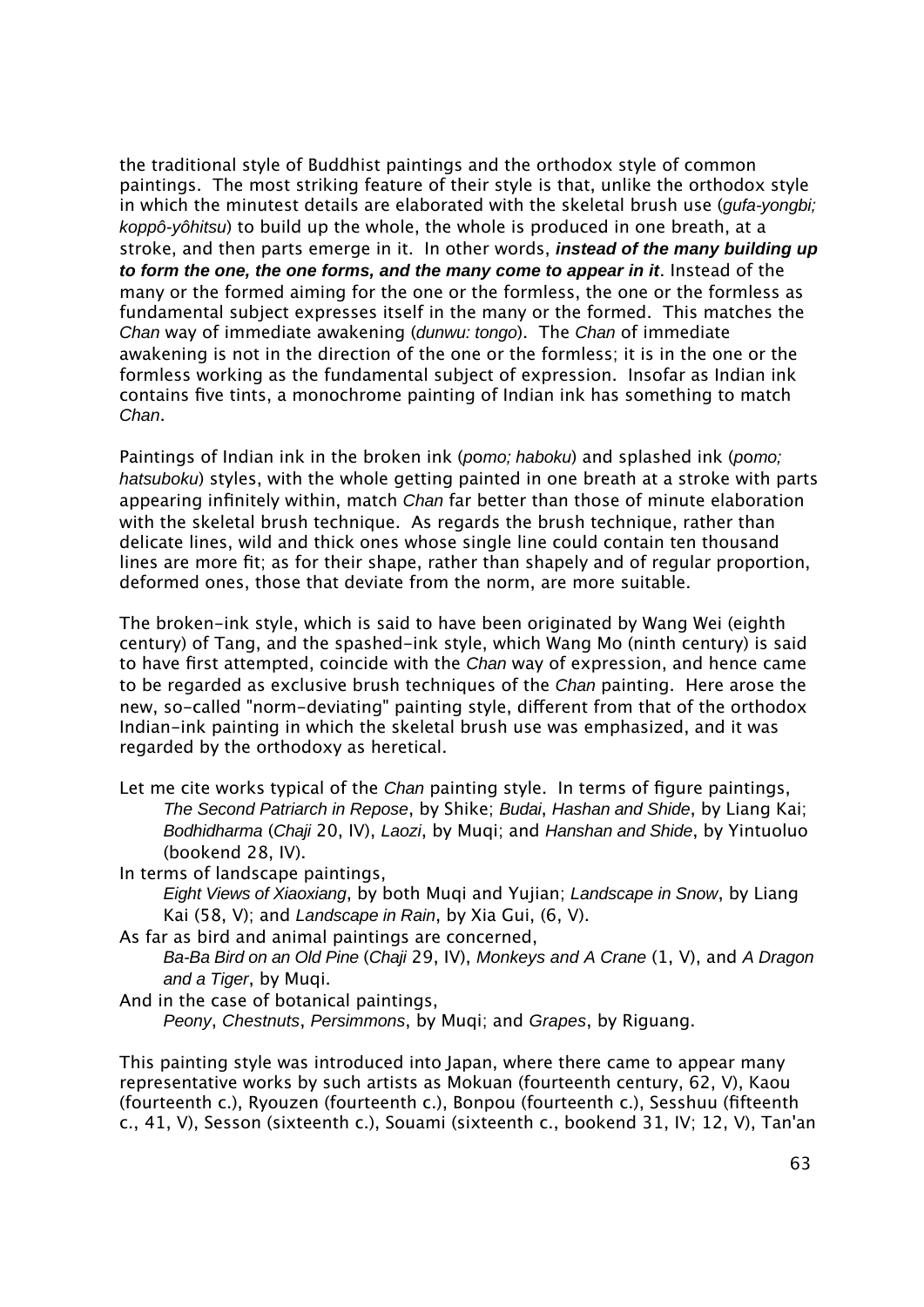the traditional style of Buddhist paintings and the orthodox style of common paintings. The most striking feature of their style is that, unlike the orthodox style in which the minutest details are elaborated with the skeletal brush use (gufa-yongbi; koppô-yôhitsu) to build up the whole, the whole is produced in one breath, at a stroke, and then parts emerge in it. In other words, **instead of the many building up to form the one, the one forms, and the many come to appear in it**. Instead of the many or the formed aiming for the one or the formless, the one or the formless as fundamental subject expresses itself in the many or the formed. This matches the Chan way of immediate awakening (dunwu: tongo). The Chan of immediate awakening is not in the direction of the one or the formless; it is in the one or the formless working as the fundamental subject of expression. Insofar as Indian ink contains five tints, a monochrome painting of Indian ink has something to match Chan.

Paintings of Indian ink in the broken ink (pomo; haboku) and splashed ink (pomo; hatsuboku) styles, with the whole getting painted in one breath at a stroke with parts appearing infinitely within, match Chan far better than those of minute elaboration with the skeletal brush technique. As regards the brush technique, rather than delicate lines, wild and thick ones whose single line could contain ten thousand lines are more fit; as for their shape, rather than shapely and of regular proportion, deformed ones, those that deviate from the norm, are more suitable.

The broken-ink style, which is said to have been originated by Wang Wei (eighth century) of Tang, and the spashed-ink style, which Wang Mo (ninth century) is said to have first attempted, coincide with the *Chan* way of expression, and hence came to be regarded as exclusive brush techniques of the Chan painting. Here arose the new, so-called "norm-deviating" painting style, different from that of the orthodox Indian-ink painting in which the skeletal brush use was emphasized, and it was regarded by the orthodoxy as heretical.

- Let me cite works typical of the Chan painting style. In terms of figure paintings, The Second Patriarch in Repose, by Shike; Budai, Hashan and Shide, by Liang Kai; Bodhidharma (Chaji 20, IV), Laozi, by Muqi; and Hanshan and Shide, by Yintuoluo (bookend 28, IV).
- In terms of landscape paintings,

Eight Views of Xiaoxiang, by both Muqi and Yujian; Landscape in Snow, by Liang Kai (58, V); and Landscape in Rain, by Xia Gui, (6, V).

As far as bird and animal paintings are concerned, Ba-Ba Bird on an Old Pine (Chaji 29, IV), Monkeys and A Crane (1, V), and A Dragon and a Tiger, by Muqi.

And in the case of botanical paintings, Peony, Chestnuts, Persimmons, by Muqi; and Grapes, by Riguang.

This painting style was introduced into Japan, where there came to appear many representative works by such artists as Mokuan (fourteenth century, 62, V), Kaou (fourteenth c.), Ryouzen (fourteenth c.), Bonpou (fourteenth c.), Sesshuu (fifteenth c., 41, V), Sesson (sixteenth c.), Souami (sixteenth c., bookend 31, IV; 12, V), Tan'an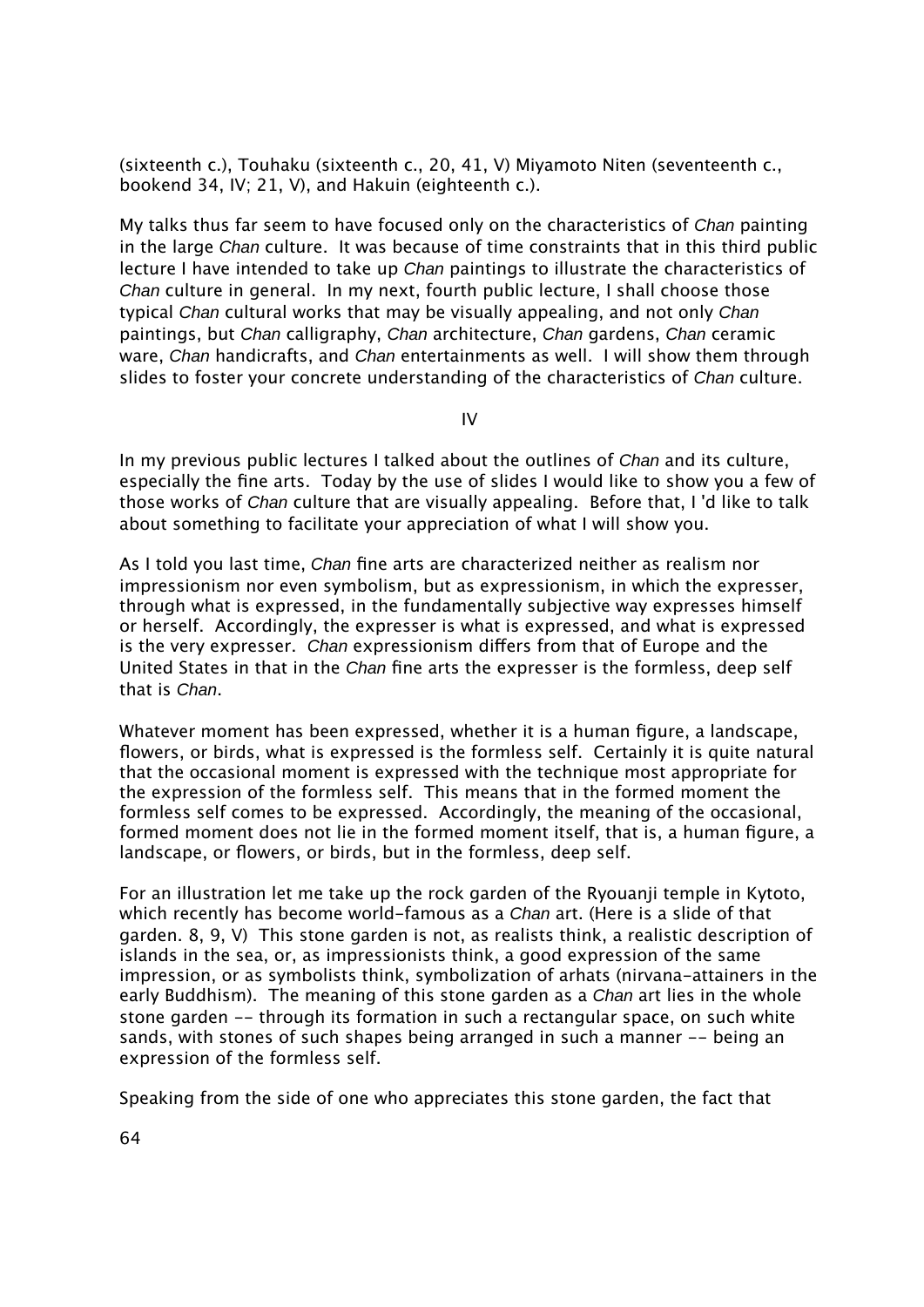(sixteenth c.), Touhaku (sixteenth c., 20, 41, V) Miyamoto Niten (seventeenth c., bookend 34, IV; 21, V), and Hakuin (eighteenth c.).

My talks thus far seem to have focused only on the characteristics of Chan painting in the large Chan culture. It was because of time constraints that in this third public lecture I have intended to take up Chan paintings to illustrate the characteristics of Chan culture in general. In my next, fourth public lecture, I shall choose those typical *Chan* cultural works that may be visually appealing, and not only *Chan* paintings, but Chan calligraphy, Chan architecture, Chan gardens, Chan ceramic ware, *Chan* handicrafts, and *Chan* entertainments as well. I will show them through slides to foster your concrete understanding of the characteristics of *Chan* culture.

IV

In my previous public lectures I talked about the outlines of *Chan* and its culture, especially the fine arts. Today by the use of slides I would like to show you a few of those works of Chan culture that are visually appealing. Before that, I 'd like to talk about something to facilitate your appreciation of what I will show you.

As I told you last time, Chan fine arts are characterized neither as realism nor impressionism nor even symbolism, but as expressionism, in which the expresser, through what is expressed, in the fundamentally subjective way expresses himself or herself. Accordingly, the expresser is what is expressed, and what is expressed is the very expresser. Chan expressionism differs from that of Europe and the United States in that in the *Chan* fine arts the expresser is the formless, deep self that is Chan.

Whatever moment has been expressed, whether it is a human figure, a landscape, flowers, or birds, what is expressed is the formless self. Certainly it is quite natural that the occasional moment is expressed with the technique most appropriate for the expression of the formless self. This means that in the formed moment the formless self comes to be expressed. Accordingly, the meaning of the occasional, formed moment does not lie in the formed moment itself, that is, a human figure, a landscape, or flowers, or birds, but in the formless, deep self.

For an illustration let me take up the rock garden of the Ryouanji temple in Kytoto, which recently has become world-famous as a Chan art. (Here is a slide of that garden. 8, 9, V) This stone garden is not, as realists think, a realistic description of islands in the sea, or, as impressionists think, a good expression of the same impression, or as symbolists think, symbolization of arhats (nirvana-attainers in the early Buddhism). The meaning of this stone garden as a *Chan* art lies in the whole stone garden -- through its formation in such a rectangular space, on such white sands, with stones of such shapes being arranged in such a manner -- being an expression of the formless self.

Speaking from the side of one who appreciates this stone garden, the fact that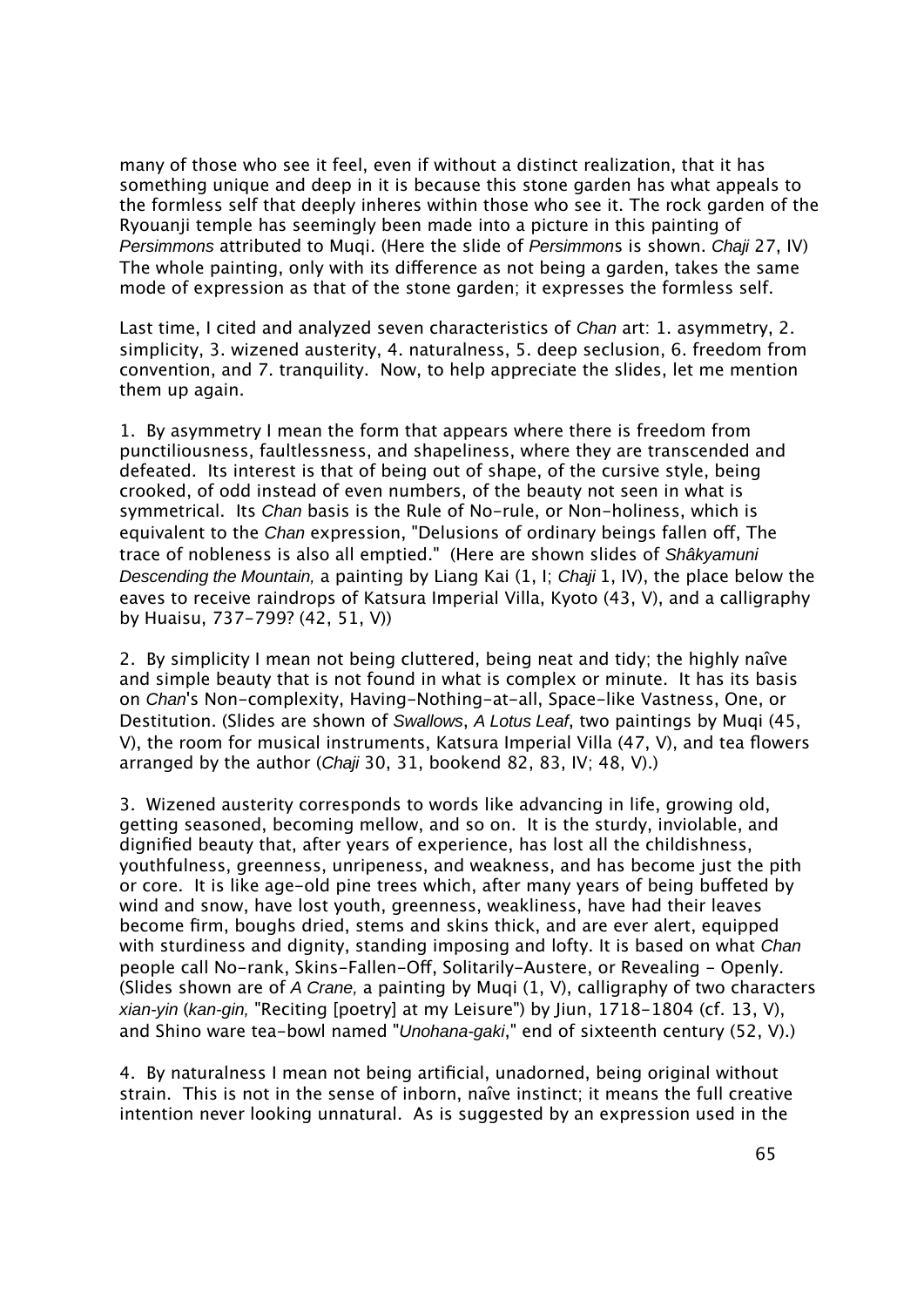many of those who see it feel, even if without a distinct realization, that it has something unique and deep in it is because this stone garden has what appeals to the formless self that deeply inheres within those who see it. The rock garden of the Ryouanji temple has seemingly been made into a picture in this painting of Persimmons attributed to Mugi. (Here the slide of Persimmons is shown. Chaji 27, IV) The whole painting, only with its difference as not being a garden, takes the same mode of expression as that of the stone garden; it expresses the formless self.

Last time, I cited and analyzed seven characteristics of *Chan* art: 1. asymmetry, 2. simplicity, 3. wizened austerity, 4. naturalness, 5. deep seclusion, 6. freedom from convention, and 7. tranquility. Now, to help appreciate the slides, let me mention them up again.

1. By asymmetry I mean the form that appears where there is freedom from punctiliousness, faultlessness, and shapeliness, where they are transcended and defeated. Its interest is that of being out of shape, of the cursive style, being crooked, of odd instead of even numbers, of the beauty not seen in what is symmetrical. Its Chan basis is the Rule of No-rule, or Non-holiness, which is equivalent to the Chan expression, "Delusions of ordinary beings fallen off, The trace of nobleness is also all emptied." (Here are shown slides of Shâkyamuni Descending the Mountain, a painting by Liang Kai  $(1, 1; Chai/1, IV)$ , the place below the eaves to receive raindrops of Katsura Imperial Villa, Kyoto (43, V), and a calligraphy by Huaisu, 737-799? (42, 51, V))

2. By simplicity I mean not being cluttered, being neat and tidy; the highly naîve and simple beauty that is not found in what is complex or minute. It has its basis on Chan's Non-complexity, Having-Nothing-at-all, Space-like Vastness, One, or Destitution. (Slides are shown of Swallows, A Lotus Leaf, two paintings by Muqi (45, V), the room for musical instruments, Katsura Imperial Villa (47, V), and tea flowers arranged by the author (Chaji 30, 31, bookend 82, 83, IV; 48, V).)

3. Wizened austerity corresponds to words like advancing in life, growing old, getting seasoned, becoming mellow, and so on. It is the sturdy, inviolable, and dignified beauty that, after years of experience, has lost all the childishness, youthfulness, greenness, unripeness, and weakness, and has become just the pith or core. It is like age-old pine trees which, after many years of being buffeted by wind and snow, have lost youth, greenness, weakliness, have had their leaves become firm, boughs dried, stems and skins thick, and are ever alert, equipped with sturdiness and dignity, standing imposing and lofty. It is based on what Chan people call No-rank, Skins-Fallen-Off, Solitarily-Austere, or Revealing - Openly. (Slides shown are of A Crane, a painting by Muqi (1, V), calligraphy of two characters xian-yin (kan-gin, "Reciting [poetry] at my Leisure") by Jiun, 1718-1804 (cf. 13, V), and Shino ware tea-bowl named "Unohana-gaki," end of sixteenth century (52, V).)

4. By naturalness I mean not being artificial, unadorned, being original without strain. This is not in the sense of inborn, naîve instinct; it means the full creative intention never looking unnatural. As is suggested by an expression used in the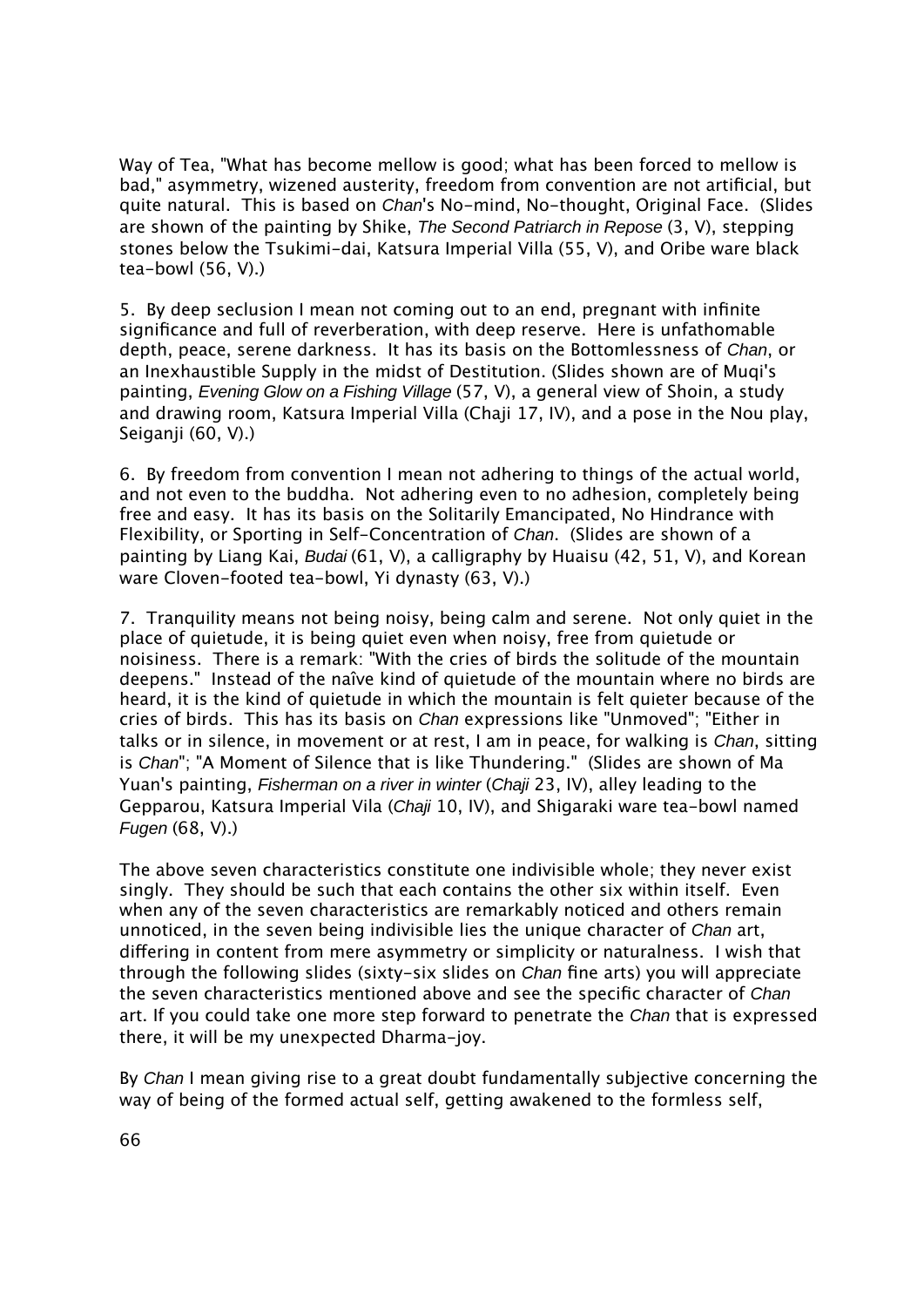Way of Tea, "What has become mellow is good; what has been forced to mellow is bad," asymmetry, wizened austerity, freedom from convention are not artificial, but quite natural. This is based on Chan's No-mind, No-thought, Original Face. (Slides are shown of the painting by Shike, The Second Patriarch in Repose (3, V), stepping stones below the Tsukimi-dai, Katsura Imperial Villa (55, V), and Oribe ware black tea-bowl (56, V).)

5. By deep seclusion I mean not coming out to an end, pregnant with infinite significance and full of reverberation, with deep reserve. Here is unfathomable depth, peace, serene darkness. It has its basis on the Bottomlessness of Chan, or an Inexhaustible Supply in the midst of Destitution. (Slides shown are of Muqi's painting, Evening Glow on a Fishing Village (57, V), a general view of Shoin, a study and drawing room, Katsura Imperial Villa (Chaji 17, IV), and a pose in the Nou play, Seiganji (60, V).)

6. By freedom from convention I mean not adhering to things of the actual world, and not even to the buddha. Not adhering even to no adhesion, completely being free and easy. It has its basis on the Solitarily Emancipated, No Hindrance with Flexibility, or Sporting in Self-Concentration of Chan. (Slides are shown of a painting by Liang Kai, Budai (61, V), a calligraphy by Huaisu (42, 51, V), and Korean ware Cloven-footed tea-bowl, Yi dynasty (63, V).)

7. Tranquility means not being noisy, being calm and serene. Not only quiet in the place of quietude, it is being quiet even when noisy, free from quietude or noisiness. There is a remark: "With the cries of birds the solitude of the mountain deepens." Instead of the naîve kind of quietude of the mountain where no birds are heard, it is the kind of quietude in which the mountain is felt quieter because of the cries of birds. This has its basis on Chan expressions like "Unmoved"; "Either in talks or in silence, in movement or at rest, I am in peace, for walking is *Chan*, sitting is Chan"; "A Moment of Silence that is like Thundering." (Slides are shown of Ma Yuan's painting, Fisherman on a river in winter (Chaji 23, IV), alley leading to the Gepparou, Katsura Imperial Vila (Chaji 10, IV), and Shigaraki ware tea-bowl named Fugen (68, V).)

The above seven characteristics constitute one indivisible whole; they never exist singly. They should be such that each contains the other six within itself. Even when any of the seven characteristics are remarkably noticed and others remain unnoticed, in the seven being indivisible lies the unique character of Chan art, differing in content from mere asymmetry or simplicity or naturalness. I wish that through the following slides (sixty-six slides on Chan fine arts) you will appreciate the seven characteristics mentioned above and see the specific character of Chan art. If you could take one more step forward to penetrate the *Chan* that is expressed there, it will be my unexpected Dharma-joy.

By Chan I mean giving rise to a great doubt fundamentally subjective concerning the way of being of the formed actual self, getting awakened to the formless self,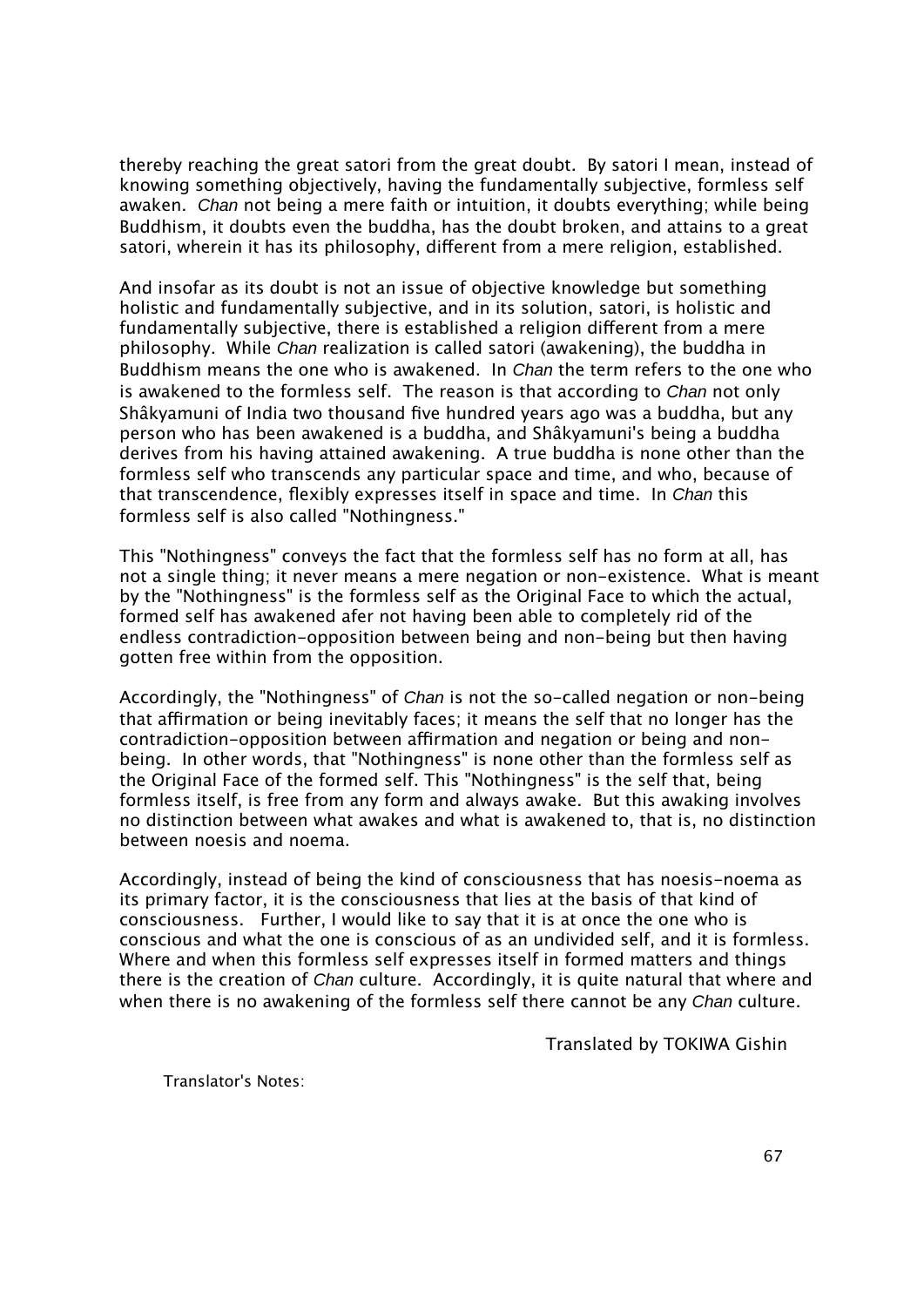thereby reaching the great satori from the great doubt. By satori I mean, instead of knowing something objectively, having the fundamentally subjective, formless self awaken. Chan not being a mere faith or intuition, it doubts everything; while being Buddhism, it doubts even the buddha, has the doubt broken, and attains to a great satori, wherein it has its philosophy, different from a mere religion, established.

And insofar as its doubt is not an issue of objective knowledge but something holistic and fundamentally subjective, and in its solution, satori, is holistic and fundamentally subjective, there is established a religion different from a mere philosophy. While Chan realization is called satori (awakening), the buddha in Buddhism means the one who is awakened. In *Chan* the term refers to the one who is awakened to the formless self. The reason is that according to Chan not only Shâkyamuni of India two thousand five hundred years ago was a buddha, but any person who has been awakened is a buddha, and Shâkyamuni's being a buddha derives from his having attained awakening. A true buddha is none other than the formless self who transcends any particular space and time, and who, because of that transcendence, flexibly expresses itself in space and time. In Chan this formless self is also called "Nothingness."

This "Nothingness" conveys the fact that the formless self has no form at all, has not a single thing; it never means a mere negation or non-existence. What is meant by the "Nothingness" is the formless self as the Original Face to which the actual, formed self has awakened afer not having been able to completely rid of the endless contradiction-opposition between being and non-being but then having gotten free within from the opposition.

Accordingly, the "Nothingness" of Chan is not the so-called negation or non-being that affirmation or being inevitably faces; it means the self that no longer has the contradiction-opposition between affirmation and negation or being and nonbeing. In other words, that "Nothingness" is none other than the formless self as the Original Face of the formed self. This "Nothingness" is the self that, being formless itself, is free from any form and always awake. But this awaking involves no distinction between what awakes and what is awakened to, that is, no distinction between noesis and noema.

Accordingly, instead of being the kind of consciousness that has noesis-noema as its primary factor, it is the consciousness that lies at the basis of that kind of consciousness. Further, I would like to say that it is at once the one who is conscious and what the one is conscious of as an undivided self, and it is formless. Where and when this formless self expresses itself in formed matters and things there is the creation of *Chan* culture. Accordingly, it is quite natural that where and when there is no awakening of the formless self there cannot be any *Chan* culture.

Translated by TOKIWA Gishin

Translator's Notes: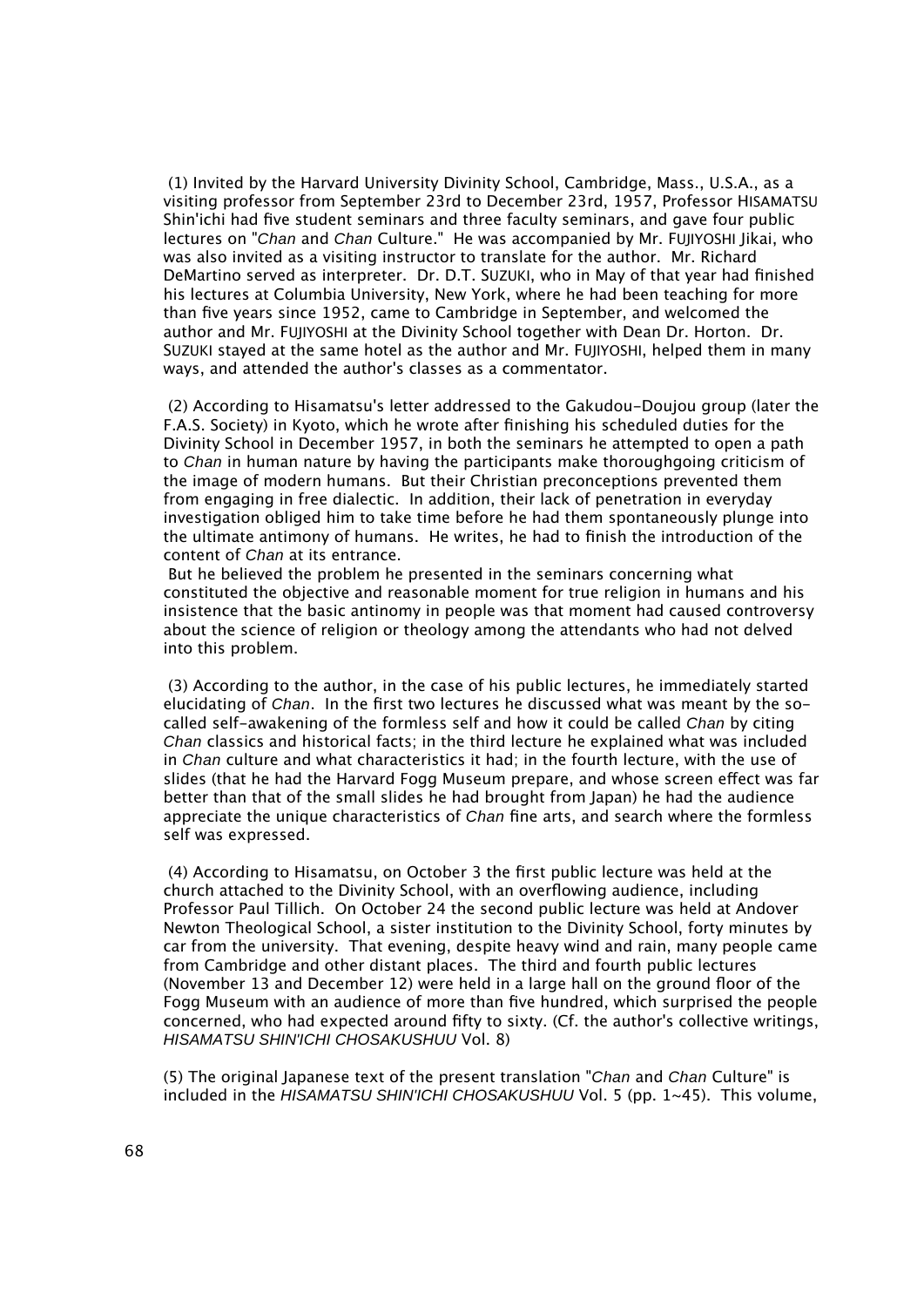(1) Invited by the Harvard University Divinity School, Cambridge, Mass., U.S.A., as a visiting professor from September 23rd to December 23rd, 1957, Professor HISAMATSU Shin'ichi had five student seminars and three faculty seminars, and gave four public lectures on "Chan and Chan Culture." He was accompanied by Mr. FUJIYOSHI Jikai, who was also invited as a visiting instructor to translate for the author. Mr. Richard DeMartino served as interpreter. Dr. D.T. SUZUKI, who in May of that year had finished his lectures at Columbia University, New York, where he had been teaching for more than five years since 1952, came to Cambridge in September, and welcomed the author and Mr. FUJIYOSHI at the Divinity School together with Dean Dr. Horton. Dr. SUZUKI stayed at the same hotel as the author and Mr. FUJIYOSHI, helped them in many ways, and attended the author's classes as a commentator.

 (2) According to Hisamatsu's letter addressed to the Gakudou-Doujou group (later the F.A.S. Society) in Kyoto, which he wrote after finishing his scheduled duties for the Divinity School in December 1957, in both the seminars he attempted to open a path to Chan in human nature by having the participants make thoroughgoing criticism of the image of modern humans. But their Christian preconceptions prevented them from engaging in free dialectic. In addition, their lack of penetration in everyday investigation obliged him to take time before he had them spontaneously plunge into the ultimate antimony of humans. He writes, he had to finish the introduction of the content of Chan at its entrance.

 But he believed the problem he presented in the seminars concerning what constituted the objective and reasonable moment for true religion in humans and his insistence that the basic antinomy in people was that moment had caused controversy about the science of religion or theology among the attendants who had not delved into this problem.

 (3) According to the author, in the case of his public lectures, he immediately started elucidating of Chan. In the first two lectures he discussed what was meant by the socalled self-awakening of the formless self and how it could be called Chan by citing Chan classics and historical facts; in the third lecture he explained what was included in Chan culture and what characteristics it had; in the fourth lecture, with the use of slides (that he had the Harvard Fogg Museum prepare, and whose screen effect was far better than that of the small slides he had brought from Japan) he had the audience appreciate the unique characteristics of *Chan* fine arts, and search where the formless self was expressed.

 (4) According to Hisamatsu, on October 3 the first public lecture was held at the church attached to the Divinity School, with an overflowing audience, including Professor Paul Tillich. On October 24 the second public lecture was held at Andover Newton Theological School, a sister institution to the Divinity School, forty minutes by car from the university. That evening, despite heavy wind and rain, many people came from Cambridge and other distant places. The third and fourth public lectures (November 13 and December 12) were held in a large hall on the ground floor of the Fogg Museum with an audience of more than five hundred, which surprised the people concerned, who had expected around fifty to sixty. (Cf. the author's collective writings, HISAMATSU SHIN'ICHI CHOSAKUSHUU Vol. 8)

(5) The original Japanese text of the present translation "Chan and Chan Culture" is included in the HISAMATSU SHIN'ICHI CHOSAKUSHUU Vol. 5 (pp. 1~45). This volume,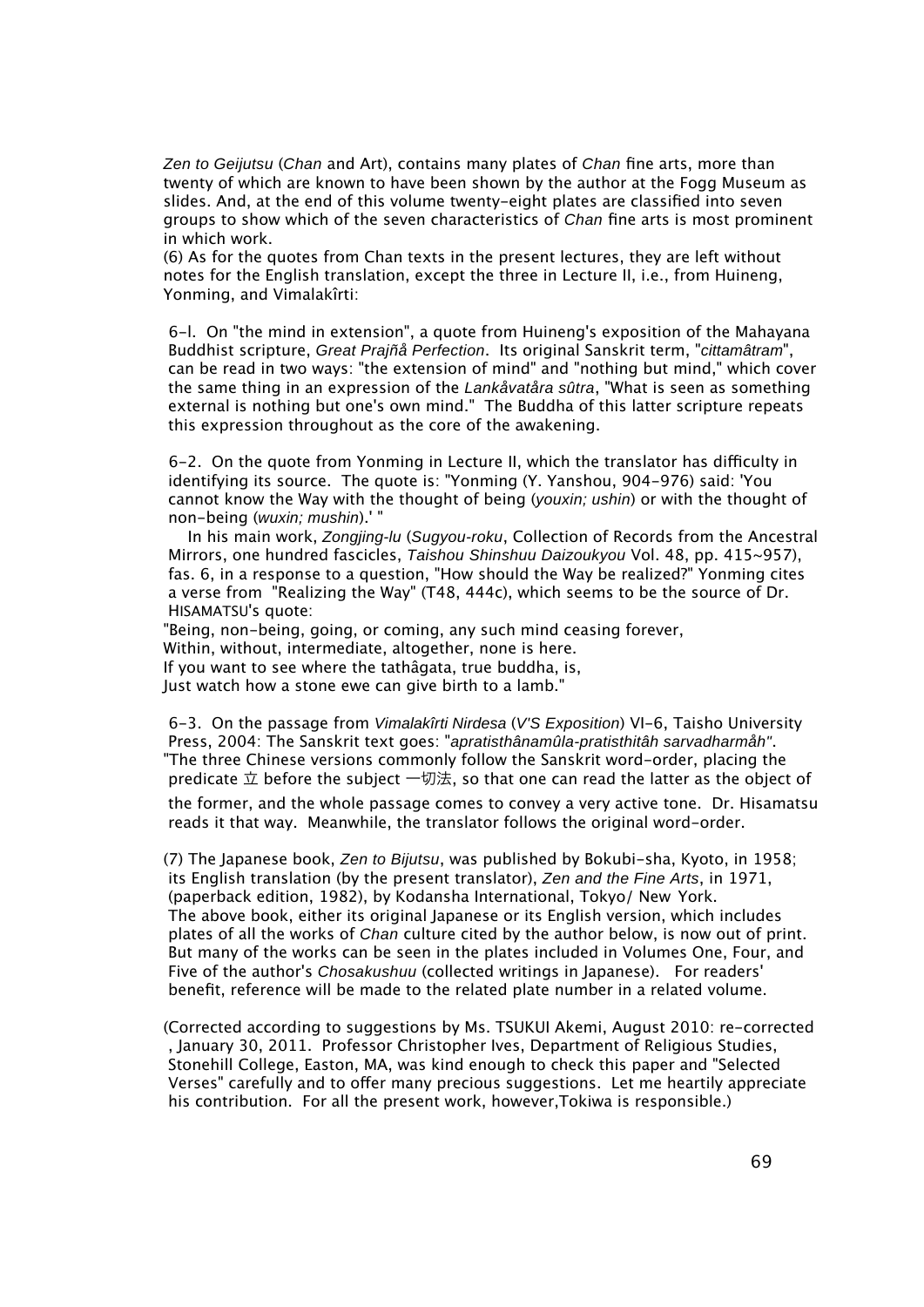Zen to Geijutsu (Chan and Art), contains many plates of Chan fine arts, more than twenty of which are known to have been shown by the author at the Fogg Museum as slides. And, at the end of this volume twenty-eight plates are classified into seven groups to show which of the seven characteristics of Chan fine arts is most prominent in which work.

 (6) As for the quotes from Chan texts in the present lectures, they are left without notes for the English translation, except the three in Lecture II, i.e., from Huineng, Yonming, and Vimalakîrti:

 6-l. On "the mind in extension", a quote from Huineng's exposition of the Mahayana Buddhist scripture, Great Prajñå Perfection. Its original Sanskrit term, "cittamâtram", can be read in two ways: "the extension of mind" and "nothing but mind," which cover the same thing in an expression of the Lankåvatåra sûtra, "What is seen as something external is nothing but one's own mind." The Buddha of this latter scripture repeats this expression throughout as the core of the awakening.

 6-2. On the quote from Yonming in Lecture II, which the translator has difficulty in identifying its source. The quote is: "Yonming (Y. Yanshou, 904-976) said: 'You cannot know the Way with the thought of being (youxin; ushin) or with the thought of non-being (wuxin; mushin).' "

 In his main work, Zongjing-lu (Sugyou-roku, Collection of Records from the Ancestral Mirrors, one hundred fascicles, Taishou Shinshuu Daizoukyou Vol. 48, pp. 415~957), fas. 6, in a response to a question, "How should the Way be realized?" Yonming cites a verse from "Realizing the Way" (T48, 444c), which seems to be the source of Dr. HISAMATSU's quote:

"Being, non-being, going, or coming, any such mind ceasing forever,

Within, without, intermediate, altogether, none is here.

If you want to see where the tathâgata, true buddha, is,

Just watch how a stone ewe can give birth to a lamb."

 6-3. On the passage from Vimalakîrti Nirdesa (V'S Exposition) VI-6, Taisho University Press, 2004: The Sanskrit text goes: "apratisthânamûla-pratisthitâh sarvadharmåh". "The three Chinese versions commonly follow the Sanskrit word-order, placing the predicate  $\pm$  before the subject  $-\text{ }/\text{ }/\text{ }$ ; so that one can read the latter as the object of

 the former, and the whole passage comes to convey a very active tone. Dr. Hisamatsu reads it that way. Meanwhile, the translator follows the original word-order.

(7) The Japanese book, Zen to Bijutsu, was published by Bokubi-sha, Kyoto, in 1958; its English translation (by the present translator), Zen and the Fine Arts, in 1971, (paperback edition, 1982), by Kodansha International, Tokyo/ New York. The above book, either its original Japanese or its English version, which includes plates of all the works of Chan culture cited by the author below, is now out of print. But many of the works can be seen in the plates included in Volumes One, Four, and Five of the author's Chosakushuu (collected writings in Japanese). For readers' benefit, reference will be made to the related plate number in a related volume.

(Corrected according to suggestions by Ms. TSUKUI Akemi, August 2010: re-corrected , January 30, 2011. Professor Christopher Ives, Department of Religious Studies, Stonehill College, Easton, MA, was kind enough to check this paper and "Selected Verses" carefully and to offer many precious suggestions. Let me heartily appreciate his contribution. For all the present work, however,Tokiwa is responsible.)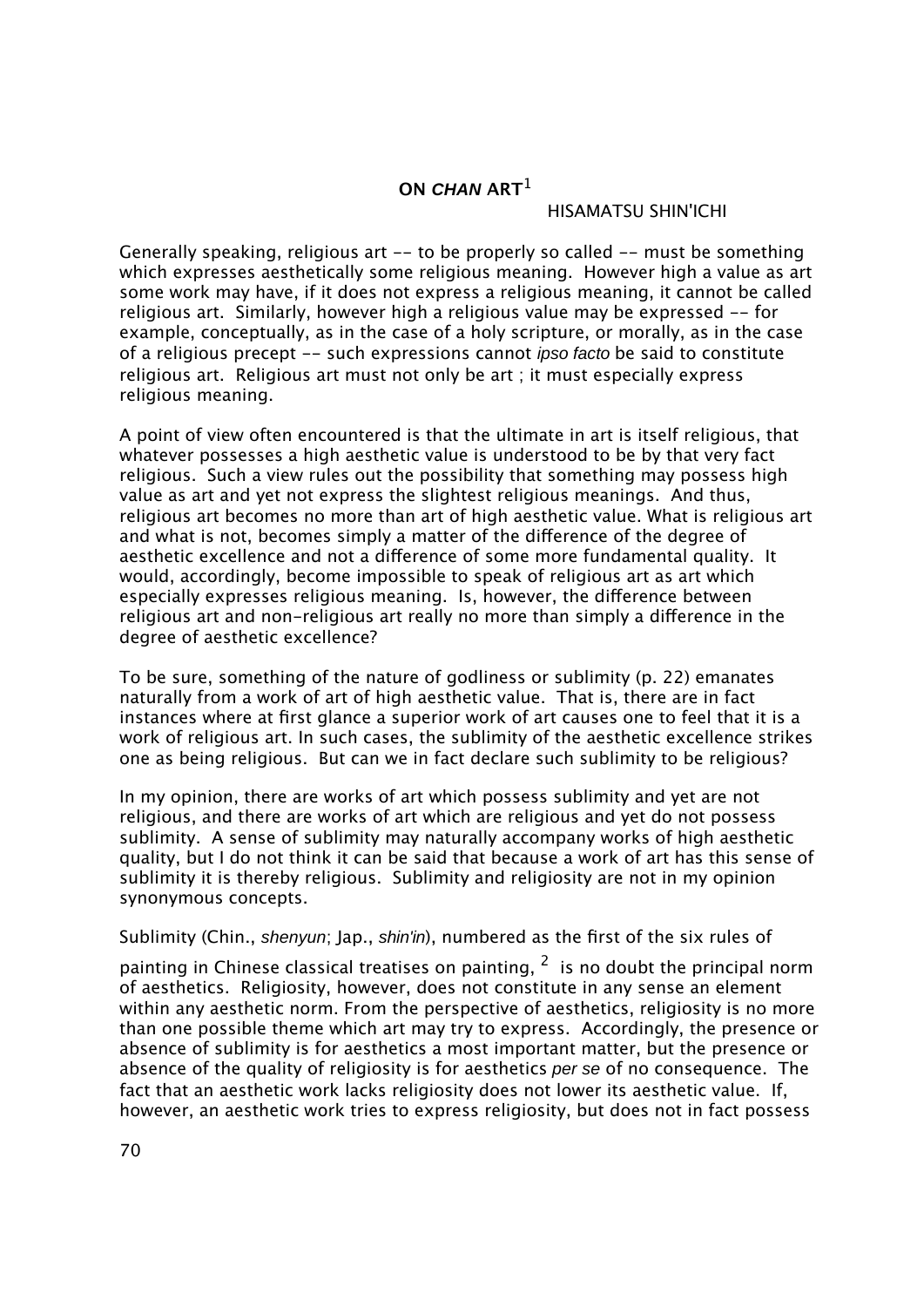# **ON CHAN ART**<sup>1</sup>

# HISAMATSU SHIN'ICHI

Generally speaking, religious art -- to be properly so called -- must be something which expresses aesthetically some religious meaning. However high a value as art some work may have, if it does not express a religious meaning, it cannot be called religious art. Similarly, however high a religious value may be expressed -- for example, conceptually, as in the case of a holy scripture, or morally, as in the case of a religious precept -- such expressions cannot *ipso facto* be said to constitute religious art. Religious art must not only be art ; it must especially express religious meaning.

A point of view often encountered is that the ultimate in art is itself religious, that whatever possesses a high aesthetic value is understood to be by that very fact religious. Such a view rules out the possibility that something may possess high value as art and yet not express the slightest religious meanings. And thus, religious art becomes no more than art of high aesthetic value. What is religious art and what is not, becomes simply a matter of the difference of the degree of aesthetic excellence and not a difference of some more fundamental quality. It would, accordingly, become impossible to speak of religious art as art which especially expresses religious meaning. Is, however, the difference between religious art and non-religious art really no more than simply a difference in the degree of aesthetic excellence?

To be sure, something of the nature of godliness or sublimity (p. 22) emanates naturally from a work of art of high aesthetic value. That is, there are in fact instances where at first glance a superior work of art causes one to feel that it is a work of religious art. In such cases, the sublimity of the aesthetic excellence strikes one as being religious. But can we in fact declare such sublimity to be religious?

In my opinion, there are works of art which possess sublimity and yet are not religious, and there are works of art which are religious and yet do not possess sublimity. A sense of sublimity may naturally accompany works of high aesthetic quality, but I do not think it can be said that because a work of art has this sense of sublimity it is thereby religious. Sublimity and religiosity are not in my opinion synonymous concepts.

Sublimity (Chin., shenyun; Jap., shin'in), numbered as the first of the six rules of

painting in Chinese classical treatises on painting,  $2\overline{a}$  is no doubt the principal norm of aesthetics. Religiosity, however, does not constitute in any sense an element within any aesthetic norm. From the perspective of aesthetics, religiosity is no more than one possible theme which art may try to express. Accordingly, the presence or absence of sublimity is for aesthetics a most important matter, but the presence or absence of the quality of religiosity is for aesthetics per se of no consequence. The fact that an aesthetic work lacks religiosity does not lower its aesthetic value. If, however, an aesthetic work tries to express religiosity, but does not in fact possess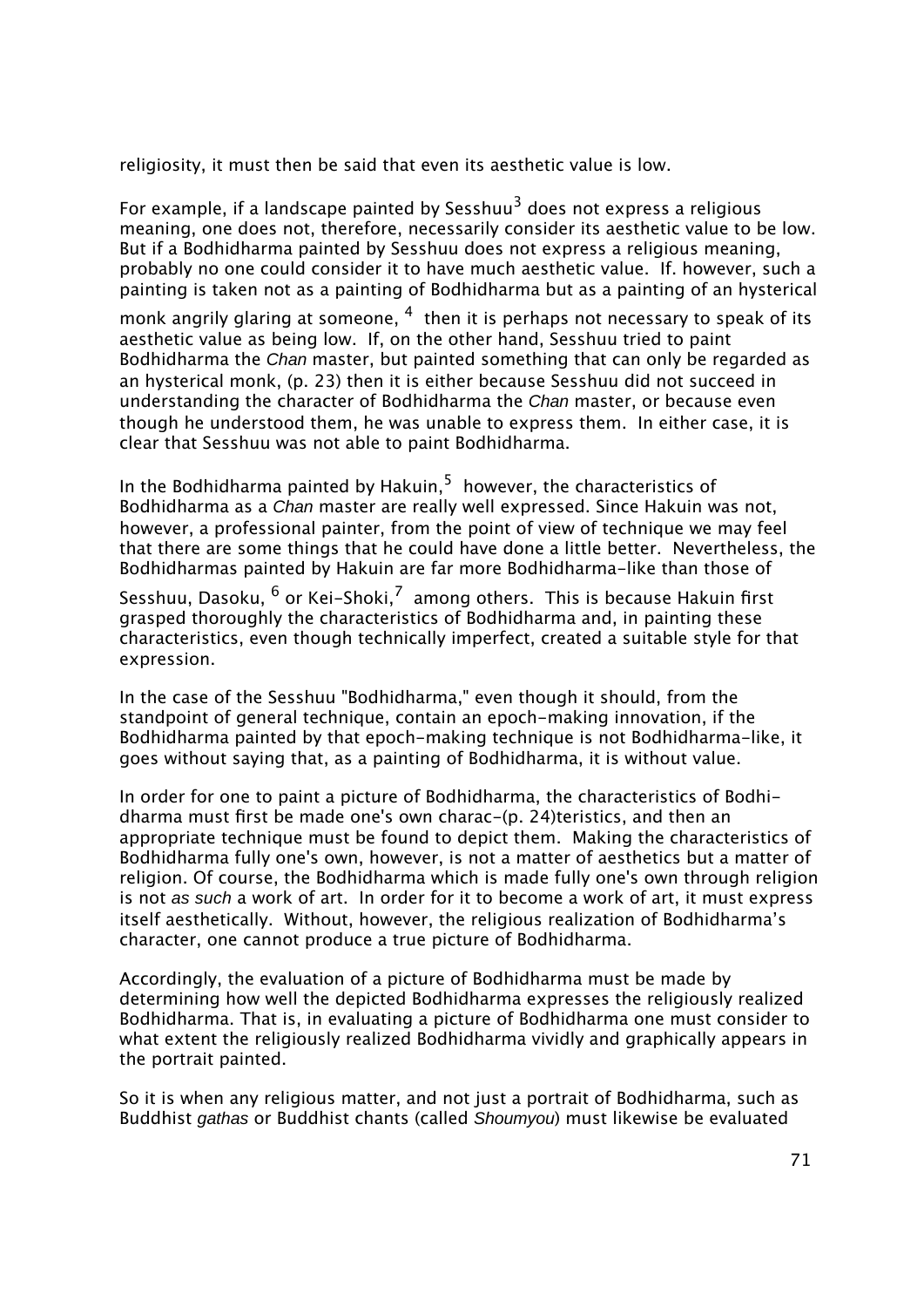religiosity, it must then be said that even its aesthetic value is low.

For example, if a landscape painted by Sesshuu<sup>3</sup> does not express a religious meaning, one does not, therefore, necessarily consider its aesthetic value to be low. But if a Bodhidharma painted by Sesshuu does not express a religious meaning, probably no one could consider it to have much aesthetic value. If. however, such a painting is taken not as a painting of Bodhidharma but as a painting of an hysterical

monk angrily glaring at someone,  $4$  then it is perhaps not necessary to speak of its aesthetic value as being low. If, on the other hand, Sesshuu tried to paint Bodhidharma the Chan master, but painted something that can only be regarded as an hysterical monk, (p. 23) then it is either because Sesshuu did not succeed in understanding the character of Bodhidharma the Chan master, or because even though he understood them, he was unable to express them. In either case, it is clear that Sesshuu was not able to paint Bodhidharma.

In the Bodhidharma painted by Hakuin,  $5$  however, the characteristics of Bodhidharma as a Chan master are really well expressed. Since Hakuin was not, however, a professional painter, from the point of view of technique we may feel that there are some things that he could have done a little better. Nevertheless, the Bodhidharmas painted by Hakuin are far more Bodhidharma-like than those of

Sesshuu, Dasoku,  $^6$  or Kei-Shoki, $^7$  among others. This is because Hakuin first grasped thoroughly the characteristics of Bodhidharma and, in painting these characteristics, even though technically imperfect, created a suitable style for that expression.

In the case of the Sesshuu "Bodhidharma," even though it should, from the standpoint of general technique, contain an epoch-making innovation, if the Bodhidharma painted by that epoch-making technique is not Bodhidharma-like, it goes without saying that, as a painting of Bodhidharma, it is without value.

In order for one to paint a picture of Bodhidharma, the characteristics of Bodhidharma must first be made one's own charac-(p. 24)teristics, and then an appropriate technique must be found to depict them. Making the characteristics of Bodhidharma fully one's own, however, is not a matter of aesthetics but a matter of religion. Of course, the Bodhidharma which is made fully one's own through religion is not as such a work of art. In order for it to become a work of art, it must express itself aesthetically. Without, however, the religious realization of Bodhidharma's character, one cannot produce a true picture of Bodhidharma.

Accordingly, the evaluation of a picture of Bodhidharma must be made by determining how well the depicted Bodhidharma expresses the religiously realized Bodhidharma. That is, in evaluating a picture of Bodhidharma one must consider to what extent the religiously realized Bodhidharma vividly and graphically appears in the portrait painted.

So it is when any religious matter, and not just a portrait of Bodhidharma, such as Buddhist gathas or Buddhist chants (called Shoumyou) must likewise be evaluated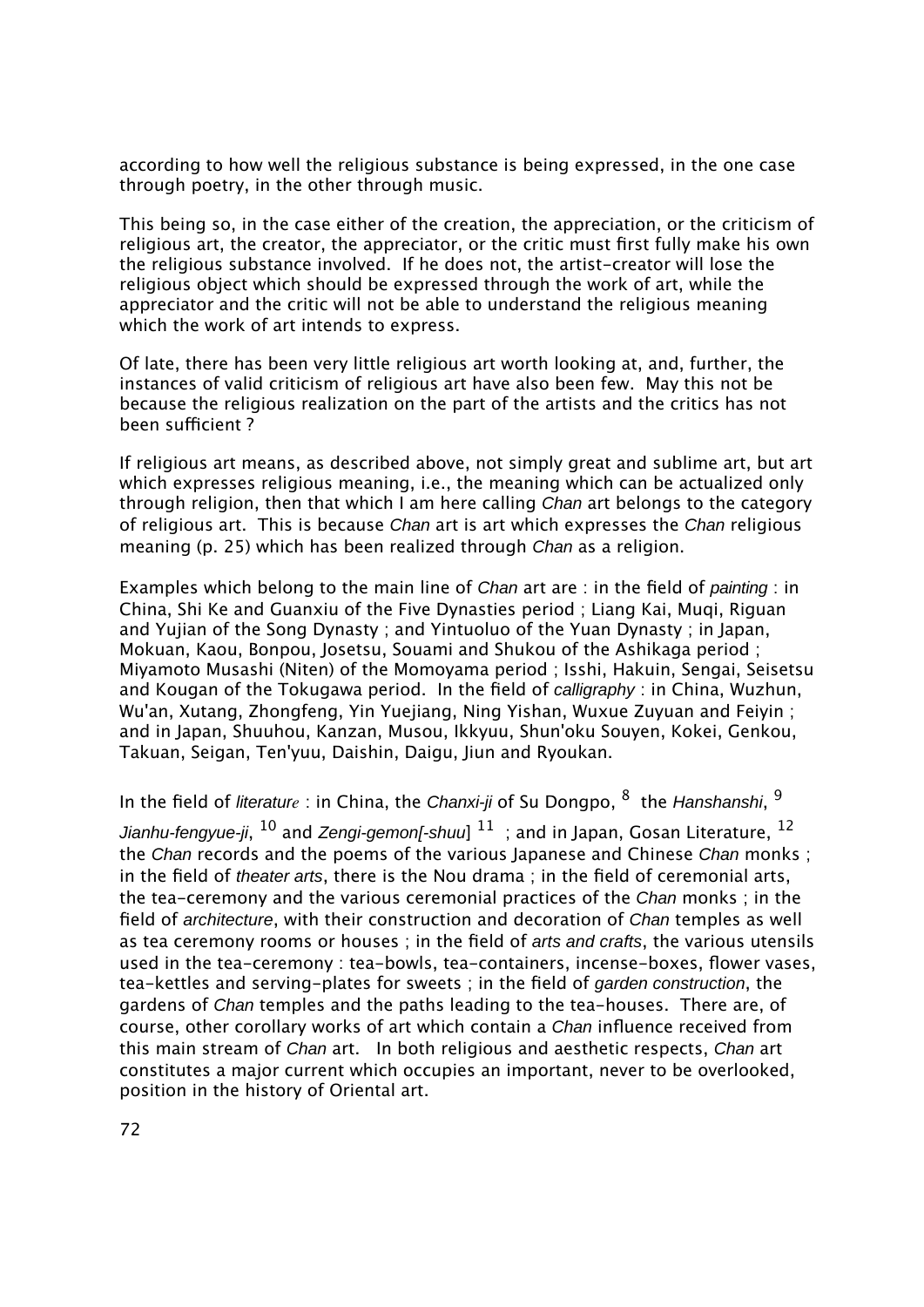according to how well the religious substance is being expressed, in the one case through poetry, in the other through music.

This being so, in the case either of the creation, the appreciation, or the criticism of religious art, the creator, the appreciator, or the critic must first fully make his own the religious substance involved. If he does not, the artist-creator will lose the religious object which should be expressed through the work of art, while the appreciator and the critic will not be able to understand the religious meaning which the work of art intends to express.

Of late, there has been very little religious art worth looking at, and, further, the instances of valid criticism of religious art have also been few. May this not be because the religious realization on the part of the artists and the critics has not been sufficient ?

If religious art means, as described above, not simply great and sublime art, but art which expresses religious meaning, i.e., the meaning which can be actualized only through religion, then that which I am here calling *Chan* art belongs to the category of religious art. This is because Chan art is art which expresses the Chan religious meaning (p. 25) which has been realized through Chan as a religion.

Examples which belong to the main line of *Chan* art are : in the field of *painting* : in China, Shi Ke and Guanxiu of the Five Dynasties period ; Liang Kai, Muqi, Riguan and Yujian of the Song Dynasty ; and Yintuoluo of the Yuan Dynasty ; in Japan, Mokuan, Kaou, Bonpou, Josetsu, Souami and Shukou of the Ashikaga period ; Miyamoto Musashi (Niten) of the Momoyama period ; Isshi, Hakuin, Sengai, Seisetsu and Kougan of the Tokugawa period. In the field of calligraphy: in China, Wuzhun, Wu'an, Xutang, Zhongfeng, Yin Yuejiang, Ning Yishan, Wuxue Zuyuan and Feiyin ; and in Japan, Shuuhou, Kanzan, Musou, Ikkyuu, Shun'oku Souyen, Kokei, Genkou, Takuan, Seigan, Ten'yuu, Daishin, Daigu, Jiun and Ryoukan.

In the field of *literature* : in China, the Chanxi-ji of Su Dongpo, <sup>8</sup> the Hanshanshi, <sup>9</sup>

Jianhu-fengyue-ji,  $^{10}$  and Zengi-gemon[-shuu]  $^{11}$ ; and in Japan, Gosan Literature,  $^{12}$ the Chan records and the poems of the various Japanese and Chinese Chan monks; in the field of *theater arts*, there is the Nou drama ; in the field of ceremonial arts, the tea-ceremony and the various ceremonial practices of the *Chan* monks; in the field of architecture, with their construction and decoration of Chan temples as well as tea ceremony rooms or houses; in the field of *arts and crafts*, the various utensils used in the tea-ceremony : tea-bowls, tea-containers, incense-boxes, flower vases, tea-kettles and serving-plates for sweets ; in the field of garden construction, the gardens of Chan temples and the paths leading to the tea-houses. There are, of course, other corollary works of art which contain a Chan influence received from this main stream of *Chan* art. In both religious and aesthetic respects, *Chan* art constitutes a major current which occupies an important, never to be overlooked, position in the history of Oriental art.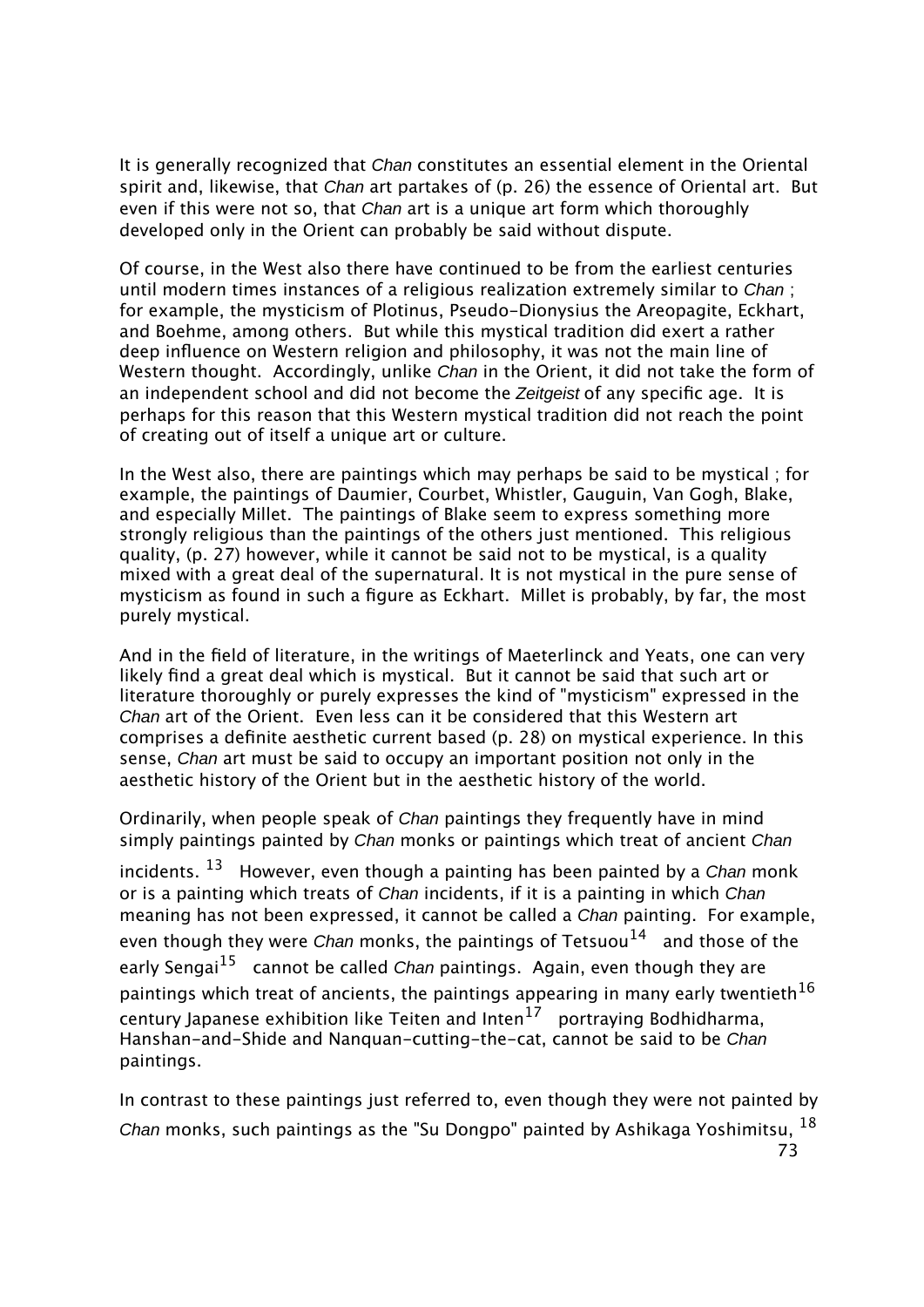It is generally recognized that Chan constitutes an essential element in the Oriental spirit and, likewise, that *Chan* art partakes of (p. 26) the essence of Oriental art. But even if this were not so, that *Chan* art is a unique art form which thoroughly developed only in the Orient can probably be said without dispute.

Of course, in the West also there have continued to be from the earliest centuries until modern times instances of a religious realization extremely similar to *Chan*; for example, the mysticism of Plotinus, Pseudo-Dionysius the Areopagite, Eckhart, and Boehme, among others. But while this mystical tradition did exert a rather deep influence on Western religion and philosophy, it was not the main line of Western thought. Accordingly, unlike *Chan* in the Orient, it did not take the form of an independent school and did not become the Zeitgeist of any specific age. It is perhaps for this reason that this Western mystical tradition did not reach the point of creating out of itself a unique art or culture.

In the West also, there are paintings which may perhaps be said to be mystical ; for example, the paintings of Daumier, Courbet, Whistler, Gauguin, Van Gogh, Blake, and especially Millet. The paintings of Blake seem to express something more strongly religious than the paintings of the others just mentioned. This religious quality, (p. 27) however, while it cannot be said not to be mystical, is a quality mixed with a great deal of the supernatural. It is not mystical in the pure sense of mysticism as found in such a figure as Eckhart. Millet is probably, by far, the most purely mystical.

And in the field of literature, in the writings of Maeterlinck and Yeats, one can very likely find a great deal which is mystical. But it cannot be said that such art or literature thoroughly or purely expresses the kind of "mysticism" expressed in the Chan art of the Orient. Even less can it be considered that this Western art comprises a definite aesthetic current based (p. 28) on mystical experience. In this sense, Chan art must be said to occupy an important position not only in the aesthetic history of the Orient but in the aesthetic history of the world.

Ordinarily, when people speak of Chan paintings they frequently have in mind simply paintings painted by Chan monks or paintings which treat of ancient Chan

incidents.  $^{13}$  However, even though a painting has been painted by a *Chan* monk or is a painting which treats of Chan incidents, if it is a painting in which Chan meaning has not been expressed, it cannot be called a *Chan* painting. For example, even though they were *Chan* monks, the paintings of Tetsuou<sup>14</sup> and those of the early Sengai<sup>15</sup> cannot be called *Chan* paintings. Again, even though they are paintings which treat of ancients, the paintings appearing in many early twentieth<sup>16</sup> century Japanese exhibition like Teiten and Inten<sup>17</sup> portraying Bodhidharma, Hanshan-and-Shide and Nanquan-cutting-the-cat, cannot be said to be Chan paintings.

In contrast to these paintings just referred to, even though they were not painted by Chan monks, such paintings as the "Su Dongpo" painted by Ashikaga Yoshimitsu,  $^{18}$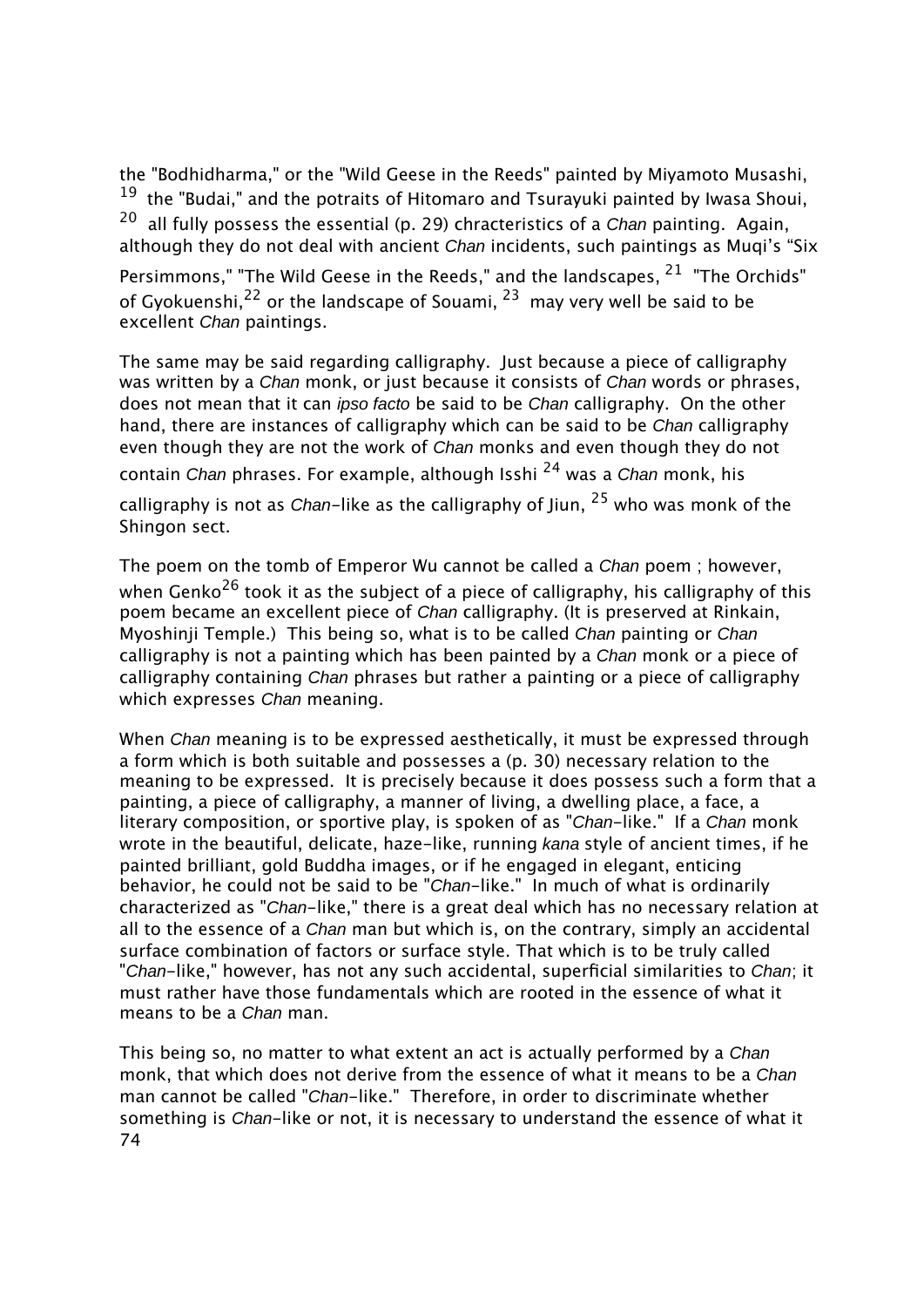the "Bodhidharma," or the "Wild Geese in the Reeds" painted by Miyamoto Musashi,  $19$  the "Budai," and the potraits of Hitomaro and Tsurayuki painted by Iwasa Shoui,  $20$  all fully possess the essential (p. 29) chracteristics of a *Chan* painting. Again, although they do not deal with ancient Chan incidents, such paintings as Muqi's "Six

Persimmons," "The Wild Geese in the Reeds," and the landscapes, <sup>21</sup> "The Orchids" of Gyokuenshi,  $2^2$  or the landscape of Souami,  $2^3$  may very well be said to be excellent Chan paintings.

The same may be said regarding calligraphy. Just because a piece of calligraphy was written by a Chan monk, or just because it consists of Chan words or phrases, does not mean that it can *ipso facto* be said to be *Chan* calligraphy. On the other hand, there are instances of calligraphy which can be said to be *Chan* calligraphy even though they are not the work of Chan monks and even though they do not contain *Chan* phrases. For example, although Isshi<sup>24</sup> was a *Chan* monk, his calligraphy is not as *Chan*-like as the calligraphy of Jiun,  $25$  who was monk of the Shingon sect.

The poem on the tomb of Emperor Wu cannot be called a *Chan* poem; however, when Genko<sup>26</sup> took it as the subiect of a piece of calligraphy, his calligraphy of this poem became an excellent piece of Chan calligraphy. (It is preserved at Rinkain, Myoshinji Temple.) This being so, what is to be called Chan painting or Chan calligraphy is not a painting which has been painted by a *Chan* monk or a piece of calligraphy containing Chan phrases but rather a painting or a piece of calligraphy which expresses Chan meaning.

When *Chan* meaning is to be expressed aesthetically, it must be expressed through a form which is both suitable and possesses a (p. 30) necessary relation to the meaning to be expressed. It is precisely because it does possess such a form that a painting, a piece of calligraphy, a manner of living, a dwelling place, a face, a literary composition, or sportive play, is spoken of as "Chan-like." If a Chan monk wrote in the beautiful, delicate, haze-like, running kana style of ancient times, if he painted brilliant, gold Buddha images, or if he engaged in elegant, enticing behavior, he could not be said to be "Chan-like." In much of what is ordinarily characterized as "Chan-like," there is a great deal which has no necessary relation at all to the essence of a *Chan* man but which is, on the contrary, simply an accidental surface combination of factors or surface style. That which is to be truly called "Chan-like," however, has not any such accidental, superficial similarities to Chan; it must rather have those fundamentals which are rooted in the essence of what it means to be a *Chan* man.

This being so, no matter to what extent an act is actually performed by a *Chan* monk, that which does not derive from the essence of what it means to be a Chan man cannot be called "Chan-like." Therefore, in order to discriminate whether something is *Chan*-like or not, it is necessary to understand the essence of what it 74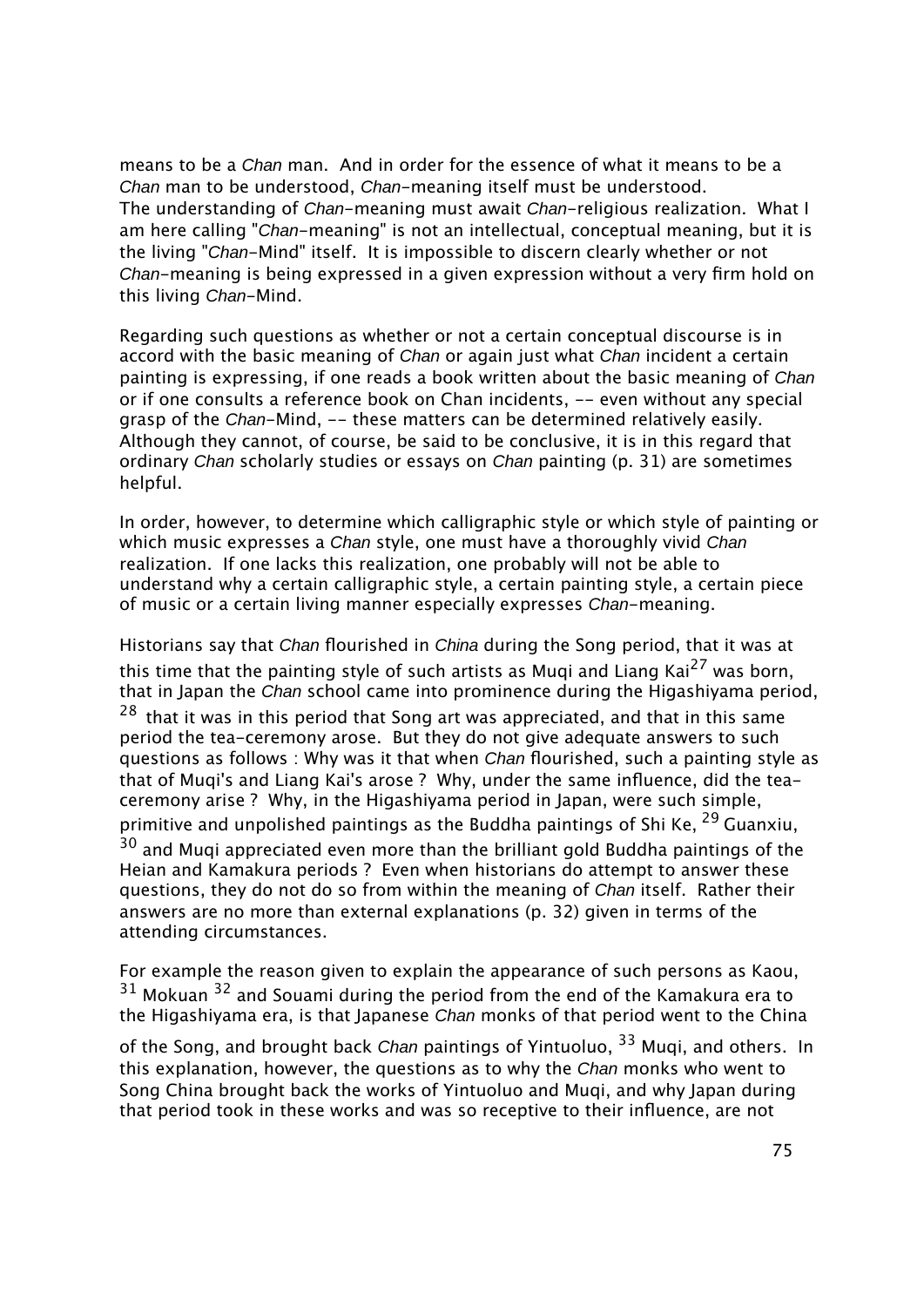means to be a Chan man. And in order for the essence of what it means to be a Chan man to be understood, Chan-meaning itself must be understood. The understanding of Chan-meaning must await Chan-religious realization. What I am here calling "Chan-meaning" is not an intellectual, conceptual meaning, but it is the living "Chan-Mind" itself. It is impossible to discern clearly whether or not Chan-meaning is being expressed in a given expression without a very firm hold on this living Chan-Mind.

Regarding such questions as whether or not a certain conceptual discourse is in accord with the basic meaning of Chan or again just what Chan incident a certain painting is expressing, if one reads a book written about the basic meaning of *Chan* or if one consults a reference book on Chan incidents, -- even without any special grasp of the Chan-Mind, -- these matters can be determined relatively easily. Although they cannot, of course, be said to be conclusive, it is in this regard that ordinary Chan scholarly studies or essays on Chan painting (p. 31) are sometimes helpful.

In order, however, to determine which calligraphic style or which style of painting or which music expresses a Chan style, one must have a thoroughly vivid Chan realization. If one lacks this realization, one probably will not be able to understand why a certain calligraphic style, a certain painting style, a certain piece of music or a certain living manner especially expresses Chan-meaning.

Historians say that *Chan* flourished in *China* during the Song period, that it was at this time that the painting style of such artists as Mugi and Liang Kai<sup>27</sup> was born, that in Japan the Chan school came into prominence during the Higashiyama period,  $28$  that it was in this period that Song art was appreciated, and that in this same period the tea-ceremony arose. But they do not give adequate answers to such questions as follows : Why was it that when Chan flourished, such a painting style as that of Muqi's and Liang Kai's arose ? Why, under the same influence, did the teaceremony arise ? Why, in the Higashiyama period in Japan, were such simple, primitive and unpolished paintings as the Buddha paintings of Shi Ke,  $^{29}$  Guanxiu,  $30$  and Muqi appreciated even more than the brilliant gold Buddha paintings of the Heian and Kamakura periods ? Even when historians do attempt to answer these questions, they do not do so from within the meaning of Chan itself. Rather their answers are no more than external explanations (p. 32) given in terms of the attending circumstances.

For example the reason given to explain the appearance of such persons as Kaou,  $31$  Mokuan  $32$  and Souami during the period from the end of the Kamakura era to the Higashiyama era, is that Japanese *Chan* monks of that period went to the China

of the Song, and brought back *Chan* paintings of Yintuoluo,  $33$  Mugi, and others. In this explanation, however, the questions as to why the Chan monks who went to Song China brought back the works of Yintuoluo and Muqi, and why Japan during that period took in these works and was so receptive to their influence, are not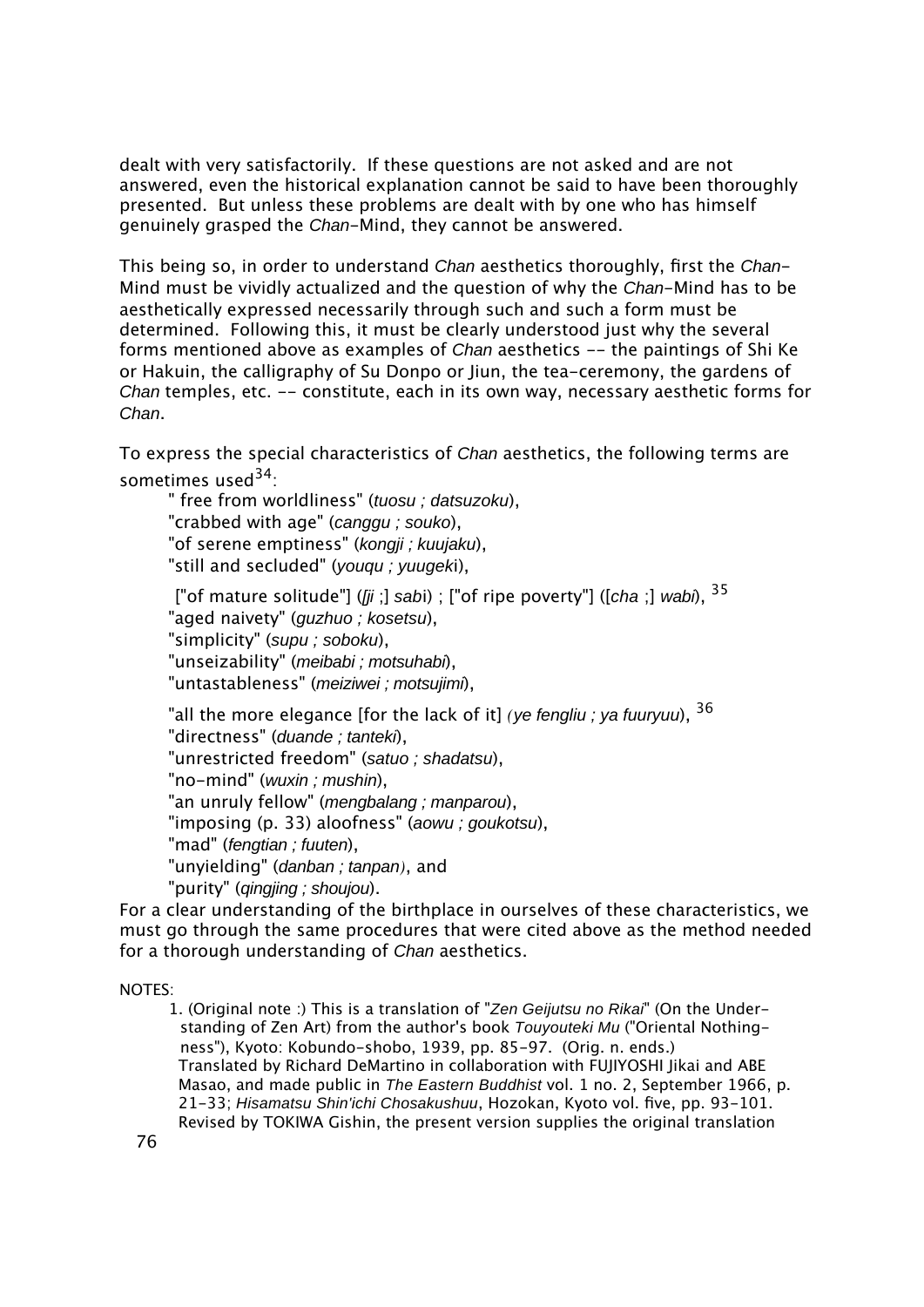dealt with very satisfactorily. If these questions are not asked and are not answered, even the historical explanation cannot be said to have been thoroughly presented. But unless these problems are dealt with by one who has himself genuinely grasped the Chan-Mind, they cannot be answered.

This being so, in order to understand Chan aesthetics thoroughly, first the Chan-Mind must be vividly actualized and the question of why the *Chan*-Mind has to be aesthetically expressed necessarily through such and such a form must be determined. Following this, it must be clearly understood just why the several forms mentioned above as examples of *Chan* aesthetics -- the paintings of Shi Ke or Hakuin, the calligraphy of Su Donpo or Jiun, the tea-ceremony, the gardens of Chan temples, etc. -- constitute, each in its own way, necessary aesthetic forms for Chan.

To express the special characteristics of Chan aesthetics, the following terms are sometimes used<sup>34.</sup>

" free from worldliness" (tuosu ; datsuzoku), "crabbed with age" (canggu; souko), "of serene emptiness" (kongji ; kuujaku), "still and secluded" (youqu; yuugeki),

["of mature solitude"] ([ji ;] sabi) ; ["of ripe poverty"] ([cha :] wabi).  $35$ "aged naivety" (guzhuo; kosetsu), "simplicity" (supu ; soboku), "unseizability" (meibabi ; motsuhabi), "untastableness" (meiziwei ; motsujimi),

"all the more elegance [for the lack of it] *(*ye fengliu ; ya fuuryuu), <sup>36</sup> "directness" (duande ; tanteki), "unrestricted freedom" (satuo ; shadatsu), "no-mind" (wuxin ; mushin), "an unruly fellow" (mengbalang ; manparou), "imposing (p. 33) aloofness" (aowu ; goukotsu), "mad" (fengtian ; fuuten), "unyielding" (danban ; tanpan*)*, and

"purity" (qingjing ; shoujou).

For a clear understanding of the birthplace in ourselves of these characteristics, we must go through the same procedures that were cited above as the method needed for a thorough understanding of Chan aesthetics.

NOTES:

 1. (Original note :) This is a translation of "Zen Geijutsu no Rikai" (On the Under standing of Zen Art) from the author's book Touyouteki Mu ("Oriental Nothing ness"), Kyoto: Kobundo-shobo, 1939, pp. 85-97. (Orig. n. ends.) Translated by Richard DeMartino in collaboration with FUJIYOSHI Jikai and ABE Masao, and made public in The Eastern Buddhist vol. 1 no. 2, September 1966, p. 21-33; Hisamatsu Shin'ichi Chosakushuu, Hozokan, Kyoto vol. five, pp. 93-101. Revised by TOKIWA Gishin, the present version supplies the original translation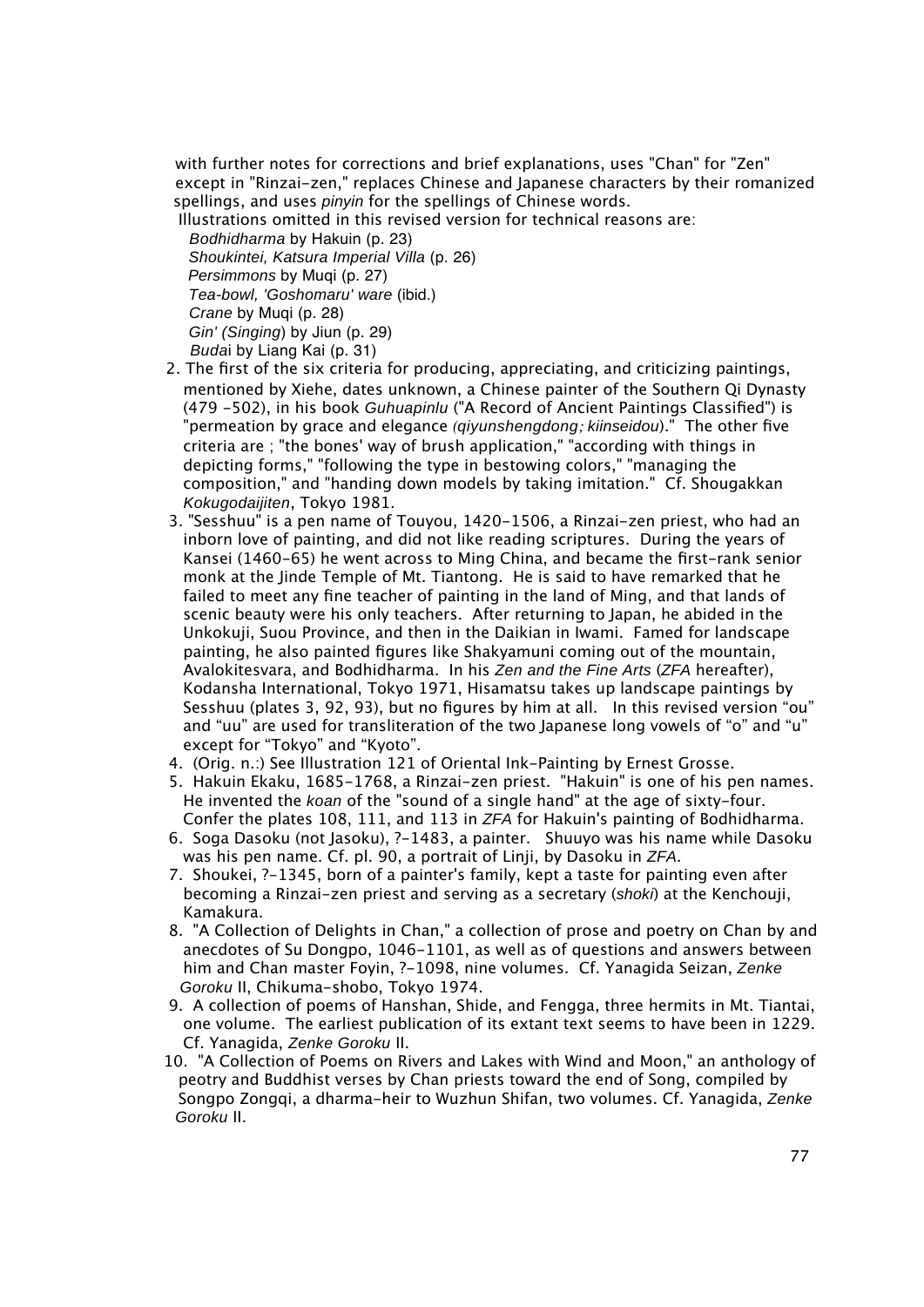with further notes for corrections and brief explanations, uses "Chan" for "Zen" except in "Rinzai-zen," replaces Chinese and Japanese characters by their romanized spellings, and uses pinyin for the spellings of Chinese words.

Illustrations omitted in this revised version for technical reasons are:

 Bodhidharma by Hakuin (p. 23) Shoukintei, Katsura Imperial Villa (p. 26) Persimmons by Muqi (p. 27) Tea-bowl, 'Goshomaru' ware (ibid.) Crane by Muqi (p. 28) Gin' (Singing) by Jiun (p. 29) Budai by Liang Kai (p. 31)

- 2. The first of the six criteria for producing, appreciating, and criticizing paintings, mentioned by Xiehe, dates unknown, a Chinese painter of the Southern Qi Dynasty (479 -502), in his book Guhuapinlu ("A Record of Ancient Paintings Classified") is "permeation by grace and elegance *(*qiyunshengdong*;* kiinseidou)." The other five criteria are ; "the bones' way of brush application," "according with things in depicting forms," "following the type in bestowing colors," "managing the composition," and "handing down models by taking imitation." Cf. Shougakkan Kokugodaijiten, Tokyo 1981.
- 3. "Sesshuu" is a pen name of Touyou, 1420-1506, a Rinzai-zen priest, who had an inborn love of painting, and did not like reading scriptures. During the years of Kansei (1460-65) he went across to Ming China, and became the first-rank senior monk at the Jinde Temple of Mt. Tiantong. He is said to have remarked that he failed to meet any fine teacher of painting in the land of Ming, and that lands of scenic beauty were his only teachers. After returning to Japan, he abided in the Unkokuji, Suou Province, and then in the Daikian in Iwami. Famed for landscape painting, he also painted figures like Shakyamuni coming out of the mountain, Avalokitesvara, and Bodhidharma. In his Zen and the Fine Arts (ZFA hereafter), Kodansha International, Tokyo 1971, Hisamatsu takes up landscape paintings by Sesshuu (plates 3, 92, 93), but no figures by him at all. In this revised version "ou" and "uu" are used for transliteration of the two Japanese long vowels of "o" and "u" except for "Tokyo" and "Kyoto".
- 4. (Orig. n.:) See Illustration 121 of Oriental Ink-Painting by Ernest Grosse.
- 5. Hakuin Ekaku, 1685-1768, a Rinzai-zen priest. "Hakuin" is one of his pen names. He invented the koan of the "sound of a single hand" at the age of sixty-four. Confer the plates 108, 111, and 113 in ZFA for Hakuin's painting of Bodhidharma.
- 6. Soga Dasoku (not Jasoku), ?-1483, a painter. Shuuyo was his name while Dasoku was his pen name. Cf. pl. 90, a portrait of Linji, by Dasoku in ZFA.
- 7. Shoukei, ?-1345, born of a painter's family, kept a taste for painting even after becoming a Rinzai-zen priest and serving as a secretary (shoki) at the Kenchouji, Kamakura.
- 8. "A Collection of Delights in Chan," a collection of prose and poetry on Chan by and anecdotes of Su Dongpo, 1046-1101, as well as of questions and answers between him and Chan master Foyin, ?-1098, nine volumes. Cf. Yanagida Seizan, Zenke Goroku II, Chikuma-shobo, Tokyo 1974.
- 9. A collection of poems of Hanshan, Shide, and Fengga, three hermits in Mt. Tiantai, one volume. The earliest publication of its extant text seems to have been in 1229. Cf. Yanagida, Zenke Goroku II.
- 10. "A Collection of Poems on Rivers and Lakes with Wind and Moon," an anthology of peotry and Buddhist verses by Chan priests toward the end of Song, compiled by Songpo Zongqi, a dharma-heir to Wuzhun Shifan, two volumes. Cf. Yanagida, Zenke Goroku II.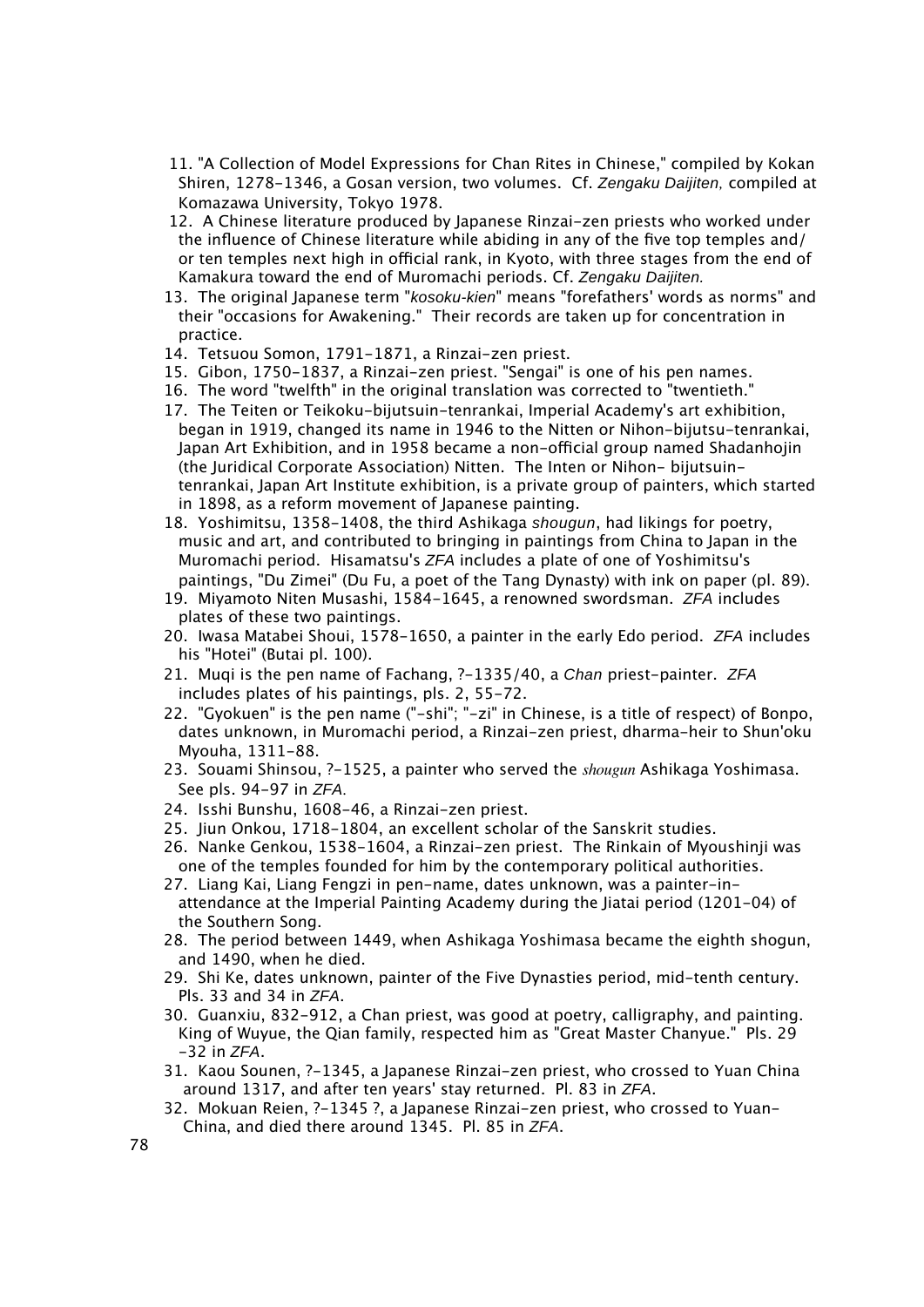- 11. "A Collection of Model Expressions for Chan Rites in Chinese," compiled by Kokan Shiren, 1278-1346, a Gosan version, two volumes. Cf. Zengaku Daijiten*,* compiled at Komazawa University, Tokyo 1978.
- 12. A Chinese literature produced by Japanese Rinzai-zen priests who worked under the influence of Chinese literature while abiding in any of the five top temples and/ or ten temples next high in official rank, in Kyoto, with three stages from the end of Kamakura toward the end of Muromachi periods. Cf. Zengaku Daijiten.
- 13. The original Japanese term "kosoku-kien" means "forefathers' words as norms" and their "occasions for Awakening." Their records are taken up for concentration in practice.
- 14. Tetsuou Somon, 1791-1871, a Rinzai-zen priest.
- 15. Gibon, 1750-1837, a Rinzai-zen priest. "Sengai" is one of his pen names.
- 16. The word "twelfth" in the original translation was corrected to "twentieth."
- 17. The Teiten or Teikoku-bijutsuin-tenrankai, Imperial Academy's art exhibition, began in 1919, changed its name in 1946 to the Nitten or Nihon-bijutsu-tenrankai, Japan Art Exhibition, and in 1958 became a non-official group named Shadanhojin (the Juridical Corporate Association) Nitten. The Inten or Nihon- bijutsuin tenrankai, Japan Art Institute exhibition, is a private group of painters, which started in 1898, as a reform movement of Japanese painting.
- 18. Yoshimitsu, 1358-1408, the third Ashikaga shougun, had likings for poetry, music and art, and contributed to bringing in paintings from China to Japan in the Muromachi period. Hisamatsu's ZFA includes a plate of one of Yoshimitsu's paintings, "Du Zimei" (Du Fu, a poet of the Tang Dynasty) with ink on paper (pl. 89).
- 19. Miyamoto Niten Musashi, 1584-1645, a renowned swordsman. ZFA includes plates of these two paintings.
- 20. Iwasa Matabei Shoui, 1578-1650, a painter in the early Edo period. ZFA includes his "Hotei" (Butai pl. 100).
- 21. Mugi is the pen name of Fachang, ?-1335/40, a Chan priest-painter. ZFA includes plates of his paintings, pls. 2, 55-72.
- 22. "Gyokuen" is the pen name ("-shi"; "-zi" in Chinese, is a title of respect) of Bonpo, dates unknown, in Muromachi period, a Rinzai-zen priest, dharma-heir to Shun'oku Myouha, 1311-88.
- 23. Souami Shinsou, ?-1525, a painter who served the *shougun* Ashikaga Yoshimasa. See pls. 94-97 in ZFA*.*
- 24. Isshi Bunshu, 1608-46, a Rinzai-zen priest.
- 25. Jiun Onkou, 1718-1804, an excellent scholar of the Sanskrit studies.
- 26. Nanke Genkou, 1538-1604, a Rinzai-zen priest. The Rinkain of Myoushinji was one of the temples founded for him by the contemporary political authorities.
- 27. Liang Kai, Liang Fengzi in pen-name, dates unknown, was a painter-in attendance at the Imperial Painting Academy during the Jiatai period (1201-04) of the Southern Song.
- 28. The period between 1449, when Ashikaga Yoshimasa became the eighth shogun, and 1490, when he died.
- 29. Shi Ke, dates unknown, painter of the Five Dynasties period, mid-tenth century. Pls. 33 and 34 in ZFA.
- 30. Guanxiu, 832-912, a Chan priest, was good at poetry, calligraphy, and painting. King of Wuyue, the Qian family, respected him as "Great Master Chanyue." Pls. 29 -32 in ZFA.
- 31. Kaou Sounen, ?-1345, a Japanese Rinzai-zen priest, who crossed to Yuan China around 1317, and after ten years' stay returned. Pl. 83 in ZFA.
- 32. Mokuan Reien, ?-1345 ?, a Japanese Rinzai-zen priest, who crossed to Yuan- China, and died there around 1345. Pl. 85 in ZFA.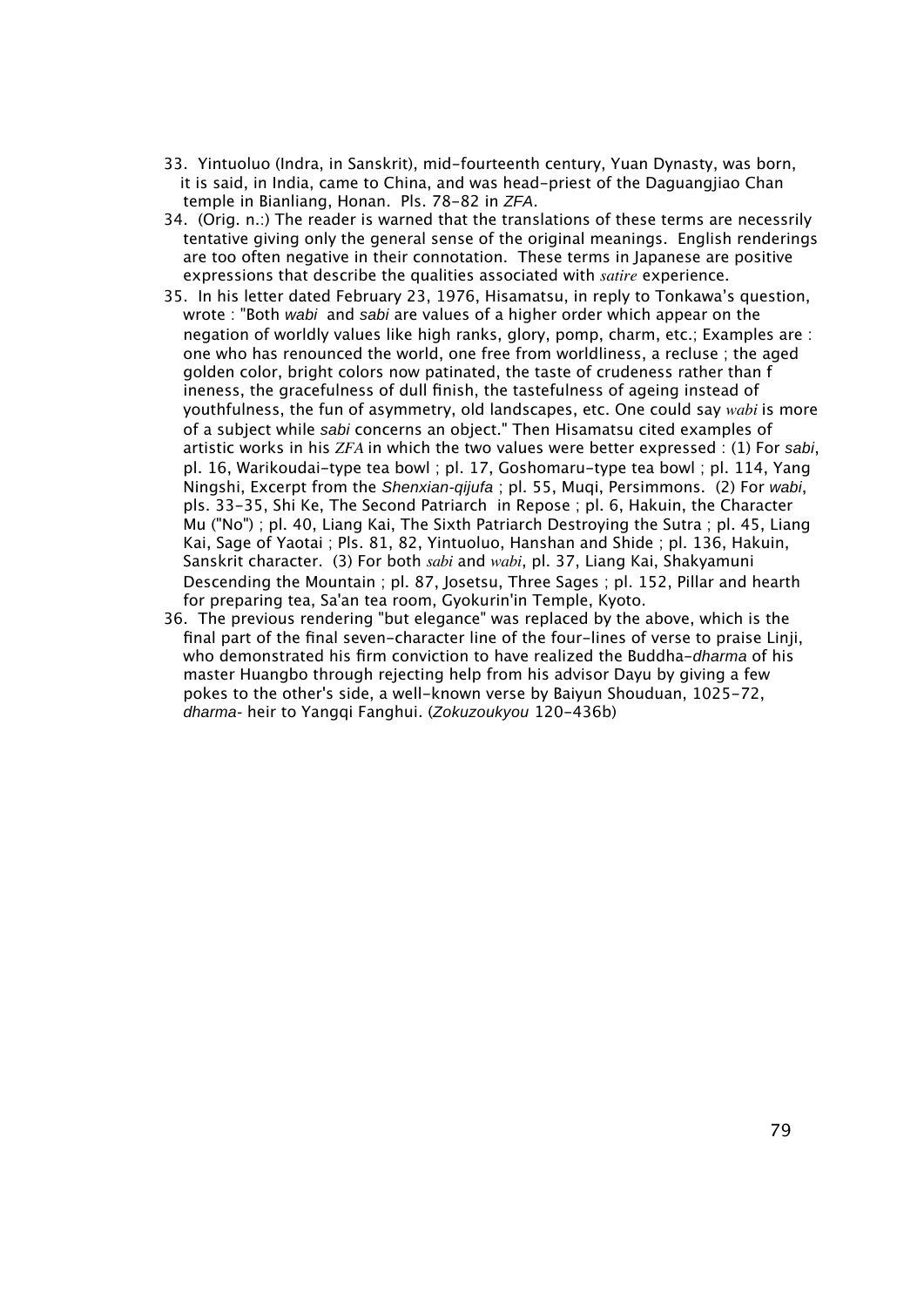- 33. Yintuoluo (Indra, in Sanskrit), mid-fourteenth century, Yuan Dynasty, was born, it is said, in India, came to China, and was head-priest of the Daguangjiao Chan temple in Bianliang, Honan. Pls. 78-82 in ZFA.
- 34. (Orig. n.:) The reader is warned that the translations of these terms are necessrily tentative giving only the general sense of the original meanings. English renderings are too often negative in their connotation. These terms in Japanese are positive expressions that describe the qualities associated with *satire* experience.
- 35. In his letter dated February 23, 1976, Hisamatsu, in reply to Tonkawa's question, wrote : "Both wabiand sabi are values of a higher order which appear on the negation of worldly values like high ranks, glory, pomp, charm, etc.; Examples are : one who has renounced the world, one free from worldliness, a recluse ; the aged golden color, bright colors now patinated, the taste of crudeness rather than f ineness, the gracefulness of dull finish, the tastefulness of ageing instead of youthfulness, the fun of asymmetry, old landscapes, etc. One could say *wabi* is more of a subject while sabi concerns an object." Then Hisamatsu cited examples of artistic works in his *ZFA* in which the two values were better expressed : (1) For sabi, pl. 16, Warikoudai-type tea bowl ; pl. 17, Goshomaru-type tea bowl ; pl. 114, Yang Ningshi, Excerpt from the Shenxian-qijufa ; pl. 55, Muqi, Persimmons. (2) For wabi, pls. 33-35, Shi Ke, The Second Patriarch in Repose ; pl. 6, Hakuin, the Character Mu ("No") ; pl. 40, Liang Kai, The Sixth Patriarch Destroying the Sutra ; pl. 45, Liang Kai, Sage of Yaotai ; Pls. 81, 82, Yintuoluo, Hanshan and Shide ; pl. 136, Hakuin, Sanskrit character. (3) For both *sabi* and *wabi*, pl. 37, Liang Kai, Shakyamuni Descending the Mountain ; pl. 87, Josetsu, Three Sages ; pl. 152, Pillar and hearth for preparing tea, Sa'an tea room, Gyokurin'in Temple, Kyoto.
- 36. The previous rendering "but elegance" was replaced by the above, which is the final part of the final seven-character line of the four-lines of verse to praise Linji, who demonstrated his firm conviction to have realized the Buddha-dharma of his master Huangbo through rejecting help from his advisor Dayu by giving a few pokes to the other's side, a well-known verse by Baiyun Shouduan, 1025-72, dharma- heir to Yangqi Fanghui. (Zokuzoukyou 120-436b)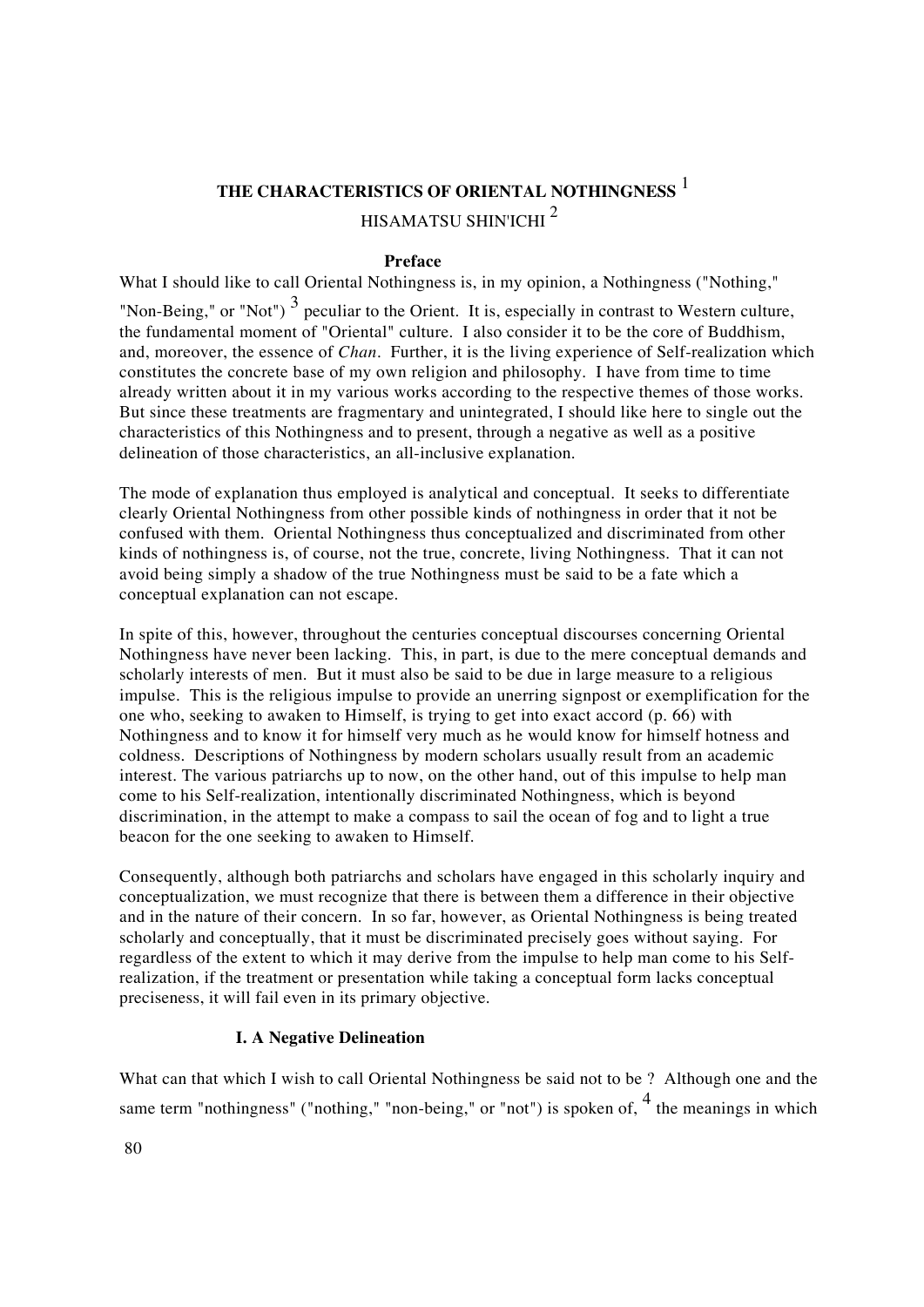# THE CHARACTERISTICS OF ORIENTAL NOTHINGNESS <sup>1</sup> HISAMATSU SHIN'ICHI<sup>2</sup>

#### **Preface**

What I should like to call Oriental Nothingness is, in my opinion, a Nothingness ("Nothing,"

"Non-Being," or "Not")  $3$  peculiar to the Orient. It is, especially in contrast to Western culture, the fundamental moment of "Oriental" culture. I also consider it to be the core of Buddhism, and, moreover, the essence of *Chan*. Further, it is the living experience of Self-realization which constitutes the concrete base of my own religion and philosophy. I have from time to time already written about it in my various works according to the respective themes of those works. But since these treatments are fragmentary and unintegrated, I should like here to single out the characteristics of this Nothingness and to present, through a negative as well as a positive delineation of those characteristics, an all-inclusive explanation.

The mode of explanation thus employed is analytical and conceptual. It seeks to differentiate clearly Oriental Nothingness from other possible kinds of nothingness in order that it not be confused with them. Oriental Nothingness thus conceptualized and discriminated from other kinds of nothingness is, of course, not the true, concrete, living Nothingness. That it can not avoid being simply a shadow of the true Nothingness must be said to be a fate which a conceptual explanation can not escape.

In spite of this, however, throughout the centuries conceptual discourses concerning Oriental Nothingness have never been lacking. This, in part, is due to the mere conceptual demands and scholarly interests of men. But it must also be said to be due in large measure to a religious impulse. This is the religious impulse to provide an unerring signpost or exemplification for the one who, seeking to awaken to Himself, is trying to get into exact accord (p. 66) with Nothingness and to know it for himself very much as he would know for himself hotness and coldness. Descriptions of Nothingness by modern scholars usually result from an academic interest. The various patriarchs up to now, on the other hand, out of this impulse to help man come to his Self-realization, intentionally discriminated Nothingness, which is beyond discrimination, in the attempt to make a compass to sail the ocean of fog and to light a true beacon for the one seeking to awaken to Himself.

Consequently, although both patriarchs and scholars have engaged in this scholarly inquiry and conceptualization, we must recognize that there is between them a difference in their objective and in the nature of their concern. In so far, however, as Oriental Nothingness is being treated scholarly and conceptually, that it must be discriminated precisely goes without saying. For regardless of the extent to which it may derive from the impulse to help man come to his Selfrealization, if the treatment or presentation while taking a conceptual form lacks conceptual preciseness, it will fail even in its primary objective.

# **I. A Negative Delineation**

What can that which I wish to call Oriental Nothingness be said not to be ? Although one and the same term "nothingness" ("nothing," "non-being," or "not") is spoken of,  $\frac{4}{1}$  the meanings in which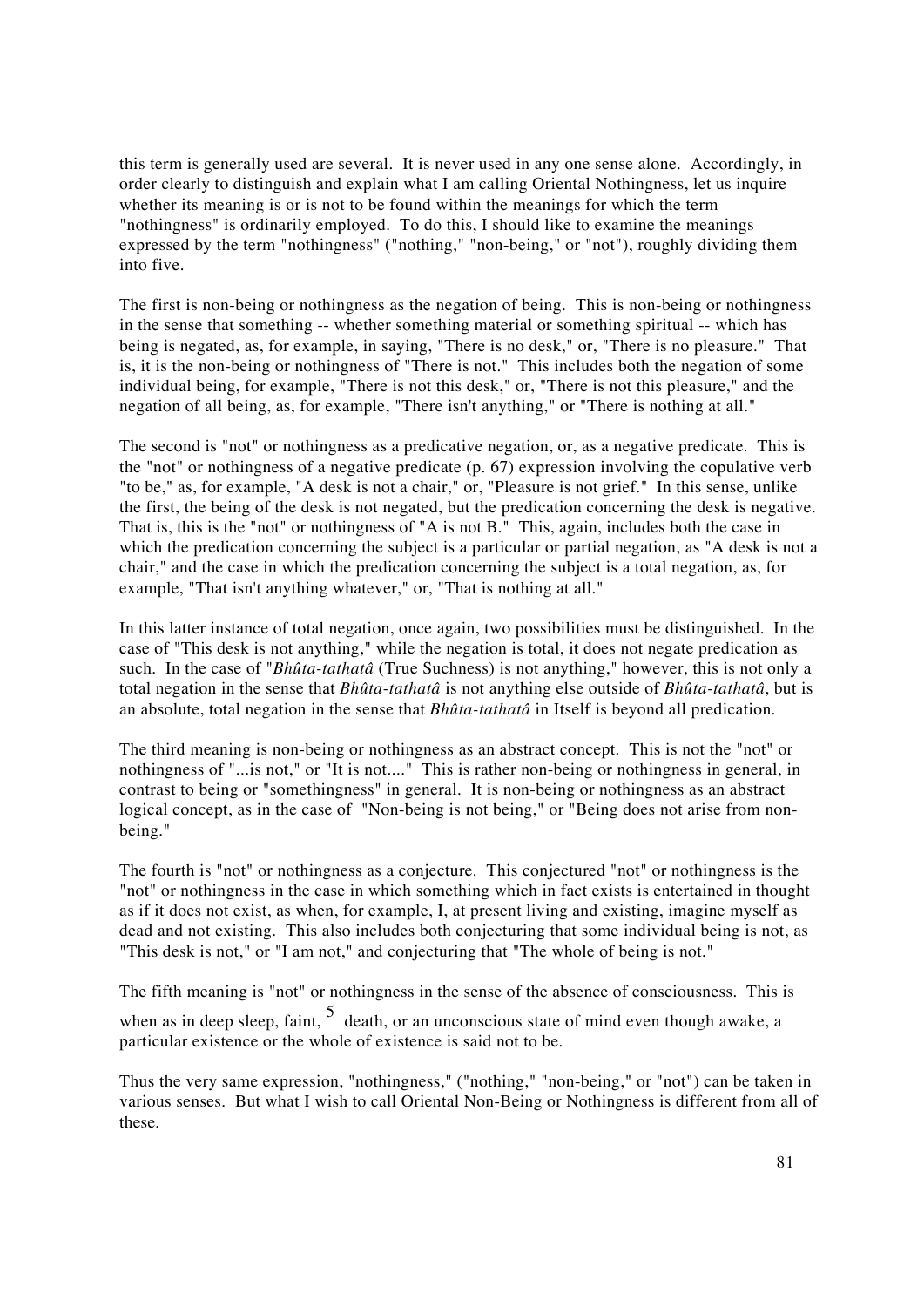this term is generally used are several. It is never used in any one sense alone. Accordingly, in order clearly to distinguish and explain what I am calling Oriental Nothingness, let us inquire whether its meaning is or is not to be found within the meanings for which the term "nothingness" is ordinarily employed. To do this, I should like to examine the meanings expressed by the term "nothingness" ("nothing," "non-being," or "not"), roughly dividing them into five.

The first is non-being or nothingness as the negation of being. This is non-being or nothingness in the sense that something -- whether something material or something spiritual -- which has being is negated, as, for example, in saying, "There is no desk," or, "There is no pleasure." That is, it is the non-being or nothingness of "There is not." This includes both the negation of some individual being, for example, "There is not this desk," or, "There is not this pleasure," and the negation of all being, as, for example, "There isn't anything," or "There is nothing at all."

The second is "not" or nothingness as a predicative negation, or, as a negative predicate. This is the "not" or nothingness of a negative predicate (p. 67) expression involving the copulative verb "to be," as, for example, "A desk is not a chair," or, "Pleasure is not grief." In this sense, unlike the first, the being of the desk is not negated, but the predication concerning the desk is negative. That is, this is the "not" or nothingness of "A is not B." This, again, includes both the case in which the predication concerning the subject is a particular or partial negation, as "A desk is not a chair," and the case in which the predication concerning the subject is a total negation, as, for example, "That isn't anything whatever," or, "That is nothing at all."

In this latter instance of total negation, once again, two possibilities must be distinguished. In the case of "This desk is not anything," while the negation is total, it does not negate predication as such. In the case of "*Bhûta-tathatâ* (True Suchness) is not anything," however, this is not only a total negation in the sense that *Bhûta-tathatâ* is not anything else outside of *Bhûta-tathatâ*, but is an absolute, total negation in the sense that *Bhûta-tathatâ* in Itself is beyond all predication.

The third meaning is non-being or nothingness as an abstract concept. This is not the "not" or nothingness of "...is not," or "It is not...." This is rather non-being or nothingness in general, in contrast to being or "somethingness" in general. It is non-being or nothingness as an abstract logical concept, as in the case of "Non-being is not being," or "Being does not arise from nonbeing."

The fourth is "not" or nothingness as a conjecture. This conjectured "not" or nothingness is the "not" or nothingness in the case in which something which in fact exists is entertained in thought as if it does not exist, as when, for example, I, at present living and existing, imagine myself as dead and not existing. This also includes both conjecturing that some individual being is not, as "This desk is not," or "I am not," and conjecturing that "The whole of being is not."

The fifth meaning is "not" or nothingness in the sense of the absence of consciousness. This is when as in deep sleep, faint,  $\frac{5}{5}$  death, or an unconscious state of mind even though awake, a particular existence or the whole of existence is said not to be.

Thus the very same expression, "nothingness," ("nothing," "non-being," or "not") can be taken in various senses. But what I wish to call Oriental Non-Being or Nothingness is different from all of these.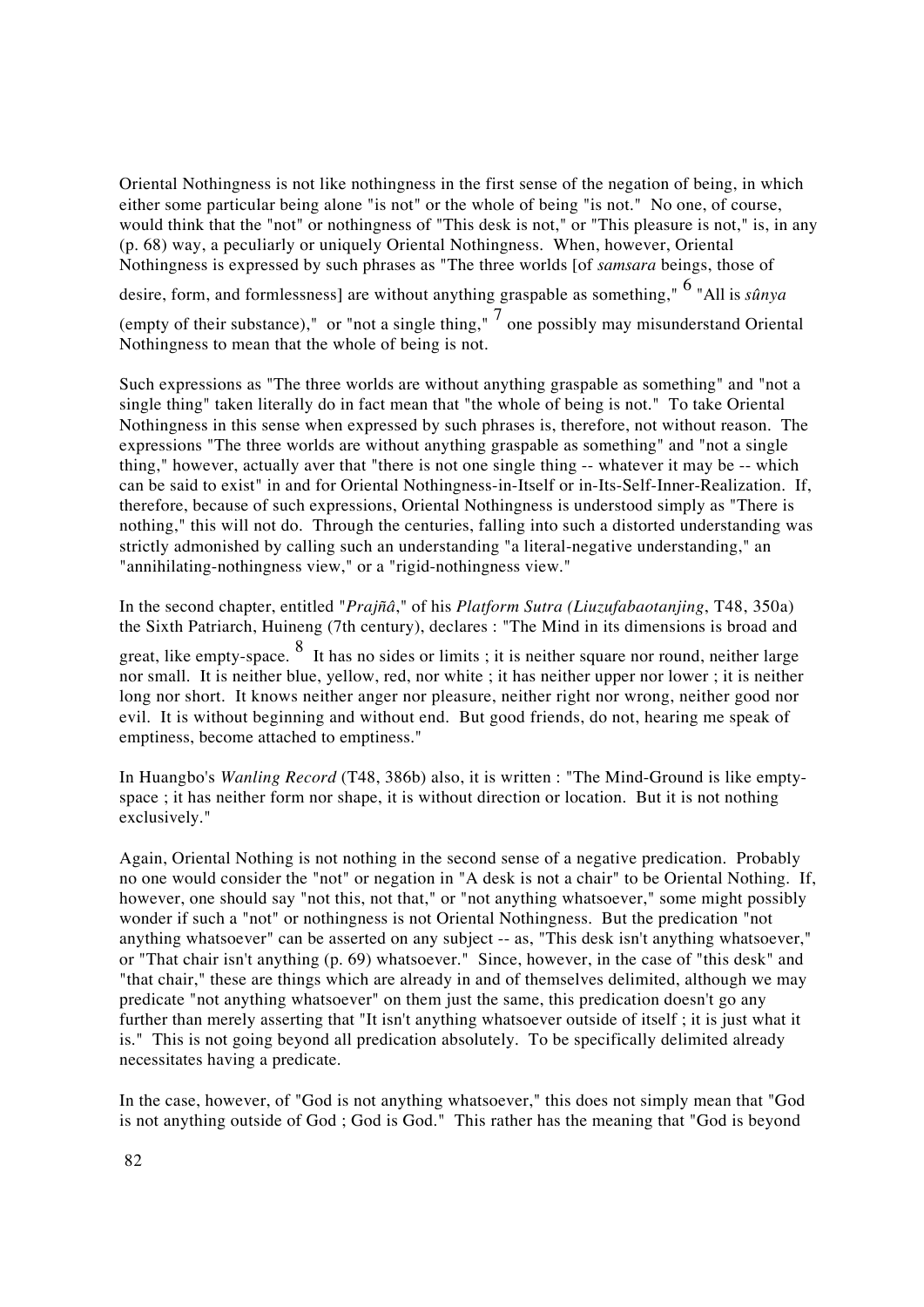Oriental Nothingness is not like nothingness in the first sense of the negation of being, in which either some particular being alone "is not" or the whole of being "is not." No one, of course, would think that the "not" or nothingness of "This desk is not," or "This pleasure is not," is, in any (p. 68) way, a peculiarly or uniquely Oriental Nothingness. When, however, Oriental Nothingness is expressed by such phrases as "The three worlds [of *samsara* beings, those of

desire, form, and formlessness] are without anything graspable as something," 6 "All is *sûnya* (empty of their substance)," or "not a single thing,"  $\frac{7}{2}$  one possibly may misunderstand Oriental Nothingness to mean that the whole of being is not.

Such expressions as "The three worlds are without anything graspable as something" and "not a single thing" taken literally do in fact mean that "the whole of being is not." To take Oriental Nothingness in this sense when expressed by such phrases is, therefore, not without reason. The expressions "The three worlds are without anything graspable as something" and "not a single thing," however, actually aver that "there is not one single thing -- whatever it may be -- which can be said to exist" in and for Oriental Nothingness-in-Itself or in-Its-Self-Inner-Realization. If, therefore, because of such expressions, Oriental Nothingness is understood simply as "There is nothing," this will not do. Through the centuries, falling into such a distorted understanding was strictly admonished by calling such an understanding "a literal-negative understanding," an "annihilating-nothingness view," or a "rigid-nothingness view."

In the second chapter, entitled "*Prajñâ*," of his *Platform Sutra (Liuzufabaotanjing*, T48, 350a) the Sixth Patriarch, Huineng (7th century), declares : "The Mind in its dimensions is broad and great, like empty-space.  $\frac{8}{1}$  It has no sides or limits; it is neither square nor round, neither large nor small. It is neither blue, yellow, red, nor white ; it has neither upper nor lower ; it is neither long nor short. It knows neither anger nor pleasure, neither right nor wrong, neither good nor evil. It is without beginning and without end. But good friends, do not, hearing me speak of emptiness, become attached to emptiness."

In Huangbo's *Wanling Record* (T48, 386b) also, it is written : "The Mind-Ground is like emptyspace ; it has neither form nor shape, it is without direction or location. But it is not nothing exclusively."

Again, Oriental Nothing is not nothing in the second sense of a negative predication. Probably no one would consider the "not" or negation in "A desk is not a chair" to be Oriental Nothing. If, however, one should say "not this, not that," or "not anything whatsoever," some might possibly wonder if such a "not" or nothingness is not Oriental Nothingness. But the predication "not anything whatsoever" can be asserted on any subject -- as, "This desk isn't anything whatsoever," or "That chair isn't anything (p. 69) whatsoever." Since, however, in the case of "this desk" and "that chair," these are things which are already in and of themselves delimited, although we may predicate "not anything whatsoever" on them just the same, this predication doesn't go any further than merely asserting that "It isn't anything whatsoever outside of itself ; it is just what it is." This is not going beyond all predication absolutely. To be specifically delimited already necessitates having a predicate.

In the case, however, of "God is not anything whatsoever," this does not simply mean that "God is not anything outside of God ; God is God." This rather has the meaning that "God is beyond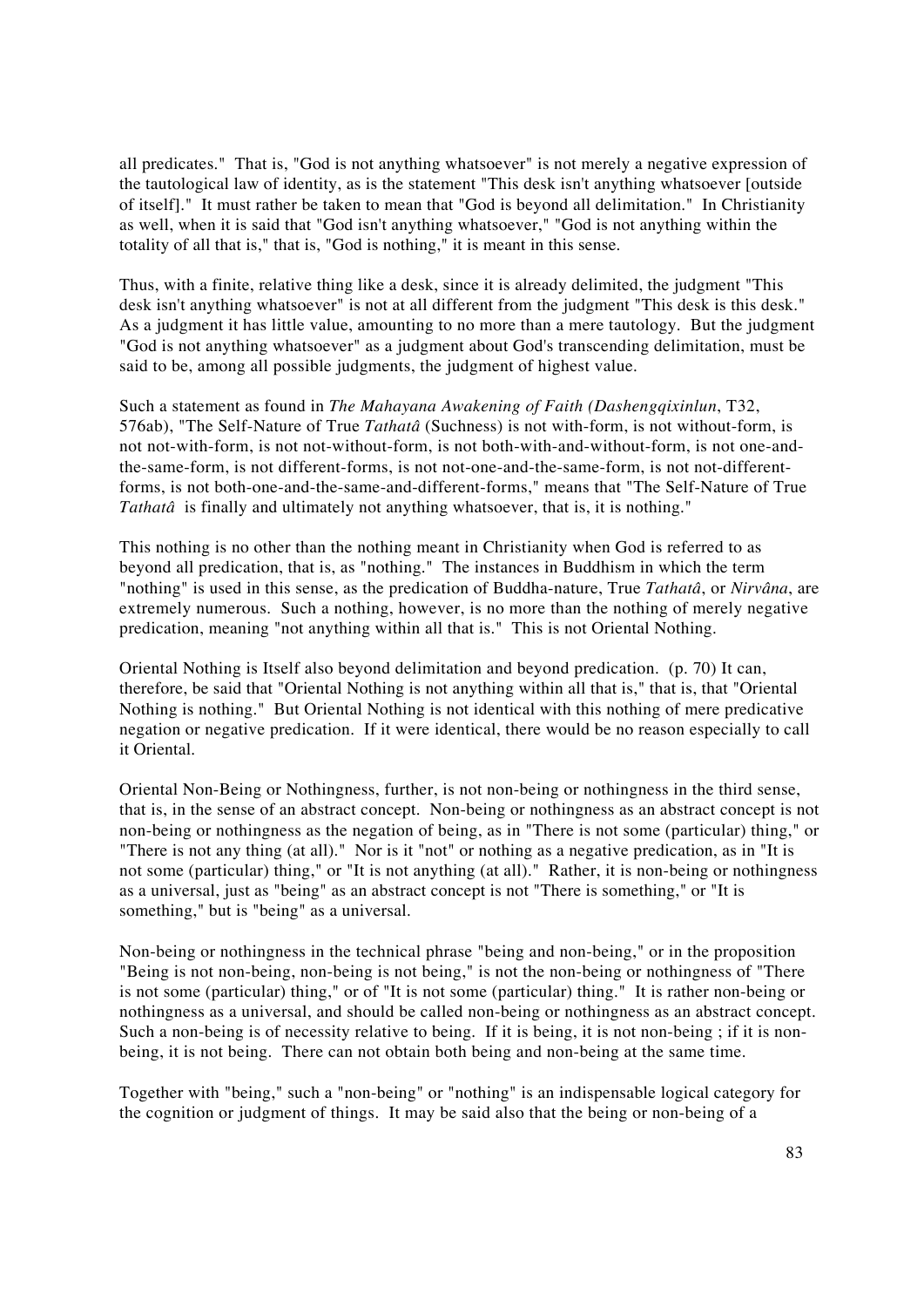all predicates." That is, "God is not anything whatsoever" is not merely a negative expression of the tautological law of identity, as is the statement "This desk isn't anything whatsoever [outside of itself]." It must rather be taken to mean that "God is beyond all delimitation." In Christianity as well, when it is said that "God isn't anything whatsoever," "God is not anything within the totality of all that is," that is, "God is nothing," it is meant in this sense.

Thus, with a finite, relative thing like a desk, since it is already delimited, the judgment "This desk isn't anything whatsoever" is not at all different from the judgment "This desk is this desk." As a judgment it has little value, amounting to no more than a mere tautology. But the judgment "God is not anything whatsoever" as a judgment about God's transcending delimitation, must be said to be, among all possible judgments, the judgment of highest value.

Such a statement as found in *The Mahayana Awakening of Faith (Dashengqixinlun*, T32, 576ab), "The Self-Nature of True *Tathatâ* (Suchness) is not with-form, is not without-form, is not not-with-form, is not not-without-form, is not both-with-and-without-form, is not one-andthe-same-form, is not different-forms, is not not-one-and-the-same-form, is not not-differentforms, is not both-one-and-the-same-and-different-forms," means that "The Self-Nature of True *Tathatâ* is finally and ultimately not anything whatsoever, that is, it is nothing."

This nothing is no other than the nothing meant in Christianity when God is referred to as beyond all predication, that is, as "nothing." The instances in Buddhism in which the term "nothing" is used in this sense, as the predication of Buddha-nature, True *Tathatâ*, or *Nirvâna*, are extremely numerous. Such a nothing, however, is no more than the nothing of merely negative predication, meaning "not anything within all that is." This is not Oriental Nothing.

Oriental Nothing is Itself also beyond delimitation and beyond predication. (p. 70) It can, therefore, be said that "Oriental Nothing is not anything within all that is," that is, that "Oriental Nothing is nothing." But Oriental Nothing is not identical with this nothing of mere predicative negation or negative predication. If it were identical, there would be no reason especially to call it Oriental.

Oriental Non-Being or Nothingness, further, is not non-being or nothingness in the third sense, that is, in the sense of an abstract concept. Non-being or nothingness as an abstract concept is not non-being or nothingness as the negation of being, as in "There is not some (particular) thing," or "There is not any thing (at all)." Nor is it "not" or nothing as a negative predication, as in "It is not some (particular) thing," or "It is not anything (at all)." Rather, it is non-being or nothingness as a universal, just as "being" as an abstract concept is not "There is something," or "It is something," but is "being" as a universal.

Non-being or nothingness in the technical phrase "being and non-being," or in the proposition "Being is not non-being, non-being is not being," is not the non-being or nothingness of "There is not some (particular) thing," or of "It is not some (particular) thing." It is rather non-being or nothingness as a universal, and should be called non-being or nothingness as an abstract concept. Such a non-being is of necessity relative to being. If it is being, it is not non-being ; if it is nonbeing, it is not being. There can not obtain both being and non-being at the same time.

Together with "being," such a "non-being" or "nothing" is an indispensable logical category for the cognition or judgment of things. It may be said also that the being or non-being of a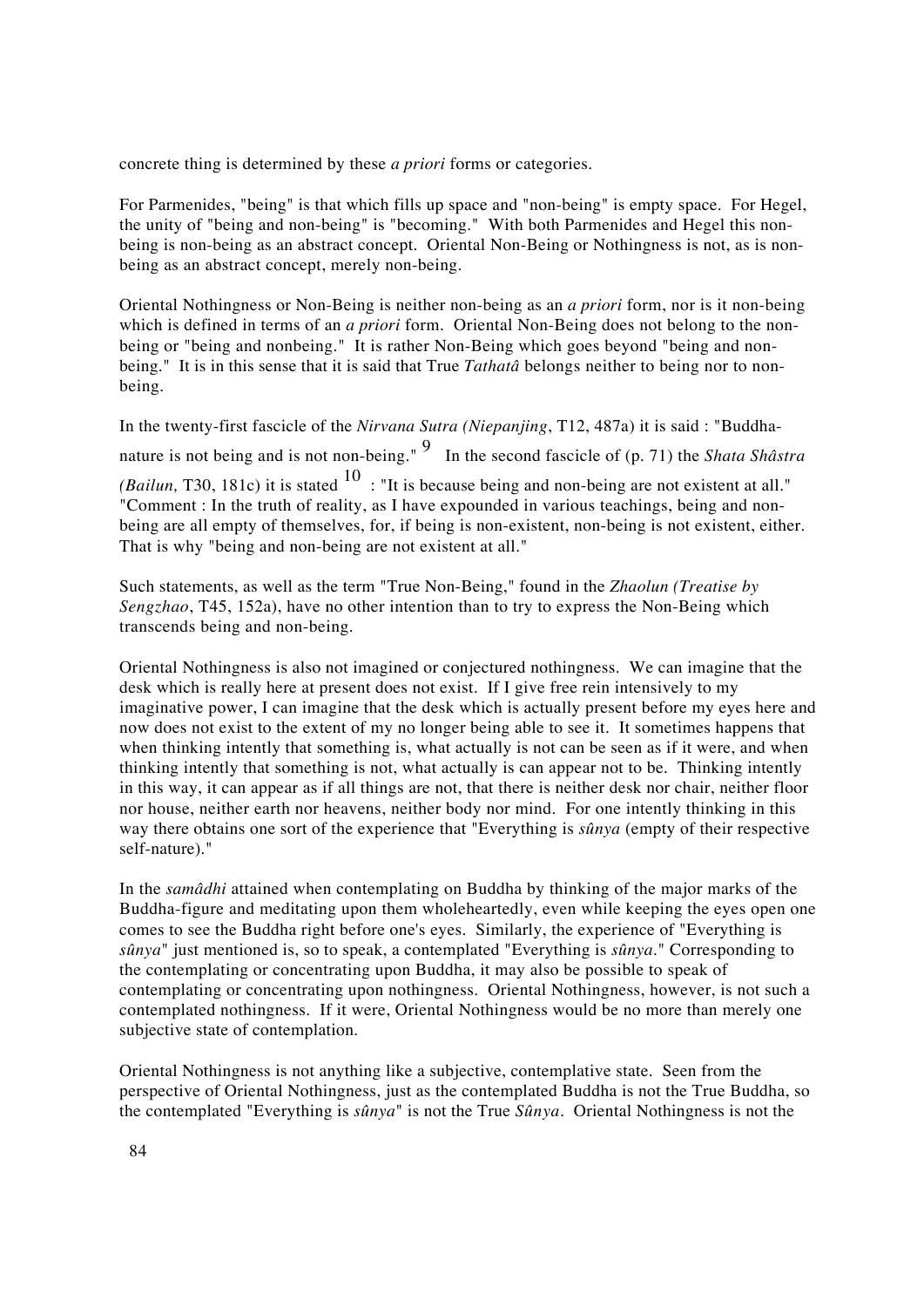concrete thing is determined by these *a priori* forms or categories.

For Parmenides, "being" is that which fills up space and "non-being" is empty space. For Hegel, the unity of "being and non-being" is "becoming." With both Parmenides and Hegel this nonbeing is non-being as an abstract concept. Oriental Non-Being or Nothingness is not, as is nonbeing as an abstract concept, merely non-being.

Oriental Nothingness or Non-Being is neither non-being as an *a priori* form, nor is it non-being which is defined in terms of an *a priori* form. Oriental Non-Being does not belong to the nonbeing or "being and nonbeing." It is rather Non-Being which goes beyond "being and nonbeing." It is in this sense that it is said that True *Tathatâ* belongs neither to being nor to nonbeing.

In the twenty-first fascicle of the *Nirvana Sutra (Niepanjing*, T12, 487a) it is said : "Buddhanature is not being and is not non-being."<sup>9</sup> In the second fascicle of (p. 71) the *Shata Shâstra (Bailun,* T30, 181c) it is stated  $10$ : "It is because being and non-being are not existent at all." "Comment : In the truth of reality, as I have expounded in various teachings, being and nonbeing are all empty of themselves, for, if being is non-existent, non-being is not existent, either. That is why "being and non-being are not existent at all."

Such statements, as well as the term "True Non-Being," found in the *Zhaolun (Treatise by Sengzhao*, T45, 152a), have no other intention than to try to express the Non-Being which transcends being and non-being.

Oriental Nothingness is also not imagined or conjectured nothingness. We can imagine that the desk which is really here at present does not exist. If I give free rein intensively to my imaginative power, I can imagine that the desk which is actually present before my eyes here and now does not exist to the extent of my no longer being able to see it. It sometimes happens that when thinking intently that something is, what actually is not can be seen as if it were, and when thinking intently that something is not, what actually is can appear not to be. Thinking intently in this way, it can appear as if all things are not, that there is neither desk nor chair, neither floor nor house, neither earth nor heavens, neither body nor mind. For one intently thinking in this way there obtains one sort of the experience that "Everything is *sûnya* (empty of their respective self-nature)."

In the *samâdhi* attained when contemplating on Buddha by thinking of the major marks of the Buddha-figure and meditating upon them wholeheartedly, even while keeping the eyes open one comes to see the Buddha right before one's eyes. Similarly, the experience of "Everything is *sûnya*" just mentioned is, so to speak, a contemplated "Everything is *sûnya*." Corresponding to the contemplating or concentrating upon Buddha, it may also be possible to speak of contemplating or concentrating upon nothingness. Oriental Nothingness, however, is not such a contemplated nothingness. If it were, Oriental Nothingness would be no more than merely one subjective state of contemplation.

Oriental Nothingness is not anything like a subjective, contemplative state. Seen from the perspective of Oriental Nothingness, just as the contemplated Buddha is not the True Buddha, so the contemplated "Everything is *sûnya*" is not the True *Sûnya*. Oriental Nothingness is not the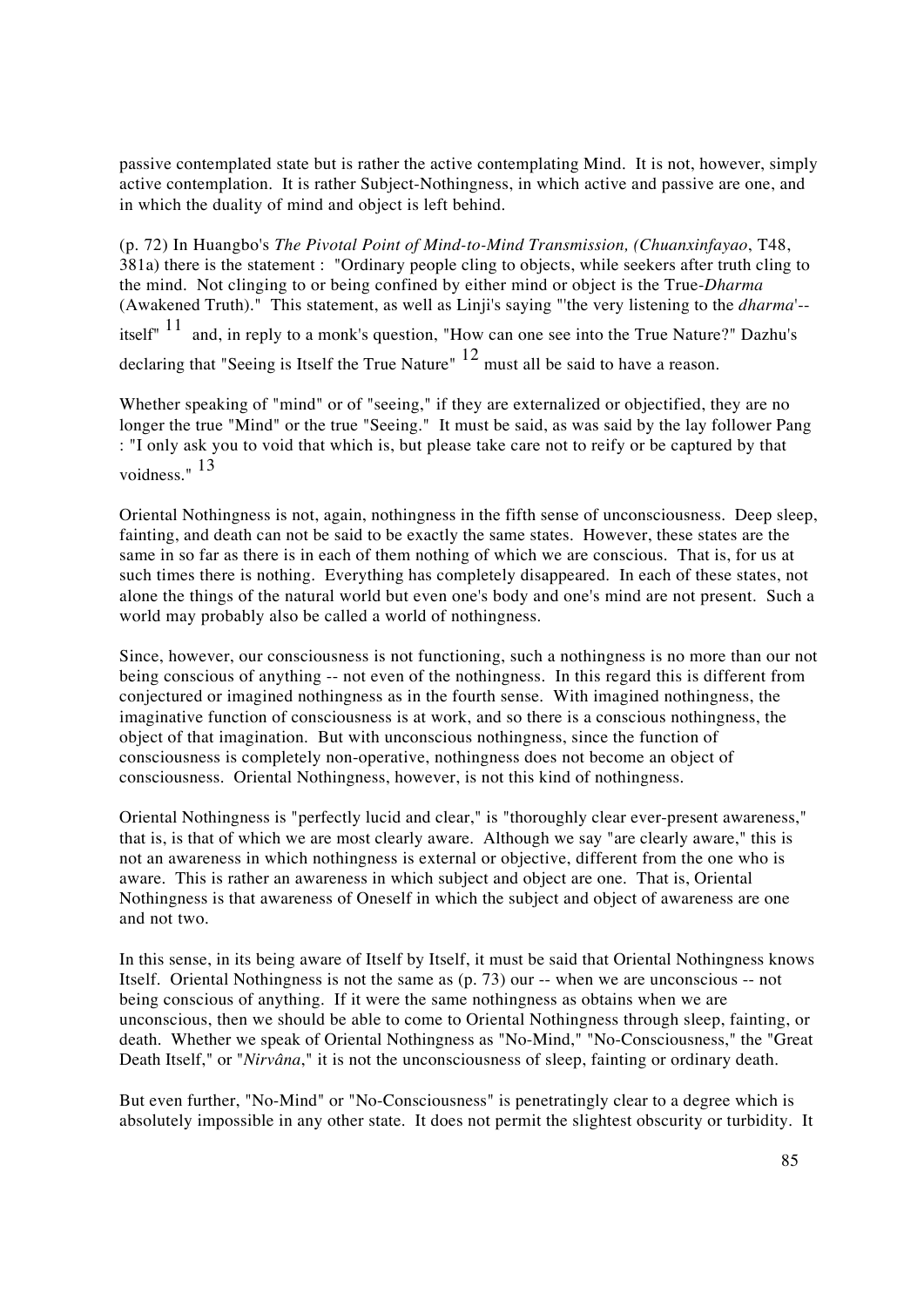passive contemplated state but is rather the active contemplating Mind. It is not, however, simply active contemplation. It is rather Subject-Nothingness, in which active and passive are one, and in which the duality of mind and object is left behind.

(p. 72) In Huangbo's *The Pivotal Point of Mind-to-Mind Transmission, (Chuanxinfayao*, T48, 381a) there is the statement : "Ordinary people cling to objects, while seekers after truth cling to the mind. Not clinging to or being confined by either mind or object is the True-*Dharma* (Awakened Truth)." This statement, as well as Linji's saying "'the very listening to the *dharma*'- itself"  $11$  and, in reply to a monk's question, "How can one see into the True Nature?" Dazhu's declaring that "Seeing is Itself the True Nature"  $12$  must all be said to have a reason.

Whether speaking of "mind" or of "seeing," if they are externalized or objectified, they are no longer the true "Mind" or the true "Seeing." It must be said, as was said by the lay follower Pang : "I only ask you to void that which is, but please take care not to reify or be captured by that voidness." <sup>13</sup>

Oriental Nothingness is not, again, nothingness in the fifth sense of unconsciousness. Deep sleep, fainting, and death can not be said to be exactly the same states. However, these states are the same in so far as there is in each of them nothing of which we are conscious. That is, for us at such times there is nothing. Everything has completely disappeared. In each of these states, not alone the things of the natural world but even one's body and one's mind are not present. Such a world may probably also be called a world of nothingness.

Since, however, our consciousness is not functioning, such a nothingness is no more than our not being conscious of anything -- not even of the nothingness. In this regard this is different from conjectured or imagined nothingness as in the fourth sense. With imagined nothingness, the imaginative function of consciousness is at work, and so there is a conscious nothingness, the object of that imagination. But with unconscious nothingness, since the function of consciousness is completely non-operative, nothingness does not become an object of consciousness. Oriental Nothingness, however, is not this kind of nothingness.

Oriental Nothingness is "perfectly lucid and clear," is "thoroughly clear ever-present awareness," that is, is that of which we are most clearly aware. Although we say "are clearly aware," this is not an awareness in which nothingness is external or objective, different from the one who is aware. This is rather an awareness in which subject and object are one. That is, Oriental Nothingness is that awareness of Oneself in which the subject and object of awareness are one and not two.

In this sense, in its being aware of Itself by Itself, it must be said that Oriental Nothingness knows Itself. Oriental Nothingness is not the same as (p. 73) our -- when we are unconscious -- not being conscious of anything. If it were the same nothingness as obtains when we are unconscious, then we should be able to come to Oriental Nothingness through sleep, fainting, or death. Whether we speak of Oriental Nothingness as "No-Mind," "No-Consciousness," the "Great Death Itself," or "*Nirvâna*," it is not the unconsciousness of sleep, fainting or ordinary death.

But even further, "No-Mind" or "No-Consciousness" is penetratingly clear to a degree which is absolutely impossible in any other state. It does not permit the slightest obscurity or turbidity. It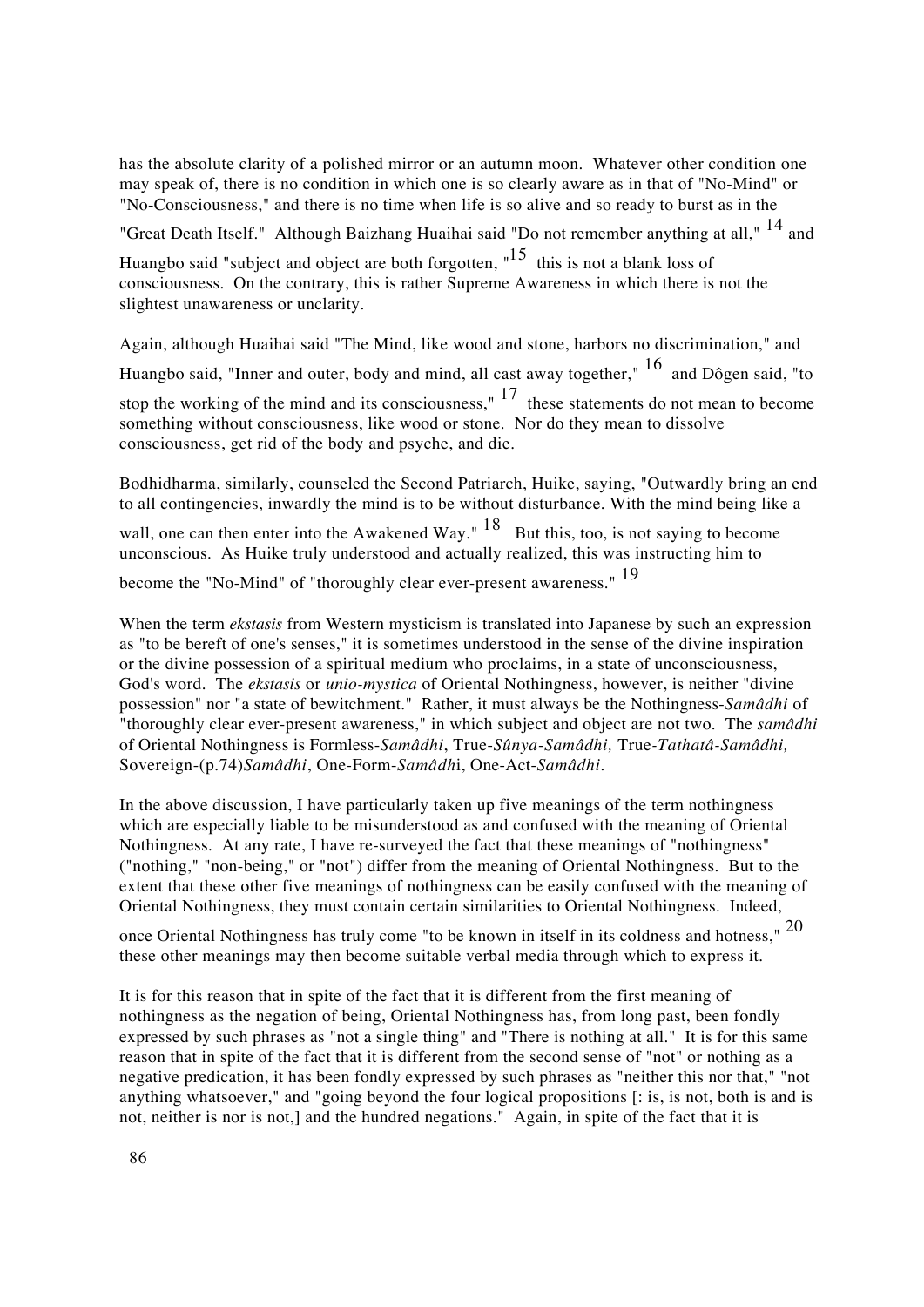has the absolute clarity of a polished mirror or an autumn moon. Whatever other condition one may speak of, there is no condition in which one is so clearly aware as in that of "No-Mind" or "No-Consciousness," and there is no time when life is so alive and so ready to burst as in the

"Great Death Itself." Although Baizhang Huaihai said "Do not remember anything at all," <sup>14</sup> and Huangbo said "subject and object are both forgotten, " $^{15}$  this is not a blank loss of consciousness. On the contrary, this is rather Supreme Awareness in which there is not the slightest unawareness or unclarity.

Again, although Huaihai said "The Mind, like wood and stone, harbors no discrimination," and Huangbo said, "Inner and outer, body and mind, all cast away together,"  $16$  and Dôgen said, "to stop the working of the mind and its consciousness,"  $17$  these statements do not mean to become something without consciousness, like wood or stone. Nor do they mean to dissolve consciousness, get rid of the body and psyche, and die.

Bodhidharma, similarly, counseled the Second Patriarch, Huike, saying, "Outwardly bring an end to all contingencies, inwardly the mind is to be without disturbance. With the mind being like a wall, one can then enter into the Awakened Way."  $18$  But this, too, is not saying to become unconscious. As Huike truly understood and actually realized, this was instructing him to become the "No-Mind" of "thoroughly clear ever-present awareness." <sup>19</sup>

When the term *ekstasis* from Western mysticism is translated into Japanese by such an expression as "to be bereft of one's senses," it is sometimes understood in the sense of the divine inspiration or the divine possession of a spiritual medium who proclaims, in a state of unconsciousness, God's word. The *ekstasis* or *unio-mystica* of Oriental Nothingness, however, is neither "divine possession" nor "a state of bewitchment." Rather, it must always be the Nothingness-*Samâdhi* of "thoroughly clear ever-present awareness," in which subject and object are not two. The *samâdhi* of Oriental Nothingness is Formless-*Samâdhi*, True-*Sûnya-Samâdhi,* True*-Tathatâ-Samâdhi,* Sovereign-(p.74)*Samâdhi*, One-Form-*Samâdh*i, One-Act-*Samâdhi*.

In the above discussion, I have particularly taken up five meanings of the term nothingness which are especially liable to be misunderstood as and confused with the meaning of Oriental Nothingness. At any rate, I have re-surveyed the fact that these meanings of "nothingness" ("nothing," "non-being," or "not") differ from the meaning of Oriental Nothingness. But to the extent that these other five meanings of nothingness can be easily confused with the meaning of Oriental Nothingness, they must contain certain similarities to Oriental Nothingness. Indeed,

once Oriental Nothingness has truly come "to be known in itself in its coldness and hotness," 20 these other meanings may then become suitable verbal media through which to express it.

It is for this reason that in spite of the fact that it is different from the first meaning of nothingness as the negation of being, Oriental Nothingness has, from long past, been fondly expressed by such phrases as "not a single thing" and "There is nothing at all." It is for this same reason that in spite of the fact that it is different from the second sense of "not" or nothing as a negative predication, it has been fondly expressed by such phrases as "neither this nor that," "not anything whatsoever," and "going beyond the four logical propositions [: is, is not, both is and is not, neither is nor is not,] and the hundred negations." Again, in spite of the fact that it is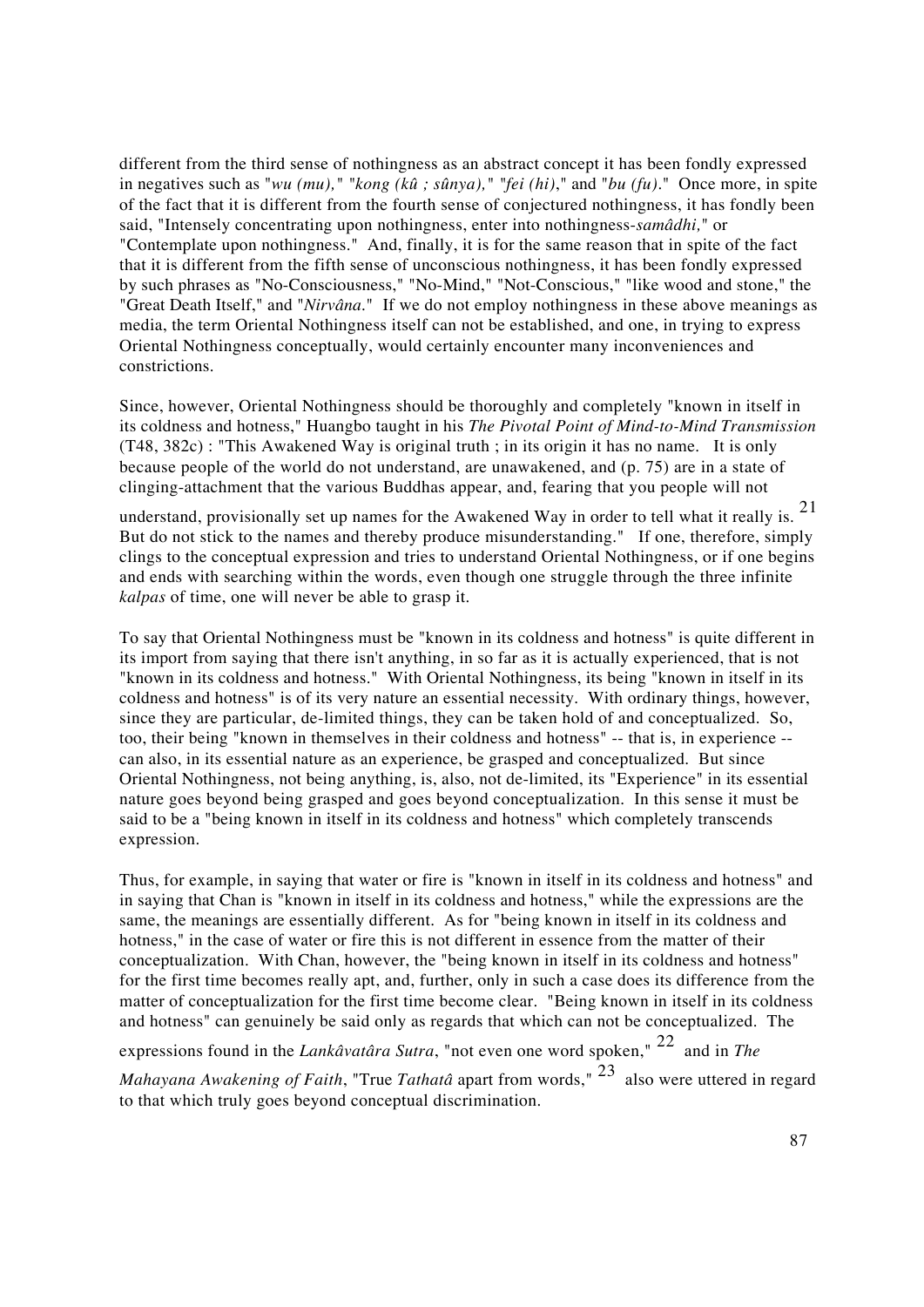different from the third sense of nothingness as an abstract concept it has been fondly expressed in negatives such as "*wu (mu)," "kong (kû ; sûnya)," "fei (hi)*," and "*bu (fu)*." Once more, in spite of the fact that it is different from the fourth sense of conjectured nothingness, it has fondly been said, "Intensely concentrating upon nothingness, enter into nothingness-*samâdhi,*" or "Contemplate upon nothingness." And, finally, it is for the same reason that in spite of the fact that it is different from the fifth sense of unconscious nothingness, it has been fondly expressed by such phrases as "No-Consciousness," "No-Mind," "Not-Conscious," "like wood and stone," the "Great Death Itself," and "*Nirvâna*." If we do not employ nothingness in these above meanings as media, the term Oriental Nothingness itself can not be established, and one, in trying to express Oriental Nothingness conceptually, would certainly encounter many inconveniences and constrictions.

Since, however, Oriental Nothingness should be thoroughly and completely "known in itself in its coldness and hotness," Huangbo taught in his *The Pivotal Point of Mind-to-Mind Transmission* (T48, 382c) : "This Awakened Way is original truth ; in its origin it has no name. It is only because people of the world do not understand, are unawakened, and (p. 75) are in a state of clinging-attachment that the various Buddhas appear, and, fearing that you people will not

understand, provisionally set up names for the Awakened Way in order to tell what it really is.  $21$ But do not stick to the names and thereby produce misunderstanding." If one, therefore, simply clings to the conceptual expression and tries to understand Oriental Nothingness, or if one begins and ends with searching within the words, even though one struggle through the three infinite *kalpas* of time, one will never be able to grasp it.

To say that Oriental Nothingness must be "known in its coldness and hotness" is quite different in its import from saying that there isn't anything, in so far as it is actually experienced, that is not "known in its coldness and hotness." With Oriental Nothingness, its being "known in itself in its coldness and hotness" is of its very nature an essential necessity. With ordinary things, however, since they are particular, de-limited things, they can be taken hold of and conceptualized. So, too, their being "known in themselves in their coldness and hotness" -- that is, in experience - can also, in its essential nature as an experience, be grasped and conceptualized. But since Oriental Nothingness, not being anything, is, also, not de-limited, its "Experience" in its essential nature goes beyond being grasped and goes beyond conceptualization. In this sense it must be said to be a "being known in itself in its coldness and hotness" which completely transcends expression.

Thus, for example, in saying that water or fire is "known in itself in its coldness and hotness" and in saying that Chan is "known in itself in its coldness and hotness," while the expressions are the same, the meanings are essentially different. As for "being known in itself in its coldness and hotness," in the case of water or fire this is not different in essence from the matter of their conceptualization. With Chan, however, the "being known in itself in its coldness and hotness" for the first time becomes really apt, and, further, only in such a case does its difference from the matter of conceptualization for the first time become clear. "Being known in itself in its coldness and hotness" can genuinely be said only as regards that which can not be conceptualized. The

expressions found in the *Lankâvatâra Sutra*, "not even one word spoken," 22 and in *The*

*Mahayana Awakening of Faith*, "True *Tathatâ* apart from words," 23 also were uttered in regard to that which truly goes beyond conceptual discrimination.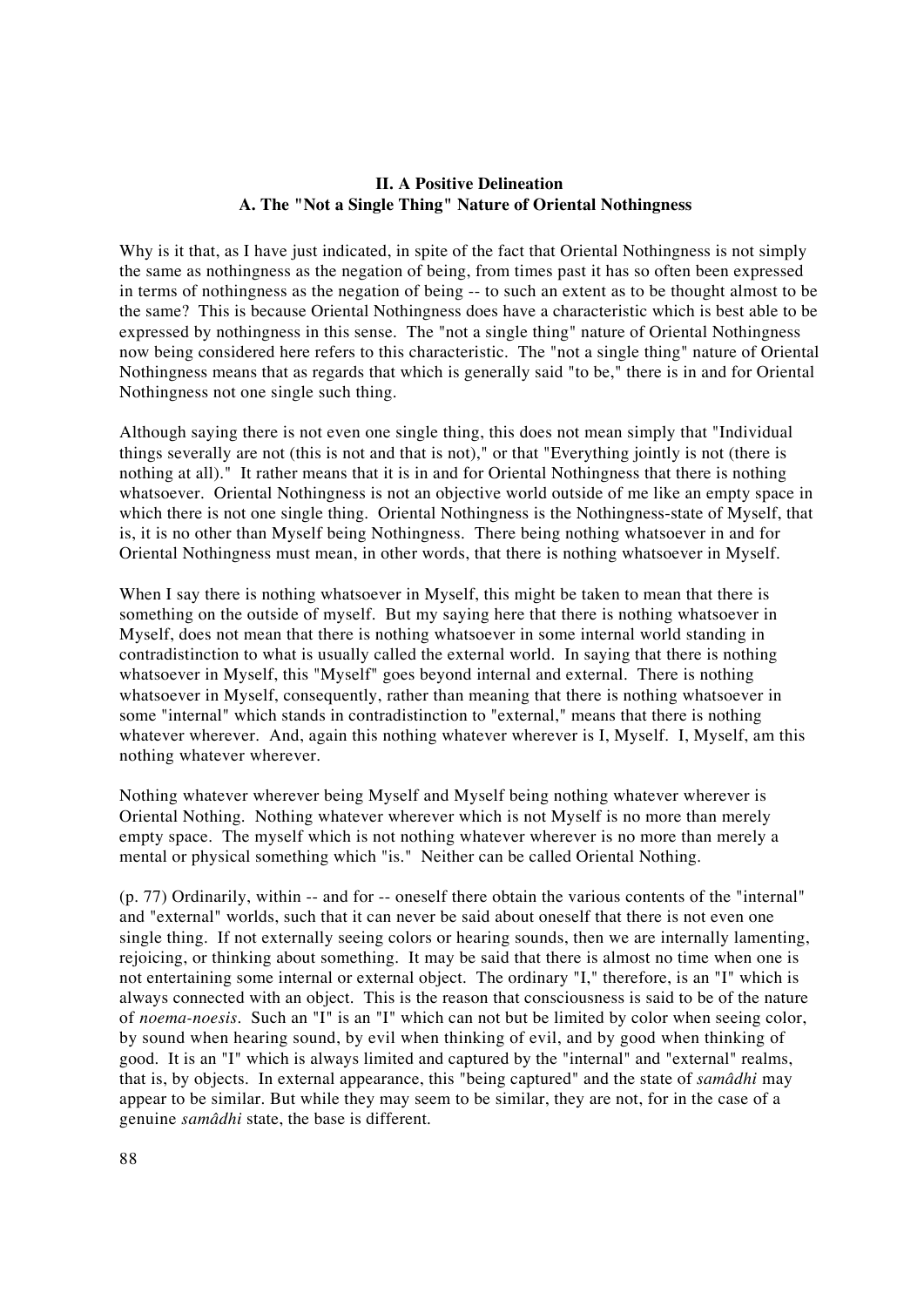### **II. A Positive Delineation A. The "Not a Single Thing" Nature of Oriental Nothingness**

Why is it that, as I have just indicated, in spite of the fact that Oriental Nothingness is not simply the same as nothingness as the negation of being, from times past it has so often been expressed in terms of nothingness as the negation of being -- to such an extent as to be thought almost to be the same? This is because Oriental Nothingness does have a characteristic which is best able to be expressed by nothingness in this sense. The "not a single thing" nature of Oriental Nothingness now being considered here refers to this characteristic. The "not a single thing" nature of Oriental Nothingness means that as regards that which is generally said "to be," there is in and for Oriental Nothingness not one single such thing.

Although saying there is not even one single thing, this does not mean simply that "Individual things severally are not (this is not and that is not)," or that "Everything jointly is not (there is nothing at all)." It rather means that it is in and for Oriental Nothingness that there is nothing whatsoever. Oriental Nothingness is not an objective world outside of me like an empty space in which there is not one single thing. Oriental Nothingness is the Nothingness-state of Myself, that is, it is no other than Myself being Nothingness. There being nothing whatsoever in and for Oriental Nothingness must mean, in other words, that there is nothing whatsoever in Myself.

When I say there is nothing whatsoever in Myself, this might be taken to mean that there is something on the outside of myself. But my saying here that there is nothing whatsoever in Myself, does not mean that there is nothing whatsoever in some internal world standing in contradistinction to what is usually called the external world. In saying that there is nothing whatsoever in Myself, this "Myself" goes beyond internal and external. There is nothing whatsoever in Myself, consequently, rather than meaning that there is nothing whatsoever in some "internal" which stands in contradistinction to "external," means that there is nothing whatever wherever. And, again this nothing whatever wherever is I, Myself. I, Myself, am this nothing whatever wherever.

Nothing whatever wherever being Myself and Myself being nothing whatever wherever is Oriental Nothing. Nothing whatever wherever which is not Myself is no more than merely empty space. The myself which is not nothing whatever wherever is no more than merely a mental or physical something which "is." Neither can be called Oriental Nothing.

(p. 77) Ordinarily, within -- and for -- oneself there obtain the various contents of the "internal" and "external" worlds, such that it can never be said about oneself that there is not even one single thing. If not externally seeing colors or hearing sounds, then we are internally lamenting, rejoicing, or thinking about something. It may be said that there is almost no time when one is not entertaining some internal or external object. The ordinary "I," therefore, is an "I" which is always connected with an object. This is the reason that consciousness is said to be of the nature of *noema-noesis*. Such an "I" is an "I" which can not but be limited by color when seeing color, by sound when hearing sound, by evil when thinking of evil, and by good when thinking of good. It is an "I" which is always limited and captured by the "internal" and "external" realms, that is, by objects. In external appearance, this "being captured" and the state of *samâdhi* may appear to be similar. But while they may seem to be similar, they are not, for in the case of a genuine *samâdhi* state, the base is different.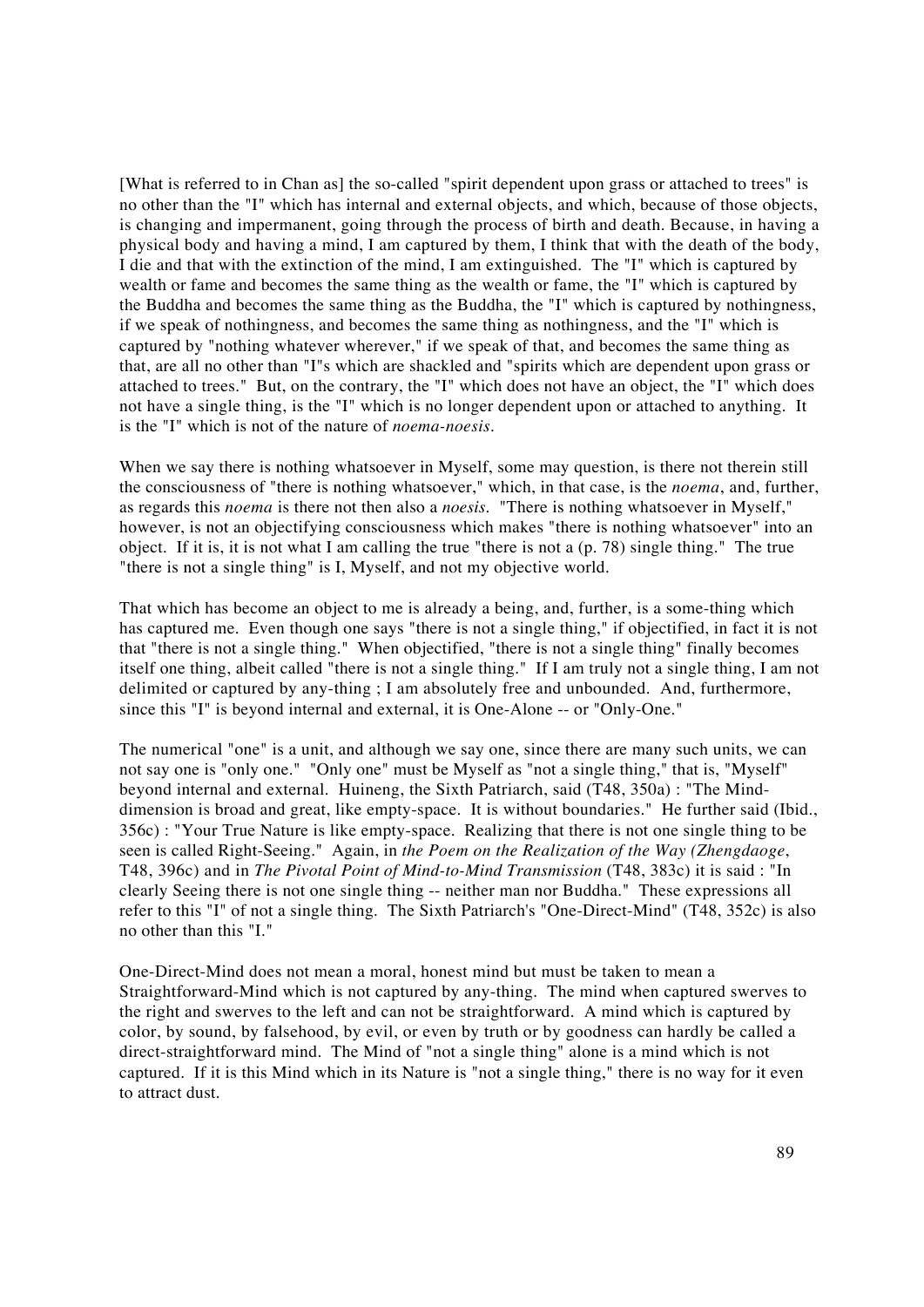[What is referred to in Chan as] the so-called "spirit dependent upon grass or attached to trees" is no other than the "I" which has internal and external objects, and which, because of those objects, is changing and impermanent, going through the process of birth and death. Because, in having a physical body and having a mind, I am captured by them, I think that with the death of the body, I die and that with the extinction of the mind, I am extinguished. The "I" which is captured by wealth or fame and becomes the same thing as the wealth or fame, the "I" which is captured by the Buddha and becomes the same thing as the Buddha, the "I" which is captured by nothingness, if we speak of nothingness, and becomes the same thing as nothingness, and the "I" which is captured by "nothing whatever wherever," if we speak of that, and becomes the same thing as that, are all no other than "I"s which are shackled and "spirits which are dependent upon grass or attached to trees." But, on the contrary, the "I" which does not have an object, the "I" which does not have a single thing, is the "I" which is no longer dependent upon or attached to anything. It is the "I" which is not of the nature of *noema-noesis*.

When we say there is nothing whatsoever in Myself, some may question, is there not therein still the consciousness of "there is nothing whatsoever," which, in that case, is the *noema*, and, further, as regards this *noema* is there not then also a *noesis*. "There is nothing whatsoever in Myself," however, is not an objectifying consciousness which makes "there is nothing whatsoever" into an object. If it is, it is not what I am calling the true "there is not a (p. 78) single thing." The true "there is not a single thing" is I, Myself, and not my objective world.

That which has become an object to me is already a being, and, further, is a some-thing which has captured me. Even though one says "there is not a single thing," if objectified, in fact it is not that "there is not a single thing." When objectified, "there is not a single thing" finally becomes itself one thing, albeit called "there is not a single thing." If I am truly not a single thing, I am not delimited or captured by any-thing ; I am absolutely free and unbounded. And, furthermore, since this "I" is beyond internal and external, it is One-Alone -- or "Only-One."

The numerical "one" is a unit, and although we say one, since there are many such units, we can not say one is "only one." "Only one" must be Myself as "not a single thing," that is, "Myself" beyond internal and external. Huineng, the Sixth Patriarch, said (T48, 350a) : "The Minddimension is broad and great, like empty-space. It is without boundaries." He further said (Ibid., 356c) : "Your True Nature is like empty-space. Realizing that there is not one single thing to be seen is called Right-Seeing." Again, in *the Poem on the Realization of the Way (Zhengdaoge*, T48, 396c) and in *The Pivotal Point of Mind-to-Mind Transmission* (T48, 383c) it is said : "In clearly Seeing there is not one single thing -- neither man nor Buddha." These expressions all refer to this "I" of not a single thing. The Sixth Patriarch's "One-Direct-Mind" (T48, 352c) is also no other than this "I."

One-Direct-Mind does not mean a moral, honest mind but must be taken to mean a Straightforward-Mind which is not captured by any-thing. The mind when captured swerves to the right and swerves to the left and can not be straightforward. A mind which is captured by color, by sound, by falsehood, by evil, or even by truth or by goodness can hardly be called a direct-straightforward mind. The Mind of "not a single thing" alone is a mind which is not captured. If it is this Mind which in its Nature is "not a single thing," there is no way for it even to attract dust.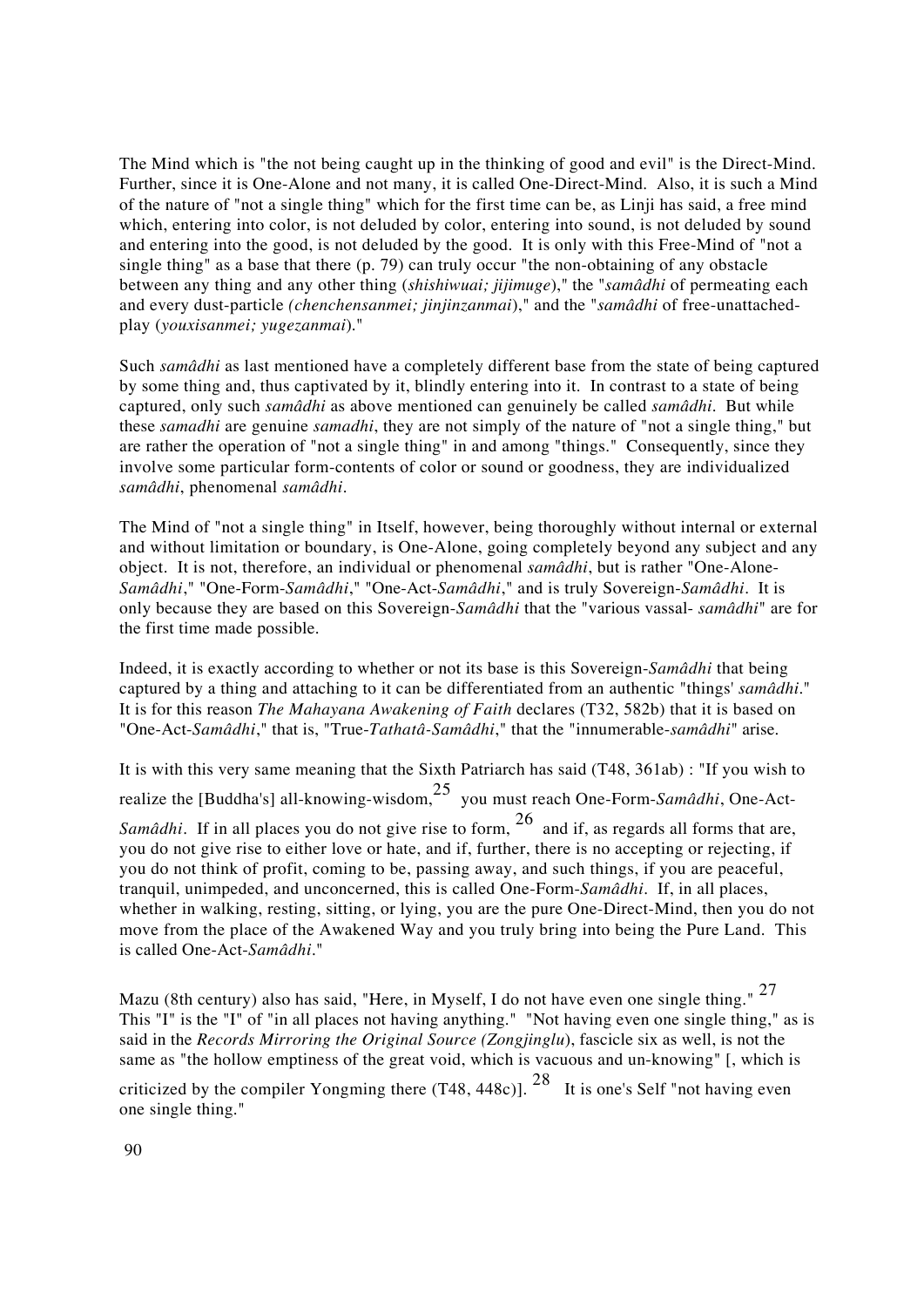The Mind which is "the not being caught up in the thinking of good and evil" is the Direct-Mind. Further, since it is One-Alone and not many, it is called One-Direct-Mind. Also, it is such a Mind of the nature of "not a single thing" which for the first time can be, as Linji has said, a free mind which, entering into color, is not deluded by color, entering into sound, is not deluded by sound and entering into the good, is not deluded by the good. It is only with this Free-Mind of "not a single thing" as a base that there (p. 79) can truly occur "the non-obtaining of any obstacle between any thing and any other thing (*shishiwuai; jijimuge*)," the "*samâdhi* of permeating each and every dust-particle *(chenchensanmei; jinjinzanmai*)," and the "*samâdhi* of free-unattachedplay (*youxisanmei; yugezanmai*)."

Such *samâdhi* as last mentioned have a completely different base from the state of being captured by some thing and, thus captivated by it, blindly entering into it. In contrast to a state of being captured, only such *samâdhi* as above mentioned can genuinely be called *samâdhi*. But while these *samadhi* are genuine *samadhi*, they are not simply of the nature of "not a single thing," but are rather the operation of "not a single thing" in and among "things." Consequently, since they involve some particular form-contents of color or sound or goodness, they are individualized *samâdhi*, phenomenal *samâdhi*.

The Mind of "not a single thing" in Itself, however, being thoroughly without internal or external and without limitation or boundary, is One-Alone, going completely beyond any subject and any object. It is not, therefore, an individual or phenomenal *samâdhi*, but is rather "One-Alone-*Samâdhi*," "One-Form-*Samâdhi*," "One-Act-*Samâdhi*," and is truly Sovereign-*Samâdhi*. It is only because they are based on this Sovereign-*Samâdhi* that the "various vassal- *samâdhi*" are for the first time made possible.

Indeed, it is exactly according to whether or not its base is this Sovereign-*Samâdhi* that being captured by a thing and attaching to it can be differentiated from an authentic "things' *samâdhi*." It is for this reason *The Mahayana Awakening of Faith* declares (T32, 582b) that it is based on "One-Act-*Samâdhi*," that is, "True-*Tathatâ-Samâdhi*," that the "innumerable-*samâdhi*" arise.

It is with this very same meaning that the Sixth Patriarch has said (T48, 361ab) : "If you wish to realize the [Buddha's] all-knowing-wisdom,25 you must reach One-Form-*Samâdhi*, One-Act-

*Samâdhi*. If in all places you do not give rise to form, <sup>26</sup> and if, as regards all forms that are, you do not give rise to either love or hate, and if, further, there is no accepting or rejecting, if you do not think of profit, coming to be, passing away, and such things, if you are peaceful, tranquil, unimpeded, and unconcerned, this is called One-Form-*Samâdhi*. If, in all places, whether in walking, resting, sitting, or lying, you are the pure One-Direct-Mind, then you do not move from the place of the Awakened Way and you truly bring into being the Pure Land. This is called One-Act-*Samâdhi*."

Mazu (8th century) also has said, "Here, in Myself, I do not have even one single thing." 27 This "I" is the "I" of "in all places not having anything." "Not having even one single thing," as is said in the *Records Mirroring the Original Source (Zongjinglu*), fascicle six as well, is not the same as "the hollow emptiness of the great void, which is vacuous and un-knowing" [, which is

criticized by the compiler Yongming there (T48, 448c)].  $28$  It is one's Self "not having even one single thing."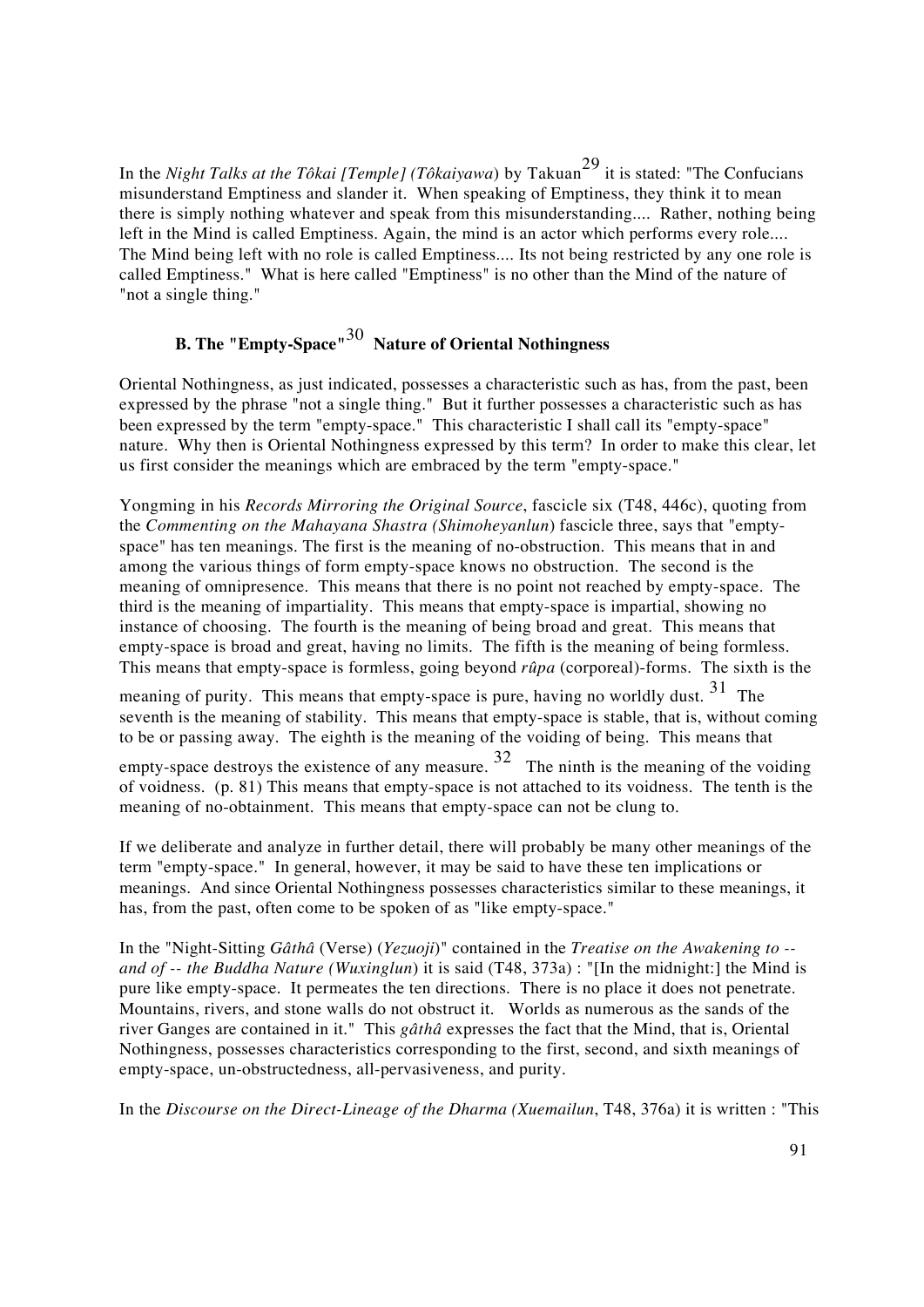In the *Night Talks at the Tôkai [Temple] (Tôkaiyawa*) by Takuan<sup>29</sup> it is stated: "The Confucians misunderstand Emptiness and slander it. When speaking of Emptiness, they think it to mean there is simply nothing whatever and speak from this misunderstanding.... Rather, nothing being left in the Mind is called Emptiness. Again, the mind is an actor which performs every role.... The Mind being left with no role is called Emptiness.... Its not being restricted by any one role is called Emptiness." What is here called "Emptiness" is no other than the Mind of the nature of "not a single thing."

# **B. The "Empty-Space"**30 **Nature of Oriental Nothingness**

Oriental Nothingness, as just indicated, possesses a characteristic such as has, from the past, been expressed by the phrase "not a single thing." But it further possesses a characteristic such as has been expressed by the term "empty-space." This characteristic I shall call its "empty-space" nature. Why then is Oriental Nothingness expressed by this term? In order to make this clear, let us first consider the meanings which are embraced by the term "empty-space."

Yongming in his *Records Mirroring the Original Source*, fascicle six (T48, 446c), quoting from the *Commenting on the Mahayana Shastra (Shimoheyanlun*) fascicle three, says that "emptyspace" has ten meanings. The first is the meaning of no-obstruction. This means that in and among the various things of form empty-space knows no obstruction. The second is the meaning of omnipresence. This means that there is no point not reached by empty-space. The third is the meaning of impartiality. This means that empty-space is impartial, showing no instance of choosing. The fourth is the meaning of being broad and great. This means that empty-space is broad and great, having no limits. The fifth is the meaning of being formless. This means that empty-space is formless, going beyond *rûpa* (corporeal)-forms. The sixth is the

meaning of purity. This means that empty-space is pure, having no worldly dust.  $31$  The seventh is the meaning of stability. This means that empty-space is stable, that is, without coming to be or passing away. The eighth is the meaning of the voiding of being. This means that

empty-space destroys the existence of any measure.  $32$  The ninth is the meaning of the voiding of voidness. (p. 81) This means that empty-space is not attached to its voidness. The tenth is the meaning of no-obtainment. This means that empty-space can not be clung to.

If we deliberate and analyze in further detail, there will probably be many other meanings of the term "empty-space." In general, however, it may be said to have these ten implications or meanings. And since Oriental Nothingness possesses characteristics similar to these meanings, it has, from the past, often come to be spoken of as "like empty-space."

In the "Night-Sitting *Gâthâ* (Verse) (*Yezuoji*)" contained in the *Treatise on the Awakening to - and of -- the Buddha Nature (Wuxinglun*) it is said (T48, 373a) : "[In the midnight:] the Mind is pure like empty-space. It permeates the ten directions. There is no place it does not penetrate. Mountains, rivers, and stone walls do not obstruct it. Worlds as numerous as the sands of the river Ganges are contained in it." This *gâthâ* expresses the fact that the Mind, that is, Oriental Nothingness, possesses characteristics corresponding to the first, second, and sixth meanings of empty-space, un-obstructedness, all-pervasiveness, and purity.

In the *Discourse on the Direct-Lineage of the Dharma (Xuemailun*, T48, 376a) it is written : "This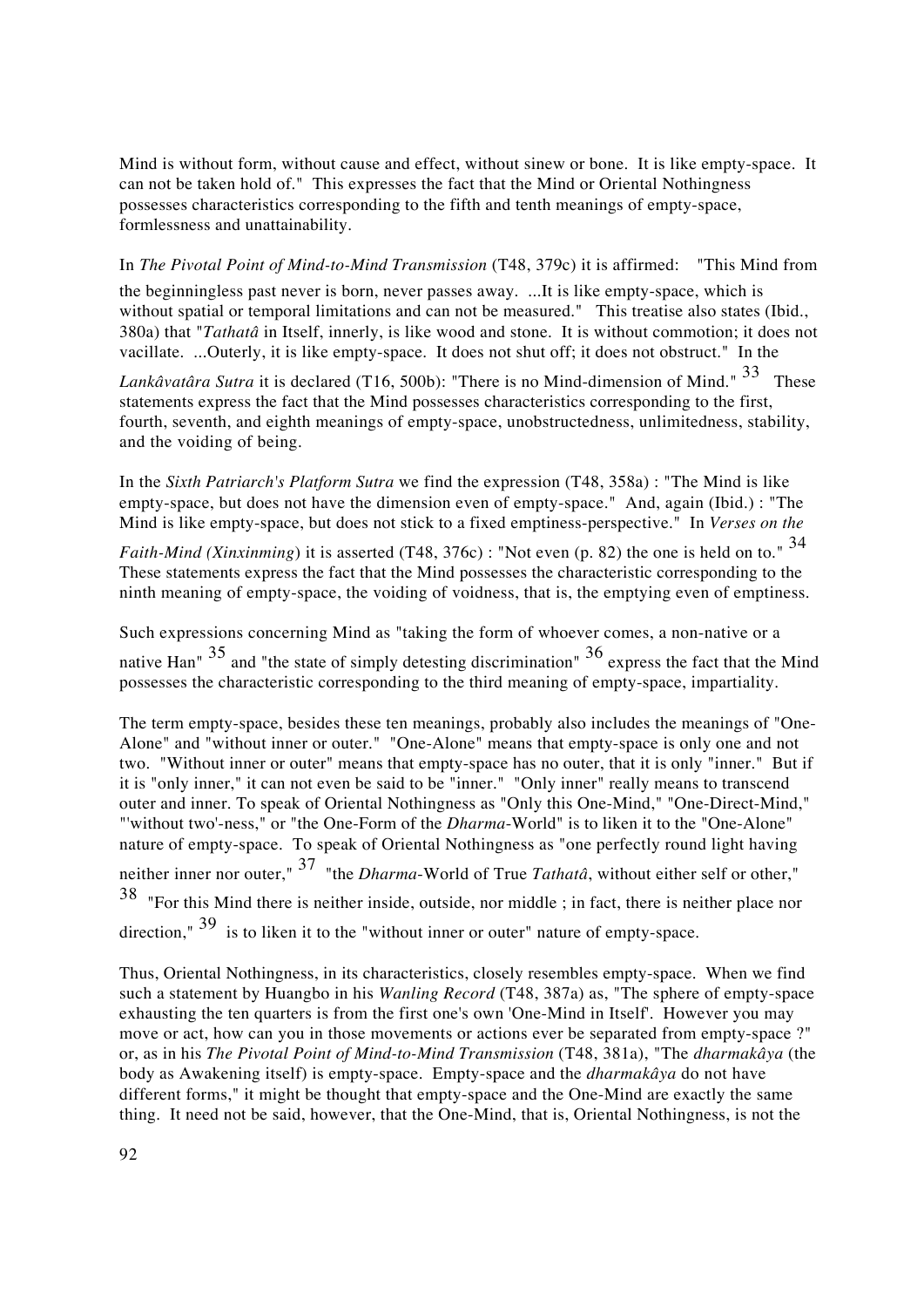Mind is without form, without cause and effect, without sinew or bone. It is like empty-space. It can not be taken hold of." This expresses the fact that the Mind or Oriental Nothingness possesses characteristics corresponding to the fifth and tenth meanings of empty-space, formlessness and unattainability.

In *The Pivotal Point of Mind-to-Mind Transmission* (T48, 379c) it is affirmed: "This Mind from

the beginningless past never is born, never passes away. ...It is like empty-space, which is without spatial or temporal limitations and can not be measured." This treatise also states (Ibid., 380a) that "*Tathatâ* in Itself, innerly, is like wood and stone. It is without commotion; it does not vacillate. ...Outerly, it is like empty-space. It does not shut off; it does not obstruct." In the

*Lankâvatâra Sutra* it is declared (T16, 500b): "There is no Mind-dimension of Mind." <sup>33</sup> These statements express the fact that the Mind possesses characteristics corresponding to the first, fourth, seventh, and eighth meanings of empty-space, unobstructedness, unlimitedness, stability, and the voiding of being.

In the *Sixth Patriarch's Platform Sutra* we find the expression (T48, 358a) : "The Mind is like empty-space, but does not have the dimension even of empty-space." And, again (Ibid.) : "The Mind is like empty-space, but does not stick to a fixed emptiness-perspective." In *Verses on the*

*Faith-Mind (Xinxinming)* it is asserted (T48, 376c) : "Not even (p. 82) the one is held on to." <sup>34</sup> These statements express the fact that the Mind possesses the characteristic corresponding to the ninth meaning of empty-space, the voiding of voidness, that is, the emptying even of emptiness.

Such expressions concerning Mind as "taking the form of whoever comes, a non-native or a native Han"  $35$  and "the state of simply detesting discrimination"  $36$  express the fact that the Mind possesses the characteristic corresponding to the third meaning of empty-space, impartiality.

The term empty-space, besides these ten meanings, probably also includes the meanings of "One-Alone" and "without inner or outer." "One-Alone" means that empty-space is only one and not two. "Without inner or outer" means that empty-space has no outer, that it is only "inner." But if it is "only inner," it can not even be said to be "inner." "Only inner" really means to transcend outer and inner. To speak of Oriental Nothingness as "Only this One-Mind," "One-Direct-Mind," "'without two'-ness," or "the One-Form of the *Dharma*-World" is to liken it to the "One-Alone" nature of empty-space. To speak of Oriental Nothingness as "one perfectly round light having neither inner nor outer," 37 "the *Dharma*-World of True *Tathatâ*, without either self or other," 38 "For this Mind there is neither inside, outside, nor middle ; in fact, there is neither place nor direction," <sup>39</sup> is to liken it to the "without inner or outer" nature of empty-space.

Thus, Oriental Nothingness, in its characteristics, closely resembles empty-space. When we find such a statement by Huangbo in his *Wanling Record* (T48, 387a) as, "The sphere of empty-space exhausting the ten quarters is from the first one's own 'One-Mind in Itself'. However you may move or act, how can you in those movements or actions ever be separated from empty-space ?" or, as in his *The Pivotal Point of Mind-to-Mind Transmission* (T48, 381a), "The *dharmakâya* (the body as Awakening itself) is empty-space. Empty-space and the *dharmakâya* do not have different forms," it might be thought that empty-space and the One-Mind are exactly the same thing. It need not be said, however, that the One-Mind, that is, Oriental Nothingness, is not the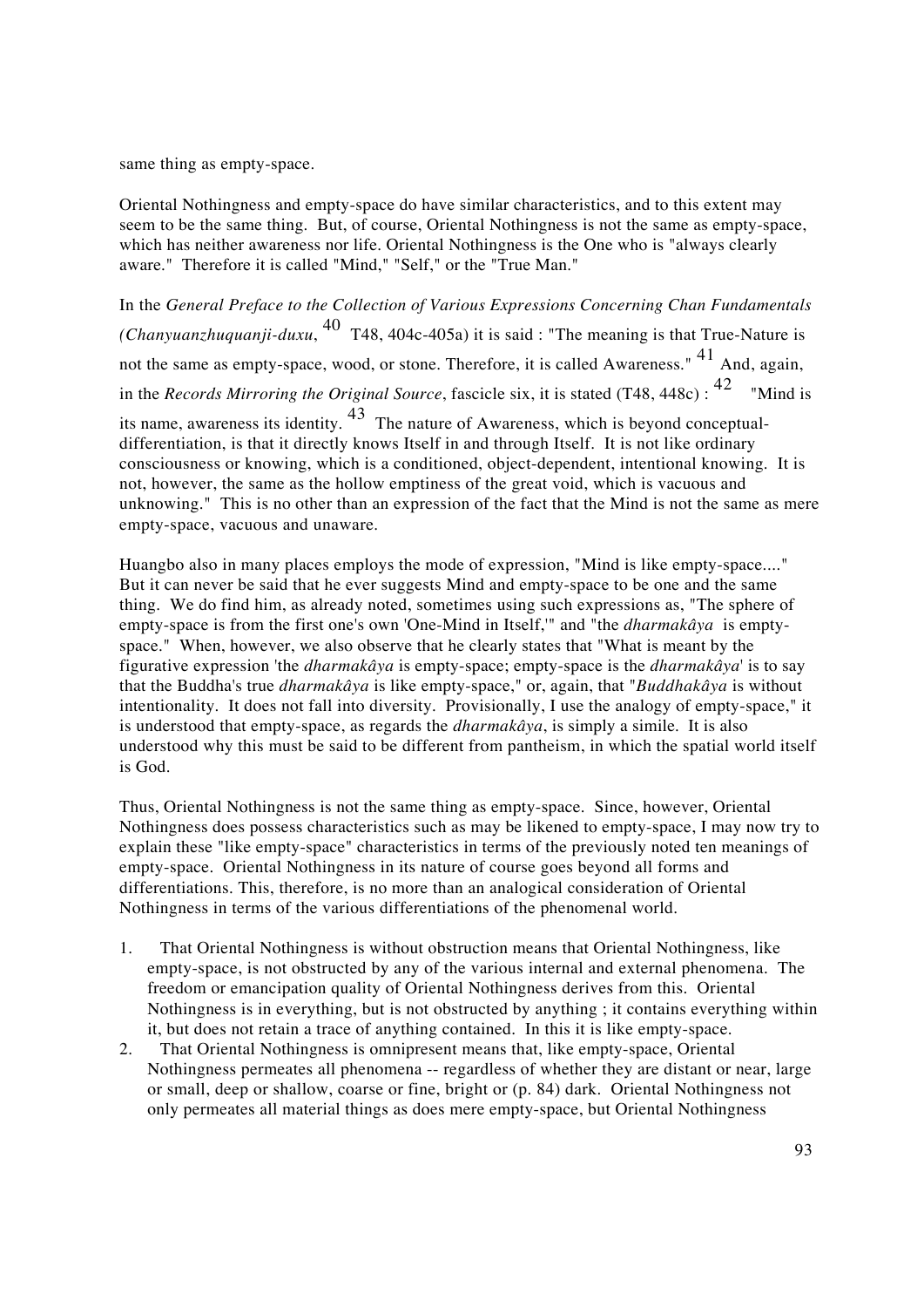same thing as empty-space.

Oriental Nothingness and empty-space do have similar characteristics, and to this extent may seem to be the same thing. But, of course, Oriental Nothingness is not the same as empty-space, which has neither awareness nor life. Oriental Nothingness is the One who is "always clearly aware." Therefore it is called "Mind," "Self," or the "True Man."

In the *General Preface to the Collection of Various Expressions Concerning Chan Fundamentals* (*Chanyuanzhuquanji-duxu*,  $^{40}$  T48, 404c-405a) it is said : "The meaning is that True-Nature is not the same as empty-space, wood, or stone. Therefore, it is called Awareness." <sup>41</sup> And, again, in the *Records Mirroring the Original Source*, fascicle six, it is stated (T48, 448c) : 42 "Mind is its name, awareness its identity. 43 The nature of Awareness, which is beyond conceptualdifferentiation, is that it directly knows Itself in and through Itself. It is not like ordinary consciousness or knowing, which is a conditioned, object-dependent, intentional knowing. It is not, however, the same as the hollow emptiness of the great void, which is vacuous and unknowing." This is no other than an expression of the fact that the Mind is not the same as mere empty-space, vacuous and unaware.

Huangbo also in many places employs the mode of expression, "Mind is like empty-space...." But it can never be said that he ever suggests Mind and empty-space to be one and the same thing. We do find him, as already noted, sometimes using such expressions as, "The sphere of empty-space is from the first one's own 'One-Mind in Itself,'" and "the *dharmakâya* is emptyspace." When, however, we also observe that he clearly states that "What is meant by the figurative expression 'the *dharmakâya* is empty-space; empty-space is the *dharmakâya*' is to say that the Buddha's true *dharmakâya* is like empty-space," or, again, that "*Buddhakâya* is without intentionality. It does not fall into diversity. Provisionally, I use the analogy of empty-space," it is understood that empty-space, as regards the *dharmakâya*, is simply a simile. It is also understood why this must be said to be different from pantheism, in which the spatial world itself is God.

Thus, Oriental Nothingness is not the same thing as empty-space. Since, however, Oriental Nothingness does possess characteristics such as may be likened to empty-space, I may now try to explain these "like empty-space" characteristics in terms of the previously noted ten meanings of empty-space. Oriental Nothingness in its nature of course goes beyond all forms and differentiations. This, therefore, is no more than an analogical consideration of Oriental Nothingness in terms of the various differentiations of the phenomenal world.

- 1. That Oriental Nothingness is without obstruction means that Oriental Nothingness, like empty-space, is not obstructed by any of the various internal and external phenomena. The freedom or emancipation quality of Oriental Nothingness derives from this. Oriental Nothingness is in everything, but is not obstructed by anything ; it contains everything within it, but does not retain a trace of anything contained. In this it is like empty-space.
- 2. That Oriental Nothingness is omnipresent means that, like empty-space, Oriental Nothingness permeates all phenomena -- regardless of whether they are distant or near, large or small, deep or shallow, coarse or fine, bright or (p. 84) dark. Oriental Nothingness not only permeates all material things as does mere empty-space, but Oriental Nothingness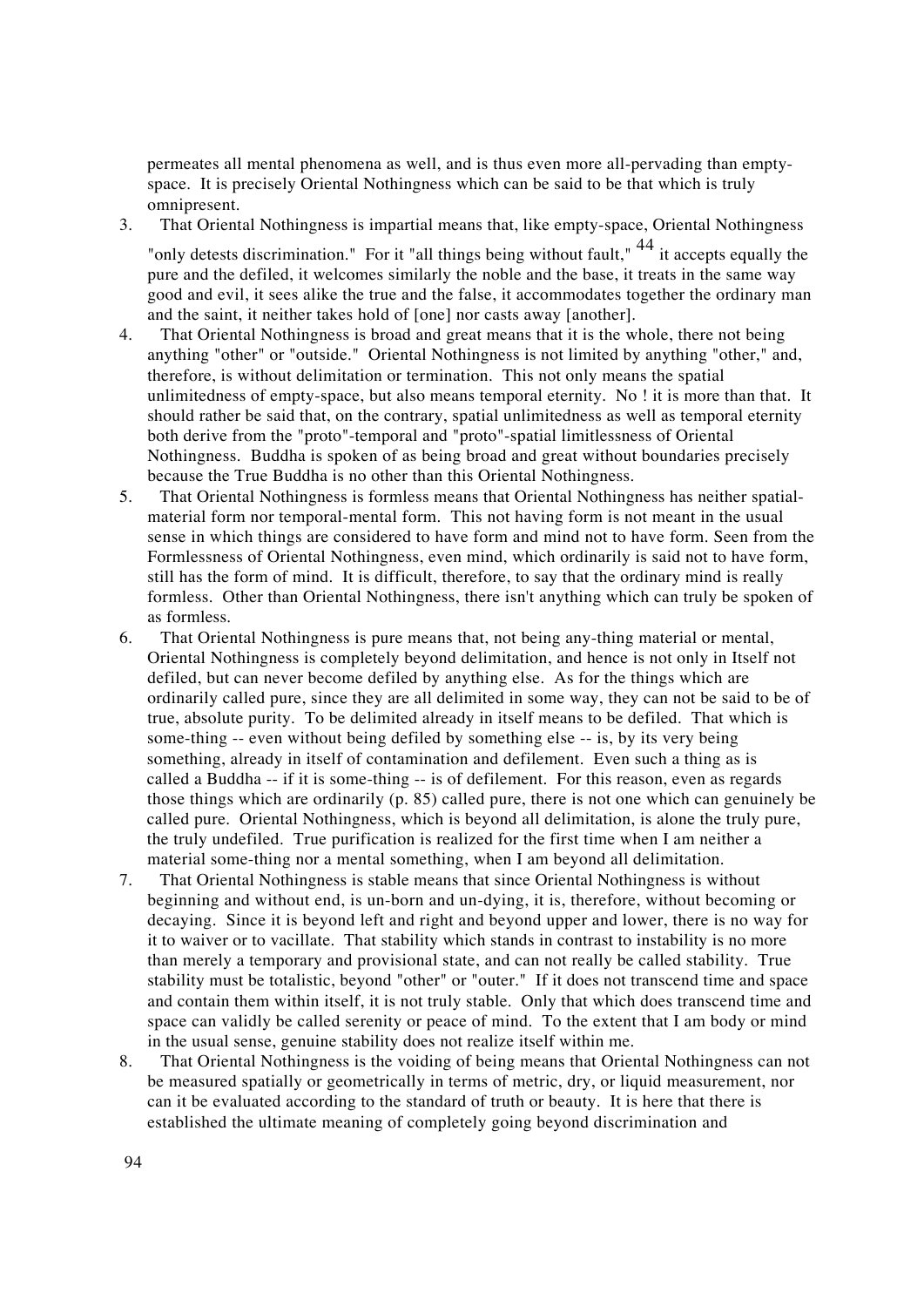permeates all mental phenomena as well, and is thus even more all-pervading than emptyspace. It is precisely Oriental Nothingness which can be said to be that which is truly omnipresent.

3. That Oriental Nothingness is impartial means that, like empty-space, Oriental Nothingness

"only detests discrimination." For it "all things being without fault," <sup>44</sup> it accepts equally the pure and the defiled, it welcomes similarly the noble and the base, it treats in the same way good and evil, it sees alike the true and the false, it accommodates together the ordinary man and the saint, it neither takes hold of [one] nor casts away [another].

- 4. That Oriental Nothingness is broad and great means that it is the whole, there not being anything "other" or "outside." Oriental Nothingness is not limited by anything "other," and, therefore, is without delimitation or termination. This not only means the spatial unlimitedness of empty-space, but also means temporal eternity. No ! it is more than that. It should rather be said that, on the contrary, spatial unlimitedness as well as temporal eternity both derive from the "proto"-temporal and "proto"-spatial limitlessness of Oriental Nothingness. Buddha is spoken of as being broad and great without boundaries precisely because the True Buddha is no other than this Oriental Nothingness.
- 5. That Oriental Nothingness is formless means that Oriental Nothingness has neither spatialmaterial form nor temporal-mental form. This not having form is not meant in the usual sense in which things are considered to have form and mind not to have form. Seen from the Formlessness of Oriental Nothingness, even mind, which ordinarily is said not to have form, still has the form of mind. It is difficult, therefore, to say that the ordinary mind is really formless. Other than Oriental Nothingness, there isn't anything which can truly be spoken of as formless.
- 6. That Oriental Nothingness is pure means that, not being any-thing material or mental, Oriental Nothingness is completely beyond delimitation, and hence is not only in Itself not defiled, but can never become defiled by anything else. As for the things which are ordinarily called pure, since they are all delimited in some way, they can not be said to be of true, absolute purity. To be delimited already in itself means to be defiled. That which is some-thing -- even without being defiled by something else -- is, by its very being something, already in itself of contamination and defilement. Even such a thing as is called a Buddha -- if it is some-thing -- is of defilement. For this reason, even as regards those things which are ordinarily (p. 85) called pure, there is not one which can genuinely be called pure. Oriental Nothingness, which is beyond all delimitation, is alone the truly pure, the truly undefiled. True purification is realized for the first time when I am neither a material some-thing nor a mental something, when I am beyond all delimitation.
- 7. That Oriental Nothingness is stable means that since Oriental Nothingness is without beginning and without end, is un-born and un-dying, it is, therefore, without becoming or decaying. Since it is beyond left and right and beyond upper and lower, there is no way for it to waiver or to vacillate. That stability which stands in contrast to instability is no more than merely a temporary and provisional state, and can not really be called stability. True stability must be totalistic, beyond "other" or "outer." If it does not transcend time and space and contain them within itself, it is not truly stable. Only that which does transcend time and space can validly be called serenity or peace of mind. To the extent that I am body or mind in the usual sense, genuine stability does not realize itself within me.
- 8. That Oriental Nothingness is the voiding of being means that Oriental Nothingness can not be measured spatially or geometrically in terms of metric, dry, or liquid measurement, nor can it be evaluated according to the standard of truth or beauty. It is here that there is established the ultimate meaning of completely going beyond discrimination and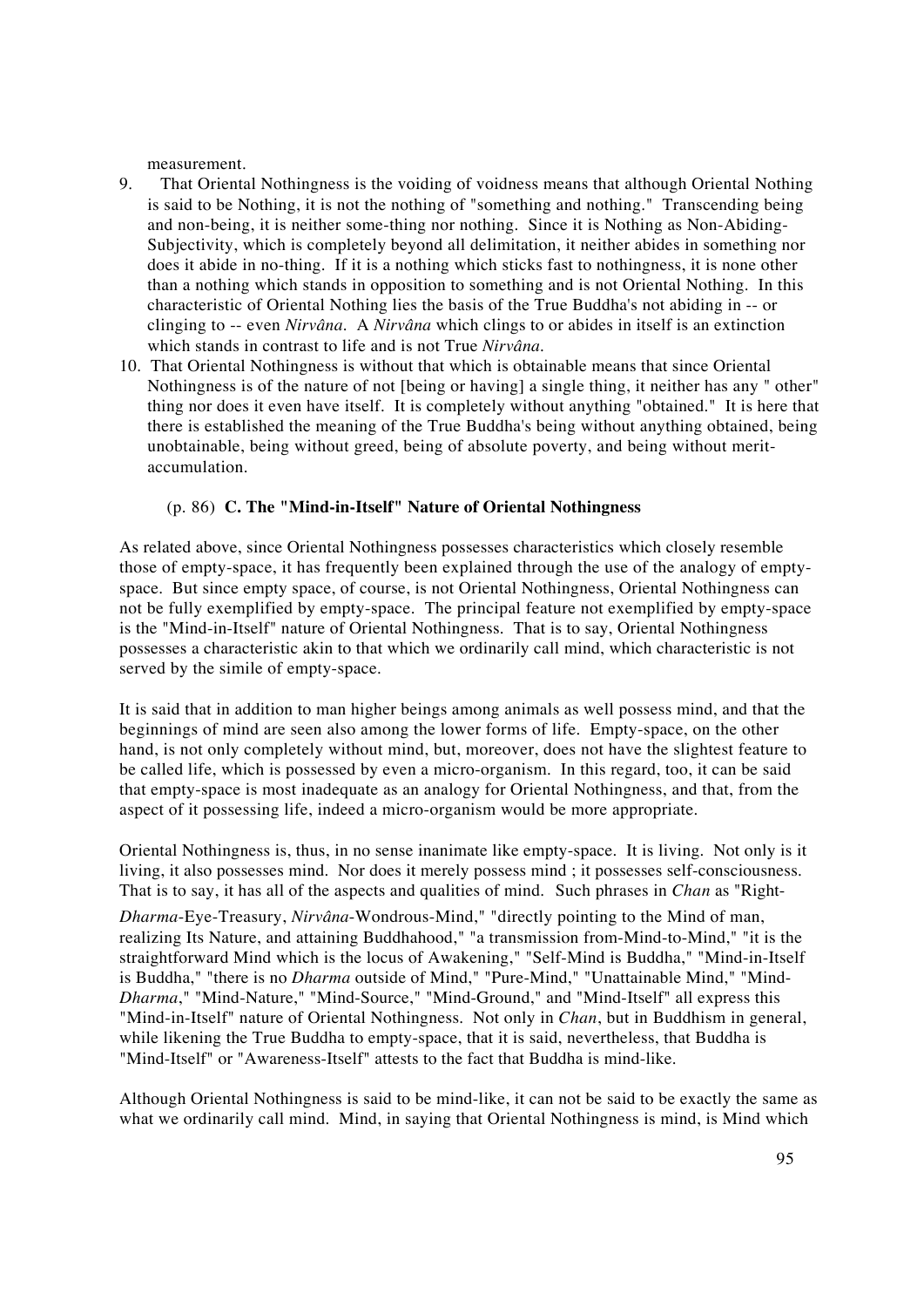measurement.

- 9. That Oriental Nothingness is the voiding of voidness means that although Oriental Nothing is said to be Nothing, it is not the nothing of "something and nothing." Transcending being and non-being, it is neither some-thing nor nothing. Since it is Nothing as Non-Abiding-Subjectivity, which is completely beyond all delimitation, it neither abides in something nor does it abide in no-thing. If it is a nothing which sticks fast to nothingness, it is none other than a nothing which stands in opposition to something and is not Oriental Nothing. In this characteristic of Oriental Nothing lies the basis of the True Buddha's not abiding in -- or clinging to -- even *Nirvâna*. A *Nirvâna* which clings to or abides in itself is an extinction which stands in contrast to life and is not True *Nirvâna*.
- 10. That Oriental Nothingness is without that which is obtainable means that since Oriental Nothingness is of the nature of not [being or having] a single thing, it neither has any " other" thing nor does it even have itself. It is completely without anything "obtained." It is here that there is established the meaning of the True Buddha's being without anything obtained, being unobtainable, being without greed, being of absolute poverty, and being without meritaccumulation.

### (p. 86) **C. The "Mind-in-Itself" Nature of Oriental Nothingness**

As related above, since Oriental Nothingness possesses characteristics which closely resemble those of empty-space, it has frequently been explained through the use of the analogy of emptyspace. But since empty space, of course, is not Oriental Nothingness, Oriental Nothingness can not be fully exemplified by empty-space. The principal feature not exemplified by empty-space is the "Mind-in-Itself" nature of Oriental Nothingness. That is to say, Oriental Nothingness possesses a characteristic akin to that which we ordinarily call mind, which characteristic is not served by the simile of empty-space.

It is said that in addition to man higher beings among animals as well possess mind, and that the beginnings of mind are seen also among the lower forms of life. Empty-space, on the other hand, is not only completely without mind, but, moreover, does not have the slightest feature to be called life, which is possessed by even a micro-organism. In this regard, too, it can be said that empty-space is most inadequate as an analogy for Oriental Nothingness, and that, from the aspect of it possessing life, indeed a micro-organism would be more appropriate.

Oriental Nothingness is, thus, in no sense inanimate like empty-space. It is living. Not only is it living, it also possesses mind. Nor does it merely possess mind ; it possesses self-consciousness. That is to say, it has all of the aspects and qualities of mind. Such phrases in *Chan* as "Right-

*Dharma*-Eye-Treasury, *Nirvâna*-Wondrous-Mind," "directly pointing to the Mind of man, realizing Its Nature, and attaining Buddhahood," "a transmission from-Mind-to-Mind," "it is the straightforward Mind which is the locus of Awakening," "Self-Mind is Buddha," "Mind-in-Itself is Buddha," "there is no *Dharma* outside of Mind," "Pure-Mind," "Unattainable Mind," "Mind-*Dharma*," "Mind-Nature," "Mind-Source," "Mind-Ground," and "Mind-Itself" all express this "Mind-in-Itself" nature of Oriental Nothingness. Not only in *Chan*, but in Buddhism in general, while likening the True Buddha to empty-space, that it is said, nevertheless, that Buddha is "Mind-Itself" or "Awareness-Itself" attests to the fact that Buddha is mind-like.

Although Oriental Nothingness is said to be mind-like, it can not be said to be exactly the same as what we ordinarily call mind. Mind, in saying that Oriental Nothingness is mind, is Mind which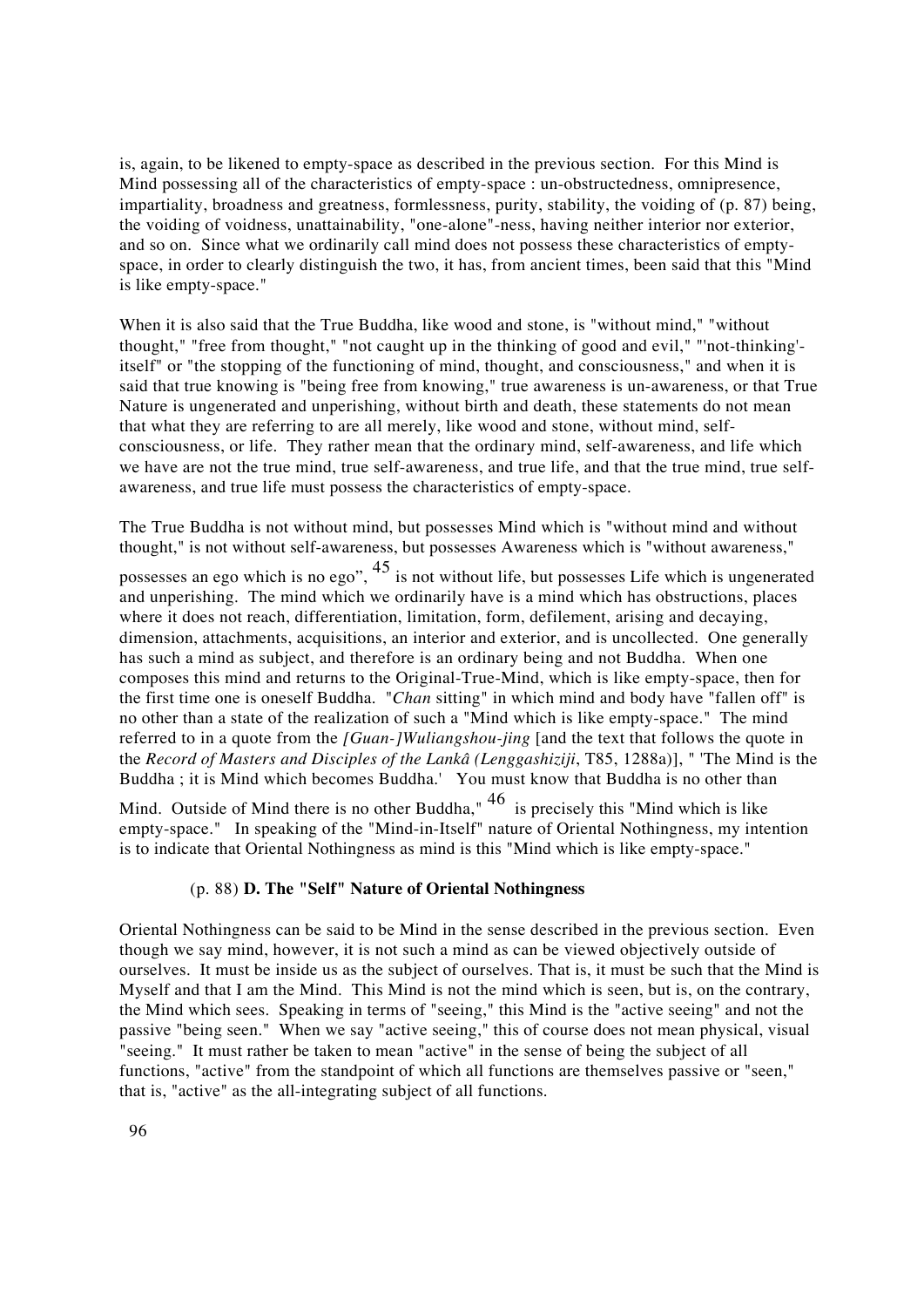is, again, to be likened to empty-space as described in the previous section. For this Mind is Mind possessing all of the characteristics of empty-space : un-obstructedness, omnipresence, impartiality, broadness and greatness, formlessness, purity, stability, the voiding of (p. 87) being, the voiding of voidness, unattainability, "one-alone"-ness, having neither interior nor exterior, and so on. Since what we ordinarily call mind does not possess these characteristics of emptyspace, in order to clearly distinguish the two, it has, from ancient times, been said that this "Mind is like empty-space."

When it is also said that the True Buddha, like wood and stone, is "without mind," "without thought," "free from thought," "not caught up in the thinking of good and evil," "'not-thinking' itself" or "the stopping of the functioning of mind, thought, and consciousness," and when it is said that true knowing is "being free from knowing," true awareness is un-awareness, or that True Nature is ungenerated and unperishing, without birth and death, these statements do not mean that what they are referring to are all merely, like wood and stone, without mind, selfconsciousness, or life. They rather mean that the ordinary mind, self-awareness, and life which we have are not the true mind, true self-awareness, and true life, and that the true mind, true selfawareness, and true life must possess the characteristics of empty-space.

The True Buddha is not without mind, but possesses Mind which is "without mind and without thought," is not without self-awareness, but possesses Awareness which is "without awareness,"

possesses an ego which is no ego",  $45$  is not without life, but possesses Life which is ungenerated and unperishing. The mind which we ordinarily have is a mind which has obstructions, places where it does not reach, differentiation, limitation, form, defilement, arising and decaying, dimension, attachments, acquisitions, an interior and exterior, and is uncollected. One generally has such a mind as subject, and therefore is an ordinary being and not Buddha. When one composes this mind and returns to the Original-True-Mind, which is like empty-space, then for the first time one is oneself Buddha. "*Chan* sitting" in which mind and body have "fallen off" is no other than a state of the realization of such a "Mind which is like empty-space." The mind referred to in a quote from the *[Guan-]Wuliangshou-jing* [and the text that follows the quote in the *Record of Masters and Disciples of the Lankâ (Lenggashiziji*, T85, 1288a)], " 'The Mind is the Buddha ; it is Mind which becomes Buddha.' You must know that Buddha is no other than

Mind. Outside of Mind there is no other Buddha,"  $46$  is precisely this "Mind which is like empty-space." In speaking of the "Mind-in-Itself" nature of Oriental Nothingness, my intention is to indicate that Oriental Nothingness as mind is this "Mind which is like empty-space."

### (p. 88) **D. The "Self" Nature of Oriental Nothingness**

Oriental Nothingness can be said to be Mind in the sense described in the previous section. Even though we say mind, however, it is not such a mind as can be viewed objectively outside of ourselves. It must be inside us as the subject of ourselves. That is, it must be such that the Mind is Myself and that I am the Mind. This Mind is not the mind which is seen, but is, on the contrary, the Mind which sees. Speaking in terms of "seeing," this Mind is the "active seeing" and not the passive "being seen." When we say "active seeing," this of course does not mean physical, visual "seeing." It must rather be taken to mean "active" in the sense of being the subject of all functions, "active" from the standpoint of which all functions are themselves passive or "seen," that is, "active" as the all-integrating subject of all functions.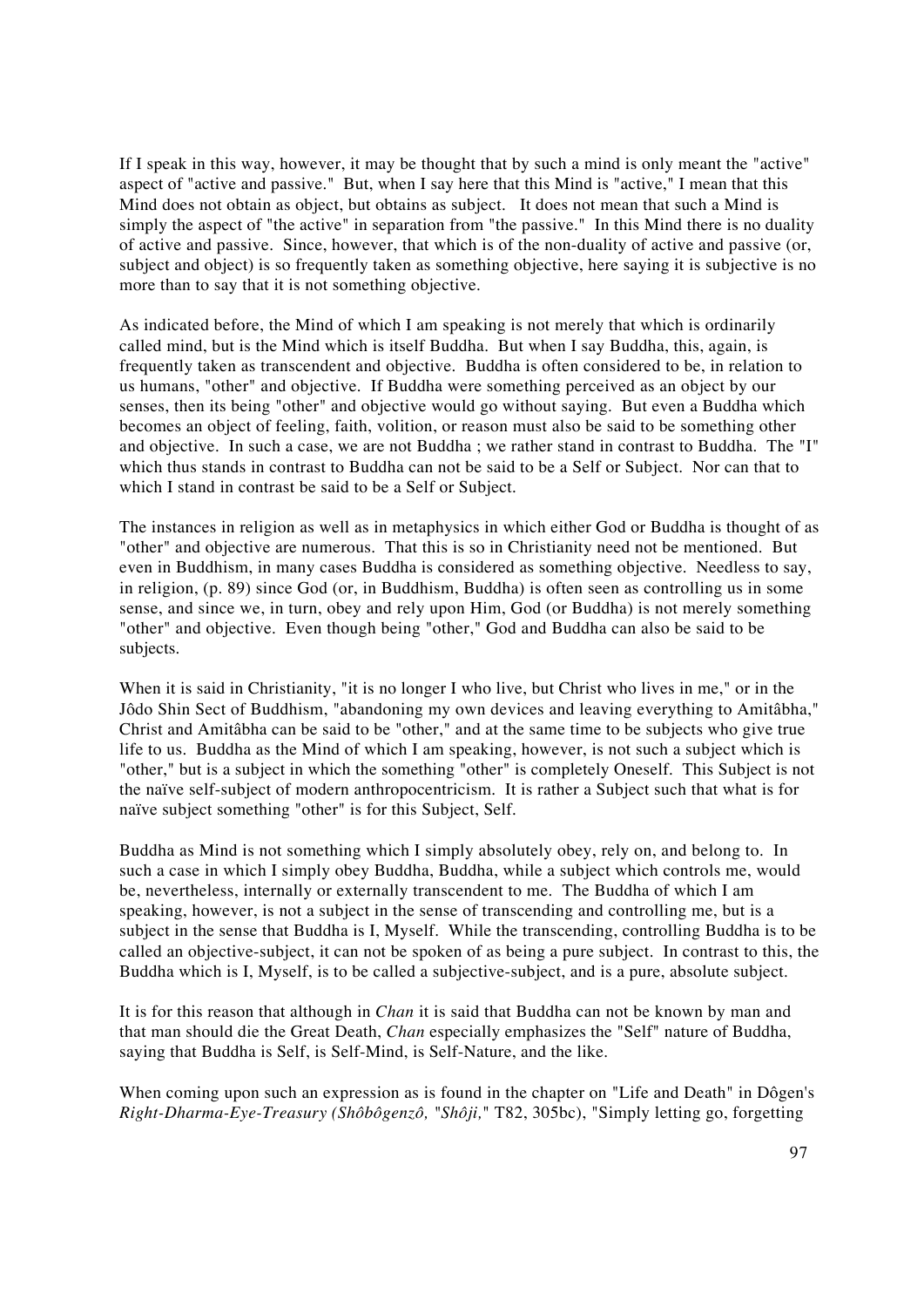If I speak in this way, however, it may be thought that by such a mind is only meant the "active" aspect of "active and passive." But, when I say here that this Mind is "active," I mean that this Mind does not obtain as object, but obtains as subject. It does not mean that such a Mind is simply the aspect of "the active" in separation from "the passive." In this Mind there is no duality of active and passive. Since, however, that which is of the non-duality of active and passive (or, subject and object) is so frequently taken as something objective, here saying it is subjective is no more than to say that it is not something objective.

As indicated before, the Mind of which I am speaking is not merely that which is ordinarily called mind, but is the Mind which is itself Buddha. But when I say Buddha, this, again, is frequently taken as transcendent and objective. Buddha is often considered to be, in relation to us humans, "other" and objective. If Buddha were something perceived as an object by our senses, then its being "other" and objective would go without saying. But even a Buddha which becomes an object of feeling, faith, volition, or reason must also be said to be something other and objective. In such a case, we are not Buddha ; we rather stand in contrast to Buddha. The "I" which thus stands in contrast to Buddha can not be said to be a Self or Subject. Nor can that to which I stand in contrast be said to be a Self or Subject.

The instances in religion as well as in metaphysics in which either God or Buddha is thought of as "other" and objective are numerous. That this is so in Christianity need not be mentioned. But even in Buddhism, in many cases Buddha is considered as something objective. Needless to say, in religion, (p. 89) since God (or, in Buddhism, Buddha) is often seen as controlling us in some sense, and since we, in turn, obey and rely upon Him, God (or Buddha) is not merely something "other" and objective. Even though being "other," God and Buddha can also be said to be subjects.

When it is said in Christianity, "it is no longer I who live, but Christ who lives in me," or in the Jôdo Shin Sect of Buddhism, "abandoning my own devices and leaving everything to Amitâbha," Christ and Amitâbha can be said to be "other," and at the same time to be subjects who give true life to us. Buddha as the Mind of which I am speaking, however, is not such a subject which is "other," but is a subject in which the something "other" is completely Oneself. This Subject is not the naïve self-subject of modern anthropocentricism. It is rather a Subject such that what is for naïve subject something "other" is for this Subject, Self.

Buddha as Mind is not something which I simply absolutely obey, rely on, and belong to. In such a case in which I simply obey Buddha, Buddha, while a subject which controls me, would be, nevertheless, internally or externally transcendent to me. The Buddha of which I am speaking, however, is not a subject in the sense of transcending and controlling me, but is a subject in the sense that Buddha is I, Myself. While the transcending, controlling Buddha is to be called an objective-subject, it can not be spoken of as being a pure subject. In contrast to this, the Buddha which is I, Myself, is to be called a subjective-subject, and is a pure, absolute subject.

It is for this reason that although in *Chan* it is said that Buddha can not be known by man and that man should die the Great Death, *Chan* especially emphasizes the "Self" nature of Buddha, saying that Buddha is Self, is Self-Mind, is Self-Nature, and the like.

When coming upon such an expression as is found in the chapter on "Life and Death" in Dôgen's *Right-Dharma-Eye-Treasury (Shôbôgenzô, "Shôji,*" T82, 305bc), "Simply letting go, forgetting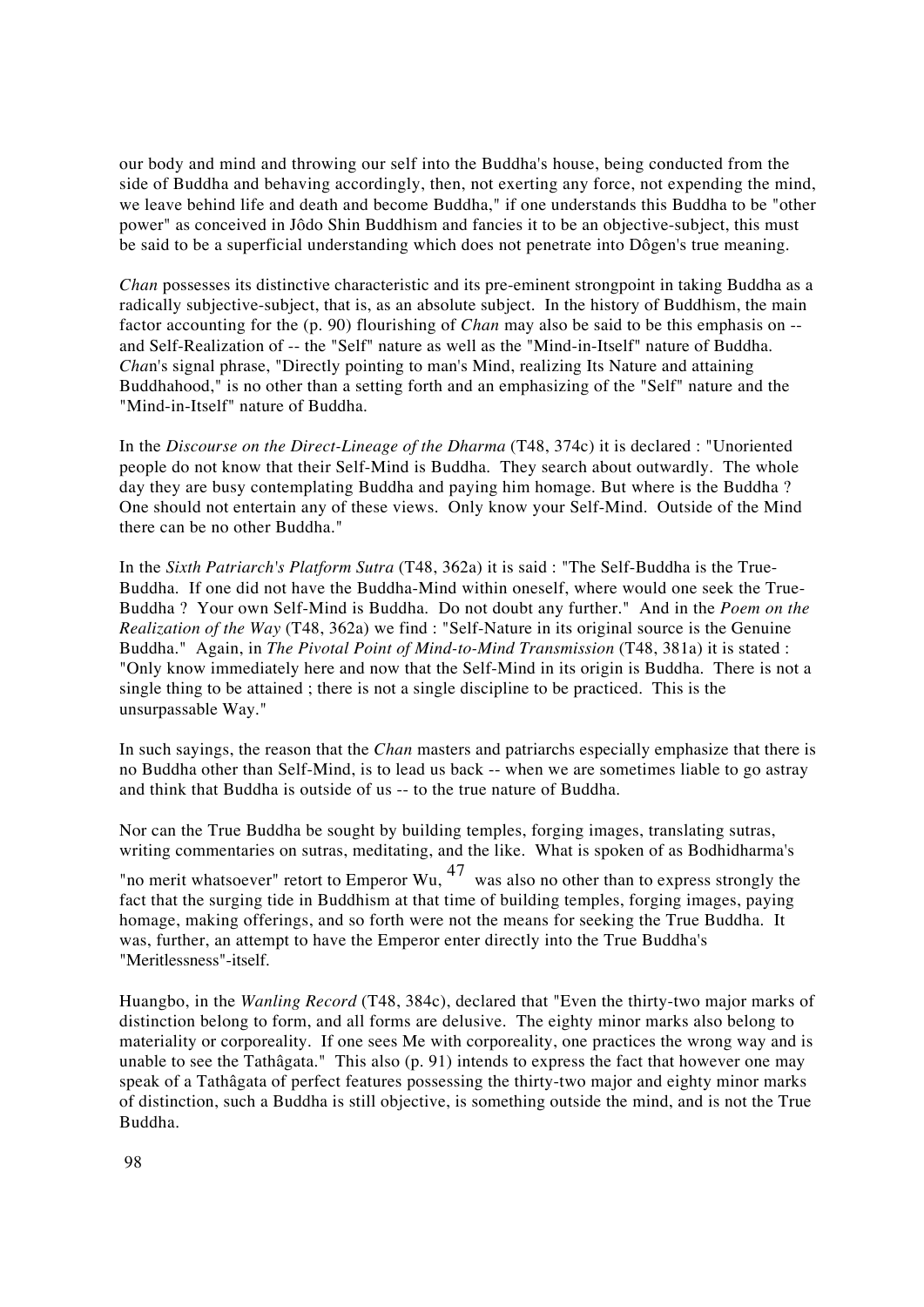our body and mind and throwing our self into the Buddha's house, being conducted from the side of Buddha and behaving accordingly, then, not exerting any force, not expending the mind, we leave behind life and death and become Buddha," if one understands this Buddha to be "other power" as conceived in Jôdo Shin Buddhism and fancies it to be an objective-subject, this must be said to be a superficial understanding which does not penetrate into Dôgen's true meaning.

*Chan* possesses its distinctive characteristic and its pre-eminent strongpoint in taking Buddha as a radically subjective-subject, that is, as an absolute subject. In the history of Buddhism, the main factor accounting for the (p. 90) flourishing of *Chan* may also be said to be this emphasis on - and Self-Realization of -- the "Self" nature as well as the "Mind-in-Itself" nature of Buddha. *Cha*n's signal phrase, "Directly pointing to man's Mind, realizing Its Nature and attaining Buddhahood," is no other than a setting forth and an emphasizing of the "Self" nature and the "Mind-in-Itself" nature of Buddha.

In the *Discourse on the Direct-Lineage of the Dharma* (T48, 374c) it is declared : "Unoriented people do not know that their Self-Mind is Buddha. They search about outwardly. The whole day they are busy contemplating Buddha and paying him homage. But where is the Buddha ? One should not entertain any of these views. Only know your Self-Mind. Outside of the Mind there can be no other Buddha."

In the *Sixth Patriarch's Platform Sutra* (T48, 362a) it is said : "The Self-Buddha is the True-Buddha. If one did not have the Buddha-Mind within oneself, where would one seek the True-Buddha ? Your own Self-Mind is Buddha. Do not doubt any further." And in the *Poem on the Realization of the Way* (T48, 362a) we find : "Self-Nature in its original source is the Genuine Buddha." Again, in *The Pivotal Point of Mind-to-Mind Transmission* (T48, 381a) it is stated : "Only know immediately here and now that the Self-Mind in its origin is Buddha. There is not a single thing to be attained ; there is not a single discipline to be practiced. This is the unsurpassable Way."

In such sayings, the reason that the *Chan* masters and patriarchs especially emphasize that there is no Buddha other than Self-Mind, is to lead us back -- when we are sometimes liable to go astray and think that Buddha is outside of us -- to the true nature of Buddha.

Nor can the True Buddha be sought by building temples, forging images, translating sutras, writing commentaries on sutras, meditating, and the like. What is spoken of as Bodhidharma's "no merit whatsoever" retort to Emperor Wu,  $^{47}$  was also no other than to express strongly the fact that the surging tide in Buddhism at that time of building temples, forging images, paying homage, making offerings, and so forth were not the means for seeking the True Buddha. It was, further, an attempt to have the Emperor enter directly into the True Buddha's "Meritlessness"-itself.

Huangbo, in the *Wanling Record* (T48, 384c), declared that "Even the thirty-two major marks of distinction belong to form, and all forms are delusive. The eighty minor marks also belong to materiality or corporeality. If one sees Me with corporeality, one practices the wrong way and is unable to see the Tathâgata." This also (p. 91) intends to express the fact that however one may speak of a Tathâgata of perfect features possessing the thirty-two major and eighty minor marks of distinction, such a Buddha is still objective, is something outside the mind, and is not the True Buddha.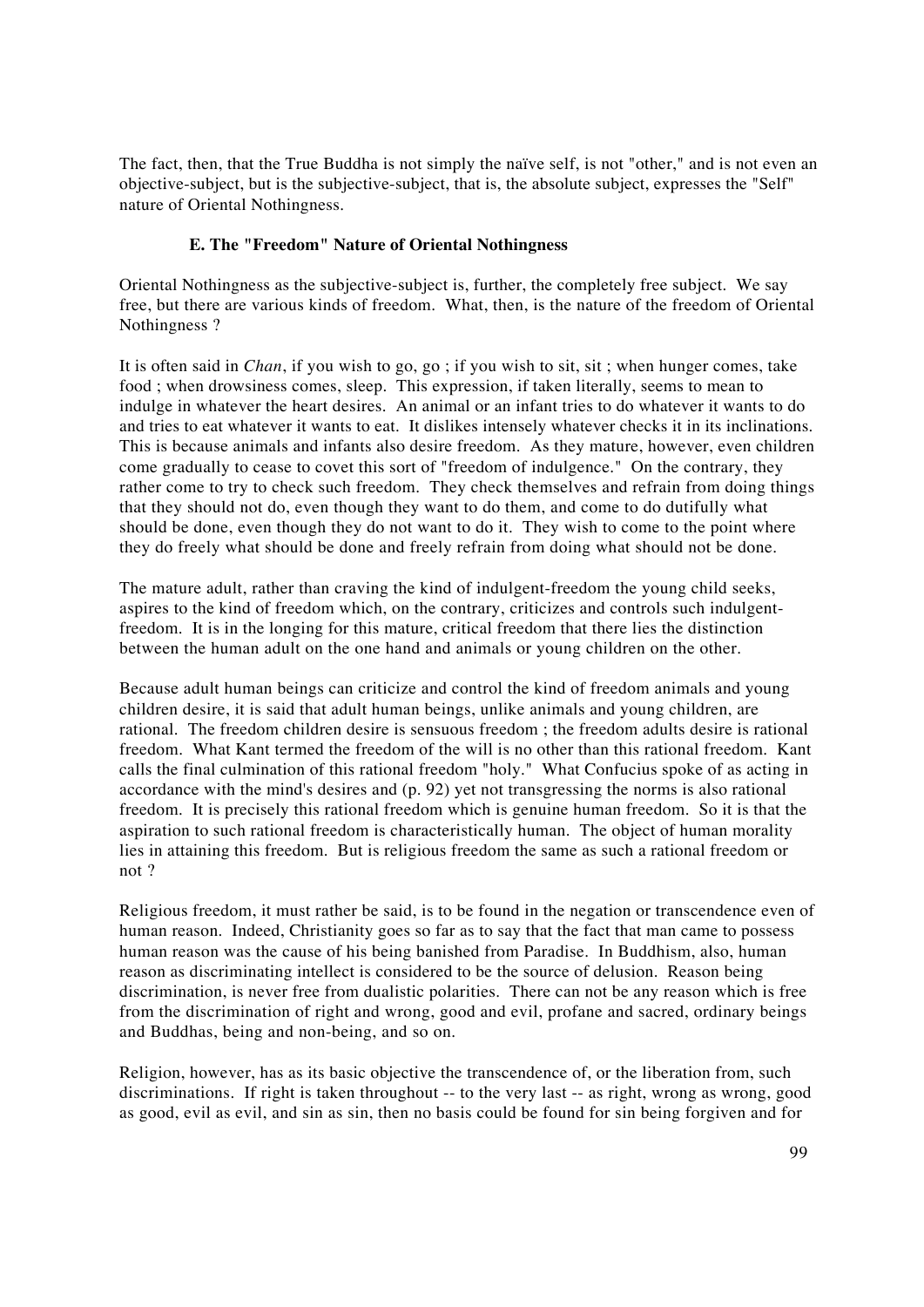The fact, then, that the True Buddha is not simply the naïve self, is not "other," and is not even an objective-subject, but is the subjective-subject, that is, the absolute subject, expresses the "Self" nature of Oriental Nothingness.

### **E. The "Freedom" Nature of Oriental Nothingness**

Oriental Nothingness as the subjective-subject is, further, the completely free subject. We say free, but there are various kinds of freedom. What, then, is the nature of the freedom of Oriental Nothingness ?

It is often said in *Chan*, if you wish to go, go ; if you wish to sit, sit ; when hunger comes, take food ; when drowsiness comes, sleep. This expression, if taken literally, seems to mean to indulge in whatever the heart desires. An animal or an infant tries to do whatever it wants to do and tries to eat whatever it wants to eat. It dislikes intensely whatever checks it in its inclinations. This is because animals and infants also desire freedom. As they mature, however, even children come gradually to cease to covet this sort of "freedom of indulgence." On the contrary, they rather come to try to check such freedom. They check themselves and refrain from doing things that they should not do, even though they want to do them, and come to do dutifully what should be done, even though they do not want to do it. They wish to come to the point where they do freely what should be done and freely refrain from doing what should not be done.

The mature adult, rather than craving the kind of indulgent-freedom the young child seeks, aspires to the kind of freedom which, on the contrary, criticizes and controls such indulgentfreedom. It is in the longing for this mature, critical freedom that there lies the distinction between the human adult on the one hand and animals or young children on the other.

Because adult human beings can criticize and control the kind of freedom animals and young children desire, it is said that adult human beings, unlike animals and young children, are rational. The freedom children desire is sensuous freedom ; the freedom adults desire is rational freedom. What Kant termed the freedom of the will is no other than this rational freedom. Kant calls the final culmination of this rational freedom "holy." What Confucius spoke of as acting in accordance with the mind's desires and (p. 92) yet not transgressing the norms is also rational freedom. It is precisely this rational freedom which is genuine human freedom. So it is that the aspiration to such rational freedom is characteristically human. The object of human morality lies in attaining this freedom. But is religious freedom the same as such a rational freedom or not ?

Religious freedom, it must rather be said, is to be found in the negation or transcendence even of human reason. Indeed, Christianity goes so far as to say that the fact that man came to possess human reason was the cause of his being banished from Paradise. In Buddhism, also, human reason as discriminating intellect is considered to be the source of delusion. Reason being discrimination, is never free from dualistic polarities. There can not be any reason which is free from the discrimination of right and wrong, good and evil, profane and sacred, ordinary beings and Buddhas, being and non-being, and so on.

Religion, however, has as its basic objective the transcendence of, or the liberation from, such discriminations. If right is taken throughout -- to the very last -- as right, wrong as wrong, good as good, evil as evil, and sin as sin, then no basis could be found for sin being forgiven and for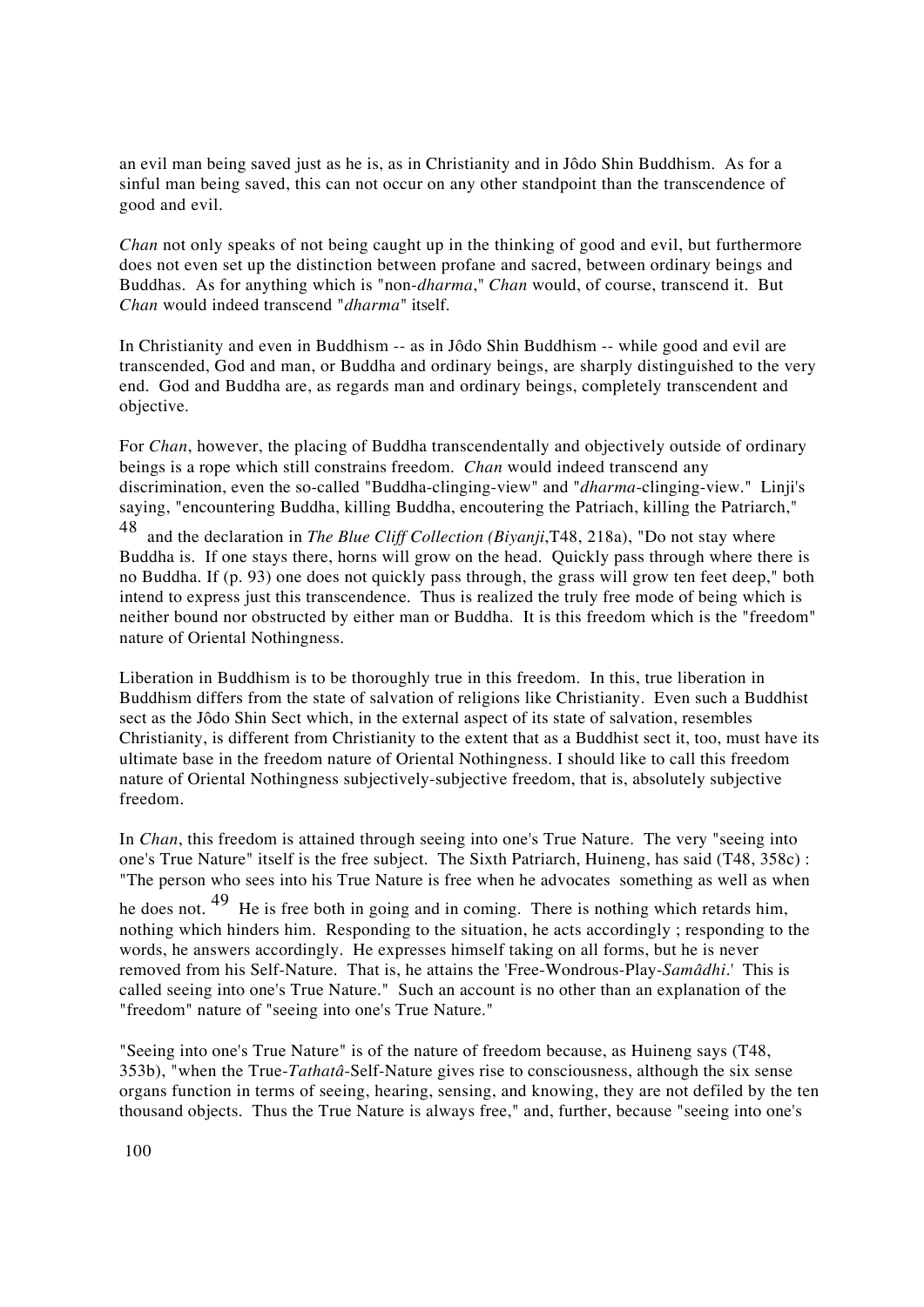an evil man being saved just as he is, as in Christianity and in Jôdo Shin Buddhism. As for a sinful man being saved, this can not occur on any other standpoint than the transcendence of good and evil.

*Chan* not only speaks of not being caught up in the thinking of good and evil, but furthermore does not even set up the distinction between profane and sacred, between ordinary beings and Buddhas. As for anything which is "non-*dharma*," *Chan* would, of course, transcend it. But *Chan* would indeed transcend "*dharma*" itself.

In Christianity and even in Buddhism -- as in Jôdo Shin Buddhism -- while good and evil are transcended, God and man, or Buddha and ordinary beings, are sharply distinguished to the very end. God and Buddha are, as regards man and ordinary beings, completely transcendent and objective.

For *Chan*, however, the placing of Buddha transcendentally and objectively outside of ordinary beings is a rope which still constrains freedom. *Chan* would indeed transcend any discrimination, even the so-called "Buddha-clinging-view" and "*dharma*-clinging-view." Linji's saying, "encountering Buddha, killing Buddha, encoutering the Patriach, killing the Patriarch,"

48 and the declaration in *The Blue Cliff Collection (Biyanji*,T48, 218a), "Do not stay where Buddha is. If one stays there, horns will grow on the head. Quickly pass through where there is no Buddha. If (p. 93) one does not quickly pass through, the grass will grow ten feet deep," both intend to express just this transcendence. Thus is realized the truly free mode of being which is neither bound nor obstructed by either man or Buddha. It is this freedom which is the "freedom" nature of Oriental Nothingness.

Liberation in Buddhism is to be thoroughly true in this freedom. In this, true liberation in Buddhism differs from the state of salvation of religions like Christianity. Even such a Buddhist sect as the Jôdo Shin Sect which, in the external aspect of its state of salvation, resembles Christianity, is different from Christianity to the extent that as a Buddhist sect it, too, must have its ultimate base in the freedom nature of Oriental Nothingness. I should like to call this freedom nature of Oriental Nothingness subjectively-subjective freedom, that is, absolutely subjective freedom.

In *Chan*, this freedom is attained through seeing into one's True Nature. The very "seeing into one's True Nature" itself is the free subject. The Sixth Patriarch, Huineng, has said (T48, 358c) : "The person who sees into his True Nature is free when he advocates something as well as when

he does not. <sup>49</sup> He is free both in going and in coming. There is nothing which retards him, nothing which hinders him. Responding to the situation, he acts accordingly ; responding to the words, he answers accordingly. He expresses himself taking on all forms, but he is never removed from his Self-Nature. That is, he attains the 'Free-Wondrous-Play-*Samâdhi*.' This is called seeing into one's True Nature." Such an account is no other than an explanation of the "freedom" nature of "seeing into one's True Nature."

"Seeing into one's True Nature" is of the nature of freedom because, as Huineng says (T48, 353b), "when the True-*Tathatâ*-Self-Nature gives rise to consciousness, although the six sense organs function in terms of seeing, hearing, sensing, and knowing, they are not defiled by the ten thousand objects. Thus the True Nature is always free," and, further, because "seeing into one's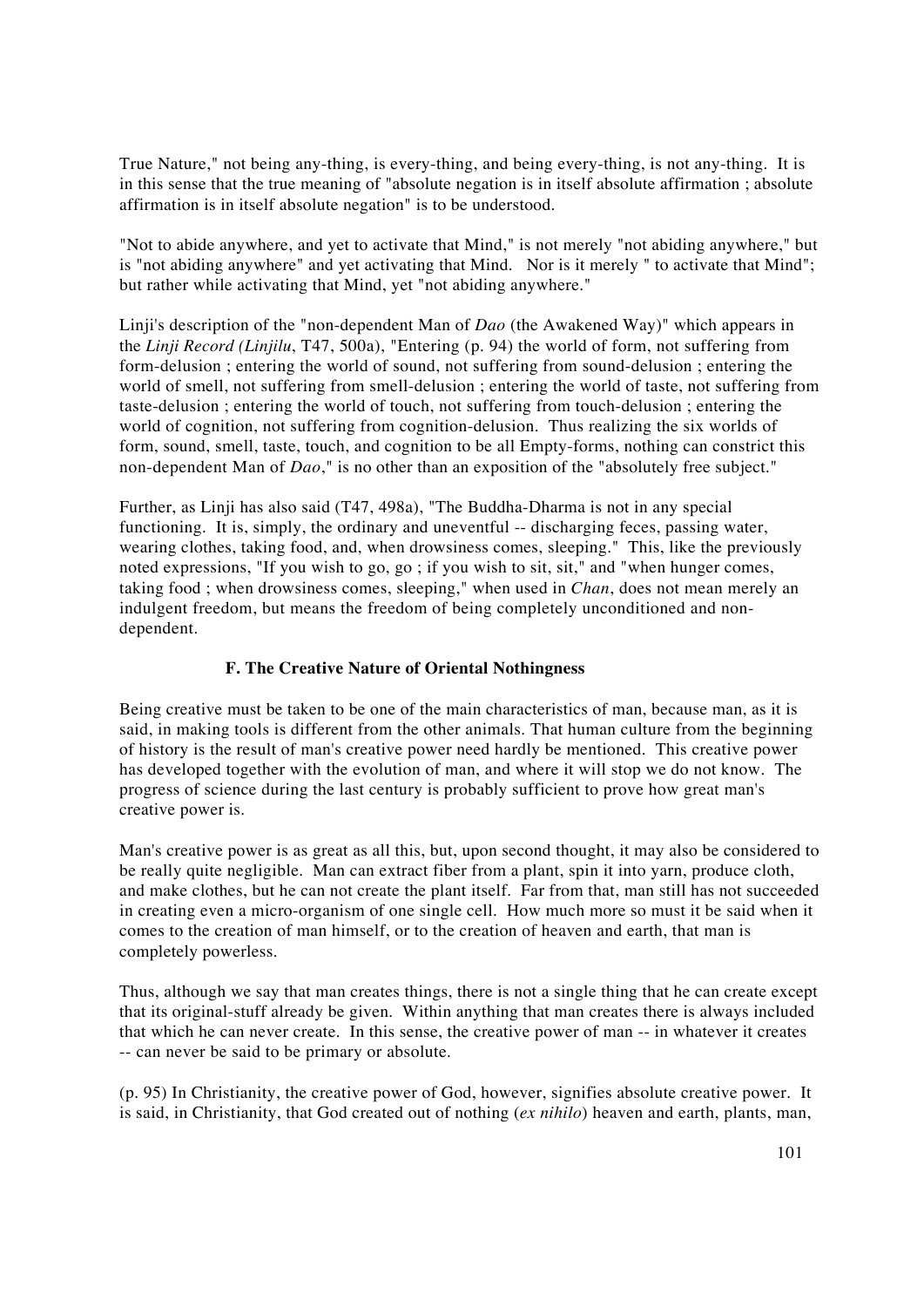True Nature," not being any-thing, is every-thing, and being every-thing, is not any-thing. It is in this sense that the true meaning of "absolute negation is in itself absolute affirmation ; absolute affirmation is in itself absolute negation" is to be understood.

"Not to abide anywhere, and yet to activate that Mind," is not merely "not abiding anywhere," but is "not abiding anywhere" and yet activating that Mind. Nor is it merely " to activate that Mind"; but rather while activating that Mind, yet "not abiding anywhere."

Linji's description of the "non-dependent Man of *Dao* (the Awakened Way)" which appears in the *Linji Record (Linjilu*, T47, 500a), "Entering (p. 94) the world of form, not suffering from form-delusion ; entering the world of sound, not suffering from sound-delusion ; entering the world of smell, not suffering from smell-delusion ; entering the world of taste, not suffering from taste-delusion ; entering the world of touch, not suffering from touch-delusion ; entering the world of cognition, not suffering from cognition-delusion. Thus realizing the six worlds of form, sound, smell, taste, touch, and cognition to be all Empty-forms, nothing can constrict this non-dependent Man of *Dao*," is no other than an exposition of the "absolutely free subject."

Further, as Linji has also said (T47, 498a), "The Buddha-Dharma is not in any special functioning. It is, simply, the ordinary and uneventful -- discharging feces, passing water, wearing clothes, taking food, and, when drowsiness comes, sleeping." This, like the previously noted expressions, "If you wish to go, go ; if you wish to sit, sit," and "when hunger comes, taking food ; when drowsiness comes, sleeping," when used in *Chan*, does not mean merely an indulgent freedom, but means the freedom of being completely unconditioned and nondependent.

# **F. The Creative Nature of Oriental Nothingness**

Being creative must be taken to be one of the main characteristics of man, because man, as it is said, in making tools is different from the other animals. That human culture from the beginning of history is the result of man's creative power need hardly be mentioned. This creative power has developed together with the evolution of man, and where it will stop we do not know. The progress of science during the last century is probably sufficient to prove how great man's creative power is.

Man's creative power is as great as all this, but, upon second thought, it may also be considered to be really quite negligible. Man can extract fiber from a plant, spin it into yarn, produce cloth, and make clothes, but he can not create the plant itself. Far from that, man still has not succeeded in creating even a micro-organism of one single cell. How much more so must it be said when it comes to the creation of man himself, or to the creation of heaven and earth, that man is completely powerless.

Thus, although we say that man creates things, there is not a single thing that he can create except that its original-stuff already be given. Within anything that man creates there is always included that which he can never create. In this sense, the creative power of man -- in whatever it creates -- can never be said to be primary or absolute.

(p. 95) In Christianity, the creative power of God, however, signifies absolute creative power. It is said, in Christianity, that God created out of nothing (*ex nihilo*) heaven and earth, plants, man,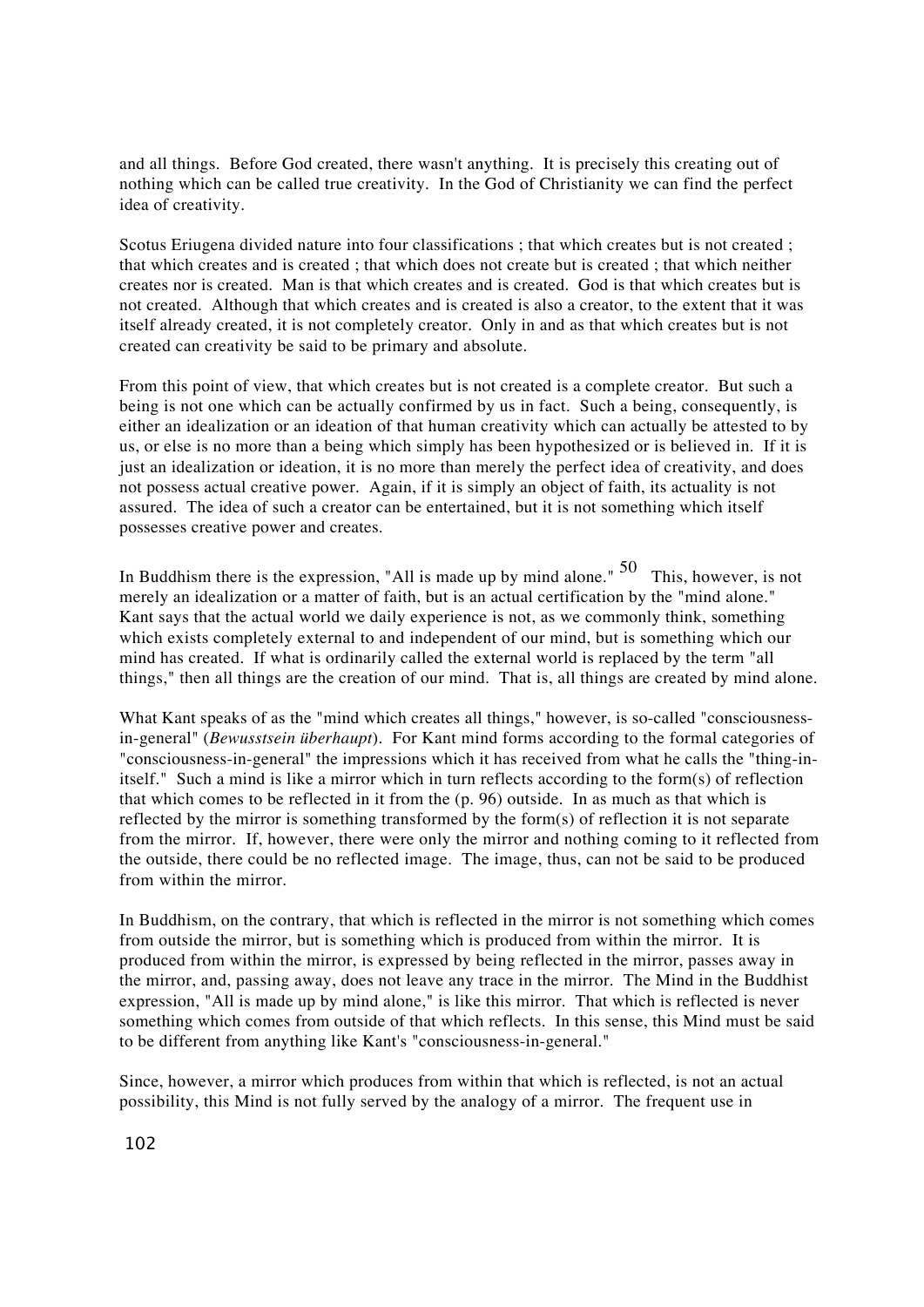and all things. Before God created, there wasn't anything. It is precisely this creating out of nothing which can be called true creativity. In the God of Christianity we can find the perfect idea of creativity.

Scotus Eriugena divided nature into four classifications ; that which creates but is not created ; that which creates and is created ; that which does not create but is created ; that which neither creates nor is created. Man is that which creates and is created. God is that which creates but is not created. Although that which creates and is created is also a creator, to the extent that it was itself already created, it is not completely creator. Only in and as that which creates but is not created can creativity be said to be primary and absolute.

From this point of view, that which creates but is not created is a complete creator. But such a being is not one which can be actually confirmed by us in fact. Such a being, consequently, is either an idealization or an ideation of that human creativity which can actually be attested to by us, or else is no more than a being which simply has been hypothesized or is believed in. If it is just an idealization or ideation, it is no more than merely the perfect idea of creativity, and does not possess actual creative power. Again, if it is simply an object of faith, its actuality is not assured. The idea of such a creator can be entertained, but it is not something which itself possesses creative power and creates.

In Buddhism there is the expression, "All is made up by mind alone."  $50$  This, however, is not merely an idealization or a matter of faith, but is an actual certification by the "mind alone." Kant says that the actual world we daily experience is not, as we commonly think, something which exists completely external to and independent of our mind, but is something which our mind has created. If what is ordinarily called the external world is replaced by the term "all things," then all things are the creation of our mind. That is, all things are created by mind alone.

What Kant speaks of as the "mind which creates all things," however, is so-called "consciousnessin-general" (*Bewusstsein überhaupt*). For Kant mind forms according to the formal categories of "consciousness-in-general" the impressions which it has received from what he calls the "thing-initself." Such a mind is like a mirror which in turn reflects according to the form(s) of reflection that which comes to be reflected in it from the (p. 96) outside. In as much as that which is reflected by the mirror is something transformed by the form(s) of reflection it is not separate from the mirror. If, however, there were only the mirror and nothing coming to it reflected from the outside, there could be no reflected image. The image, thus, can not be said to be produced from within the mirror.

In Buddhism, on the contrary, that which is reflected in the mirror is not something which comes from outside the mirror, but is something which is produced from within the mirror. It is produced from within the mirror, is expressed by being reflected in the mirror, passes away in the mirror, and, passing away, does not leave any trace in the mirror. The Mind in the Buddhist expression, "All is made up by mind alone," is like this mirror. That which is reflected is never something which comes from outside of that which reflects. In this sense, this Mind must be said to be different from anything like Kant's "consciousness-in-general."

Since, however, a mirror which produces from within that which is reflected, is not an actual possibility, this Mind is not fully served by the analogy of a mirror. The frequent use in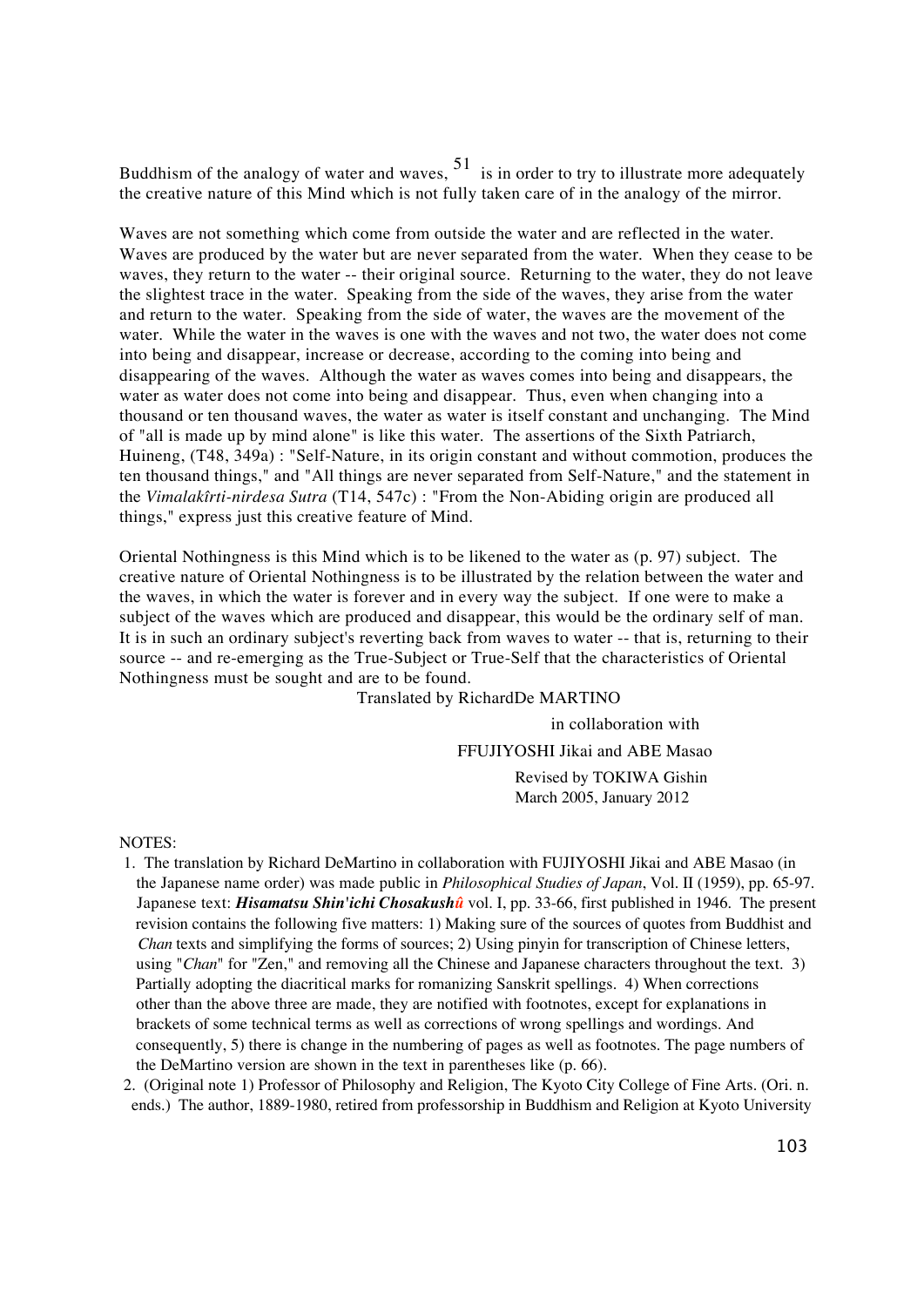Buddhism of the analogy of water and waves,  $51$  is in order to try to illustrate more adequately the creative nature of this Mind which is not fully taken care of in the analogy of the mirror.

Waves are not something which come from outside the water and are reflected in the water. Waves are produced by the water but are never separated from the water. When they cease to be waves, they return to the water -- their original source. Returning to the water, they do not leave the slightest trace in the water. Speaking from the side of the waves, they arise from the water and return to the water. Speaking from the side of water, the waves are the movement of the water. While the water in the waves is one with the waves and not two, the water does not come into being and disappear, increase or decrease, according to the coming into being and disappearing of the waves. Although the water as waves comes into being and disappears, the water as water does not come into being and disappear. Thus, even when changing into a thousand or ten thousand waves, the water as water is itself constant and unchanging. The Mind of "all is made up by mind alone" is like this water. The assertions of the Sixth Patriarch, Huineng, (T48, 349a) : "Self-Nature, in its origin constant and without commotion, produces the ten thousand things," and "All things are never separated from Self-Nature," and the statement in the *Vimalakîrti-nirdesa Sutra* (T14, 547c) : "From the Non-Abiding origin are produced all things," express just this creative feature of Mind.

Oriental Nothingness is this Mind which is to be likened to the water as (p. 97) subject. The creative nature of Oriental Nothingness is to be illustrated by the relation between the water and the waves, in which the water is forever and in every way the subject. If one were to make a subject of the waves which are produced and disappear, this would be the ordinary self of man. It is in such an ordinary subject's reverting back from waves to water -- that is, returning to their source -- and re-emerging as the True-Subject or True-Self that the characteristics of Oriental Nothingness must be sought and are to be found.

Translated by RichardDe MARTINO

 in collaboration with FFUJIYOSHI Jikai and ABE Masao Revised by TOKIWA Gishin March 2005, January 2012

NOTES:

- 1. The translation by Richard DeMartino in collaboration with FUJIYOSHI Jikai and ABE Masao (in the Japanese name order) was made public in *Philosophical Studies of Japan*, Vol. II (1959), pp. 65-97. Japanese text: *Hisamatsu Shin'ichi Chosakushû* vol. I, pp. 33-66, first published in 1946. The present revision contains the following five matters: 1) Making sure of the sources of quotes from Buddhist and *Chan* texts and simplifying the forms of sources; 2) Using pinyin for transcription of Chinese letters, using "*Chan*" for "Zen," and removing all the Chinese and Japanese characters throughout the text. 3) Partially adopting the diacritical marks for romanizing Sanskrit spellings. 4) When corrections other than the above three are made, they are notified with footnotes, except for explanations in brackets of some technical terms as well as corrections of wrong spellings and wordings. And consequently, 5) there is change in the numbering of pages as well as footnotes. The page numbers of the DeMartino version are shown in the text in parentheses like (p. 66).
- 2. (Original note 1) Professor of Philosophy and Religion, The Kyoto City College of Fine Arts. (Ori. n. ends.) The author, 1889-1980, retired from professorship in Buddhism and Religion at Kyoto University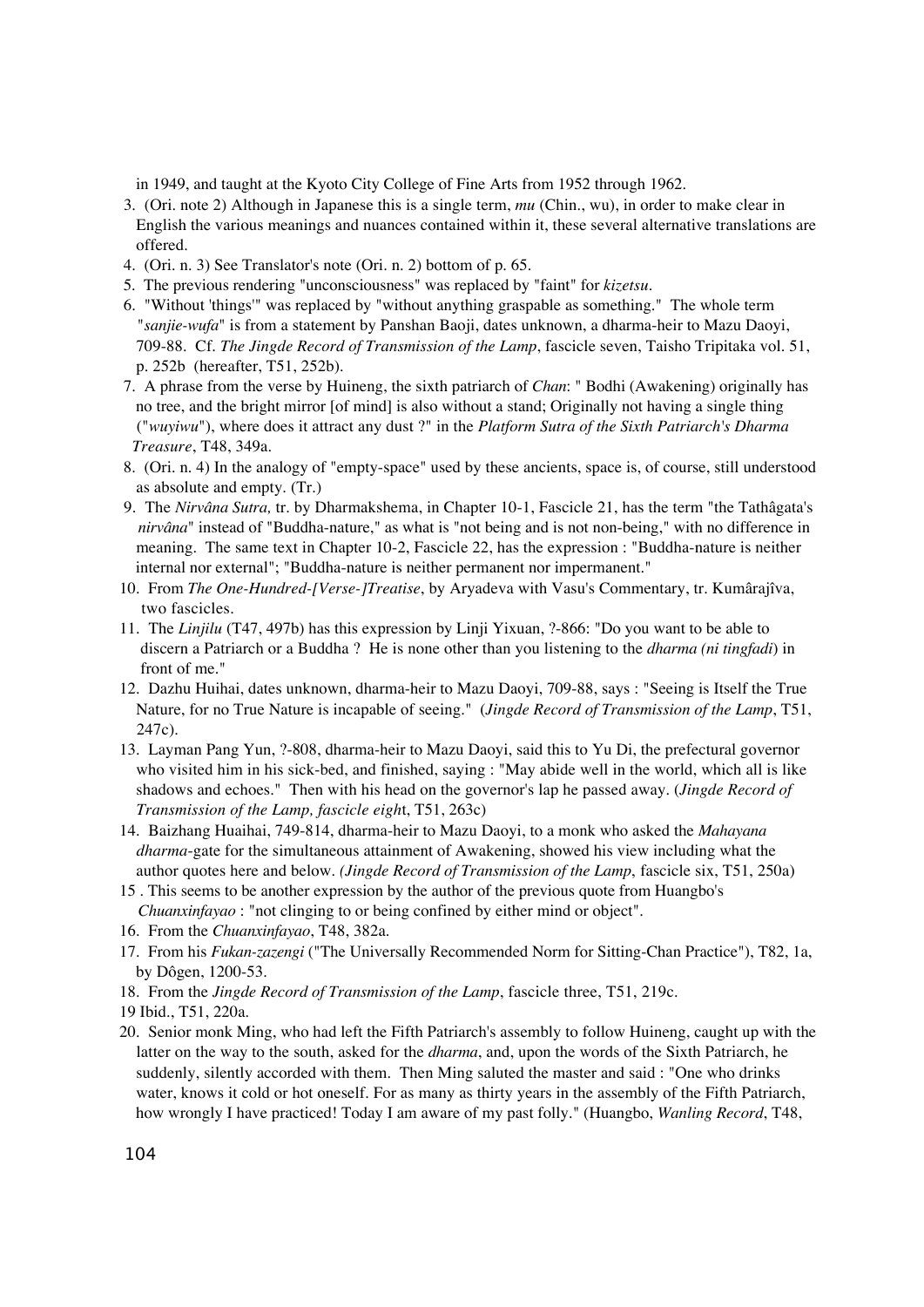in 1949, and taught at the Kyoto City College of Fine Arts from 1952 through 1962.

- 3. (Ori. note 2) Although in Japanese this is a single term, *mu* (Chin., wu), in order to make clear in English the various meanings and nuances contained within it, these several alternative translations are offered.
- 4. (Ori. n. 3) See Translator's note (Ori. n. 2) bottom of p. 65.
- 5. The previous rendering "unconsciousness" was replaced by "faint" for *kizetsu*.
- 6. "Without 'things'" was replaced by "without anything graspable as something." The whole term "*sanjie-wufa*" is from a statement by Panshan Baoji, dates unknown, a dharma-heir to Mazu Daoyi, 709-88. Cf. *The Jingde Record of Transmission of the Lamp*, fascicle seven, Taisho Tripitaka vol. 51, p. 252b (hereafter, T51, 252b).
- 7. A phrase from the verse by Huineng, the sixth patriarch of *Chan*: " Bodhi (Awakening) originally has no tree, and the bright mirror [of mind] is also without a stand; Originally not having a single thing ("*wuyiwu*"), where does it attract any dust ?" in the *Platform Sutra of the Sixth Patriarch's Dharma Treasure*, T48, 349a.
- 8. (Ori. n. 4) In the analogy of "empty-space" used by these ancients, space is, of course, still understood as absolute and empty. (Tr.)
- 9. The *Nirvâna Sutra,* tr. by Dharmakshema, in Chapter 10-1, Fascicle 21, has the term "the Tathâgata's *nirvâna*" instead of "Buddha-nature," as what is "not being and is not non-being," with no difference in meaning. The same text in Chapter 10-2, Fascicle 22, has the expression : "Buddha-nature is neither internal nor external"; "Buddha-nature is neither permanent nor impermanent."
- 10. From *The One-Hundred-[Verse-]Treatise*, by Aryadeva with Vasu's Commentary, tr. Kumârajîva, two fascicles.
- 11. The *Linjilu* (T47, 497b) has this expression by Linji Yixuan, ?-866: "Do you want to be able to discern a Patriarch or a Buddha ? He is none other than you listening to the *dharma (ni tingfadi*) in front of me."
- 12. Dazhu Huihai, dates unknown, dharma-heir to Mazu Daoyi, 709-88, says : "Seeing is Itself the True Nature, for no True Nature is incapable of seeing." (*Jingde Record of Transmission of the Lamp*, T51, 247c).
- 13. Layman Pang Yun, ?-808, dharma-heir to Mazu Daoyi, said this to Yu Di, the prefectural governor who visited him in his sick-bed, and finished, saying : "May abide well in the world, which all is like shadows and echoes." Then with his head on the governor's lap he passed away. (*Jingde Record of Transmission of the Lamp, fascicle eigh*t, T51, 263c)
- 14. Baizhang Huaihai, 749-814, dharma-heir to Mazu Daoyi, to a monk who asked the *Mahayana dharma*-gate for the simultaneous attainment of Awakening, showed his view including what the author quotes here and below. *(Jingde Record of Transmission of the Lamp*, fascicle six, T51, 250a)
- 15 . This seems to be another expression by the author of the previous quote from Huangbo's *Chuanxinfayao* : "not clinging to or being confined by either mind or object".
- 16. From the *Chuanxinfayao*, T48, 382a.
- 17. From his *Fukan-zazengi* ("The Universally Recommended Norm for Sitting-Chan Practice"), T82, 1a, by Dôgen, 1200-53.
- 18. From the *Jingde Record of Transmission of the Lamp*, fascicle three, T51, 219c.
- 19 Ibid., T51, 220a.
- 20. Senior monk Ming, who had left the Fifth Patriarch's assembly to follow Huineng, caught up with the latter on the way to the south, asked for the *dharma*, and, upon the words of the Sixth Patriarch, he suddenly, silently accorded with them. Then Ming saluted the master and said : "One who drinks water, knows it cold or hot oneself. For as many as thirty years in the assembly of the Fifth Patriarch, how wrongly I have practiced! Today I am aware of my past folly." (Huangbo, *Wanling Record*, T48,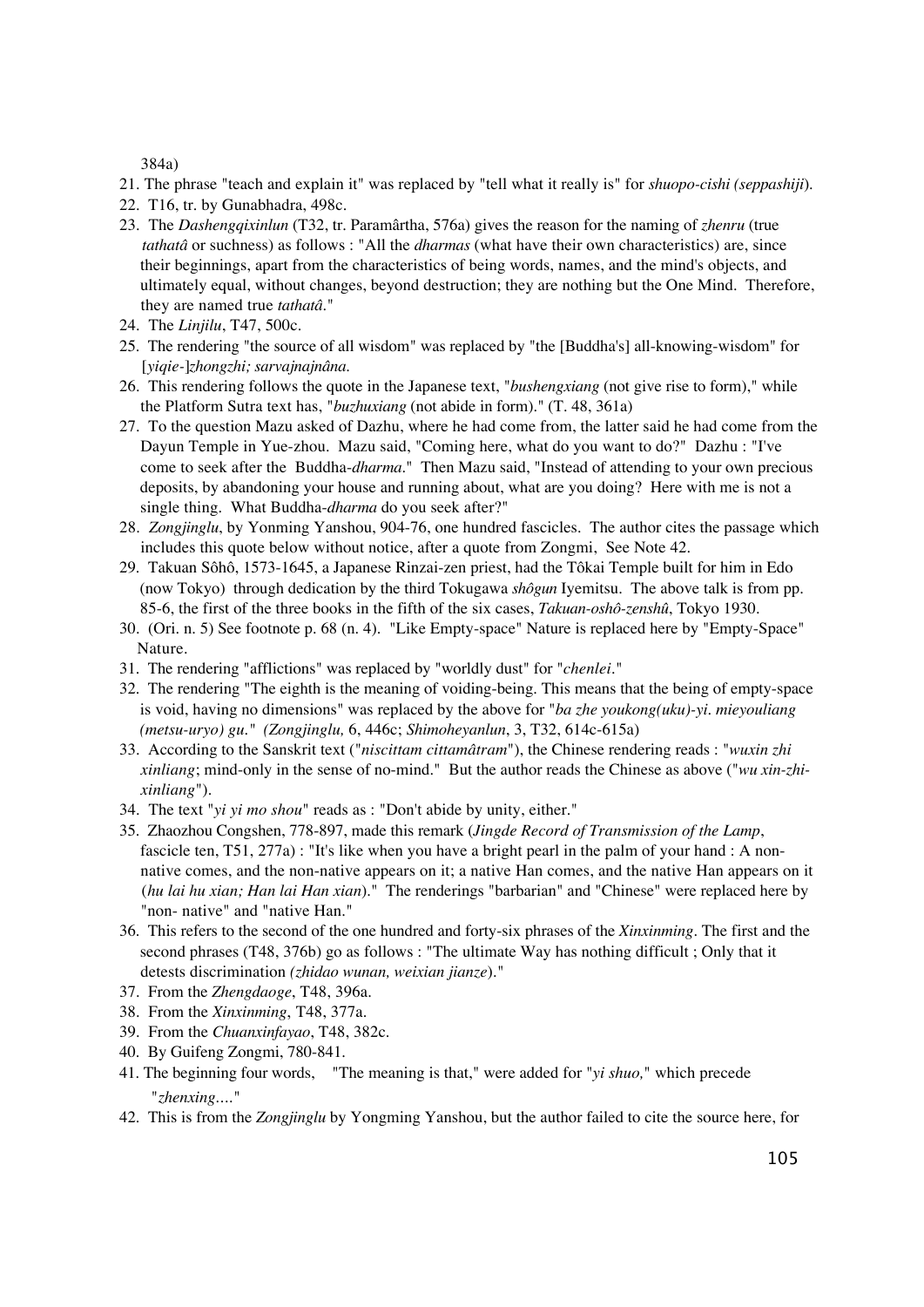384a)

- 21. The phrase "teach and explain it" was replaced by "tell what it really is" for *shuopo-cishi (seppashiji*).
- 22. T16, tr. by Gunabhadra, 498c.
- 23. The *Dashengqixinlun* (T32, tr. Paramârtha, 576a) gives the reason for the naming of *zhenru* (true *tathatâ* or suchness) as follows : "All the *dharmas* (what have their own characteristics) are, since their beginnings, apart from the characteristics of being words, names, and the mind's objects, and ultimately equal, without changes, beyond destruction; they are nothing but the One Mind. Therefore, they are named true *tathatâ*."
- 24. The *Linjilu*, T47, 500c.
- 25. The rendering "the source of all wisdom" was replaced by "the [Buddha's] all-knowing-wisdom" for [*yiqie-*]*zhongzhi; sarvajnajnâna*.
- 26. This rendering follows the quote in the Japanese text, "*bushengxiang* (not give rise to form)," while the Platform Sutra text has, "*buzhuxiang* (not abide in form)." (T. 48, 361a)
- 27. To the question Mazu asked of Dazhu, where he had come from, the latter said he had come from the Dayun Temple in Yue-zhou. Mazu said, "Coming here, what do you want to do?" Dazhu : "I've come to seek after the Buddha-*dharma*." Then Mazu said, "Instead of attending to your own precious deposits, by abandoning your house and running about, what are you doing? Here with me is not a single thing. What Buddha-*dharma* do you seek after?"
- 28. *Zongjinglu*, by Yonming Yanshou, 904-76, one hundred fascicles. The author cites the passage which includes this quote below without notice, after a quote from Zongmi, See Note 42.
- 29. Takuan Sôhô, 1573-1645, a Japanese Rinzai-zen priest, had the Tôkai Temple built for him in Edo (now Tokyo) through dedication by the third Tokugawa *shôgun* Iyemitsu. The above talk is from pp. 85-6, the first of the three books in the fifth of the six cases, *Takuan-oshô-zenshû*, Tokyo 1930.
- 30. (Ori. n. 5) See footnote p. 68 (n. 4). "Like Empty-space" Nature is replaced here by "Empty-Space" Nature.
- 31. The rendering "afflictions" was replaced by "worldly dust" for "*chenlei*."
- 32. The rendering "The eighth is the meaning of voiding-being. This means that the being of empty-space is void, having no dimensions" was replaced by the above for "*ba zhe youkong(uku)-yi. mieyouliang (metsu-uryo) gu." (Zongjinglu,* 6, 446c; *Shimoheyanlun*, 3, T32, 614c-615a)
- 33. According to the Sanskrit text ("*niscittam cittamâtram*"), the Chinese rendering reads : "*wuxin zhi xinliang*; mind-only in the sense of no-mind." But the author reads the Chinese as above ("*wu xin-zhi xinliang*").
- 34. The text "*yi yi mo shou*" reads as : "Don't abide by unity, either."
- 35. Zhaozhou Congshen, 778-897, made this remark (*Jingde Record of Transmission of the Lamp*, fascicle ten, T51, 277a) : "It's like when you have a bright pearl in the palm of your hand : A non native comes, and the non-native appears on it; a native Han comes, and the native Han appears on it (*hu lai hu xian; Han lai Han xian*)." The renderings "barbarian" and "Chinese" were replaced here by "non- native" and "native Han."
- 36. This refers to the second of the one hundred and forty-six phrases of the *Xinxinming*. The first and the second phrases (T48, 376b) go as follows : "The ultimate Way has nothing difficult ; Only that it detests discrimination *(zhidao wunan, weixian jianze*)."
- 37. From the *Zhengdaoge*, T48, 396a.
- 38. From the *Xinxinming*, T48, 377a.
- 39. From the *Chuanxinfayao*, T48, 382c.
- 40. By Guifeng Zongmi, 780-841.
- 41. The beginning four words, "The meaning is that," were added for "*yi shuo,*" which precede "*zhenxing*...."
- 42. This is from the *Zongjinglu* by Yongming Yanshou, but the author failed to cite the source here, for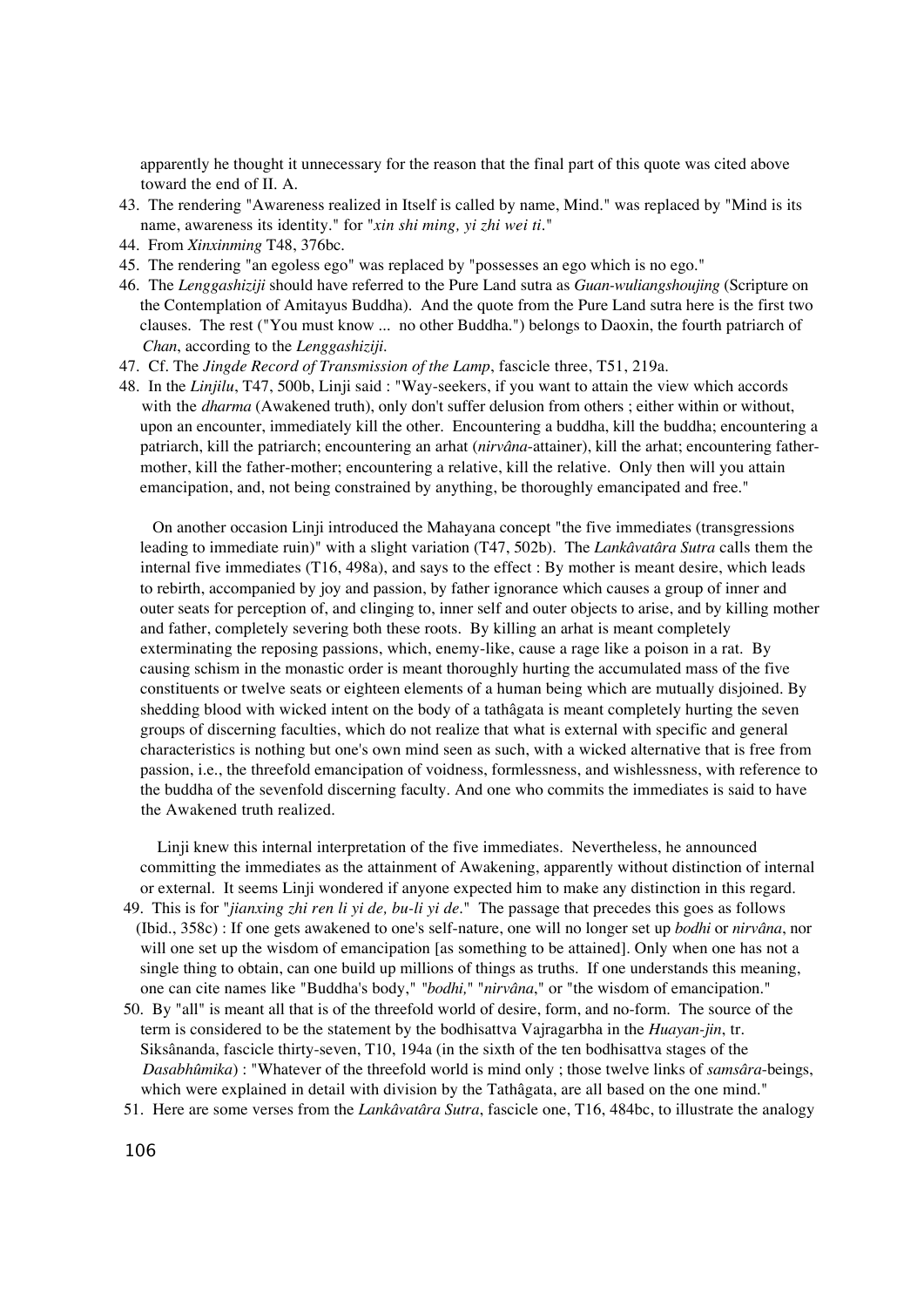apparently he thought it unnecessary for the reason that the final part of this quote was cited above toward the end of II. A.

- 43. The rendering "Awareness realized in Itself is called by name, Mind." was replaced by "Mind is its name, awareness its identity." for "*xin shi ming, yi zhi wei ti*."
- 44. From *Xinxinming* T48, 376bc.
- 45. The rendering "an egoless ego" was replaced by "possesses an ego which is no ego."
- 46. The *Lenggashiziji* should have referred to the Pure Land sutra as *Guan-wuliangshoujing* (Scripture on the Contemplation of Amitayus Buddha). And the quote from the Pure Land sutra here is the first two clauses. The rest ("You must know ... no other Buddha.") belongs to Daoxin, the fourth patriarch of *Chan*, according to the *Lenggashiziji*.
- 47. Cf. The *Jingde Record of Transmission of the Lamp*, fascicle three, T51, 219a.
- 48. In the *Linjilu*, T47, 500b, Linji said : "Way-seekers, if you want to attain the view which accords with the *dharma* (Awakened truth), only don't suffer delusion from others ; either within or without, upon an encounter, immediately kill the other. Encountering a buddha, kill the buddha; encountering a patriarch, kill the patriarch; encountering an arhat (*nirvâna*-attainer), kill the arhat; encountering father mother, kill the father-mother; encountering a relative, kill the relative. Only then will you attain emancipation, and, not being constrained by anything, be thoroughly emancipated and free."

 On another occasion Linji introduced the Mahayana concept "the five immediates (transgressions leading to immediate ruin)" with a slight variation (T47, 502b). The *Lankâvatâra Sutra* calls them the internal five immediates (T16, 498a), and says to the effect : By mother is meant desire, which leads to rebirth, accompanied by joy and passion, by father ignorance which causes a group of inner and outer seats for perception of, and clinging to, inner self and outer objects to arise, and by killing mother and father, completely severing both these roots. By killing an arhat is meant completely exterminating the reposing passions, which, enemy-like, cause a rage like a poison in a rat. By causing schism in the monastic order is meant thoroughly hurting the accumulated mass of the five constituents or twelve seats or eighteen elements of a human being which are mutually disjoined. By shedding blood with wicked intent on the body of a tathâgata is meant completely hurting the seven groups of discerning faculties, which do not realize that what is external with specific and general characteristics is nothing but one's own mind seen as such, with a wicked alternative that is free from passion, i.e., the threefold emancipation of voidness, formlessness, and wishlessness, with reference to the buddha of the sevenfold discerning faculty. And one who commits the immediates is said to have the Awakened truth realized.

 Linji knew this internal interpretation of the five immediates. Nevertheless, he announced committing the immediates as the attainment of Awakening, apparently without distinction of internal or external. It seems Linji wondered if anyone expected him to make any distinction in this regard.

- 49. This is for "*jianxing zhi ren li yi de, bu-li yi de*." The passage that precedes this goes as follows (Ibid., 358c) : If one gets awakened to one's self-nature, one will no longer set up *bodhi* or *nirvâna*, nor will one set up the wisdom of emancipation [as something to be attained]. Only when one has not a single thing to obtain, can one build up millions of things as truths. If one understands this meaning, one can cite names like "Buddha's body," *"bodhi,*" "*nirvâna*," or "the wisdom of emancipation."
- 50. By "all" is meant all that is of the threefold world of desire, form, and no-form. The source of the term is considered to be the statement by the bodhisattva Vajragarbha in the *Huayan-jin*, tr. Siksânanda, fascicle thirty-seven, T10, 194a (in the sixth of the ten bodhisattva stages of the *Dasabhûmika*) : "Whatever of the threefold world is mind only ; those twelve links of *samsâra*-beings, which were explained in detail with division by the Tathâgata, are all based on the one mind."
- 51. Here are some verses from the *Lankâvatâra Sutra*, fascicle one, T16, 484bc, to illustrate the analogy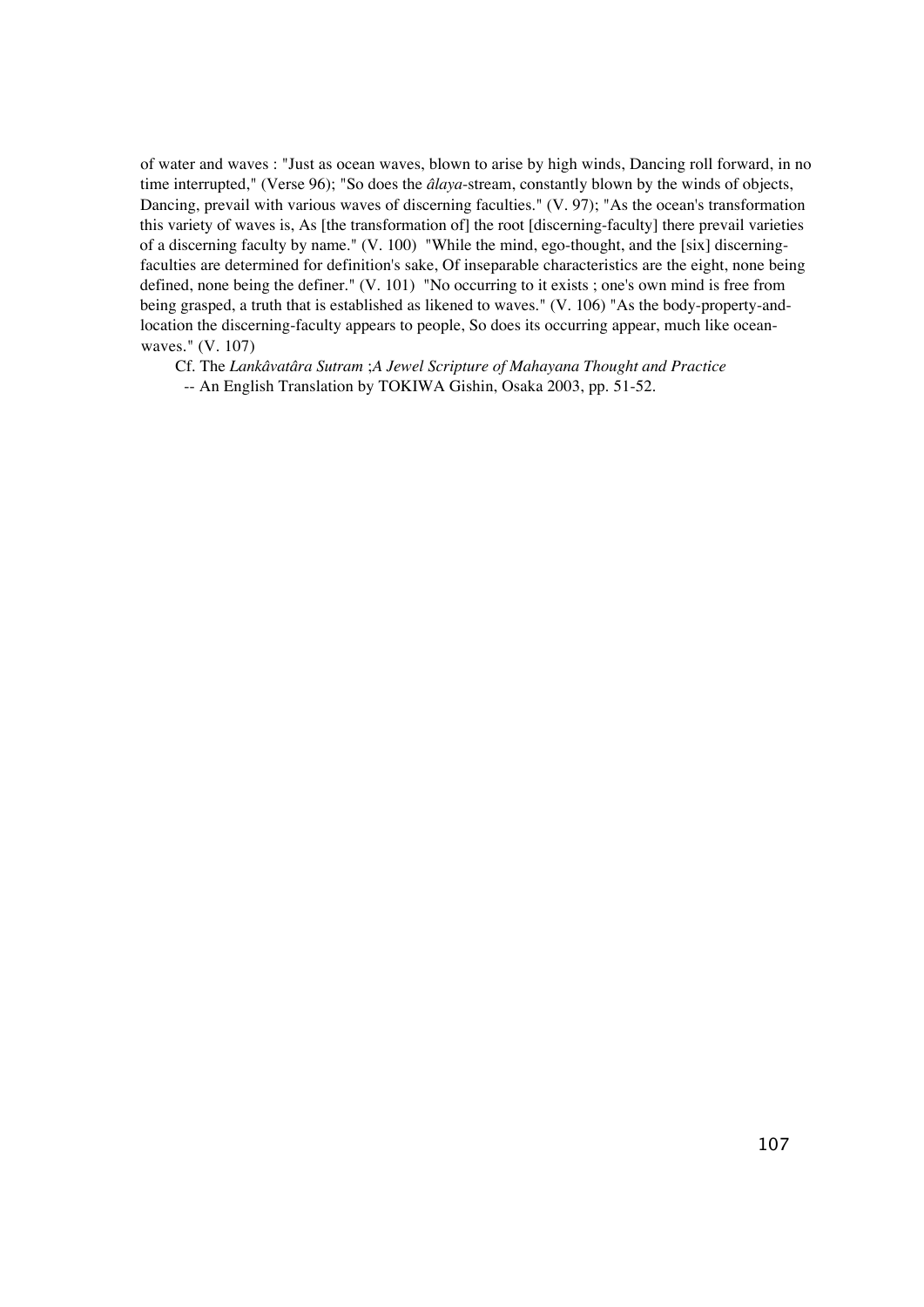of water and waves : "Just as ocean waves, blown to arise by high winds, Dancing roll forward, in no time interrupted," (Verse 96); "So does the *âlaya*-stream, constantly blown by the winds of objects, Dancing, prevail with various waves of discerning faculties." (V. 97); "As the ocean's transformation this variety of waves is, As [the transformation of] the root [discerning-faculty] there prevail varieties of a discerning faculty by name." (V. 100) "While the mind, ego-thought, and the [six] discerning faculties are determined for definition's sake, Of inseparable characteristics are the eight, none being defined, none being the definer." (V. 101) "No occurring to it exists ; one's own mind is free from being grasped, a truth that is established as likened to waves." (V. 106) "As the body-property-and location the discerning-faculty appears to people, So does its occurring appear, much like ocean waves." (V. 107)

Cf. The *Lankâvatâra Sutram* ;*A Jewel Scripture of Mahayana Thought and Practice* -- An English Translation by TOKIWA Gishin, Osaka 2003, pp. 51-52.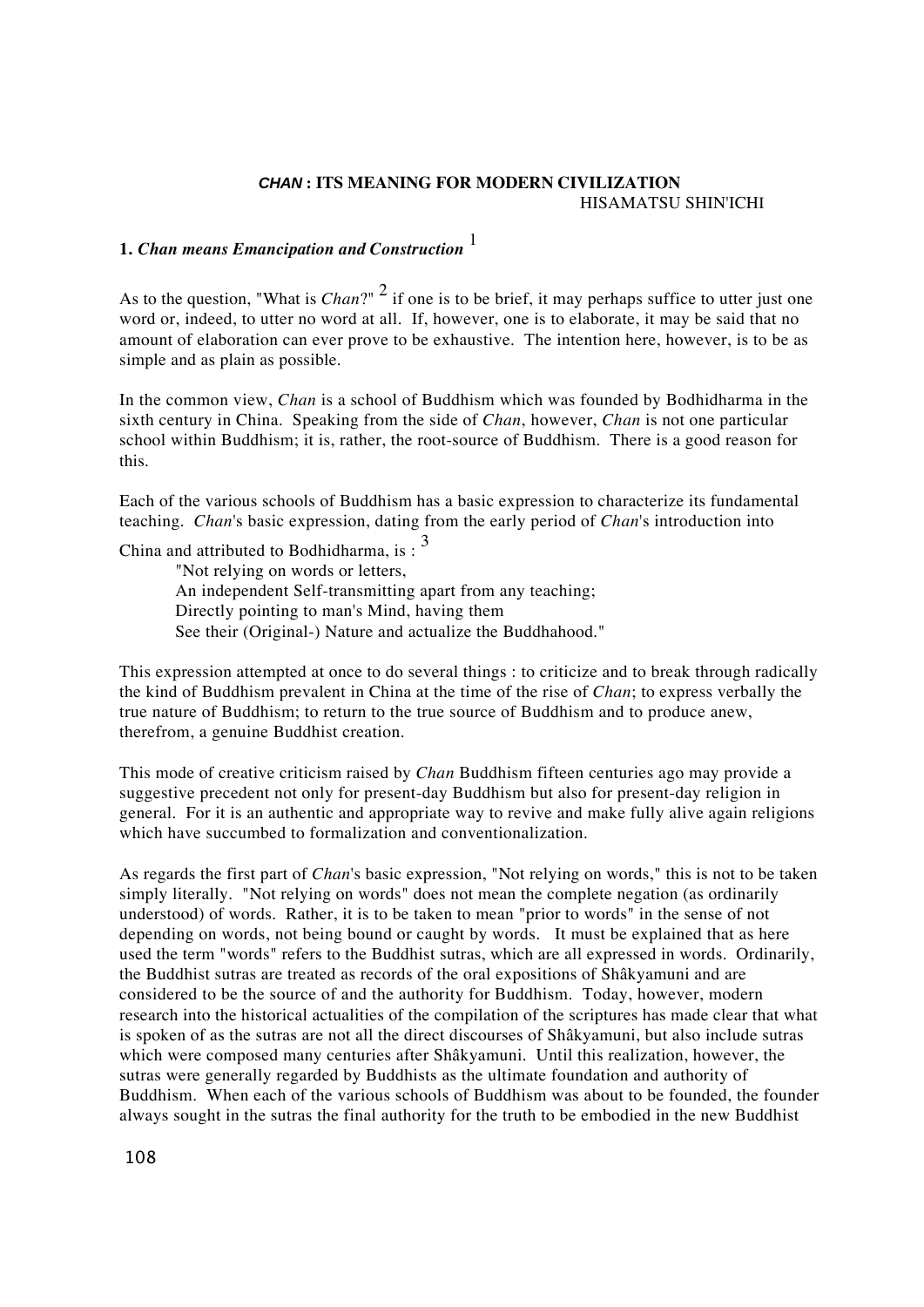### **CHAN : ITS MEANING FOR MODERN CIVILIZATION** HISAMATSU SHIN'ICHI

# **1.** *Chan means Emancipation and Construction*  $\frac{1}{n}$

As to the question, "What is *Chan*?" <sup>2</sup> if one is to be brief, it may perhaps suffice to utter just one word or, indeed, to utter no word at all. If, however, one is to elaborate, it may be said that no amount of elaboration can ever prove to be exhaustive. The intention here, however, is to be as simple and as plain as possible.

In the common view, *Chan* is a school of Buddhism which was founded by Bodhidharma in the sixth century in China. Speaking from the side of *Chan*, however, *Chan* is not one particular school within Buddhism; it is, rather, the root-source of Buddhism. There is a good reason for this.

Each of the various schools of Buddhism has a basic expression to characterize its fundamental teaching. *Chan*'s basic expression, dating from the early period of *Chan*'s introduction into

China and attributed to Bodhidharma, is:  $3$ 

"Not relying on words or letters, An independent Self-transmitting apart from any teaching; Directly pointing to man's Mind, having them See their (Original-) Nature and actualize the Buddhahood."

This expression attempted at once to do several things : to criticize and to break through radically the kind of Buddhism prevalent in China at the time of the rise of *Chan*; to express verbally the true nature of Buddhism; to return to the true source of Buddhism and to produce anew, therefrom, a genuine Buddhist creation.

This mode of creative criticism raised by *Chan* Buddhism fifteen centuries ago may provide a suggestive precedent not only for present-day Buddhism but also for present-day religion in general. For it is an authentic and appropriate way to revive and make fully alive again religions which have succumbed to formalization and conventionalization.

As regards the first part of *Chan*'s basic expression, "Not relying on words," this is not to be taken simply literally. "Not relying on words" does not mean the complete negation (as ordinarily understood) of words. Rather, it is to be taken to mean "prior to words" in the sense of not depending on words, not being bound or caught by words. It must be explained that as here used the term "words" refers to the Buddhist sutras, which are all expressed in words. Ordinarily, the Buddhist sutras are treated as records of the oral expositions of Shâkyamuni and are considered to be the source of and the authority for Buddhism. Today, however, modern research into the historical actualities of the compilation of the scriptures has made clear that what is spoken of as the sutras are not all the direct discourses of Shâkyamuni, but also include sutras which were composed many centuries after Shâkyamuni. Until this realization, however, the sutras were generally regarded by Buddhists as the ultimate foundation and authority of Buddhism. When each of the various schools of Buddhism was about to be founded, the founder always sought in the sutras the final authority for the truth to be embodied in the new Buddhist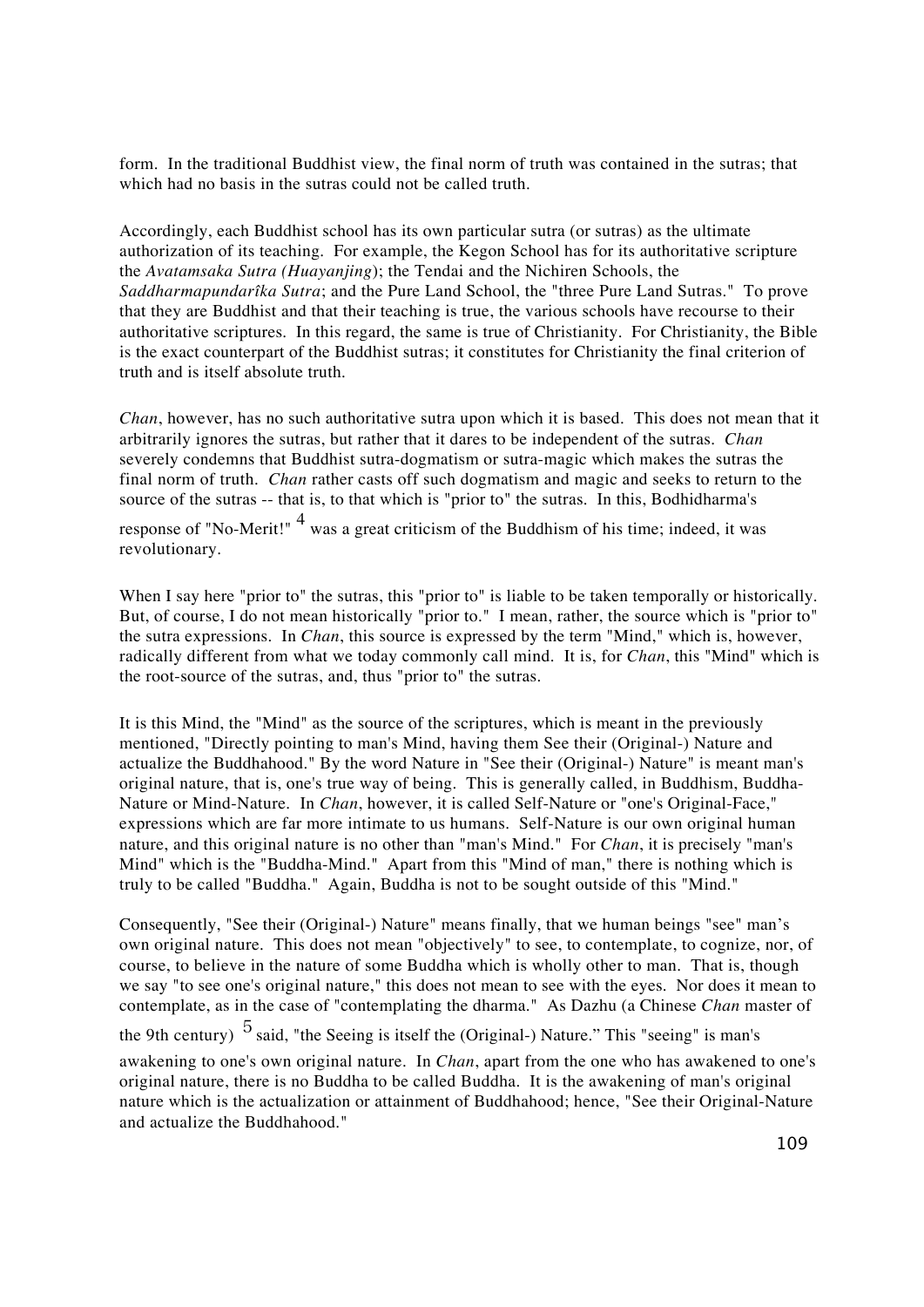form. In the traditional Buddhist view, the final norm of truth was contained in the sutras; that which had no basis in the sutras could not be called truth.

Accordingly, each Buddhist school has its own particular sutra (or sutras) as the ultimate authorization of its teaching. For example, the Kegon School has for its authoritative scripture the *Avatamsaka Sutra (Huayanjing*); the Tendai and the Nichiren Schools, the *Saddharmapundarîka Sutra*; and the Pure Land School, the "three Pure Land Sutras." To prove that they are Buddhist and that their teaching is true, the various schools have recourse to their authoritative scriptures. In this regard, the same is true of Christianity. For Christianity, the Bible is the exact counterpart of the Buddhist sutras; it constitutes for Christianity the final criterion of truth and is itself absolute truth.

*Chan*, however, has no such authoritative sutra upon which it is based. This does not mean that it arbitrarily ignores the sutras, but rather that it dares to be independent of the sutras. *Chan* severely condemns that Buddhist sutra-dogmatism or sutra-magic which makes the sutras the final norm of truth. *Chan* rather casts off such dogmatism and magic and seeks to return to the source of the sutras -- that is, to that which is "prior to" the sutras. In this, Bodhidharma's

response of "No-Merit!" <sup>4</sup> was a great criticism of the Buddhism of his time; indeed, it was revolutionary.

When I say here "prior to" the sutras, this "prior to" is liable to be taken temporally or historically. But, of course, I do not mean historically "prior to." I mean, rather, the source which is "prior to" the sutra expressions. In *Chan*, this source is expressed by the term "Mind," which is, however, radically different from what we today commonly call mind. It is, for *Chan*, this "Mind" which is the root-source of the sutras, and, thus "prior to" the sutras.

It is this Mind, the "Mind" as the source of the scriptures, which is meant in the previously mentioned, "Directly pointing to man's Mind, having them See their (Original-) Nature and actualize the Buddhahood." By the word Nature in "See their (Original-) Nature" is meant man's original nature, that is, one's true way of being. This is generally called, in Buddhism, Buddha-Nature or Mind-Nature. In *Chan*, however, it is called Self-Nature or "one's Original-Face," expressions which are far more intimate to us humans. Self-Nature is our own original human nature, and this original nature is no other than "man's Mind." For *Chan*, it is precisely "man's Mind" which is the "Buddha-Mind." Apart from this "Mind of man," there is nothing which is truly to be called "Buddha." Again, Buddha is not to be sought outside of this "Mind."

Consequently, "See their (Original-) Nature" means finally, that we human beings "see" man's own original nature. This does not mean "objectively" to see, to contemplate, to cognize, nor, of course, to believe in the nature of some Buddha which is wholly other to man. That is, though we say "to see one's original nature," this does not mean to see with the eyes. Nor does it mean to contemplate, as in the case of "contemplating the dharma." As Dazhu (a Chinese *Chan* master of the 9th century)  $\frac{5}{9}$  said, "the Seeing is itself the (Original-) Nature." This "seeing" is man's awakening to one's own original nature. In *Chan*, apart from the one who has awakened to one's original nature, there is no Buddha to be called Buddha. It is the awakening of man's original nature which is the actualization or attainment of Buddhahood; hence, "See their Original-Nature and actualize the Buddhahood."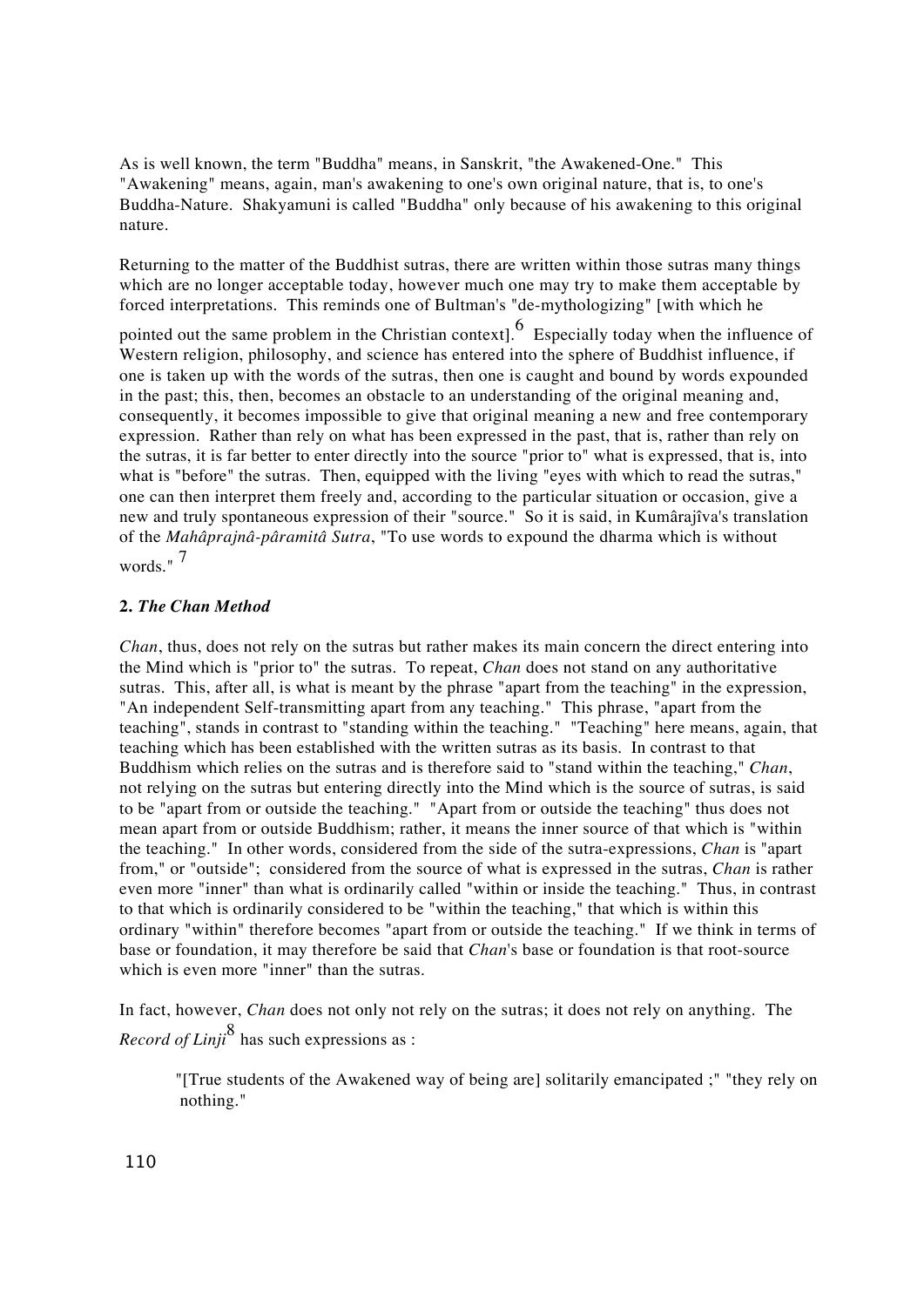As is well known, the term "Buddha" means, in Sanskrit, "the Awakened-One." This "Awakening" means, again, man's awakening to one's own original nature, that is, to one's Buddha-Nature. Shakyamuni is called "Buddha" only because of his awakening to this original nature.

Returning to the matter of the Buddhist sutras, there are written within those sutras many things which are no longer acceptable today, however much one may try to make them acceptable by forced interpretations. This reminds one of Bultman's "de-mythologizing" [with which he

pointed out the same problem in the Christian context.  $6\overline{6}$  Especially today when the influence of Western religion, philosophy, and science has entered into the sphere of Buddhist influence, if one is taken up with the words of the sutras, then one is caught and bound by words expounded in the past; this, then, becomes an obstacle to an understanding of the original meaning and, consequently, it becomes impossible to give that original meaning a new and free contemporary expression. Rather than rely on what has been expressed in the past, that is, rather than rely on the sutras, it is far better to enter directly into the source "prior to" what is expressed, that is, into what is "before" the sutras. Then, equipped with the living "eyes with which to read the sutras," one can then interpret them freely and, according to the particular situation or occasion, give a new and truly spontaneous expression of their "source." So it is said, in Kumârajîva's translation of the *Mahâprajnâ-pâramitâ Sutra*, "To use words to expound the dharma which is without words<sup>"7</sup>

## **2.** *The Chan Method*

*Chan*, thus, does not rely on the sutras but rather makes its main concern the direct entering into the Mind which is "prior to" the sutras. To repeat, *Chan* does not stand on any authoritative sutras. This, after all, is what is meant by the phrase "apart from the teaching" in the expression, "An independent Self-transmitting apart from any teaching." This phrase, "apart from the teaching", stands in contrast to "standing within the teaching." "Teaching" here means, again, that teaching which has been established with the written sutras as its basis. In contrast to that Buddhism which relies on the sutras and is therefore said to "stand within the teaching," *Chan*, not relying on the sutras but entering directly into the Mind which is the source of sutras, is said to be "apart from or outside the teaching." "Apart from or outside the teaching" thus does not mean apart from or outside Buddhism; rather, it means the inner source of that which is "within the teaching." In other words, considered from the side of the sutra-expressions, *Chan* is "apart from," or "outside"; considered from the source of what is expressed in the sutras, *Chan* is rather even more "inner" than what is ordinarily called "within or inside the teaching." Thus, in contrast to that which is ordinarily considered to be "within the teaching," that which is within this ordinary "within" therefore becomes "apart from or outside the teaching." If we think in terms of base or foundation, it may therefore be said that *Chan*'s base or foundation is that root-source which is even more "inner" than the sutras.

In fact, however, *Chan* does not only not rely on the sutras; it does not rely on anything. The *Record of Linji*8 has such expressions as :

"[True students of the Awakened way of being are] solitarily emancipated ;" "they rely on nothing."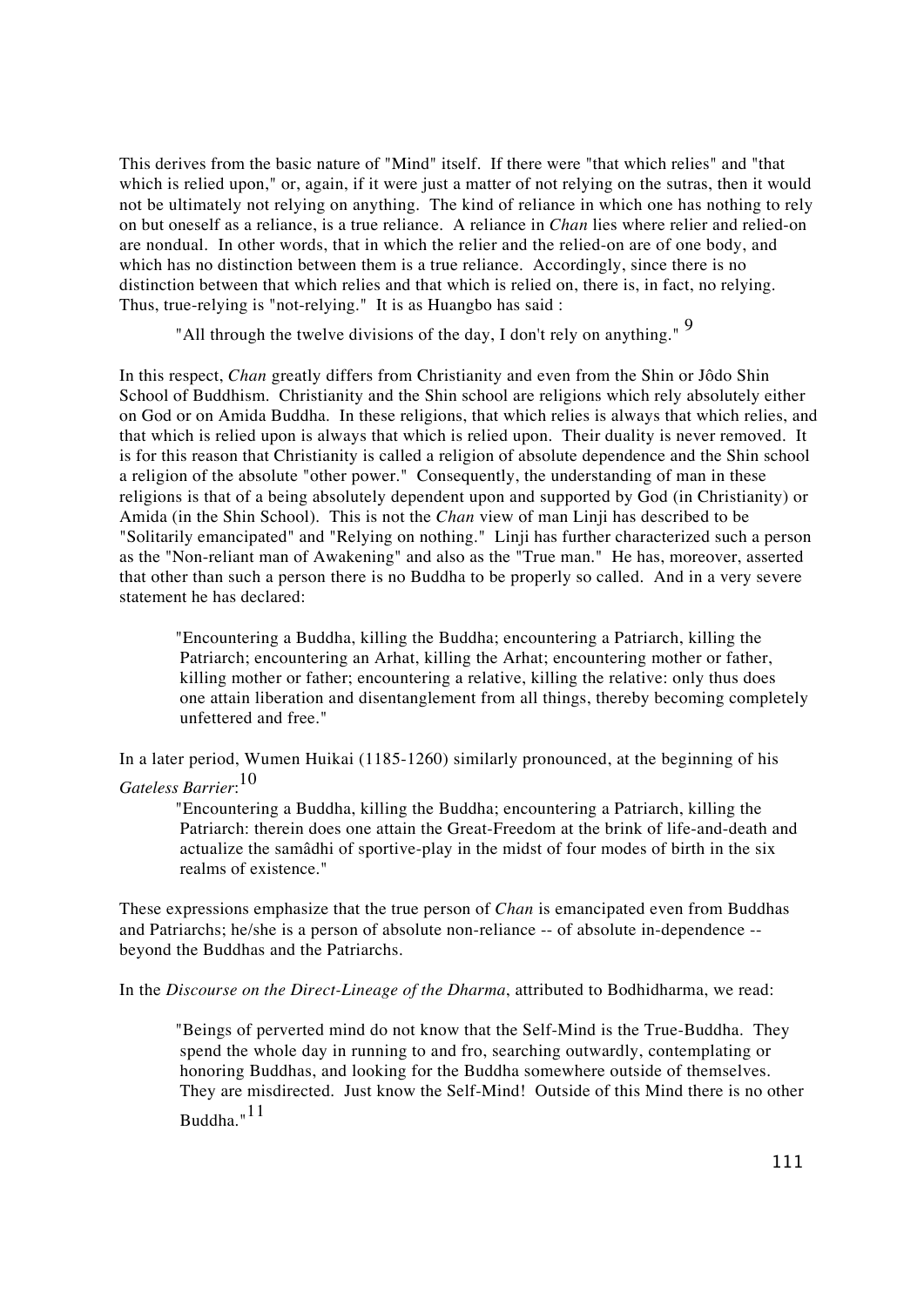This derives from the basic nature of "Mind" itself. If there were "that which relies" and "that which is relied upon," or, again, if it were just a matter of not relying on the sutras, then it would not be ultimately not relying on anything. The kind of reliance in which one has nothing to rely on but oneself as a reliance, is a true reliance. A reliance in *Chan* lies where relier and relied-on are nondual. In other words, that in which the relier and the relied-on are of one body, and which has no distinction between them is a true reliance. Accordingly, since there is no distinction between that which relies and that which is relied on, there is, in fact, no relying. Thus, true-relying is "not-relying." It is as Huangbo has said :

"All through the twelve divisions of the day, I don't rely on anything."  $9$ 

In this respect, *Chan* greatly differs from Christianity and even from the Shin or Jôdo Shin School of Buddhism. Christianity and the Shin school are religions which rely absolutely either on God or on Amida Buddha. In these religions, that which relies is always that which relies, and that which is relied upon is always that which is relied upon. Their duality is never removed. It is for this reason that Christianity is called a religion of absolute dependence and the Shin school a religion of the absolute "other power." Consequently, the understanding of man in these religions is that of a being absolutely dependent upon and supported by God (in Christianity) or Amida (in the Shin School). This is not the *Chan* view of man Linji has described to be "Solitarily emancipated" and "Relying on nothing." Linji has further characterized such a person as the "Non-reliant man of Awakening" and also as the "True man." He has, moreover, asserted that other than such a person there is no Buddha to be properly so called. And in a very severe statement he has declared:

"Encountering a Buddha, killing the Buddha; encountering a Patriarch, killing the Patriarch; encountering an Arhat, killing the Arhat; encountering mother or father, killing mother or father; encountering a relative, killing the relative: only thus does one attain liberation and disentanglement from all things, thereby becoming completely unfettered and free."

In a later period, Wumen Huikai (1185-1260) similarly pronounced, at the beginning of his *Gateless Barrier*: 10

"Encountering a Buddha, killing the Buddha; encountering a Patriarch, killing the Patriarch: therein does one attain the Great-Freedom at the brink of life-and-death and actualize the samâdhi of sportive-play in the midst of four modes of birth in the six realms of existence."

These expressions emphasize that the true person of *Chan* is emancipated even from Buddhas and Patriarchs; he/she is a person of absolute non-reliance -- of absolute in-dependence - beyond the Buddhas and the Patriarchs.

In the *Discourse on the Direct-Lineage of the Dharma*, attributed to Bodhidharma, we read:

"Beings of perverted mind do not know that the Self-Mind is the True-Buddha. They spend the whole day in running to and fro, searching outwardly, contemplating or honoring Buddhas, and looking for the Buddha somewhere outside of themselves. They are misdirected. Just know the Self-Mind! Outside of this Mind there is no other Buddha."<sup>11</sup>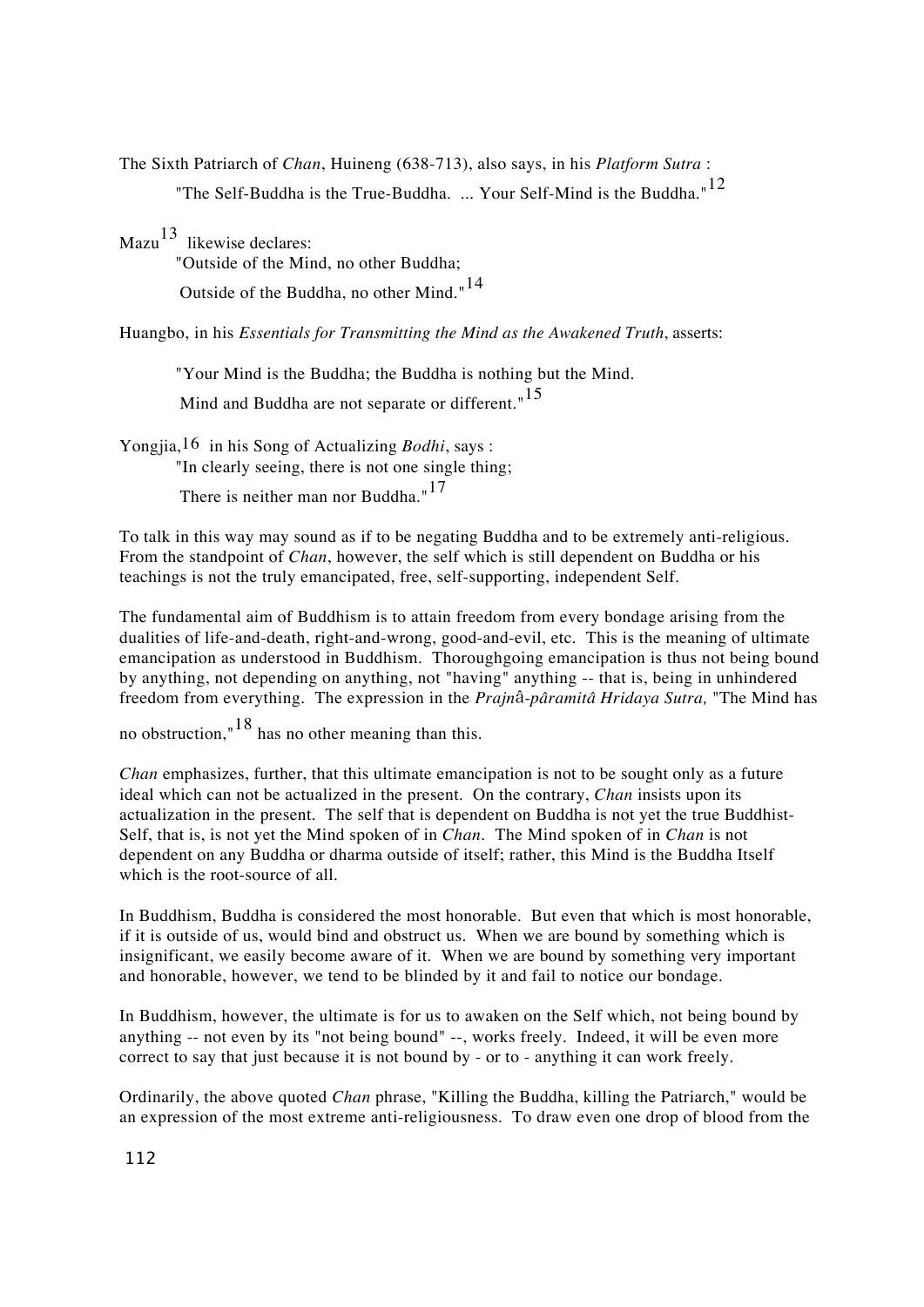The Sixth Patriarch of *Chan*, Huineng (638-713), also says, in his *Platform Sutra* :

"The Self-Buddha is the True-Buddha. ... Your Self-Mind is the Buddha." $12$ 

 $Mazu$ <sup>13</sup> likewise declares:

"Outside of the Mind, no other Buddha;

Outside of the Buddha, no other Mind."<sup>14</sup>

Huangbo, in his *Essentials for Transmitting the Mind as the Awakened Truth*, asserts:

"Your Mind is the Buddha; the Buddha is nothing but the Mind.

Mind and Buddha are not separate or different."<sup>15</sup>

Yongjia,16 in his Song of Actualizing *Bodhi*, says : "In clearly seeing, there is not one single thing; There is neither man nor Buddha."<sup>17</sup>

To talk in this way may sound as if to be negating Buddha and to be extremely anti-religious. From the standpoint of *Chan*, however, the self which is still dependent on Buddha or his teachings is not the truly emancipated, free, self-supporting, independent Self.

The fundamental aim of Buddhism is to attain freedom from every bondage arising from the dualities of life-and-death, right-and-wrong, good-and-evil, etc. This is the meaning of ultimate emancipation as understood in Buddhism. Thoroughgoing emancipation is thus not being bound by anything, not depending on anything, not "having" anything -- that is, being in unhindered freedom from everything. The expression in the *Prajn*â*-pâramitâ Hridaya Sutra,* "The Mind has

no obstruction,  $18$  has no other meaning than this.

*Chan* emphasizes, further, that this ultimate emancipation is not to be sought only as a future ideal which can not be actualized in the present. On the contrary, *Chan* insists upon its actualization in the present. The self that is dependent on Buddha is not yet the true Buddhist-Self, that is, is not yet the Mind spoken of in *Chan*. The Mind spoken of in *Chan* is not dependent on any Buddha or dharma outside of itself; rather, this Mind is the Buddha Itself which is the root-source of all.

In Buddhism, Buddha is considered the most honorable. But even that which is most honorable, if it is outside of us, would bind and obstruct us. When we are bound by something which is insignificant, we easily become aware of it. When we are bound by something very important and honorable, however, we tend to be blinded by it and fail to notice our bondage.

In Buddhism, however, the ultimate is for us to awaken on the Self which, not being bound by anything -- not even by its "not being bound" --, works freely. Indeed, it will be even more correct to say that just because it is not bound by - or to - anything it can work freely.

Ordinarily, the above quoted *Chan* phrase, "Killing the Buddha, killing the Patriarch," would be an expression of the most extreme anti-religiousness. To draw even one drop of blood from the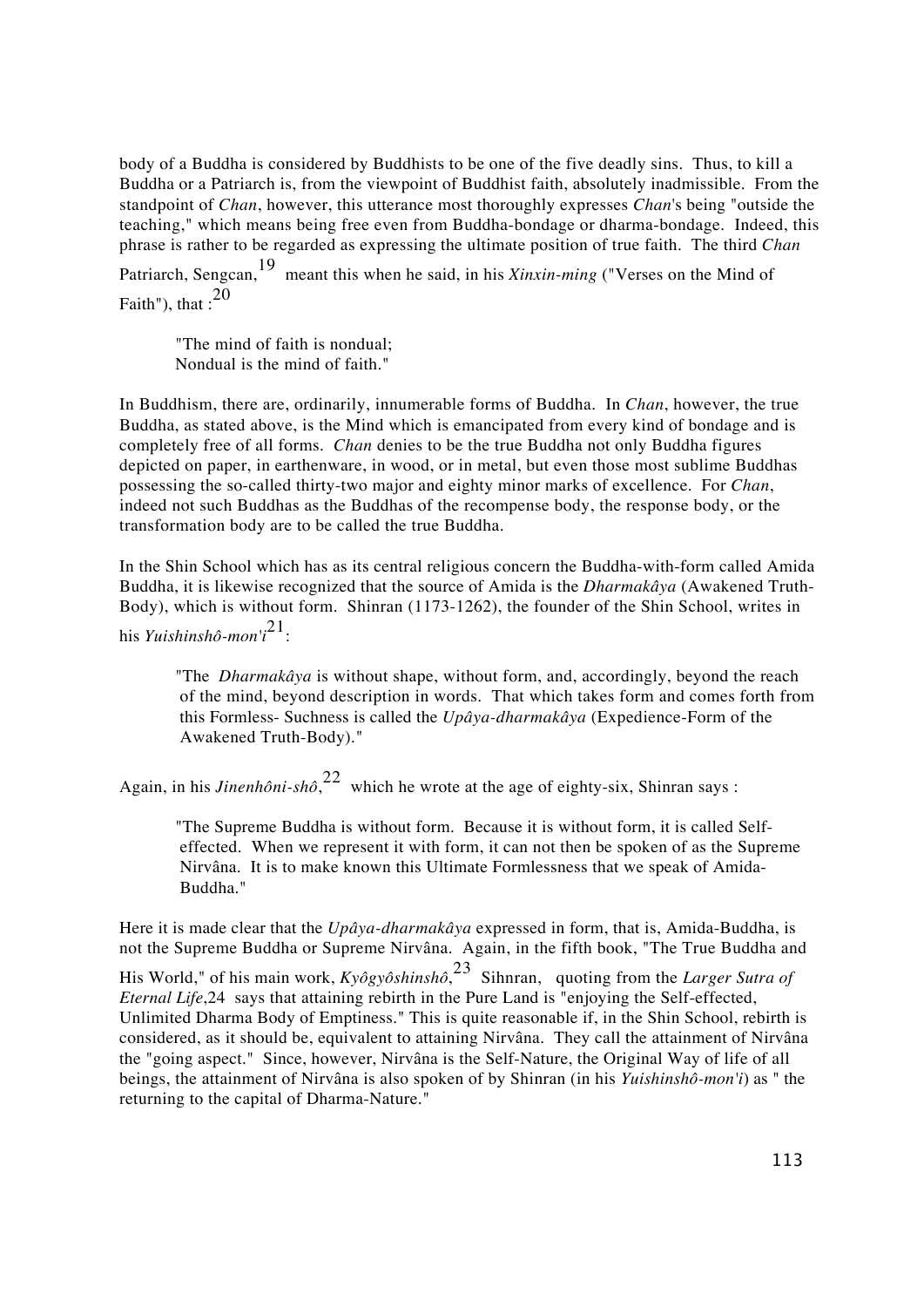body of a Buddha is considered by Buddhists to be one of the five deadly sins. Thus, to kill a Buddha or a Patriarch is, from the viewpoint of Buddhist faith, absolutely inadmissible. From the standpoint of *Chan*, however, this utterance most thoroughly expresses *Chan*'s being "outside the teaching," which means being free even from Buddha-bondage or dharma-bondage. Indeed, this phrase is rather to be regarded as expressing the ultimate position of true faith. The third *Chan* Patriarch, Sengcan,19 meant this when he said, in his *Xinxin-ming* ("Verses on the Mind of

Faith"), that  $:$   $20$ 

"The mind of faith is nondual; Nondual is the mind of faith."

In Buddhism, there are, ordinarily, innumerable forms of Buddha. In *Chan*, however, the true Buddha, as stated above, is the Mind which is emancipated from every kind of bondage and is completely free of all forms. *Chan* denies to be the true Buddha not only Buddha figures depicted on paper, in earthenware, in wood, or in metal, but even those most sublime Buddhas possessing the so-called thirty-two major and eighty minor marks of excellence. For *Chan*, indeed not such Buddhas as the Buddhas of the recompense body, the response body, or the transformation body are to be called the true Buddha.

In the Shin School which has as its central religious concern the Buddha-with-form called Amida Buddha, it is likewise recognized that the source of Amida is the *Dharmakâya* (Awakened Truth-Body), which is without form. Shinran (1173-1262), the founder of the Shin School, writes in his *Yuishinshô-mon'i*<sup>21</sup> :

"The *Dharmakâya* is without shape, without form, and, accordingly, beyond the reach of the mind, beyond description in words. That which takes form and comes forth from this Formless- Suchness is called the *Upâya-dharmakâya* (Expedience-Form of the Awakened Truth-Body)."

Again, in his *Jinenhôni-shô*, 22 which he wrote at the age of eighty-six, Shinran says :

"The Supreme Buddha is without form. Because it is without form, it is called Self effected. When we represent it with form, it can not then be spoken of as the Supreme Nirvâna. It is to make known this Ultimate Formlessness that we speak of Amida- Buddha."

Here it is made clear that the *Upâya-dharmakâya* expressed in form, that is, Amida-Buddha, is not the Supreme Buddha or Supreme Nirvâna. Again, in the fifth book, "The True Buddha and

His World," of his main work, *Kyôgyôshinshô*, 23 Sihnran, quoting from the *Larger Sutra of Eternal Life*,24 says that attaining rebirth in the Pure Land is "enjoying the Self-effected, Unlimited Dharma Body of Emptiness." This is quite reasonable if, in the Shin School, rebirth is considered, as it should be, equivalent to attaining Nirvâna. They call the attainment of Nirvâna the "going aspect." Since, however, Nirvâna is the Self-Nature, the Original Way of life of all beings, the attainment of Nirvâna is also spoken of by Shinran (in his *Yuishinshô-mon'i*) as " the returning to the capital of Dharma-Nature."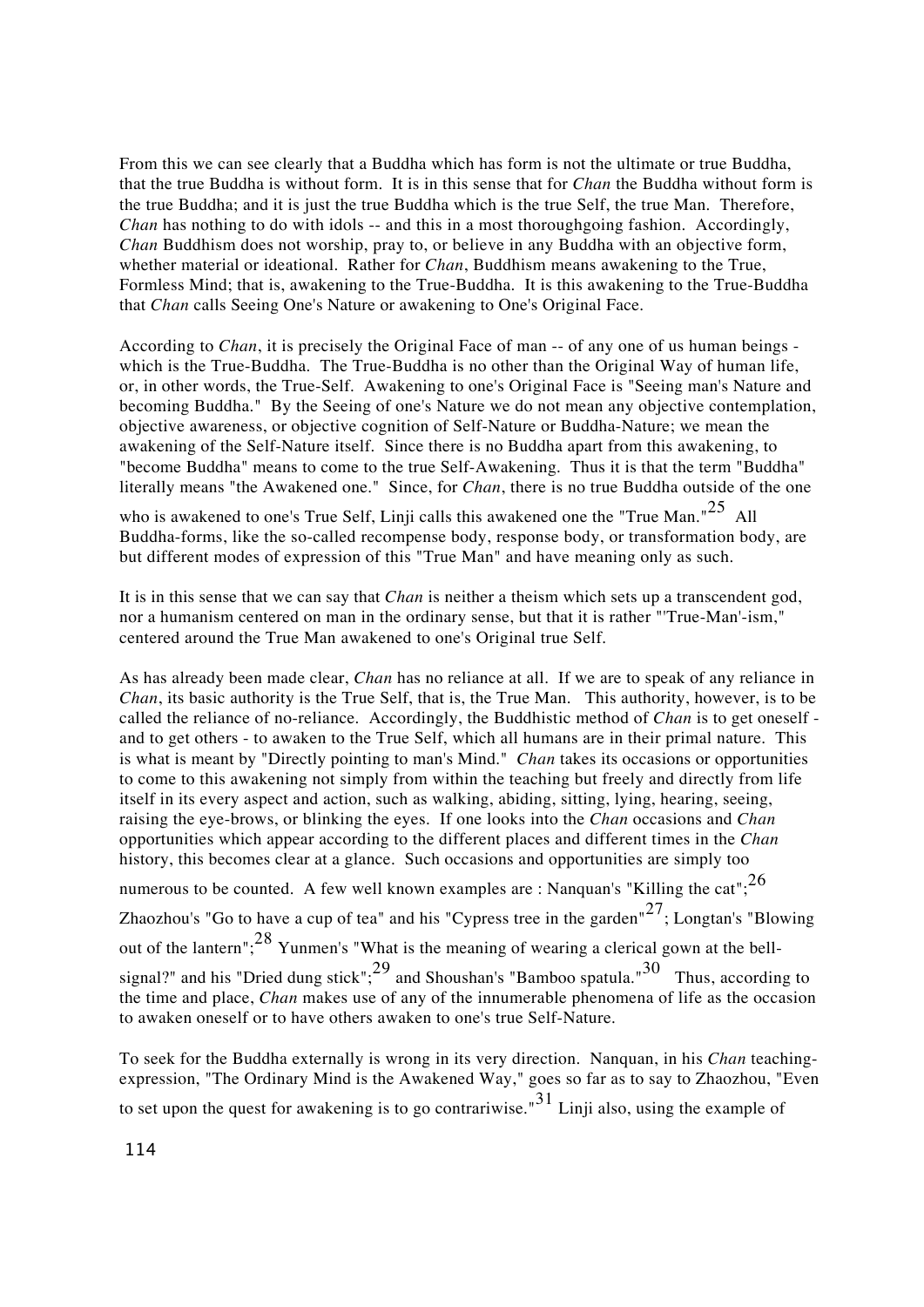From this we can see clearly that a Buddha which has form is not the ultimate or true Buddha, that the true Buddha is without form. It is in this sense that for *Chan* the Buddha without form is the true Buddha; and it is just the true Buddha which is the true Self, the true Man. Therefore, *Chan* has nothing to do with idols -- and this in a most thoroughgoing fashion. Accordingly, *Chan* Buddhism does not worship, pray to, or believe in any Buddha with an objective form, whether material or ideational. Rather for *Chan*, Buddhism means awakening to the True, Formless Mind; that is, awakening to the True-Buddha. It is this awakening to the True-Buddha that *Chan* calls Seeing One's Nature or awakening to One's Original Face.

According to *Chan*, it is precisely the Original Face of man -- of any one of us human beings which is the True-Buddha. The True-Buddha is no other than the Original Way of human life, or, in other words, the True-Self. Awakening to one's Original Face is "Seeing man's Nature and becoming Buddha." By the Seeing of one's Nature we do not mean any objective contemplation, objective awareness, or objective cognition of Self-Nature or Buddha-Nature; we mean the awakening of the Self-Nature itself. Since there is no Buddha apart from this awakening, to "become Buddha" means to come to the true Self-Awakening. Thus it is that the term "Buddha" literally means "the Awakened one." Since, for *Chan*, there is no true Buddha outside of the one

who is awakened to one's True Self, Linji calls this awakened one the "True Man." $25$  All Buddha-forms, like the so-called recompense body, response body, or transformation body, are but different modes of expression of this "True Man" and have meaning only as such.

It is in this sense that we can say that *Chan* is neither a theism which sets up a transcendent god, nor a humanism centered on man in the ordinary sense, but that it is rather "'True-Man'-ism," centered around the True Man awakened to one's Original true Self.

As has already been made clear, *Chan* has no reliance at all. If we are to speak of any reliance in *Chan*, its basic authority is the True Self, that is, the True Man. This authority, however, is to be called the reliance of no-reliance. Accordingly, the Buddhistic method of *Chan* is to get oneself and to get others - to awaken to the True Self, which all humans are in their primal nature. This is what is meant by "Directly pointing to man's Mind." *Chan* takes its occasions or opportunities to come to this awakening not simply from within the teaching but freely and directly from life itself in its every aspect and action, such as walking, abiding, sitting, lying, hearing, seeing, raising the eye-brows, or blinking the eyes. If one looks into the *Chan* occasions and *Chan* opportunities which appear according to the different places and different times in the *Chan* history, this becomes clear at a glance. Such occasions and opportunities are simply too

numerous to be counted. A few well known examples are : Nanquan's "Killing the cat";  $^{26}$ Zhaozhou's "Go to have a cup of tea" and his "Cypress tree in the garden"<sup>27</sup>; Longtan's "Blowing" out of the lantern";  $28$  Yunmen's "What is the meaning of wearing a clerical gown at the bellsignal?" and his "Dried dung stick";  $^{29}$  and Shoushan's "Bamboo spatula."<sup>30</sup> Thus, according to the time and place, *Chan* makes use of any of the innumerable phenomena of life as the occasion to awaken oneself or to have others awaken to one's true Self-Nature.

To seek for the Buddha externally is wrong in its very direction. Nanquan, in his *Chan* teachingexpression, "The Ordinary Mind is the Awakened Way," goes so far as to say to Zhaozhou, "Even to set upon the quest for awakening is to go contrariwise." $31$  Linji also, using the example of

114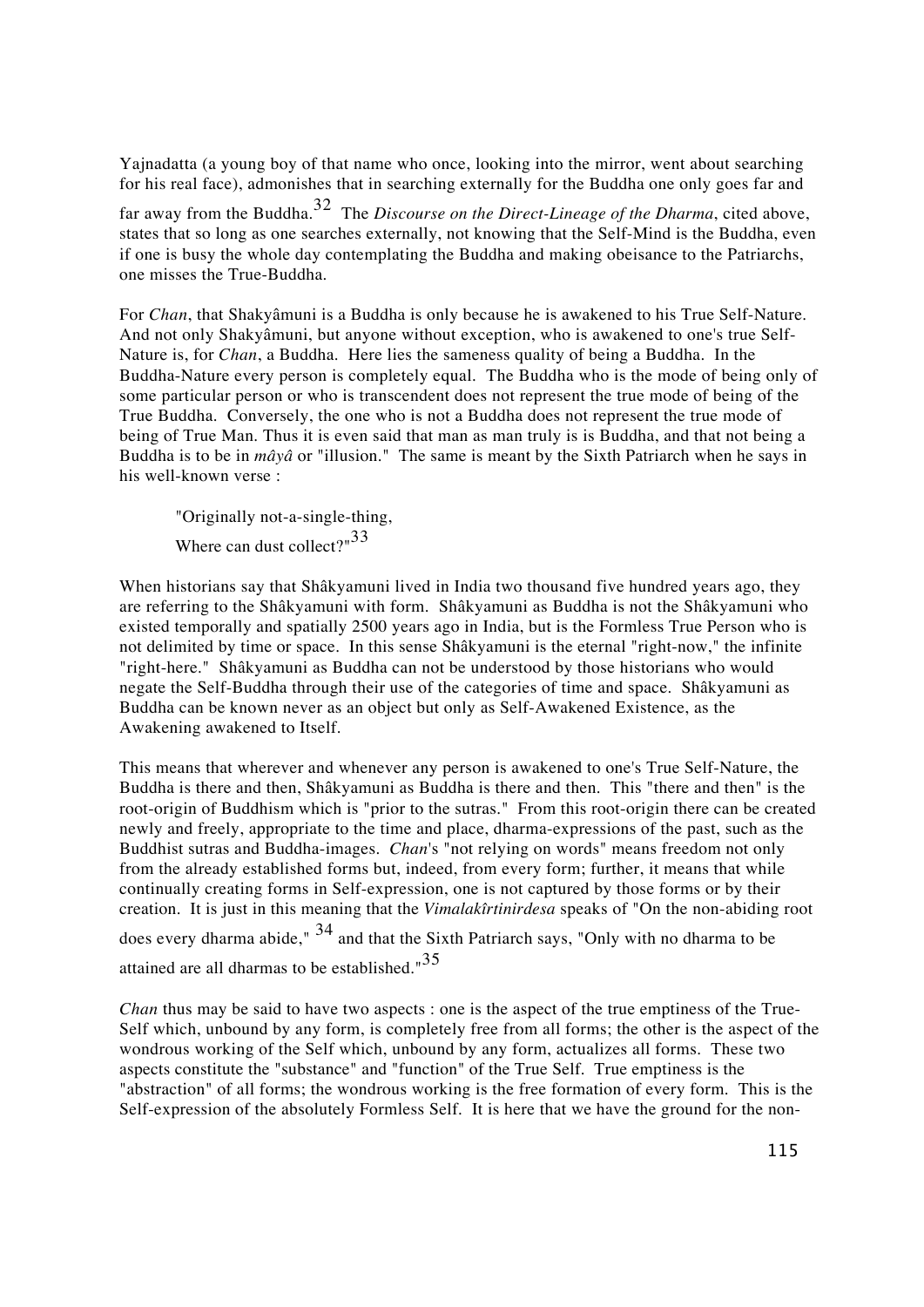Yajnadatta (a young boy of that name who once, looking into the mirror, went about searching for his real face), admonishes that in searching externally for the Buddha one only goes far and far away from the Buddha.32 The *Discourse on the Direct-Lineage of the Dharma*, cited above, states that so long as one searches externally, not knowing that the Self-Mind is the Buddha, even if one is busy the whole day contemplating the Buddha and making obeisance to the Patriarchs, one misses the True-Buddha.

For *Chan*, that Shakyâmuni is a Buddha is only because he is awakened to his True Self-Nature. And not only Shakyâmuni, but anyone without exception, who is awakened to one's true Self-Nature is, for *Chan*, a Buddha. Here lies the sameness quality of being a Buddha. In the Buddha-Nature every person is completely equal. The Buddha who is the mode of being only of some particular person or who is transcendent does not represent the true mode of being of the True Buddha. Conversely, the one who is not a Buddha does not represent the true mode of being of True Man. Thus it is even said that man as man truly is is Buddha, and that not being a Buddha is to be in *mâyâ* or "illusion." The same is meant by the Sixth Patriarch when he says in his well-known verse :

"Originally not-a-single-thing, Where can dust collect?"<sup>33</sup>

When historians say that Shâkyamuni lived in India two thousand five hundred years ago, they are referring to the Shâkyamuni with form. Shâkyamuni as Buddha is not the Shâkyamuni who existed temporally and spatially 2500 years ago in India, but is the Formless True Person who is not delimited by time or space. In this sense Shâkyamuni is the eternal "right-now," the infinite "right-here." Shâkyamuni as Buddha can not be understood by those historians who would negate the Self-Buddha through their use of the categories of time and space. Shâkyamuni as Buddha can be known never as an object but only as Self-Awakened Existence, as the Awakening awakened to Itself.

This means that wherever and whenever any person is awakened to one's True Self-Nature, the Buddha is there and then, Shâkyamuni as Buddha is there and then. This "there and then" is the root-origin of Buddhism which is "prior to the sutras." From this root-origin there can be created newly and freely, appropriate to the time and place, dharma-expressions of the past, such as the Buddhist sutras and Buddha-images. *Chan*'s "not relying on words" means freedom not only from the already established forms but, indeed, from every form; further, it means that while continually creating forms in Self-expression, one is not captured by those forms or by their creation. It is just in this meaning that the *Vimalakîrtinirdesa* speaks of "On the non-abiding root does every dharma abide," 34 and that the Sixth Patriarch says, "Only with no dharma to be attained are all dharmas to be established."<sup>35</sup>

*Chan* thus may be said to have two aspects : one is the aspect of the true emptiness of the True-Self which, unbound by any form, is completely free from all forms; the other is the aspect of the wondrous working of the Self which, unbound by any form, actualizes all forms. These two aspects constitute the "substance" and "function" of the True Self. True emptiness is the "abstraction" of all forms; the wondrous working is the free formation of every form. This is the Self-expression of the absolutely Formless Self. It is here that we have the ground for the non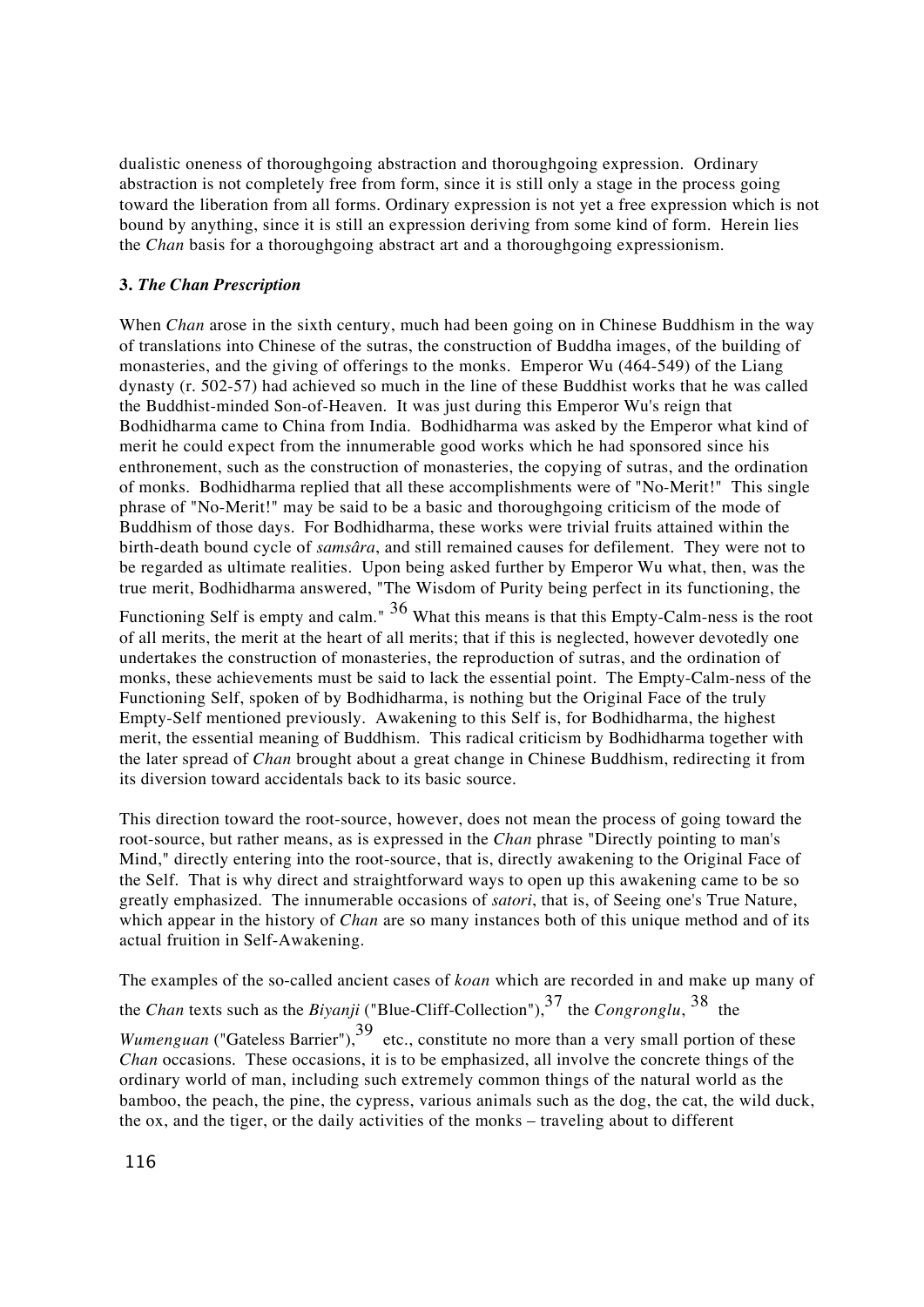dualistic oneness of thoroughgoing abstraction and thoroughgoing expression. Ordinary abstraction is not completely free from form, since it is still only a stage in the process going toward the liberation from all forms. Ordinary expression is not yet a free expression which is not bound by anything, since it is still an expression deriving from some kind of form. Herein lies the *Chan* basis for a thoroughgoing abstract art and a thoroughgoing expressionism.

## **3.** *The Chan Prescription*

When *Chan* arose in the sixth century, much had been going on in Chinese Buddhism in the way of translations into Chinese of the sutras, the construction of Buddha images, of the building of monasteries, and the giving of offerings to the monks. Emperor Wu (464-549) of the Liang dynasty (r. 502-57) had achieved so much in the line of these Buddhist works that he was called the Buddhist-minded Son-of-Heaven. It was just during this Emperor Wu's reign that Bodhidharma came to China from India. Bodhidharma was asked by the Emperor what kind of merit he could expect from the innumerable good works which he had sponsored since his enthronement, such as the construction of monasteries, the copying of sutras, and the ordination of monks. Bodhidharma replied that all these accomplishments were of "No-Merit!" This single phrase of "No-Merit!" may be said to be a basic and thoroughgoing criticism of the mode of Buddhism of those days. For Bodhidharma, these works were trivial fruits attained within the birth-death bound cycle of *samsâra*, and still remained causes for defilement. They were not to be regarded as ultimate realities. Upon being asked further by Emperor Wu what, then, was the true merit, Bodhidharma answered, "The Wisdom of Purity being perfect in its functioning, the

Functioning Self is empty and calm."  $36$  What this means is that this Empty-Calm-ness is the root of all merits, the merit at the heart of all merits; that if this is neglected, however devotedly one undertakes the construction of monasteries, the reproduction of sutras, and the ordination of monks, these achievements must be said to lack the essential point. The Empty-Calm-ness of the Functioning Self, spoken of by Bodhidharma, is nothing but the Original Face of the truly Empty-Self mentioned previously. Awakening to this Self is, for Bodhidharma, the highest merit, the essential meaning of Buddhism. This radical criticism by Bodhidharma together with the later spread of *Chan* brought about a great change in Chinese Buddhism, redirecting it from its diversion toward accidentals back to its basic source.

This direction toward the root-source, however, does not mean the process of going toward the root-source, but rather means, as is expressed in the *Chan* phrase "Directly pointing to man's Mind," directly entering into the root-source, that is, directly awakening to the Original Face of the Self. That is why direct and straightforward ways to open up this awakening came to be so greatly emphasized. The innumerable occasions of *satori*, that is, of Seeing one's True Nature, which appear in the history of *Chan* are so many instances both of this unique method and of its actual fruition in Self-Awakening.

The examples of the so-called ancient cases of *koan* which are recorded in and make up many of the *Chan* texts such as the *Biyanji* ("Blue-Cliff-Collection"),37 the *Congronglu*, 38 the *Wumenguan* ("Gateless Barrier"),<sup>39</sup> etc., constitute no more than a very small portion of these *Chan* occasions. These occasions, it is to be emphasized, all involve the concrete things of the ordinary world of man, including such extremely common things of the natural world as the bamboo, the peach, the pine, the cypress, various animals such as the dog, the cat, the wild duck, the ox, and the tiger, or the daily activities of the monks – traveling about to different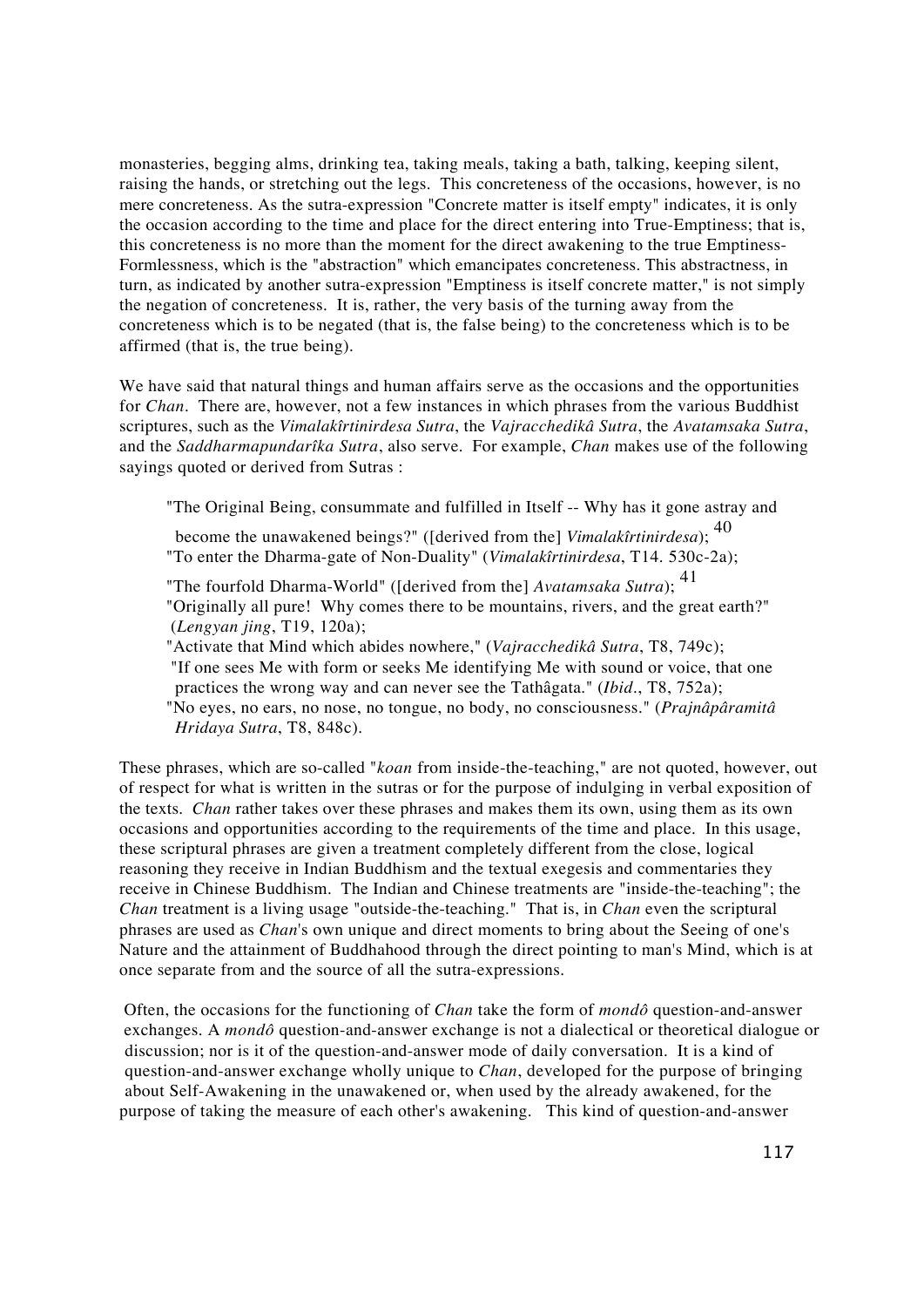monasteries, begging alms, drinking tea, taking meals, taking a bath, talking, keeping silent, raising the hands, or stretching out the legs. This concreteness of the occasions, however, is no mere concreteness. As the sutra-expression "Concrete matter is itself empty" indicates, it is only the occasion according to the time and place for the direct entering into True-Emptiness; that is, this concreteness is no more than the moment for the direct awakening to the true Emptiness-Formlessness, which is the "abstraction" which emancipates concreteness. This abstractness, in turn, as indicated by another sutra-expression "Emptiness is itself concrete matter," is not simply the negation of concreteness. It is, rather, the very basis of the turning away from the concreteness which is to be negated (that is, the false being) to the concreteness which is to be affirmed (that is, the true being).

We have said that natural things and human affairs serve as the occasions and the opportunities for *Chan*. There are, however, not a few instances in which phrases from the various Buddhist scriptures, such as the *Vimalakîrtinirdesa Sutra*, the *Vajracchedikâ Sutra*, the *Avatamsaka Sutra*, and the *Saddharmapundarîka Sutra*, also serve. For example, *Chan* makes use of the following sayings quoted or derived from Sutras :

"The Original Being, consummate and fulfilled in Itself -- Why has it gone astray and

- become the unawakened beings?" ([derived from the] *Vimalakîrtinirdesa*); 40 "To enter the Dharma-gate of Non-Duality" (*Vimalakîrtinirdesa*, T14. 530c-2a);
- "The fourfold Dharma-World" ([derived from the] *Avatamsaka Sutra*); <sup>41</sup> "Originally all pure! Why comes there to be mountains, rivers, and the great earth?" (*Lengyan jing*, T19, 120a);
- "Activate that Mind which abides nowhere," (*Vajracchedikâ Sutra*, T8, 749c); "If one sees Me with form or seeks Me identifying Me with sound or voice, that one practices the wrong way and can never see the Tathâgata." (*Ibid*., T8, 752a);
- "No eyes, no ears, no nose, no tongue, no body, no consciousness." (*Prajnâpâramitâ Hridaya Sutra*, T8, 848c).

These phrases, which are so-called "*koan* from inside-the-teaching," are not quoted, however, out of respect for what is written in the sutras or for the purpose of indulging in verbal exposition of the texts. *Chan* rather takes over these phrases and makes them its own, using them as its own occasions and opportunities according to the requirements of the time and place. In this usage, these scriptural phrases are given a treatment completely different from the close, logical reasoning they receive in Indian Buddhism and the textual exegesis and commentaries they receive in Chinese Buddhism. The Indian and Chinese treatments are "inside-the-teaching"; the *Chan* treatment is a living usage "outside-the-teaching." That is, in *Chan* even the scriptural phrases are used as *Chan*'s own unique and direct moments to bring about the Seeing of one's Nature and the attainment of Buddhahood through the direct pointing to man's Mind, which is at once separate from and the source of all the sutra-expressions.

 Often, the occasions for the functioning of *Chan* take the form of *mondô* question-and-answer exchanges. A *mondô* question-and-answer exchange is not a dialectical or theoretical dialogue or discussion; nor is it of the question-and-answer mode of daily conversation. It is a kind of question-and-answer exchange wholly unique to *Chan*, developed for the purpose of bringing about Self-Awakening in the unawakened or, when used by the already awakened, for the purpose of taking the measure of each other's awakening. This kind of question-and-answer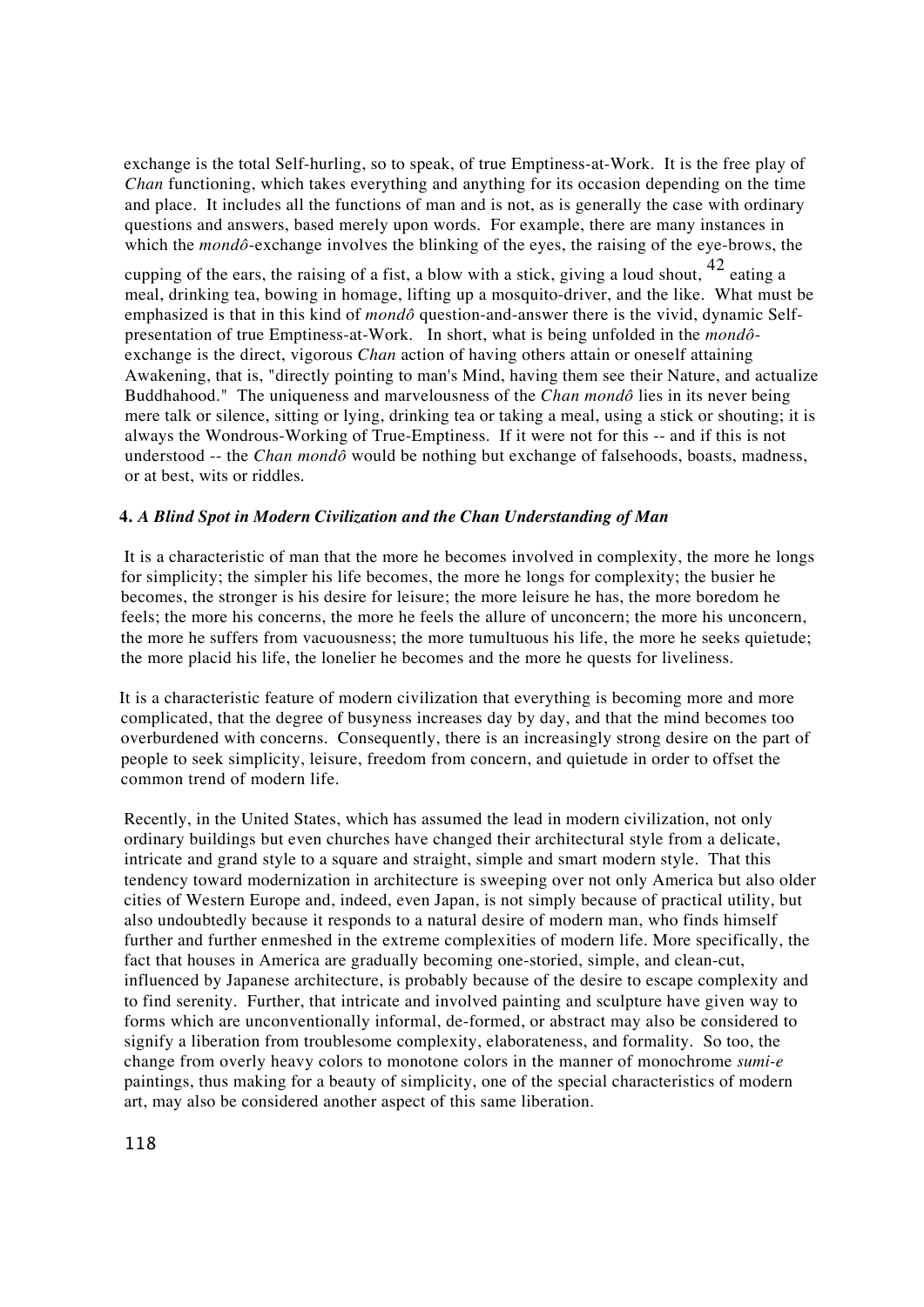exchange is the total Self-hurling, so to speak, of true Emptiness-at-Work. It is the free play of *Chan* functioning, which takes everything and anything for its occasion depending on the time and place. It includes all the functions of man and is not, as is generally the case with ordinary questions and answers, based merely upon words. For example, there are many instances in which the *mondô*-exchange involves the blinking of the eyes, the raising of the eye-brows, the

cupping of the ears, the raising of a fist, a blow with a stick, giving a loud shout,  $42$  eating a meal, drinking tea, bowing in homage, lifting up a mosquito-driver, and the like. What must be emphasized is that in this kind of *mondô* question-and-answer there is the vivid, dynamic Selfpresentation of true Emptiness-at-Work. In short, what is being unfolded in the *mondô*exchange is the direct, vigorous *Chan* action of having others attain or oneself attaining Awakening, that is, "directly pointing to man's Mind, having them see their Nature, and actualize Buddhahood." The uniqueness and marvelousness of the *Chan mondô* lies in its never being mere talk or silence, sitting or lying, drinking tea or taking a meal, using a stick or shouting; it is always the Wondrous-Working of True-Emptiness. If it were not for this -- and if this is not understood -- the *Chan mondô* would be nothing but exchange of falsehoods, boasts, madness, or at best, wits or riddles.

# **4.** *A Blind Spot in Modern Civilization and the Chan Understanding of Man*

 It is a characteristic of man that the more he becomes involved in complexity, the more he longs for simplicity; the simpler his life becomes, the more he longs for complexity; the busier he becomes, the stronger is his desire for leisure; the more leisure he has, the more boredom he feels; the more his concerns, the more he feels the allure of unconcern; the more his unconcern, the more he suffers from vacuousness; the more tumultuous his life, the more he seeks quietude; the more placid his life, the lonelier he becomes and the more he quests for liveliness.

It is a characteristic feature of modern civilization that everything is becoming more and more complicated, that the degree of busyness increases day by day, and that the mind becomes too overburdened with concerns. Consequently, there is an increasingly strong desire on the part of people to seek simplicity, leisure, freedom from concern, and quietude in order to offset the common trend of modern life.

Recently, in the United States, which has assumed the lead in modern civilization, not only ordinary buildings but even churches have changed their architectural style from a delicate, intricate and grand style to a square and straight, simple and smart modern style. That this tendency toward modernization in architecture is sweeping over not only America but also older cities of Western Europe and, indeed, even Japan, is not simply because of practical utility, but also undoubtedly because it responds to a natural desire of modern man, who finds himself further and further enmeshed in the extreme complexities of modern life. More specifically, the fact that houses in America are gradually becoming one-storied, simple, and clean-cut, influenced by Japanese architecture, is probably because of the desire to escape complexity and to find serenity. Further, that intricate and involved painting and sculpture have given way to forms which are unconventionally informal, de-formed, or abstract may also be considered to signify a liberation from troublesome complexity, elaborateness, and formality. So too, the change from overly heavy colors to monotone colors in the manner of monochrome *sumi-e* paintings, thus making for a beauty of simplicity, one of the special characteristics of modern art, may also be considered another aspect of this same liberation.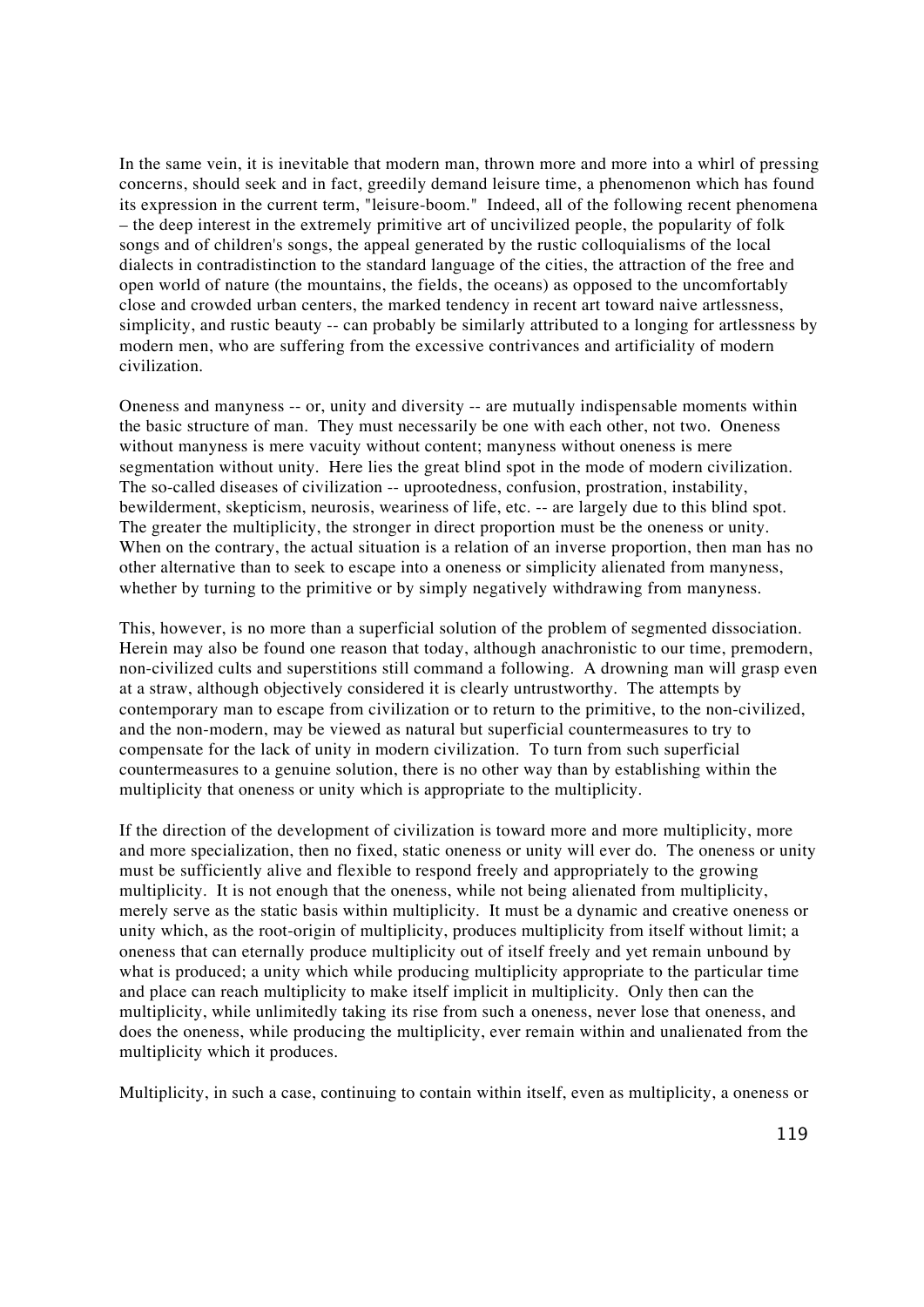In the same vein, it is inevitable that modern man, thrown more and more into a whirl of pressing concerns, should seek and in fact, greedily demand leisure time, a phenomenon which has found its expression in the current term, "leisure-boom." Indeed, all of the following recent phenomena – the deep interest in the extremely primitive art of uncivilized people, the popularity of folk songs and of children's songs, the appeal generated by the rustic colloquialisms of the local dialects in contradistinction to the standard language of the cities, the attraction of the free and open world of nature (the mountains, the fields, the oceans) as opposed to the uncomfortably close and crowded urban centers, the marked tendency in recent art toward naive artlessness, simplicity, and rustic beauty -- can probably be similarly attributed to a longing for artlessness by modern men, who are suffering from the excessive contrivances and artificiality of modern civilization.

Oneness and manyness -- or, unity and diversity -- are mutually indispensable moments within the basic structure of man. They must necessarily be one with each other, not two. Oneness without manyness is mere vacuity without content; manyness without oneness is mere segmentation without unity. Here lies the great blind spot in the mode of modern civilization. The so-called diseases of civilization -- uprootedness, confusion, prostration, instability, bewilderment, skepticism, neurosis, weariness of life, etc. -- are largely due to this blind spot. The greater the multiplicity, the stronger in direct proportion must be the oneness or unity. When on the contrary, the actual situation is a relation of an inverse proportion, then man has no other alternative than to seek to escape into a oneness or simplicity alienated from manyness, whether by turning to the primitive or by simply negatively withdrawing from manyness.

This, however, is no more than a superficial solution of the problem of segmented dissociation. Herein may also be found one reason that today, although anachronistic to our time, premodern, non-civilized cults and superstitions still command a following. A drowning man will grasp even at a straw, although objectively considered it is clearly untrustworthy. The attempts by contemporary man to escape from civilization or to return to the primitive, to the non-civilized, and the non-modern, may be viewed as natural but superficial countermeasures to try to compensate for the lack of unity in modern civilization. To turn from such superficial countermeasures to a genuine solution, there is no other way than by establishing within the multiplicity that oneness or unity which is appropriate to the multiplicity.

If the direction of the development of civilization is toward more and more multiplicity, more and more specialization, then no fixed, static oneness or unity will ever do. The oneness or unity must be sufficiently alive and flexible to respond freely and appropriately to the growing multiplicity. It is not enough that the oneness, while not being alienated from multiplicity, merely serve as the static basis within multiplicity. It must be a dynamic and creative oneness or unity which, as the root-origin of multiplicity, produces multiplicity from itself without limit; a oneness that can eternally produce multiplicity out of itself freely and yet remain unbound by what is produced; a unity which while producing multiplicity appropriate to the particular time and place can reach multiplicity to make itself implicit in multiplicity. Only then can the multiplicity, while unlimitedly taking its rise from such a oneness, never lose that oneness, and does the oneness, while producing the multiplicity, ever remain within and unalienated from the multiplicity which it produces.

Multiplicity, in such a case, continuing to contain within itself, even as multiplicity, a oneness or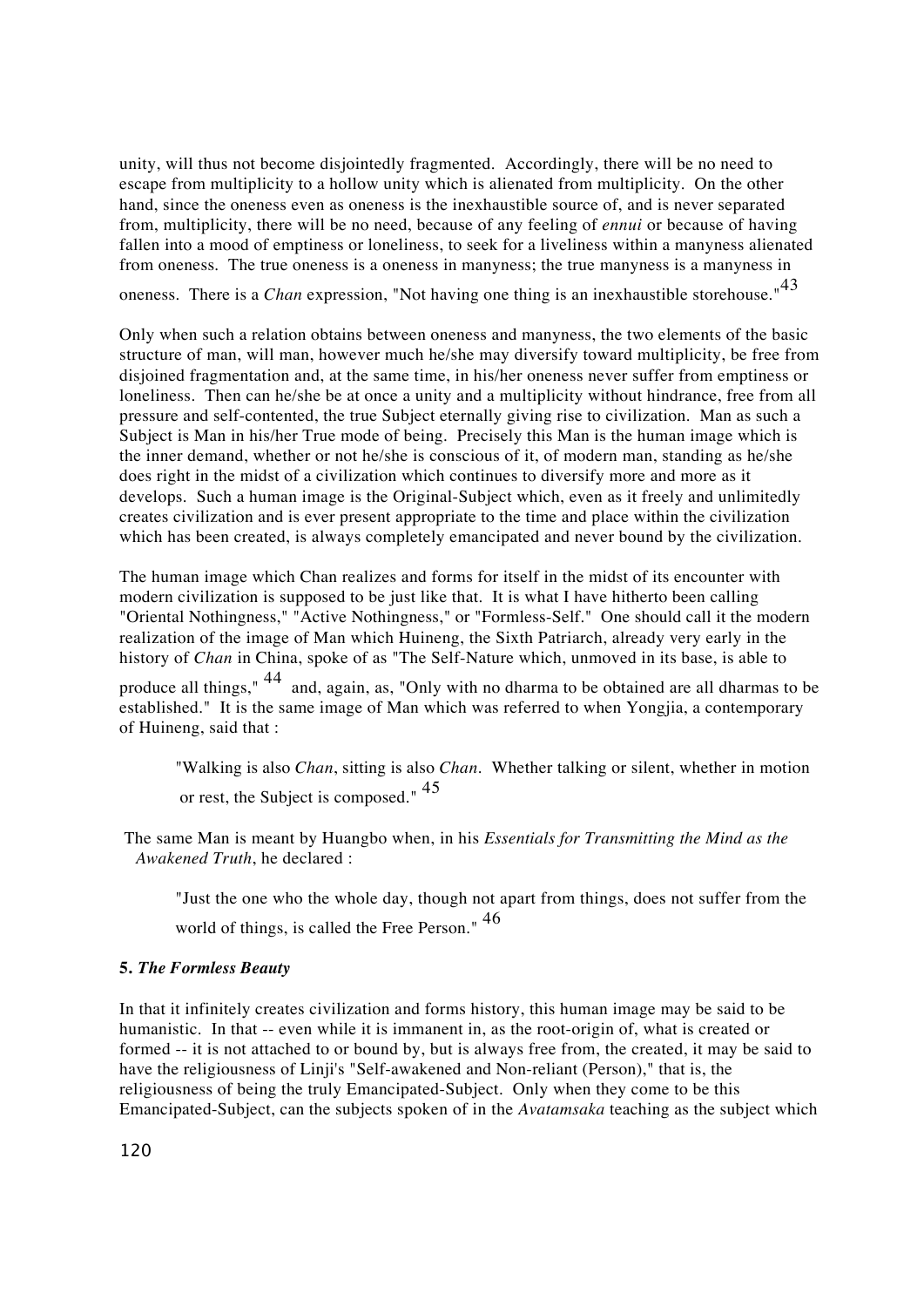unity, will thus not become disjointedly fragmented. Accordingly, there will be no need to escape from multiplicity to a hollow unity which is alienated from multiplicity. On the other hand, since the oneness even as oneness is the inexhaustible source of, and is never separated from, multiplicity, there will be no need, because of any feeling of *ennui* or because of having fallen into a mood of emptiness or loneliness, to seek for a liveliness within a manyness alienated from oneness. The true oneness is a oneness in manyness; the true manyness is a manyness in

oneness. There is a *Chan* expression, "Not having one thing is an inexhaustible storehouse."<sup>43</sup>

Only when such a relation obtains between oneness and manyness, the two elements of the basic structure of man, will man, however much he/she may diversify toward multiplicity, be free from disjoined fragmentation and, at the same time, in his/her oneness never suffer from emptiness or loneliness. Then can he/she be at once a unity and a multiplicity without hindrance, free from all pressure and self-contented, the true Subject eternally giving rise to civilization. Man as such a Subject is Man in his/her True mode of being. Precisely this Man is the human image which is the inner demand, whether or not he/she is conscious of it, of modern man, standing as he/she does right in the midst of a civilization which continues to diversify more and more as it develops. Such a human image is the Original-Subject which, even as it freely and unlimitedly creates civilization and is ever present appropriate to the time and place within the civilization which has been created, is always completely emancipated and never bound by the civilization.

The human image which Chan realizes and forms for itself in the midst of its encounter with modern civilization is supposed to be just like that. It is what I have hitherto been calling "Oriental Nothingness," "Active Nothingness," or "Formless-Self." One should call it the modern realization of the image of Man which Huineng, the Sixth Patriarch, already very early in the history of *Chan* in China, spoke of as "The Self-Nature which, unmoved in its base, is able to produce all things," 44 and, again, as, "Only with no dharma to be obtained are all dharmas to be established." It is the same image of Man which was referred to when Yongjia, a contemporary of Huineng, said that :

"Walking is also *Chan*, sitting is also *Chan*. Whether talking or silent, whether in motion or rest, the Subject is composed." <sup>45</sup>

 The same Man is meant by Huangbo when, in his *Essentials for Transmitting the Mind as the Awakened Truth*, he declared :

"Just the one who the whole day, though not apart from things, does not suffer from the world of things, is called the Free Person."  $46$ 

## **5.** *The Formless Beauty*

In that it infinitely creates civilization and forms history, this human image may be said to be humanistic. In that -- even while it is immanent in, as the root-origin of, what is created or formed -- it is not attached to or bound by, but is always free from, the created, it may be said to have the religiousness of Linji's "Self-awakened and Non-reliant (Person)," that is, the religiousness of being the truly Emancipated-Subject. Only when they come to be this Emancipated-Subject, can the subjects spoken of in the *Avatamsaka* teaching as the subject which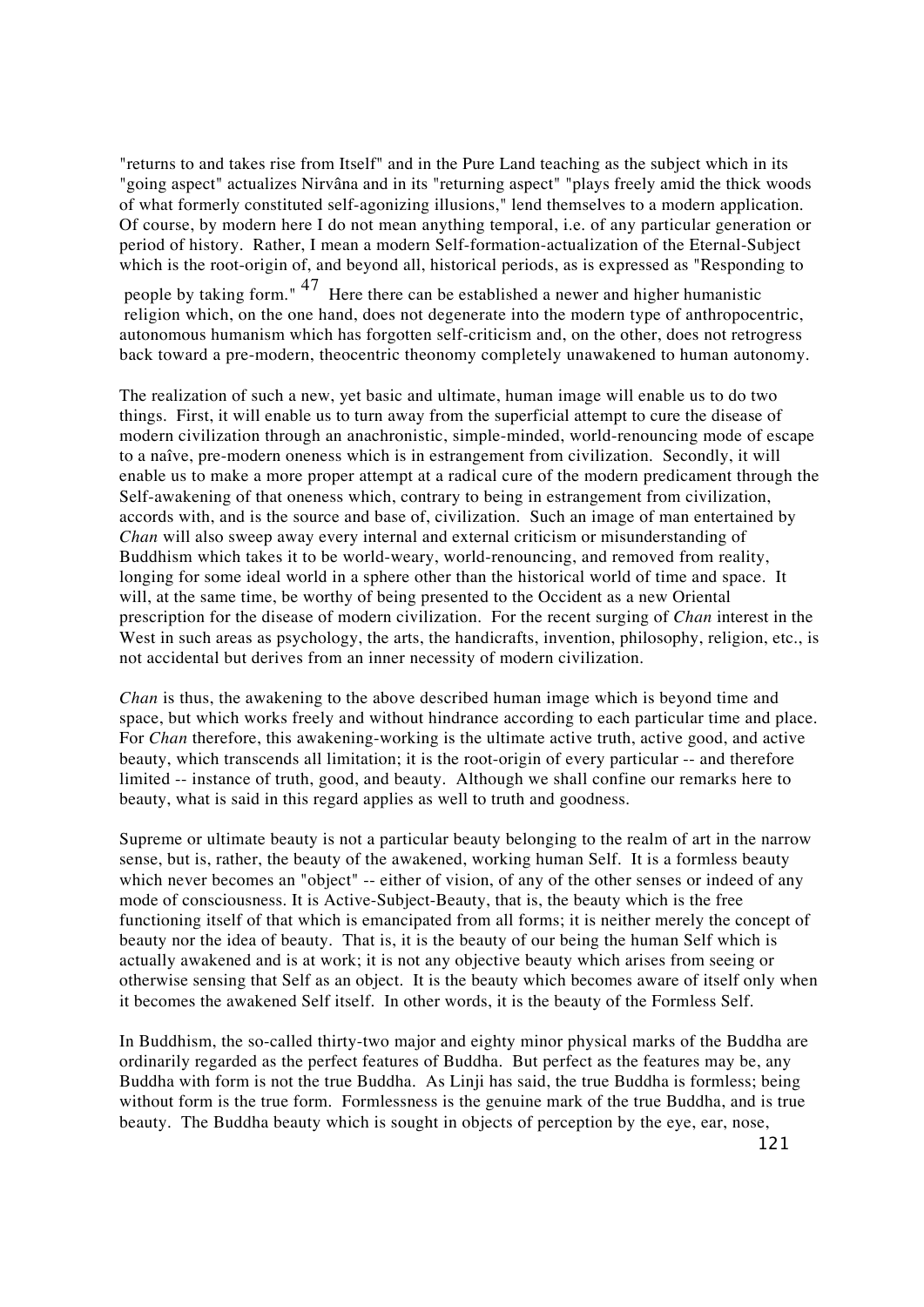"returns to and takes rise from Itself" and in the Pure Land teaching as the subject which in its "going aspect" actualizes Nirvâna and in its "returning aspect" "plays freely amid the thick woods of what formerly constituted self-agonizing illusions," lend themselves to a modern application. Of course, by modern here I do not mean anything temporal, i.e. of any particular generation or period of history. Rather, I mean a modern Self-formation-actualization of the Eternal-Subject which is the root-origin of, and beyond all, historical periods, as is expressed as "Responding to people by taking form." 47 Here there can be established a newer and higher humanistic religion which, on the one hand, does not degenerate into the modern type of anthropocentric, autonomous humanism which has forgotten self-criticism and, on the other, does not retrogress back toward a pre-modern, theocentric theonomy completely unawakened to human autonomy.

The realization of such a new, yet basic and ultimate, human image will enable us to do two things. First, it will enable us to turn away from the superficial attempt to cure the disease of modern civilization through an anachronistic, simple-minded, world-renouncing mode of escape to a naîve, pre-modern oneness which is in estrangement from civilization. Secondly, it will enable us to make a more proper attempt at a radical cure of the modern predicament through the Self-awakening of that oneness which, contrary to being in estrangement from civilization, accords with, and is the source and base of, civilization. Such an image of man entertained by *Chan* will also sweep away every internal and external criticism or misunderstanding of Buddhism which takes it to be world-weary, world-renouncing, and removed from reality, longing for some ideal world in a sphere other than the historical world of time and space. It will, at the same time, be worthy of being presented to the Occident as a new Oriental prescription for the disease of modern civilization. For the recent surging of *Chan* interest in the West in such areas as psychology, the arts, the handicrafts, invention, philosophy, religion, etc., is not accidental but derives from an inner necessity of modern civilization.

*Chan* is thus, the awakening to the above described human image which is beyond time and space, but which works freely and without hindrance according to each particular time and place. For *Chan* therefore, this awakening-working is the ultimate active truth, active good, and active beauty, which transcends all limitation; it is the root-origin of every particular -- and therefore limited -- instance of truth, good, and beauty. Although we shall confine our remarks here to beauty, what is said in this regard applies as well to truth and goodness.

Supreme or ultimate beauty is not a particular beauty belonging to the realm of art in the narrow sense, but is, rather, the beauty of the awakened, working human Self. It is a formless beauty which never becomes an "object" -- either of vision, of any of the other senses or indeed of any mode of consciousness. It is Active-Subject-Beauty, that is, the beauty which is the free functioning itself of that which is emancipated from all forms; it is neither merely the concept of beauty nor the idea of beauty. That is, it is the beauty of our being the human Self which is actually awakened and is at work; it is not any objective beauty which arises from seeing or otherwise sensing that Self as an object. It is the beauty which becomes aware of itself only when it becomes the awakened Self itself. In other words, it is the beauty of the Formless Self.

In Buddhism, the so-called thirty-two major and eighty minor physical marks of the Buddha are ordinarily regarded as the perfect features of Buddha. But perfect as the features may be, any Buddha with form is not the true Buddha. As Linji has said, the true Buddha is formless; being without form is the true form. Formlessness is the genuine mark of the true Buddha, and is true beauty. The Buddha beauty which is sought in objects of perception by the eye, ear, nose,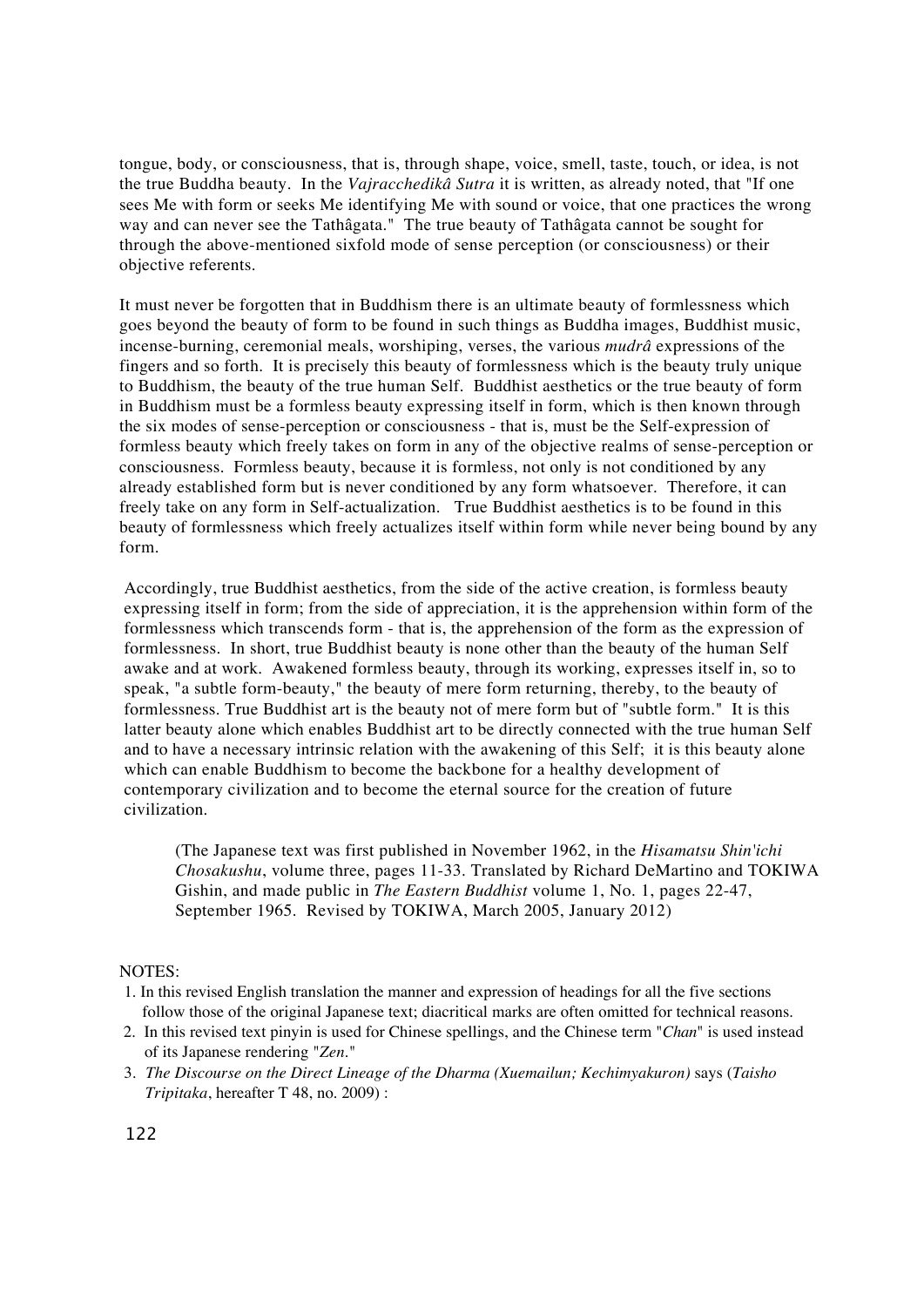tongue, body, or consciousness, that is, through shape, voice, smell, taste, touch, or idea, is not the true Buddha beauty. In the *Vajracchedikâ Sutra* it is written, as already noted, that "If one sees Me with form or seeks Me identifying Me with sound or voice, that one practices the wrong way and can never see the Tathâgata." The true beauty of Tathâgata cannot be sought for through the above-mentioned sixfold mode of sense perception (or consciousness) or their objective referents.

It must never be forgotten that in Buddhism there is an ultimate beauty of formlessness which goes beyond the beauty of form to be found in such things as Buddha images, Buddhist music, incense-burning, ceremonial meals, worshiping, verses, the various *mudrâ* expressions of the fingers and so forth. It is precisely this beauty of formlessness which is the beauty truly unique to Buddhism, the beauty of the true human Self. Buddhist aesthetics or the true beauty of form in Buddhism must be a formless beauty expressing itself in form, which is then known through the six modes of sense-perception or consciousness - that is, must be the Self-expression of formless beauty which freely takes on form in any of the objective realms of sense-perception or consciousness. Formless beauty, because it is formless, not only is not conditioned by any already established form but is never conditioned by any form whatsoever. Therefore, it can freely take on any form in Self-actualization. True Buddhist aesthetics is to be found in this beauty of formlessness which freely actualizes itself within form while never being bound by any form.

Accordingly, true Buddhist aesthetics, from the side of the active creation, is formless beauty expressing itself in form; from the side of appreciation, it is the apprehension within form of the formlessness which transcends form - that is, the apprehension of the form as the expression of formlessness. In short, true Buddhist beauty is none other than the beauty of the human Self awake and at work. Awakened formless beauty, through its working, expresses itself in, so to speak, "a subtle form-beauty," the beauty of mere form returning, thereby, to the beauty of formlessness. True Buddhist art is the beauty not of mere form but of "subtle form." It is this latter beauty alone which enables Buddhist art to be directly connected with the true human Self and to have a necessary intrinsic relation with the awakening of this Self; it is this beauty alone which can enable Buddhism to become the backbone for a healthy development of contemporary civilization and to become the eternal source for the creation of future civilization.

(The Japanese text was first published in November 1962, in the *Hisamatsu Shin'ichi Chosakushu*, volume three, pages 11-33. Translated by Richard DeMartino and TOKIWA Gishin, and made public in *The Eastern Buddhist* volume 1, No. 1, pages 22-47, September 1965. Revised by TOKIWA, March 2005, January 2012)

## NOTES:

- 1. In this revised English translation the manner and expression of headings for all the five sections follow those of the original Japanese text; diacritical marks are often omitted for technical reasons.
- 2. In this revised text pinyin is used for Chinese spellings, and the Chinese term "*Chan*" is used instead of its Japanese rendering "*Zen.*"
- 3. *The Discourse on the Direct Lineage of the Dharma (Xuemailun; Kechimyakuron)* says (*Taisho Tripitaka*, hereafter T 48, no. 2009) :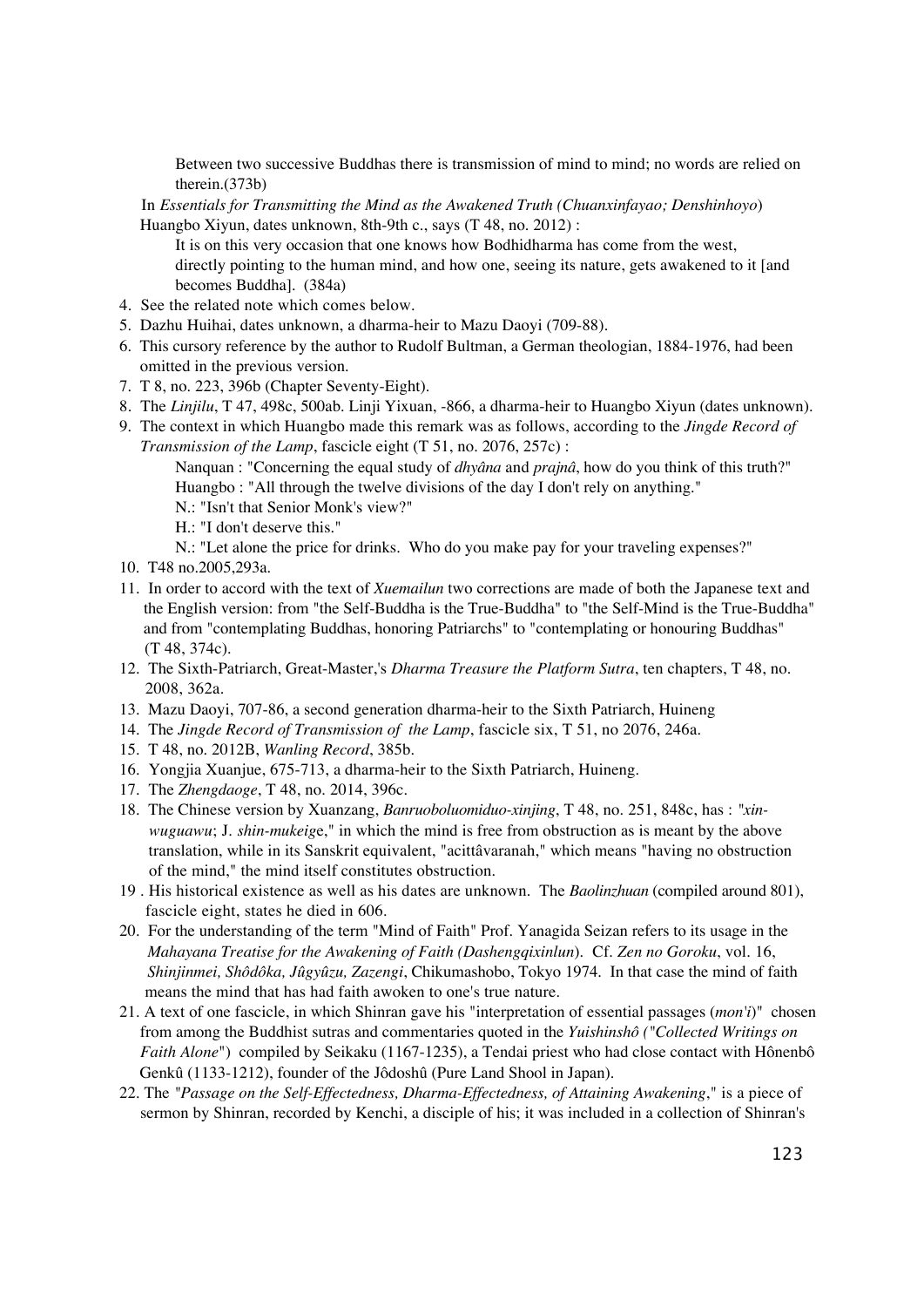Between two successive Buddhas there is transmission of mind to mind; no words are relied on therein.(373b)

 In *Essentials for Transmitting the Mind as the Awakened Truth (Chuanxinfayao; Denshinhoyo*) Huangbo Xiyun, dates unknown, 8th-9th c., says (T 48, no. 2012) :

It is on this very occasion that one knows how Bodhidharma has come from the west, directly pointing to the human mind, and how one, seeing its nature, gets awakened to it [and becomes Buddha]. (384a)

- 4. See the related note which comes below.
- 5. Dazhu Huihai, dates unknown, a dharma-heir to Mazu Daoyi (709-88).
- 6. This cursory reference by the author to Rudolf Bultman, a German theologian, 1884-1976, had been omitted in the previous version.
- 7. T 8, no. 223, 396b (Chapter Seventy-Eight).
- 8. The *Linjilu*, T 47, 498c, 500ab. Linji Yixuan, -866, a dharma-heir to Huangbo Xiyun (dates unknown).

9. The context in which Huangbo made this remark was as follows, according to the *Jingde Record of Transmission of the Lamp*, fascicle eight (T 51, no. 2076, 257c) :

Nanquan : "Concerning the equal study of *dhyâna* and *prajnâ*, how do you think of this truth?" Huangbo : "All through the twelve divisions of the day I don't rely on anything."

N.: "Isn't that Senior Monk's view?"

H.: "I don't deserve this."

N.: "Let alone the price for drinks. Who do you make pay for your traveling expenses?"

- 10. T48 no.2005,293a.
- 11. In order to accord with the text of *Xuemailun* two corrections are made of both the Japanese text and the English version: from "the Self-Buddha is the True-Buddha" to "the Self-Mind is the True-Buddha" and from "contemplating Buddhas, honoring Patriarchs" to "contemplating or honouring Buddhas" (T 48, 374c).
- 12. The Sixth-Patriarch, Great-Master,'s *Dharma Treasure the Platform Sutra*, ten chapters, T 48, no. 2008, 362a.
- 13. Mazu Daoyi, 707-86, a second generation dharma-heir to the Sixth Patriarch, Huineng
- 14. The *Jingde Record of Transmission of the Lamp*, fascicle six, T 51, no 2076, 246a.
- 15. T 48, no. 2012B, *Wanling Record*, 385b.
- 16. Yongjia Xuanjue, 675-713, a dharma-heir to the Sixth Patriarch, Huineng.
- 17. The *Zhengdaoge*, T 48, no. 2014, 396c.
- 18. The Chinese version by Xuanzang, *Banruoboluomiduo-xinjing*, T 48, no. 251, 848c, has : *"xin wuguawu*; J. *shin-mukeig*e," in which the mind is free from obstruction as is meant by the above translation, while in its Sanskrit equivalent, "acittâvaranah," which means "having no obstruction of the mind," the mind itself constitutes obstruction.
- 19 . His historical existence as well as his dates are unknown. The *Baolinzhuan* (compiled around 801), fascicle eight, states he died in 606.
- 20. For the understanding of the term "Mind of Faith" Prof. Yanagida Seizan refers to its usage in the *Mahayana Treatise for the Awakening of Faith (Dashengqixinlun*). Cf. *Zen no Goroku*, vol. 16, *Shinjinmei, Shôdôka, Jûgyûzu, Zazengi*, Chikumashobo, Tokyo 1974. In that case the mind of faith means the mind that has had faith awoken to one's true nature.
- 21. A text of one fascicle, in which Shinran gave his "interpretation of essential passages (*mon'i*)" chosen from among the Buddhist sutras and commentaries quoted in the *Yuishinshô ("Collected Writings on Faith Alone*") compiled by Seikaku (1167-1235), a Tendai priest who had close contact with Hônenbô Genkû (1133-1212), founder of the Jôdoshû (Pure Land Shool in Japan).
- 22. The *"Passage on the Self-Effectedness, Dharma-Effectedness, of Attaining Awakening*," is a piece of sermon by Shinran, recorded by Kenchi, a disciple of his; it was included in a collection of Shinran's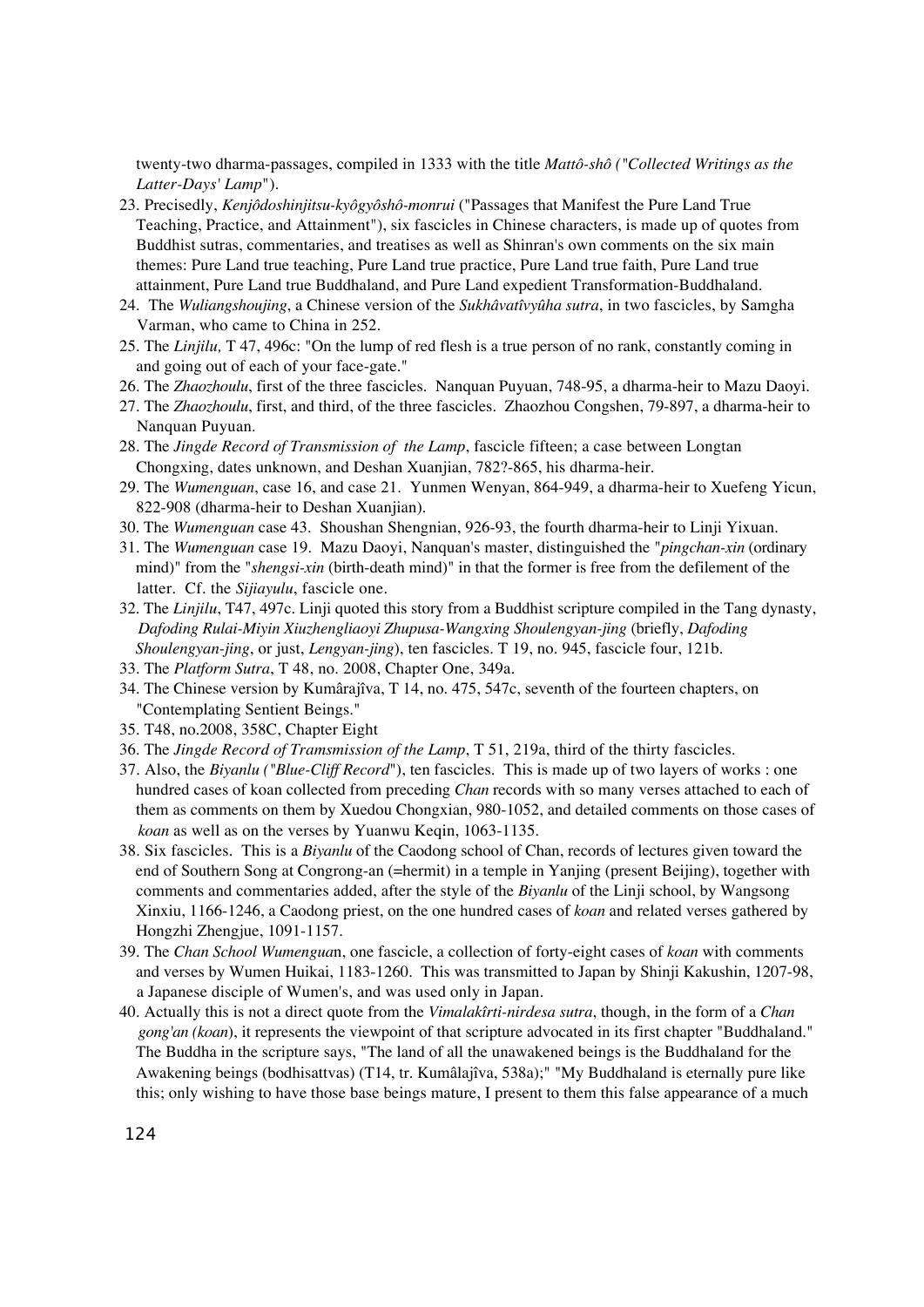twenty-two dharma-passages, compiled in 1333 with the title *Mattô-shô ("Collected Writings as the Latter-Days' Lamp*").

- 23. Precisedly, *Kenjôdoshinjitsu-kyôgyôshô-monrui* ("Passages that Manifest the Pure Land True Teaching, Practice, and Attainment"), six fascicles in Chinese characters, is made up of quotes from Buddhist sutras, commentaries, and treatises as well as Shinran's own comments on the six main themes: Pure Land true teaching, Pure Land true practice, Pure Land true faith, Pure Land true attainment, Pure Land true Buddhaland, and Pure Land expedient Transformation-Buddhaland.
- 24. The *Wuliangshoujing*, a Chinese version of the *Sukhâvatîvyûha sutra*, in two fascicles, by Samgha Varman, who came to China in 252.
- 25. The *Linjilu,* T 47, 496c: "On the lump of red flesh is a true person of no rank, constantly coming in and going out of each of your face-gate."
- 26. The *Zhaozhoulu*, first of the three fascicles. Nanquan Puyuan, 748-95, a dharma-heir to Mazu Daoyi.
- 27. The *Zhaozhoulu*, first, and third, of the three fascicles. Zhaozhou Congshen, 79-897, a dharma-heir to Nanquan Puyuan.
- 28. The *Jingde Record of Transmission of the Lamp*, fascicle fifteen; a case between Longtan Chongxing, dates unknown, and Deshan Xuanjian, 782?-865, his dharma-heir.
- 29. The *Wumenguan*, case 16, and case 21. Yunmen Wenyan, 864-949, a dharma-heir to Xuefeng Yicun, 822-908 (dharma-heir to Deshan Xuanjian).
- 30. The *Wumenguan* case 43. Shoushan Shengnian, 926-93, the fourth dharma-heir to Linji Yixuan.
- 31. The *Wumenguan* case 19. Mazu Daoyi, Nanquan's master, distinguished the "*pingchan-xin* (ordinary mind)" from the "*shengsi-xin* (birth-death mind)" in that the former is free from the defilement of the latter. Cf. the *Sijiayulu*, fascicle one.
- 32. The *Linjilu*, T47, 497c. Linji quoted this story from a Buddhist scripture compiled in the Tang dynasty, *Dafoding Rulai-Miyin Xiuzhengliaoyi Zhupusa-Wangxing Shoulengyan-jing* (briefly, *Dafoding Shoulengyan-jing*, or just, *Lengyan-jing*), ten fascicles. T 19, no. 945, fascicle four, 121b.
- 33. The *Platform Sutra*, T 48, no. 2008, Chapter One, 349a.
- 34. The Chinese version by Kumârajîva, T 14, no. 475, 547c, seventh of the fourteen chapters, on "Contemplating Sentient Beings."
- 35. T48, no.2008, 358C, Chapter Eight
- 36. The *Jingde Record of Tramsmission of the Lamp*, T 51, 219a, third of the thirty fascicles.
- 37. Also, the *Biyanlu ("Blue-Cliff Record*"), ten fascicles. This is made up of two layers of works : one hundred cases of koan collected from preceding *Chan* records with so many verses attached to each of them as comments on them by Xuedou Chongxian, 980-1052, and detailed comments on those cases of *koan* as well as on the verses by Yuanwu Keqin, 1063-1135.
- 38. Six fascicles. This is a *Biyanlu* of the Caodong school of Chan, records of lectures given toward the end of Southern Song at Congrong-an (=hermit) in a temple in Yanjing (present Beijing), together with comments and commentaries added, after the style of the *Biyanlu* of the Linji school, by Wangsong Xinxiu, 1166-1246, a Caodong priest, on the one hundred cases of *koan* and related verses gathered by Hongzhi Zhengjue, 1091-1157.
- 39. The *Chan School Wumengua*n, one fascicle, a collection of forty-eight cases of *koan* with comments and verses by Wumen Huikai, 1183-1260. This was transmitted to Japan by Shinji Kakushin, 1207-98, a Japanese disciple of Wumen's, and was used only in Japan.
- 40. Actually this is not a direct quote from the *Vimalakîrti-nirdesa sutra*, though, in the form of a *Chan gong'an (koan*), it represents the viewpoint of that scripture advocated in its first chapter "Buddhaland." The Buddha in the scripture says, "The land of all the unawakened beings is the Buddhaland for the Awakening beings (bodhisattvas) (T14, tr. Kumâlajîva, 538a);" "My Buddhaland is eternally pure like this; only wishing to have those base beings mature, I present to them this false appearance of a much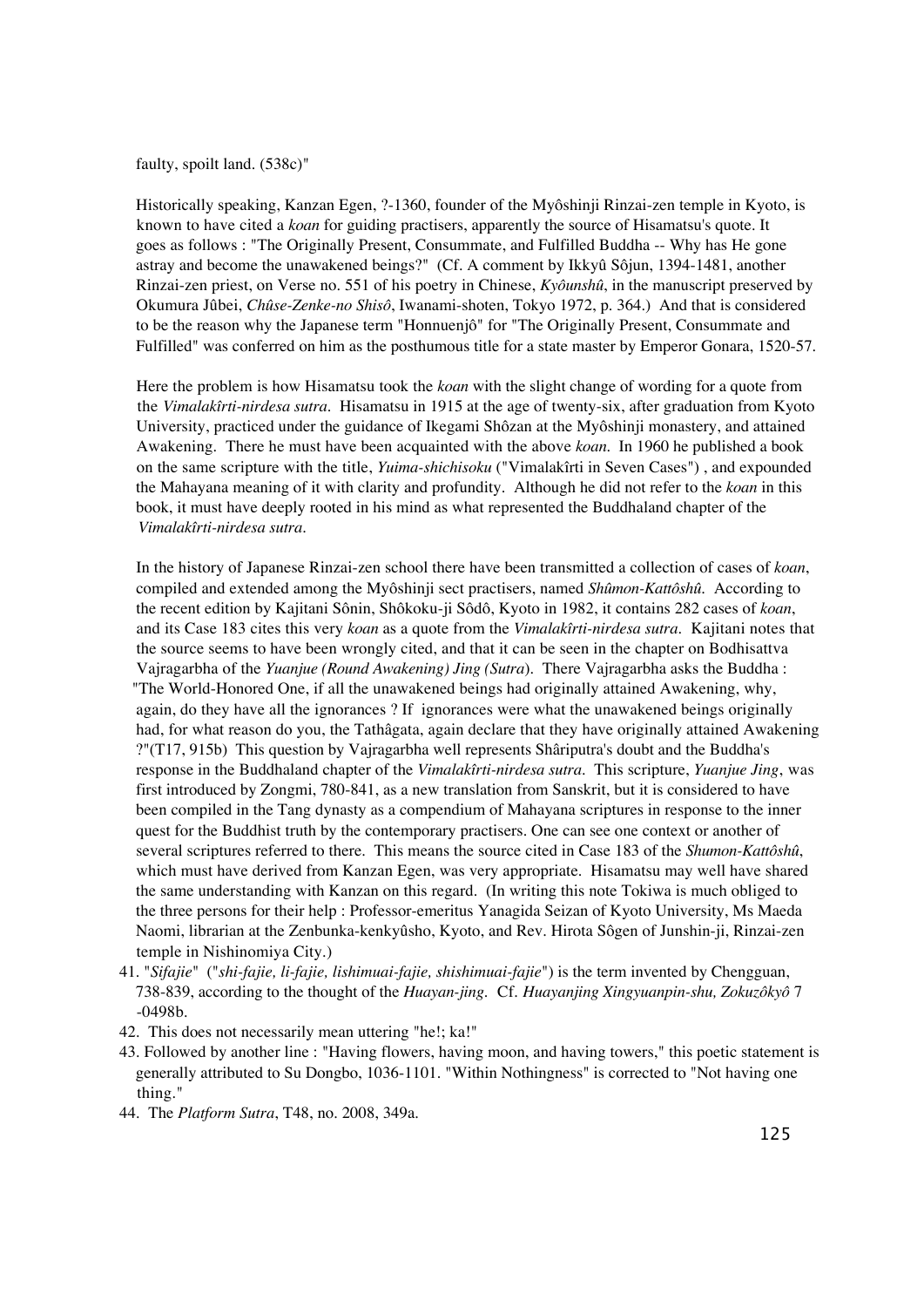#### faulty, spoilt land. (538c)"

 Historically speaking, Kanzan Egen, ?-1360, founder of the Myôshinji Rinzai-zen temple in Kyoto, is known to have cited a *koan* for guiding practisers, apparently the source of Hisamatsu's quote. It goes as follows : "The Originally Present, Consummate, and Fulfilled Buddha -- Why has He gone astray and become the unawakened beings?" (Cf. A comment by Ikkyû Sôjun, 1394-1481, another Rinzai-zen priest, on Verse no. 551 of his poetry in Chinese, *Kyôunshû*, in the manuscript preserved by Okumura Jûbei, *Chûse-Zenke-no Shisô*, Iwanami-shoten, Tokyo 1972, p. 364.) And that is considered to be the reason why the Japanese term "Honnuenjô" for "The Originally Present, Consummate and Fulfilled" was conferred on him as the posthumous title for a state master by Emperor Gonara, 1520-57.

 Here the problem is how Hisamatsu took the *koan* with the slight change of wording for a quote from the *Vimalakîrti-nirdesa sutra*. Hisamatsu in 1915 at the age of twenty-six, after graduation from Kyoto University, practiced under the guidance of Ikegami Shôzan at the Myôshinji monastery, and attained Awakening. There he must have been acquainted with the above *koan*. In 1960 he published a book on the same scripture with the title, *Yuima-shichisoku* ("Vimalakîrti in Seven Cases") , and expounded the Mahayana meaning of it with clarity and profundity. Although he did not refer to the *koan* in this book, it must have deeply rooted in his mind as what represented the Buddhaland chapter of the *Vimalakîrti-nirdesa sutra*.

 In the history of Japanese Rinzai-zen school there have been transmitted a collection of cases of *koan*, compiled and extended among the Myôshinji sect practisers, named *Shûmon-Kattôshû*. According to the recent edition by Kajitani Sônin, Shôkoku-ji Sôdô, Kyoto in 1982, it contains 282 cases of *koan*, and its Case 183 cites this very *koan* as a quote from the *Vimalakîrti-nirdesa sutra*. Kajitani notes that the source seems to have been wrongly cited, and that it can be seen in the chapter on Bodhisattva Vajragarbha of the *Yuanjue (Round Awakening) Jing (Sutra*). There Vajragarbha asks the Buddha : "The World-Honored One, if all the unawakened beings had originally attained Awakening, why, again, do they have all the ignorances ? If ignorances were what the unawakened beings originally had, for what reason do you, the Tathâgata, again declare that they have originally attained Awakening ?"(T17, 915b) This question by Vajragarbha well represents Shâriputra's doubt and the Buddha's response in the Buddhaland chapter of the *Vimalakîrti-nirdesa sutra*. This scripture, *Yuanjue Jing*, was first introduced by Zongmi, 780-841, as a new translation from Sanskrit, but it is considered to have been compiled in the Tang dynasty as a compendium of Mahayana scriptures in response to the inner quest for the Buddhist truth by the contemporary practisers. One can see one context or another of several scriptures referred to there. This means the source cited in Case 183 of the *Shumon-Kattôshû*, which must have derived from Kanzan Egen, was very appropriate. Hisamatsu may well have shared the same understanding with Kanzan on this regard. (In writing this note Tokiwa is much obliged to the three persons for their help : Professor-emeritus Yanagida Seizan of Kyoto University, Ms Maeda Naomi, librarian at the Zenbunka-kenkyûsho, Kyoto, and Rev. Hirota Sôgen of Junshin-ji, Rinzai-zen temple in Nishinomiya City.)

- 41. "*Sifajie*" ("*shi-fajie, li-fajie, lishimuai-fajie, shishimuai-fajie*") is the term invented by Chengguan, 738-839, according to the thought of the *Huayan-jing*. Cf. *Huayanjing Xingyuanpin-shu, Zokuzôkyô* 7 -0498b.
- 42. This does not necessarily mean uttering "he!; ka!"
- 43. Followed by another line : "Having flowers, having moon, and having towers," this poetic statement is generally attributed to Su Dongbo, 1036-1101. "Within Nothingness" is corrected to "Not having one thing."
- 44. The *Platform Sutra*, T48, no. 2008, 349a.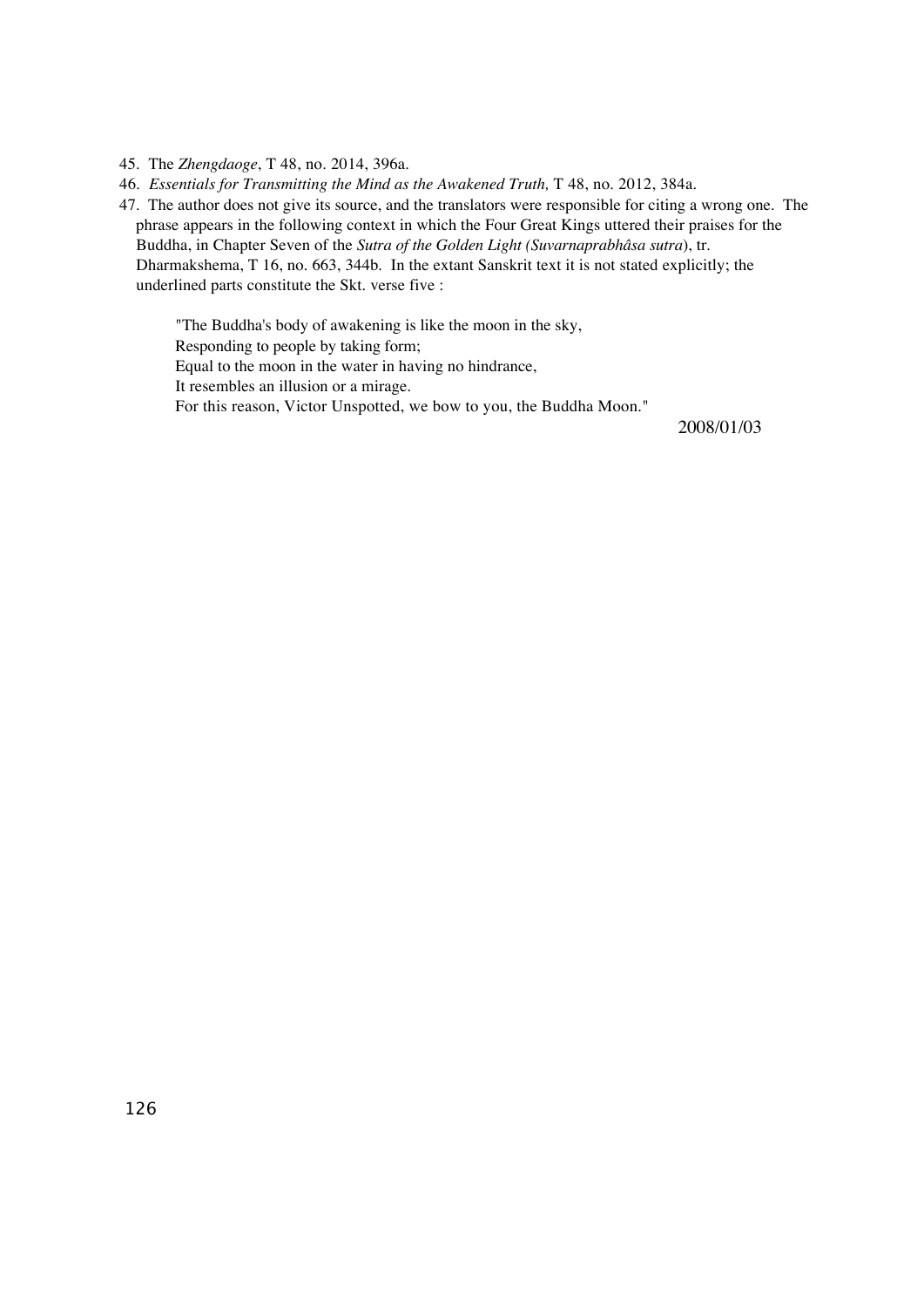- 45. The *Zhengdaoge*, T 48, no. 2014, 396a.
- 46. *Essentials for Transmitting the Mind as the Awakened Truth,* T 48, no. 2012, 384a.

47. The author does not give its source, and the translators were responsible for citing a wrong one. The phrase appears in the following context in which the Four Great Kings uttered their praises for the Buddha, in Chapter Seven of the *Sutra of the Golden Light (Suvarnaprabhâsa sutra*), tr. Dharmakshema, T 16, no. 663, 344b. In the extant Sanskrit text it is not stated explicitly; the underlined parts constitute the Skt. verse five :

"The Buddha's body of awakening is like the moon in the sky, Responding to people by taking form; Equal to the moon in the water in having no hindrance, It resembles an illusion or a mirage. For this reason, Victor Unspotted, we bow to you, the Buddha Moon."

2008/01/03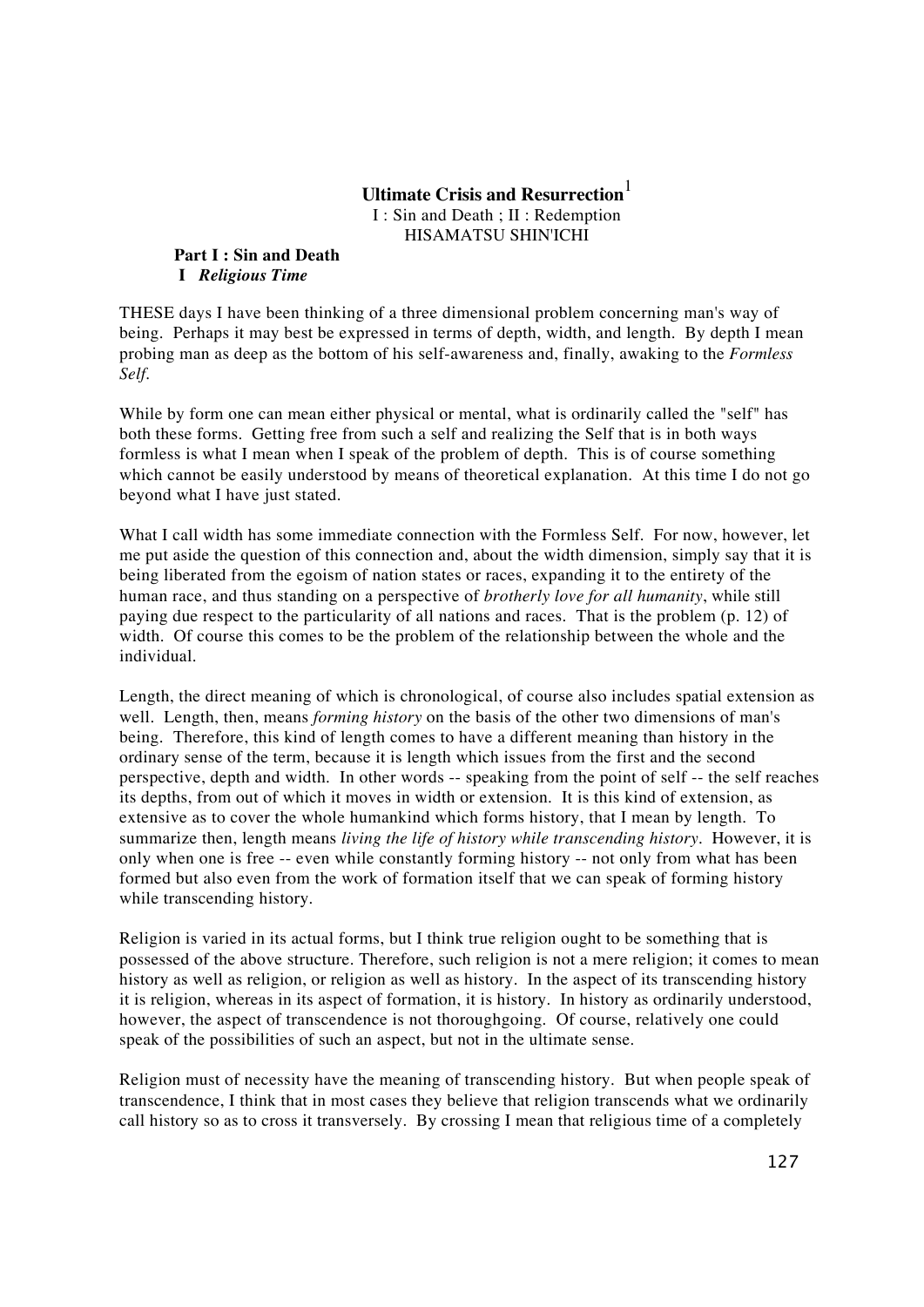**Ultimate Crisis and Resurrection** I : Sin and Death ; II : Redemption HISAMATSU SHIN'ICHI

# **Part I : Sin and Death I** *Religious Time*

THESE days I have been thinking of a three dimensional problem concerning man's way of being. Perhaps it may best be expressed in terms of depth, width, and length. By depth I mean probing man as deep as the bottom of his self-awareness and, finally, awaking to the *Formless Self*.

While by form one can mean either physical or mental, what is ordinarily called the "self" has both these forms. Getting free from such a self and realizing the Self that is in both ways formless is what I mean when I speak of the problem of depth. This is of course something which cannot be easily understood by means of theoretical explanation. At this time I do not go beyond what I have just stated.

What I call width has some immediate connection with the Formless Self. For now, however, let me put aside the question of this connection and, about the width dimension, simply say that it is being liberated from the egoism of nation states or races, expanding it to the entirety of the human race, and thus standing on a perspective of *brotherly love for all humanity*, while still paying due respect to the particularity of all nations and races. That is the problem (p. 12) of width. Of course this comes to be the problem of the relationship between the whole and the individual.

Length, the direct meaning of which is chronological, of course also includes spatial extension as well. Length, then, means *forming history* on the basis of the other two dimensions of man's being. Therefore, this kind of length comes to have a different meaning than history in the ordinary sense of the term, because it is length which issues from the first and the second perspective, depth and width. In other words -- speaking from the point of self -- the self reaches its depths, from out of which it moves in width or extension. It is this kind of extension, as extensive as to cover the whole humankind which forms history, that I mean by length. To summarize then, length means *living the life of history while transcending history.* However, it is only when one is free -- even while constantly forming history -- not only from what has been formed but also even from the work of formation itself that we can speak of forming history while transcending history.

Religion is varied in its actual forms, but I think true religion ought to be something that is possessed of the above structure. Therefore, such religion is not a mere religion; it comes to mean history as well as religion, or religion as well as history. In the aspect of its transcending history it is religion, whereas in its aspect of formation, it is history. In history as ordinarily understood, however, the aspect of transcendence is not thoroughgoing. Of course, relatively one could speak of the possibilities of such an aspect, but not in the ultimate sense.

Religion must of necessity have the meaning of transcending history. But when people speak of transcendence, I think that in most cases they believe that religion transcends what we ordinarily call history so as to cross it transversely. By crossing I mean that religious time of a completely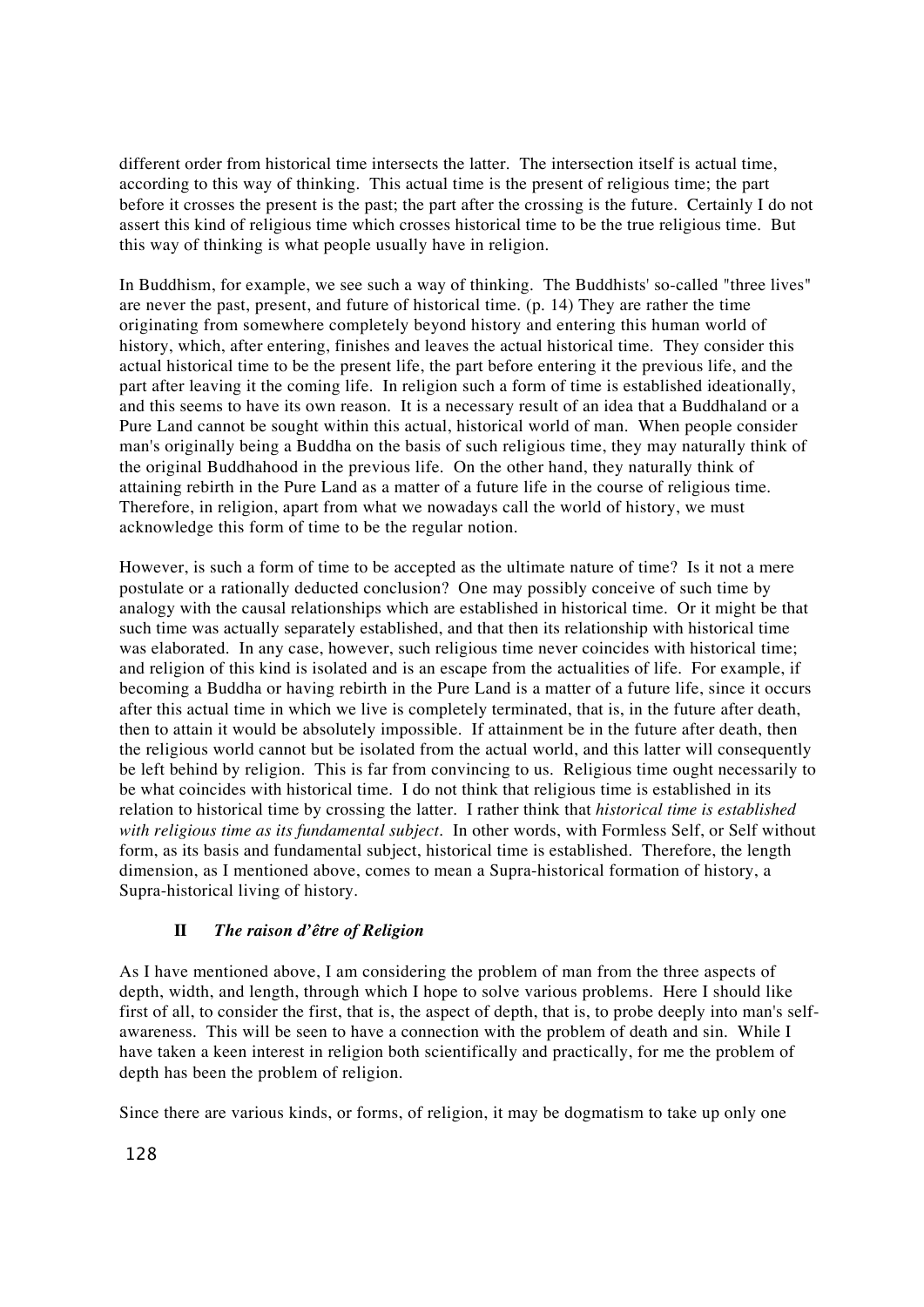different order from historical time intersects the latter. The intersection itself is actual time, according to this way of thinking. This actual time is the present of religious time; the part before it crosses the present is the past; the part after the crossing is the future. Certainly I do not assert this kind of religious time which crosses historical time to be the true religious time. But this way of thinking is what people usually have in religion.

In Buddhism, for example, we see such a way of thinking. The Buddhists' so-called "three lives" are never the past, present, and future of historical time. (p. 14) They are rather the time originating from somewhere completely beyond history and entering this human world of history, which, after entering, finishes and leaves the actual historical time. They consider this actual historical time to be the present life, the part before entering it the previous life, and the part after leaving it the coming life. In religion such a form of time is established ideationally, and this seems to have its own reason. It is a necessary result of an idea that a Buddhaland or a Pure Land cannot be sought within this actual, historical world of man. When people consider man's originally being a Buddha on the basis of such religious time, they may naturally think of the original Buddhahood in the previous life. On the other hand, they naturally think of attaining rebirth in the Pure Land as a matter of a future life in the course of religious time. Therefore, in religion, apart from what we nowadays call the world of history, we must acknowledge this form of time to be the regular notion.

However, is such a form of time to be accepted as the ultimate nature of time? Is it not a mere postulate or a rationally deducted conclusion? One may possibly conceive of such time by analogy with the causal relationships which are established in historical time. Or it might be that such time was actually separately established, and that then its relationship with historical time was elaborated. In any case, however, such religious time never coincides with historical time; and religion of this kind is isolated and is an escape from the actualities of life. For example, if becoming a Buddha or having rebirth in the Pure Land is a matter of a future life, since it occurs after this actual time in which we live is completely terminated, that is, in the future after death, then to attain it would be absolutely impossible. If attainment be in the future after death, then the religious world cannot but be isolated from the actual world, and this latter will consequently be left behind by religion. This is far from convincing to us. Religious time ought necessarily to be what coincides with historical time. I do not think that religious time is established in its relation to historical time by crossing the latter. I rather think that *historical time is established with religious time as its fundamental subject*. In other words, with Formless Self, or Self without form, as its basis and fundamental subject, historical time is established. Therefore, the length dimension, as I mentioned above, comes to mean a Supra-historical formation of history, a Supra-historical living of history.

# **II** *The raison d'être of Religion*

As I have mentioned above, I am considering the problem of man from the three aspects of depth, width, and length, through which I hope to solve various problems. Here I should like first of all, to consider the first, that is, the aspect of depth, that is, to probe deeply into man's selfawareness. This will be seen to have a connection with the problem of death and sin. While I have taken a keen interest in religion both scientifically and practically, for me the problem of depth has been the problem of religion.

Since there are various kinds, or forms, of religion, it may be dogmatism to take up only one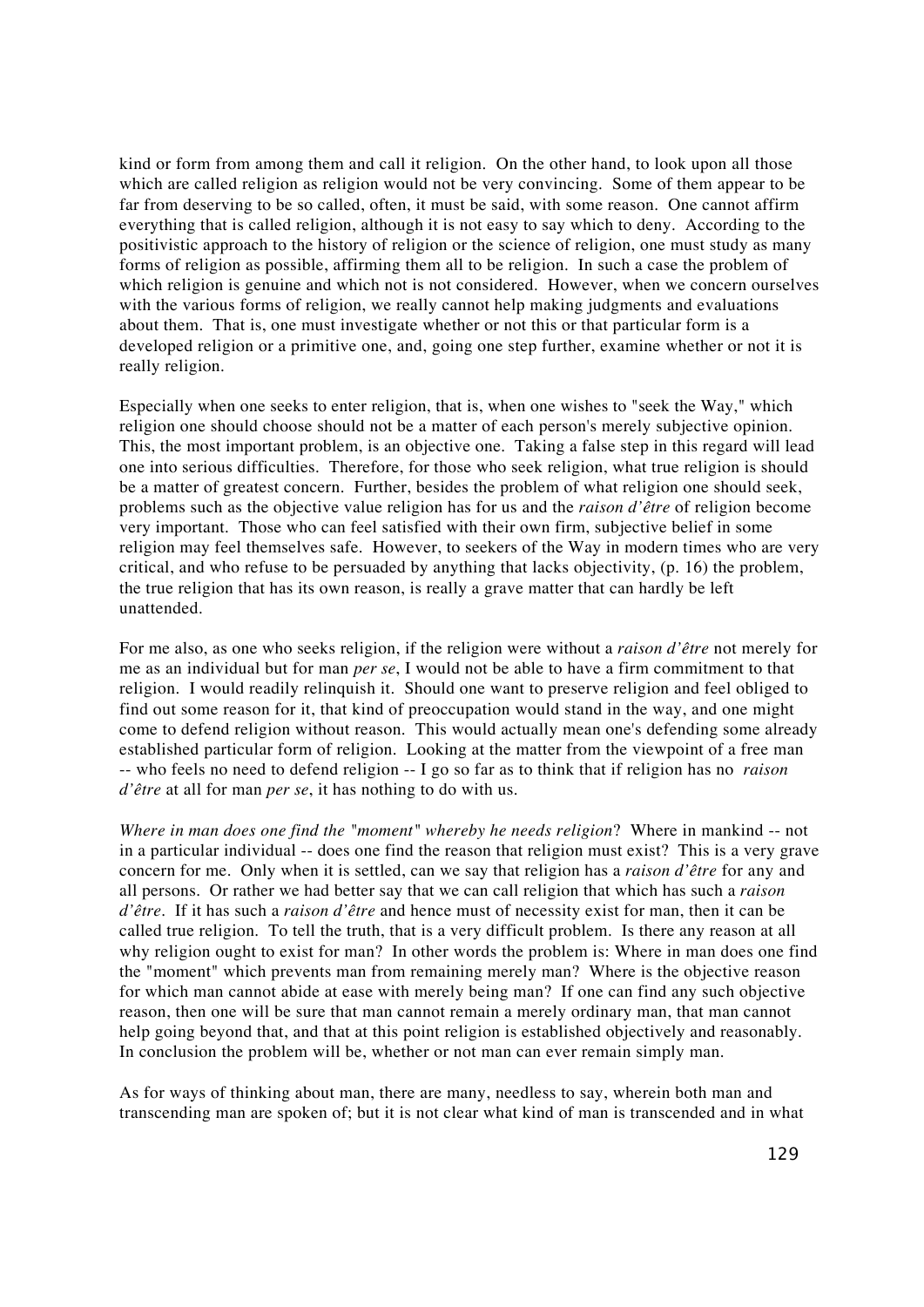kind or form from among them and call it religion. On the other hand, to look upon all those which are called religion as religion would not be very convincing. Some of them appear to be far from deserving to be so called, often, it must be said, with some reason. One cannot affirm everything that is called religion, although it is not easy to say which to deny. According to the positivistic approach to the history of religion or the science of religion, one must study as many forms of religion as possible, affirming them all to be religion. In such a case the problem of which religion is genuine and which not is not considered. However, when we concern ourselves with the various forms of religion, we really cannot help making judgments and evaluations about them. That is, one must investigate whether or not this or that particular form is a developed religion or a primitive one, and, going one step further, examine whether or not it is really religion.

Especially when one seeks to enter religion, that is, when one wishes to "seek the Way," which religion one should choose should not be a matter of each person's merely subjective opinion. This, the most important problem, is an objective one. Taking a false step in this regard will lead one into serious difficulties. Therefore, for those who seek religion, what true religion is should be a matter of greatest concern. Further, besides the problem of what religion one should seek, problems such as the objective value religion has for us and the *raison d'être* of religion become very important. Those who can feel satisfied with their own firm, subjective belief in some religion may feel themselves safe. However, to seekers of the Way in modern times who are very critical, and who refuse to be persuaded by anything that lacks objectivity, (p. 16) the problem, the true religion that has its own reason, is really a grave matter that can hardly be left unattended.

For me also, as one who seeks religion, if the religion were without a *raison d'être* not merely for me as an individual but for man *per se*, I would not be able to have a firm commitment to that religion. I would readily relinquish it. Should one want to preserve religion and feel obliged to find out some reason for it, that kind of preoccupation would stand in the way, and one might come to defend religion without reason. This would actually mean one's defending some already established particular form of religion. Looking at the matter from the viewpoint of a free man -- who feels no need to defend religion -- I go so far as to think that if religion has no *raison d'être* at all for man *per se*, it has nothing to do with us.

*Where in man does one find the "moment" whereby he needs religion*? Where in mankind -- not in a particular individual -- does one find the reason that religion must exist? This is a very grave concern for me. Only when it is settled, can we say that religion has a *raison d'être* for any and all persons. Or rather we had better say that we can call religion that which has such a *raison d'être*. If it has such a *raison d'être* and hence must of necessity exist for man, then it can be called true religion. To tell the truth, that is a very difficult problem. Is there any reason at all why religion ought to exist for man? In other words the problem is: Where in man does one find the "moment" which prevents man from remaining merely man? Where is the objective reason for which man cannot abide at ease with merely being man? If one can find any such objective reason, then one will be sure that man cannot remain a merely ordinary man, that man cannot help going beyond that, and that at this point religion is established objectively and reasonably. In conclusion the problem will be, whether or not man can ever remain simply man.

As for ways of thinking about man, there are many, needless to say, wherein both man and transcending man are spoken of; but it is not clear what kind of man is transcended and in what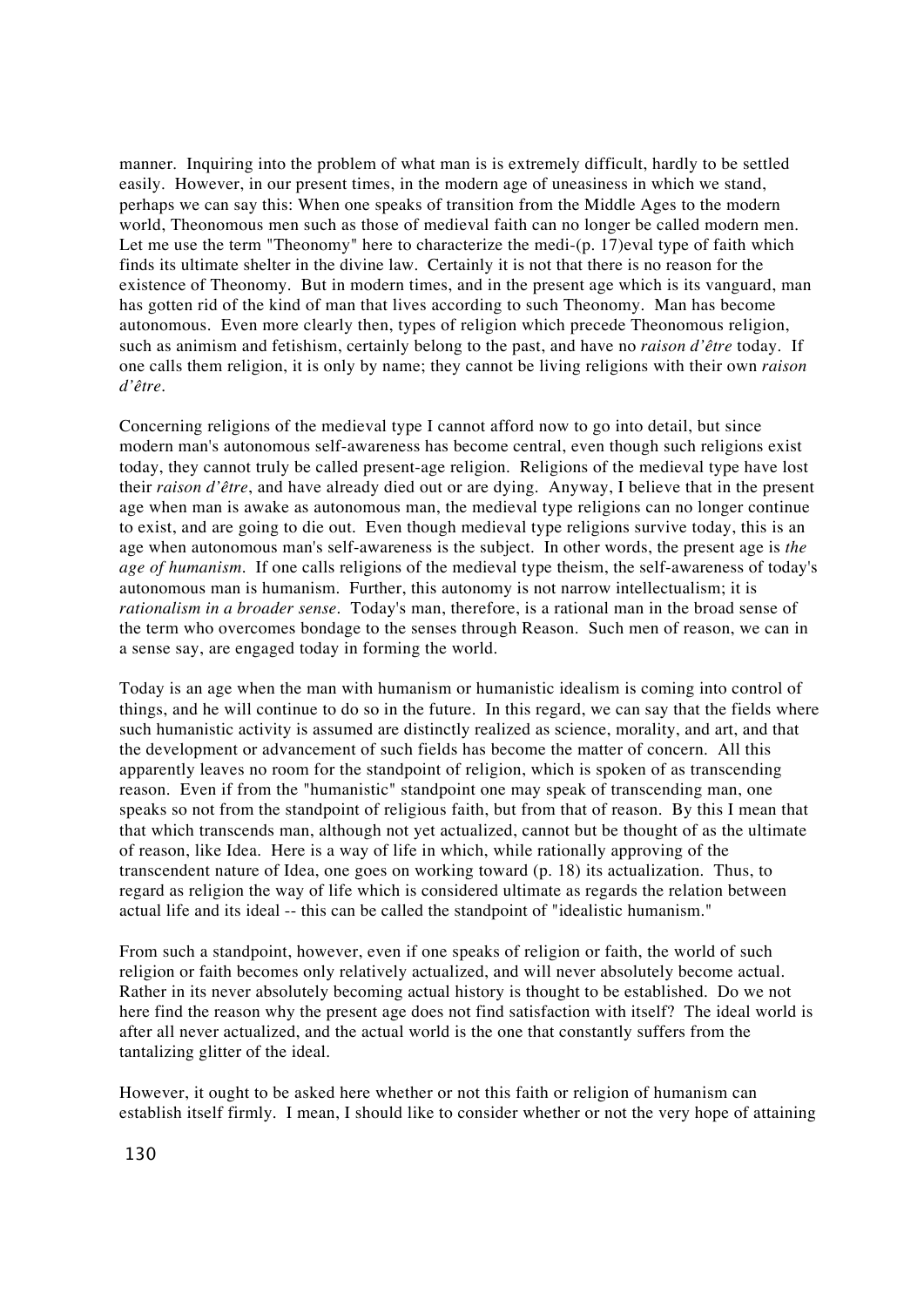manner. Inquiring into the problem of what man is is extremely difficult, hardly to be settled easily. However, in our present times, in the modern age of uneasiness in which we stand, perhaps we can say this: When one speaks of transition from the Middle Ages to the modern world, Theonomous men such as those of medieval faith can no longer be called modern men. Let me use the term "Theonomy" here to characterize the medi-(p. 17) eval type of faith which finds its ultimate shelter in the divine law. Certainly it is not that there is no reason for the existence of Theonomy. But in modern times, and in the present age which is its vanguard, man has gotten rid of the kind of man that lives according to such Theonomy. Man has become autonomous. Even more clearly then, types of religion which precede Theonomous religion, such as animism and fetishism, certainly belong to the past, and have no *raison d'être* today. If one calls them religion, it is only by name; they cannot be living religions with their own *raison d'être*.

Concerning religions of the medieval type I cannot afford now to go into detail, but since modern man's autonomous self-awareness has become central, even though such religions exist today, they cannot truly be called present-age religion. Religions of the medieval type have lost their *raison d'être*, and have already died out or are dying. Anyway, I believe that in the present age when man is awake as autonomous man, the medieval type religions can no longer continue to exist, and are going to die out. Even though medieval type religions survive today, this is an age when autonomous man's self-awareness is the subject. In other words, the present age is *the age of humanism*. If one calls religions of the medieval type theism, the self-awareness of today's autonomous man is humanism. Further, this autonomy is not narrow intellectualism; it is *rationalism in a broader sense*. Today's man, therefore, is a rational man in the broad sense of the term who overcomes bondage to the senses through Reason. Such men of reason, we can in a sense say, are engaged today in forming the world.

Today is an age when the man with humanism or humanistic idealism is coming into control of things, and he will continue to do so in the future. In this regard, we can say that the fields where such humanistic activity is assumed are distinctly realized as science, morality, and art, and that the development or advancement of such fields has become the matter of concern. All this apparently leaves no room for the standpoint of religion, which is spoken of as transcending reason. Even if from the "humanistic" standpoint one may speak of transcending man, one speaks so not from the standpoint of religious faith, but from that of reason. By this I mean that that which transcends man, although not yet actualized, cannot but be thought of as the ultimate of reason, like Idea. Here is a way of life in which, while rationally approving of the transcendent nature of Idea, one goes on working toward (p. 18) its actualization. Thus, to regard as religion the way of life which is considered ultimate as regards the relation between actual life and its ideal -- this can be called the standpoint of "idealistic humanism."

From such a standpoint, however, even if one speaks of religion or faith, the world of such religion or faith becomes only relatively actualized, and will never absolutely become actual. Rather in its never absolutely becoming actual history is thought to be established. Do we not here find the reason why the present age does not find satisfaction with itself? The ideal world is after all never actualized, and the actual world is the one that constantly suffers from the tantalizing glitter of the ideal.

However, it ought to be asked here whether or not this faith or religion of humanism can establish itself firmly. I mean, I should like to consider whether or not the very hope of attaining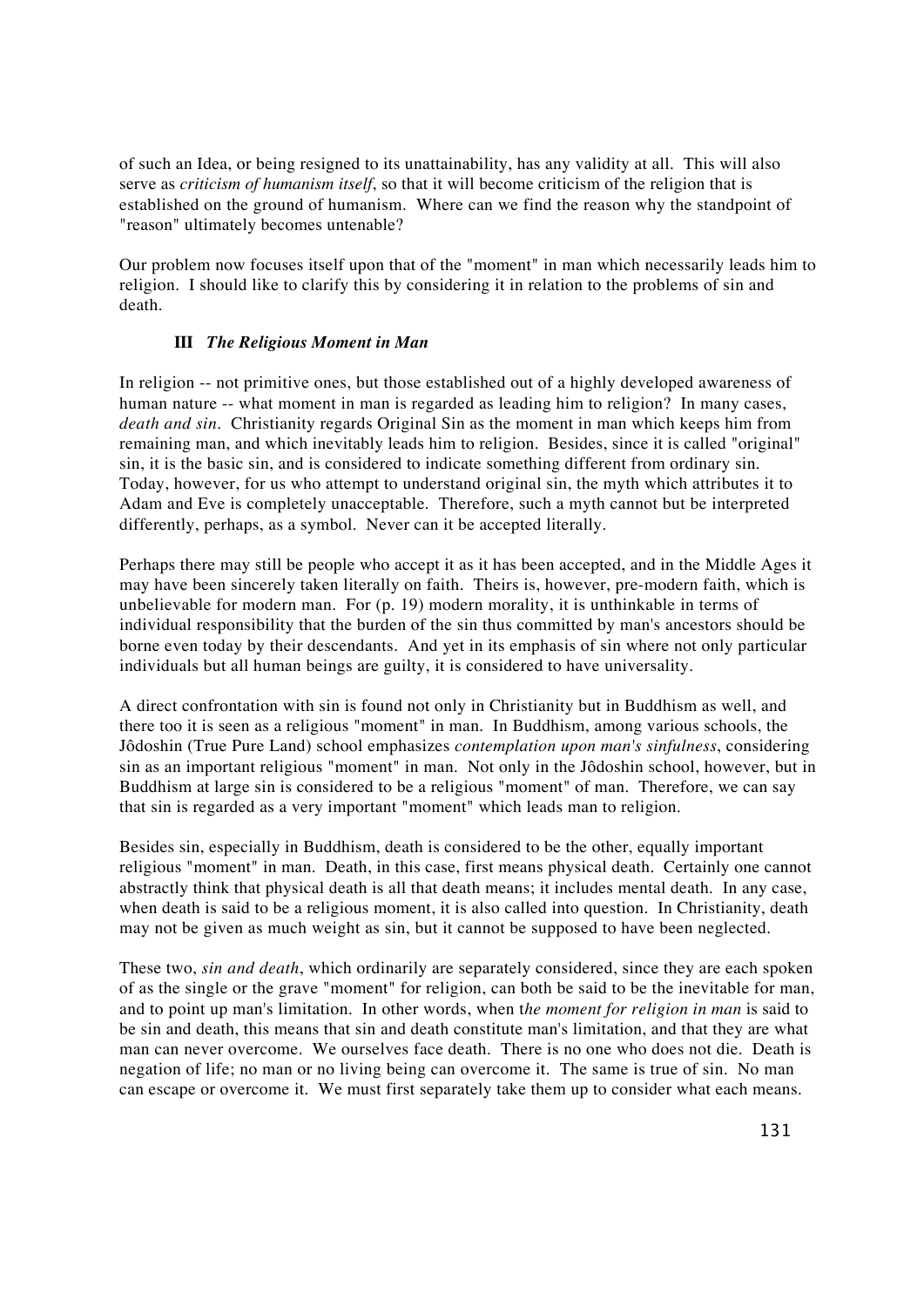of such an Idea, or being resigned to its unattainability, has any validity at all. This will also serve as *criticism of humanism itself*, so that it will become criticism of the religion that is established on the ground of humanism. Where can we find the reason why the standpoint of "reason" ultimately becomes untenable?

Our problem now focuses itself upon that of the "moment" in man which necessarily leads him to religion. I should like to clarify this by considering it in relation to the problems of sin and death.

## **III** *The Religious Moment in Man*

In religion -- not primitive ones, but those established out of a highly developed awareness of human nature -- what moment in man is regarded as leading him to religion? In many cases, *death and sin*. Christianity regards Original Sin as the moment in man which keeps him from remaining man, and which inevitably leads him to religion. Besides, since it is called "original" sin, it is the basic sin, and is considered to indicate something different from ordinary sin. Today, however, for us who attempt to understand original sin, the myth which attributes it to Adam and Eve is completely unacceptable. Therefore, such a myth cannot but be interpreted differently, perhaps, as a symbol. Never can it be accepted literally.

Perhaps there may still be people who accept it as it has been accepted, and in the Middle Ages it may have been sincerely taken literally on faith. Theirs is, however, pre-modern faith, which is unbelievable for modern man. For (p. 19) modern morality, it is unthinkable in terms of individual responsibility that the burden of the sin thus committed by man's ancestors should be borne even today by their descendants. And yet in its emphasis of sin where not only particular individuals but all human beings are guilty, it is considered to have universality.

A direct confrontation with sin is found not only in Christianity but in Buddhism as well, and there too it is seen as a religious "moment" in man. In Buddhism, among various schools, the Jôdoshin (True Pure Land) school emphasizes *contemplation upon man's sinfulness*, considering sin as an important religious "moment" in man. Not only in the Jôdoshin school, however, but in Buddhism at large sin is considered to be a religious "moment" of man. Therefore, we can say that sin is regarded as a very important "moment" which leads man to religion.

Besides sin, especially in Buddhism, death is considered to be the other, equally important religious "moment" in man. Death, in this case, first means physical death. Certainly one cannot abstractly think that physical death is all that death means; it includes mental death. In any case, when death is said to be a religious moment, it is also called into question. In Christianity, death may not be given as much weight as sin, but it cannot be supposed to have been neglected.

These two, *sin and death*, which ordinarily are separately considered, since they are each spoken of as the single or the grave "moment" for religion, can both be said to be the inevitable for man, and to point up man's limitation. In other words, when t*he moment for religion in man* is said to be sin and death, this means that sin and death constitute man's limitation, and that they are what man can never overcome. We ourselves face death. There is no one who does not die. Death is negation of life; no man or no living being can overcome it. The same is true of sin. No man can escape or overcome it. We must first separately take them up to consider what each means.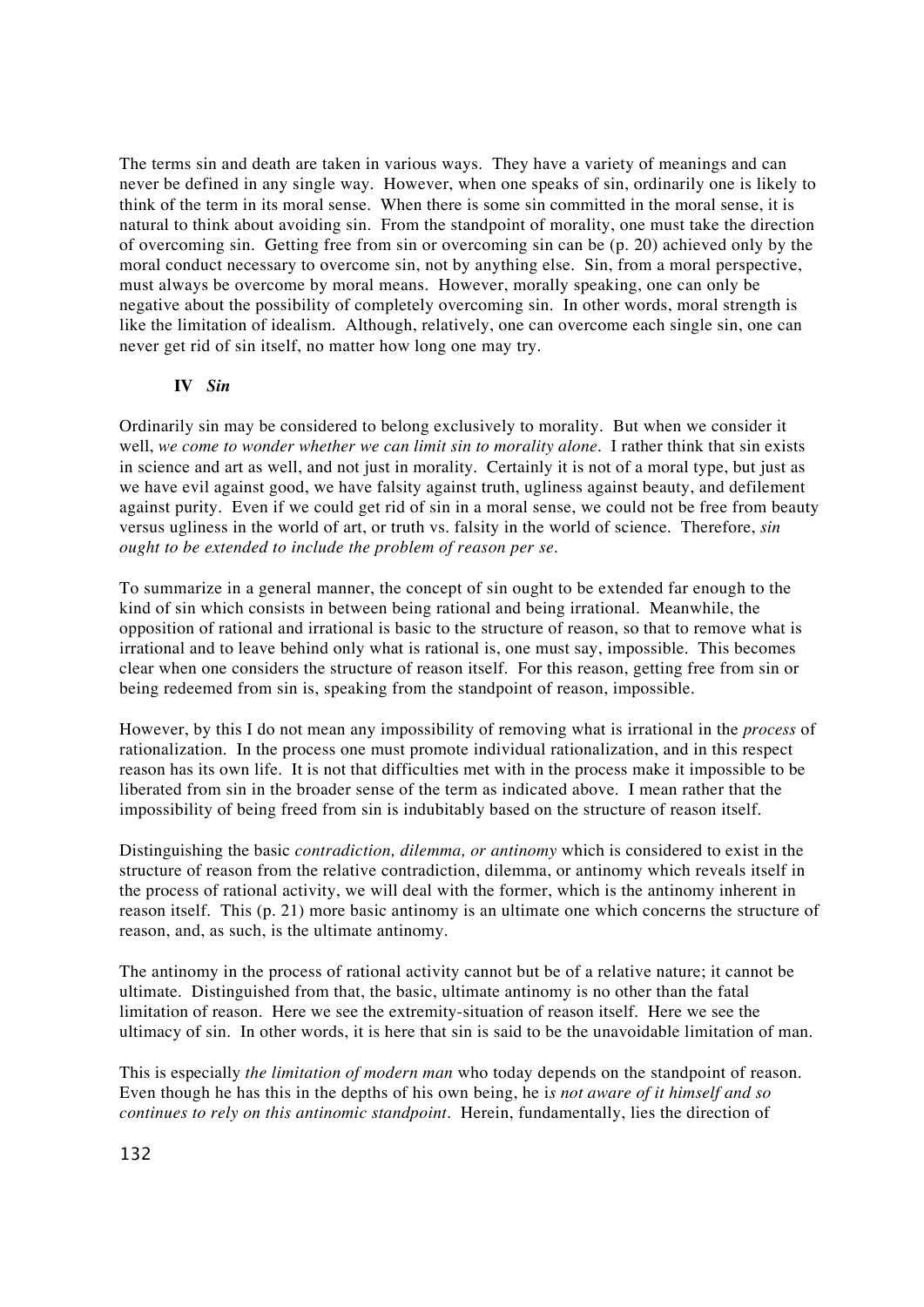The terms sin and death are taken in various ways. They have a variety of meanings and can never be defined in any single way. However, when one speaks of sin, ordinarily one is likely to think of the term in its moral sense. When there is some sin committed in the moral sense, it is natural to think about avoiding sin. From the standpoint of morality, one must take the direction of overcoming sin. Getting free from sin or overcoming sin can be (p. 20) achieved only by the moral conduct necessary to overcome sin, not by anything else. Sin, from a moral perspective, must always be overcome by moral means. However, morally speaking, one can only be negative about the possibility of completely overcoming sin. In other words, moral strength is like the limitation of idealism. Although, relatively, one can overcome each single sin, one can never get rid of sin itself, no matter how long one may try.

## **IV** *Sin*

Ordinarily sin may be considered to belong exclusively to morality. But when we consider it well, *we come to wonder whether we can limit sin to morality alone*. I rather think that sin exists in science and art as well, and not just in morality. Certainly it is not of a moral type, but just as we have evil against good, we have falsity against truth, ugliness against beauty, and defilement against purity. Even if we could get rid of sin in a moral sense, we could not be free from beauty versus ugliness in the world of art, or truth vs. falsity in the world of science. Therefore, *sin ought to be extended to include the problem of reason per se*.

To summarize in a general manner, the concept of sin ought to be extended far enough to the kind of sin which consists in between being rational and being irrational. Meanwhile, the opposition of rational and irrational is basic to the structure of reason, so that to remove what is irrational and to leave behind only what is rational is, one must say, impossible. This becomes clear when one considers the structure of reason itself. For this reason, getting free from sin or being redeemed from sin is, speaking from the standpoint of reason, impossible.

However, by this I do not mean any impossibility of removing what is irrational in the *process* of rationalization. In the process one must promote individual rationalization, and in this respect reason has its own life. It is not that difficulties met with in the process make it impossible to be liberated from sin in the broader sense of the term as indicated above. I mean rather that the impossibility of being freed from sin is indubitably based on the structure of reason itself.

Distinguishing the basic *contradiction, dilemma, or antinomy* which is considered to exist in the structure of reason from the relative contradiction, dilemma, or antinomy which reveals itself in the process of rational activity, we will deal with the former, which is the antinomy inherent in reason itself. This (p. 21) more basic antinomy is an ultimate one which concerns the structure of reason, and, as such, is the ultimate antinomy.

The antinomy in the process of rational activity cannot but be of a relative nature; it cannot be ultimate. Distinguished from that, the basic, ultimate antinomy is no other than the fatal limitation of reason. Here we see the extremity-situation of reason itself. Here we see the ultimacy of sin. In other words, it is here that sin is said to be the unavoidable limitation of man.

This is especially *the limitation of modern man* who today depends on the standpoint of reason. Even though he has this in the depths of his own being, he i*s not aware of it himself and so continues to rely on this antinomic standpoint.* Herein, fundamentally, lies the direction of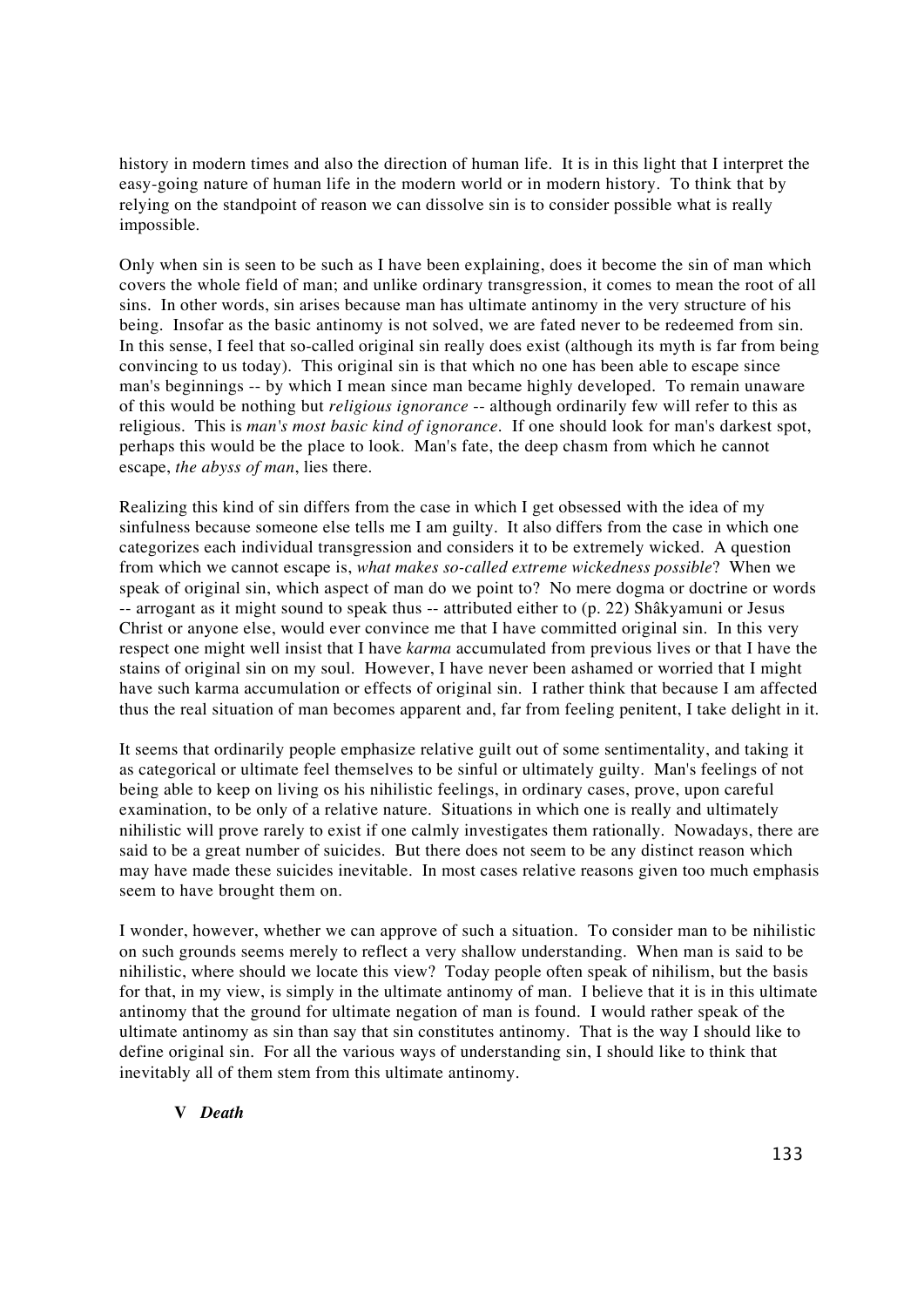history in modern times and also the direction of human life. It is in this light that I interpret the easy-going nature of human life in the modern world or in modern history. To think that by relying on the standpoint of reason we can dissolve sin is to consider possible what is really impossible.

Only when sin is seen to be such as I have been explaining, does it become the sin of man which covers the whole field of man; and unlike ordinary transgression, it comes to mean the root of all sins. In other words, sin arises because man has ultimate antinomy in the very structure of his being. Insofar as the basic antinomy is not solved, we are fated never to be redeemed from sin. In this sense, I feel that so-called original sin really does exist (although its myth is far from being convincing to us today). This original sin is that which no one has been able to escape since man's beginnings -- by which I mean since man became highly developed. To remain unaware of this would be nothing but *religious ignorance* -- although ordinarily few will refer to this as religious. This is *man's most basic kind of ignorance*. If one should look for man's darkest spot, perhaps this would be the place to look. Man's fate, the deep chasm from which he cannot escape, *the abyss of man*, lies there.

Realizing this kind of sin differs from the case in which I get obsessed with the idea of my sinfulness because someone else tells me I am guilty. It also differs from the case in which one categorizes each individual transgression and considers it to be extremely wicked. A question from which we cannot escape is, *what makes so-called extreme wickedness possible*? When we speak of original sin, which aspect of man do we point to? No mere dogma or doctrine or words -- arrogant as it might sound to speak thus -- attributed either to (p. 22) Shâkyamuni or Jesus Christ or anyone else, would ever convince me that I have committed original sin. In this very respect one might well insist that I have *karma* accumulated from previous lives or that I have the stains of original sin on my soul. However, I have never been ashamed or worried that I might have such karma accumulation or effects of original sin. I rather think that because I am affected thus the real situation of man becomes apparent and, far from feeling penitent, I take delight in it.

It seems that ordinarily people emphasize relative guilt out of some sentimentality, and taking it as categorical or ultimate feel themselves to be sinful or ultimately guilty. Man's feelings of not being able to keep on living os his nihilistic feelings, in ordinary cases, prove, upon careful examination, to be only of a relative nature. Situations in which one is really and ultimately nihilistic will prove rarely to exist if one calmly investigates them rationally. Nowadays, there are said to be a great number of suicides. But there does not seem to be any distinct reason which may have made these suicides inevitable. In most cases relative reasons given too much emphasis seem to have brought them on.

I wonder, however, whether we can approve of such a situation. To consider man to be nihilistic on such grounds seems merely to reflect a very shallow understanding. When man is said to be nihilistic, where should we locate this view? Today people often speak of nihilism, but the basis for that, in my view, is simply in the ultimate antinomy of man. I believe that it is in this ultimate antinomy that the ground for ultimate negation of man is found. I would rather speak of the ultimate antinomy as sin than say that sin constitutes antinomy. That is the way I should like to define original sin. For all the various ways of understanding sin, I should like to think that inevitably all of them stem from this ultimate antinomy.

**V** *Death*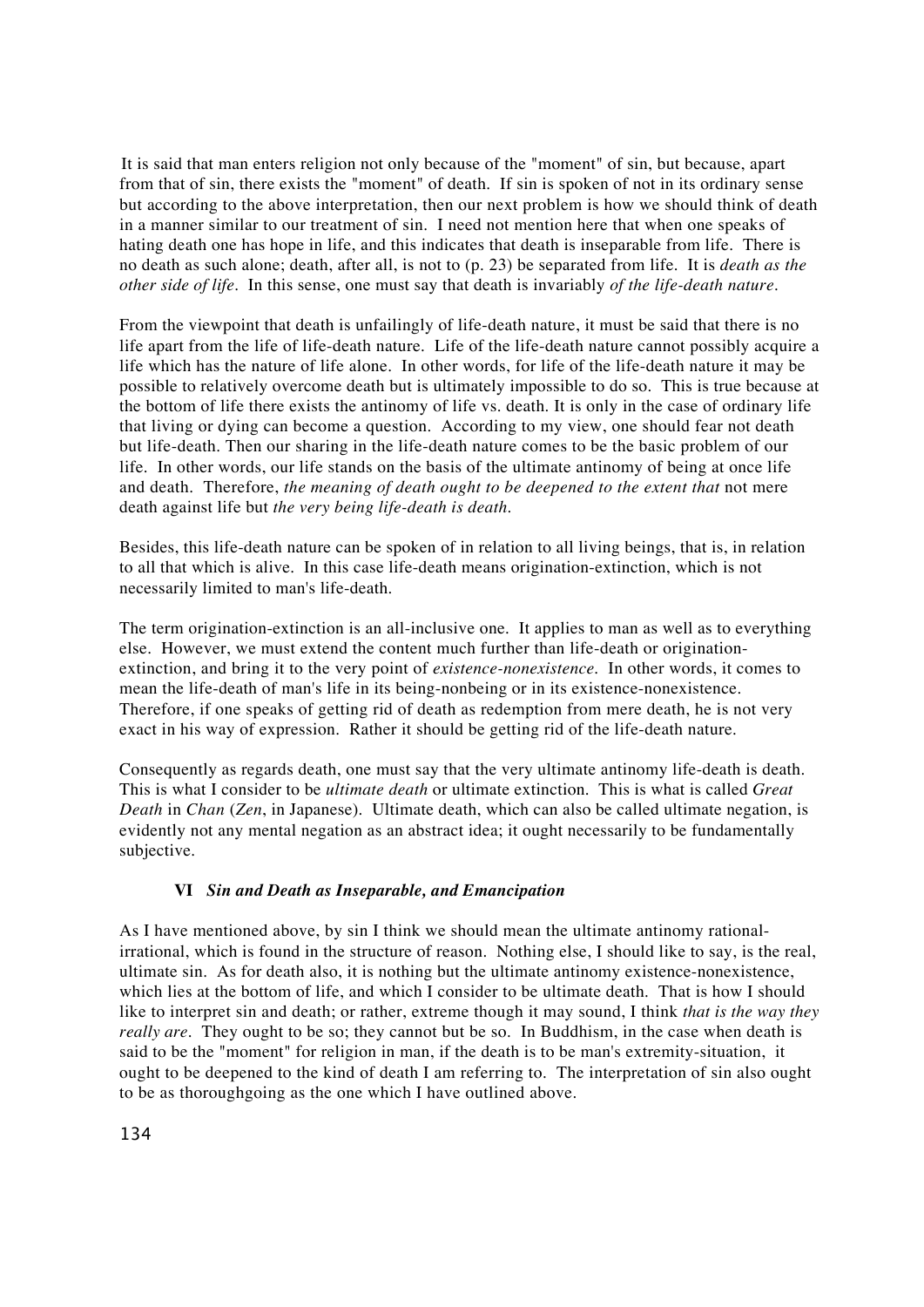It is said that man enters religion not only because of the "moment" of sin, but because, apart from that of sin, there exists the "moment" of death. If sin is spoken of not in its ordinary sense but according to the above interpretation, then our next problem is how we should think of death in a manner similar to our treatment of sin. I need not mention here that when one speaks of hating death one has hope in life, and this indicates that death is inseparable from life. There is no death as such alone; death, after all, is not to (p. 23) be separated from life. It is *death as the other side of life.* In this sense, one must say that death is invariably *of the life-death nature*.

From the viewpoint that death is unfailingly of life-death nature, it must be said that there is no life apart from the life of life-death nature. Life of the life-death nature cannot possibly acquire a life which has the nature of life alone. In other words, for life of the life-death nature it may be possible to relatively overcome death but is ultimately impossible to do so. This is true because at the bottom of life there exists the antinomy of life vs. death. It is only in the case of ordinary life that living or dying can become a question. According to my view, one should fear not death but life-death. Then our sharing in the life-death nature comes to be the basic problem of our life. In other words, our life stands on the basis of the ultimate antinomy of being at once life and death. Therefore, *the meaning of death ought to be deepened to the extent that* not mere death against life but *the very being life-death is death*.

Besides, this life-death nature can be spoken of in relation to all living beings, that is, in relation to all that which is alive. In this case life-death means origination-extinction, which is not necessarily limited to man's life-death.

The term origination-extinction is an all-inclusive one. It applies to man as well as to everything else. However, we must extend the content much further than life-death or originationextinction, and bring it to the very point of *existence-nonexistence*. In other words, it comes to mean the life-death of man's life in its being-nonbeing or in its existence-nonexistence. Therefore, if one speaks of getting rid of death as redemption from mere death, he is not very exact in his way of expression. Rather it should be getting rid of the life-death nature.

Consequently as regards death, one must say that the very ultimate antinomy life-death is death. This is what I consider to be *ultimate death* or ultimate extinction. This is what is called *Great Death* in *Chan* (*Zen*, in Japanese). Ultimate death, which can also be called ultimate negation, is evidently not any mental negation as an abstract idea; it ought necessarily to be fundamentally subjective.

# **VI** *Sin and Death as Inseparable, and Emancipation*

As I have mentioned above, by sin I think we should mean the ultimate antinomy rationalirrational, which is found in the structure of reason. Nothing else, I should like to say, is the real, ultimate sin. As for death also, it is nothing but the ultimate antinomy existence-nonexistence, which lies at the bottom of life, and which I consider to be ultimate death. That is how I should like to interpret sin and death; or rather, extreme though it may sound, I think *that is the way they really are.* They ought to be so; they cannot but be so. In Buddhism, in the case when death is said to be the "moment" for religion in man, if the death is to be man's extremity-situation, it ought to be deepened to the kind of death I am referring to. The interpretation of sin also ought to be as thoroughgoing as the one which I have outlined above.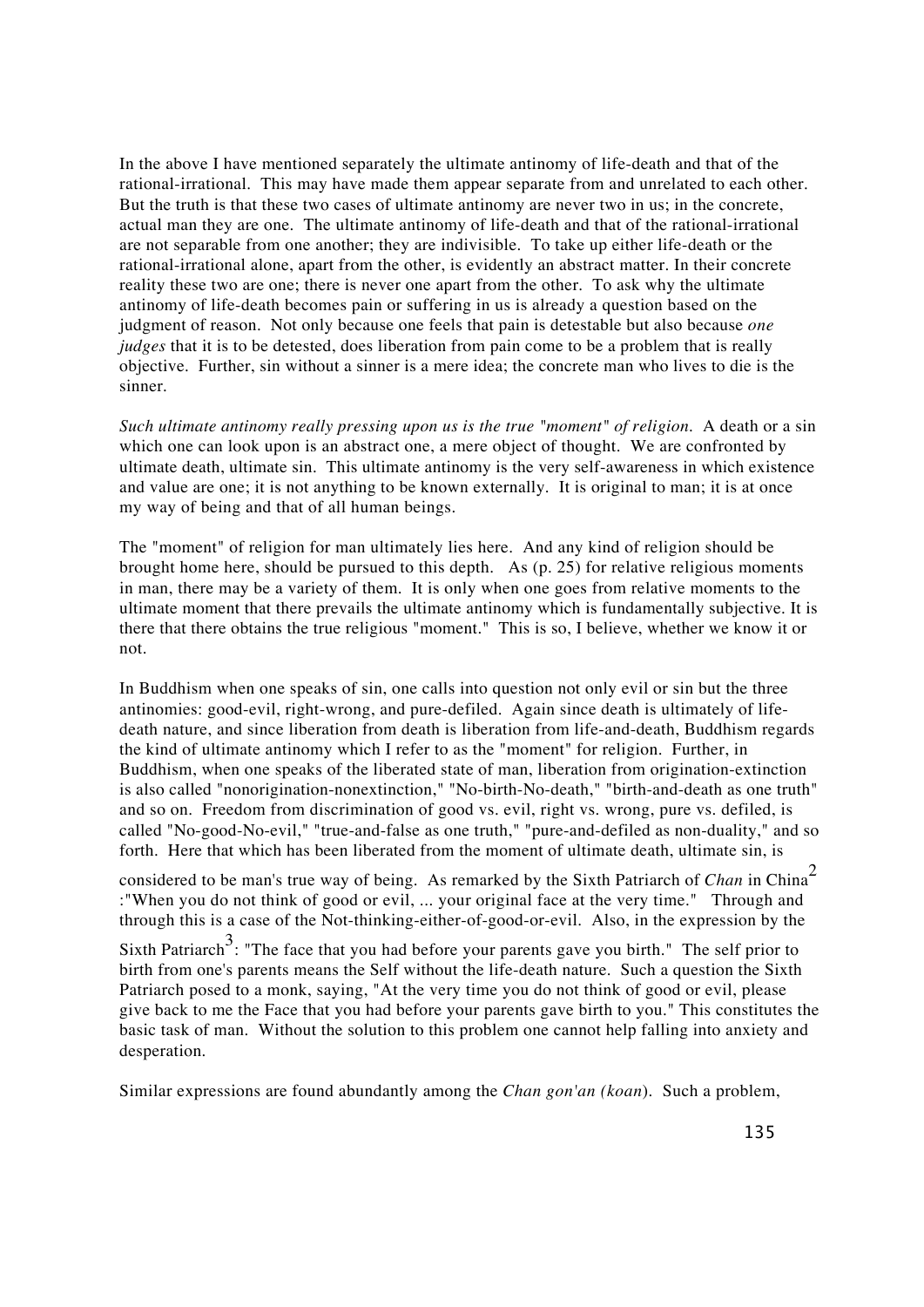In the above I have mentioned separately the ultimate antinomy of life-death and that of the rational-irrational. This may have made them appear separate from and unrelated to each other. But the truth is that these two cases of ultimate antinomy are never two in us; in the concrete, actual man they are one. The ultimate antinomy of life-death and that of the rational-irrational are not separable from one another; they are indivisible. To take up either life-death or the rational-irrational alone, apart from the other, is evidently an abstract matter. In their concrete reality these two are one; there is never one apart from the other. To ask why the ultimate antinomy of life-death becomes pain or suffering in us is already a question based on the judgment of reason. Not only because one feels that pain is detestable but also because *one judges* that it is to be detested, does liberation from pain come to be a problem that is really objective. Further, sin without a sinner is a mere idea; the concrete man who lives to die is the sinner.

*Such ultimate antinomy really pressing upon us is the true "moment" of religion*. A death or a sin which one can look upon is an abstract one, a mere object of thought. We are confronted by ultimate death, ultimate sin. This ultimate antinomy is the very self-awareness in which existence and value are one; it is not anything to be known externally. It is original to man; it is at once my way of being and that of all human beings.

The "moment" of religion for man ultimately lies here. And any kind of religion should be brought home here, should be pursued to this depth. As (p. 25) for relative religious moments in man, there may be a variety of them. It is only when one goes from relative moments to the ultimate moment that there prevails the ultimate antinomy which is fundamentally subjective. It is there that there obtains the true religious "moment." This is so, I believe, whether we know it or not.

In Buddhism when one speaks of sin, one calls into question not only evil or sin but the three antinomies: good-evil, right-wrong, and pure-defiled. Again since death is ultimately of lifedeath nature, and since liberation from death is liberation from life-and-death, Buddhism regards the kind of ultimate antinomy which I refer to as the "moment" for religion. Further, in Buddhism, when one speaks of the liberated state of man, liberation from origination-extinction is also called "nonorigination-nonextinction," "No-birth-No-death," "birth-and-death as one truth" and so on. Freedom from discrimination of good vs. evil, right vs. wrong, pure vs. defiled, is called "No-good-No-evil," "true-and-false as one truth," "pure-and-defiled as non-duality," and so forth. Here that which has been liberated from the moment of ultimate death, ultimate sin, is

considered to be man's true way of being. As remarked by the Sixth Patriarch of *Chan* in China<sup>2</sup> :"When you do not think of good or evil, ... your original face at the very time." Through and through this is a case of the Not-thinking-either-of-good-or-evil. Also, in the expression by the Sixth Patriarch<sup>3</sup>: "The face that you had before your parents gave you birth." The self prior to birth from one's parents means the Self without the life-death nature. Such a question the Sixth Patriarch posed to a monk, saying, "At the very time you do not think of good or evil, please give back to me the Face that you had before your parents gave birth to you." This constitutes the basic task of man. Without the solution to this problem one cannot help falling into anxiety and desperation.

Similar expressions are found abundantly among the *Chan gon'an (koan*). Such a problem,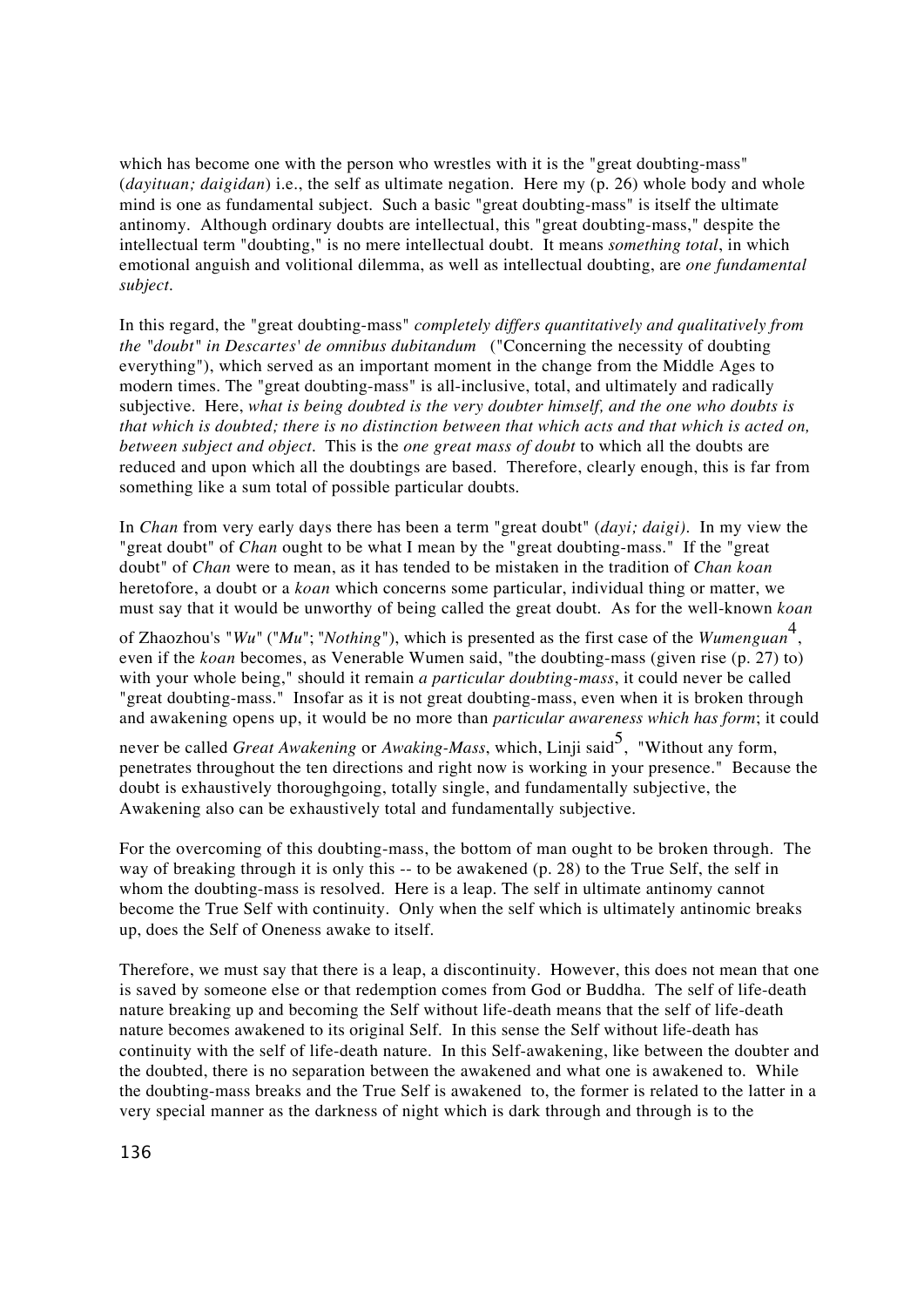which has become one with the person who wrestles with it is the "great doubting-mass" (*dayituan; daigidan*) i.e., the self as ultimate negation. Here my (p. 26) whole body and whole mind is one as fundamental subject. Such a basic "great doubting-mass" is itself the ultimate antinomy. Although ordinary doubts are intellectual, this "great doubting-mass," despite the intellectual term "doubting," is no mere intellectual doubt. It means *something total*, in which emotional anguish and volitional dilemma, as well as intellectual doubting, are *one fundamental subject*.

In this regard, the "great doubting-mass" *completely differs quantitatively and qualitatively from the "doubt" in Descartes' de omnibus dubitandum* ("Concerning the necessity of doubting everything"), which served as an important moment in the change from the Middle Ages to modern times. The "great doubting-mass" is all-inclusive, total, and ultimately and radically subjective. Here, *what is being doubted is the very doubter himself, and the one who doubts is that which is doubted; there is no distinction between that which acts and that which is acted on, between subject and object*. This is the *one great mass of doubt* to which all the doubts are reduced and upon which all the doubtings are based. Therefore, clearly enough, this is far from something like a sum total of possible particular doubts.

In *Chan* from very early days there has been a term "great doubt" (*dayi; daigi)*. In my view the "great doubt" of *Chan* ought to be what I mean by the "great doubting-mass." If the "great doubt" of *Chan* were to mean, as it has tended to be mistaken in the tradition of *Chan koan* heretofore, a doubt or a *koan* which concerns some particular, individual thing or matter, we must say that it would be unworthy of being called the great doubt. As for the well-known *koan*

of Zhaozhou's "Wu" ("Mu"; "Nothing"), which is presented as the first case of the *Wumenguan*<sup>4</sup>, even if the *koan* becomes, as Venerable Wumen said, "the doubting-mass (given rise (p. 27) to) with your whole being," should it remain *a particular doubting-mass*, it could never be called "great doubting-mass." Insofar as it is not great doubting-mass, even when it is broken through and awakening opens up, it would be no more than *particular awareness which has form*; it could

never be called *Great Awakening* or *Awaking-Mass*, which, Linji said<sup>5</sup>, "Without any form, penetrates throughout the ten directions and right now is working in your presence." Because the doubt is exhaustively thoroughgoing, totally single, and fundamentally subjective, the Awakening also can be exhaustively total and fundamentally subjective.

For the overcoming of this doubting-mass, the bottom of man ought to be broken through. The way of breaking through it is only this -- to be awakened (p. 28) to the True Self, the self in whom the doubting-mass is resolved. Here is a leap. The self in ultimate antinomy cannot become the True Self with continuity. Only when the self which is ultimately antinomic breaks up, does the Self of Oneness awake to itself.

Therefore, we must say that there is a leap, a discontinuity. However, this does not mean that one is saved by someone else or that redemption comes from God or Buddha. The self of life-death nature breaking up and becoming the Self without life-death means that the self of life-death nature becomes awakened to its original Self. In this sense the Self without life-death has continuity with the self of life-death nature. In this Self-awakening, like between the doubter and the doubted, there is no separation between the awakened and what one is awakened to. While the doubting-mass breaks and the True Self is awakened to, the former is related to the latter in a very special manner as the darkness of night which is dark through and through is to the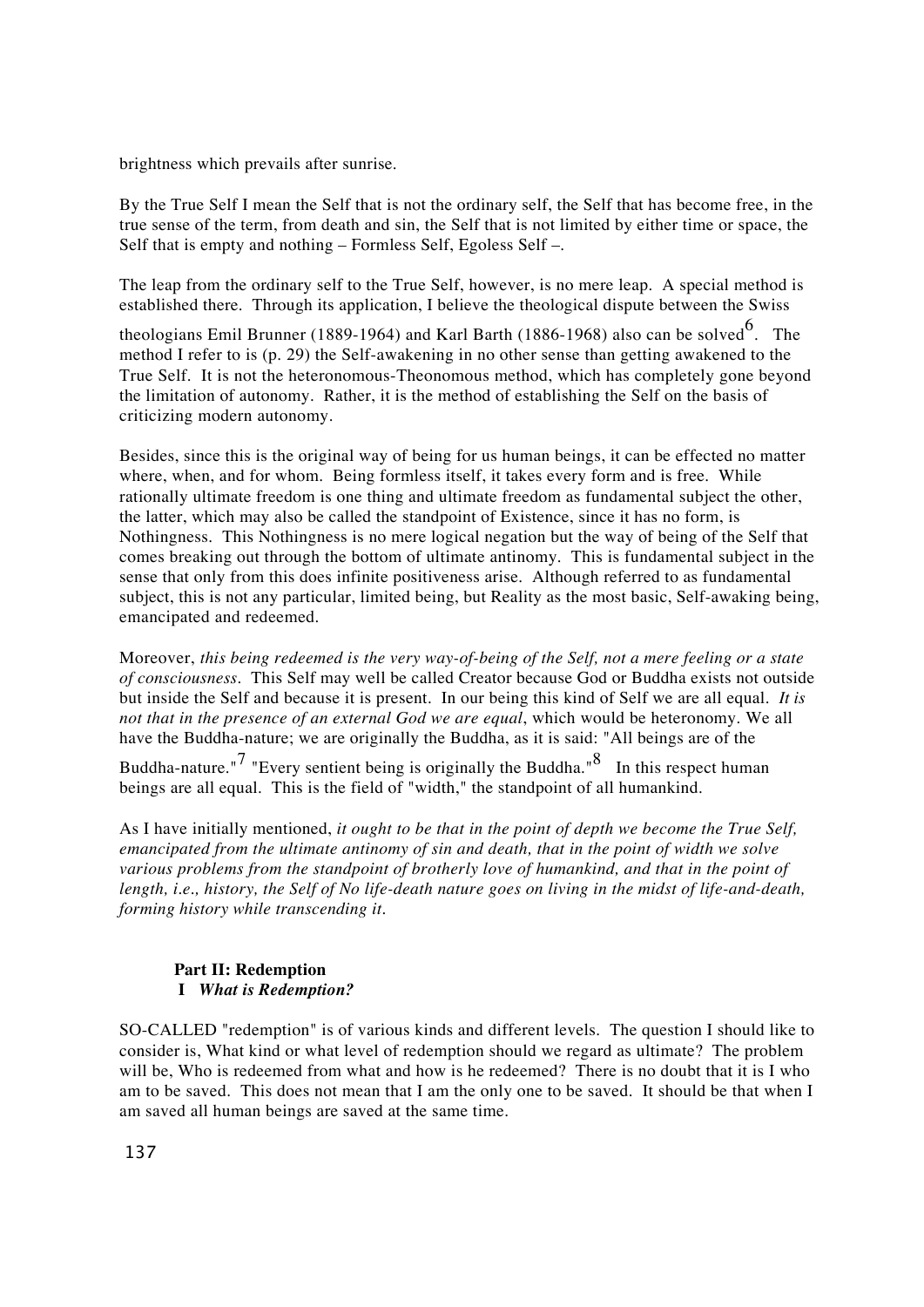brightness which prevails after sunrise.

By the True Self I mean the Self that is not the ordinary self, the Self that has become free, in the true sense of the term, from death and sin, the Self that is not limited by either time or space, the Self that is empty and nothing – Formless Self, Egoless Self –.

The leap from the ordinary self to the True Self, however, is no mere leap. A special method is established there. Through its application, I believe the theological dispute between the Swiss

theologians Emil Brunner (1889-1964) and Karl Barth (1886-1968) also can be solved  $6$ . The method I refer to is (p. 29) the Self-awakening in no other sense than getting awakened to the True Self. It is not the heteronomous-Theonomous method, which has completely gone beyond the limitation of autonomy. Rather, it is the method of establishing the Self on the basis of criticizing modern autonomy.

Besides, since this is the original way of being for us human beings, it can be effected no matter where, when, and for whom. Being formless itself, it takes every form and is free. While rationally ultimate freedom is one thing and ultimate freedom as fundamental subject the other, the latter, which may also be called the standpoint of Existence, since it has no form, is Nothingness. This Nothingness is no mere logical negation but the way of being of the Self that comes breaking out through the bottom of ultimate antinomy. This is fundamental subject in the sense that only from this does infinite positiveness arise. Although referred to as fundamental subject, this is not any particular, limited being, but Reality as the most basic, Self-awaking being, emancipated and redeemed.

Moreover, *this being redeemed is the very way-of-being of the Self, not a mere feeling or a state of consciousness*. This Self may well be called Creator because God or Buddha exists not outside but inside the Self and because it is present. In our being this kind of Self we are all equal. *It is not that in the presence of an external God we are equal*, which would be heteronomy. We all have the Buddha-nature; we are originally the Buddha, as it is said: "All beings are of the Buddha-nature."<sup>7</sup> "Every sentient being is originally the Buddha."<sup>8</sup> In this respect human

beings are all equal. This is the field of "width," the standpoint of all humankind.

As I have initially mentioned, *it ought to be that in the point of depth we become the True Self, emancipated from the ultimate antinomy of sin and death, that in the point of width we solve various problems from the standpoint of brotherly love of humankind, and that in the point of length, i.e., history, the Self of No life-death nature goes on living in the midst of life-and-death, forming history while transcending it.*

## **Part II: Redemption I** *What is Redemption?*

SO-CALLED "redemption" is of various kinds and different levels. The question I should like to consider is, What kind or what level of redemption should we regard as ultimate? The problem will be, Who is redeemed from what and how is he redeemed? There is no doubt that it is I who am to be saved. This does not mean that I am the only one to be saved. It should be that when I am saved all human beings are saved at the same time.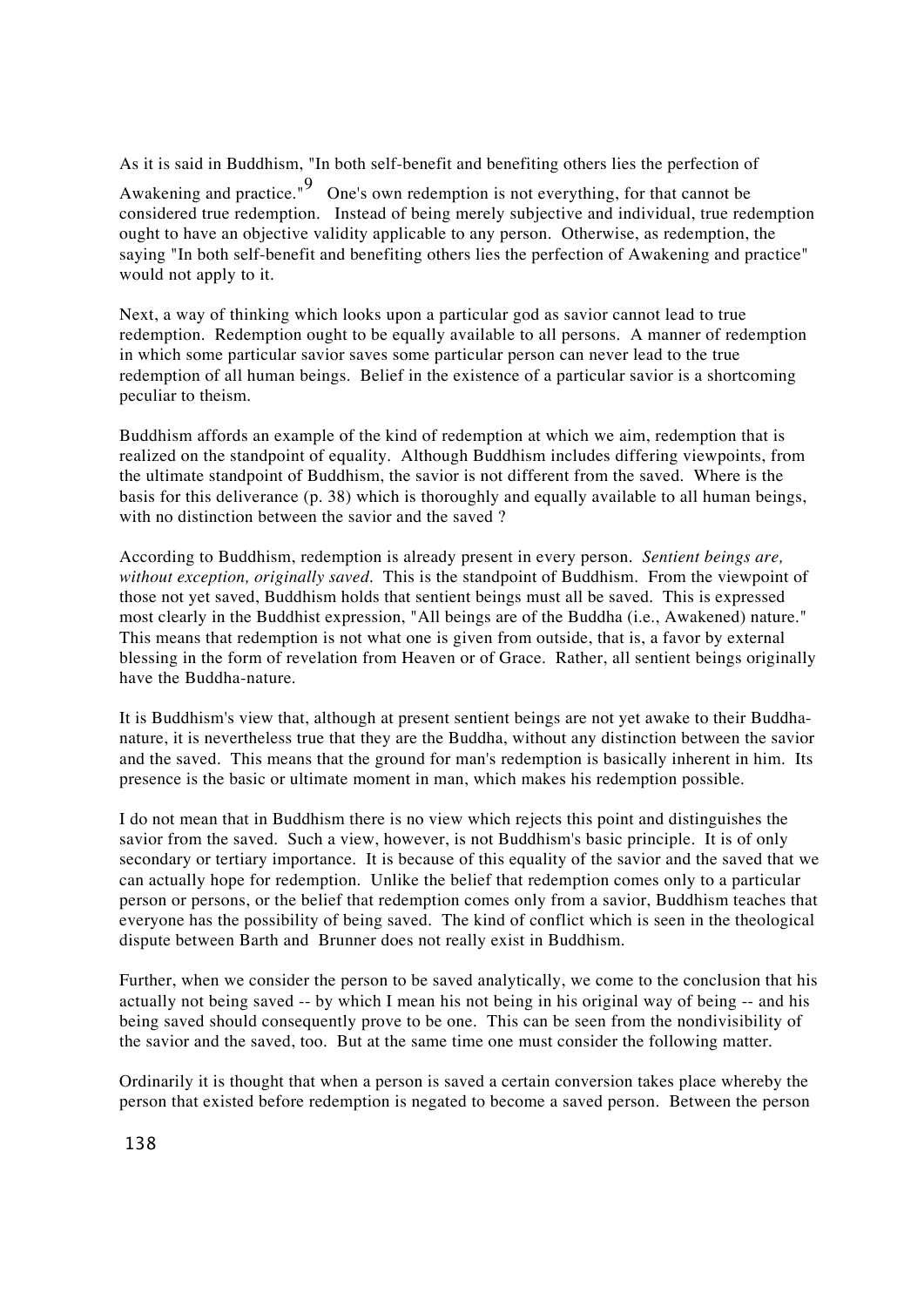As it is said in Buddhism, "In both self-benefit and benefiting others lies the perfection of Awakening and practice."<sup>9</sup> One's own redemption is not everything, for that cannot be considered true redemption. Instead of being merely subjective and individual, true redemption ought to have an objective validity applicable to any person. Otherwise, as redemption, the saying "In both self-benefit and benefiting others lies the perfection of Awakening and practice" would not apply to it.

Next, a way of thinking which looks upon a particular god as savior cannot lead to true redemption. Redemption ought to be equally available to all persons. A manner of redemption in which some particular savior saves some particular person can never lead to the true redemption of all human beings. Belief in the existence of a particular savior is a shortcoming peculiar to theism.

Buddhism affords an example of the kind of redemption at which we aim, redemption that is realized on the standpoint of equality. Although Buddhism includes differing viewpoints, from the ultimate standpoint of Buddhism, the savior is not different from the saved. Where is the basis for this deliverance (p. 38) which is thoroughly and equally available to all human beings, with no distinction between the savior and the saved ?

According to Buddhism, redemption is already present in every person. *Sentient beings are, without exception, originally saved*. This is the standpoint of Buddhism. From the viewpoint of those not yet saved, Buddhism holds that sentient beings must all be saved. This is expressed most clearly in the Buddhist expression, "All beings are of the Buddha (i.e., Awakened) nature." This means that redemption is not what one is given from outside, that is, a favor by external blessing in the form of revelation from Heaven or of Grace. Rather, all sentient beings originally have the Buddha-nature.

It is Buddhism's view that, although at present sentient beings are not yet awake to their Buddhanature, it is nevertheless true that they are the Buddha, without any distinction between the savior and the saved. This means that the ground for man's redemption is basically inherent in him. Its presence is the basic or ultimate moment in man, which makes his redemption possible.

I do not mean that in Buddhism there is no view which rejects this point and distinguishes the savior from the saved. Such a view, however, is not Buddhism's basic principle. It is of only secondary or tertiary importance. It is because of this equality of the savior and the saved that we can actually hope for redemption. Unlike the belief that redemption comes only to a particular person or persons, or the belief that redemption comes only from a savior, Buddhism teaches that everyone has the possibility of being saved. The kind of conflict which is seen in the theological dispute between Barth and Brunner does not really exist in Buddhism.

Further, when we consider the person to be saved analytically, we come to the conclusion that his actually not being saved -- by which I mean his not being in his original way of being -- and his being saved should consequently prove to be one. This can be seen from the nondivisibility of the savior and the saved, too. But at the same time one must consider the following matter.

Ordinarily it is thought that when a person is saved a certain conversion takes place whereby the person that existed before redemption is negated to become a saved person. Between the person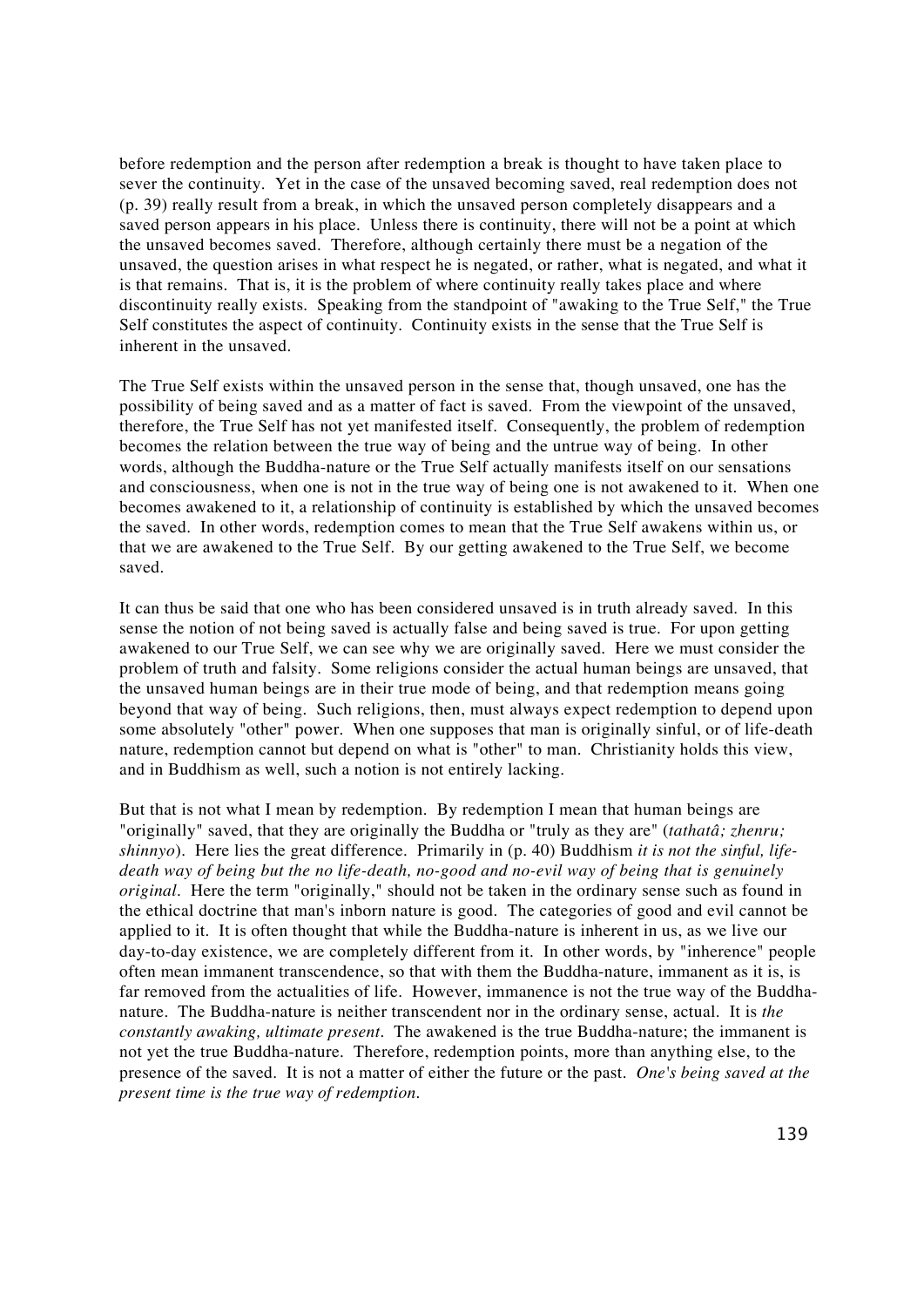before redemption and the person after redemption a break is thought to have taken place to sever the continuity. Yet in the case of the unsaved becoming saved, real redemption does not (p. 39) really result from a break, in which the unsaved person completely disappears and a saved person appears in his place. Unless there is continuity, there will not be a point at which the unsaved becomes saved. Therefore, although certainly there must be a negation of the unsaved, the question arises in what respect he is negated, or rather, what is negated, and what it is that remains. That is, it is the problem of where continuity really takes place and where discontinuity really exists. Speaking from the standpoint of "awaking to the True Self," the True Self constitutes the aspect of continuity. Continuity exists in the sense that the True Self is inherent in the unsaved.

The True Self exists within the unsaved person in the sense that, though unsaved, one has the possibility of being saved and as a matter of fact is saved. From the viewpoint of the unsaved, therefore, the True Self has not yet manifested itself. Consequently, the problem of redemption becomes the relation between the true way of being and the untrue way of being. In other words, although the Buddha-nature or the True Self actually manifests itself on our sensations and consciousness, when one is not in the true way of being one is not awakened to it. When one becomes awakened to it, a relationship of continuity is established by which the unsaved becomes the saved. In other words, redemption comes to mean that the True Self awakens within us, or that we are awakened to the True Self. By our getting awakened to the True Self, we become saved.

It can thus be said that one who has been considered unsaved is in truth already saved. In this sense the notion of not being saved is actually false and being saved is true. For upon getting awakened to our True Self, we can see why we are originally saved. Here we must consider the problem of truth and falsity. Some religions consider the actual human beings are unsaved, that the unsaved human beings are in their true mode of being, and that redemption means going beyond that way of being. Such religions, then, must always expect redemption to depend upon some absolutely "other" power. When one supposes that man is originally sinful, or of life-death nature, redemption cannot but depend on what is "other" to man. Christianity holds this view, and in Buddhism as well, such a notion is not entirely lacking.

But that is not what I mean by redemption. By redemption I mean that human beings are "originally" saved, that they are originally the Buddha or "truly as they are" (*tathatâ; zhenru; shinnyo*). Here lies the great difference. Primarily in (p. 40) Buddhism *it is not the sinful, lifedeath way of being but the no life-death, no-good and no-evil way of being that is genuinely original*. Here the term "originally," should not be taken in the ordinary sense such as found in the ethical doctrine that man's inborn nature is good. The categories of good and evil cannot be applied to it. It is often thought that while the Buddha-nature is inherent in us, as we live our day-to-day existence, we are completely different from it. In other words, by "inherence" people often mean immanent transcendence, so that with them the Buddha-nature, immanent as it is, is far removed from the actualities of life. However, immanence is not the true way of the Buddhanature. The Buddha-nature is neither transcendent nor in the ordinary sense, actual. It is *the constantly awaking, ultimate present*. The awakened is the true Buddha-nature; the immanent is not yet the true Buddha-nature. Therefore, redemption points, more than anything else, to the presence of the saved. It is not a matter of either the future or the past. *One's being saved at the present time is the true way of redemption*.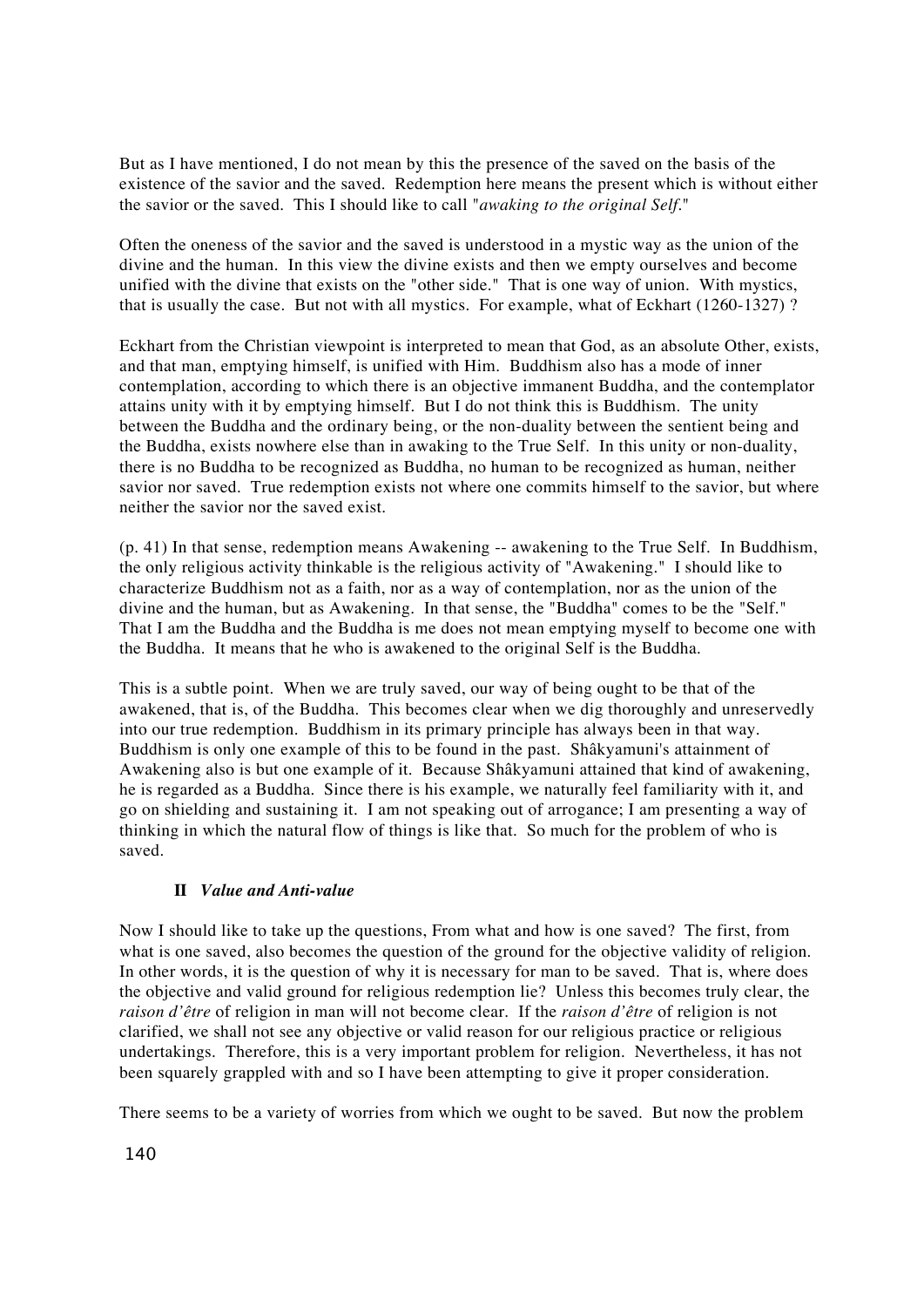But as I have mentioned, I do not mean by this the presence of the saved on the basis of the existence of the savior and the saved. Redemption here means the present which is without either the savior or the saved. This I should like to call "*awaking to the original Self*."

Often the oneness of the savior and the saved is understood in a mystic way as the union of the divine and the human. In this view the divine exists and then we empty ourselves and become unified with the divine that exists on the "other side." That is one way of union. With mystics, that is usually the case. But not with all mystics. For example, what of Eckhart (1260-1327) ?

Eckhart from the Christian viewpoint is interpreted to mean that God, as an absolute Other, exists, and that man, emptying himself, is unified with Him. Buddhism also has a mode of inner contemplation, according to which there is an objective immanent Buddha, and the contemplator attains unity with it by emptying himself. But I do not think this is Buddhism. The unity between the Buddha and the ordinary being, or the non-duality between the sentient being and the Buddha, exists nowhere else than in awaking to the True Self. In this unity or non-duality, there is no Buddha to be recognized as Buddha, no human to be recognized as human, neither savior nor saved. True redemption exists not where one commits himself to the savior, but where neither the savior nor the saved exist.

(p. 41) In that sense, redemption means Awakening -- awakening to the True Self. In Buddhism, the only religious activity thinkable is the religious activity of "Awakening." I should like to characterize Buddhism not as a faith, nor as a way of contemplation, nor as the union of the divine and the human, but as Awakening. In that sense, the "Buddha" comes to be the "Self." That I am the Buddha and the Buddha is me does not mean emptying myself to become one with the Buddha. It means that he who is awakened to the original Self is the Buddha.

This is a subtle point. When we are truly saved, our way of being ought to be that of the awakened, that is, of the Buddha. This becomes clear when we dig thoroughly and unreservedly into our true redemption. Buddhism in its primary principle has always been in that way. Buddhism is only one example of this to be found in the past. Shâkyamuni's attainment of Awakening also is but one example of it. Because Shâkyamuni attained that kind of awakening, he is regarded as a Buddha. Since there is his example, we naturally feel familiarity with it, and go on shielding and sustaining it. I am not speaking out of arrogance; I am presenting a way of thinking in which the natural flow of things is like that. So much for the problem of who is saved.

# **II** *Value and Anti-value*

Now I should like to take up the questions, From what and how is one saved? The first, from what is one saved, also becomes the question of the ground for the objective validity of religion. In other words, it is the question of why it is necessary for man to be saved. That is, where does the objective and valid ground for religious redemption lie? Unless this becomes truly clear, the *raison d'être* of religion in man will not become clear. If the *raison d'être* of religion is not clarified, we shall not see any objective or valid reason for our religious practice or religious undertakings. Therefore, this is a very important problem for religion. Nevertheless, it has not been squarely grappled with and so I have been attempting to give it proper consideration.

There seems to be a variety of worries from which we ought to be saved. But now the problem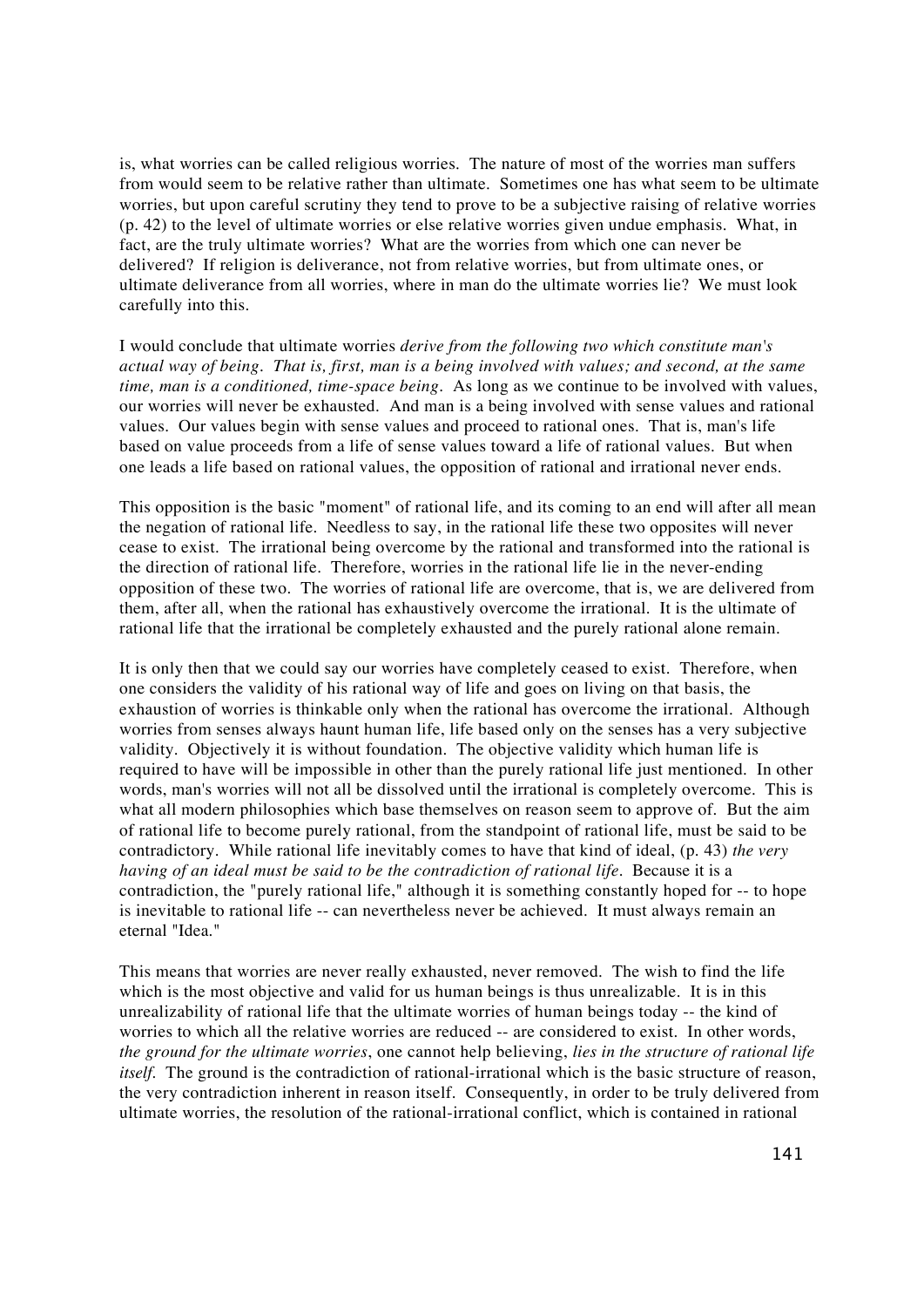is, what worries can be called religious worries. The nature of most of the worries man suffers from would seem to be relative rather than ultimate. Sometimes one has what seem to be ultimate worries, but upon careful scrutiny they tend to prove to be a subjective raising of relative worries (p. 42) to the level of ultimate worries or else relative worries given undue emphasis. What, in fact, are the truly ultimate worries? What are the worries from which one can never be delivered? If religion is deliverance, not from relative worries, but from ultimate ones, or ultimate deliverance from all worries, where in man do the ultimate worries lie? We must look carefully into this.

I would conclude that ultimate worries *derive from the following two which constitute man's actual way of being. That is, first, man is a being involved with values; and second, at the same time, man is a conditioned, time-space being*. As long as we continue to be involved with values, our worries will never be exhausted. And man is a being involved with sense values and rational values. Our values begin with sense values and proceed to rational ones. That is, man's life based on value proceeds from a life of sense values toward a life of rational values. But when one leads a life based on rational values, the opposition of rational and irrational never ends.

This opposition is the basic "moment" of rational life, and its coming to an end will after all mean the negation of rational life. Needless to say, in the rational life these two opposites will never cease to exist. The irrational being overcome by the rational and transformed into the rational is the direction of rational life. Therefore, worries in the rational life lie in the never-ending opposition of these two. The worries of rational life are overcome, that is, we are delivered from them, after all, when the rational has exhaustively overcome the irrational. It is the ultimate of rational life that the irrational be completely exhausted and the purely rational alone remain.

It is only then that we could say our worries have completely ceased to exist. Therefore, when one considers the validity of his rational way of life and goes on living on that basis, the exhaustion of worries is thinkable only when the rational has overcome the irrational. Although worries from senses always haunt human life, life based only on the senses has a very subjective validity. Objectively it is without foundation. The objective validity which human life is required to have will be impossible in other than the purely rational life just mentioned. In other words, man's worries will not all be dissolved until the irrational is completely overcome. This is what all modern philosophies which base themselves on reason seem to approve of. But the aim of rational life to become purely rational, from the standpoint of rational life, must be said to be contradictory. While rational life inevitably comes to have that kind of ideal, (p. 43) *the very having of an ideal must be said to be the contradiction of rational life*. Because it is a contradiction, the "purely rational life," although it is something constantly hoped for -- to hope is inevitable to rational life -- can nevertheless never be achieved. It must always remain an eternal "Idea."

This means that worries are never really exhausted, never removed. The wish to find the life which is the most objective and valid for us human beings is thus unrealizable. It is in this unrealizability of rational life that the ultimate worries of human beings today -- the kind of worries to which all the relative worries are reduced -- are considered to exist. In other words, *the ground for the ultimate worries*, one cannot help believing, *lies in the structure of rational life itself*. The ground is the contradiction of rational-irrational which is the basic structure of reason, the very contradiction inherent in reason itself. Consequently, in order to be truly delivered from ultimate worries, the resolution of the rational-irrational conflict, which is contained in rational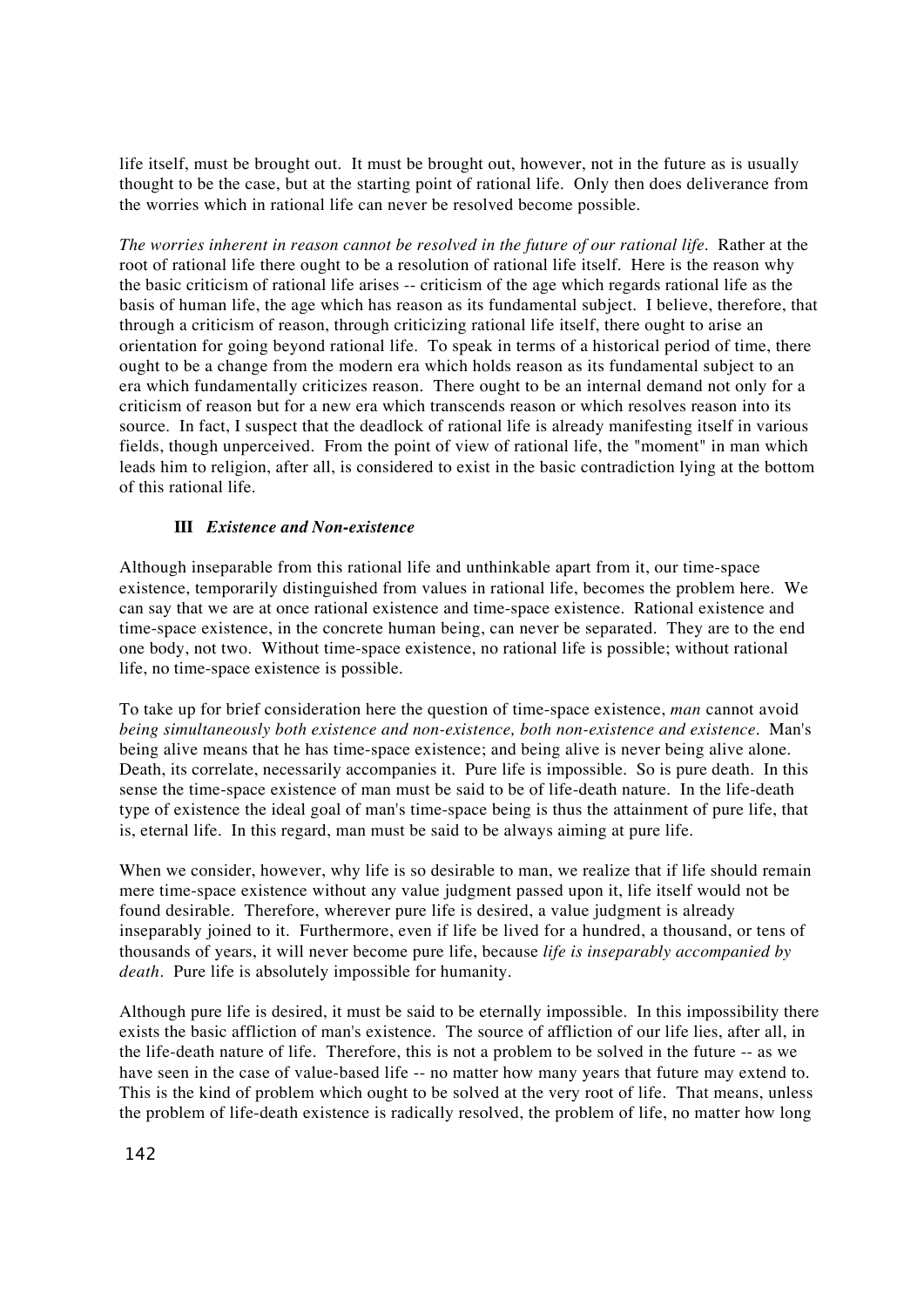life itself, must be brought out. It must be brought out, however, not in the future as is usually thought to be the case, but at the starting point of rational life. Only then does deliverance from the worries which in rational life can never be resolved become possible.

*The worries inherent in reason cannot be resolved in the future of our rational life*. Rather at the root of rational life there ought to be a resolution of rational life itself. Here is the reason why the basic criticism of rational life arises -- criticism of the age which regards rational life as the basis of human life, the age which has reason as its fundamental subject. I believe, therefore, that through a criticism of reason, through criticizing rational life itself, there ought to arise an orientation for going beyond rational life. To speak in terms of a historical period of time, there ought to be a change from the modern era which holds reason as its fundamental subject to an era which fundamentally criticizes reason. There ought to be an internal demand not only for a criticism of reason but for a new era which transcends reason or which resolves reason into its source. In fact, I suspect that the deadlock of rational life is already manifesting itself in various fields, though unperceived. From the point of view of rational life, the "moment" in man which leads him to religion, after all, is considered to exist in the basic contradiction lying at the bottom of this rational life.

## **III** *Existence and Non-existence*

Although inseparable from this rational life and unthinkable apart from it, our time-space existence, temporarily distinguished from values in rational life, becomes the problem here. We can say that we are at once rational existence and time-space existence. Rational existence and time-space existence, in the concrete human being, can never be separated. They are to the end one body, not two. Without time-space existence, no rational life is possible; without rational life, no time-space existence is possible.

To take up for brief consideration here the question of time-space existence, *man* cannot avoid *being simultaneously both existence and non-existence, both non-existence and existence*. Man's being alive means that he has time-space existence; and being alive is never being alive alone. Death, its correlate, necessarily accompanies it. Pure life is impossible. So is pure death. In this sense the time-space existence of man must be said to be of life-death nature. In the life-death type of existence the ideal goal of man's time-space being is thus the attainment of pure life, that is, eternal life. In this regard, man must be said to be always aiming at pure life.

When we consider, however, why life is so desirable to man, we realize that if life should remain mere time-space existence without any value judgment passed upon it, life itself would not be found desirable. Therefore, wherever pure life is desired, a value judgment is already inseparably joined to it. Furthermore, even if life be lived for a hundred, a thousand, or tens of thousands of years, it will never become pure life, because *life is inseparably accompanied by death*. Pure life is absolutely impossible for humanity.

Although pure life is desired, it must be said to be eternally impossible. In this impossibility there exists the basic affliction of man's existence. The source of affliction of our life lies, after all, in the life-death nature of life. Therefore, this is not a problem to be solved in the future -- as we have seen in the case of value-based life -- no matter how many years that future may extend to. This is the kind of problem which ought to be solved at the very root of life. That means, unless the problem of life-death existence is radically resolved, the problem of life, no matter how long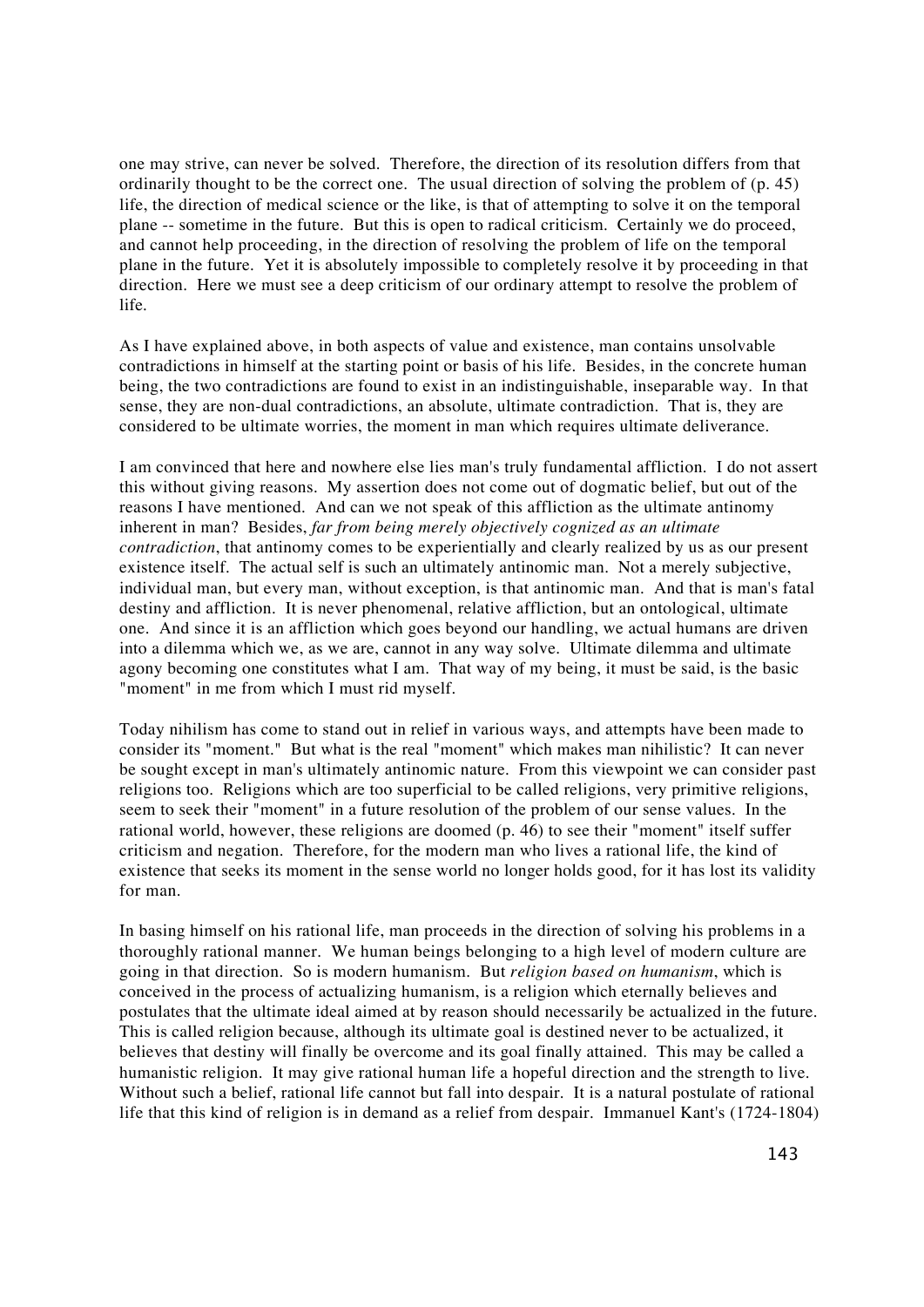one may strive, can never be solved. Therefore, the direction of its resolution differs from that ordinarily thought to be the correct one. The usual direction of solving the problem of (p. 45) life, the direction of medical science or the like, is that of attempting to solve it on the temporal plane -- sometime in the future. But this is open to radical criticism. Certainly we do proceed, and cannot help proceeding, in the direction of resolving the problem of life on the temporal plane in the future. Yet it is absolutely impossible to completely resolve it by proceeding in that direction. Here we must see a deep criticism of our ordinary attempt to resolve the problem of life.

As I have explained above, in both aspects of value and existence, man contains unsolvable contradictions in himself at the starting point or basis of his life. Besides, in the concrete human being, the two contradictions are found to exist in an indistinguishable, inseparable way. In that sense, they are non-dual contradictions, an absolute, ultimate contradiction. That is, they are considered to be ultimate worries, the moment in man which requires ultimate deliverance.

I am convinced that here and nowhere else lies man's truly fundamental affliction. I do not assert this without giving reasons. My assertion does not come out of dogmatic belief, but out of the reasons I have mentioned. And can we not speak of this affliction as the ultimate antinomy inherent in man? Besides, *far from being merely objectively cognized as an ultimate contradiction*, that antinomy comes to be experientially and clearly realized by us as our present existence itself. The actual self is such an ultimately antinomic man. Not a merely subjective, individual man, but every man, without exception, is that antinomic man. And that is man's fatal destiny and affliction. It is never phenomenal, relative affliction, but an ontological, ultimate one. And since it is an affliction which goes beyond our handling, we actual humans are driven into a dilemma which we, as we are, cannot in any way solve. Ultimate dilemma and ultimate agony becoming one constitutes what I am. That way of my being, it must be said, is the basic "moment" in me from which I must rid myself.

Today nihilism has come to stand out in relief in various ways, and attempts have been made to consider its "moment." But what is the real "moment" which makes man nihilistic? It can never be sought except in man's ultimately antinomic nature. From this viewpoint we can consider past religions too. Religions which are too superficial to be called religions, very primitive religions, seem to seek their "moment" in a future resolution of the problem of our sense values. In the rational world, however, these religions are doomed (p. 46) to see their "moment" itself suffer criticism and negation. Therefore, for the modern man who lives a rational life, the kind of existence that seeks its moment in the sense world no longer holds good, for it has lost its validity for man.

In basing himself on his rational life, man proceeds in the direction of solving his problems in a thoroughly rational manner. We human beings belonging to a high level of modern culture are going in that direction. So is modern humanism. But *religion based on humanism*, which is conceived in the process of actualizing humanism, is a religion which eternally believes and postulates that the ultimate ideal aimed at by reason should necessarily be actualized in the future. This is called religion because, although its ultimate goal is destined never to be actualized, it believes that destiny will finally be overcome and its goal finally attained. This may be called a humanistic religion. It may give rational human life a hopeful direction and the strength to live. Without such a belief, rational life cannot but fall into despair. It is a natural postulate of rational life that this kind of religion is in demand as a relief from despair. Immanuel Kant's (1724-1804)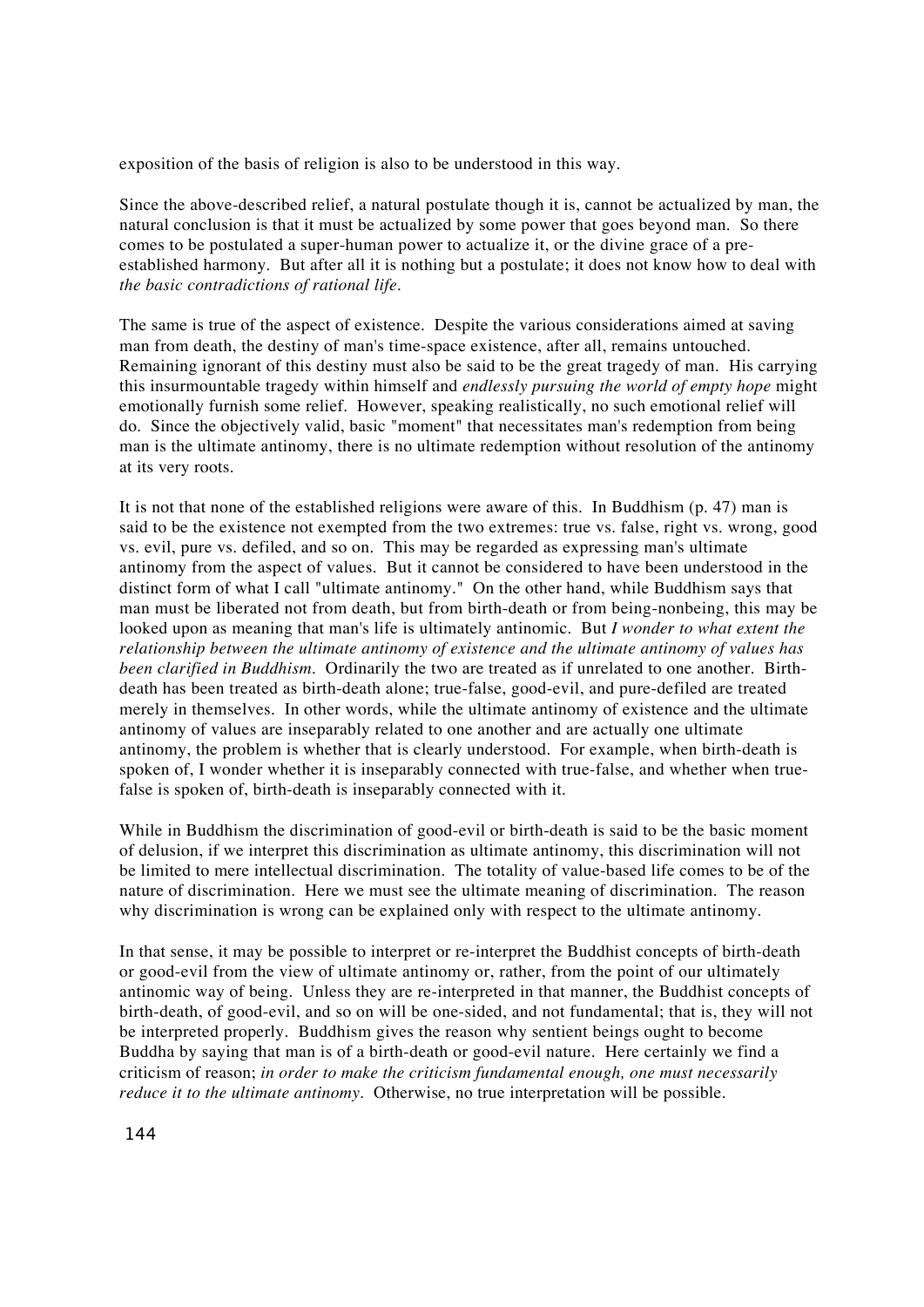exposition of the basis of religion is also to be understood in this way.

Since the above-described relief, a natural postulate though it is, cannot be actualized by man, the natural conclusion is that it must be actualized by some power that goes beyond man. So there comes to be postulated a super-human power to actualize it, or the divine grace of a preestablished harmony. But after all it is nothing but a postulate; it does not know how to deal with *the basic contradictions of rational life*.

The same is true of the aspect of existence. Despite the various considerations aimed at saving man from death, the destiny of man's time-space existence, after all, remains untouched. Remaining ignorant of this destiny must also be said to be the great tragedy of man. His carrying this insurmountable tragedy within himself and *endlessly pursuing the world of empty hope* might emotionally furnish some relief. However, speaking realistically, no such emotional relief will do. Since the objectively valid, basic "moment" that necessitates man's redemption from being man is the ultimate antinomy, there is no ultimate redemption without resolution of the antinomy at its very roots.

It is not that none of the established religions were aware of this. In Buddhism (p. 47) man is said to be the existence not exempted from the two extremes: true vs. false, right vs. wrong, good vs. evil, pure vs. defiled, and so on. This may be regarded as expressing man's ultimate antinomy from the aspect of values. But it cannot be considered to have been understood in the distinct form of what I call "ultimate antinomy." On the other hand, while Buddhism says that man must be liberated not from death, but from birth-death or from being-nonbeing, this may be looked upon as meaning that man's life is ultimately antinomic. But *I wonder to what extent the relationship between the ultimate antinomy of existence and the ultimate antinomy of values has been clarified in Buddhism*. Ordinarily the two are treated as if unrelated to one another. Birthdeath has been treated as birth-death alone; true-false, good-evil, and pure-defiled are treated merely in themselves. In other words, while the ultimate antinomy of existence and the ultimate antinomy of values are inseparably related to one another and are actually one ultimate antinomy, the problem is whether that is clearly understood. For example, when birth-death is spoken of, I wonder whether it is inseparably connected with true-false, and whether when truefalse is spoken of, birth-death is inseparably connected with it.

While in Buddhism the discrimination of good-evil or birth-death is said to be the basic moment of delusion, if we interpret this discrimination as ultimate antinomy, this discrimination will not be limited to mere intellectual discrimination. The totality of value-based life comes to be of the nature of discrimination. Here we must see the ultimate meaning of discrimination. The reason why discrimination is wrong can be explained only with respect to the ultimate antinomy.

In that sense, it may be possible to interpret or re-interpret the Buddhist concepts of birth-death or good-evil from the view of ultimate antinomy or, rather, from the point of our ultimately antinomic way of being. Unless they are re-interpreted in that manner, the Buddhist concepts of birth-death, of good-evil, and so on will be one-sided, and not fundamental; that is, they will not be interpreted properly. Buddhism gives the reason why sentient beings ought to become Buddha by saying that man is of a birth-death or good-evil nature. Here certainly we find a criticism of reason; *in order to make the criticism fundamental enough, one must necessarily reduce it to the ultimate antinomy*. Otherwise, no true interpretation will be possible.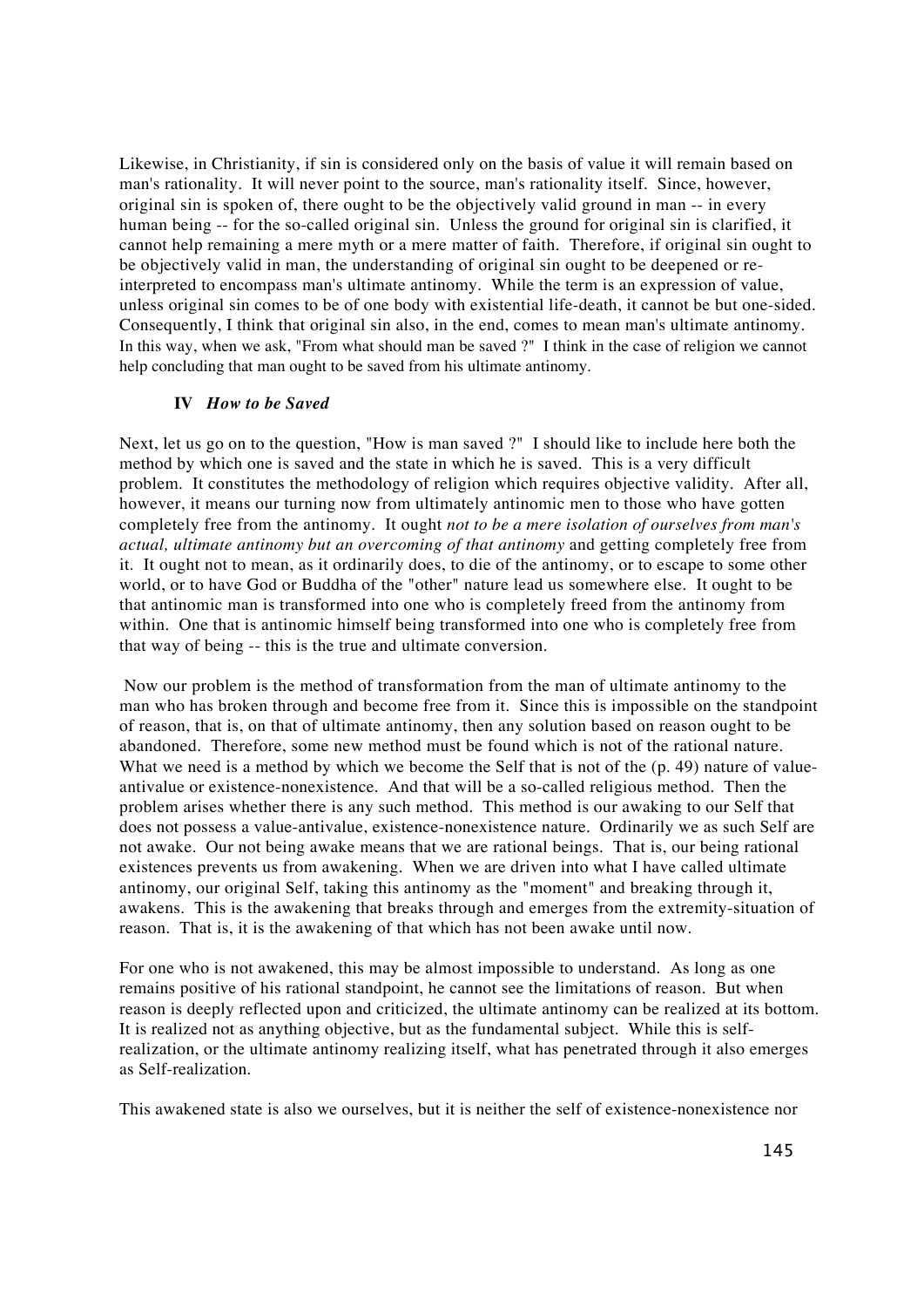Likewise, in Christianity, if sin is considered only on the basis of value it will remain based on man's rationality. It will never point to the source, man's rationality itself. Since, however, original sin is spoken of, there ought to be the objectively valid ground in man -- in every human being -- for the so-called original sin. Unless the ground for original sin is clarified, it cannot help remaining a mere myth or a mere matter of faith. Therefore, if original sin ought to be objectively valid in man, the understanding of original sin ought to be deepened or reinterpreted to encompass man's ultimate antinomy. While the term is an expression of value, unless original sin comes to be of one body with existential life-death, it cannot be but one-sided. Consequently, I think that original sin also, in the end, comes to mean man's ultimate antinomy. In this way, when we ask, "From what should man be saved ?" I think in the case of religion we cannot help concluding that man ought to be saved from his ultimate antinomy.

### **IV** *How to be Saved*

Next, let us go on to the question, "How is man saved ?" I should like to include here both the method by which one is saved and the state in which he is saved. This is a very difficult problem. It constitutes the methodology of religion which requires objective validity. After all, however, it means our turning now from ultimately antinomic men to those who have gotten completely free from the antinomy. It ought *not to be a mere isolation of ourselves from man's actual, ultimate antinomy but an overcoming of that antinomy* and getting completely free from it. It ought not to mean, as it ordinarily does, to die of the antinomy, or to escape to some other world, or to have God or Buddha of the "other" nature lead us somewhere else. It ought to be that antinomic man is transformed into one who is completely freed from the antinomy from within. One that is antinomic himself being transformed into one who is completely free from that way of being -- this is the true and ultimate conversion.

 Now our problem is the method of transformation from the man of ultimate antinomy to the man who has broken through and become free from it. Since this is impossible on the standpoint of reason, that is, on that of ultimate antinomy, then any solution based on reason ought to be abandoned. Therefore, some new method must be found which is not of the rational nature. What we need is a method by which we become the Self that is not of the  $(p. 49)$  nature of valueantivalue or existence-nonexistence. And that will be a so-called religious method. Then the problem arises whether there is any such method. This method is our awaking to our Self that does not possess a value-antivalue, existence-nonexistence nature. Ordinarily we as such Self are not awake. Our not being awake means that we are rational beings. That is, our being rational existences prevents us from awakening. When we are driven into what I have called ultimate antinomy, our original Self, taking this antinomy as the "moment" and breaking through it, awakens. This is the awakening that breaks through and emerges from the extremity-situation of reason. That is, it is the awakening of that which has not been awake until now.

For one who is not awakened, this may be almost impossible to understand. As long as one remains positive of his rational standpoint, he cannot see the limitations of reason. But when reason is deeply reflected upon and criticized, the ultimate antinomy can be realized at its bottom. It is realized not as anything objective, but as the fundamental subject. While this is selfrealization, or the ultimate antinomy realizing itself, what has penetrated through it also emerges as Self-realization.

This awakened state is also we ourselves, but it is neither the self of existence-nonexistence nor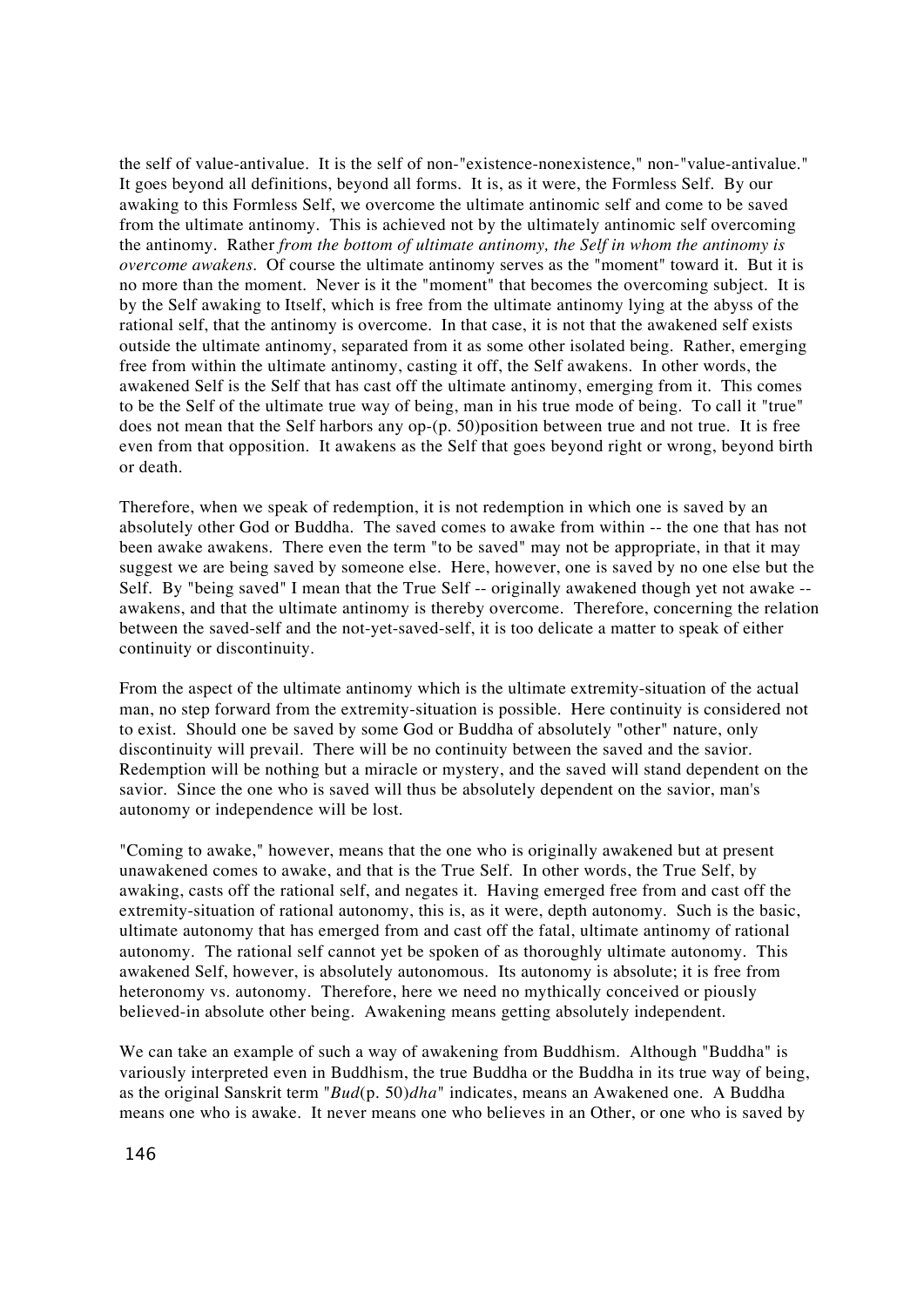the self of value-antivalue. It is the self of non-"existence-nonexistence," non-"value-antivalue." It goes beyond all definitions, beyond all forms. It is, as it were, the Formless Self. By our awaking to this Formless Self, we overcome the ultimate antinomic self and come to be saved from the ultimate antinomy. This is achieved not by the ultimately antinomic self overcoming the antinomy. Rather *from the bottom of ultimate antinomy, the Self in whom the antinomy is overcome awakens*. Of course the ultimate antinomy serves as the "moment" toward it. But it is no more than the moment. Never is it the "moment" that becomes the overcoming subject. It is by the Self awaking to Itself, which is free from the ultimate antinomy lying at the abyss of the rational self, that the antinomy is overcome. In that case, it is not that the awakened self exists outside the ultimate antinomy, separated from it as some other isolated being. Rather, emerging free from within the ultimate antinomy, casting it off, the Self awakens. In other words, the awakened Self is the Self that has cast off the ultimate antinomy, emerging from it. This comes to be the Self of the ultimate true way of being, man in his true mode of being. To call it "true" does not mean that the Self harbors any op-(p. 50)position between true and not true. It is free even from that opposition. It awakens as the Self that goes beyond right or wrong, beyond birth or death.

Therefore, when we speak of redemption, it is not redemption in which one is saved by an absolutely other God or Buddha. The saved comes to awake from within -- the one that has not been awake awakens. There even the term "to be saved" may not be appropriate, in that it may suggest we are being saved by someone else. Here, however, one is saved by no one else but the Self. By "being saved" I mean that the True Self -- originally awakened though yet not awake - awakens, and that the ultimate antinomy is thereby overcome. Therefore, concerning the relation between the saved-self and the not-yet-saved-self, it is too delicate a matter to speak of either continuity or discontinuity.

From the aspect of the ultimate antinomy which is the ultimate extremity-situation of the actual man, no step forward from the extremity-situation is possible. Here continuity is considered not to exist. Should one be saved by some God or Buddha of absolutely "other" nature, only discontinuity will prevail. There will be no continuity between the saved and the savior. Redemption will be nothing but a miracle or mystery, and the saved will stand dependent on the savior. Since the one who is saved will thus be absolutely dependent on the savior, man's autonomy or independence will be lost.

"Coming to awake," however, means that the one who is originally awakened but at present unawakened comes to awake, and that is the True Self. In other words, the True Self, by awaking, casts off the rational self, and negates it. Having emerged free from and cast off the extremity-situation of rational autonomy, this is, as it were, depth autonomy. Such is the basic, ultimate autonomy that has emerged from and cast off the fatal, ultimate antinomy of rational autonomy. The rational self cannot yet be spoken of as thoroughly ultimate autonomy. This awakened Self, however, is absolutely autonomous. Its autonomy is absolute; it is free from heteronomy vs. autonomy. Therefore, here we need no mythically conceived or piously believed-in absolute other being. Awakening means getting absolutely independent.

We can take an example of such a way of awakening from Buddhism. Although "Buddha" is variously interpreted even in Buddhism, the true Buddha or the Buddha in its true way of being, as the original Sanskrit term "*Bud*(p. 50)*dha*" indicates, means an Awakened one. A Buddha means one who is awake. It never means one who believes in an Other, or one who is saved by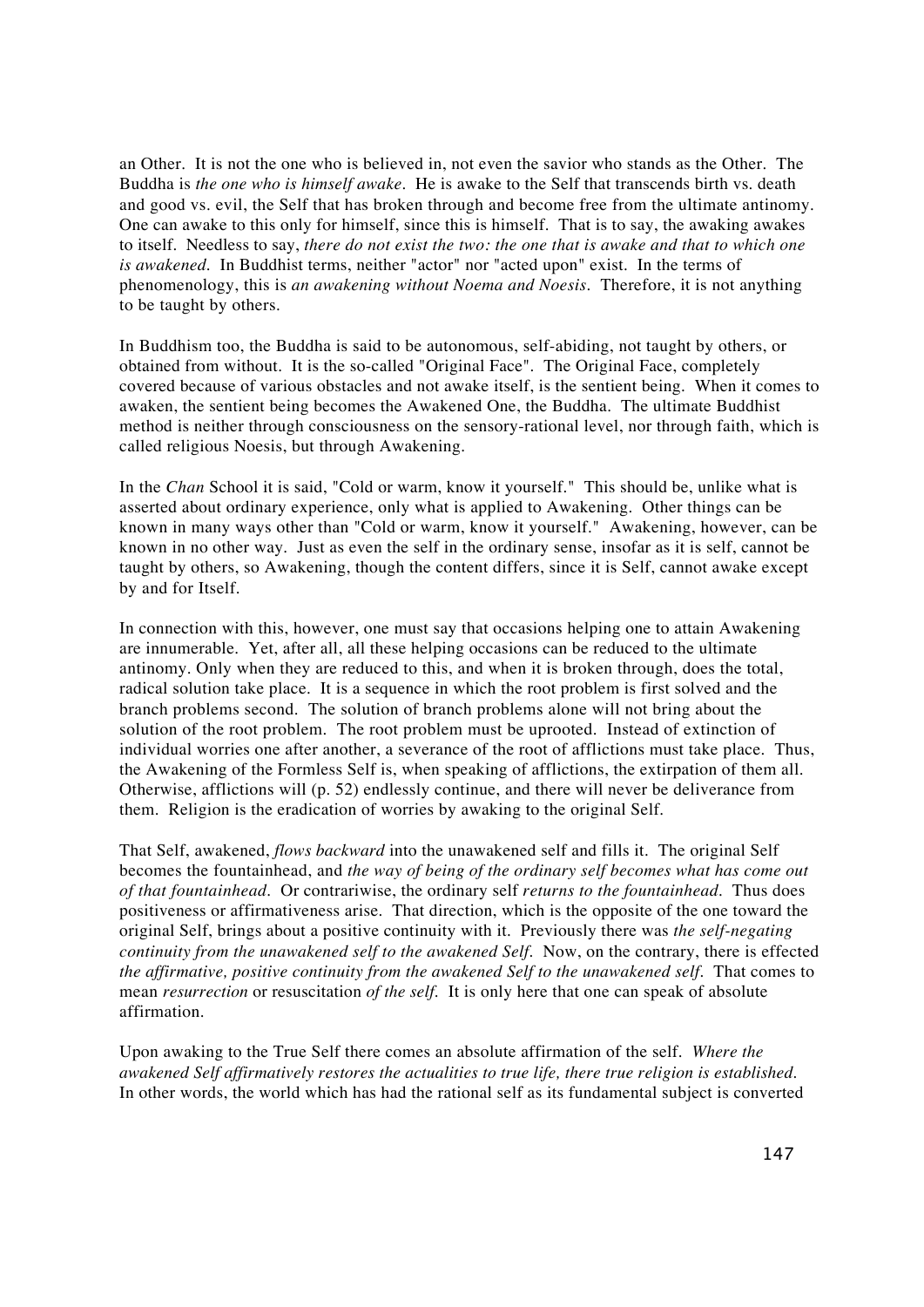an Other. It is not the one who is believed in, not even the savior who stands as the Other. The Buddha is *the one who is himself awake*. He is awake to the Self that transcends birth vs. death and good vs. evil, the Self that has broken through and become free from the ultimate antinomy. One can awake to this only for himself, since this is himself. That is to say, the awaking awakes to itself. Needless to say, *there do not exist the two: the one that is awake and that to which one is awakened*. In Buddhist terms, neither "actor" nor "acted upon" exist. In the terms of phenomenology, this is *an awakening without Noema and Noesis*. Therefore, it is not anything to be taught by others.

In Buddhism too, the Buddha is said to be autonomous, self-abiding, not taught by others, or obtained from without. It is the so-called "Original Face". The Original Face, completely covered because of various obstacles and not awake itself, is the sentient being. When it comes to awaken, the sentient being becomes the Awakened One, the Buddha. The ultimate Buddhist method is neither through consciousness on the sensory-rational level, nor through faith, which is called religious Noesis, but through Awakening.

In the *Chan* School it is said, "Cold or warm, know it yourself." This should be, unlike what is asserted about ordinary experience, only what is applied to Awakening. Other things can be known in many ways other than "Cold or warm, know it yourself." Awakening, however, can be known in no other way. Just as even the self in the ordinary sense, insofar as it is self, cannot be taught by others, so Awakening, though the content differs, since it is Self, cannot awake except by and for Itself.

In connection with this, however, one must say that occasions helping one to attain Awakening are innumerable. Yet, after all, all these helping occasions can be reduced to the ultimate antinomy. Only when they are reduced to this, and when it is broken through, does the total, radical solution take place. It is a sequence in which the root problem is first solved and the branch problems second. The solution of branch problems alone will not bring about the solution of the root problem. The root problem must be uprooted. Instead of extinction of individual worries one after another, a severance of the root of afflictions must take place. Thus, the Awakening of the Formless Self is, when speaking of afflictions, the extirpation of them all. Otherwise, afflictions will (p. 52) endlessly continue, and there will never be deliverance from them. Religion is the eradication of worries by awaking to the original Self.

That Self, awakened, *flows backward* into the unawakened self and fills it. The original Self becomes the fountainhead, and *the way of being of the ordinary self becomes what has come out of that fountainhead*. Or contrariwise, the ordinary self *returns to the fountainhead*. Thus does positiveness or affirmativeness arise. That direction, which is the opposite of the one toward the original Self, brings about a positive continuity with it. Previously there was *the self-negating continuity from the unawakened self to the awakened Self*. Now, on the contrary, there is effected *the affirmative, positive continuity from the awakened Self to the unawakened self*. That comes to mean *resurrection* or resuscitation *of the self*. It is only here that one can speak of absolute affirmation.

Upon awaking to the True Self there comes an absolute affirmation of the self. *Where the awakened Self affirmatively restores the actualities to true life, there true religion is established*. In other words, the world which has had the rational self as its fundamental subject is converted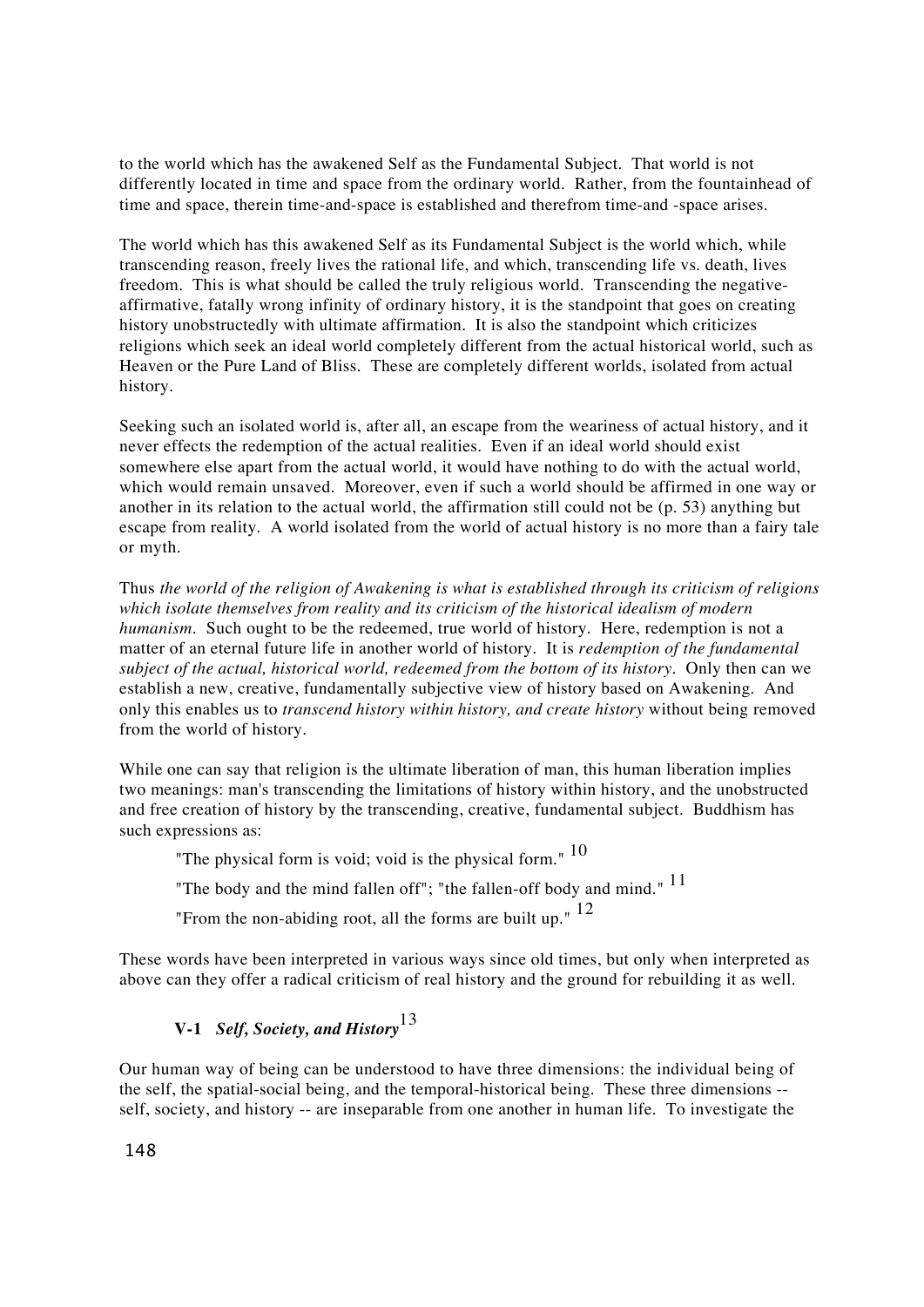to the world which has the awakened Self as the Fundamental Subject. That world is not differently located in time and space from the ordinary world. Rather, from the fountainhead of time and space, therein time-and-space is established and therefrom time-and -space arises.

The world which has this awakened Self as its Fundamental Subject is the world which, while transcending reason, freely lives the rational life, and which, transcending life vs. death, lives freedom. This is what should be called the truly religious world. Transcending the negativeaffirmative, fatally wrong infinity of ordinary history, it is the standpoint that goes on creating history unobstructedly with ultimate affirmation. It is also the standpoint which criticizes religions which seek an ideal world completely different from the actual historical world, such as Heaven or the Pure Land of Bliss. These are completely different worlds, isolated from actual history.

Seeking such an isolated world is, after all, an escape from the weariness of actual history, and it never effects the redemption of the actual realities. Even if an ideal world should exist somewhere else apart from the actual world, it would have nothing to do with the actual world, which would remain unsaved. Moreover, even if such a world should be affirmed in one way or another in its relation to the actual world, the affirmation still could not be (p. 53) anything but escape from reality. A world isolated from the world of actual history is no more than a fairy tale or myth.

Thus *the world of the religion of Awakening is what is established through its criticism of religions which isolate themselves from reality and its criticism of the historical idealism of modern humanism*. Such ought to be the redeemed, true world of history. Here, redemption is not a matter of an eternal future life in another world of history. It is *redemption of the fundamental subject of the actual, historical world, redeemed from the bottom of its history*. Only then can we establish a new, creative, fundamentally subjective view of history based on Awakening. And only this enables us to *transcend history within history, and create history* without being removed from the world of history.

While one can say that religion is the ultimate liberation of man, this human liberation implies two meanings: man's transcending the limitations of history within history, and the unobstructed and free creation of history by the transcending, creative, fundamental subject. Buddhism has such expressions as:

"The physical form is void; void is the physical form."  $10$ 

"The body and the mind fallen off"; "the fallen-off body and mind."  $11$ 

"From the non-abiding root, all the forms are built up."  $12$ 

These words have been interpreted in various ways since old times, but only when interpreted as above can they offer a radical criticism of real history and the ground for rebuilding it as well.

# **V-1** *Self, Society, and History*13

Our human way of being can be understood to have three dimensions: the individual being of the self, the spatial-social being, and the temporal-historical being. These three dimensions - self, society, and history -- are inseparable from one another in human life. To investigate the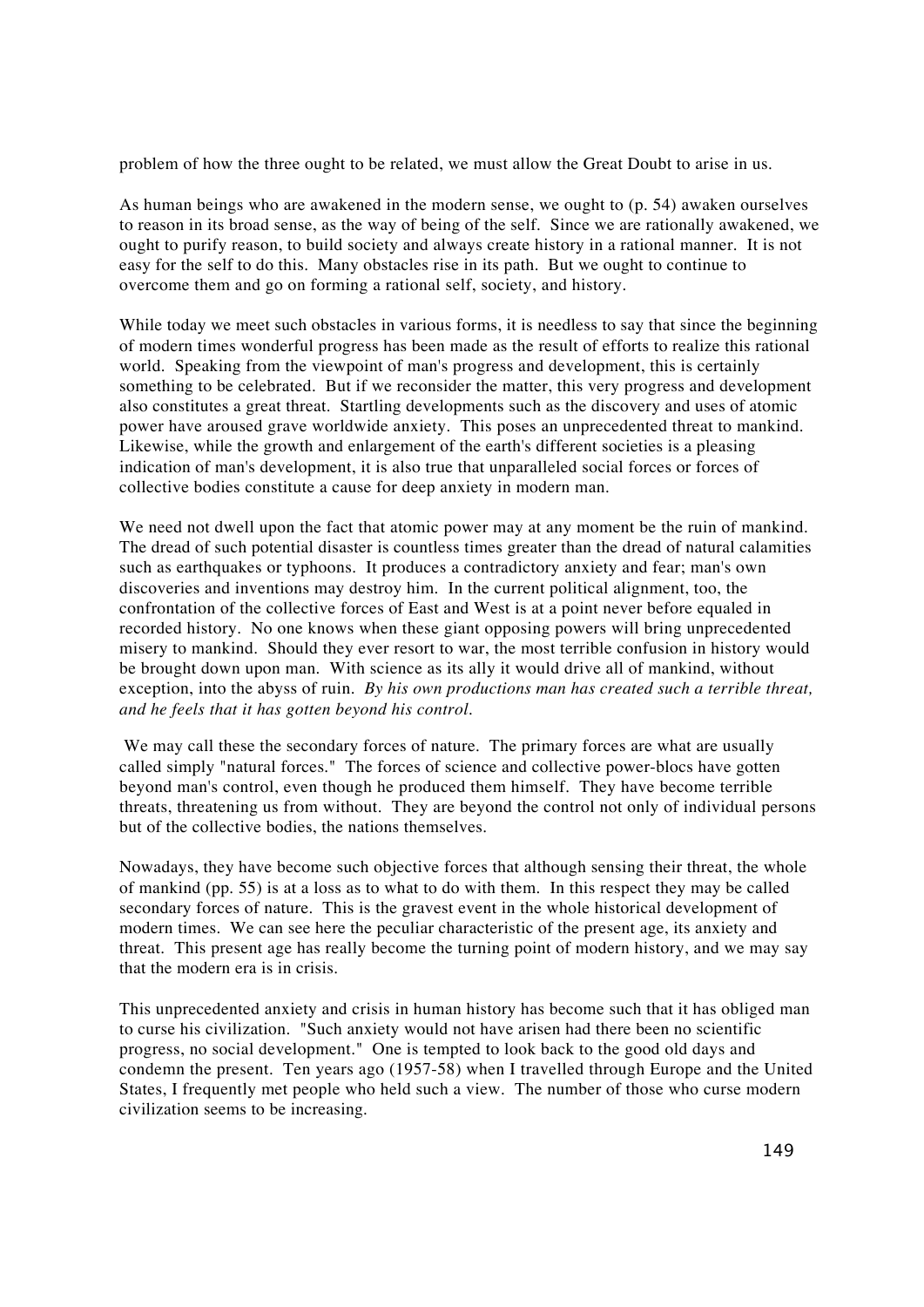problem of how the three ought to be related, we must allow the Great Doubt to arise in us.

As human beings who are awakened in the modern sense, we ought to (p. 54) awaken ourselves to reason in its broad sense, as the way of being of the self. Since we are rationally awakened, we ought to purify reason, to build society and always create history in a rational manner. It is not easy for the self to do this. Many obstacles rise in its path. But we ought to continue to overcome them and go on forming a rational self, society, and history.

While today we meet such obstacles in various forms, it is needless to say that since the beginning of modern times wonderful progress has been made as the result of efforts to realize this rational world. Speaking from the viewpoint of man's progress and development, this is certainly something to be celebrated. But if we reconsider the matter, this very progress and development also constitutes a great threat. Startling developments such as the discovery and uses of atomic power have aroused grave worldwide anxiety. This poses an unprecedented threat to mankind. Likewise, while the growth and enlargement of the earth's different societies is a pleasing indication of man's development, it is also true that unparalleled social forces or forces of collective bodies constitute a cause for deep anxiety in modern man.

We need not dwell upon the fact that atomic power may at any moment be the ruin of mankind. The dread of such potential disaster is countless times greater than the dread of natural calamities such as earthquakes or typhoons. It produces a contradictory anxiety and fear; man's own discoveries and inventions may destroy him. In the current political alignment, too, the confrontation of the collective forces of East and West is at a point never before equaled in recorded history. No one knows when these giant opposing powers will bring unprecedented misery to mankind. Should they ever resort to war, the most terrible confusion in history would be brought down upon man. With science as its ally it would drive all of mankind, without exception, into the abyss of ruin. *By his own productions man has created such a terrible threat, and he feels that it has gotten beyond his control*.

 We may call these the secondary forces of nature. The primary forces are what are usually called simply "natural forces." The forces of science and collective power-blocs have gotten beyond man's control, even though he produced them himself. They have become terrible threats, threatening us from without. They are beyond the control not only of individual persons but of the collective bodies, the nations themselves.

Nowadays, they have become such objective forces that although sensing their threat, the whole of mankind (pp. 55) is at a loss as to what to do with them. In this respect they may be called secondary forces of nature. This is the gravest event in the whole historical development of modern times. We can see here the peculiar characteristic of the present age, its anxiety and threat. This present age has really become the turning point of modern history, and we may say that the modern era is in crisis.

This unprecedented anxiety and crisis in human history has become such that it has obliged man to curse his civilization. "Such anxiety would not have arisen had there been no scientific progress, no social development." One is tempted to look back to the good old days and condemn the present. Ten years ago (1957-58) when I travelled through Europe and the United States, I frequently met people who held such a view. The number of those who curse modern civilization seems to be increasing.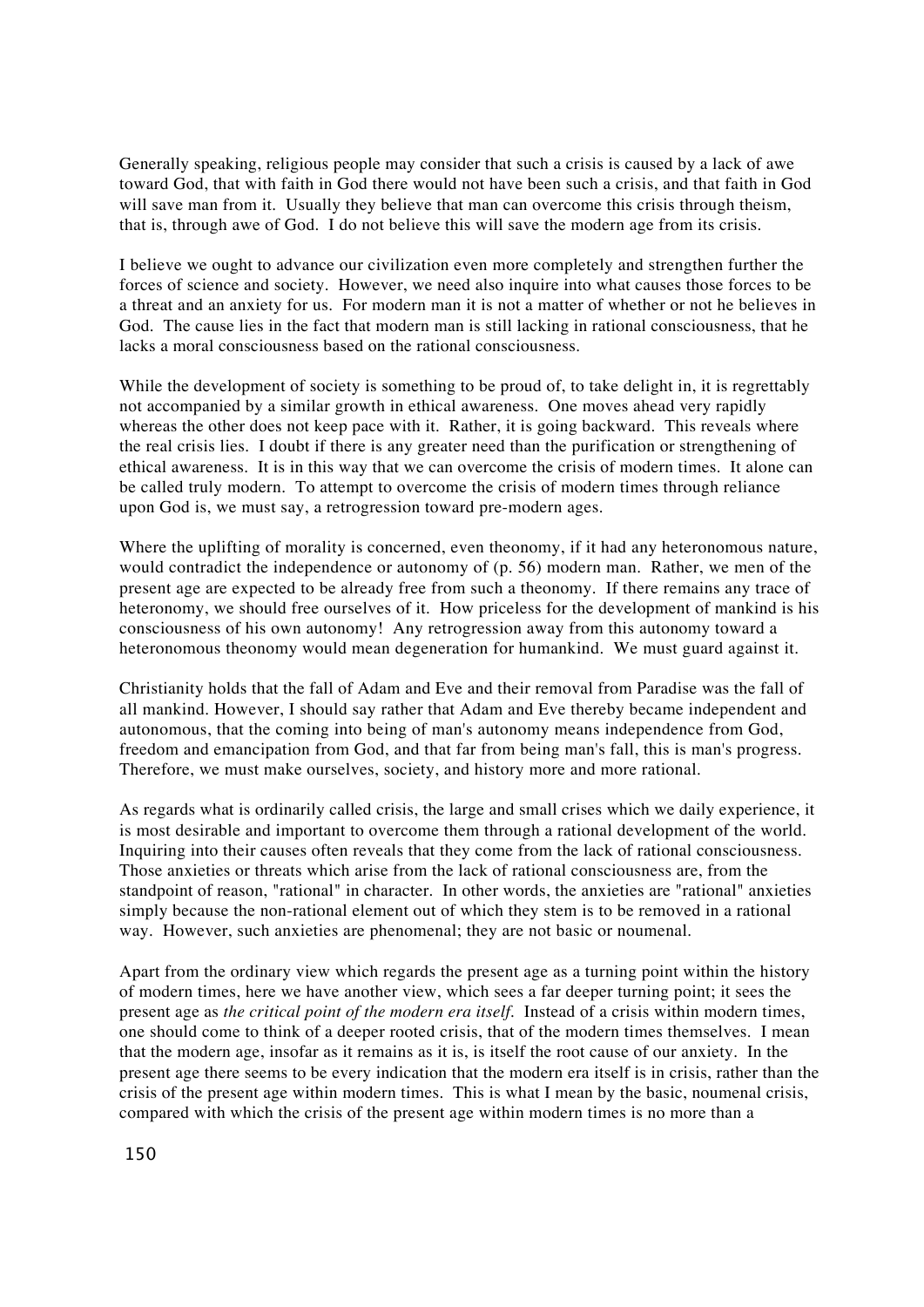Generally speaking, religious people may consider that such a crisis is caused by a lack of awe toward God, that with faith in God there would not have been such a crisis, and that faith in God will save man from it. Usually they believe that man can overcome this crisis through theism, that is, through awe of God. I do not believe this will save the modern age from its crisis.

I believe we ought to advance our civilization even more completely and strengthen further the forces of science and society. However, we need also inquire into what causes those forces to be a threat and an anxiety for us. For modern man it is not a matter of whether or not he believes in God. The cause lies in the fact that modern man is still lacking in rational consciousness, that he lacks a moral consciousness based on the rational consciousness.

While the development of society is something to be proud of, to take delight in, it is regrettably not accompanied by a similar growth in ethical awareness. One moves ahead very rapidly whereas the other does not keep pace with it. Rather, it is going backward. This reveals where the real crisis lies. I doubt if there is any greater need than the purification or strengthening of ethical awareness. It is in this way that we can overcome the crisis of modern times. It alone can be called truly modern. To attempt to overcome the crisis of modern times through reliance upon God is, we must say, a retrogression toward pre-modern ages.

Where the uplifting of morality is concerned, even theonomy, if it had any heteronomous nature, would contradict the independence or autonomy of (p. 56) modern man. Rather, we men of the present age are expected to be already free from such a theonomy. If there remains any trace of heteronomy, we should free ourselves of it. How priceless for the development of mankind is his consciousness of his own autonomy! Any retrogression away from this autonomy toward a heteronomous theonomy would mean degeneration for humankind. We must guard against it.

Christianity holds that the fall of Adam and Eve and their removal from Paradise was the fall of all mankind. However, I should say rather that Adam and Eve thereby became independent and autonomous, that the coming into being of man's autonomy means independence from God, freedom and emancipation from God, and that far from being man's fall, this is man's progress. Therefore, we must make ourselves, society, and history more and more rational.

As regards what is ordinarily called crisis, the large and small crises which we daily experience, it is most desirable and important to overcome them through a rational development of the world. Inquiring into their causes often reveals that they come from the lack of rational consciousness. Those anxieties or threats which arise from the lack of rational consciousness are, from the standpoint of reason, "rational" in character. In other words, the anxieties are "rational" anxieties simply because the non-rational element out of which they stem is to be removed in a rational way. However, such anxieties are phenomenal; they are not basic or noumenal.

Apart from the ordinary view which regards the present age as a turning point within the history of modern times, here we have another view, which sees a far deeper turning point; it sees the present age as *the critical point of the modern era itself*. Instead of a crisis within modern times, one should come to think of a deeper rooted crisis, that of the modern times themselves. I mean that the modern age, insofar as it remains as it is, is itself the root cause of our anxiety. In the present age there seems to be every indication that the modern era itself is in crisis, rather than the crisis of the present age within modern times. This is what I mean by the basic, noumenal crisis, compared with which the crisis of the present age within modern times is no more than a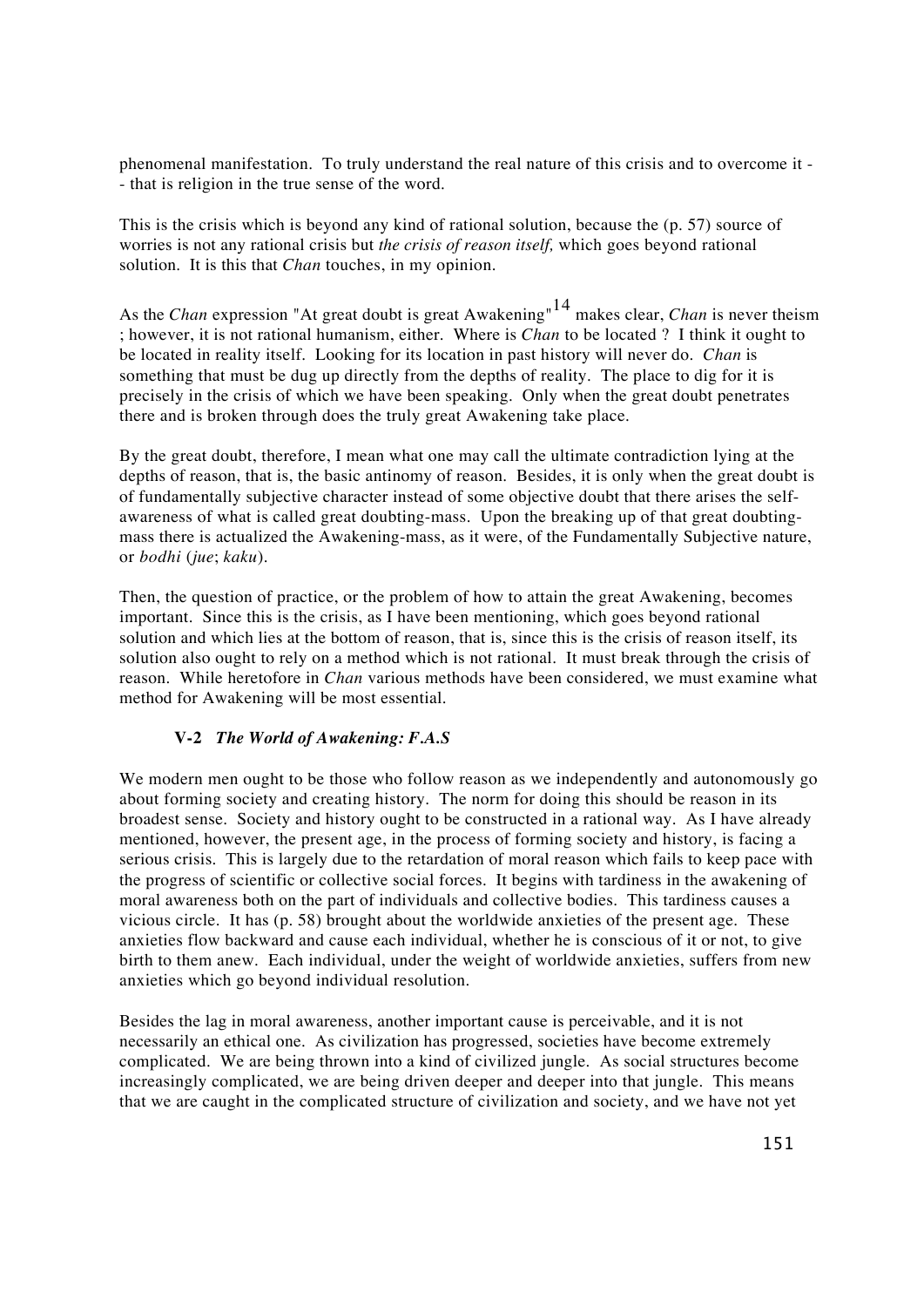phenomenal manifestation. To truly understand the real nature of this crisis and to overcome it - - that is religion in the true sense of the word.

This is the crisis which is beyond any kind of rational solution, because the (p. 57) source of worries is not any rational crisis but *the crisis of reason itself,* which goes beyond rational solution. It is this that *Chan* touches, in my opinion.

As the *Chan* expression "At great doubt is great Awakening"14 makes clear, *Chan* is never theism ; however, it is not rational humanism, either. Where is *Chan* to be located ? I think it ought to be located in reality itself. Looking for its location in past history will never do. *Chan* is something that must be dug up directly from the depths of reality. The place to dig for it is precisely in the crisis of which we have been speaking. Only when the great doubt penetrates there and is broken through does the truly great Awakening take place.

By the great doubt, therefore, I mean what one may call the ultimate contradiction lying at the depths of reason, that is, the basic antinomy of reason. Besides, it is only when the great doubt is of fundamentally subjective character instead of some objective doubt that there arises the selfawareness of what is called great doubting-mass. Upon the breaking up of that great doubtingmass there is actualized the Awakening-mass, as it were, of the Fundamentally Subjective nature, or *bodhi* (*jue*; *kaku*).

Then, the question of practice, or the problem of how to attain the great Awakening, becomes important. Since this is the crisis, as I have been mentioning, which goes beyond rational solution and which lies at the bottom of reason, that is, since this is the crisis of reason itself, its solution also ought to rely on a method which is not rational. It must break through the crisis of reason. While heretofore in *Chan* various methods have been considered, we must examine what method for Awakening will be most essential.

# **V-2** *The World of Awakening: F.A.S*

We modern men ought to be those who follow reason as we independently and autonomously go about forming society and creating history. The norm for doing this should be reason in its broadest sense. Society and history ought to be constructed in a rational way. As I have already mentioned, however, the present age, in the process of forming society and history, is facing a serious crisis. This is largely due to the retardation of moral reason which fails to keep pace with the progress of scientific or collective social forces. It begins with tardiness in the awakening of moral awareness both on the part of individuals and collective bodies. This tardiness causes a vicious circle. It has (p. 58) brought about the worldwide anxieties of the present age. These anxieties flow backward and cause each individual, whether he is conscious of it or not, to give birth to them anew. Each individual, under the weight of worldwide anxieties, suffers from new anxieties which go beyond individual resolution.

Besides the lag in moral awareness, another important cause is perceivable, and it is not necessarily an ethical one. As civilization has progressed, societies have become extremely complicated. We are being thrown into a kind of civilized jungle. As social structures become increasingly complicated, we are being driven deeper and deeper into that jungle. This means that we are caught in the complicated structure of civilization and society, and we have not yet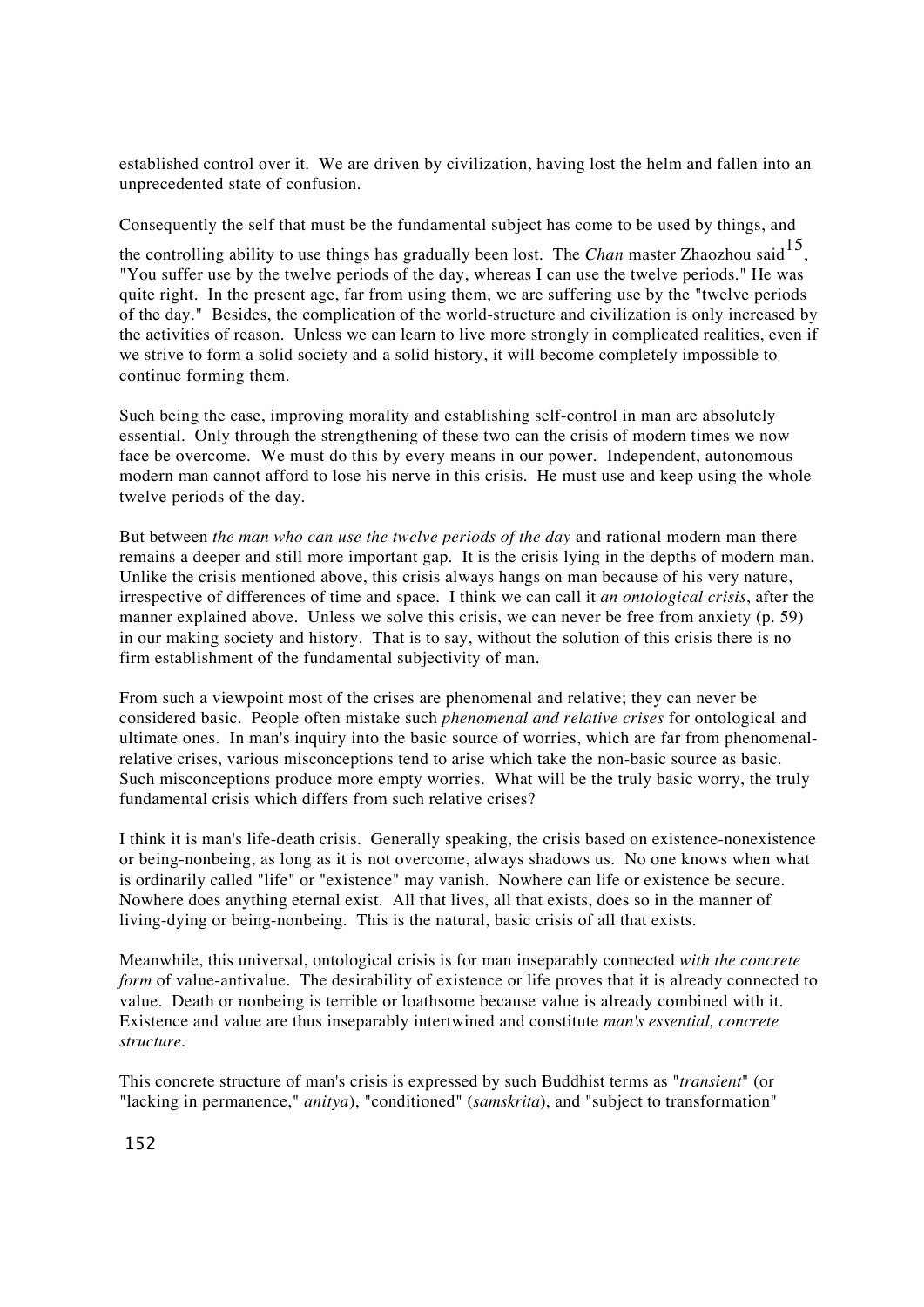established control over it. We are driven by civilization, having lost the helm and fallen into an unprecedented state of confusion.

Consequently the self that must be the fundamental subject has come to be used by things, and

the controlling ability to use things has gradually been lost. The *Chan* master Zhaozhou said<sup>15</sup>, "You suffer use by the twelve periods of the day, whereas I can use the twelve periods." He was quite right. In the present age, far from using them, we are suffering use by the "twelve periods of the day." Besides, the complication of the world-structure and civilization is only increased by the activities of reason. Unless we can learn to live more strongly in complicated realities, even if we strive to form a solid society and a solid history, it will become completely impossible to continue forming them.

Such being the case, improving morality and establishing self-control in man are absolutely essential. Only through the strengthening of these two can the crisis of modern times we now face be overcome. We must do this by every means in our power. Independent, autonomous modern man cannot afford to lose his nerve in this crisis. He must use and keep using the whole twelve periods of the day.

But between *the man who can use the twelve periods of the day* and rational modern man there remains a deeper and still more important gap. It is the crisis lying in the depths of modern man. Unlike the crisis mentioned above, this crisis always hangs on man because of his very nature, irrespective of differences of time and space. I think we can call it *an ontological crisis*, after the manner explained above. Unless we solve this crisis, we can never be free from anxiety (p. 59) in our making society and history. That is to say, without the solution of this crisis there is no firm establishment of the fundamental subjectivity of man.

From such a viewpoint most of the crises are phenomenal and relative; they can never be considered basic. People often mistake such *phenomenal and relative crises* for ontological and ultimate ones. In man's inquiry into the basic source of worries, which are far from phenomenalrelative crises, various misconceptions tend to arise which take the non-basic source as basic. Such misconceptions produce more empty worries. What will be the truly basic worry, the truly fundamental crisis which differs from such relative crises?

I think it is man's life-death crisis. Generally speaking, the crisis based on existence-nonexistence or being-nonbeing, as long as it is not overcome, always shadows us. No one knows when what is ordinarily called "life" or "existence" may vanish. Nowhere can life or existence be secure. Nowhere does anything eternal exist. All that lives, all that exists, does so in the manner of living-dying or being-nonbeing. This is the natural, basic crisis of all that exists.

Meanwhile, this universal, ontological crisis is for man inseparably connected *with the concrete form* of value-antivalue. The desirability of existence or life proves that it is already connected to value. Death or nonbeing is terrible or loathsome because value is already combined with it. Existence and value are thus inseparably intertwined and constitute *man's essential, concrete structure*.

This concrete structure of man's crisis is expressed by such Buddhist terms as "*transient*" (or "lacking in permanence," *anitya*), "conditioned" (*samskrita*), and "subject to transformation"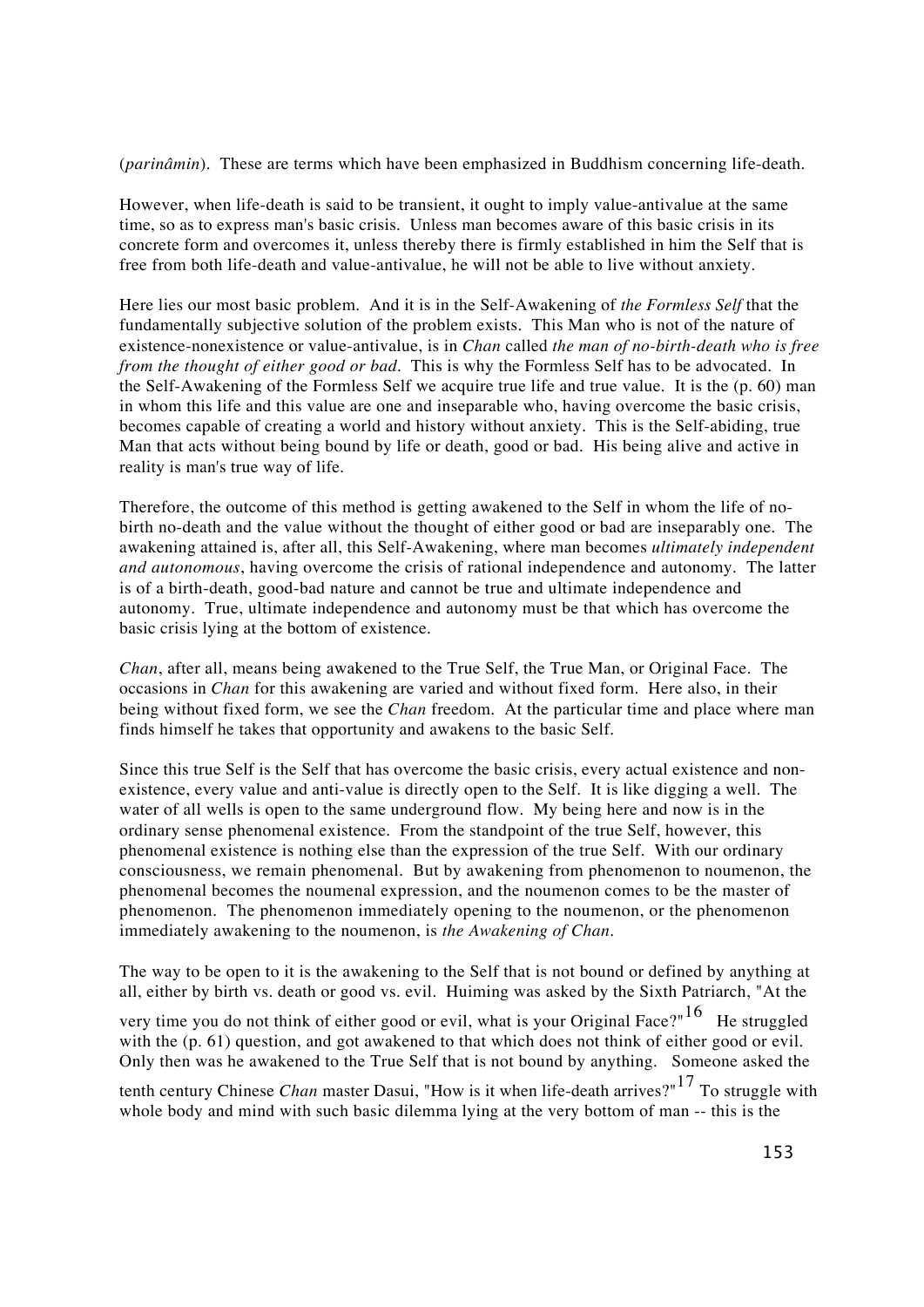(*parinâmin*). These are terms which have been emphasized in Buddhism concerning life-death.

However, when life-death is said to be transient, it ought to imply value-antivalue at the same time, so as to express man's basic crisis. Unless man becomes aware of this basic crisis in its concrete form and overcomes it, unless thereby there is firmly established in him the Self that is free from both life-death and value-antivalue, he will not be able to live without anxiety.

Here lies our most basic problem. And it is in the Self-Awakening of *the Formless Self* that the fundamentally subjective solution of the problem exists. This Man who is not of the nature of existence-nonexistence or value-antivalue, is in *Chan* called *the man of no-birth-death who is free from the thought of either good or bad.* This is why the Formless Self has to be advocated. In the Self-Awakening of the Formless Self we acquire true life and true value. It is the (p. 60) man in whom this life and this value are one and inseparable who, having overcome the basic crisis, becomes capable of creating a world and history without anxiety. This is the Self-abiding, true Man that acts without being bound by life or death, good or bad. His being alive and active in reality is man's true way of life.

Therefore, the outcome of this method is getting awakened to the Self in whom the life of nobirth no-death and the value without the thought of either good or bad are inseparably one. The awakening attained is, after all, this Self-Awakening, where man becomes *ultimately independent and autonomous*, having overcome the crisis of rational independence and autonomy. The latter is of a birth-death, good-bad nature and cannot be true and ultimate independence and autonomy. True, ultimate independence and autonomy must be that which has overcome the basic crisis lying at the bottom of existence.

*Chan*, after all, means being awakened to the True Self, the True Man, or Original Face. The occasions in *Chan* for this awakening are varied and without fixed form. Here also, in their being without fixed form, we see the *Chan* freedom. At the particular time and place where man finds himself he takes that opportunity and awakens to the basic Self.

Since this true Self is the Self that has overcome the basic crisis, every actual existence and nonexistence, every value and anti-value is directly open to the Self. It is like digging a well. The water of all wells is open to the same underground flow. My being here and now is in the ordinary sense phenomenal existence. From the standpoint of the true Self, however, this phenomenal existence is nothing else than the expression of the true Self. With our ordinary consciousness, we remain phenomenal. But by awakening from phenomenon to noumenon, the phenomenal becomes the noumenal expression, and the noumenon comes to be the master of phenomenon. The phenomenon immediately opening to the noumenon, or the phenomenon immediately awakening to the noumenon, is *the Awakening of Chan*.

The way to be open to it is the awakening to the Self that is not bound or defined by anything at all, either by birth vs. death or good vs. evil. Huiming was asked by the Sixth Patriarch, "At the

very time you do not think of either good or evil, what is your Original Face?"<sup>16</sup> He struggled with the (p. 61) question, and got awakened to that which does not think of either good or evil. Only then was he awakened to the True Self that is not bound by anything. Someone asked the

tenth century Chinese *Chan* master Dasui, "How is it when life-death arrives?"17 To struggle with whole body and mind with such basic dilemma lying at the very bottom of man -- this is the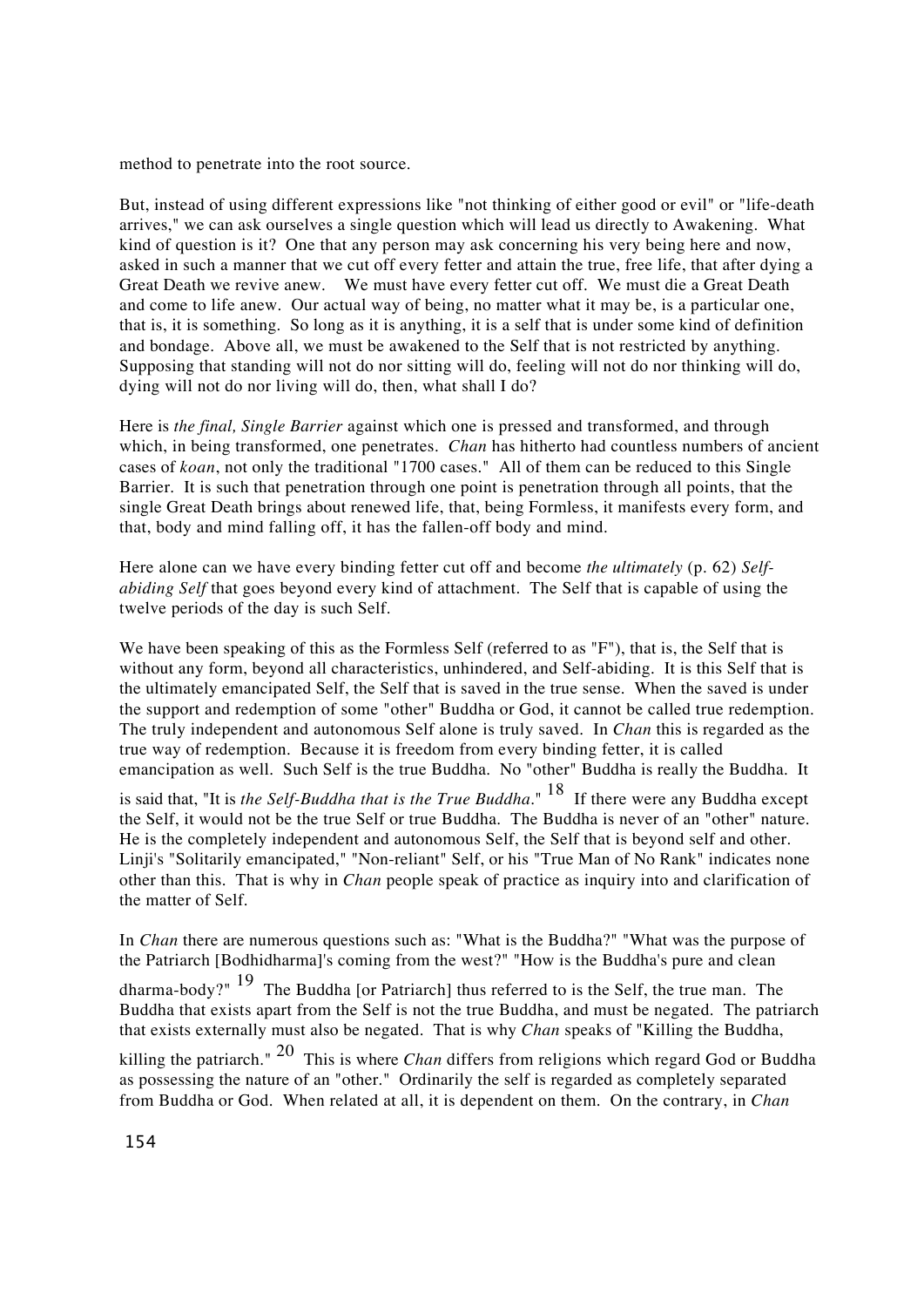method to penetrate into the root source.

But, instead of using different expressions like "not thinking of either good or evil" or "life-death arrives," we can ask ourselves a single question which will lead us directly to Awakening. What kind of question is it? One that any person may ask concerning his very being here and now, asked in such a manner that we cut off every fetter and attain the true, free life, that after dying a Great Death we revive anew. We must have every fetter cut off. We must die a Great Death and come to life anew. Our actual way of being, no matter what it may be, is a particular one, that is, it is something. So long as it is anything, it is a self that is under some kind of definition and bondage. Above all, we must be awakened to the Self that is not restricted by anything. Supposing that standing will not do nor sitting will do, feeling will not do nor thinking will do, dying will not do nor living will do, then, what shall I do?

Here is *the final, Single Barrier* against which one is pressed and transformed, and through which, in being transformed, one penetrates. *Chan* has hitherto had countless numbers of ancient cases of *koan*, not only the traditional "1700 cases." All of them can be reduced to this Single Barrier. It is such that penetration through one point is penetration through all points, that the single Great Death brings about renewed life, that, being Formless, it manifests every form, and that, body and mind falling off, it has the fallen-off body and mind.

Here alone can we have every binding fetter cut off and become *the ultimately* (p. 62) *Selfabiding Self* that goes beyond every kind of attachment. The Self that is capable of using the twelve periods of the day is such Self.

We have been speaking of this as the Formless Self (referred to as "F"), that is, the Self that is without any form, beyond all characteristics, unhindered, and Self-abiding. It is this Self that is the ultimately emancipated Self, the Self that is saved in the true sense. When the saved is under the support and redemption of some "other" Buddha or God, it cannot be called true redemption. The truly independent and autonomous Self alone is truly saved. In *Chan* this is regarded as the true way of redemption. Because it is freedom from every binding fetter, it is called emancipation as well. Such Self is the true Buddha. No "other" Buddha is really the Buddha. It

is said that, "It is *the Self-Buddha that is the True Buddha*." 18 If there were any Buddha except the Self, it would not be the true Self or true Buddha. The Buddha is never of an "other" nature. He is the completely independent and autonomous Self, the Self that is beyond self and other. Linji's "Solitarily emancipated," "Non-reliant" Self, or his "True Man of No Rank" indicates none other than this. That is why in *Chan* people speak of practice as inquiry into and clarification of the matter of Self.

In *Chan* there are numerous questions such as: "What is the Buddha?" "What was the purpose of the Patriarch [Bodhidharma]'s coming from the west?" "How is the Buddha's pure and clean dharma-body?"  $19$  The Buddha [or Patriarch] thus referred to is the Self, the true man. The Buddha that exists apart from the Self is not the true Buddha, and must be negated. The patriarch that exists externally must also be negated. That is why *Chan* speaks of "Killing the Buddha, killing the patriarch." 20 This is where *Chan* differs from religions which regard God or Buddha as possessing the nature of an "other." Ordinarily the self is regarded as completely separated from Buddha or God. When related at all, it is dependent on them. On the contrary, in *Chan*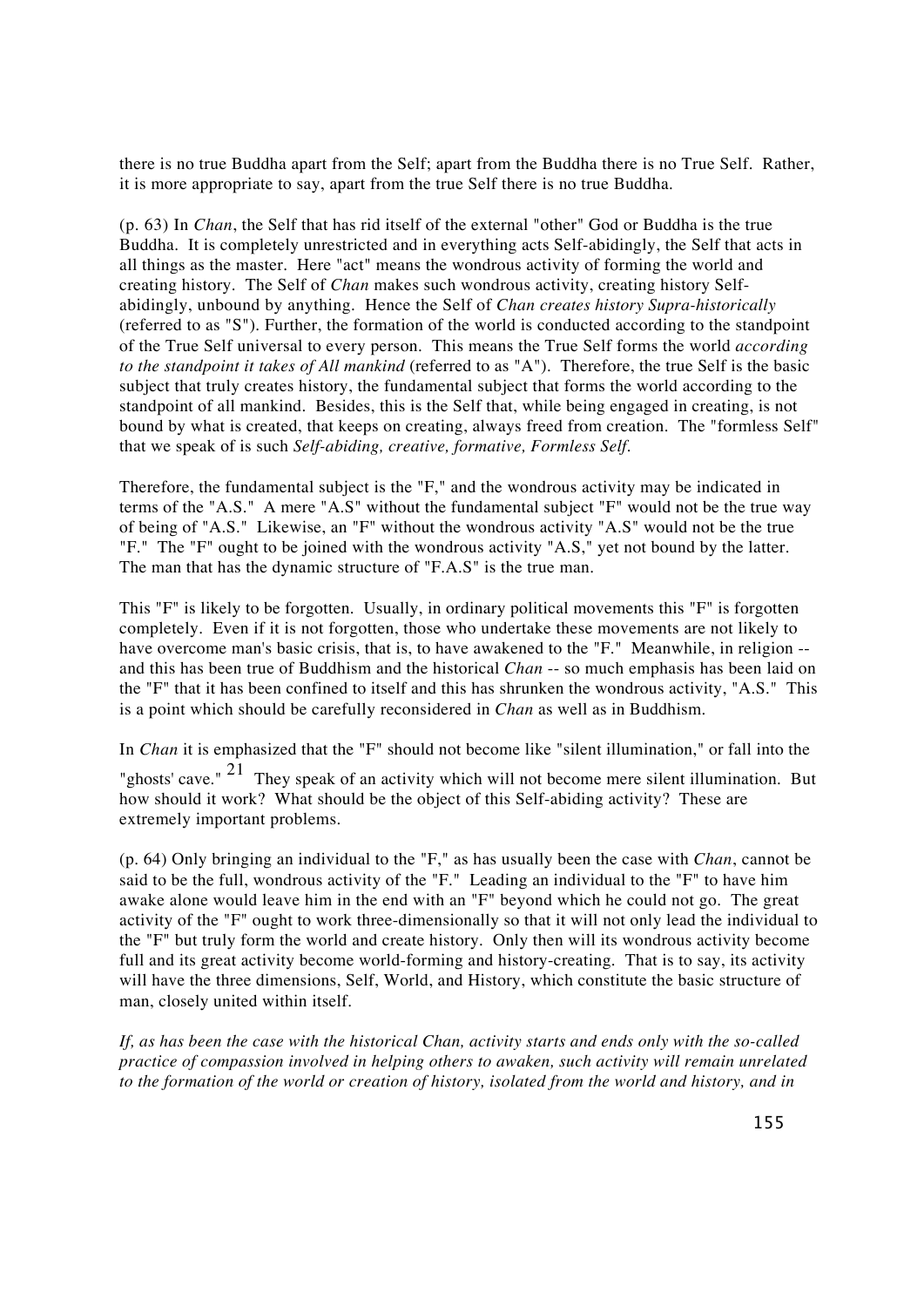there is no true Buddha apart from the Self; apart from the Buddha there is no True Self. Rather, it is more appropriate to say, apart from the true Self there is no true Buddha.

(p. 63) In *Chan*, the Self that has rid itself of the external "other" God or Buddha is the true Buddha. It is completely unrestricted and in everything acts Self-abidingly, the Self that acts in all things as the master. Here "act" means the wondrous activity of forming the world and creating history. The Self of *Chan* makes such wondrous activity, creating history Selfabidingly, unbound by anything. Hence the Self of *Chan creates history Supra-historically* (referred to as "S"). Further, the formation of the world is conducted according to the standpoint of the True Self universal to every person. This means the True Self forms the world *according to the standpoint it takes of All mankind* (referred to as "A"). Therefore, the true Self is the basic subject that truly creates history, the fundamental subject that forms the world according to the standpoint of all mankind. Besides, this is the Self that, while being engaged in creating, is not bound by what is created, that keeps on creating, always freed from creation. The "formless Self" that we speak of is such *Self-abiding, creative, formative, Formless Self*.

Therefore, the fundamental subject is the "F," and the wondrous activity may be indicated in terms of the "A.S." A mere "A.S" without the fundamental subject "F" would not be the true way of being of "A.S." Likewise, an "F" without the wondrous activity "A.S" would not be the true "F." The "F" ought to be joined with the wondrous activity "A.S," yet not bound by the latter. The man that has the dynamic structure of "F.A.S" is the true man.

This "F" is likely to be forgotten. Usually, in ordinary political movements this "F" is forgotten completely. Even if it is not forgotten, those who undertake these movements are not likely to have overcome man's basic crisis, that is, to have awakened to the "F." Meanwhile, in religion - and this has been true of Buddhism and the historical *Chan* -- so much emphasis has been laid on the "F" that it has been confined to itself and this has shrunken the wondrous activity, "A.S." This is a point which should be carefully reconsidered in *Chan* as well as in Buddhism.

In *Chan* it is emphasized that the "F" should not become like "silent illumination," or fall into the "ghosts' cave."  $21$  They speak of an activity which will not become mere silent illumination. But how should it work? What should be the object of this Self-abiding activity? These are extremely important problems.

(p. 64) Only bringing an individual to the "F," as has usually been the case with *Chan*, cannot be said to be the full, wondrous activity of the "F." Leading an individual to the "F" to have him awake alone would leave him in the end with an "F" beyond which he could not go. The great activity of the "F" ought to work three-dimensionally so that it will not only lead the individual to the "F" but truly form the world and create history. Only then will its wondrous activity become full and its great activity become world-forming and history-creating. That is to say, its activity will have the three dimensions, Self, World, and History, which constitute the basic structure of man, closely united within itself.

*If, as has been the case with the historical Chan, activity starts and ends only with the so-called practice of compassion involved in helping others to awaken, such activity will remain unrelated to the formation of the world or creation of history, isolated from the world and history, and in*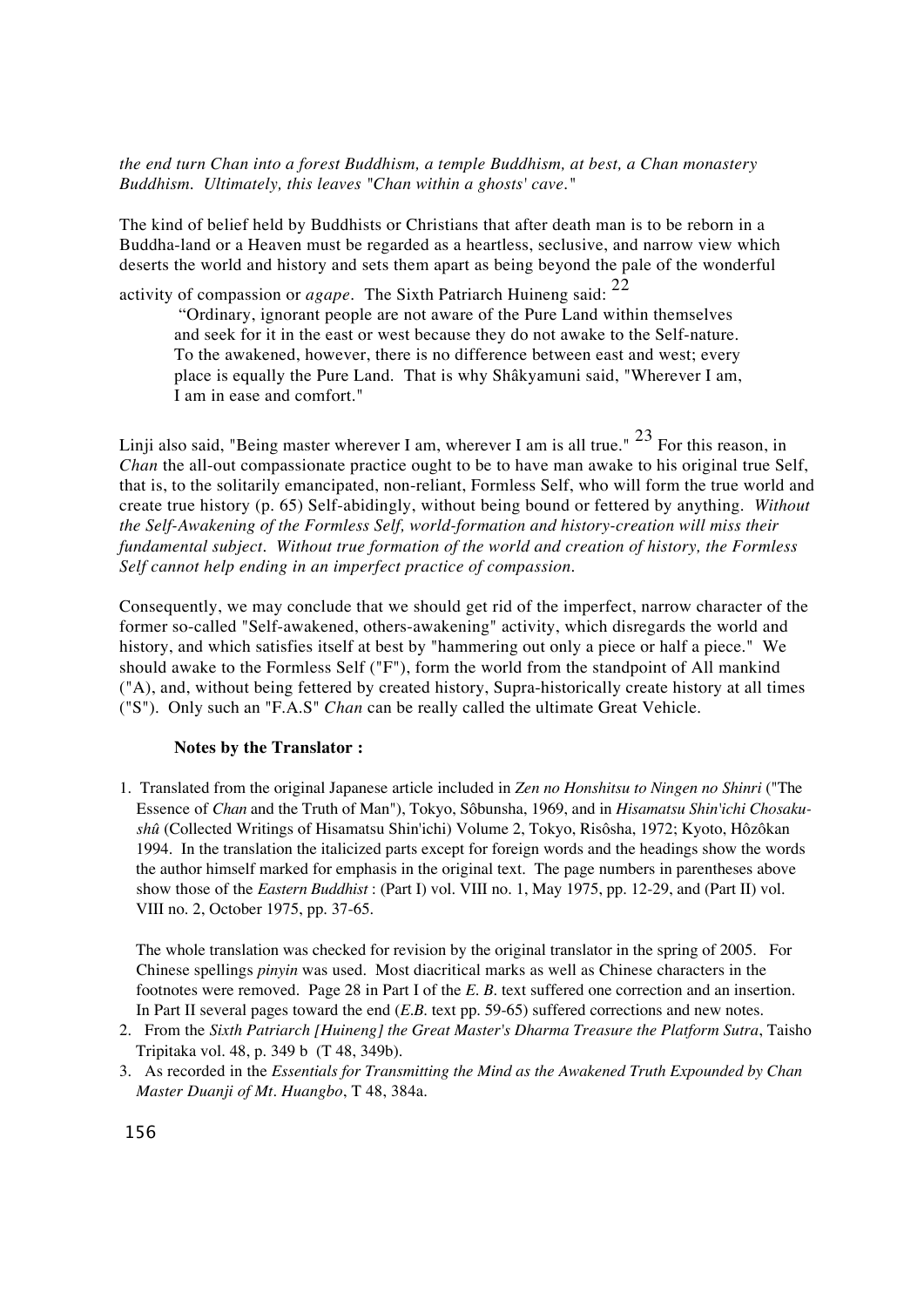## *the end turn Chan into a forest Buddhism, a temple Buddhism, at best, a Chan monastery Buddhism. Ultimately, this leaves "Chan within a ghosts' cave."*

The kind of belief held by Buddhists or Christians that after death man is to be reborn in a Buddha-land or a Heaven must be regarded as a heartless, seclusive, and narrow view which deserts the world and history and sets them apart as being beyond the pale of the wonderful

activity of compassion or *agape.* The Sixth Patriarch Huineng said: <sup>22</sup>

 "Ordinary, ignorant people are not aware of the Pure Land within themselves and seek for it in the east or west because they do not awake to the Self-nature. To the awakened, however, there is no difference between east and west; every place is equally the Pure Land. That is why Shâkyamuni said, "Wherever I am, I am in ease and comfort."

Linji also said, "Being master wherever I am, wherever I am is all true."  $23$  For this reason, in *Chan* the all-out compassionate practice ought to be to have man awake to his original true Self, that is, to the solitarily emancipated, non-reliant, Formless Self, who will form the true world and create true history (p. 65) Self-abidingly, without being bound or fettered by anything. *Without the Self-Awakening of the Formless Self, world-formation and history-creation will miss their fundamental subject. Without true formation of the world and creation of history, the Formless Self cannot help ending in an imperfect practice of compassion*.

Consequently, we may conclude that we should get rid of the imperfect, narrow character of the former so-called "Self-awakened, others-awakening" activity, which disregards the world and history, and which satisfies itself at best by "hammering out only a piece or half a piece." We should awake to the Formless Self ("F"), form the world from the standpoint of All mankind ("A), and, without being fettered by created history, Supra-historically create history at all times ("S"). Only such an "F.A.S" *Chan* can be really called the ultimate Great Vehicle.

#### **Notes by the Translator :**

1. Translated from the original Japanese article included in *Zen no Honshitsu to Ningen no Shinri* ("The Essence of *Chan* and the Truth of Man"), Tokyo, Sôbunsha, 1969, and in *Hisamatsu Shin'ichi Chosaku shû* (Collected Writings of Hisamatsu Shin'ichi) Volume 2, Tokyo, Risôsha, 1972; Kyoto, Hôzôkan 1994. In the translation the italicized parts except for foreign words and the headings show the words the author himself marked for emphasis in the original text. The page numbers in parentheses above show those of the *Eastern Buddhist* : (Part I) vol. VIII no. 1, May 1975, pp. 12-29, and (Part II) vol. VIII no. 2, October 1975, pp. 37-65.

 The whole translation was checked for revision by the original translator in the spring of 2005. For Chinese spellings *pinyin* was used. Most diacritical marks as well as Chinese characters in the footnotes were removed. Page 28 in Part I of the *E. B*. text suffered one correction and an insertion. In Part II several pages toward the end (*E.B*. text pp. 59-65) suffered corrections and new notes.

- 2. From the *Sixth Patriarch [Huineng] the Great Master's Dharma Treasure the Platform Sutra*, Taisho Tripitaka vol. 48, p. 349 b (T 48, 349b).
- 3. As recorded in the *Essentials for Transmitting the Mind as the Awakened Truth Expounded by Chan Master Duanji of Mt. Huangbo*, T 48, 384a.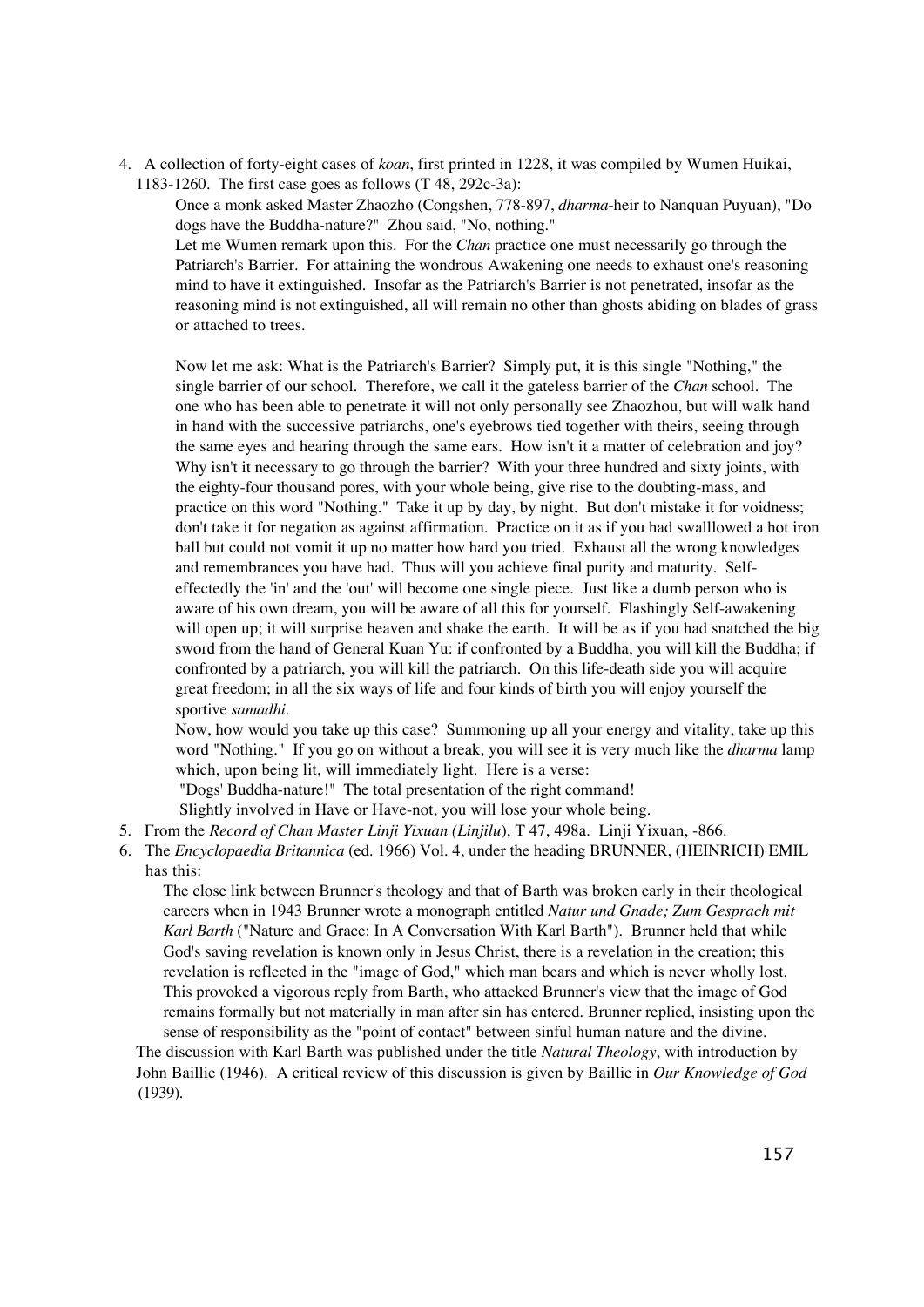4. A collection of forty-eight cases of *koan*, first printed in 1228, it was compiled by Wumen Huikai, 1183-1260. The first case goes as follows (T 48, 292c-3a):

Once a monk asked Master Zhaozho (Congshen, 778-897, *dharma*-heir to Nanquan Puyuan), "Do dogs have the Buddha-nature?" Zhou said, "No, nothing."

Let me Wumen remark upon this. For the *Chan* practice one must necessarily go through the Patriarch's Barrier. For attaining the wondrous Awakening one needs to exhaust one's reasoning mind to have it extinguished. Insofar as the Patriarch's Barrier is not penetrated, insofar as the reasoning mind is not extinguished, all will remain no other than ghosts abiding on blades of grass or attached to trees.

Now let me ask: What is the Patriarch's Barrier? Simply put, it is this single "Nothing," the single barrier of our school. Therefore, we call it the gateless barrier of the *Chan* school. The one who has been able to penetrate it will not only personally see Zhaozhou, but will walk hand in hand with the successive patriarchs, one's eyebrows tied together with theirs, seeing through the same eyes and hearing through the same ears. How isn't it a matter of celebration and joy? Why isn't it necessary to go through the barrier? With your three hundred and sixty joints, with the eighty-four thousand pores, with your whole being, give rise to the doubting-mass, and practice on this word "Nothing." Take it up by day, by night. But don't mistake it for voidness; don't take it for negation as against affirmation. Practice on it as if you had swalllowed a hot iron ball but could not vomit it up no matter how hard you tried. Exhaust all the wrong knowledges and remembrances you have had. Thus will you achieve final purity and maturity. Selfeffectedly the 'in' and the 'out' will become one single piece. Just like a dumb person who is aware of his own dream, you will be aware of all this for yourself. Flashingly Self-awakening will open up; it will surprise heaven and shake the earth. It will be as if you had snatched the big sword from the hand of General Kuan Yu: if confronted by a Buddha, you will kill the Buddha; if confronted by a patriarch, you will kill the patriarch. On this life-death side you will acquire great freedom; in all the six ways of life and four kinds of birth you will enjoy yourself the sportive *samadhi*.

Now, how would you take up this case? Summoning up all your energy and vitality, take up this word "Nothing." If you go on without a break, you will see it is very much like the *dharma* lamp which, upon being lit, will immediately light. Here is a verse:

"Dogs' Buddha-nature!" The total presentation of the right command!

- Slightly involved in Have or Have-not, you will lose your whole being.
- 5. From the *Record of Chan Master Linji Yixuan (Linjilu*), T 47, 498a. Linji Yixuan, -866.
- 6. The *Encyclopaedia Britannica* (ed. 1966) Vol. 4, under the heading BRUNNER, (HEINRICH) EMIL has this:

The close link between Brunner's theology and that of Barth was broken early in their theological careers when in 1943 Brunner wrote a monograph entitled *Natur und Gnade; Zum Gesprach mit Karl Barth* ("Nature and Grace: In A Conversation With Karl Barth"). Brunner held that while God's saving revelation is known only in Jesus Christ, there is a revelation in the creation; this revelation is reflected in the "image of God," which man bears and which is never wholly lost. This provoked a vigorous reply from Barth, who attacked Brunner's view that the image of God remains formally but not materially in man after sin has entered. Brunner replied, insisting upon the sense of responsibility as the "point of contact" between sinful human nature and the divine.

 The discussion with Karl Barth was published under the title *Natural Theology*, with introduction by John Baillie (1946). A critical review of this discussion is given by Baillie in *Our Knowledge of God* (1939).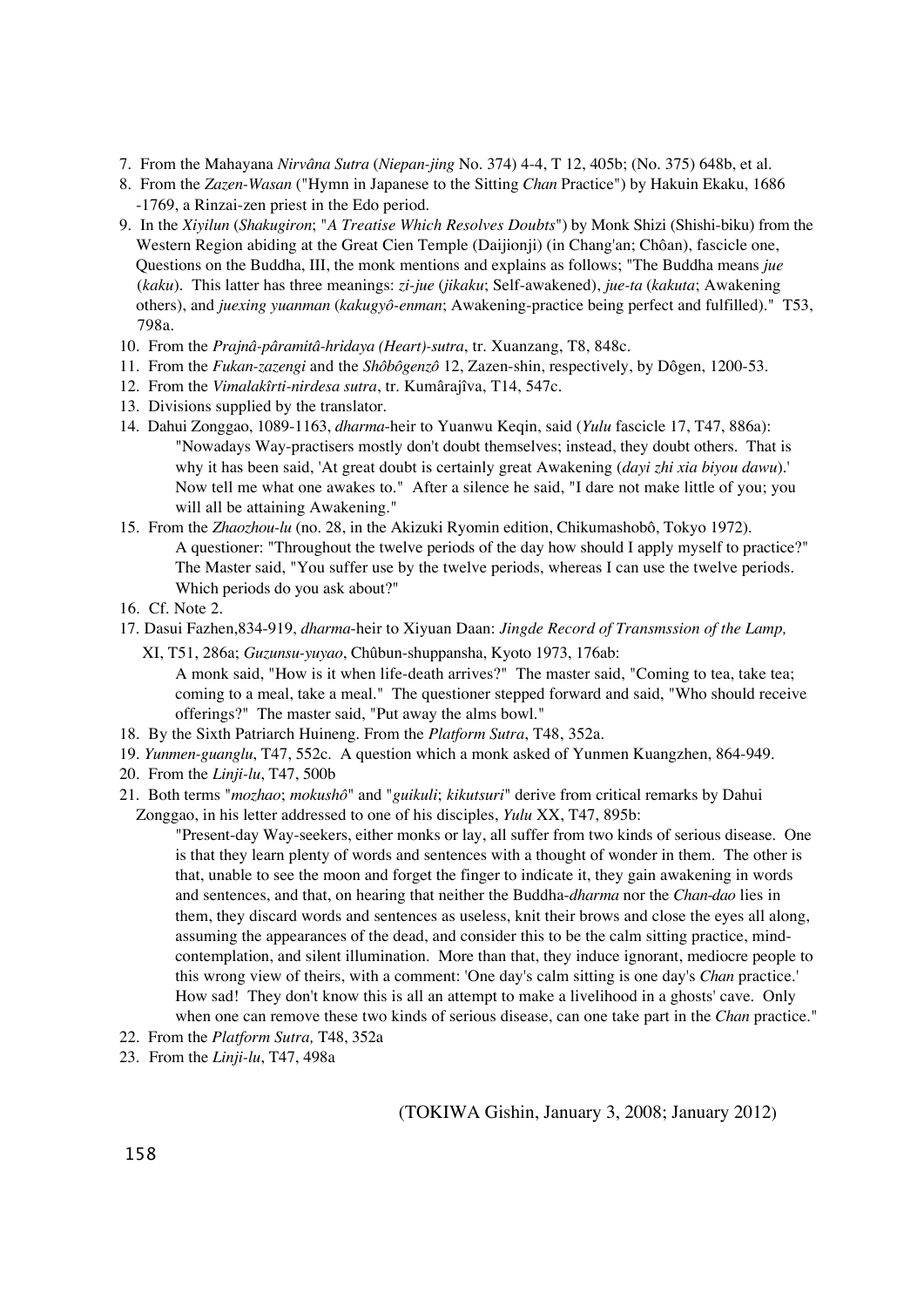- 7. From the Mahayana *Nirvâna Sutra* (*Niepan-jing* No. 374) 4-4, T 12, 405b; (No. 375) 648b, et al.
- 8. From the *Zazen-Wasan* ("Hymn in Japanese to the Sitting *Chan* Practice") by Hakuin Ekaku, 1686 -1769, a Rinzai-zen priest in the Edo period.
- 9. In the *Xiyilun* (*Shakugiron*; "*A Treatise Which Resolves Doubts*") by Monk Shizi (Shishi-biku) from the Western Region abiding at the Great Cien Temple (Daijionji) (in Chang'an; Chôan), fascicle one, Questions on the Buddha, III, the monk mentions and explains as follows; "The Buddha means *jue* (*kaku*). This latter has three meanings: *zi-jue* (*jikaku*; Self-awakened), *jue-ta* (*kakuta*; Awakening others), and *juexing yuanman* (*kakugyô-enman*; Awakening-practice being perfect and fulfilled)." T53, 798a.
- 10. From the *Prajnâ-pâramitâ-hridaya (Heart)-sutra*, tr. Xuanzang, T8, 848c.
- 11. From the *Fukan-zazengi* and the *Shôbôgenzô* 12, Zazen-shin, respectively, by Dôgen, 1200-53.
- 12. From the *Vimalakîrti-nirdesa sutra*, tr. Kumârajîva, T14, 547c.
- 13. Divisions supplied by the translator.
- 14. Dahui Zonggao, 1089-1163, *dharma*-heir to Yuanwu Keqin, said (*Yulu* fascicle 17, T47, 886a): "Nowadays Way-practisers mostly don't doubt themselves; instead, they doubt others. That is why it has been said, 'At great doubt is certainly great Awakening (*dayi zhi xia biyou dawu*).' Now tell me what one awakes to." After a silence he said, "I dare not make little of you; you will all be attaining Awakening."
- 15. From the *Zhaozhou-lu* (no. 28, in the Akizuki Ryomin edition, Chikumashobô, Tokyo 1972). A questioner: "Throughout the twelve periods of the day how should I apply myself to practice?" The Master said, "You suffer use by the twelve periods, whereas I can use the twelve periods. Which periods do you ask about?"
- 16. Cf. Note 2.
- 17. Dasui Fazhen,834-919, *dharma*-heir to Xiyuan Daan: *Jingde Record of Transmssion of the Lamp,*
	- XI, T51, 286a; *Guzunsu-yuyao*, Chûbun-shuppansha, Kyoto 1973, 176ab: A monk said, "How is it when life-death arrives?" The master said, "Coming to tea, take tea; coming to a meal, take a meal." The questioner stepped forward and said, "Who should receive offerings?" The master said, "Put away the alms bowl."
- 18. By the Sixth Patriarch Huineng. From the *Platform Sutra*, T48, 352a.
- 19. *Yunmen-guanglu*, T47, 552c. A question which a monk asked of Yunmen Kuangzhen, 864-949.
- 20. From the *Linji-lu*, T47, 500b
- 21. Both terms "*mozhao*; *mokushô*" and "*guikuli*; *kikutsuri*" derive from critical remarks by Dahui Zonggao, in his letter addressed to one of his disciples, *Yulu* XX, T47, 895b:

"Present-day Way-seekers, either monks or lay, all suffer from two kinds of serious disease. One is that they learn plenty of words and sentences with a thought of wonder in them. The other is that, unable to see the moon and forget the finger to indicate it, they gain awakening in words and sentences, and that, on hearing that neither the Buddha-*dharma* nor the *Chan*-*dao* lies in them, they discard words and sentences as useless, knit their brows and close the eyes all along, assuming the appearances of the dead, and consider this to be the calm sitting practice, mindcontemplation, and silent illumination. More than that, they induce ignorant, mediocre people to this wrong view of theirs, with a comment: 'One day's calm sitting is one day's *Chan* practice.' How sad! They don't know this is all an attempt to make a livelihood in a ghosts' cave. Only when one can remove these two kinds of serious disease, can one take part in the *Chan* practice."

- 22. From the *Platform Sutra,* T48, 352a
- 23. From the *Linji-lu*, T47, 498a

(TOKIWA Gishin, January 3, 2008; January 2012)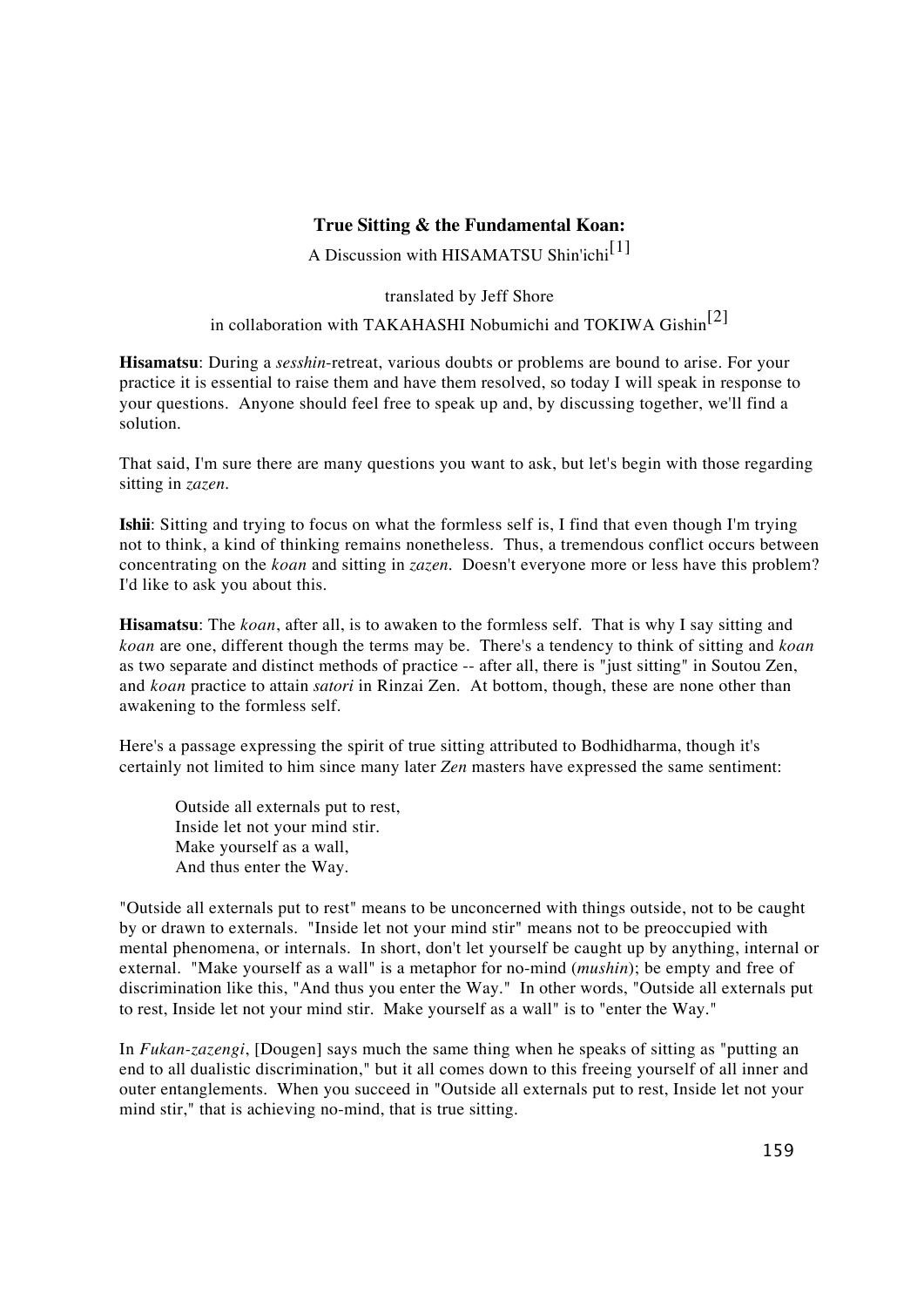# **True Sitting & the Fundamental Koan:**

A Discussion with HISAMATSU Shin'ichi<sup>[1]</sup>

translated by Jeff Shore

in collaboration with TAKAHASHI Nobumichi and TOKIWA Gishin<sup>[2]</sup>

**Hisamatsu**: During a *sesshin*-retreat, various doubts or problems are bound to arise. For your practice it is essential to raise them and have them resolved, so today I will speak in response to your questions. Anyone should feel free to speak up and, by discussing together, we'll find a solution.

That said, I'm sure there are many questions you want to ask, but let's begin with those regarding sitting in *zazen*.

**Ishii**: Sitting and trying to focus on what the formless self is, I find that even though I'm trying not to think, a kind of thinking remains nonetheless. Thus, a tremendous conflict occurs between concentrating on the *koan* and sitting in *zazen*. Doesn't everyone more or less have this problem? I'd like to ask you about this.

**Hisamatsu**: The *koan*, after all, is to awaken to the formless self. That is why I say sitting and *koan* are one, different though the terms may be. There's a tendency to think of sitting and *koan* as two separate and distinct methods of practice -- after all, there is "just sitting" in Soutou Zen, and *koan* practice to attain *satori* in Rinzai Zen. At bottom, though, these are none other than awakening to the formless self.

Here's a passage expressing the spirit of true sitting attributed to Bodhidharma, though it's certainly not limited to him since many later *Zen* masters have expressed the same sentiment:

Outside all externals put to rest, Inside let not your mind stir. Make yourself as a wall, And thus enter the Way.

"Outside all externals put to rest" means to be unconcerned with things outside, not to be caught by or drawn to externals. "Inside let not your mind stir" means not to be preoccupied with mental phenomena, or internals. In short, don't let yourself be caught up by anything, internal or external. "Make yourself as a wall" is a metaphor for no-mind (*mushin*); be empty and free of discrimination like this, "And thus you enter the Way." In other words, "Outside all externals put to rest, Inside let not your mind stir. Make yourself as a wall" is to "enter the Way."

In *Fukan-zazengi*, [Dougen] says much the same thing when he speaks of sitting as "putting an end to all dualistic discrimination," but it all comes down to this freeing yourself of all inner and outer entanglements. When you succeed in "Outside all externals put to rest, Inside let not your mind stir," that is achieving no-mind, that is true sitting.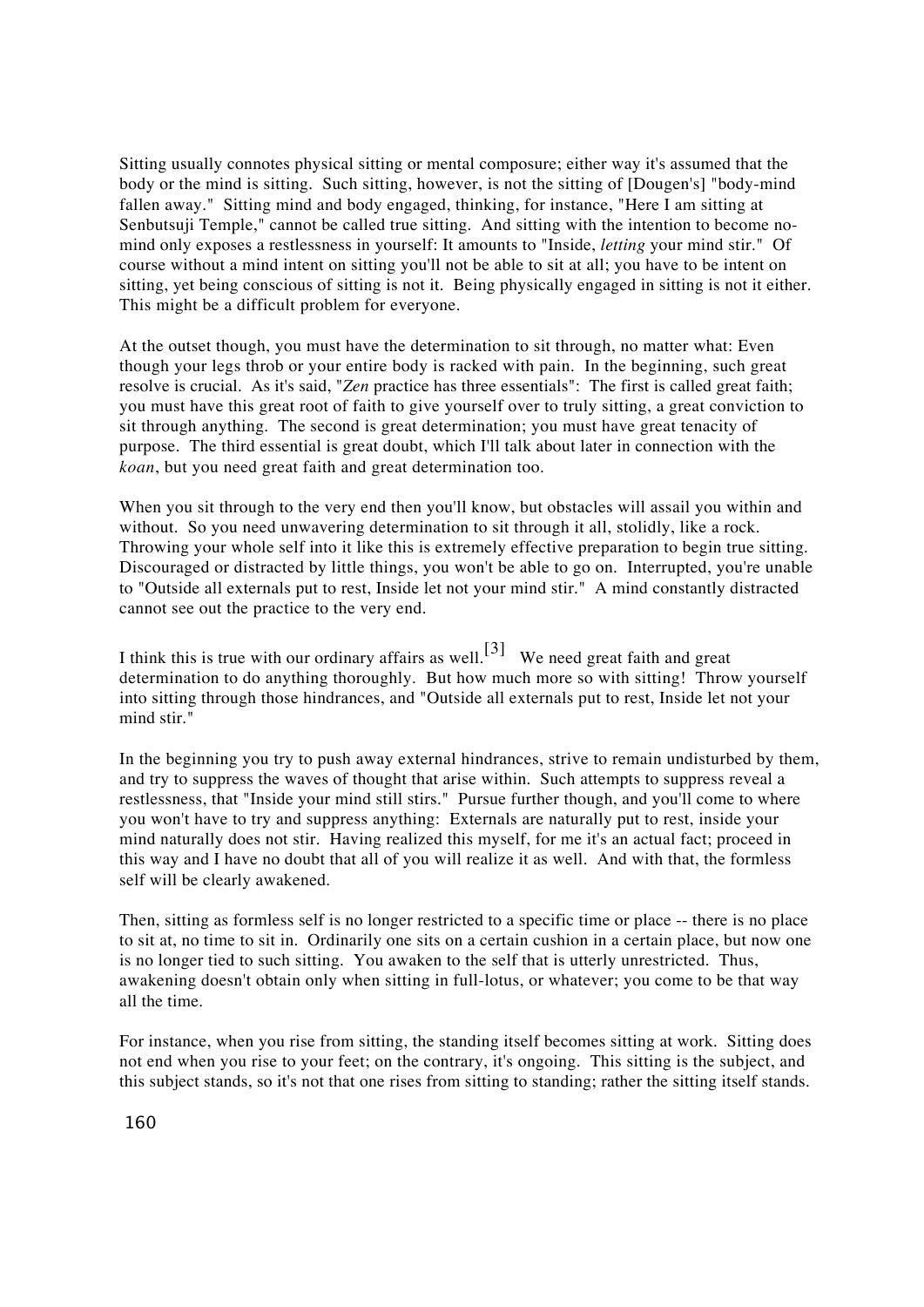Sitting usually connotes physical sitting or mental composure; either way it's assumed that the body or the mind is sitting. Such sitting, however, is not the sitting of [Dougen's] "body-mind fallen away." Sitting mind and body engaged, thinking, for instance, "Here I am sitting at Senbutsuji Temple," cannot be called true sitting. And sitting with the intention to become nomind only exposes a restlessness in yourself: It amounts to "Inside, *letting* your mind stir." Of course without a mind intent on sitting you'll not be able to sit at all; you have to be intent on sitting, yet being conscious of sitting is not it. Being physically engaged in sitting is not it either. This might be a difficult problem for everyone.

At the outset though, you must have the determination to sit through, no matter what: Even though your legs throb or your entire body is racked with pain. In the beginning, such great resolve is crucial. As it's said, "*Zen* practice has three essentials": The first is called great faith; you must have this great root of faith to give yourself over to truly sitting, a great conviction to sit through anything. The second is great determination; you must have great tenacity of purpose. The third essential is great doubt, which I'll talk about later in connection with the *koan*, but you need great faith and great determination too.

When you sit through to the very end then you'll know, but obstacles will assail you within and without. So you need unwavering determination to sit through it all, stolidly, like a rock. Throwing your whole self into it like this is extremely effective preparation to begin true sitting. Discouraged or distracted by little things, you won't be able to go on. Interrupted, you're unable to "Outside all externals put to rest, Inside let not your mind stir." A mind constantly distracted cannot see out the practice to the very end.

I think this is true with our ordinary affairs as well.<sup>[3]</sup> We need great faith and great determination to do anything thoroughly. But how much more so with sitting! Throw yourself into sitting through those hindrances, and "Outside all externals put to rest, Inside let not your mind stir."

In the beginning you try to push away external hindrances, strive to remain undisturbed by them, and try to suppress the waves of thought that arise within. Such attempts to suppress reveal a restlessness, that "Inside your mind still stirs." Pursue further though, and you'll come to where you won't have to try and suppress anything: Externals are naturally put to rest, inside your mind naturally does not stir. Having realized this myself, for me it's an actual fact; proceed in this way and I have no doubt that all of you will realize it as well. And with that, the formless self will be clearly awakened.

Then, sitting as formless self is no longer restricted to a specific time or place -- there is no place to sit at, no time to sit in. Ordinarily one sits on a certain cushion in a certain place, but now one is no longer tied to such sitting. You awaken to the self that is utterly unrestricted. Thus, awakening doesn't obtain only when sitting in full-lotus, or whatever; you come to be that way all the time.

For instance, when you rise from sitting, the standing itself becomes sitting at work. Sitting does not end when you rise to your feet; on the contrary, it's ongoing. This sitting is the subject, and this subject stands, so it's not that one rises from sitting to standing; rather the sitting itself stands.

160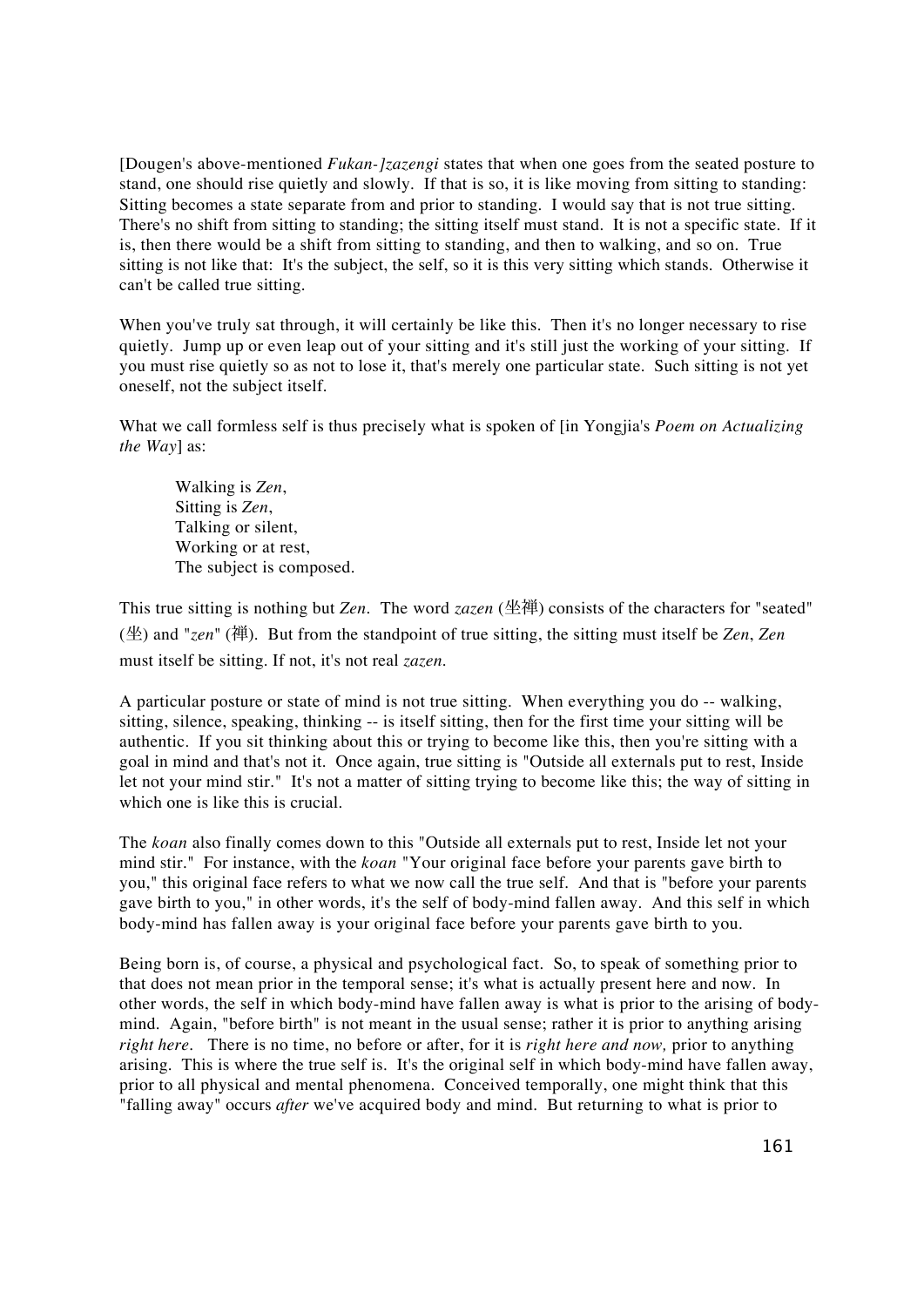[Dougen's above-mentioned *Fukan-]zazengi* states that when one goes from the seated posture to stand, one should rise quietly and slowly. If that is so, it is like moving from sitting to standing: Sitting becomes a state separate from and prior to standing. I would say that is not true sitting. There's no shift from sitting to standing; the sitting itself must stand. It is not a specific state. If it is, then there would be a shift from sitting to standing, and then to walking, and so on. True sitting is not like that: It's the subject, the self, so it is this very sitting which stands. Otherwise it can't be called true sitting.

When you've truly sat through, it will certainly be like this. Then it's no longer necessary to rise quietly. Jump up or even leap out of your sitting and it's still just the working of your sitting. If you must rise quietly so as not to lose it, that's merely one particular state. Such sitting is not yet oneself, not the subject itself.

What we call formless self is thus precisely what is spoken of [in Yongjia's *Poem on Actualizing the Way*] as:

Walking is *Zen*, Sitting is *Zen*, Talking or silent, Working or at rest, The subject is composed.

This true sitting is nothing but *Zen*. The word *zazen* (坐禅) consists of the characters for "seated" (坐) and "*zen*" (禅). But from the standpoint of true sitting, the sitting must itself be *Zen*, *Zen* must itself be sitting. If not, it's not real *zazen*.

A particular posture or state of mind is not true sitting. When everything you do -- walking, sitting, silence, speaking, thinking -- is itself sitting, then for the first time your sitting will be authentic. If you sit thinking about this or trying to become like this, then you're sitting with a goal in mind and that's not it. Once again, true sitting is "Outside all externals put to rest, Inside let not your mind stir." It's not a matter of sitting trying to become like this; the way of sitting in which one is like this is crucial.

The *koan* also finally comes down to this "Outside all externals put to rest, Inside let not your mind stir." For instance, with the *koan* "Your original face before your parents gave birth to you," this original face refers to what we now call the true self. And that is "before your parents gave birth to you," in other words, it's the self of body-mind fallen away. And this self in which body-mind has fallen away is your original face before your parents gave birth to you.

Being born is, of course, a physical and psychological fact. So, to speak of something prior to that does not mean prior in the temporal sense; it's what is actually present here and now. In other words, the self in which body-mind have fallen away is what is prior to the arising of bodymind. Again, "before birth" is not meant in the usual sense; rather it is prior to anything arising *right here*. There is no time, no before or after, for it is *right here and now,* prior to anything arising. This is where the true self is. It's the original self in which body-mind have fallen away, prior to all physical and mental phenomena. Conceived temporally, one might think that this "falling away" occurs *after* we've acquired body and mind. But returning to what is prior to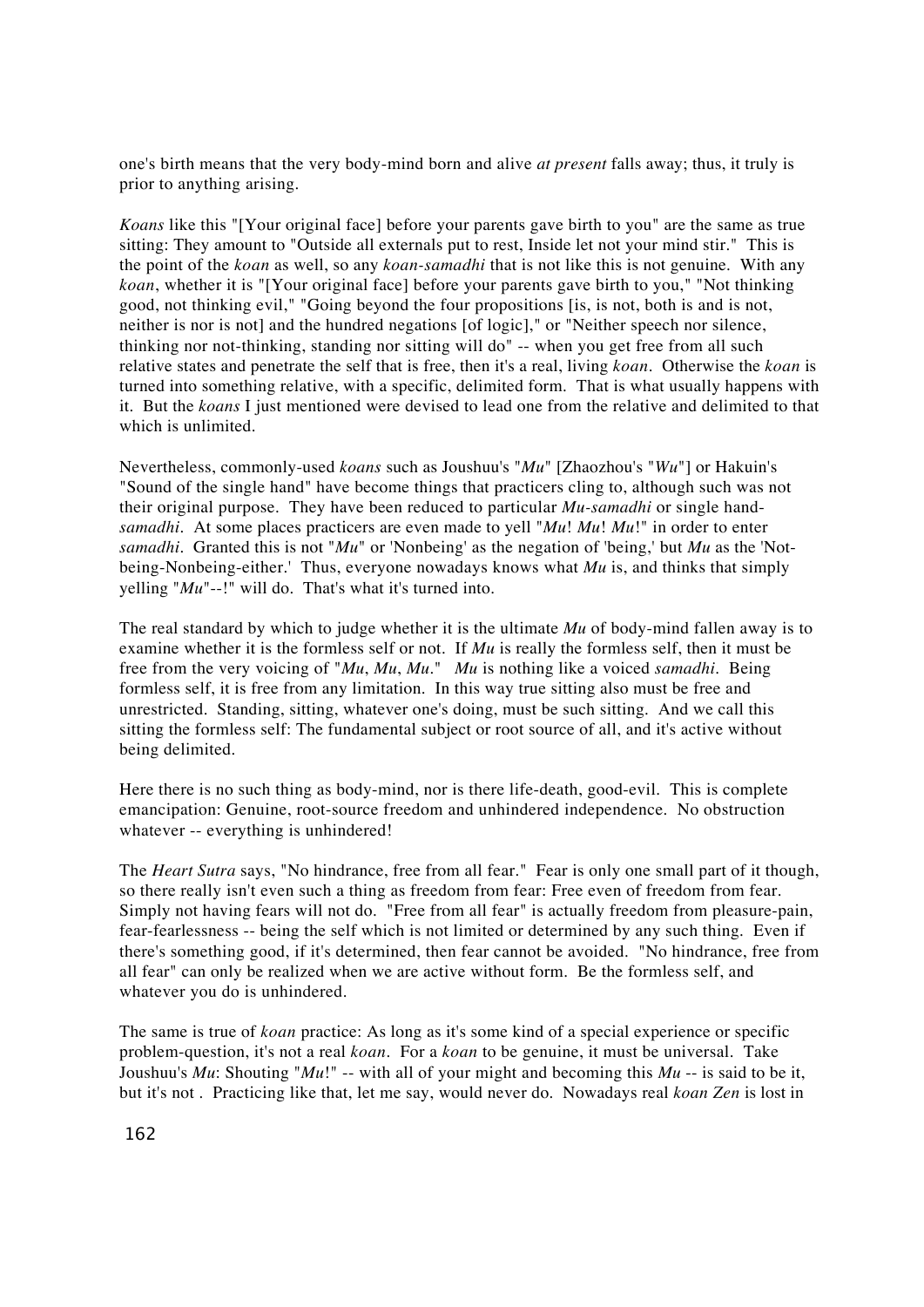one's birth means that the very body-mind born and alive *at present* falls away; thus, it truly is prior to anything arising.

*Koans* like this "[Your original face] before your parents gave birth to you" are the same as true sitting: They amount to "Outside all externals put to rest, Inside let not your mind stir." This is the point of the *koan* as well, so any *koan-samadhi* that is not like this is not genuine. With any *koan*, whether it is "[Your original face] before your parents gave birth to you," "Not thinking good, not thinking evil," "Going beyond the four propositions [is, is not, both is and is not, neither is nor is not] and the hundred negations [of logic]," or "Neither speech nor silence, thinking nor not-thinking, standing nor sitting will do" -- when you get free from all such relative states and penetrate the self that is free, then it's a real, living *koan*. Otherwise the *koan* is turned into something relative, with a specific, delimited form. That is what usually happens with it. But the *koans* I just mentioned were devised to lead one from the relative and delimited to that which is unlimited.

Nevertheless, commonly-used *koans* such as Joushuu's "*Mu*" [Zhaozhou's "*Wu*"] or Hakuin's "Sound of the single hand" have become things that practicers cling to, although such was not their original purpose. They have been reduced to particular *Mu-samadhi* or single hand*samadhi*. At some places practicers are even made to yell "*Mu*! *Mu*! *Mu*!" in order to enter *samadhi*. Granted this is not "*Mu*" or 'Nonbeing' as the negation of 'being,' but *Mu* as the 'Notbeing-Nonbeing-either.' Thus, everyone nowadays knows what *Mu* is, and thinks that simply yelling "*Mu*"--!" will do. That's what it's turned into.

The real standard by which to judge whether it is the ultimate *Mu* of body-mind fallen away is to examine whether it is the formless self or not. If *Mu* is really the formless self, then it must be free from the very voicing of "*Mu*, *Mu*, *Mu*." *Mu* is nothing like a voiced *samadhi*. Being formless self, it is free from any limitation. In this way true sitting also must be free and unrestricted. Standing, sitting, whatever one's doing, must be such sitting. And we call this sitting the formless self: The fundamental subject or root source of all, and it's active without being delimited.

Here there is no such thing as body-mind, nor is there life-death, good-evil. This is complete emancipation: Genuine, root-source freedom and unhindered independence. No obstruction whatever -- everything is unhindered!

The *Heart Sutra* says, "No hindrance, free from all fear." Fear is only one small part of it though, so there really isn't even such a thing as freedom from fear: Free even of freedom from fear. Simply not having fears will not do. "Free from all fear" is actually freedom from pleasure-pain, fear-fearlessness -- being the self which is not limited or determined by any such thing. Even if there's something good, if it's determined, then fear cannot be avoided. "No hindrance, free from all fear" can only be realized when we are active without form. Be the formless self, and whatever you do is unhindered.

The same is true of *koan* practice: As long as it's some kind of a special experience or specific problem-question, it's not a real *koan*. For a *koan* to be genuine, it must be universal. Take Joushuu's *Mu*: Shouting "*Mu*!" -- with all of your might and becoming this *Mu* -- is said to be it, but it's not . Practicing like that, let me say, would never do. Nowadays real *koan Zen* is lost in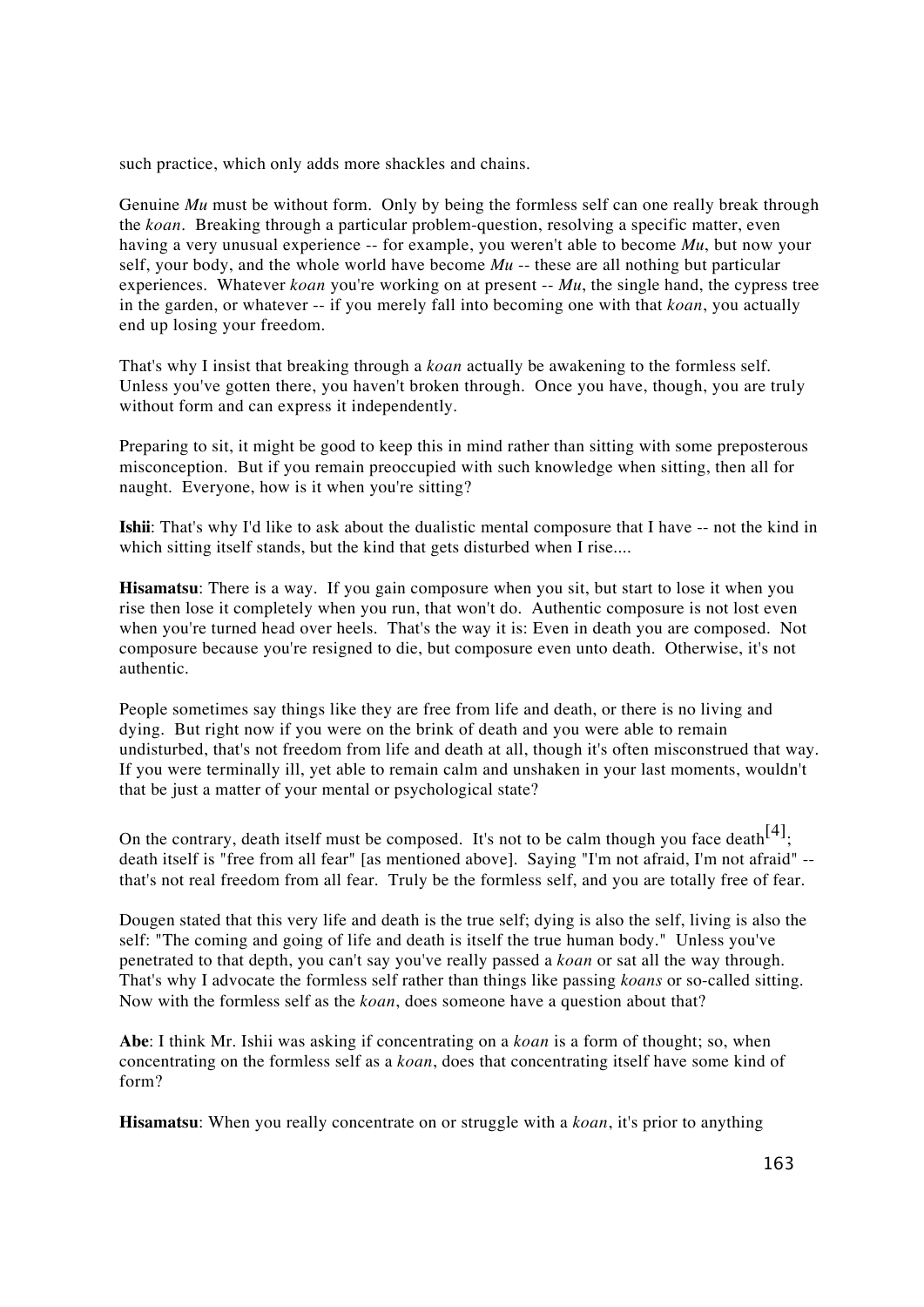such practice, which only adds more shackles and chains.

Genuine *Mu* must be without form. Only by being the formless self can one really break through the *koan*. Breaking through a particular problem-question, resolving a specific matter, even having a very unusual experience -- for example, you weren't able to become *Mu*, but now your self, your body, and the whole world have become  $Mu$  -- these are all nothing but particular experiences. Whatever *koan* you're working on at present  $-Mu$ , the single hand, the cypress tree in the garden, or whatever -- if you merely fall into becoming one with that *koan*, you actually end up losing your freedom.

That's why I insist that breaking through a *koan* actually be awakening to the formless self. Unless you've gotten there, you haven't broken through. Once you have, though, you are truly without form and can express it independently.

Preparing to sit, it might be good to keep this in mind rather than sitting with some preposterous misconception. But if you remain preoccupied with such knowledge when sitting, then all for naught. Everyone, how is it when you're sitting?

**Ishii**: That's why I'd like to ask about the dualistic mental composure that I have -- not the kind in which sitting itself stands, but the kind that gets disturbed when I rise....

**Hisamatsu**: There is a way. If you gain composure when you sit, but start to lose it when you rise then lose it completely when you run, that won't do. Authentic composure is not lost even when you're turned head over heels. That's the way it is: Even in death you are composed. Not composure because you're resigned to die, but composure even unto death. Otherwise, it's not authentic.

People sometimes say things like they are free from life and death, or there is no living and dying. But right now if you were on the brink of death and you were able to remain undisturbed, that's not freedom from life and death at all, though it's often misconstrued that way. If you were terminally ill, yet able to remain calm and unshaken in your last moments, wouldn't that be just a matter of your mental or psychological state?

On the contrary, death itself must be composed. It's not to be calm though you face death $^{[4]}$ ; death itself is "free from all fear" [as mentioned above]. Saying "I'm not afraid, I'm not afraid" - that's not real freedom from all fear. Truly be the formless self, and you are totally free of fear.

Dougen stated that this very life and death is the true self; dying is also the self, living is also the self: "The coming and going of life and death is itself the true human body." Unless you've penetrated to that depth, you can't say you've really passed a *koan* or sat all the way through. That's why I advocate the formless self rather than things like passing *koans* or so-called sitting. Now with the formless self as the *koan*, does someone have a question about that?

**Abe**: I think Mr. Ishii was asking if concentrating on a *koan* is a form of thought; so, when concentrating on the formless self as a *koan*, does that concentrating itself have some kind of form?

**Hisamatsu**: When you really concentrate on or struggle with a *koan*, it's prior to anything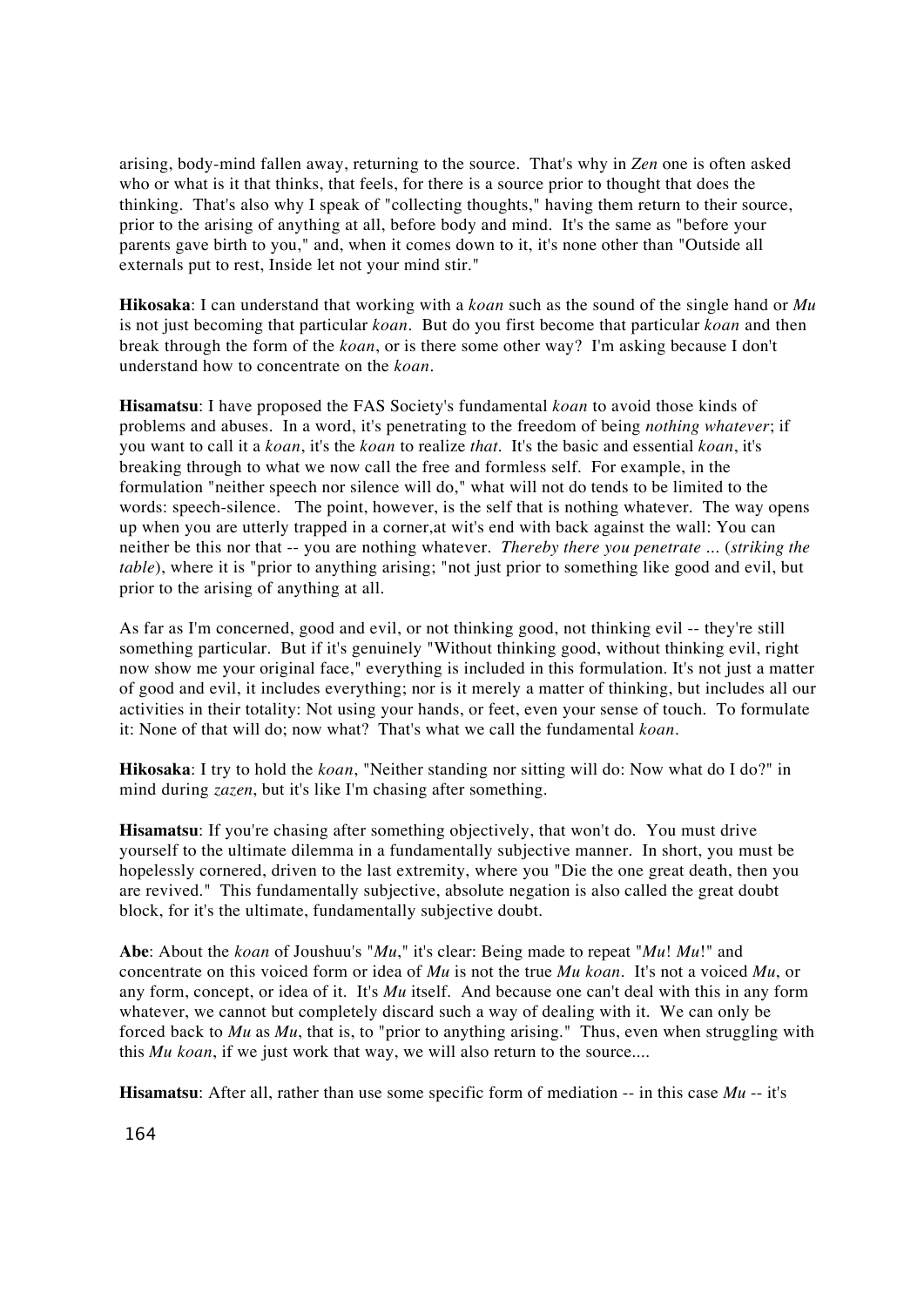arising, body-mind fallen away, returning to the source. That's why in *Zen* one is often asked who or what is it that thinks, that feels, for there is a source prior to thought that does the thinking. That's also why I speak of "collecting thoughts," having them return to their source, prior to the arising of anything at all, before body and mind. It's the same as "before your parents gave birth to you," and, when it comes down to it, it's none other than "Outside all externals put to rest, Inside let not your mind stir."

**Hikosaka**: I can understand that working with a *koan* such as the sound of the single hand or *Mu* is not just becoming that particular *koan*. But do you first become that particular *koan* and then break through the form of the *koan*, or is there some other way? I'm asking because I don't understand how to concentrate on the *koan*.

**Hisamatsu**: I have proposed the FAS Society's fundamental *koan* to avoid those kinds of problems and abuses. In a word, it's penetrating to the freedom of being *nothing whatever*; if you want to call it a *koan*, it's the *koan* to realize *that*. It's the basic and essential *koan*, it's breaking through to what we now call the free and formless self. For example, in the formulation "neither speech nor silence will do," what will not do tends to be limited to the words: speech-silence. The point, however, is the self that is nothing whatever. The way opens up when you are utterly trapped in a corner,at wit's end with back against the wall: You can neither be this nor that -- you are nothing whatever. *Thereby there you penetrate* ... (*striking the table*), where it is "prior to anything arising; "not just prior to something like good and evil, but prior to the arising of anything at all.

As far as I'm concerned, good and evil, or not thinking good, not thinking evil -- they're still something particular. But if it's genuinely "Without thinking good, without thinking evil, right now show me your original face," everything is included in this formulation. It's not just a matter of good and evil, it includes everything; nor is it merely a matter of thinking, but includes all our activities in their totality: Not using your hands, or feet, even your sense of touch. To formulate it: None of that will do; now what? That's what we call the fundamental *koan*.

**Hikosaka**: I try to hold the *koan*, "Neither standing nor sitting will do: Now what do I do?" in mind during *zazen*, but it's like I'm chasing after something.

**Hisamatsu**: If you're chasing after something objectively, that won't do. You must drive yourself to the ultimate dilemma in a fundamentally subjective manner. In short, you must be hopelessly cornered, driven to the last extremity, where you "Die the one great death, then you are revived." This fundamentally subjective, absolute negation is also called the great doubt block, for it's the ultimate, fundamentally subjective doubt.

**Abe**: About the *koan* of Joushuu's "*Mu*," it's clear: Being made to repeat "*Mu*! *Mu*!" and concentrate on this voiced form or idea of *Mu* is not the true *Mu koan*. It's not a voiced *Mu*, or any form, concept, or idea of it. It's *Mu* itself. And because one can't deal with this in any form whatever, we cannot but completely discard such a way of dealing with it. We can only be forced back to *Mu* as *Mu*, that is, to "prior to anything arising." Thus, even when struggling with this *Mu koan*, if we just work that way, we will also return to the source....

**Hisamatsu**: After all, rather than use some specific form of mediation -- in this case *Mu* -- it's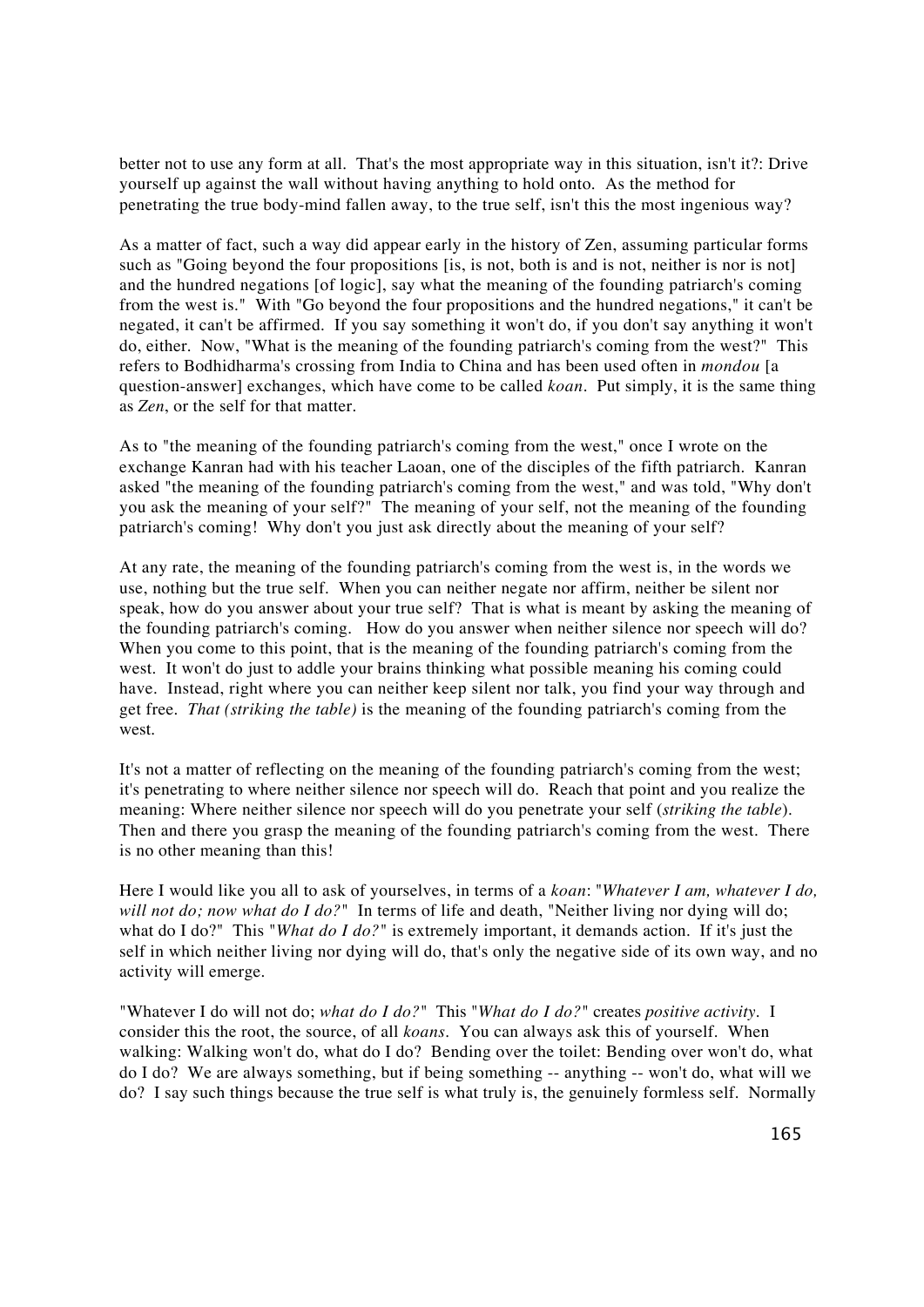better not to use any form at all. That's the most appropriate way in this situation, isn't it?: Drive yourself up against the wall without having anything to hold onto. As the method for penetrating the true body-mind fallen away, to the true self, isn't this the most ingenious way?

As a matter of fact, such a way did appear early in the history of Zen, assuming particular forms such as "Going beyond the four propositions [is, is not, both is and is not, neither is nor is not] and the hundred negations [of logic], say what the meaning of the founding patriarch's coming from the west is." With "Go beyond the four propositions and the hundred negations," it can't be negated, it can't be affirmed. If you say something it won't do, if you don't say anything it won't do, either. Now, "What is the meaning of the founding patriarch's coming from the west?" This refers to Bodhidharma's crossing from India to China and has been used often in *mondou* [a question-answer] exchanges, which have come to be called *koan*. Put simply, it is the same thing as *Zen*, or the self for that matter.

As to "the meaning of the founding patriarch's coming from the west," once I wrote on the exchange Kanran had with his teacher Laoan, one of the disciples of the fifth patriarch. Kanran asked "the meaning of the founding patriarch's coming from the west," and was told, "Why don't you ask the meaning of your self?" The meaning of your self, not the meaning of the founding patriarch's coming! Why don't you just ask directly about the meaning of your self?

At any rate, the meaning of the founding patriarch's coming from the west is, in the words we use, nothing but the true self. When you can neither negate nor affirm, neither be silent nor speak, how do you answer about your true self? That is what is meant by asking the meaning of the founding patriarch's coming. How do you answer when neither silence nor speech will do? When you come to this point, that is the meaning of the founding patriarch's coming from the west. It won't do just to addle your brains thinking what possible meaning his coming could have. Instead, right where you can neither keep silent nor talk, you find your way through and get free. *That (striking the table)* is the meaning of the founding patriarch's coming from the west.

It's not a matter of reflecting on the meaning of the founding patriarch's coming from the west; it's penetrating to where neither silence nor speech will do. Reach that point and you realize the meaning: Where neither silence nor speech will do you penetrate your self (*striking the table*). Then and there you grasp the meaning of the founding patriarch's coming from the west. There is no other meaning than this!

Here I would like you all to ask of yourselves, in terms of a *koan*: "*Whatever I am, whatever I do, will not do; now what do I do?*" In terms of life and death, "Neither living nor dying will do; what do I do?" This "*What do I do?*" is extremely important, it demands action. If it's just the self in which neither living nor dying will do, that's only the negative side of its own way, and no activity will emerge.

"Whatever I do will not do; *what do I do?*" This "*What do I do?*" creates *positive activity*. I consider this the root, the source, of all *koans*. You can always ask this of yourself. When walking: Walking won't do, what do I do? Bending over the toilet: Bending over won't do, what do I do? We are always something, but if being something -- anything -- won't do, what will we do? I say such things because the true self is what truly is, the genuinely formless self. Normally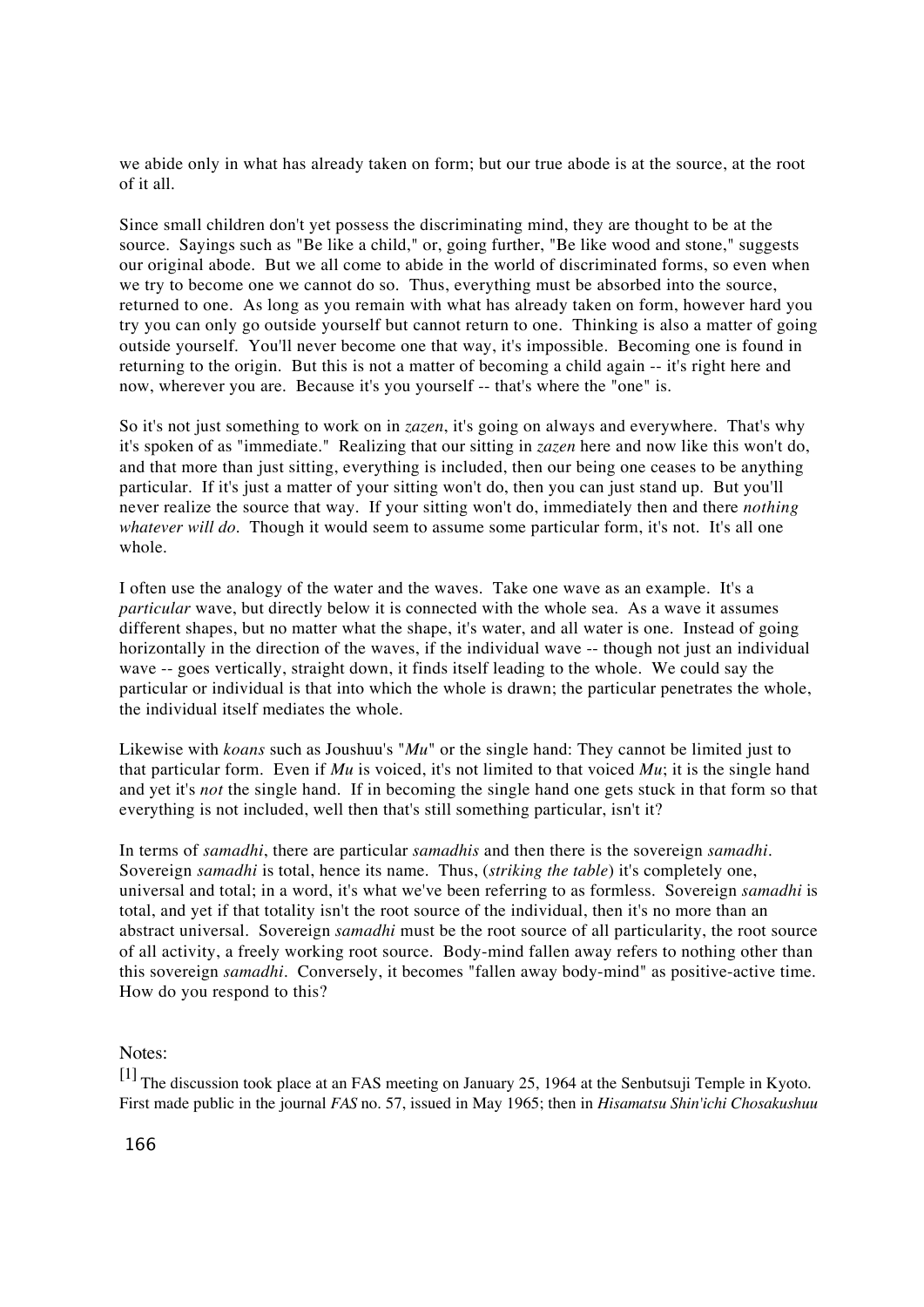we abide only in what has already taken on form; but our true abode is at the source, at the root of it all.

Since small children don't yet possess the discriminating mind, they are thought to be at the source. Sayings such as "Be like a child," or, going further, "Be like wood and stone," suggests our original abode. But we all come to abide in the world of discriminated forms, so even when we try to become one we cannot do so. Thus, everything must be absorbed into the source, returned to one. As long as you remain with what has already taken on form, however hard you try you can only go outside yourself but cannot return to one. Thinking is also a matter of going outside yourself. You'll never become one that way, it's impossible. Becoming one is found in returning to the origin. But this is not a matter of becoming a child again -- it's right here and now, wherever you are. Because it's you yourself -- that's where the "one" is.

So it's not just something to work on in *zazen*, it's going on always and everywhere. That's why it's spoken of as "immediate." Realizing that our sitting in *zazen* here and now like this won't do, and that more than just sitting, everything is included, then our being one ceases to be anything particular. If it's just a matter of your sitting won't do, then you can just stand up. But you'll never realize the source that way. If your sitting won't do, immediately then and there *nothing whatever will do*. Though it would seem to assume some particular form, it's not. It's all one whole.

I often use the analogy of the water and the waves. Take one wave as an example. It's a *particular* wave, but directly below it is connected with the whole sea. As a wave it assumes different shapes, but no matter what the shape, it's water, and all water is one. Instead of going horizontally in the direction of the waves, if the individual wave -- though not just an individual wave -- goes vertically, straight down, it finds itself leading to the whole. We could say the particular or individual is that into which the whole is drawn; the particular penetrates the whole, the individual itself mediates the whole.

Likewise with *koans* such as Joushuu's "*Mu*" or the single hand: They cannot be limited just to that particular form. Even if *Mu* is voiced, it's not limited to that voiced *Mu*; it is the single hand and yet it's *not* the single hand. If in becoming the single hand one gets stuck in that form so that everything is not included, well then that's still something particular, isn't it?

In terms of *samadhi*, there are particular *samadhis* and then there is the sovereign *samadhi*. Sovereign *samadhi* is total, hence its name. Thus, (*striking the table*) it's completely one, universal and total; in a word, it's what we've been referring to as formless. Sovereign *samadhi* is total, and yet if that totality isn't the root source of the individual, then it's no more than an abstract universal. Sovereign *samadhi* must be the root source of all particularity, the root source of all activity, a freely working root source. Body-mind fallen away refers to nothing other than this sovereign *samadhi*. Conversely, it becomes "fallen away body-mind" as positive-active time. How do you respond to this?

# Notes:

[1] The discussion took place at an FAS meeting on January 25, 1964 at the Senbutsuji Temple in Kyoto. First made public in the journal *FAS* no. 57, issued in May 1965; then in *Hisamatsu Shin'ichi Chosakushuu*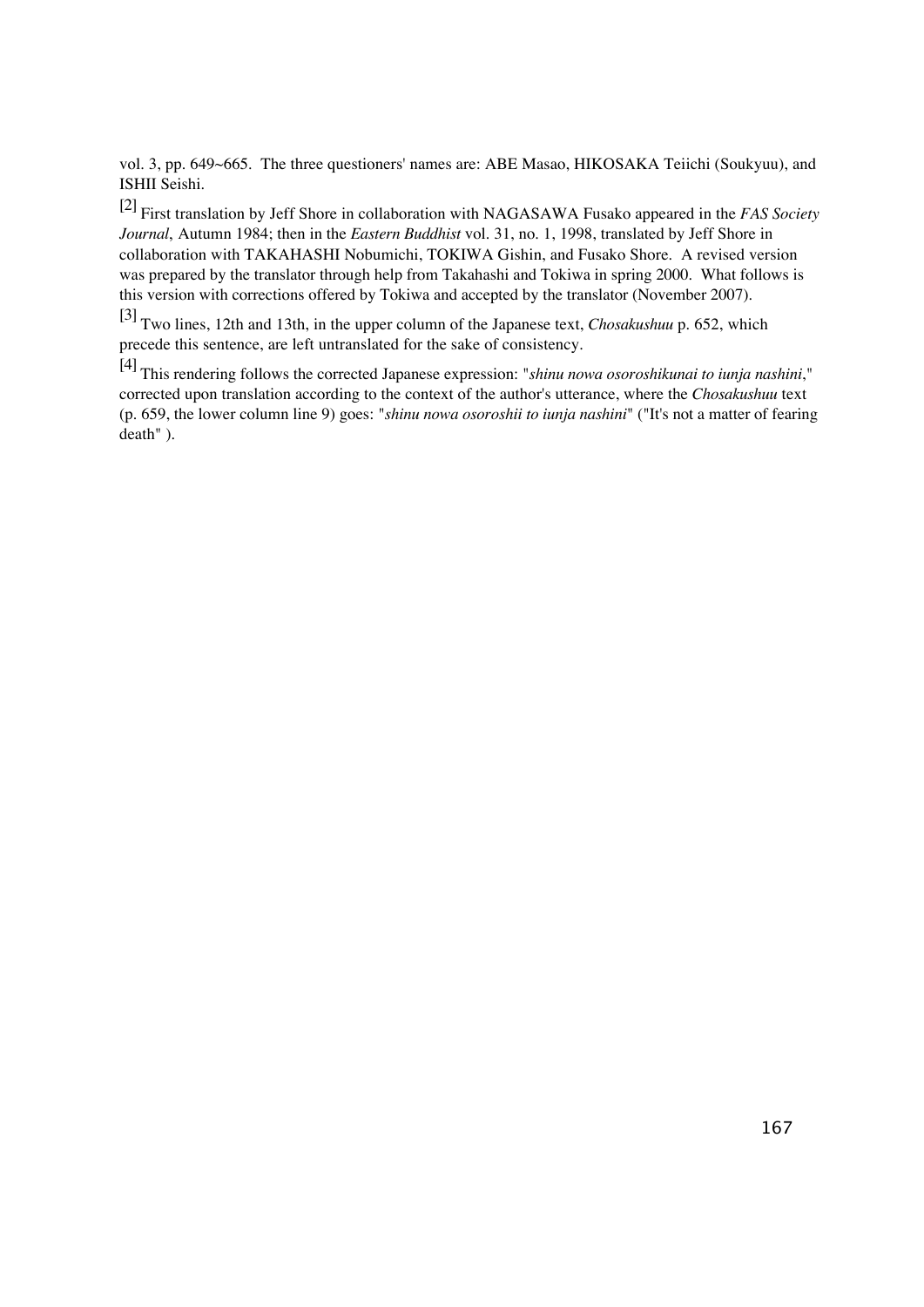vol. 3, pp. 649~665. The three questioners' names are: ABE Masao, HIKOSAKA Teiichi (Soukyuu), and ISHII Seishi.

[2] First translation by Jeff Shore in collaboration with NAGASAWA Fusako appeared in the *FAS Society Journal*, Autumn 1984; then in the *Eastern Buddhist* vol. 31, no. 1, 1998, translated by Jeff Shore in collaboration with TAKAHASHI Nobumichi, TOKIWA Gishin, and Fusako Shore. A revised version was prepared by the translator through help from Takahashi and Tokiwa in spring 2000. What follows is this version with corrections offered by Tokiwa and accepted by the translator (November 2007).

[3] Two lines, 12th and 13th, in the upper column of the Japanese text, *Chosakushuu* p. 652, which precede this sentence, are left untranslated for the sake of consistency.

[4] This rendering follows the corrected Japanese expression: "*shinu nowa osoroshikunai to iunja nashini*," corrected upon translation according to the context of the author's utterance, where the *Chosakushuu* text (p. 659, the lower column line 9) goes: "*shinu nowa osoroshii to iunja nashini*" ("It's not a matter of fearing death" ).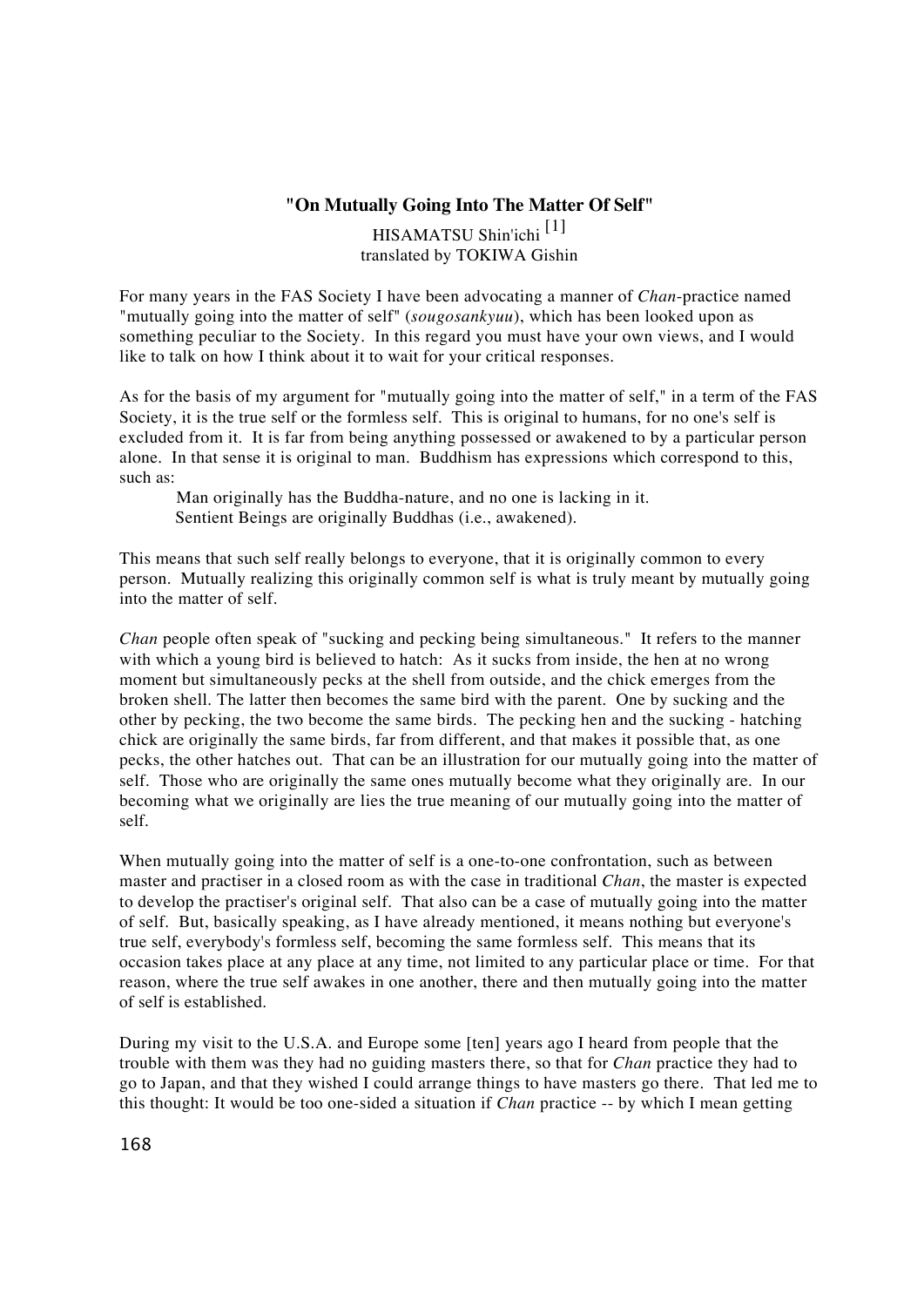# **"On Mutually Going Into The Matter Of Self"**

HISAMATSU Shin'ichi [1] translated by TOKIWA Gishin

For many years in the FAS Society I have been advocating a manner of *Chan*-practice named "mutually going into the matter of self" (*sougosankyuu*), which has been looked upon as something peculiar to the Society. In this regard you must have your own views, and I would like to talk on how I think about it to wait for your critical responses.

As for the basis of my argument for "mutually going into the matter of self," in a term of the FAS Society, it is the true self or the formless self. This is original to humans, for no one's self is excluded from it. It is far from being anything possessed or awakened to by a particular person alone. In that sense it is original to man. Buddhism has expressions which correspond to this, such as:

Man originally has the Buddha-nature, and no one is lacking in it. Sentient Beings are originally Buddhas (i.e., awakened).

This means that such self really belongs to everyone, that it is originally common to every person. Mutually realizing this originally common self is what is truly meant by mutually going into the matter of self.

*Chan* people often speak of "sucking and pecking being simultaneous." It refers to the manner with which a young bird is believed to hatch: As it sucks from inside, the hen at no wrong moment but simultaneously pecks at the shell from outside, and the chick emerges from the broken shell. The latter then becomes the same bird with the parent. One by sucking and the other by pecking, the two become the same birds. The pecking hen and the sucking - hatching chick are originally the same birds, far from different, and that makes it possible that, as one pecks, the other hatches out. That can be an illustration for our mutually going into the matter of self. Those who are originally the same ones mutually become what they originally are. In our becoming what we originally are lies the true meaning of our mutually going into the matter of self.

When mutually going into the matter of self is a one-to-one confrontation, such as between master and practiser in a closed room as with the case in traditional *Chan*, the master is expected to develop the practiser's original self. That also can be a case of mutually going into the matter of self. But, basically speaking, as I have already mentioned, it means nothing but everyone's true self, everybody's formless self, becoming the same formless self. This means that its occasion takes place at any place at any time, not limited to any particular place or time. For that reason, where the true self awakes in one another, there and then mutually going into the matter of self is established.

During my visit to the U.S.A. and Europe some [ten] years ago I heard from people that the trouble with them was they had no guiding masters there, so that for *Chan* practice they had to go to Japan, and that they wished I could arrange things to have masters go there. That led me to this thought: It would be too one-sided a situation if *Chan* practice -- by which I mean getting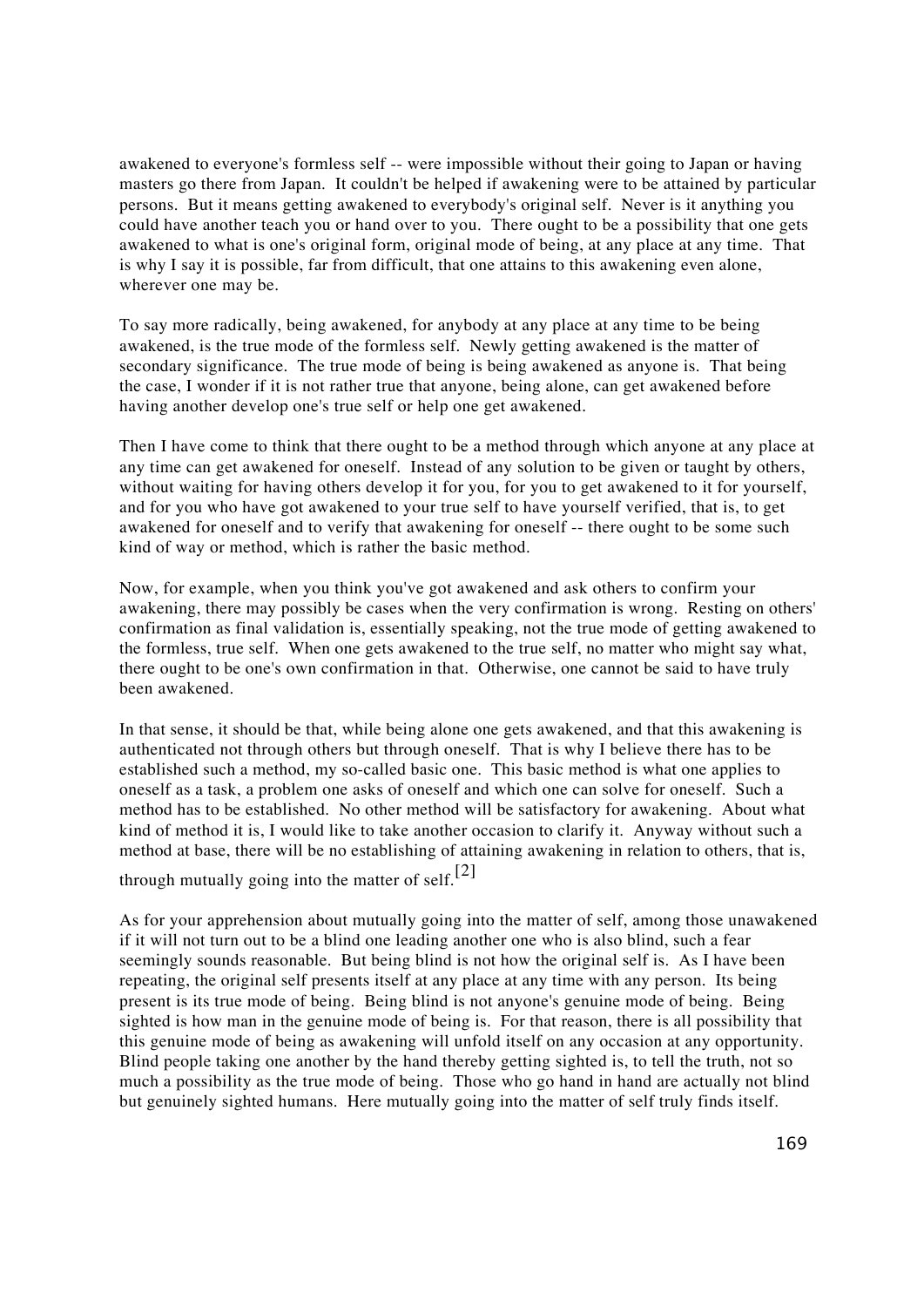awakened to everyone's formless self -- were impossible without their going to Japan or having masters go there from Japan. It couldn't be helped if awakening were to be attained by particular persons. But it means getting awakened to everybody's original self. Never is it anything you could have another teach you or hand over to you. There ought to be a possibility that one gets awakened to what is one's original form, original mode of being, at any place at any time. That is why I say it is possible, far from difficult, that one attains to this awakening even alone, wherever one may be.

To say more radically, being awakened, for anybody at any place at any time to be being awakened, is the true mode of the formless self. Newly getting awakened is the matter of secondary significance. The true mode of being is being awakened as anyone is. That being the case, I wonder if it is not rather true that anyone, being alone, can get awakened before having another develop one's true self or help one get awakened.

Then I have come to think that there ought to be a method through which anyone at any place at any time can get awakened for oneself. Instead of any solution to be given or taught by others, without waiting for having others develop it for you, for you to get awakened to it for yourself, and for you who have got awakened to your true self to have yourself verified, that is, to get awakened for oneself and to verify that awakening for oneself -- there ought to be some such kind of way or method, which is rather the basic method.

Now, for example, when you think you've got awakened and ask others to confirm your awakening, there may possibly be cases when the very confirmation is wrong. Resting on others' confirmation as final validation is, essentially speaking, not the true mode of getting awakened to the formless, true self. When one gets awakened to the true self, no matter who might say what, there ought to be one's own confirmation in that. Otherwise, one cannot be said to have truly been awakened.

In that sense, it should be that, while being alone one gets awakened, and that this awakening is authenticated not through others but through oneself. That is why I believe there has to be established such a method, my so-called basic one. This basic method is what one applies to oneself as a task, a problem one asks of oneself and which one can solve for oneself. Such a method has to be established. No other method will be satisfactory for awakening. About what kind of method it is, I would like to take another occasion to clarify it. Anyway without such a method at base, there will be no establishing of attaining awakening in relation to others, that is, through mutually going into the matter of self.<sup>[2]</sup>

As for your apprehension about mutually going into the matter of self, among those unawakened if it will not turn out to be a blind one leading another one who is also blind, such a fear seemingly sounds reasonable. But being blind is not how the original self is. As I have been repeating, the original self presents itself at any place at any time with any person. Its being present is its true mode of being. Being blind is not anyone's genuine mode of being. Being sighted is how man in the genuine mode of being is. For that reason, there is all possibility that this genuine mode of being as awakening will unfold itself on any occasion at any opportunity. Blind people taking one another by the hand thereby getting sighted is, to tell the truth, not so much a possibility as the true mode of being. Those who go hand in hand are actually not blind but genuinely sighted humans. Here mutually going into the matter of self truly finds itself.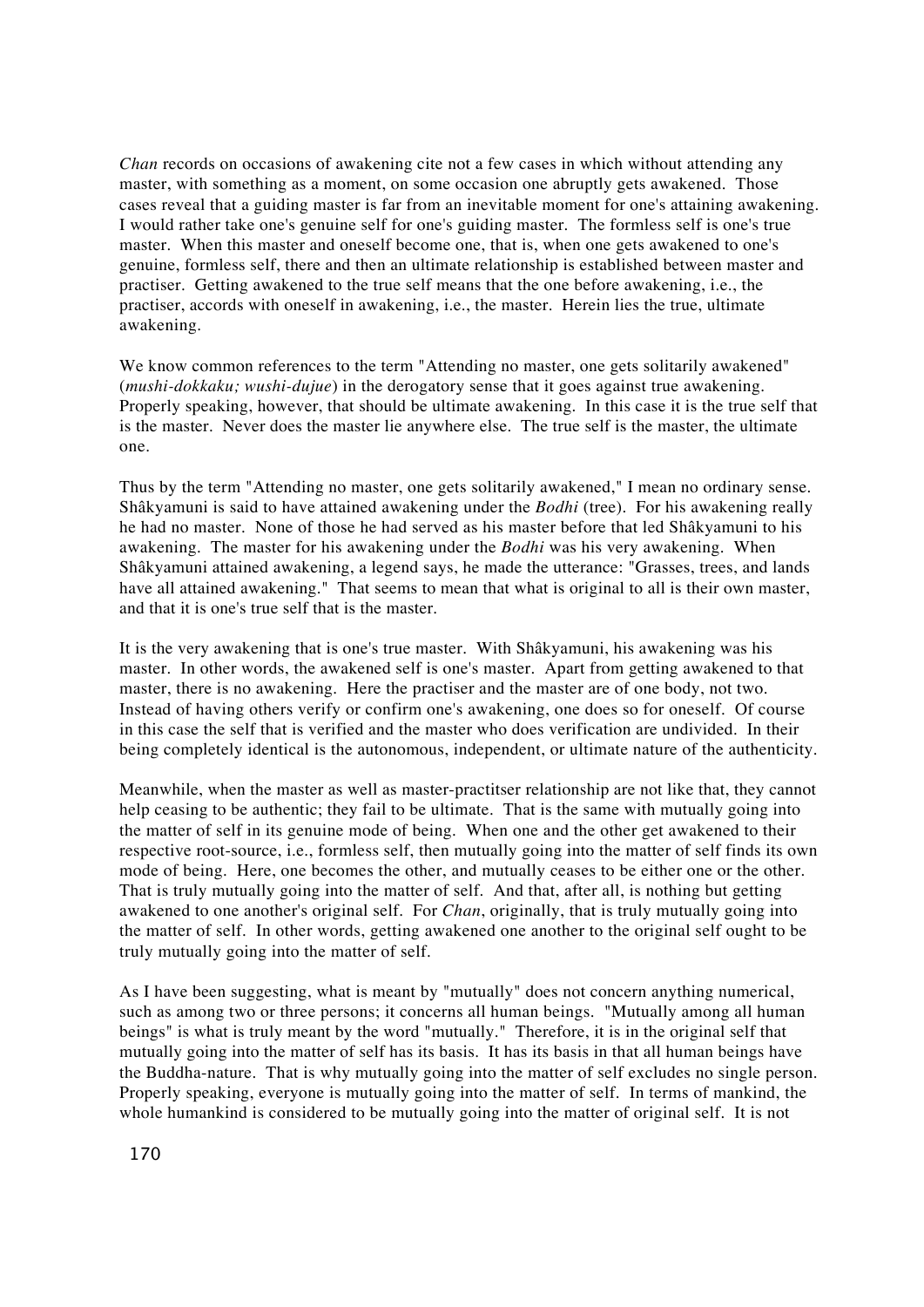*Chan* records on occasions of awakening cite not a few cases in which without attending any master, with something as a moment, on some occasion one abruptly gets awakened. Those cases reveal that a guiding master is far from an inevitable moment for one's attaining awakening. I would rather take one's genuine self for one's guiding master. The formless self is one's true master. When this master and oneself become one, that is, when one gets awakened to one's genuine, formless self, there and then an ultimate relationship is established between master and practiser. Getting awakened to the true self means that the one before awakening, i.e., the practiser, accords with oneself in awakening, i.e., the master. Herein lies the true, ultimate awakening.

We know common references to the term "Attending no master, one gets solitarily awakened" (*mushi-dokkaku; wushi-dujue*) in the derogatory sense that it goes against true awakening. Properly speaking, however, that should be ultimate awakening. In this case it is the true self that is the master. Never does the master lie anywhere else. The true self is the master, the ultimate one.

Thus by the term "Attending no master, one gets solitarily awakened," I mean no ordinary sense. Shâkyamuni is said to have attained awakening under the *Bodhi* (tree). For his awakening really he had no master. None of those he had served as his master before that led Shâkyamuni to his awakening. The master for his awakening under the *Bodhi* was his very awakening. When Shâkyamuni attained awakening, a legend says, he made the utterance: "Grasses, trees, and lands have all attained awakening." That seems to mean that what is original to all is their own master, and that it is one's true self that is the master.

It is the very awakening that is one's true master. With Shâkyamuni, his awakening was his master. In other words, the awakened self is one's master. Apart from getting awakened to that master, there is no awakening. Here the practiser and the master are of one body, not two. Instead of having others verify or confirm one's awakening, one does so for oneself. Of course in this case the self that is verified and the master who does verification are undivided. In their being completely identical is the autonomous, independent, or ultimate nature of the authenticity.

Meanwhile, when the master as well as master-practitser relationship are not like that, they cannot help ceasing to be authentic; they fail to be ultimate. That is the same with mutually going into the matter of self in its genuine mode of being. When one and the other get awakened to their respective root-source, i.e., formless self, then mutually going into the matter of self finds its own mode of being. Here, one becomes the other, and mutually ceases to be either one or the other. That is truly mutually going into the matter of self. And that, after all, is nothing but getting awakened to one another's original self. For *Chan*, originally, that is truly mutually going into the matter of self. In other words, getting awakened one another to the original self ought to be truly mutually going into the matter of self.

As I have been suggesting, what is meant by "mutually" does not concern anything numerical, such as among two or three persons; it concerns all human beings. "Mutually among all human beings" is what is truly meant by the word "mutually." Therefore, it is in the original self that mutually going into the matter of self has its basis. It has its basis in that all human beings have the Buddha-nature. That is why mutually going into the matter of self excludes no single person. Properly speaking, everyone is mutually going into the matter of self. In terms of mankind, the whole humankind is considered to be mutually going into the matter of original self. It is not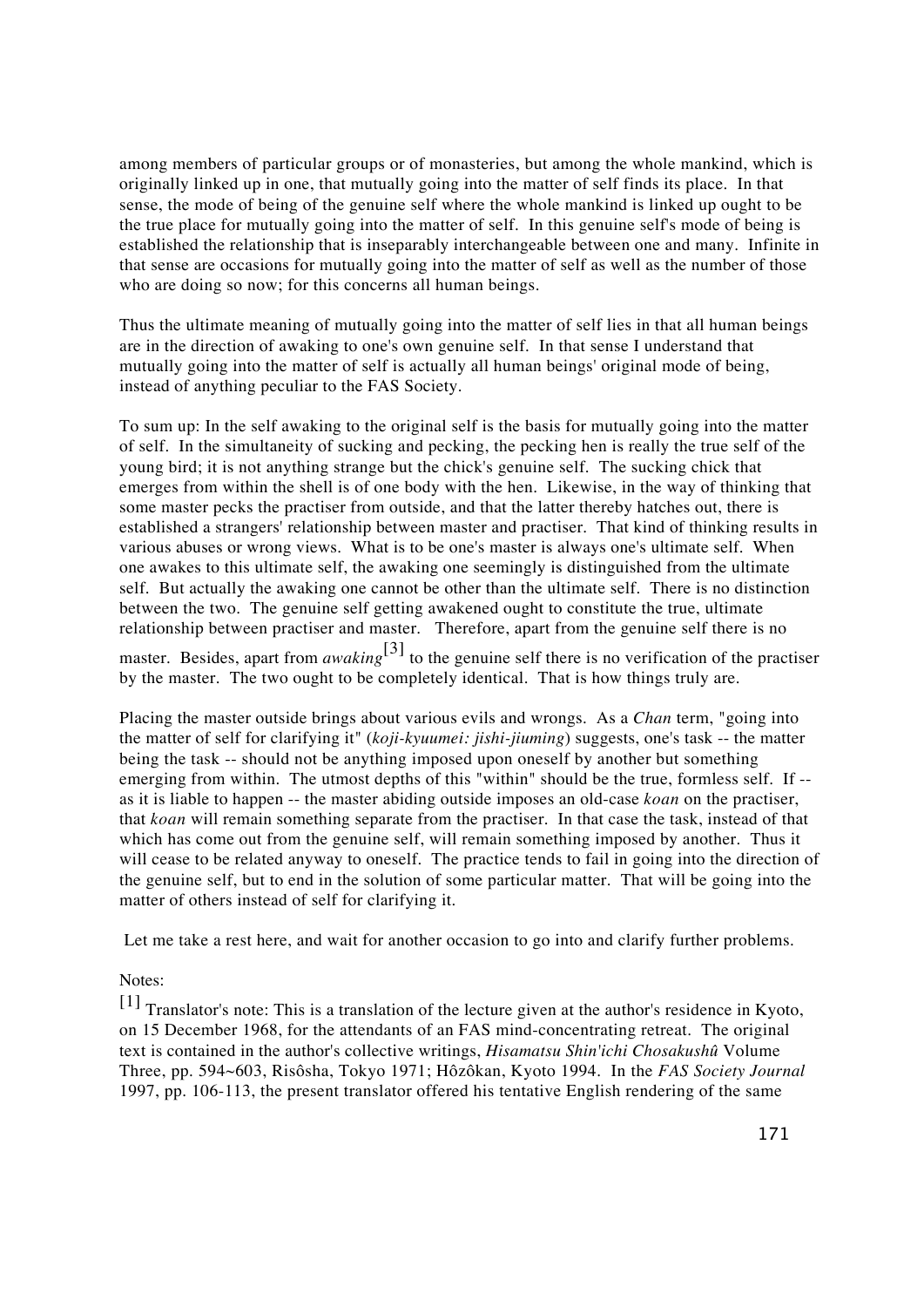among members of particular groups or of monasteries, but among the whole mankind, which is originally linked up in one, that mutually going into the matter of self finds its place. In that sense, the mode of being of the genuine self where the whole mankind is linked up ought to be the true place for mutually going into the matter of self. In this genuine self's mode of being is established the relationship that is inseparably interchangeable between one and many. Infinite in that sense are occasions for mutually going into the matter of self as well as the number of those who are doing so now; for this concerns all human beings.

Thus the ultimate meaning of mutually going into the matter of self lies in that all human beings are in the direction of awaking to one's own genuine self. In that sense I understand that mutually going into the matter of self is actually all human beings' original mode of being, instead of anything peculiar to the FAS Society.

To sum up: In the self awaking to the original self is the basis for mutually going into the matter of self. In the simultaneity of sucking and pecking, the pecking hen is really the true self of the young bird; it is not anything strange but the chick's genuine self. The sucking chick that emerges from within the shell is of one body with the hen. Likewise, in the way of thinking that some master pecks the practiser from outside, and that the latter thereby hatches out, there is established a strangers' relationship between master and practiser. That kind of thinking results in various abuses or wrong views. What is to be one's master is always one's ultimate self. When one awakes to this ultimate self, the awaking one seemingly is distinguished from the ultimate self. But actually the awaking one cannot be other than the ultimate self. There is no distinction between the two. The genuine self getting awakened ought to constitute the true, ultimate relationship between practiser and master. Therefore, apart from the genuine self there is no master. Besides, apart from *awaking*[3] to the genuine self there is no verification of the practiser by the master. The two ought to be completely identical. That is how things truly are.

Placing the master outside brings about various evils and wrongs. As a *Chan* term, "going into the matter of self for clarifying it" (*koji-kyuumei: jishi-jiuming*) suggests, one's task -- the matter being the task -- should not be anything imposed upon oneself by another but something emerging from within. The utmost depths of this "within" should be the true, formless self. If -as it is liable to happen -- the master abiding outside imposes an old-case *koan* on the practiser, that *koan* will remain something separate from the practiser. In that case the task, instead of that which has come out from the genuine self, will remain something imposed by another. Thus it will cease to be related anyway to oneself. The practice tends to fail in going into the direction of the genuine self, but to end in the solution of some particular matter. That will be going into the matter of others instead of self for clarifying it.

Let me take a rest here, and wait for another occasion to go into and clarify further problems.

## Notes:

[1] Translator's note: This is a translation of the lecture given at the author's residence in Kyoto, on 15 December 1968, for the attendants of an FAS mind-concentrating retreat. The original text is contained in the author's collective writings, *Hisamatsu Shin'ichi Chosakushû* Volume Three, pp. 594~603, Risôsha, Tokyo 1971; Hôzôkan, Kyoto 1994. In the *FAS Society Journal* 1997, pp. 106-113, the present translator offered his tentative English rendering of the same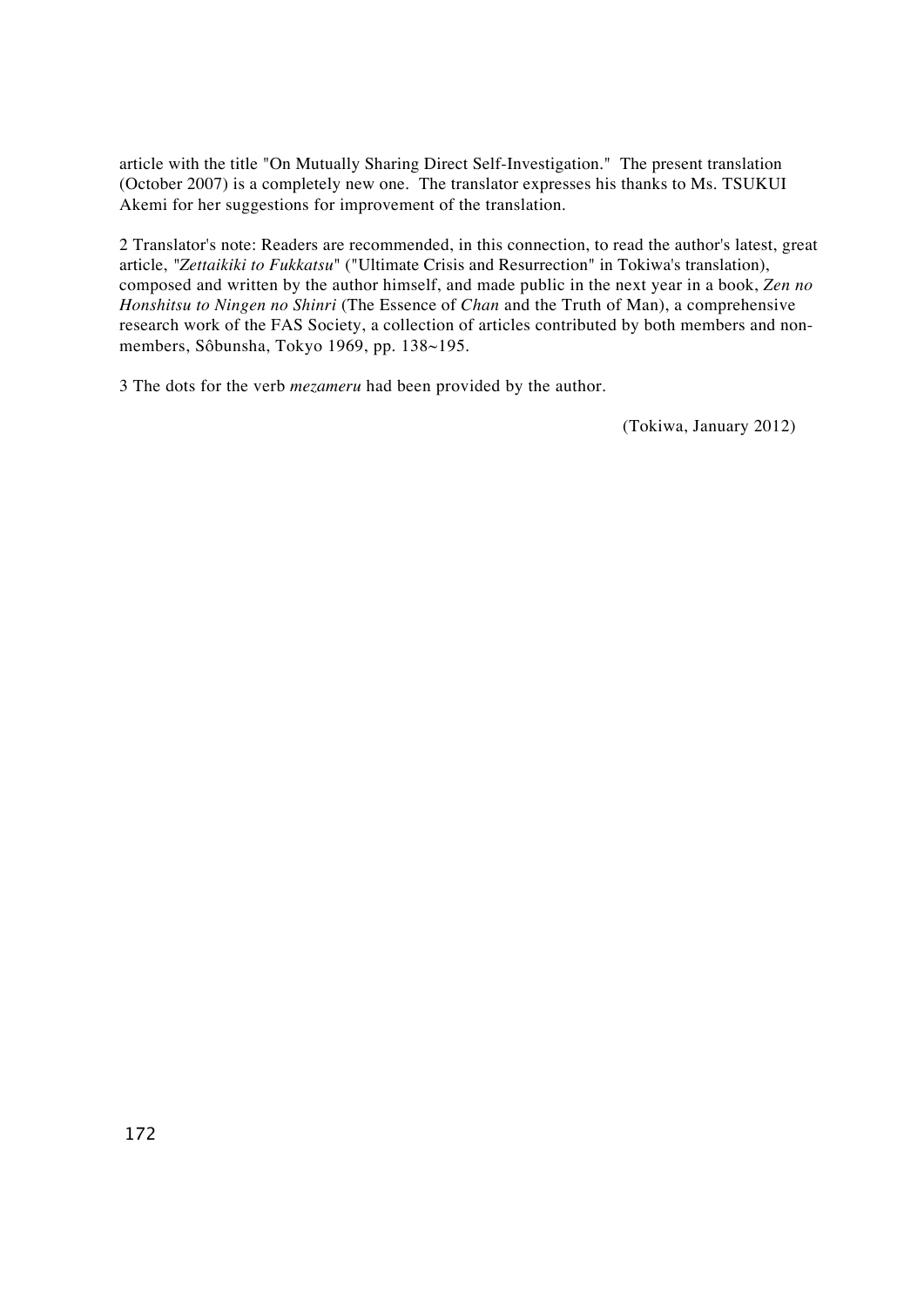article with the title "On Mutually Sharing Direct Self-Investigation." The present translation (October 2007) is a completely new one. The translator expresses his thanks to Ms. TSUKUI Akemi for her suggestions for improvement of the translation.

2 Translator's note: Readers are recommended, in this connection, to read the author's latest, great article, *"Zettaikiki to Fukkatsu*" ("Ultimate Crisis and Resurrection" in Tokiwa's translation), composed and written by the author himself, and made public in the next year in a book, *Zen no Honshitsu to Ningen no Shinri* (The Essence of *Chan* and the Truth of Man), a comprehensive research work of the FAS Society, a collection of articles contributed by both members and nonmembers, Sôbunsha, Tokyo 1969, pp. 138~195.

3 The dots for the verb *mezameru* had been provided by the author.

(Tokiwa, January 2012)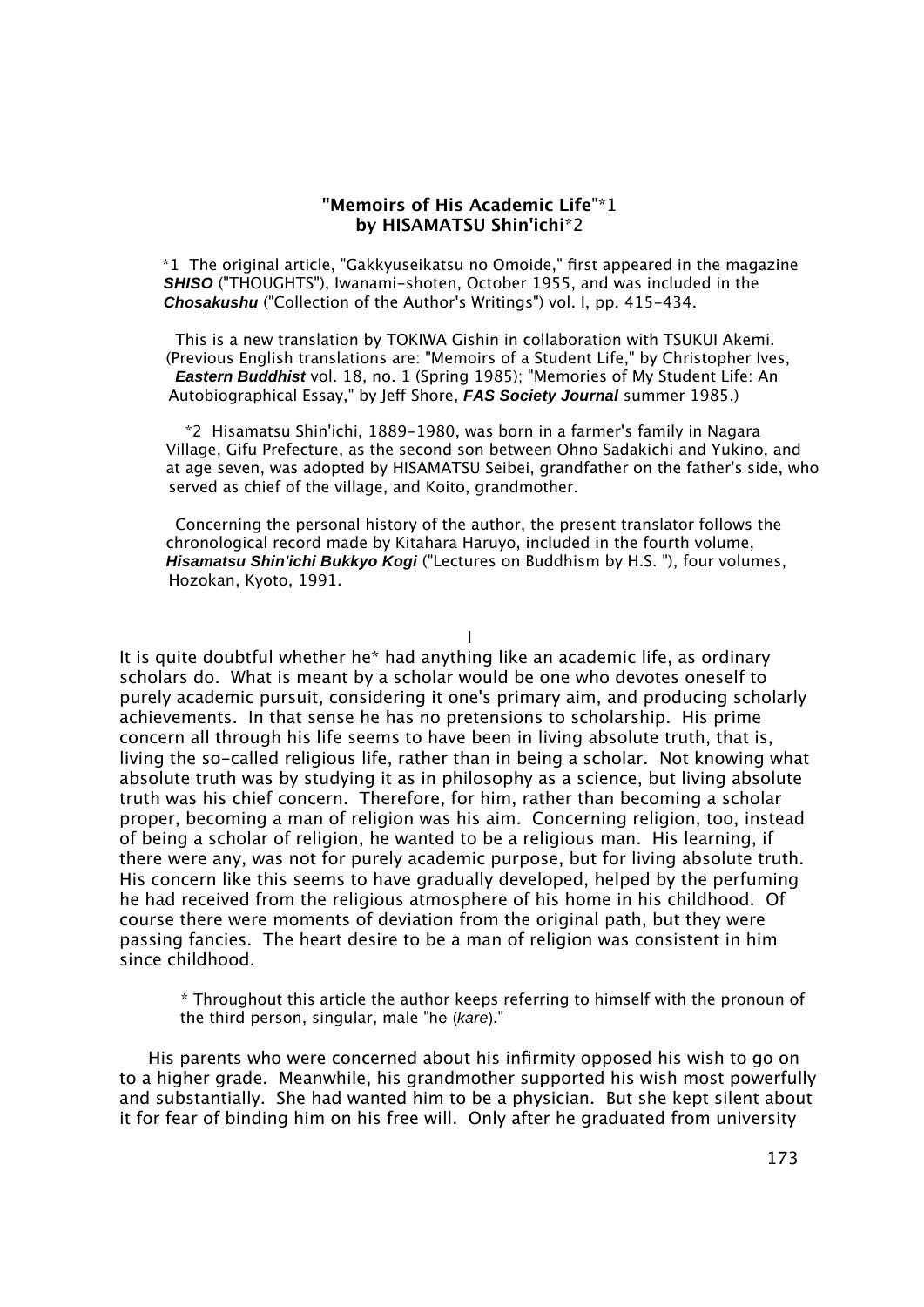## **"Memoirs of His Academic Life**"\*1 **by HISAMATSU Shin'ichi**\*2

 \*1 The original article, "Gakkyuseikatsu no Omoide," first appeared in the magazine **SHISO** ("THOUGHTS"), Iwanami-shoten, October 1955, and was included in the **Chosakushu** ("Collection of the Author's Writings") vol. I, pp. 415-434.

This is a new translation by TOKIWA Gishin in collaboration with TSUKUI Akemi. (Previous English translations are: "Memoirs of a Student Life," by Christopher Ives, **Eastern Buddhist** vol. 18, no. 1 (Spring 1985); "Memories of My Student Life: An Autobiographical Essay," by Jeff Shore, **FAS Society Journal** summer 1985.)

 \*2 Hisamatsu Shin'ichi, 1889-1980, was born in a farmer's family in Nagara Village, Gifu Prefecture, as the second son between Ohno Sadakichi and Yukino, and at age seven, was adopted by HISAMATSU Seibei, grandfather on the father's side, who served as chief of the village, and Koito, grandmother.

Concerning the personal history of the author, the present translator follows the chronological record made by Kitahara Haruyo, included in the fourth volume, **Hisamatsu Shin'ichi Bukkyo Kogi** ("Lectures on Buddhism by H.S. "), four volumes, Hozokan, Kyoto, 1991.

I

It is quite doubtful whether he\* had anything like an academic life, as ordinary scholars do. What is meant by a scholar would be one who devotes oneself to purely academic pursuit, considering it one's primary aim, and producing scholarly achievements. In that sense he has no pretensions to scholarship. His prime concern all through his life seems to have been in living absolute truth, that is, living the so-called religious life, rather than in being a scholar. Not knowing what absolute truth was by studying it as in philosophy as a science, but living absolute truth was his chief concern. Therefore, for him, rather than becoming a scholar proper, becoming a man of religion was his aim. Concerning religion, too, instead of being a scholar of religion, he wanted to be a religious man. His learning, if there were any, was not for purely academic purpose, but for living absolute truth. His concern like this seems to have gradually developed, helped by the perfuming he had received from the religious atmosphere of his home in his childhood. Of course there were moments of deviation from the original path, but they were passing fancies. The heart desire to be a man of religion was consistent in him since childhood.

\* Throughout this article the author keeps referring to himself with the pronoun of the third person, singular, male "he (kare)."

 His parents who were concerned about his infirmity opposed his wish to go on to a higher grade. Meanwhile, his grandmother supported his wish most powerfully and substantially. She had wanted him to be a physician. But she kept silent about it for fear of binding him on his free will. Only after he graduated from university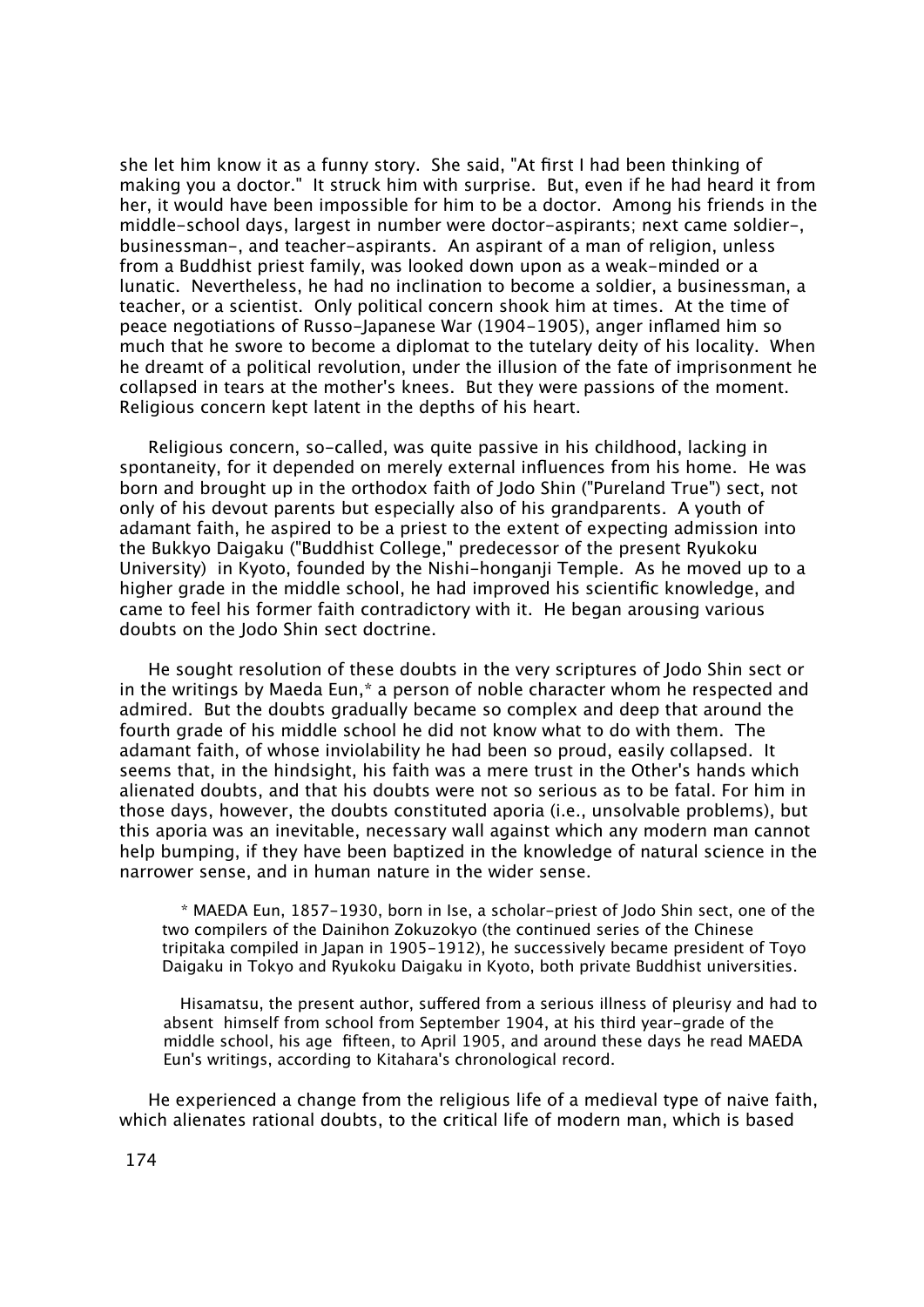she let him know it as a funny story. She said, "At first I had been thinking of making you a doctor." It struck him with surprise. But, even if he had heard it from her, it would have been impossible for him to be a doctor. Among his friends in the middle-school days, largest in number were doctor-aspirants; next came soldier-, businessman-, and teacher-aspirants. An aspirant of a man of religion, unless from a Buddhist priest family, was looked down upon as a weak-minded or a lunatic. Nevertheless, he had no inclination to become a soldier, a businessman, a teacher, or a scientist. Only political concern shook him at times. At the time of peace negotiations of Russo-Japanese War (1904-1905), anger inflamed him so much that he swore to become a diplomat to the tutelary deity of his locality. When he dreamt of a political revolution, under the illusion of the fate of imprisonment he collapsed in tears at the mother's knees. But they were passions of the moment. Religious concern kept latent in the depths of his heart.

 Religious concern, so-called, was quite passive in his childhood, lacking in spontaneity, for it depended on merely external influences from his home. He was born and brought up in the orthodox faith of Jodo Shin ("Pureland True") sect, not only of his devout parents but especially also of his grandparents. A youth of adamant faith, he aspired to be a priest to the extent of expecting admission into the Bukkyo Daigaku ("Buddhist College," predecessor of the present Ryukoku University) in Kyoto, founded by the Nishi-honganji Temple. As he moved up to a higher grade in the middle school, he had improved his scientific knowledge, and came to feel his former faith contradictory with it. He began arousing various doubts on the Jodo Shin sect doctrine.

 He sought resolution of these doubts in the very scriptures of Jodo Shin sect or in the writings by Maeda Eun,\* a person of noble character whom he respected and admired. But the doubts gradually became so complex and deep that around the fourth grade of his middle school he did not know what to do with them. The adamant faith, of whose inviolability he had been so proud, easily collapsed. It seems that, in the hindsight, his faith was a mere trust in the Other's hands which alienated doubts, and that his doubts were not so serious as to be fatal. For him in those days, however, the doubts constituted aporia (i.e., unsolvable problems), but this aporia was an inevitable, necessary wall against which any modern man cannot help bumping, if they have been baptized in the knowledge of natural science in the narrower sense, and in human nature in the wider sense.

\* MAEDA Eun, 1857-1930, born in Ise, a scholar-priest of Jodo Shin sect, one of the two compilers of the Dainihon Zokuzokyo (the continued series of the Chinese tripitaka compiled in Japan in 1905-1912), he successively became president of Toyo Daigaku in Tokyo and Ryukoku Daigaku in Kyoto, both private Buddhist universities.

 Hisamatsu, the present author, suffered from a serious illness of pleurisy and had to absent himself from school from September 1904, at his third year-grade of the middle school, his age fifteen, to April 1905, and around these days he read MAEDA Eun's writings, according to Kitahara's chronological record.

 He experienced a change from the religious life of a medieval type of naive faith, which alienates rational doubts, to the critical life of modern man, which is based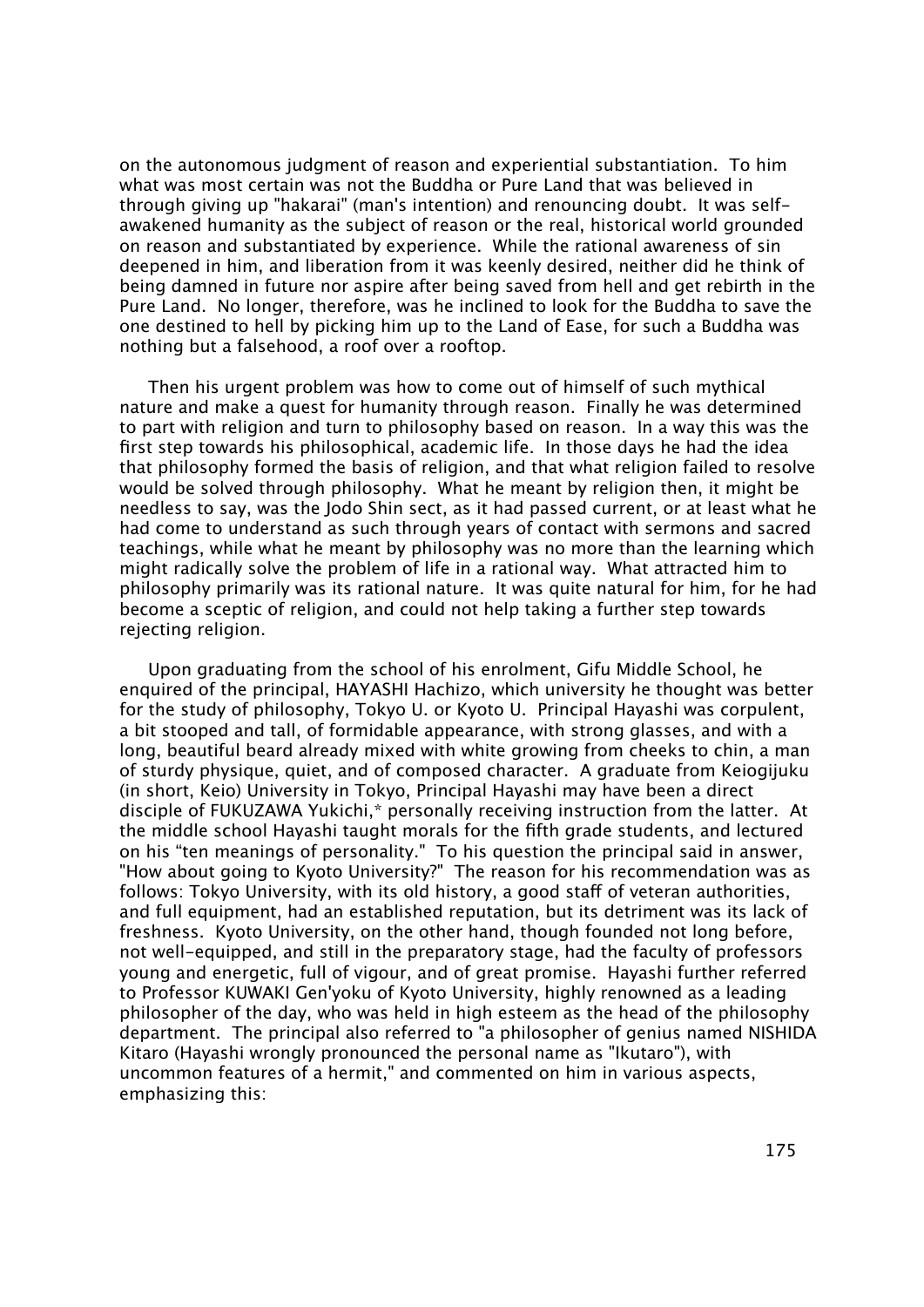on the autonomous judgment of reason and experiential substantiation. To him what was most certain was not the Buddha or Pure Land that was believed in through giving up "hakarai" (man's intention) and renouncing doubt. It was selfawakened humanity as the subject of reason or the real, historical world grounded on reason and substantiated by experience. While the rational awareness of sin deepened in him, and liberation from it was keenly desired, neither did he think of being damned in future nor aspire after being saved from hell and get rebirth in the Pure Land. No longer, therefore, was he inclined to look for the Buddha to save the one destined to hell by picking him up to the Land of Ease, for such a Buddha was nothing but a falsehood, a roof over a rooftop.

 Then his urgent problem was how to come out of himself of such mythical nature and make a quest for humanity through reason. Finally he was determined to part with religion and turn to philosophy based on reason. In a way this was the first step towards his philosophical, academic life. In those days he had the idea that philosophy formed the basis of religion, and that what religion failed to resolve would be solved through philosophy. What he meant by religion then, it might be needless to say, was the Jodo Shin sect, as it had passed current, or at least what he had come to understand as such through years of contact with sermons and sacred teachings, while what he meant by philosophy was no more than the learning which might radically solve the problem of life in a rational way. What attracted him to philosophy primarily was its rational nature. It was quite natural for him, for he had become a sceptic of religion, and could not help taking a further step towards rejecting religion.

 Upon graduating from the school of his enrolment, Gifu Middle School, he enquired of the principal, HAYASHI Hachizo, which university he thought was better for the study of philosophy, Tokyo U. or Kyoto U. Principal Hayashi was corpulent, a bit stooped and tall, of formidable appearance, with strong glasses, and with a long, beautiful beard already mixed with white growing from cheeks to chin, a man of sturdy physique, quiet, and of composed character. A graduate from Keiogijuku (in short, Keio) University in Tokyo, Principal Hayashi may have been a direct disciple of FUKUZAWA Yukichi,\* personally receiving instruction from the latter. At the middle school Hayashi taught morals for the fifth grade students, and lectured on his "ten meanings of personality." To his question the principal said in answer, "How about going to Kyoto University?" The reason for his recommendation was as follows: Tokyo University, with its old history, a good staff of veteran authorities, and full equipment, had an established reputation, but its detriment was its lack of freshness. Kyoto University, on the other hand, though founded not long before, not well-equipped, and still in the preparatory stage, had the faculty of professors young and energetic, full of vigour, and of great promise. Hayashi further referred to Professor KUWAKI Gen'yoku of Kyoto University, highly renowned as a leading philosopher of the day, who was held in high esteem as the head of the philosophy department. The principal also referred to "a philosopher of genius named NISHIDA Kitaro (Hayashi wrongly pronounced the personal name as "Ikutaro"), with uncommon features of a hermit," and commented on him in various aspects, emphasizing this: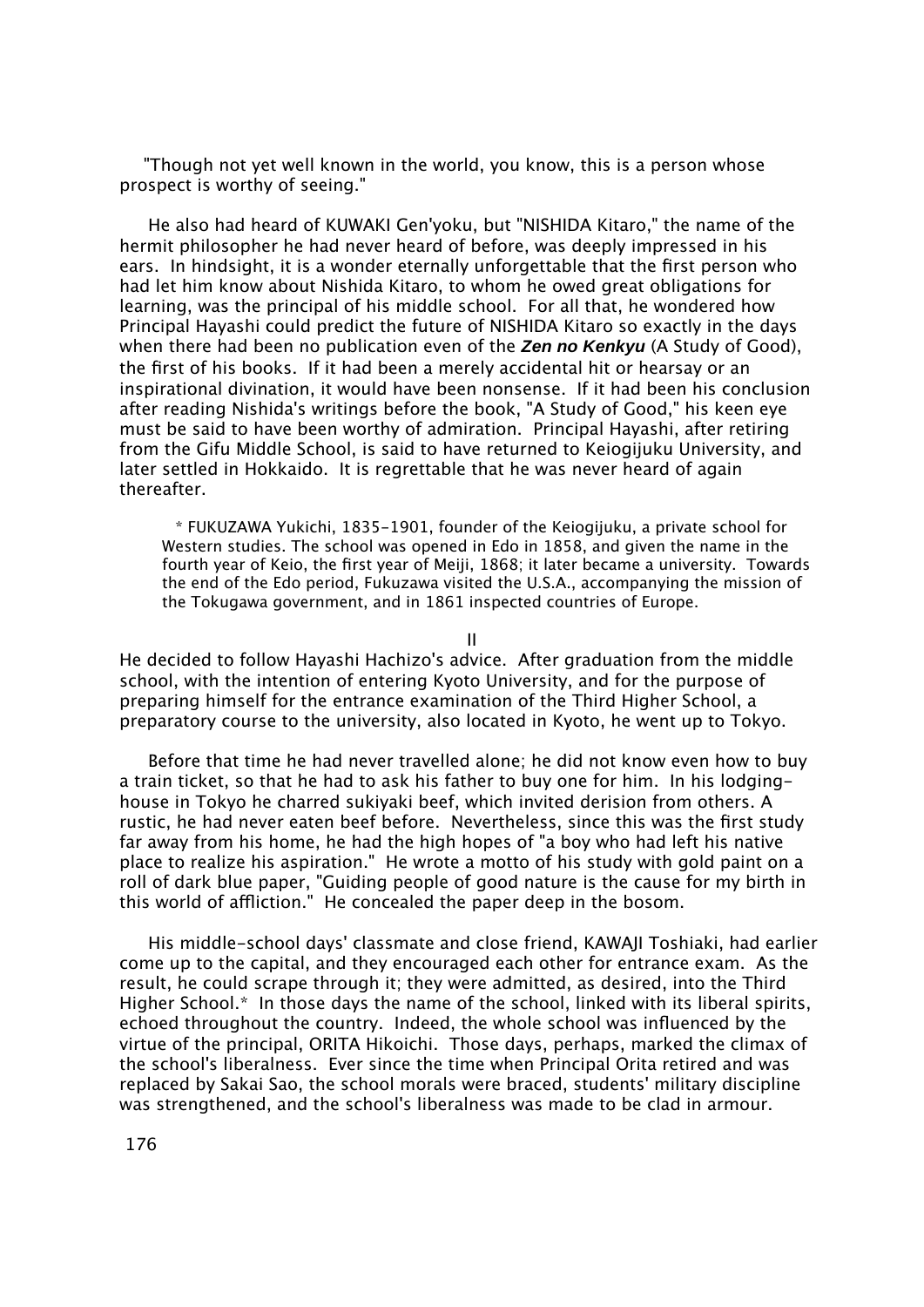"Though not yet well known in the world, you know, this is a person whose prospect is worthy of seeing."

 He also had heard of KUWAKI Gen'yoku, but "NISHIDA Kitaro," the name of the hermit philosopher he had never heard of before, was deeply impressed in his ears. In hindsight, it is a wonder eternally unforgettable that the first person who had let him know about Nishida Kitaro, to whom he owed great obligations for learning, was the principal of his middle school. For all that, he wondered how Principal Hayashi could predict the future of NISHIDA Kitaro so exactly in the days when there had been no publication even of the **Zen no Kenkyu** (A Study of Good), the first of his books. If it had been a merely accidental hit or hearsay or an inspirational divination, it would have been nonsense. If it had been his conclusion after reading Nishida's writings before the book, "A Study of Good," his keen eye must be said to have been worthy of admiration. Principal Hayashi, after retiring from the Gifu Middle School, is said to have returned to Keiogijuku University, and later settled in Hokkaido. It is regrettable that he was never heard of again thereafter.

\* FUKUZAWA Yukichi, 1835-1901, founder of the Keiogijuku, a private school for Western studies. The school was opened in Edo in 1858, and given the name in the fourth year of Keio, the first year of Meiji, 1868; it later became a university. Towards the end of the Edo period, Fukuzawa visited the U.S.A., accompanying the mission of the Tokugawa government, and in 1861 inspected countries of Europe.

II

He decided to follow Hayashi Hachizo's advice. After graduation from the middle school, with the intention of entering Kyoto University, and for the purpose of preparing himself for the entrance examination of the Third Higher School, a preparatory course to the university, also located in Kyoto, he went up to Tokyo.

 Before that time he had never travelled alone; he did not know even how to buy a train ticket, so that he had to ask his father to buy one for him. In his lodginghouse in Tokyo he charred sukiyaki beef, which invited derision from others. A rustic, he had never eaten beef before. Nevertheless, since this was the first study far away from his home, he had the high hopes of "a boy who had left his native place to realize his aspiration." He wrote a motto of his study with gold paint on a roll of dark blue paper, "Guiding people of good nature is the cause for my birth in this world of affliction." He concealed the paper deep in the bosom.

 His middle-school days' classmate and close friend, KAWAJI Toshiaki, had earlier come up to the capital, and they encouraged each other for entrance exam. As the result, he could scrape through it; they were admitted, as desired, into the Third Higher School.\* In those days the name of the school, linked with its liberal spirits, echoed throughout the country. Indeed, the whole school was influenced by the virtue of the principal, ORITA Hikoichi. Those days, perhaps, marked the climax of the school's liberalness. Ever since the time when Principal Orita retired and was replaced by Sakai Sao, the school morals were braced, students' military discipline was strengthened, and the school's liberalness was made to be clad in armour.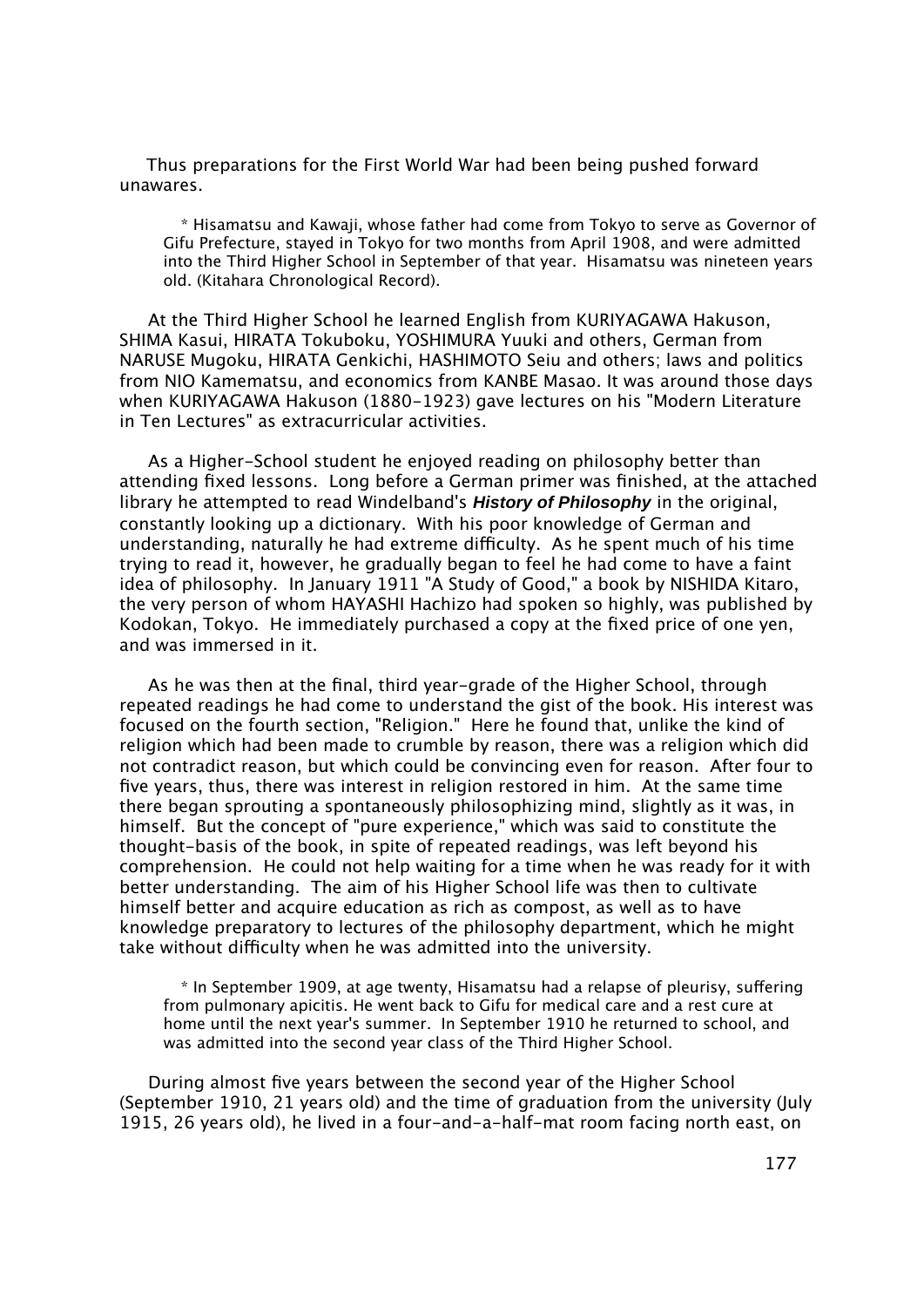Thus preparations for the First World War had been being pushed forward unawares.

\* Hisamatsu and Kawaji, whose father had come from Tokyo to serve as Governor of Gifu Prefecture, stayed in Tokyo for two months from April 1908, and were admitted into the Third Higher School in September of that year. Hisamatsu was nineteen years old. (Kitahara Chronological Record).

 At the Third Higher School he learned English from KURIYAGAWA Hakuson, SHIMA Kasui, HIRATA Tokuboku, YOSHIMURA Yuuki and others, German from NARUSE Mugoku, HIRATA Genkichi, HASHIMOTO Seiu and others; laws and politics from NIO Kamematsu, and economics from KANBE Masao. It was around those days when KURIYAGAWA Hakuson (1880-1923) gave lectures on his "Modern Literature in Ten Lectures" as extracurricular activities.

 As a Higher-School student he enjoyed reading on philosophy better than attending fixed lessons. Long before a German primer was finished, at the attached library he attempted to read Windelband's **History of Philosophy** in the original, constantly looking up a dictionary. With his poor knowledge of German and understanding, naturally he had extreme difficulty. As he spent much of his time trying to read it, however, he gradually began to feel he had come to have a faint idea of philosophy. In January 1911 "A Study of Good," a book by NISHIDA Kitaro, the very person of whom HAYASHI Hachizo had spoken so highly, was published by Kodokan, Tokyo. He immediately purchased a copy at the fixed price of one yen, and was immersed in it.

 As he was then at the final, third year-grade of the Higher School, through repeated readings he had come to understand the gist of the book. His interest was focused on the fourth section, "Religion." Here he found that, unlike the kind of religion which had been made to crumble by reason, there was a religion which did not contradict reason, but which could be convincing even for reason. After four to five years, thus, there was interest in religion restored in him. At the same time there began sprouting a spontaneously philosophizing mind, slightly as it was, in himself. But the concept of "pure experience," which was said to constitute the thought-basis of the book, in spite of repeated readings, was left beyond his comprehension. He could not help waiting for a time when he was ready for it with better understanding. The aim of his Higher School life was then to cultivate himself better and acquire education as rich as compost, as well as to have knowledge preparatory to lectures of the philosophy department, which he might take without difficulty when he was admitted into the university.

\* In September 1909, at age twenty, Hisamatsu had a relapse of pleurisy, suffering from pulmonary apicitis. He went back to Gifu for medical care and a rest cure at home until the next year's summer. In September 1910 he returned to school, and was admitted into the second year class of the Third Higher School.

 During almost five years between the second year of the Higher School (September 1910, 21 years old) and the time of graduation from the university (July 1915, 26 years old), he lived in a four-and-a-half-mat room facing north east, on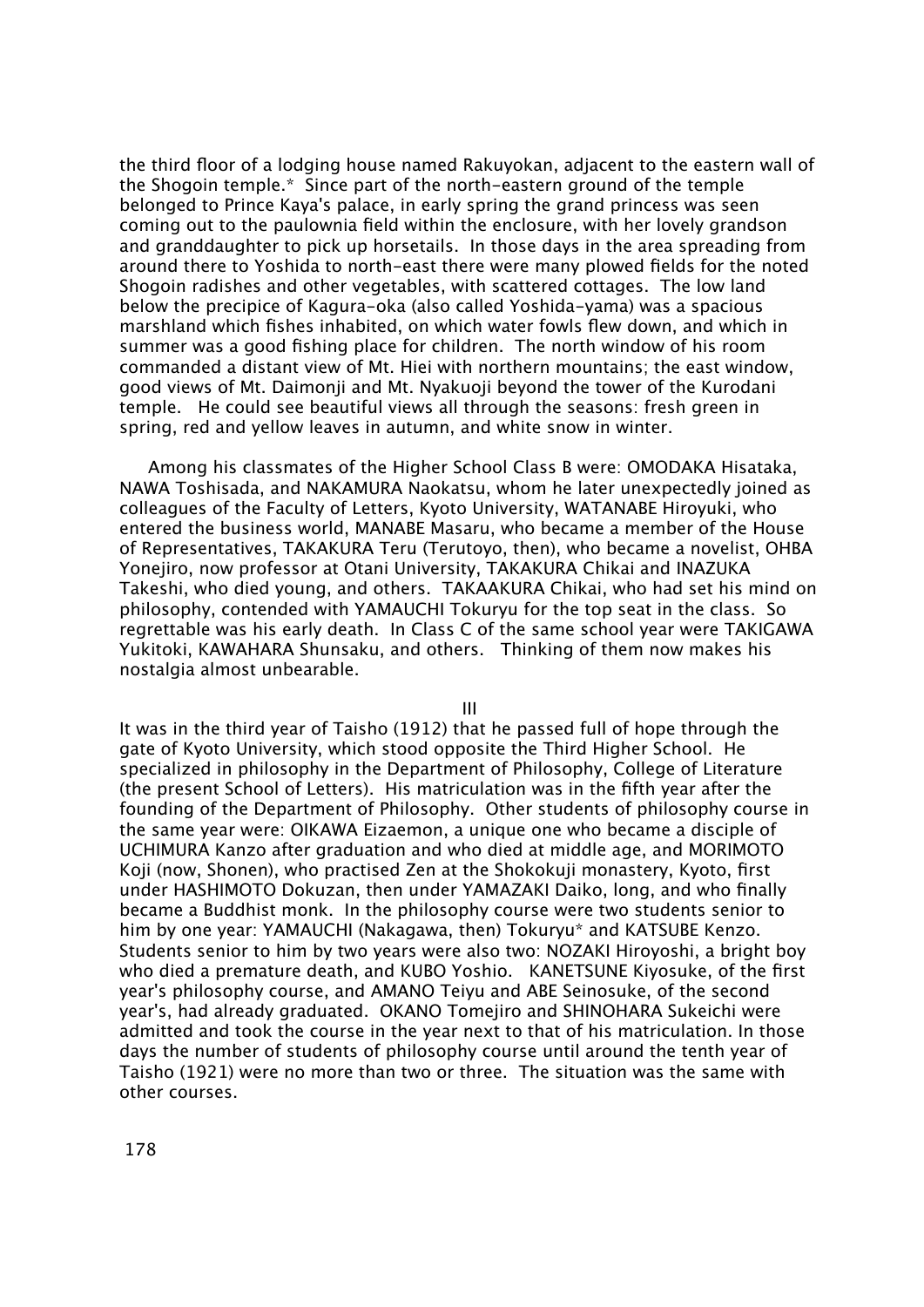the third floor of a lodging house named Rakuyokan, adjacent to the eastern wall of the Shogoin temple.\* Since part of the north-eastern ground of the temple belonged to Prince Kaya's palace, in early spring the grand princess was seen coming out to the paulownia field within the enclosure, with her lovely grandson and granddaughter to pick up horsetails. In those days in the area spreading from around there to Yoshida to north-east there were many plowed fields for the noted Shogoin radishes and other vegetables, with scattered cottages. The low land below the precipice of Kagura-oka (also called Yoshida-yama) was a spacious marshland which fishes inhabited, on which water fowls flew down, and which in summer was a good fishing place for children. The north window of his room commanded a distant view of Mt. Hiei with northern mountains; the east window, good views of Mt. Daimonji and Mt. Nyakuoji beyond the tower of the Kurodani temple. He could see beautiful views all through the seasons: fresh green in spring, red and yellow leaves in autumn, and white snow in winter.

 Among his classmates of the Higher School Class B were: OMODAKA Hisataka, NAWA Toshisada, and NAKAMURA Naokatsu, whom he later unexpectedly joined as colleagues of the Faculty of Letters, Kyoto University, WATANABE Hiroyuki, who entered the business world, MANABE Masaru, who became a member of the House of Representatives, TAKAKURA Teru (Terutoyo, then), who became a novelist, OHBA Yonejiro, now professor at Otani University, TAKAKURA Chikai and INAZUKA Takeshi, who died young, and others. TAKAAKURA Chikai, who had set his mind on philosophy, contended with YAMAUCHI Tokuryu for the top seat in the class. So regrettable was his early death. In Class C of the same school year were TAKIGAWA Yukitoki, KAWAHARA Shunsaku, and others. Thinking of them now makes his nostalgia almost unbearable.

III

It was in the third year of Taisho (1912) that he passed full of hope through the gate of Kyoto University, which stood opposite the Third Higher School. He specialized in philosophy in the Department of Philosophy, College of Literature (the present School of Letters). His matriculation was in the fifth year after the founding of the Department of Philosophy. Other students of philosophy course in the same year were: OIKAWA Eizaemon, a unique one who became a disciple of UCHIMURA Kanzo after graduation and who died at middle age, and MORIMOTO Koji (now, Shonen), who practised Zen at the Shokokuji monastery, Kyoto, first under HASHIMOTO Dokuzan, then under YAMAZAKI Daiko, long, and who finally became a Buddhist monk. In the philosophy course were two students senior to him by one year: YAMAUCHI (Nakagawa, then) Tokuryu\* and KATSUBE Kenzo. Students senior to him by two years were also two: NOZAKI Hiroyoshi, a bright boy who died a premature death, and KUBO Yoshio. KANETSUNE Kiyosuke, of the first year's philosophy course, and AMANO Teiyu and ABE Seinosuke, of the second year's, had already graduated. OKANO Tomejiro and SHINOHARA Sukeichi were admitted and took the course in the year next to that of his matriculation. In those days the number of students of philosophy course until around the tenth year of Taisho (1921) were no more than two or three. The situation was the same with other courses.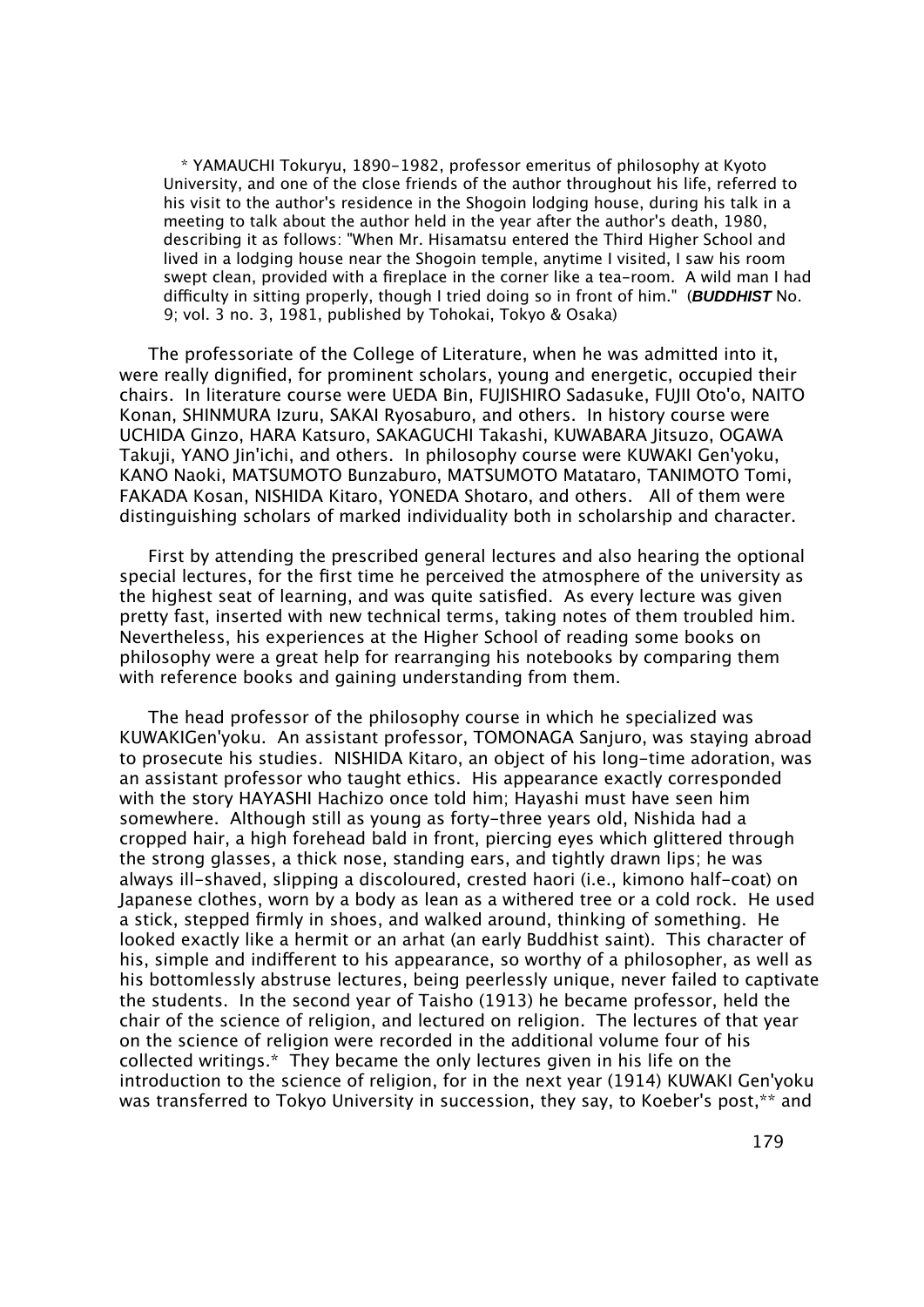\* YAMAUCHI Tokuryu, 1890-1982, professor emeritus of philosophy at Kyoto University, and one of the close friends of the author throughout his life, referred to his visit to the author's residence in the Shogoin lodging house, during his talk in a meeting to talk about the author held in the year after the author's death, 1980, describing it as follows: "When Mr. Hisamatsu entered the Third Higher School and lived in a lodging house near the Shogoin temple, anytime I visited, I saw his room swept clean, provided with a fireplace in the corner like a tea-room. A wild man I had difficulty in sitting properly, though I tried doing so in front of him." (**BUDDHIST** No. 9; vol. 3 no. 3, 1981, published by Tohokai, Tokyo & Osaka)

 The professoriate of the College of Literature, when he was admitted into it, were really dignified, for prominent scholars, young and energetic, occupied their chairs. In literature course were UEDA Bin, FUJISHIRO Sadasuke, FUJII Oto'o, NAITO Konan, SHINMURA Izuru, SAKAI Ryosaburo, and others. In history course were UCHIDA Ginzo, HARA Katsuro, SAKAGUCHI Takashi, KUWABARA Jitsuzo, OGAWA Takuji, YANO Jin'ichi, and others. In philosophy course were KUWAKI Gen'yoku, KANO Naoki, MATSUMOTO Bunzaburo, MATSUMOTO Matataro, TANIMOTO Tomi, FAKADA Kosan, NISHIDA Kitaro, YONEDA Shotaro, and others. All of them were distinguishing scholars of marked individuality both in scholarship and character.

 First by attending the prescribed general lectures and also hearing the optional special lectures, for the first time he perceived the atmosphere of the university as the highest seat of learning, and was quite satisfied. As every lecture was given pretty fast, inserted with new technical terms, taking notes of them troubled him. Nevertheless, his experiences at the Higher School of reading some books on philosophy were a great help for rearranging his notebooks by comparing them with reference books and gaining understanding from them.

 The head professor of the philosophy course in which he specialized was KUWAKIGen'yoku. An assistant professor, TOMONAGA Sanjuro, was staying abroad to prosecute his studies. NISHIDA Kitaro, an object of his long-time adoration, was an assistant professor who taught ethics. His appearance exactly corresponded with the story HAYASHI Hachizo once told him; Hayashi must have seen him somewhere. Although still as young as forty-three years old, Nishida had a cropped hair, a high forehead bald in front, piercing eyes which glittered through the strong glasses, a thick nose, standing ears, and tightly drawn lips; he was always ill-shaved, slipping a discoloured, crested haori (i.e., kimono half-coat) on Japanese clothes, worn by a body as lean as a withered tree or a cold rock. He used a stick, stepped firmly in shoes, and walked around, thinking of something. He looked exactly like a hermit or an arhat (an early Buddhist saint). This character of his, simple and indifferent to his appearance, so worthy of a philosopher, as well as his bottomlessly abstruse lectures, being peerlessly unique, never failed to captivate the students. In the second year of Taisho (1913) he became professor, held the chair of the science of religion, and lectured on religion. The lectures of that year on the science of religion were recorded in the additional volume four of his collected writings.\* They became the only lectures given in his life on the introduction to the science of religion, for in the next year (1914) KUWAKI Gen'yoku was transferred to Tokyo University in succession, they say, to Koeber's post,\*\* and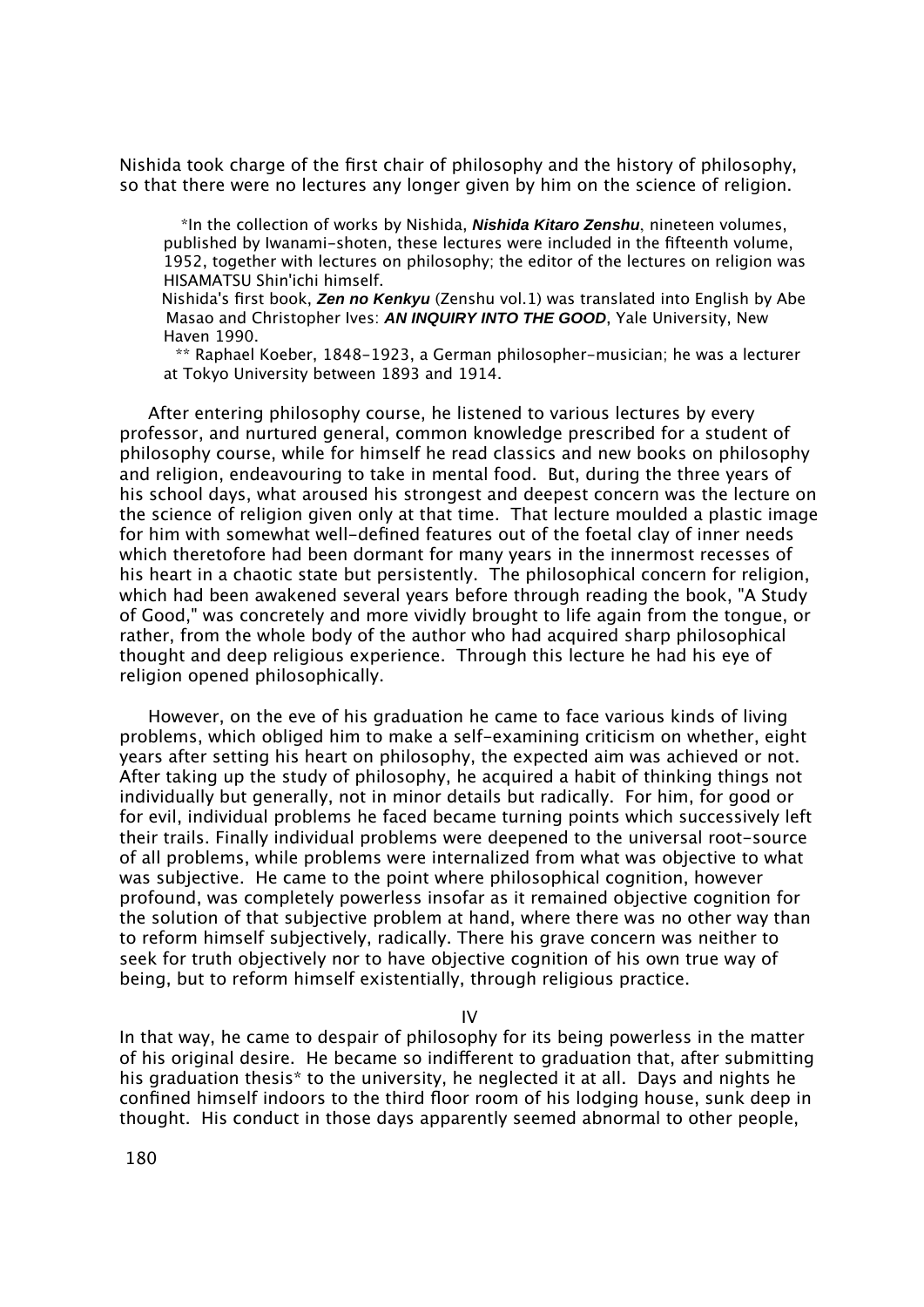Nishida took charge of the first chair of philosophy and the history of philosophy, so that there were no lectures any longer given by him on the science of religion.

\*In the collection of works by Nishida, **Nishida Kitaro Zenshu**, nineteen volumes, published by Iwanami-shoten, these lectures were included in the fifteenth volume, 1952, together with lectures on philosophy; the editor of the lectures on religion was HISAMATSU Shin'ichi himself.

 Nishida's first book, **Zen no Kenkyu** (Zenshu vol.1) was translated into English by Abe Masao and Christopher Ives: **AN INQUIRY INTO THE GOOD**, Yale University, New Haven 1990.

 \*\* Raphael Koeber, 1848-1923, a German philosopher-musician; he was a lecturer at Tokyo University between 1893 and 1914.

 After entering philosophy course, he listened to various lectures by every professor, and nurtured general, common knowledge prescribed for a student of philosophy course, while for himself he read classics and new books on philosophy and religion, endeavouring to take in mental food. But, during the three years of his school days, what aroused his strongest and deepest concern was the lecture on the science of religion given only at that time. That lecture moulded a plastic image for him with somewhat well-defined features out of the foetal clay of inner needs which theretofore had been dormant for many years in the innermost recesses of his heart in a chaotic state but persistently. The philosophical concern for religion, which had been awakened several years before through reading the book, "A Study of Good," was concretely and more vividly brought to life again from the tongue, or rather, from the whole body of the author who had acquired sharp philosophical thought and deep religious experience. Through this lecture he had his eye of religion opened philosophically.

 However, on the eve of his graduation he came to face various kinds of living problems, which obliged him to make a self-examining criticism on whether, eight years after setting his heart on philosophy, the expected aim was achieved or not. After taking up the study of philosophy, he acquired a habit of thinking things not individually but generally, not in minor details but radically. For him, for good or for evil, individual problems he faced became turning points which successively left their trails. Finally individual problems were deepened to the universal root-source of all problems, while problems were internalized from what was objective to what was subjective. He came to the point where philosophical cognition, however profound, was completely powerless insofar as it remained objective cognition for the solution of that subjective problem at hand, where there was no other way than to reform himself subjectively, radically. There his grave concern was neither to seek for truth objectively nor to have objective cognition of his own true way of being, but to reform himself existentially, through religious practice.

IV

In that way, he came to despair of philosophy for its being powerless in the matter of his original desire. He became so indifferent to graduation that, after submitting his graduation thesis\* to the university, he neglected it at all. Days and nights he confined himself indoors to the third floor room of his lodging house, sunk deep in thought. His conduct in those days apparently seemed abnormal to other people,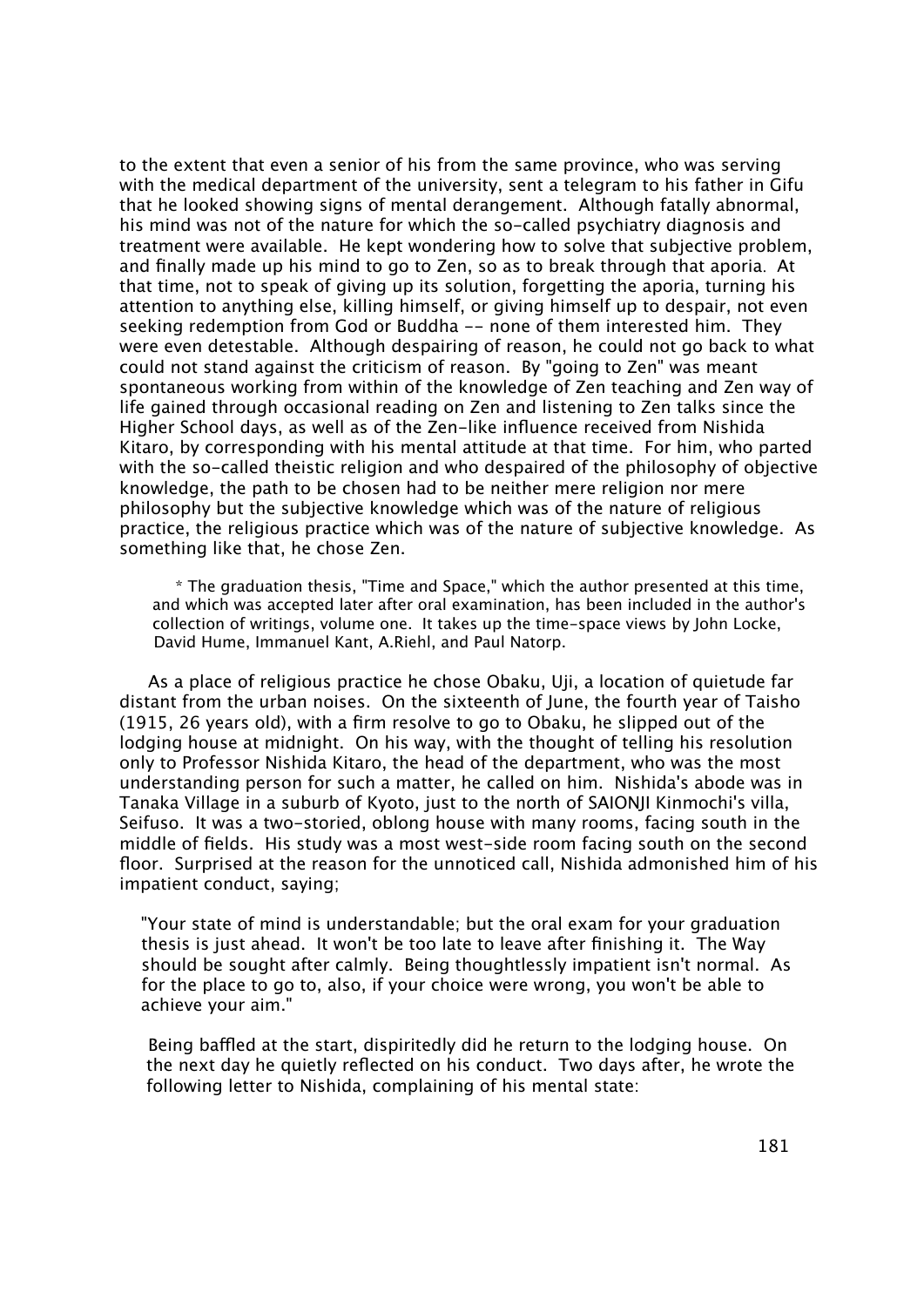to the extent that even a senior of his from the same province, who was serving with the medical department of the university, sent a telegram to his father in Gifu that he looked showing signs of mental derangement. Although fatally abnormal, his mind was not of the nature for which the so-called psychiatry diagnosis and treatment were available. He kept wondering how to solve that subjective problem, and finally made up his mind to go to Zen, so as to break through that aporia. At that time, not to speak of giving up its solution, forgetting the aporia, turning his attention to anything else, killing himself, or giving himself up to despair, not even seeking redemption from God or Buddha -- none of them interested him. They were even detestable. Although despairing of reason, he could not go back to what could not stand against the criticism of reason. By "going to Zen" was meant spontaneous working from within of the knowledge of Zen teaching and Zen way of life gained through occasional reading on Zen and listening to Zen talks since the Higher School days, as well as of the Zen-like influence received from Nishida Kitaro, by corresponding with his mental attitude at that time. For him, who parted with the so-called theistic religion and who despaired of the philosophy of objective knowledge, the path to be chosen had to be neither mere religion nor mere philosophy but the subjective knowledge which was of the nature of religious practice, the religious practice which was of the nature of subjective knowledge. As something like that, he chose Zen.

\* The graduation thesis, "Time and Space," which the author presented at this time, and which was accepted later after oral examination, has been included in the author's collection of writings, volume one. It takes up the time-space views by John Locke, David Hume, Immanuel Kant, A.Riehl, and Paul Natorp.

 As a place of religious practice he chose Obaku, Uji, a location of quietude far distant from the urban noises. On the sixteenth of June, the fourth year of Taisho (1915, 26 years old), with a firm resolve to go to Obaku, he slipped out of the lodging house at midnight. On his way, with the thought of telling his resolution only to Professor Nishida Kitaro, the head of the department, who was the most understanding person for such a matter, he called on him. Nishida's abode was in Tanaka Village in a suburb of Kyoto, just to the north of SAIONJI Kinmochi's villa, Seifuso. It was a two-storied, oblong house with many rooms, facing south in the middle of fields. His study was a most west-side room facing south on the second floor. Surprised at the reason for the unnoticed call, Nishida admonished him of his impatient conduct, saying;

 "Your state of mind is understandable; but the oral exam for your graduation thesis is just ahead. It won't be too late to leave after finishing it. The Way should be sought after calmly. Being thoughtlessly impatient isn't normal. As for the place to go to, also, if your choice were wrong, you won't be able to achieve your aim."

 Being baffled at the start, dispiritedly did he return to the lodging house. On the next day he quietly reflected on his conduct. Two days after, he wrote the following letter to Nishida, complaining of his mental state: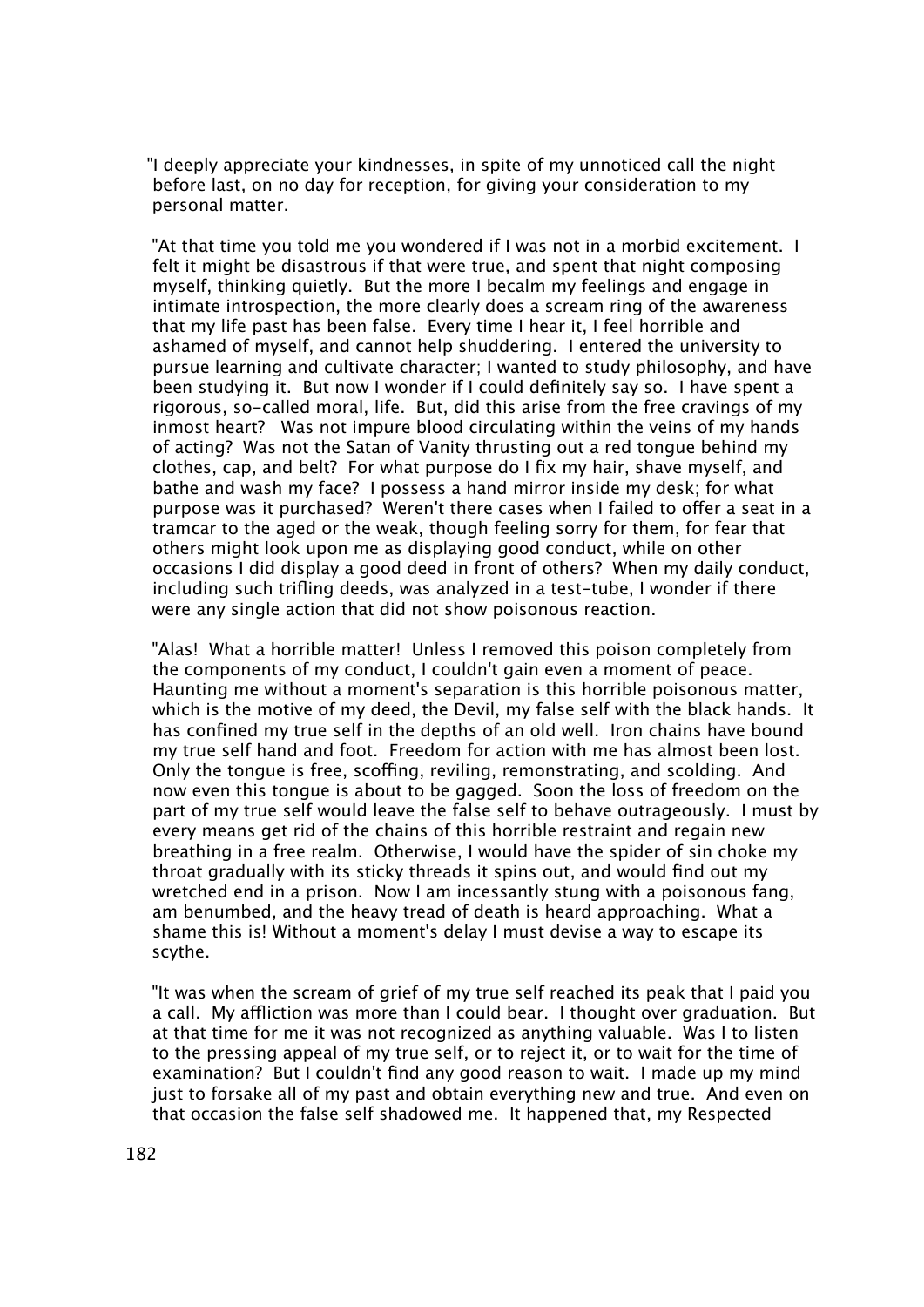"I deeply appreciate your kindnesses, in spite of my unnoticed call the night before last, on no day for reception, for giving your consideration to my personal matter.

 "At that time you told me you wondered if I was not in a morbid excitement. I felt it might be disastrous if that were true, and spent that night composing myself, thinking quietly. But the more I becalm my feelings and engage in intimate introspection, the more clearly does a scream ring of the awareness that my life past has been false. Every time I hear it, I feel horrible and ashamed of myself, and cannot help shuddering. I entered the university to pursue learning and cultivate character; I wanted to study philosophy, and have been studying it. But now I wonder if I could definitely say so. I have spent a rigorous, so-called moral, life. But, did this arise from the free cravings of my inmost heart? Was not impure blood circulating within the veins of my hands of acting? Was not the Satan of Vanity thrusting out a red tongue behind my clothes, cap, and belt? For what purpose do I fix my hair, shave myself, and bathe and wash my face? I possess a hand mirror inside my desk; for what purpose was it purchased? Weren't there cases when I failed to offer a seat in a tramcar to the aged or the weak, though feeling sorry for them, for fear that others might look upon me as displaying good conduct, while on other occasions I did display a good deed in front of others? When my daily conduct, including such trifling deeds, was analyzed in a test-tube, I wonder if there were any single action that did not show poisonous reaction.

 "Alas! What a horrible matter! Unless I removed this poison completely from the components of my conduct, I couldn't gain even a moment of peace. Haunting me without a moment's separation is this horrible poisonous matter, which is the motive of my deed, the Devil, my false self with the black hands. It has confined my true self in the depths of an old well. Iron chains have bound my true self hand and foot. Freedom for action with me has almost been lost. Only the tongue is free, scoffing, reviling, remonstrating, and scolding. And now even this tongue is about to be gagged. Soon the loss of freedom on the part of my true self would leave the false self to behave outrageously. I must by every means get rid of the chains of this horrible restraint and regain new breathing in a free realm. Otherwise, I would have the spider of sin choke my throat gradually with its sticky threads it spins out, and would find out my wretched end in a prison. Now I am incessantly stung with a poisonous fang, am benumbed, and the heavy tread of death is heard approaching. What a shame this is! Without a moment's delay I must devise a way to escape its scythe.

 "It was when the scream of grief of my true self reached its peak that I paid you a call. My affliction was more than I could bear. I thought over graduation. But at that time for me it was not recognized as anything valuable. Was I to listen to the pressing appeal of my true self, or to reject it, or to wait for the time of examination? But I couldn't find any good reason to wait. I made up my mind just to forsake all of my past and obtain everything new and true. And even on that occasion the false self shadowed me. It happened that, my Respected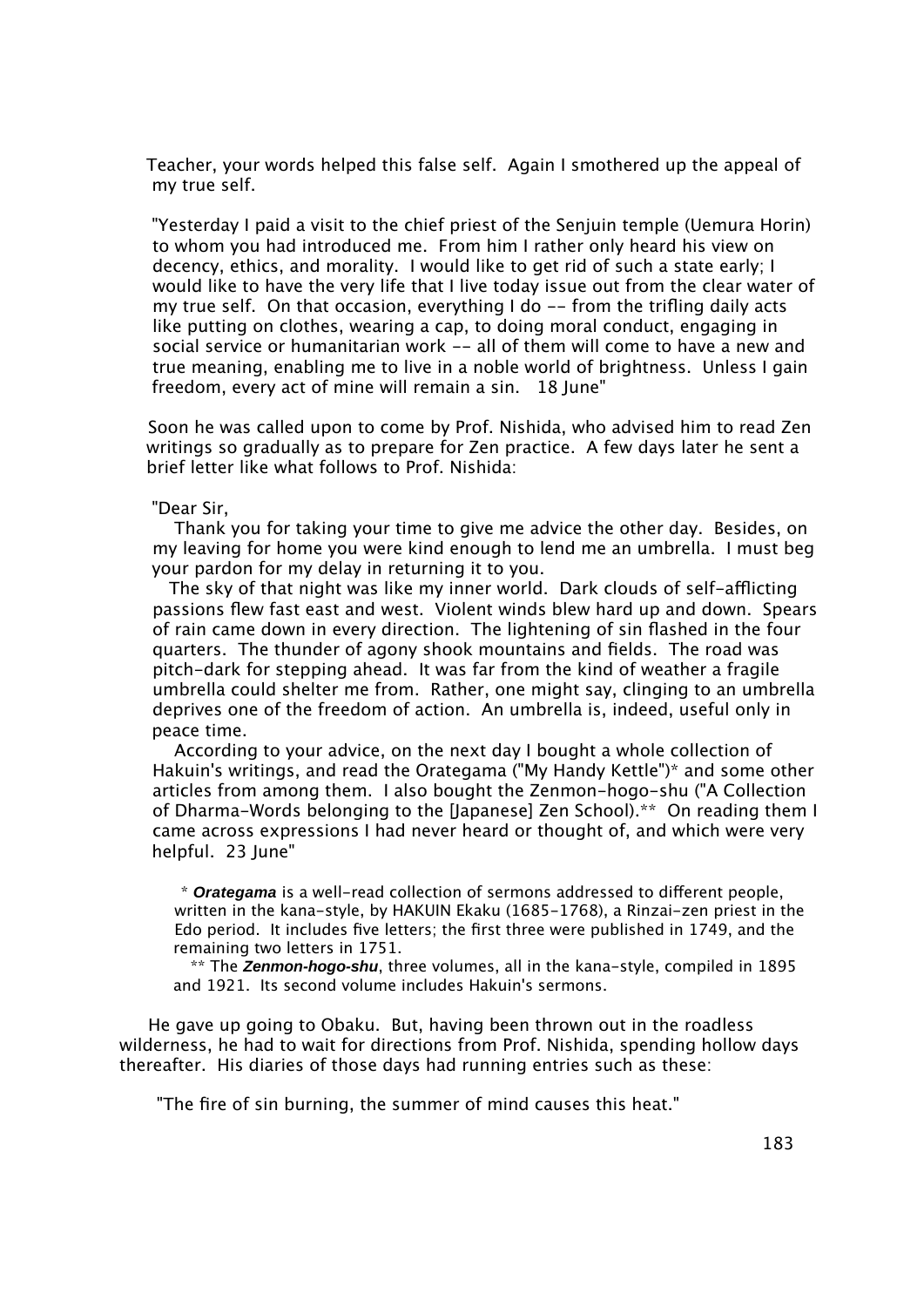Teacher, your words helped this false self. Again I smothered up the appeal of my true self.

 "Yesterday I paid a visit to the chief priest of the Senjuin temple (Uemura Horin) to whom you had introduced me. From him I rather only heard his view on decency, ethics, and morality. I would like to get rid of such a state early; I would like to have the very life that I live today issue out from the clear water of my true self. On that occasion, everything I do -- from the trifling daily acts like putting on clothes, wearing a cap, to doing moral conduct, engaging in social service or humanitarian work -- all of them will come to have a new and true meaning, enabling me to live in a noble world of brightness. Unless I gain freedom, every act of mine will remain a sin. 18 June"

 Soon he was called upon to come by Prof. Nishida, who advised him to read Zen writings so gradually as to prepare for Zen practice. A few days later he sent a brief letter like what follows to Prof. Nishida:

#### "Dear Sir,

 Thank you for taking your time to give me advice the other day. Besides, on my leaving for home you were kind enough to lend me an umbrella. I must beg your pardon for my delay in returning it to you.

 The sky of that night was like my inner world. Dark clouds of self-afflicting passions flew fast east and west. Violent winds blew hard up and down. Spears of rain came down in every direction. The lightening of sin flashed in the four quarters. The thunder of agony shook mountains and fields. The road was pitch-dark for stepping ahead. It was far from the kind of weather a fragile umbrella could shelter me from. Rather, one might say, clinging to an umbrella deprives one of the freedom of action. An umbrella is, indeed, useful only in peace time.

 According to your advice, on the next day I bought a whole collection of Hakuin's writings, and read the Orategama ("My Handy Kettle")\* and some other articles from among them. I also bought the Zenmon-hogo-shu ("A Collection of Dharma-Words belonging to the [Japanese] Zen School).\*\* On reading them I came across expressions I had never heard or thought of, and which were very helpful. 23 June"

\* **Orategama** is a well-read collection of sermons addressed to different people, written in the kana-style, by HAKUIN Ekaku (1685-1768), a Rinzai-zen priest in the Edo period. It includes five letters; the first three were published in 1749, and the remaining two letters in 1751.

 \*\* The **Zenmon-hogo-shu**, three volumes, all in the kana-style, compiled in 1895 and 1921. Its second volume includes Hakuin's sermons.

 He gave up going to Obaku. But, having been thrown out in the roadless wilderness, he had to wait for directions from Prof. Nishida, spending hollow days thereafter. His diaries of those days had running entries such as these:

"The fire of sin burning, the summer of mind causes this heat."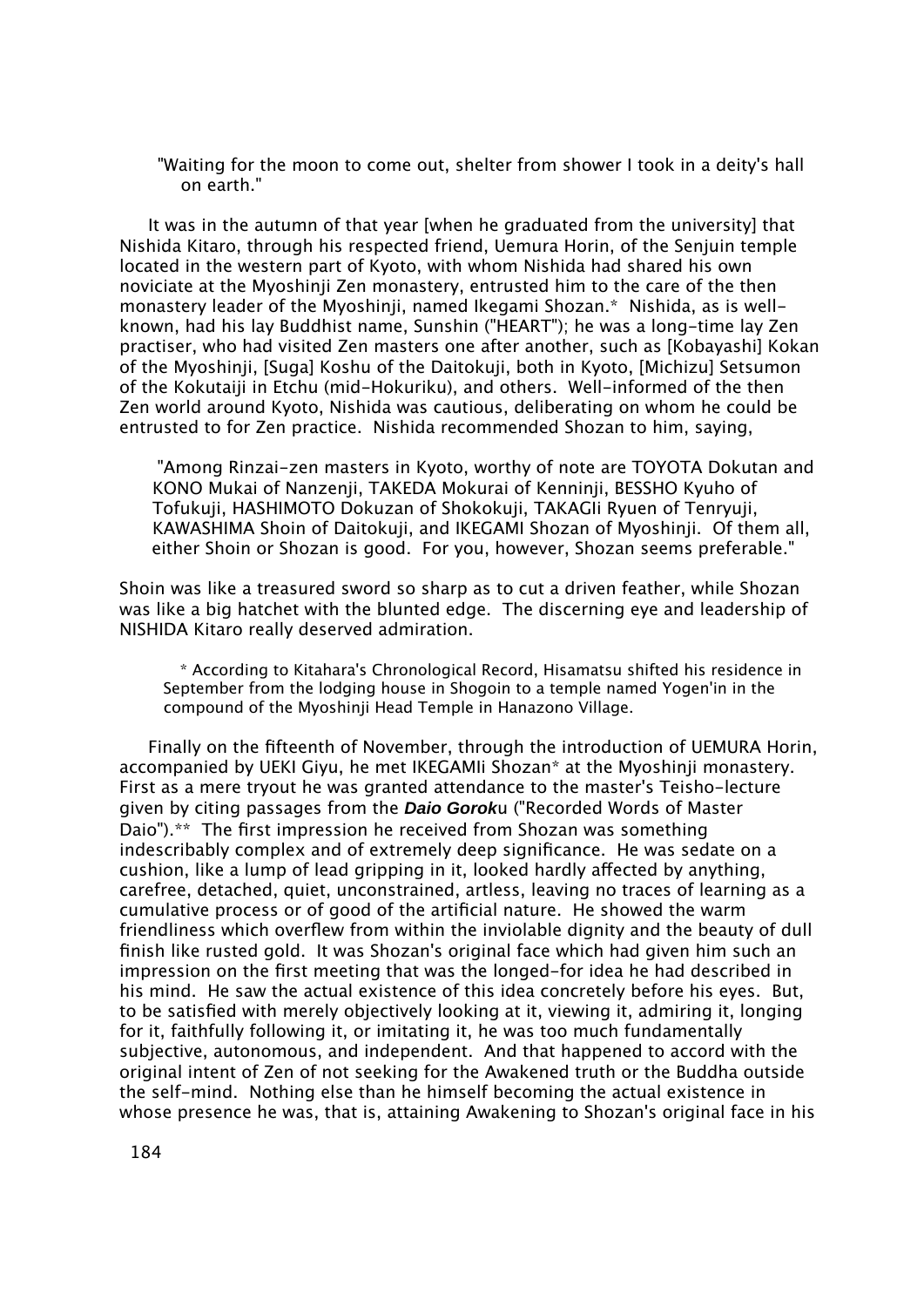"Waiting for the moon to come out, shelter from shower I took in a deity's hall on earth."

 It was in the autumn of that year [when he graduated from the university] that Nishida Kitaro, through his respected friend, Uemura Horin, of the Senjuin temple located in the western part of Kyoto, with whom Nishida had shared his own noviciate at the Myoshinji Zen monastery, entrusted him to the care of the then monastery leader of the Myoshinji, named Ikegami Shozan.\* Nishida, as is wellknown, had his lay Buddhist name, Sunshin ("HEART"); he was a long-time lay Zen practiser, who had visited Zen masters one after another, such as [Kobayashi] Kokan of the Myoshinji, [Suga] Koshu of the Daitokuji, both in Kyoto, [Michizu] Setsumon of the Kokutaiji in Etchu (mid-Hokuriku), and others. Well-informed of the then Zen world around Kyoto, Nishida was cautious, deliberating on whom he could be entrusted to for Zen practice. Nishida recommended Shozan to him, saying,

 "Among Rinzai-zen masters in Kyoto, worthy of note are TOYOTA Dokutan and KONO Mukai of Nanzenji, TAKEDA Mokurai of Kenninji, BESSHO Kyuho of Tofukuji, HASHIMOTO Dokuzan of Shokokuji, TAKAGIi Ryuen of Tenryuji, KAWASHIMA Shoin of Daitokuji, and IKEGAMI Shozan of Myoshinji. Of them all, either Shoin or Shozan is good. For you, however, Shozan seems preferable."

Shoin was like a treasured sword so sharp as to cut a driven feather, while Shozan was like a big hatchet with the blunted edge. The discerning eye and leadership of NISHIDA Kitaro really deserved admiration.

\* According to Kitahara's Chronological Record, Hisamatsu shifted his residence in September from the lodging house in Shogoin to a temple named Yogen'in in the compound of the Myoshinji Head Temple in Hanazono Village.

 Finally on the fifteenth of November, through the introduction of UEMURA Horin, accompanied by UEKI Giyu, he met IKEGAMIi Shozan\* at the Myoshinji monastery. First as a mere tryout he was granted attendance to the master's Teisho-lecture given by citing passages from the **Daio Gorok**u ("Recorded Words of Master Daio").\*\* The first impression he received from Shozan was something indescribably complex and of extremely deep significance. He was sedate on a cushion, like a lump of lead gripping in it, looked hardly affected by anything, carefree, detached, quiet, unconstrained, artless, leaving no traces of learning as a cumulative process or of good of the artificial nature. He showed the warm friendliness which overflew from within the inviolable dignity and the beauty of dull finish like rusted gold. It was Shozan's original face which had given him such an impression on the first meeting that was the longed-for idea he had described in his mind. He saw the actual existence of this idea concretely before his eyes. But, to be satisfied with merely objectively looking at it, viewing it, admiring it, longing for it, faithfully following it, or imitating it, he was too much fundamentally subjective, autonomous, and independent. And that happened to accord with the original intent of Zen of not seeking for the Awakened truth or the Buddha outside the self-mind. Nothing else than he himself becoming the actual existence in whose presence he was, that is, attaining Awakening to Shozan's original face in his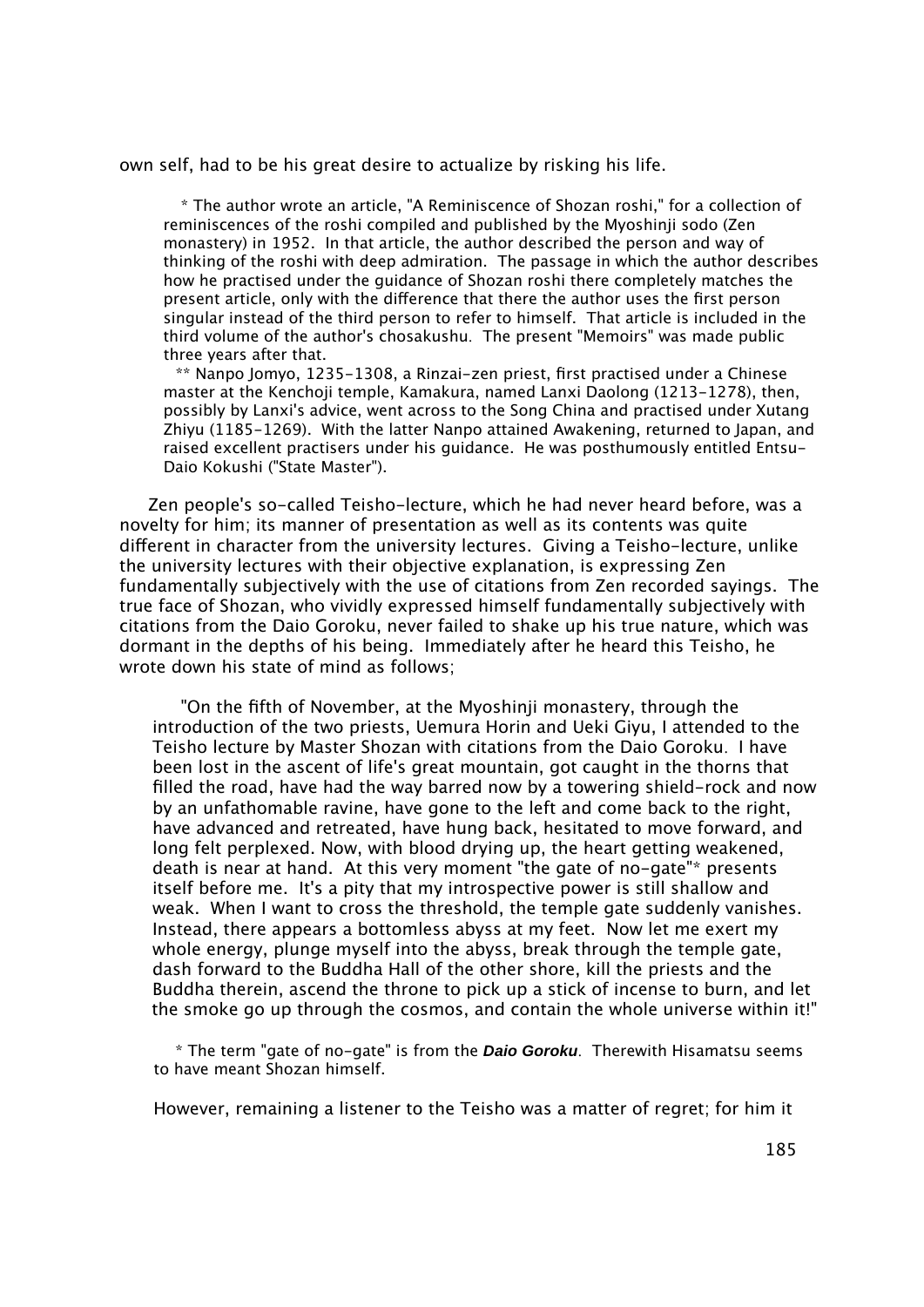own self, had to be his great desire to actualize by risking his life.

\* The author wrote an article, "A Reminiscence of Shozan roshi," for a collection of reminiscences of the roshi compiled and published by the Myoshinji sodo (Zen monastery) in 1952. In that article, the author described the person and way of thinking of the roshi with deep admiration. The passage in which the author describes how he practised under the guidance of Shozan roshi there completely matches the present article, only with the difference that there the author uses the first person singular instead of the third person to refer to himself. That article is included in the third volume of the author's chosakushu. The present "Memoirs" was made public three years after that.

 \*\* Nanpo Jomyo, 1235-1308, a Rinzai-zen priest, first practised under a Chinese master at the Kenchoji temple, Kamakura, named Lanxi Daolong (1213-1278), then, possibly by Lanxi's advice, went across to the Song China and practised under Xutang Zhiyu (1185-1269). With the latter Nanpo attained Awakening, returned to Japan, and raised excellent practisers under his guidance. He was posthumously entitled Entsu- Daio Kokushi ("State Master").

 Zen people's so-called Teisho-lecture, which he had never heard before, was a novelty for him; its manner of presentation as well as its contents was quite different in character from the university lectures. Giving a Teisho-lecture, unlike the university lectures with their objective explanation, is expressing Zen fundamentally subjectively with the use of citations from Zen recorded sayings. The true face of Shozan, who vividly expressed himself fundamentally subjectively with citations from the Daio Goroku, never failed to shake up his true nature, which was dormant in the depths of his being. Immediately after he heard this Teisho, he wrote down his state of mind as follows;

 "On the fifth of November, at the Myoshinji monastery, through the introduction of the two priests, Uemura Horin and Ueki Giyu, I attended to the Teisho lecture by Master Shozan with citations from the Daio Goroku. I have been lost in the ascent of life's great mountain, got caught in the thorns that filled the road, have had the way barred now by a towering shield-rock and now by an unfathomable ravine, have gone to the left and come back to the right, have advanced and retreated, have hung back, hesitated to move forward, and long felt perplexed. Now, with blood drying up, the heart getting weakened, death is near at hand. At this very moment "the gate of no-gate"\* presents itself before me. It's a pity that my introspective power is still shallow and weak. When I want to cross the threshold, the temple gate suddenly vanishes. Instead, there appears a bottomless abyss at my feet. Now let me exert my whole energy, plunge myself into the abyss, break through the temple gate, dash forward to the Buddha Hall of the other shore, kill the priests and the Buddha therein, ascend the throne to pick up a stick of incense to burn, and let the smoke go up through the cosmos, and contain the whole universe within it!"

\* The term "gate of no-gate" is from the **Daio Goroku**. Therewith Hisamatsu seems to have meant Shozan himself.

However, remaining a listener to the Teisho was a matter of regret; for him it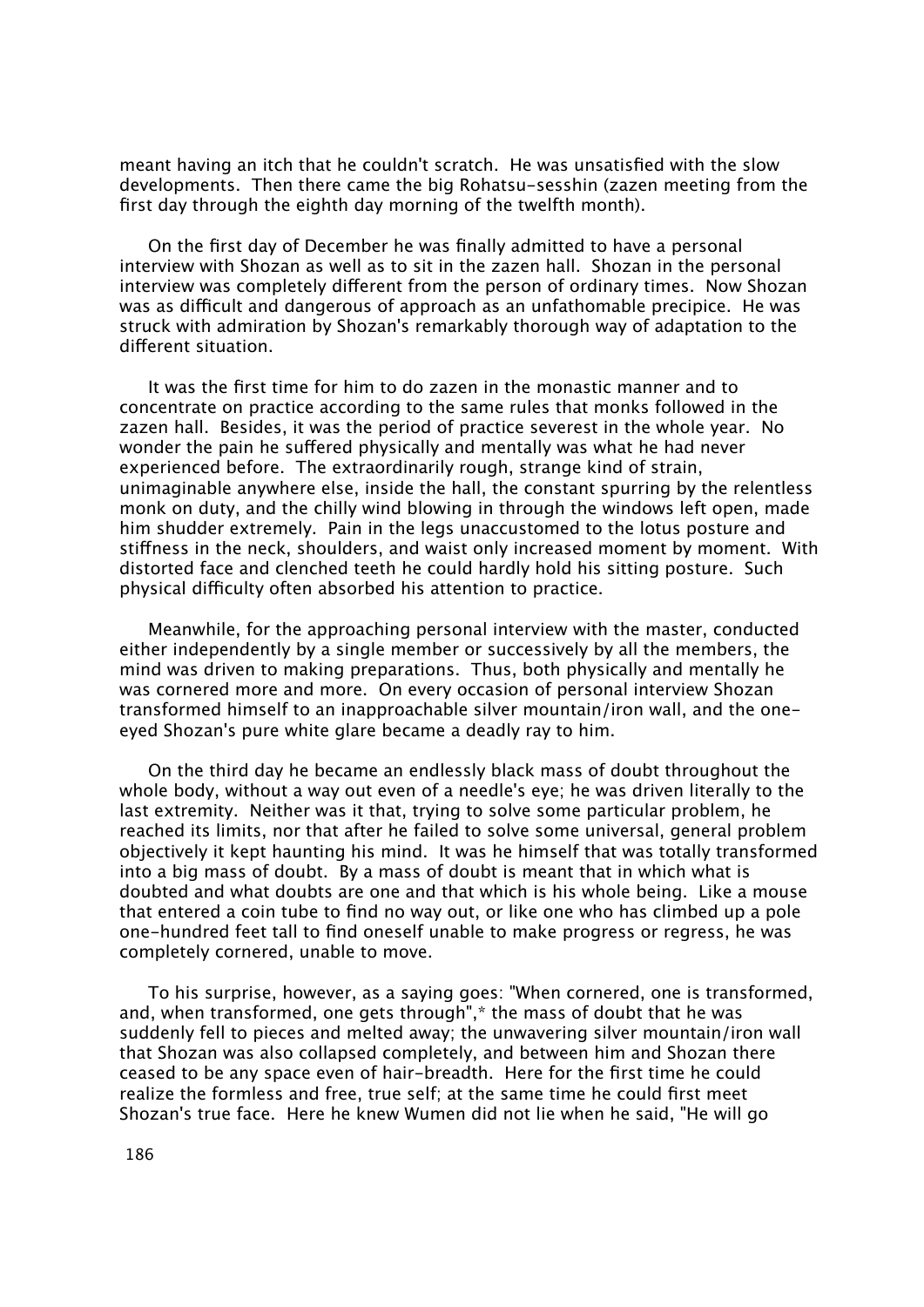meant having an itch that he couldn't scratch. He was unsatisfied with the slow developments. Then there came the big Rohatsu-sesshin (zazen meeting from the first day through the eighth day morning of the twelfth month).

 On the first day of December he was finally admitted to have a personal interview with Shozan as well as to sit in the zazen hall. Shozan in the personal interview was completely different from the person of ordinary times. Now Shozan was as difficult and dangerous of approach as an unfathomable precipice. He was struck with admiration by Shozan's remarkably thorough way of adaptation to the different situation.

 It was the first time for him to do zazen in the monastic manner and to concentrate on practice according to the same rules that monks followed in the zazen hall. Besides, it was the period of practice severest in the whole year. No wonder the pain he suffered physically and mentally was what he had never experienced before. The extraordinarily rough, strange kind of strain, unimaginable anywhere else, inside the hall, the constant spurring by the relentless monk on duty, and the chilly wind blowing in through the windows left open, made him shudder extremely. Pain in the legs unaccustomed to the lotus posture and stiffness in the neck, shoulders, and waist only increased moment by moment. With distorted face and clenched teeth he could hardly hold his sitting posture. Such physical difficulty often absorbed his attention to practice.

 Meanwhile, for the approaching personal interview with the master, conducted either independently by a single member or successively by all the members, the mind was driven to making preparations. Thus, both physically and mentally he was cornered more and more. On every occasion of personal interview Shozan transformed himself to an inapproachable silver mountain/iron wall, and the oneeyed Shozan's pure white glare became a deadly ray to him.

 On the third day he became an endlessly black mass of doubt throughout the whole body, without a way out even of a needle's eye; he was driven literally to the last extremity. Neither was it that, trying to solve some particular problem, he reached its limits, nor that after he failed to solve some universal, general problem objectively it kept haunting his mind. It was he himself that was totally transformed into a big mass of doubt. By a mass of doubt is meant that in which what is doubted and what doubts are one and that which is his whole being. Like a mouse that entered a coin tube to find no way out, or like one who has climbed up a pole one-hundred feet tall to find oneself unable to make progress or regress, he was completely cornered, unable to move.

 To his surprise, however, as a saying goes: "When cornered, one is transformed, and, when transformed, one gets through",\* the mass of doubt that he was suddenly fell to pieces and melted away; the unwavering silver mountain/iron wall that Shozan was also collapsed completely, and between him and Shozan there ceased to be any space even of hair-breadth. Here for the first time he could realize the formless and free, true self; at the same time he could first meet Shozan's true face. Here he knew Wumen did not lie when he said, "He will go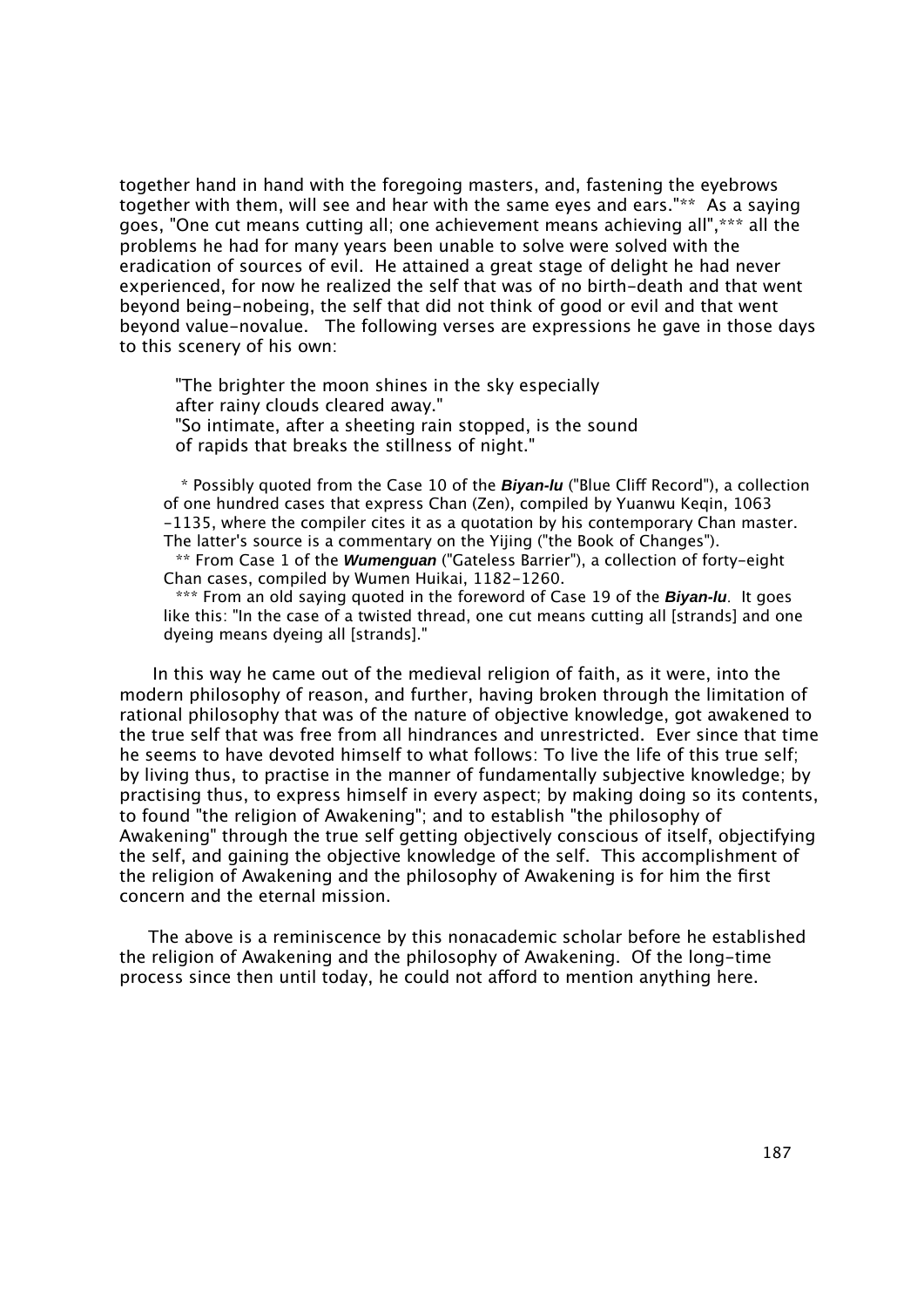together hand in hand with the foregoing masters, and, fastening the eyebrows together with them, will see and hear with the same eyes and ears."\*\* As a saying goes, "One cut means cutting all; one achievement means achieving all",\*\*\* all the problems he had for many years been unable to solve were solved with the eradication of sources of evil. He attained a great stage of delight he had never experienced, for now he realized the self that was of no birth-death and that went beyond being-nobeing, the self that did not think of good or evil and that went beyond value-novalue. The following verses are expressions he gave in those days to this scenery of his own:

"The brighter the moon shines in the sky especially after rainy clouds cleared away." "So intimate, after a sheeting rain stopped, is the sound of rapids that breaks the stillness of night."

\* Possibly quoted from the Case 10 of the **Biyan-lu** ("Blue Cliff Record"), a collection of one hundred cases that express Chan (Zen), compiled by Yuanwu Keqin, 1063 -1135, where the compiler cites it as a quotation by his contemporary Chan master. The latter's source is a commentary on the Yijing ("the Book of Changes").

 \*\* From Case 1 of the **Wumenguan** ("Gateless Barrier"), a collection of forty-eight Chan cases, compiled by Wumen Huikai, 1182-1260.

 \*\*\* From an old saying quoted in the foreword of Case 19 of the **Biyan-lu**. It goes like this: "In the case of a twisted thread, one cut means cutting all [strands] and one dyeing means dyeing all [strands]."

 In this way he came out of the medieval religion of faith, as it were, into the modern philosophy of reason, and further, having broken through the limitation of rational philosophy that was of the nature of objective knowledge, got awakened to the true self that was free from all hindrances and unrestricted. Ever since that time he seems to have devoted himself to what follows: To live the life of this true self; by living thus, to practise in the manner of fundamentally subjective knowledge; by practising thus, to express himself in every aspect; by making doing so its contents, to found "the religion of Awakening"; and to establish "the philosophy of Awakening" through the true self getting objectively conscious of itself, objectifying the self, and gaining the objective knowledge of the self. This accomplishment of the religion of Awakening and the philosophy of Awakening is for him the first concern and the eternal mission.

 The above is a reminiscence by this nonacademic scholar before he established the religion of Awakening and the philosophy of Awakening. Of the long-time process since then until today, he could not afford to mention anything here.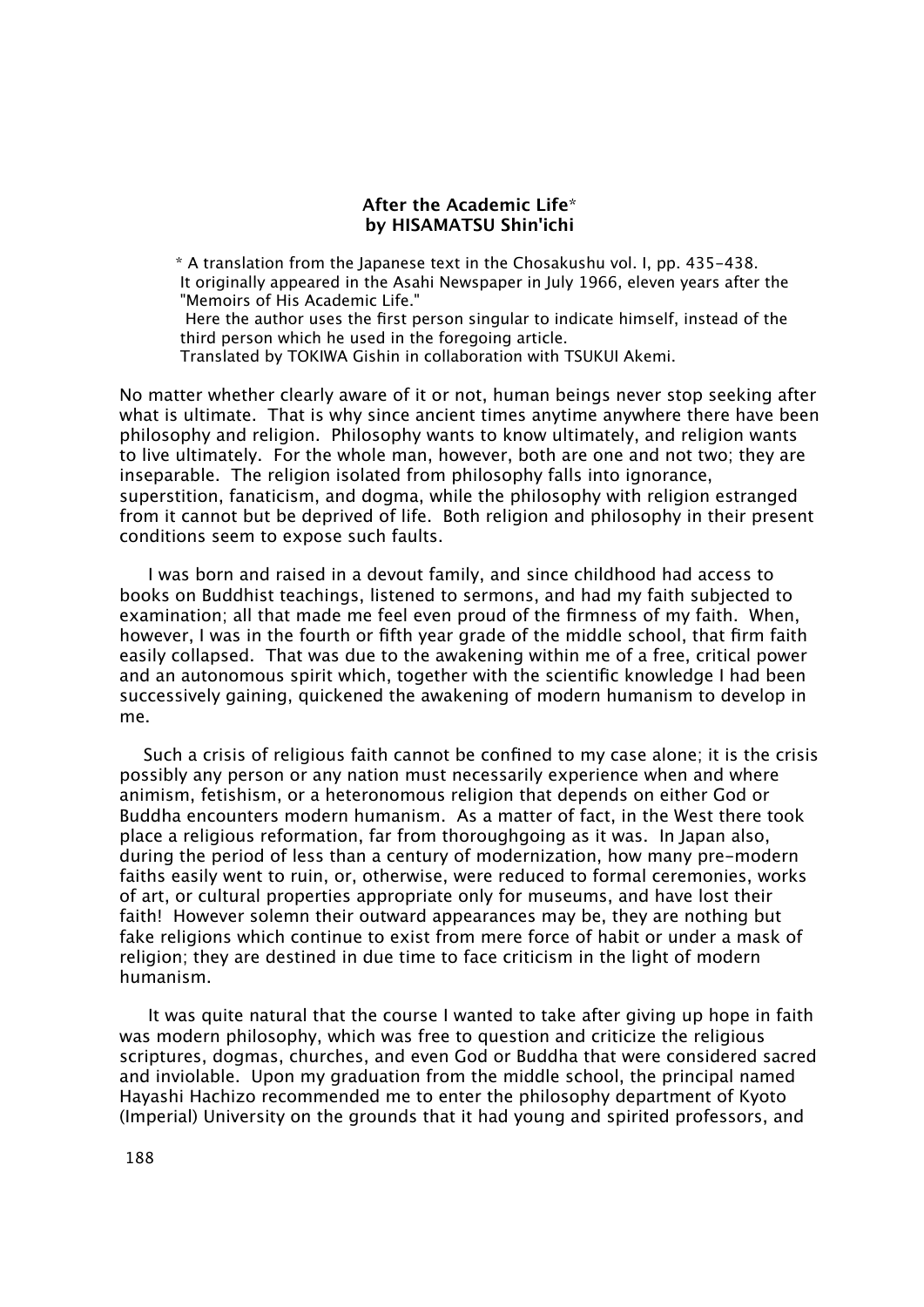### **After the Academic Life**\* **by HISAMATSU Shin'ichi**

\* A translation from the Japanese text in the Chosakushu vol. I, pp. 435-438. It originally appeared in the Asahi Newspaper in July 1966, eleven years after the "Memoirs of His Academic Life." Here the author uses the first person singular to indicate himself, instead of the third person which he used in the foregoing article.

Translated by TOKIWA Gishin in collaboration with TSUKUI Akemi.

No matter whether clearly aware of it or not, human beings never stop seeking after what is ultimate. That is why since ancient times anytime anywhere there have been philosophy and religion. Philosophy wants to know ultimately, and religion wants to live ultimately. For the whole man, however, both are one and not two; they are inseparable. The religion isolated from philosophy falls into ignorance, superstition, fanaticism, and dogma, while the philosophy with religion estranged from it cannot but be deprived of life. Both religion and philosophy in their present conditions seem to expose such faults.

 I was born and raised in a devout family, and since childhood had access to books on Buddhist teachings, listened to sermons, and had my faith subjected to examination; all that made me feel even proud of the firmness of my faith. When, however, I was in the fourth or fifth year grade of the middle school, that firm faith easily collapsed. That was due to the awakening within me of a free, critical power and an autonomous spirit which, together with the scientific knowledge I had been successively gaining, quickened the awakening of modern humanism to develop in me.

 Such a crisis of religious faith cannot be confined to my case alone; it is the crisis possibly any person or any nation must necessarily experience when and where animism, fetishism, or a heteronomous religion that depends on either God or Buddha encounters modern humanism. As a matter of fact, in the West there took place a religious reformation, far from thoroughgoing as it was. In Japan also, during the period of less than a century of modernization, how many pre-modern faiths easily went to ruin, or, otherwise, were reduced to formal ceremonies, works of art, or cultural properties appropriate only for museums, and have lost their faith! However solemn their outward appearances may be, they are nothing but fake religions which continue to exist from mere force of habit or under a mask of religion; they are destined in due time to face criticism in the light of modern humanism.

 It was quite natural that the course I wanted to take after giving up hope in faith was modern philosophy, which was free to question and criticize the religious scriptures, dogmas, churches, and even God or Buddha that were considered sacred and inviolable. Upon my graduation from the middle school, the principal named Hayashi Hachizo recommended me to enter the philosophy department of Kyoto (Imperial) University on the grounds that it had young and spirited professors, and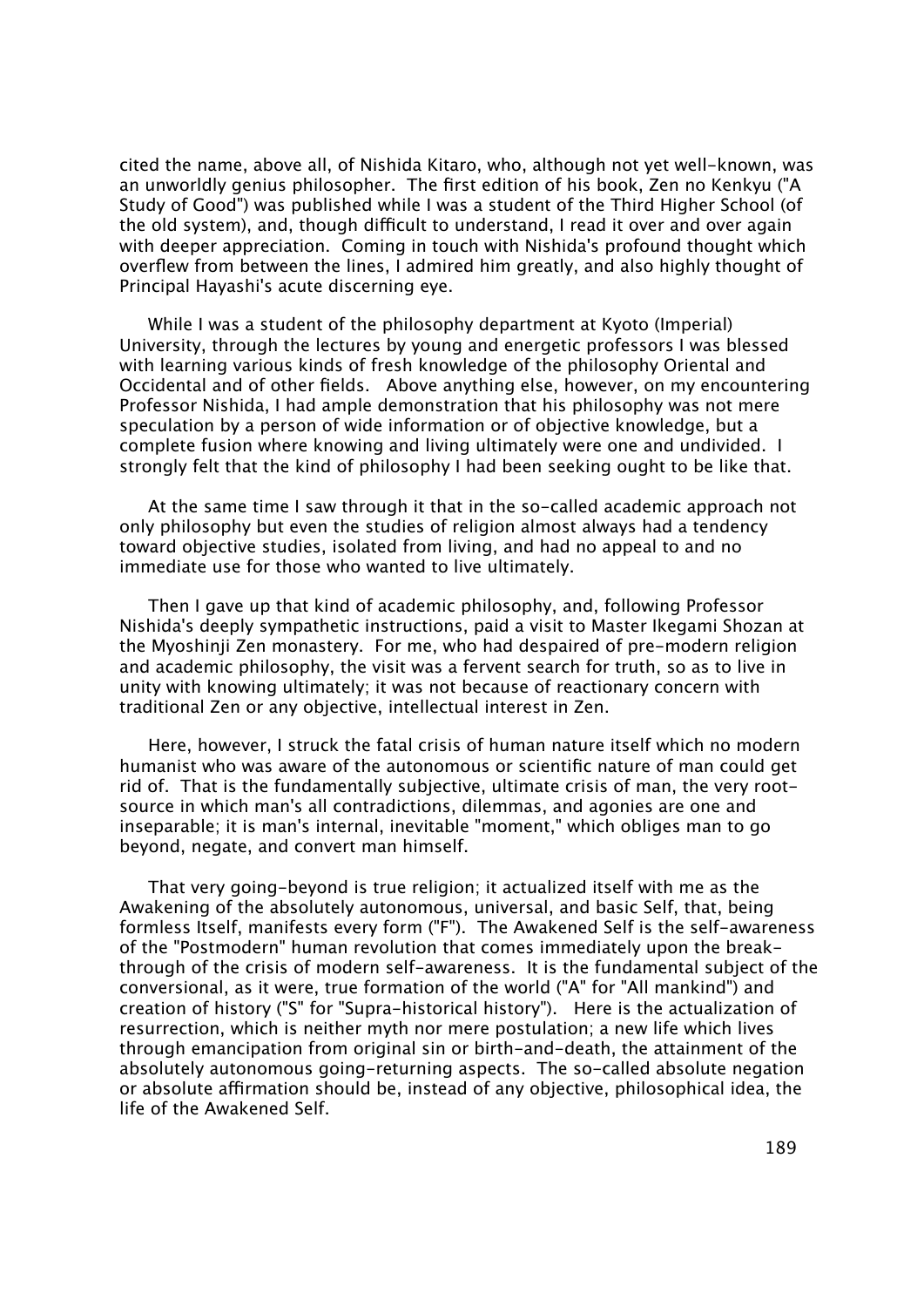cited the name, above all, of Nishida Kitaro, who, although not yet well-known, was an unworldly genius philosopher. The first edition of his book, Zen no Kenkyu ("A Study of Good") was published while I was a student of the Third Higher School (of the old system), and, though difficult to understand, I read it over and over again with deeper appreciation. Coming in touch with Nishida's profound thought which overflew from between the lines, I admired him greatly, and also highly thought of Principal Hayashi's acute discerning eye.

 While I was a student of the philosophy department at Kyoto (Imperial) University, through the lectures by young and energetic professors I was blessed with learning various kinds of fresh knowledge of the philosophy Oriental and Occidental and of other fields. Above anything else, however, on my encountering Professor Nishida, I had ample demonstration that his philosophy was not mere speculation by a person of wide information or of objective knowledge, but a complete fusion where knowing and living ultimately were one and undivided. I strongly felt that the kind of philosophy I had been seeking ought to be like that.

 At the same time I saw through it that in the so-called academic approach not only philosophy but even the studies of religion almost always had a tendency toward objective studies, isolated from living, and had no appeal to and no immediate use for those who wanted to live ultimately.

 Then I gave up that kind of academic philosophy, and, following Professor Nishida's deeply sympathetic instructions, paid a visit to Master Ikegami Shozan at the Myoshinji Zen monastery. For me, who had despaired of pre-modern religion and academic philosophy, the visit was a fervent search for truth, so as to live in unity with knowing ultimately; it was not because of reactionary concern with traditional Zen or any objective, intellectual interest in Zen.

 Here, however, I struck the fatal crisis of human nature itself which no modern humanist who was aware of the autonomous or scientific nature of man could get rid of. That is the fundamentally subjective, ultimate crisis of man, the very rootsource in which man's all contradictions, dilemmas, and agonies are one and inseparable; it is man's internal, inevitable "moment," which obliges man to go beyond, negate, and convert man himself.

 That very going-beyond is true religion; it actualized itself with me as the Awakening of the absolutely autonomous, universal, and basic Self, that, being formless Itself, manifests every form ("F"). The Awakened Self is the self-awareness of the "Postmodern" human revolution that comes immediately upon the breakthrough of the crisis of modern self-awareness. It is the fundamental subject of the conversional, as it were, true formation of the world ("A" for "All mankind") and creation of history ("S" for "Supra-historical history"). Here is the actualization of resurrection, which is neither myth nor mere postulation; a new life which lives through emancipation from original sin or birth-and-death, the attainment of the absolutely autonomous going-returning aspects. The so-called absolute negation or absolute affirmation should be, instead of any objective, philosophical idea, the life of the Awakened Self.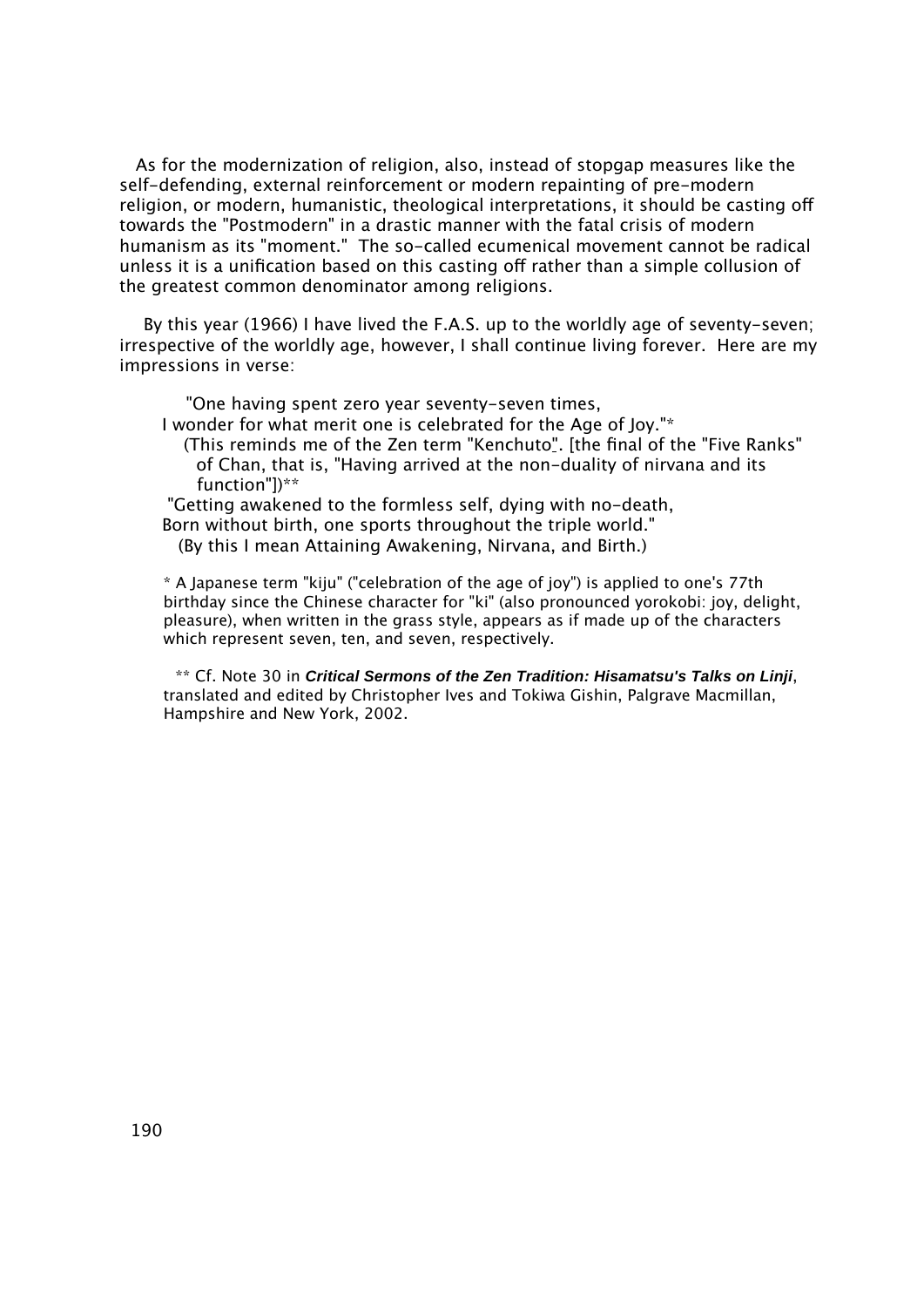As for the modernization of religion, also, instead of stopgap measures like the self-defending, external reinforcement or modern repainting of pre-modern religion, or modern, humanistic, theological interpretations, it should be casting off towards the "Postmodern" in a drastic manner with the fatal crisis of modern humanism as its "moment." The so-called ecumenical movement cannot be radical unless it is a unification based on this casting off rather than a simple collusion of the greatest common denominator among religions.

 By this year (1966) I have lived the F.A.S. up to the worldly age of seventy-seven; irrespective of the worldly age, however, I shall continue living forever. Here are my impressions in verse:

"One having spent zero year seventy-seven times, I wonder for what merit one is celebrated for the Age of Joy."\*

(This reminds me of the Zen term "Kenchuto". [the final of the "Five Ranks" of Chan, that is, "Having arrived at the non-duality of nirvana and its function"])\*\*

"Getting awakened to the formless self, dying with no-death,

Born without birth, one sports throughout the triple world."

(By this I mean Attaining Awakening, Nirvana, and Birth.)

\* A Japanese term "kiju" ("celebration of the age of joy") is applied to one's 77th birthday since the Chinese character for "ki" (also pronounced yorokobi: joy, delight, pleasure), when written in the grass style, appears as if made up of the characters which represent seven, ten, and seven, respectively.

\*\* Cf. Note 30 in **Critical Sermons of the Zen Tradition: Hisamatsu's Talks on Linji**, translated and edited by Christopher Ives and Tokiwa Gishin, Palgrave Macmillan, Hampshire and New York, 2002.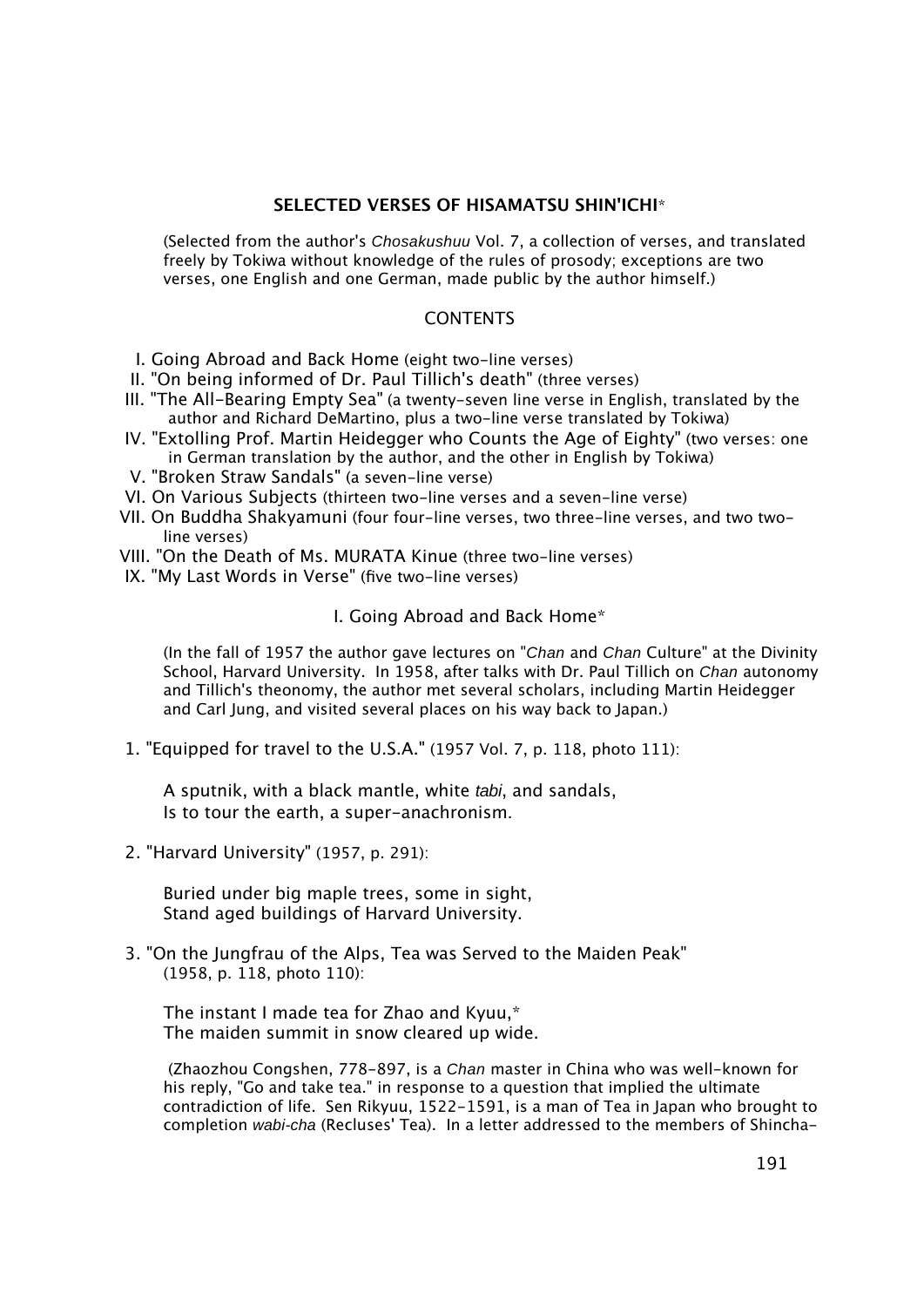# **SELECTED VERSES OF HISAMATSU SHIN'ICHI**\*

(Selected from the author's Chosakushuu Vol. 7, a collection of verses, and translated freely by Tokiwa without knowledge of the rules of prosody; exceptions are two verses, one English and one German, made public by the author himself.)

# **CONTENTS**

- I. Going Abroad and Back Home (eight two-line verses)
- II. "On being informed of Dr. Paul Tillich's death" (three verses)
- III. "The All-Bearing Empty Sea" (a twenty-seven line verse in English, translated by the author and Richard DeMartino, plus a two-line verse translated by Tokiwa)
- IV. "Extolling Prof. Martin Heidegger who Counts the Age of Eighty" (two verses: one in German translation by the author, and the other in English by Tokiwa)
- V. "Broken Straw Sandals" (a seven-line verse)
- VI. On Various Subjects (thirteen two-line verses and a seven-line verse)
- VII. On Buddha Shakyamuni (four four-line verses, two three-line verses, and two twoline verses)
- VIII. "On the Death of Ms. MURATA Kinue (three two-line verses)
- IX. "My Last Words in Verse" (five two-line verses)

### I. Going Abroad and Back Home\*

(In the fall of 1957 the author gave lectures on "Chan and Chan Culture" at the Divinity School, Harvard University. In 1958, after talks with Dr. Paul Tillich on Chan autonomy and Tillich's theonomy, the author met several scholars, including Martin Heidegger and Carl Jung, and visited several places on his way back to Japan.)

1. "Equipped for travel to the U.S.A." (1957 Vol. 7, p. 118, photo 111):

A sputnik, with a black mantle, white tabi, and sandals, Is to tour the earth, a super-anachronism.

2. "Harvard University" (1957, p. 291):

Buried under big maple trees, some in sight, Stand aged buildings of Harvard University.

 3. "On the Jungfrau of the Alps, Tea was Served to the Maiden Peak" (1958, p. 118, photo 110):

The instant I made tea for Zhao and Kyuu,\* The maiden summit in snow cleared up wide.

 (Zhaozhou Congshen, 778-897, is a Chan master in China who was well-known for his reply, "Go and take tea." in response to a question that implied the ultimate contradiction of life. Sen Rikyuu, 1522-1591, is a man of Tea in Japan who brought to completion wabi-cha (Recluses' Tea). In a letter addressed to the members of Shincha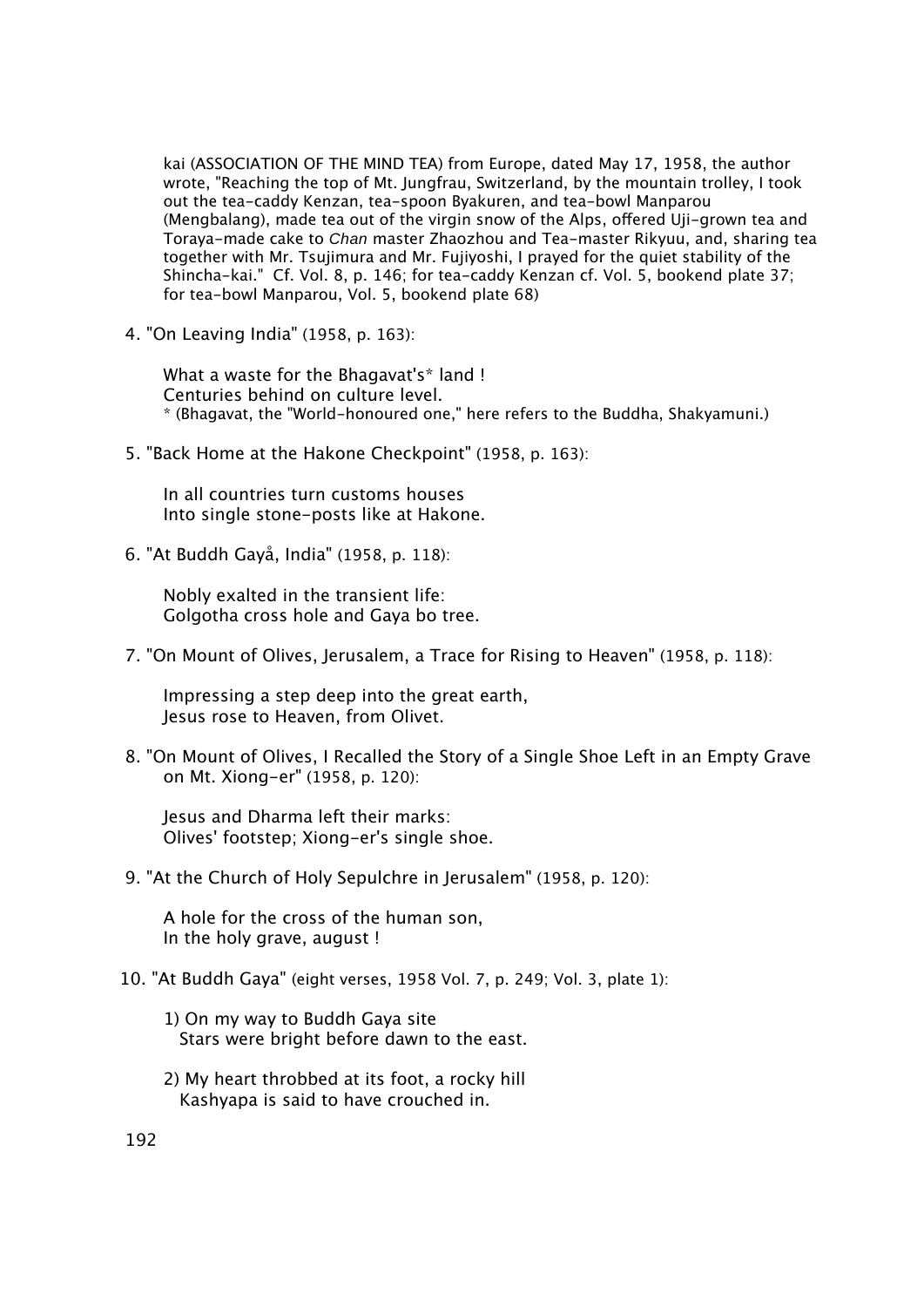kai (ASSOCIATION OF THE MIND TEA) from Europe, dated May 17, 1958, the author wrote, "Reaching the top of Mt. Jungfrau, Switzerland, by the mountain trolley, I took out the tea-caddy Kenzan, tea-spoon Byakuren, and tea-bowl Manparou (Mengbalang), made tea out of the virgin snow of the Alps, offered Uji-grown tea and Toraya-made cake to Chan master Zhaozhou and Tea-master Rikyuu, and, sharing tea together with Mr. Tsujimura and Mr. Fujiyoshi, I prayed for the quiet stability of the Shincha-kai." Cf. Vol. 8, p. 146; for tea-caddy Kenzan cf. Vol. 5, bookend plate 37; for tea-bowl Manparou, Vol. 5, bookend plate 68)

4. "On Leaving India" (1958, p. 163):

What a waste for the Bhagavat's\* land ! Centuries behind on culture level. \* (Bhagavat, the "World-honoured one," here refers to the Buddha, Shakyamuni.)

5. "Back Home at the Hakone Checkpoint" (1958, p. 163):

In all countries turn customs houses Into single stone-posts like at Hakone.

6. "At Buddh Gayå, India" (1958, p. 118):

Nobly exalted in the transient life: Golgotha cross hole and Gaya bo tree.

7. "On Mount of Olives, Jerusalem, a Trace for Rising to Heaven" (1958, p. 118):

Impressing a step deep into the great earth, Jesus rose to Heaven, from Olivet.

 8. "On Mount of Olives, I Recalled the Story of a Single Shoe Left in an Empty Grave on Mt. Xiong-er" (1958, p. 120):

Jesus and Dharma left their marks: Olives' footstep; Xiong-er's single shoe.

9. "At the Church of Holy Sepulchre in Jerusalem" (1958, p. 120):

A hole for the cross of the human son, In the holy grave, august !

- 10. "At Buddh Gaya" (eight verses, 1958 Vol. 7, p. 249; Vol. 3, plate 1):
	- 1) On my way to Buddh Gaya site Stars were bright before dawn to the east.
	- 2) My heart throbbed at its foot, a rocky hill Kashyapa is said to have crouched in.

192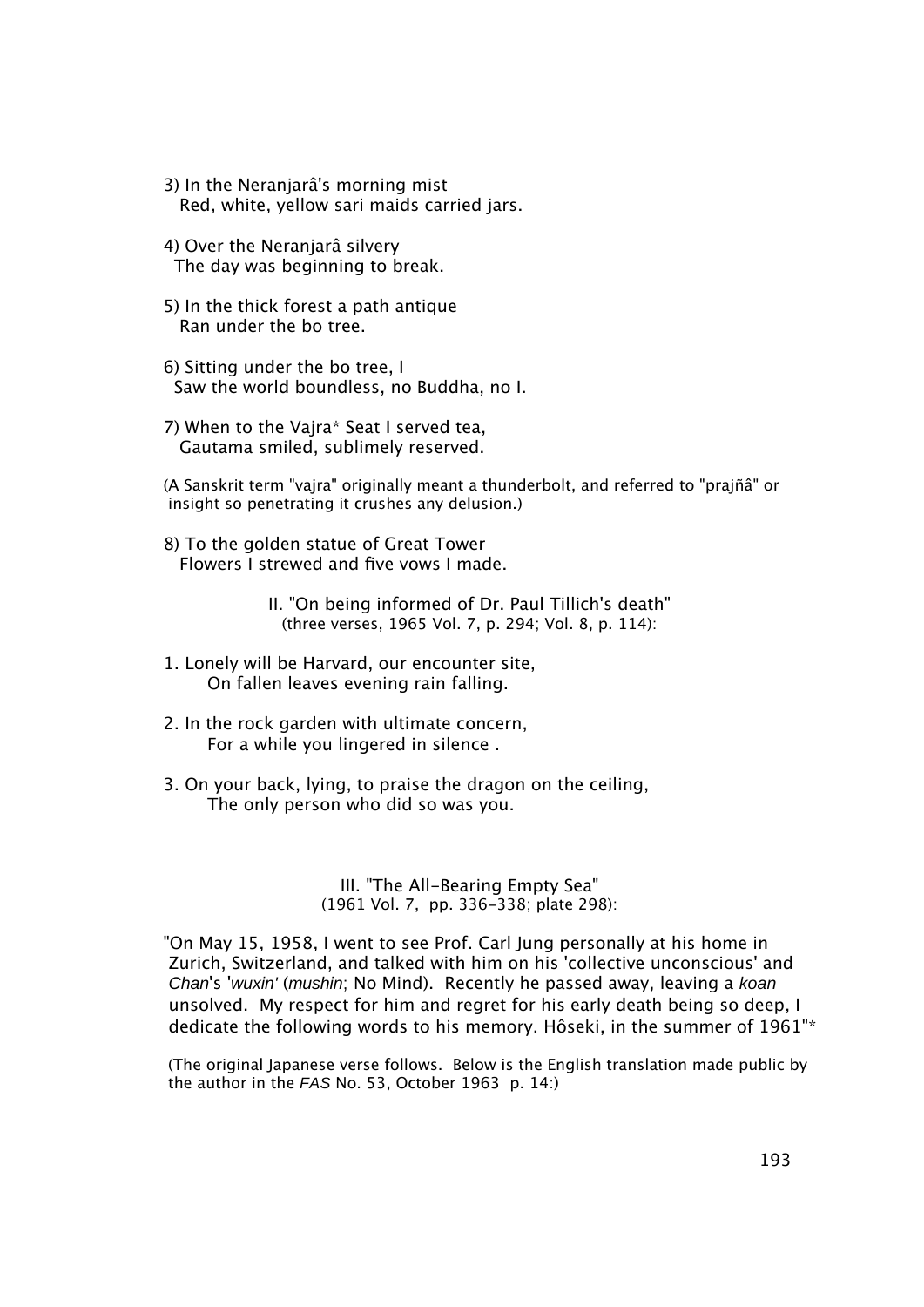3) In the Neranjarâ's morning mist Red, white, yellow sari maids carried jars.

4) Over the Neranjarâ silvery The day was beginning to break.

5) In the thick forest a path antique Ran under the bo tree.

6) Sitting under the bo tree, I Saw the world boundless, no Buddha, no I.

7) When to the Vajra\* Seat I served tea, Gautama smiled, sublimely reserved.

(A Sanskrit term "vajra" originally meant a thunderbolt, and referred to "prajñâ" or insight so penetrating it crushes any delusion.)

8) To the golden statue of Great Tower Flowers I strewed and five vows I made.

> II. "On being informed of Dr. Paul Tillich's death" (three verses, 1965 Vol. 7, p. 294; Vol. 8, p. 114):

- 1. Lonely will be Harvard, our encounter site, On fallen leaves evening rain falling.
- 2. In the rock garden with ultimate concern, For a while you lingered in silence .
- 3. On your back, lying, to praise the dragon on the ceiling, The only person who did so was you.

III. "The All-Bearing Empty Sea" (1961 Vol. 7, pp. 336-338; plate 298):

"On May 15, 1958, I went to see Prof. Carl Jung personally at his home in Zurich, Switzerland, and talked with him on his 'collective unconscious' and Chan's 'wuxin' (mushin; No Mind). Recently he passed away, leaving a koan unsolved. My respect for him and regret for his early death being so deep, I dedicate the following words to his memory. Hôseki, in the summer of 1961"\*

 (The original Japanese verse follows. Below is the English translation made public by the author in the FAS No. 53, October 1963 p. 14:)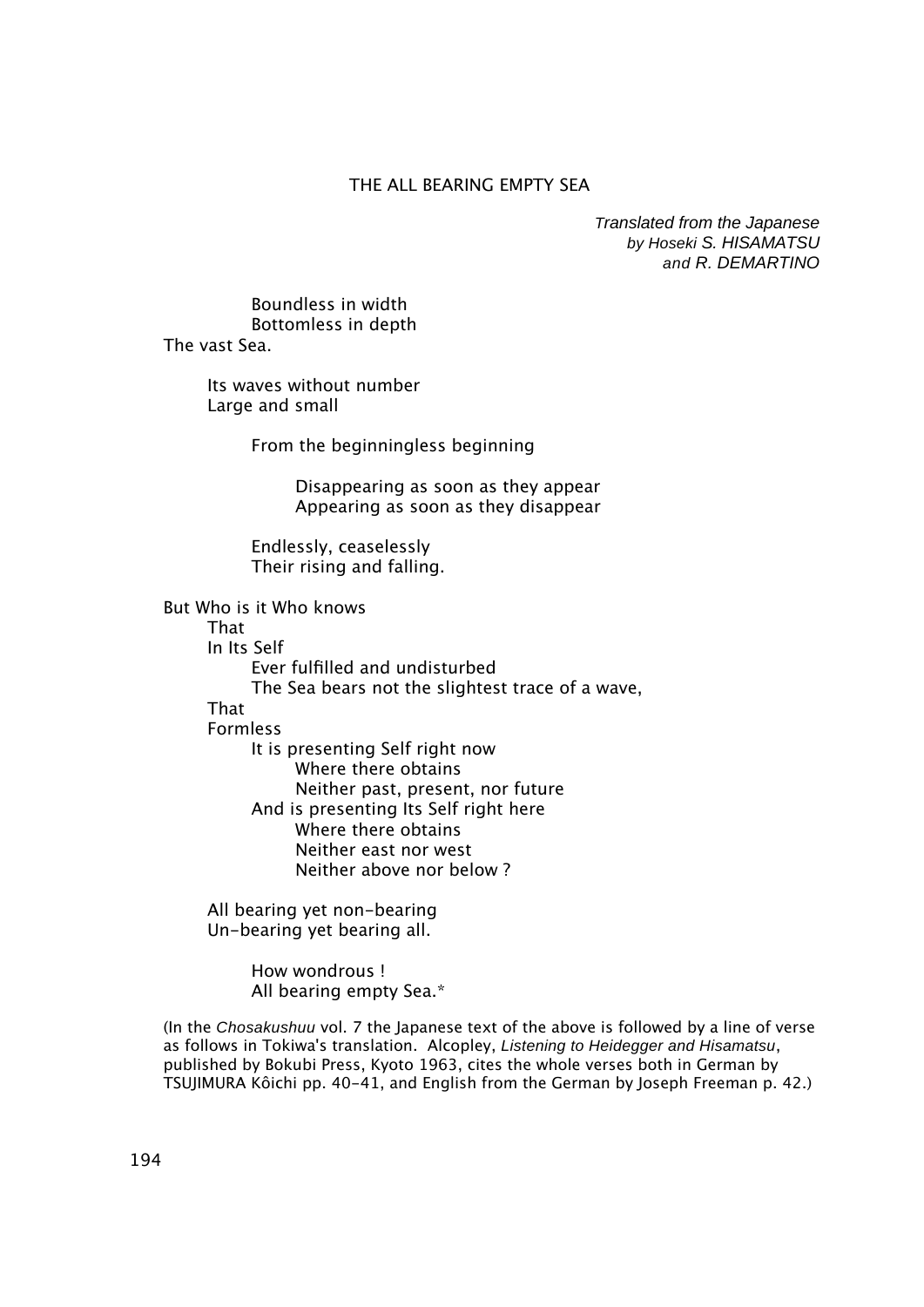### THE ALL BEARING EMPTY SEA

Translated from the Japanese by Hoseki S. HISAMATSU and R. DEMARTINO

Boundless in width Bottomless in depth The vast Sea.

> Its waves without number Large and small

> > From the beginningless beginning

Disappearing as soon as they appear Appearing as soon as they disappear

Endlessly, ceaselessly Their rising and falling.

But Who is it Who knows

That

In Its Self

Ever fulfilled and undisturbed The Sea bears not the slightest trace of a wave,

That

Formless

It is presenting Self right now Where there obtains Neither past, present, nor future And is presenting Its Self right here Where there obtains Neither east nor west Neither above nor below ?

All bearing yet non-bearing Un-bearing yet bearing all.

> How wondrous ! All bearing empty Sea.\*

(In the Chosakushuu vol. 7 the Japanese text of the above is followed by a line of verse as follows in Tokiwa's translation. Alcopley, Listening to Heidegger and Hisamatsu, published by Bokubi Press, Kyoto 1963, cites the whole verses both in German by TSUJIMURA Kôichi pp. 40-41, and English from the German by Joseph Freeman p. 42.)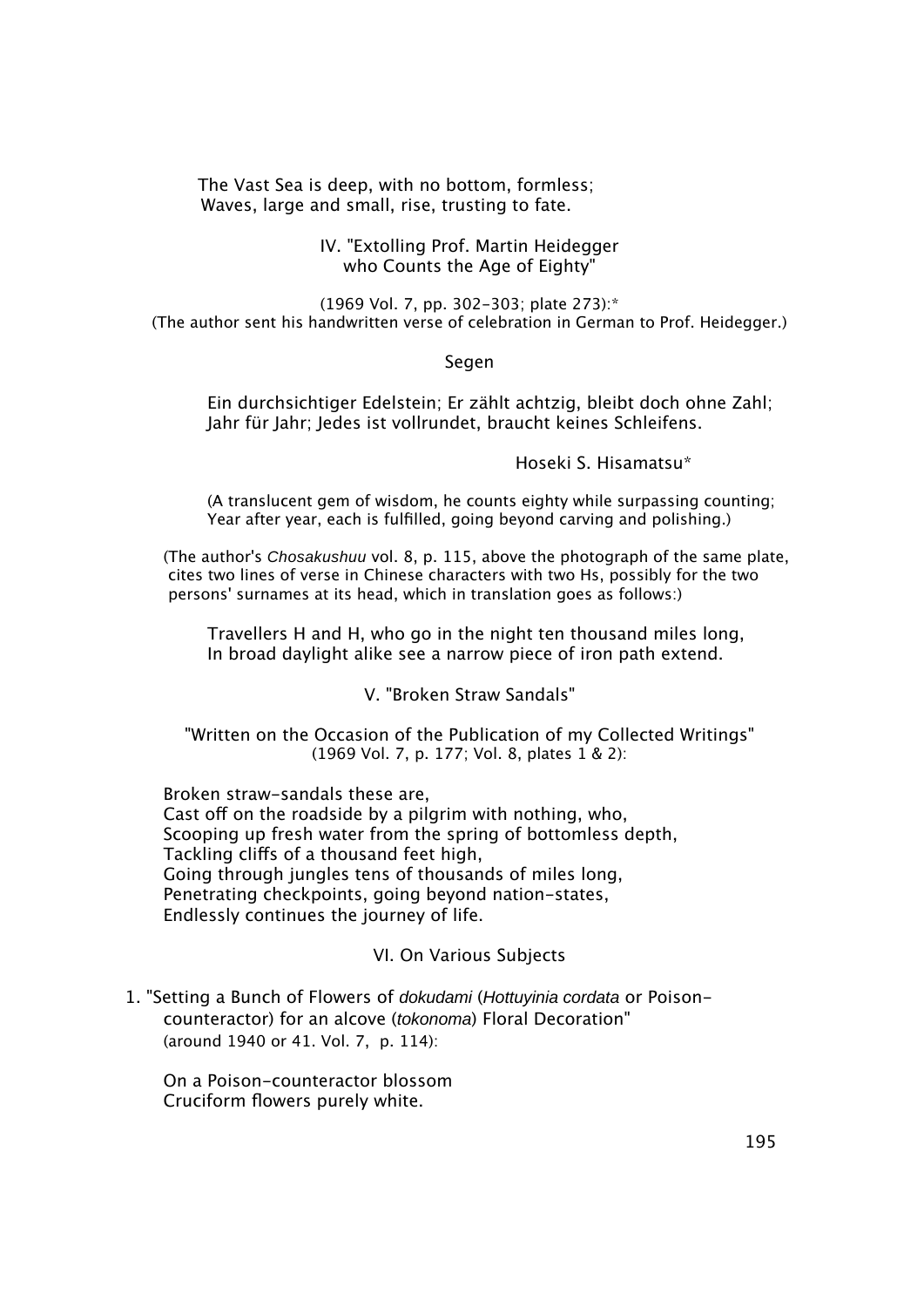The Vast Sea is deep, with no bottom, formless; Waves, large and small, rise, trusting to fate.

### IV. "Extolling Prof. Martin Heidegger who Counts the Age of Eighty"

(1969 Vol. 7, pp. 302-303; plate 273):\* (The author sent his handwritten verse of celebration in German to Prof. Heidegger.)

### Segen

Ein durchsichtiger Edelstein; Er zählt achtzig, bleibt doch ohne Zahl; Jahr für Jahr; Jedes ist vollrundet, braucht keines Schleifens.

Hoseki S. Hisamatsu\*

(A translucent gem of wisdom, he counts eighty while surpassing counting; Year after year, each is fulfilled, going beyond carving and polishing.)

(The author's Chosakushuu vol. 8, p. 115, above the photograph of the same plate, cites two lines of verse in Chinese characters with two Hs, possibly for the two persons' surnames at its head, which in translation goes as follows:)

Travellers H and H, who go in the night ten thousand miles long, In broad daylight alike see a narrow piece of iron path extend.

V. "Broken Straw Sandals"

"Written on the Occasion of the Publication of my Collected Writings" (1969 Vol. 7, p. 177; Vol. 8, plates 1 & 2):

Broken straw-sandals these are, Cast off on the roadside by a pilgrim with nothing, who, Scooping up fresh water from the spring of bottomless depth, Tackling cliffs of a thousand feet high, Going through jungles tens of thousands of miles long, Penetrating checkpoints, going beyond nation-states, Endlessly continues the journey of life.

### VI. On Various Subjects

 1. "Setting a Bunch of Flowers of dokudami (Hottuyinia cordata or Poisoncounteractor) for an alcove (tokonoma) Floral Decoration" (around 1940 or 41. Vol. 7, p. 114):

On a Poison-counteractor blossom Cruciform flowers purely white.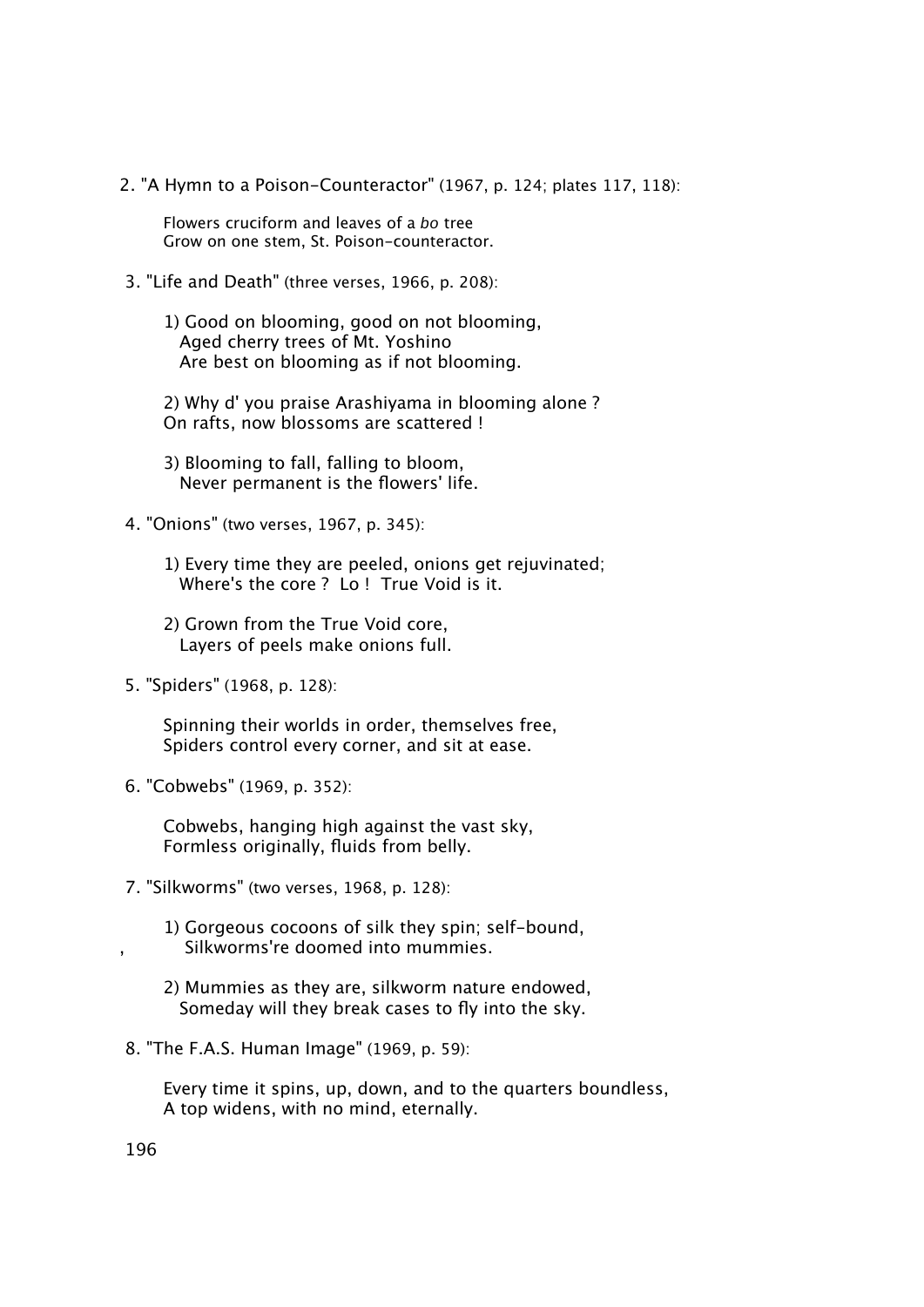2. "A Hymn to a Poison-Counteractor" (1967, p. 124; plates 117, 118):

Flowers cruciform and leaves of a bo tree Grow on one stem, St. Poison-counteractor.

3. "Life and Death" (three verses, 1966, p. 208):

1) Good on blooming, good on not blooming, Aged cherry trees of Mt. Yoshino Are best on blooming as if not blooming.

2) Why d' you praise Arashiyama in blooming alone ? On rafts, now blossoms are scattered !

- 3) Blooming to fall, falling to bloom, Never permanent is the flowers' life.
- 4. "Onions" (two verses, 1967, p. 345):
	- 1) Every time they are peeled, onions get rejuvinated; Where's the core ? Lo ! True Void is it.

2) Grown from the True Void core, Layers of peels make onions full.

5. "Spiders" (1968, p. 128):

Spinning their worlds in order, themselves free, Spiders control every corner, and sit at ease.

6. "Cobwebs" (1969, p. 352):

Cobwebs, hanging high against the vast sky, Formless originally, fluids from belly.

7. "Silkworms" (two verses, 1968, p. 128):

1) Gorgeous cocoons of silk they spin; self-bound, , Silkworms're doomed into mummies.

2) Mummies as they are, silkworm nature endowed, Someday will they break cases to fly into the sky.

8. "The F.A.S. Human Image" (1969, p. 59):

Every time it spins, up, down, and to the quarters boundless, A top widens, with no mind, eternally.

196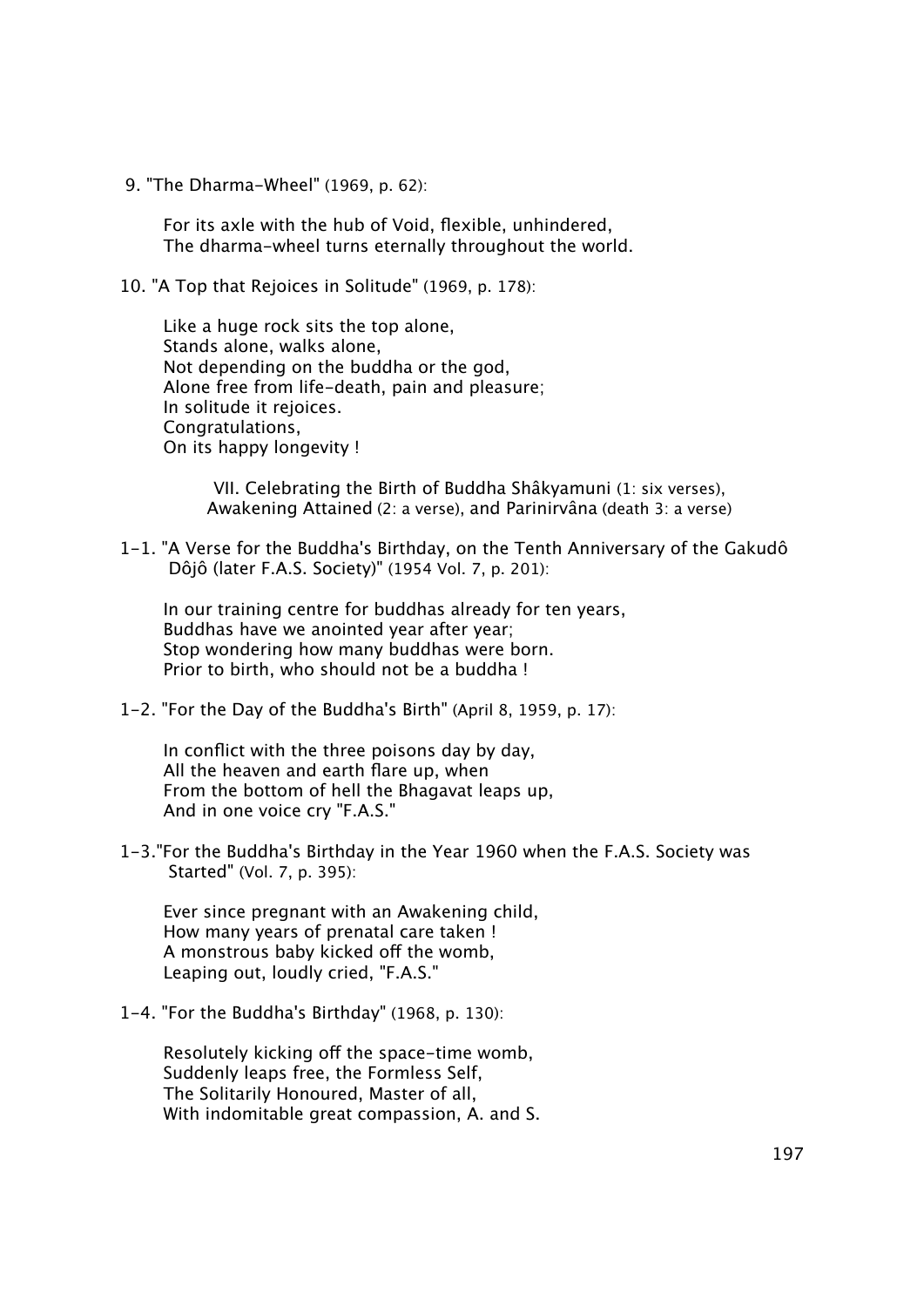9. "The Dharma-Wheel" (1969, p. 62):

For its axle with the hub of Void, flexible, unhindered, The dharma-wheel turns eternally throughout the world.

10. "A Top that Rejoices in Solitude" (1969, p. 178):

Like a huge rock sits the top alone, Stands alone, walks alone, Not depending on the buddha or the god, Alone free from life-death, pain and pleasure; In solitude it rejoices. Congratulations, On its happy longevity !

> VII. Celebrating the Birth of Buddha Shâkyamuni (1: six verses), Awakening Attained (2: a verse), and Parinirvâna (death 3: a verse)

1-1. "A Verse for the Buddha's Birthday, on the Tenth Anniversary of the Gakudô Dôjô (later F.A.S. Society)" (1954 Vol. 7, p. 201):

In our training centre for buddhas already for ten years, Buddhas have we anointed year after year; Stop wondering how many buddhas were born. Prior to birth, who should not be a buddha !

1-2. "For the Day of the Buddha's Birth" (April 8, 1959, p. 17):

In conflict with the three poisons day by day, All the heaven and earth flare up, when From the bottom of hell the Bhagavat leaps up, And in one voice cry "F.A.S."

1-3."For the Buddha's Birthday in the Year 1960 when the F.A.S. Society was Started" (Vol. 7, p. 395):

Ever since pregnant with an Awakening child, How many years of prenatal care taken ! A monstrous baby kicked off the womb, Leaping out, loudly cried, "F.A.S."

1-4. "For the Buddha's Birthday" (1968, p. 130):

Resolutely kicking off the space-time womb, Suddenly leaps free, the Formless Self, The Solitarily Honoured, Master of all, With indomitable great compassion, A. and S.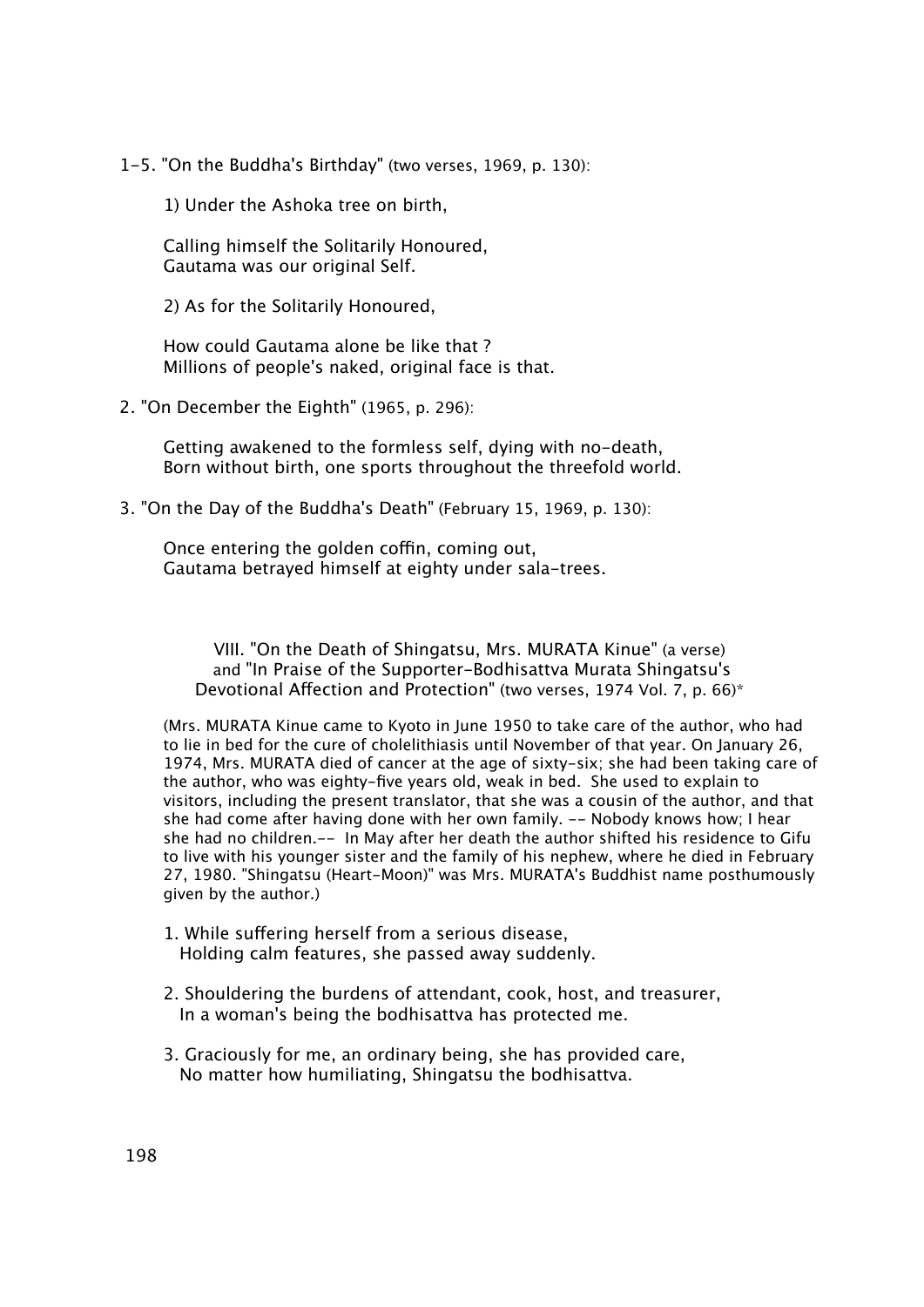1-5. "On the Buddha's Birthday" (two verses, 1969, p. 130):

1) Under the Ashoka tree on birth,

Calling himself the Solitarily Honoured, Gautama was our original Self.

2) As for the Solitarily Honoured,

How could Gautama alone be like that ? Millions of people's naked, original face is that.

2. "On December the Eighth" (1965, p. 296):

Getting awakened to the formless self, dying with no-death, Born without birth, one sports throughout the threefold world.

# 3. "On the Day of the Buddha's Death" (February 15, 1969, p. 130):

Once entering the golden coffin, coming out, Gautama betrayed himself at eighty under sala-trees.

VIII. "On the Death of Shingatsu, Mrs. MURATA Kinue" (a verse) and "In Praise of the Supporter-Bodhisattva Murata Shingatsu's Devotional Affection and Protection" (two verses, 1974 Vol. 7, p. 66)\*

(Mrs. MURATA Kinue came to Kyoto in June 1950 to take care of the author, who had to lie in bed for the cure of cholelithiasis until November of that year. On January 26, 1974, Mrs. MURATA died of cancer at the age of sixty-six; she had been taking care of the author, who was eighty-five years old, weak in bed. She used to explain to visitors, including the present translator, that she was a cousin of the author, and that she had come after having done with her own family. -- Nobody knows how; I hear she had no children.-- In May after her death the author shifted his residence to Gifu to live with his younger sister and the family of his nephew, where he died in February 27, 1980. "Shingatsu (Heart-Moon)" was Mrs. MURATA's Buddhist name posthumously given by the author.)

- 1. While suffering herself from a serious disease, Holding calm features, she passed away suddenly.
- 2. Shouldering the burdens of attendant, cook, host, and treasurer, In a woman's being the bodhisattva has protected me.
- 3. Graciously for me, an ordinary being, she has provided care, No matter how humiliating, Shingatsu the bodhisattva.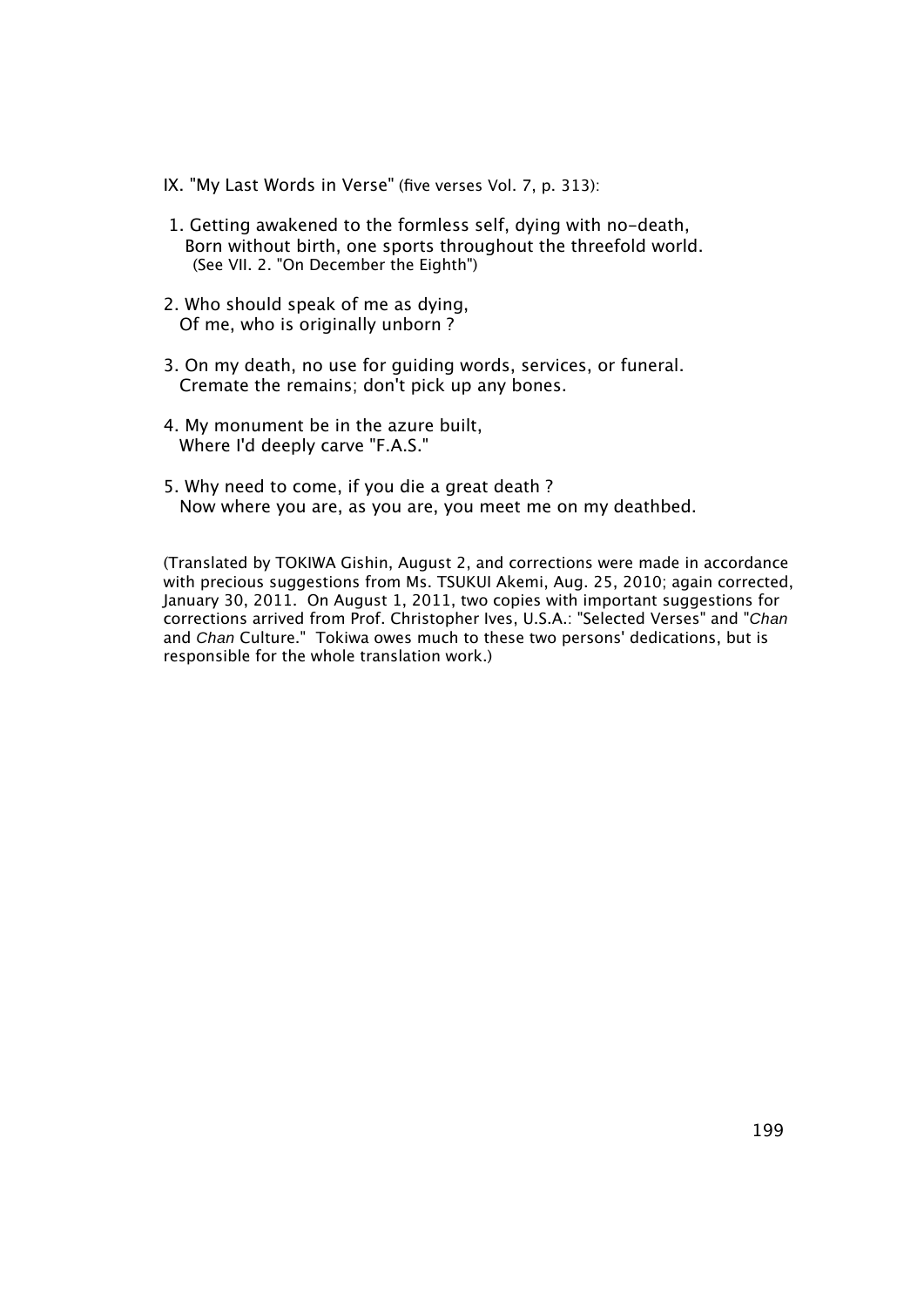- IX. "My Last Words in Verse" (five verses Vol. 7, p. 313):
- 1. Getting awakened to the formless self, dying with no-death, Born without birth, one sports throughout the threefold world. (See VII. 2. "On December the Eighth")
- 2. Who should speak of me as dying, Of me, who is originally unborn ?
- 3. On my death, no use for guiding words, services, or funeral. Cremate the remains; don't pick up any bones.
- 4. My monument be in the azure built, Where I'd deeply carve "F.A.S."
- 5. Why need to come, if you die a great death ? Now where you are, as you are, you meet me on my deathbed.

(Translated by TOKIWA Gishin, August 2, and corrections were made in accordance with precious suggestions from Ms. TSUKUI Akemi, Aug. 25, 2010; again corrected, January 30, 2011. On August 1, 2011, two copies with important suggestions for corrections arrived from Prof. Christopher Ives, U.S.A.: "Selected Verses" and "Chan and Chan Culture." Tokiwa owes much to these two persons' dedications, but is responsible for the whole translation work.)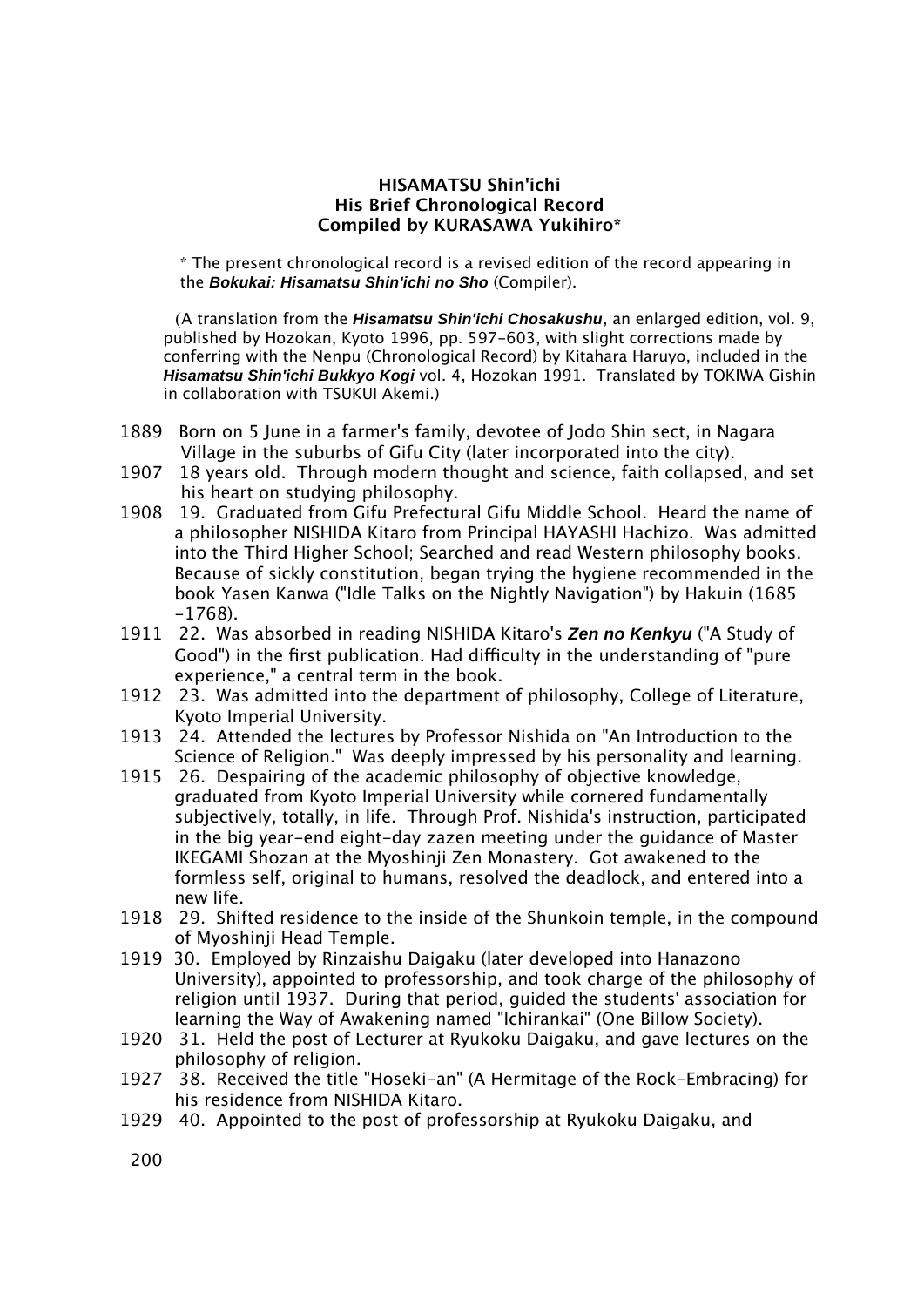### **HISAMATSU Shin'ichi His Brief Chronological Record Compiled by KURASAWA Yukihiro\***

\* The present chronological record is a revised edition of the record appearing in the **Bokukai: Hisamatsu Shin'ichi no Sho** (Compiler).

(A translation from the **Hisamatsu Shin'ichi Chosakushu**, an enlarged edition, vol. 9, published by Hozokan, Kyoto 1996, pp. 597-603, with slight corrections made by conferring with the Nenpu (Chronological Record) by Kitahara Haruyo, included in the **Hisamatsu Shin'ichi Bukkyo Kogi** vol. 4, Hozokan 1991. Translated by TOKIWA Gishin in collaboration with TSUKUI Akemi.)

- 1889 Born on 5 June in a farmer's family, devotee of Jodo Shin sect, in Nagara Village in the suburbs of Gifu City (later incorporated into the city).
- 1907 18 years old. Through modern thought and science, faith collapsed, and set his heart on studying philosophy.
- 1908 19. Graduated from Gifu Prefectural Gifu Middle School. Heard the name of a philosopher NISHIDA Kitaro from Principal HAYASHI Hachizo. Was admitted into the Third Higher School; Searched and read Western philosophy books. Because of sickly constitution, began trying the hygiene recommended in the book Yasen Kanwa ("Idle Talks on the Nightly Navigation") by Hakuin (1685 -1768).
- 1911 22. Was absorbed in reading NISHIDA Kitaro's **Zen no Kenkyu** ("A Study of Good") in the first publication. Had difficulty in the understanding of "pure experience," a central term in the book.
- 1912 23. Was admitted into the department of philosophy, College of Literature, Kyoto Imperial University.
- 1913 24. Attended the lectures by Professor Nishida on "An Introduction to the Science of Religion." Was deeply impressed by his personality and learning.
- 1915 26. Despairing of the academic philosophy of objective knowledge, graduated from Kyoto Imperial University while cornered fundamentally subjectively, totally, in life. Through Prof. Nishida's instruction, participated in the big year-end eight-day zazen meeting under the guidance of Master IKEGAMI Shozan at the Myoshinji Zen Monastery. Got awakened to the formless self, original to humans, resolved the deadlock, and entered into a new life.
- 1918 29. Shifted residence to the inside of the Shunkoin temple, in the compound of Myoshinji Head Temple.
- 1919 30. Employed by Rinzaishu Daigaku (later developed into Hanazono University), appointed to professorship, and took charge of the philosophy of religion until 1937. During that period, guided the students' association for learning the Way of Awakening named "Ichirankai" (One Billow Society).
- 1920 31. Held the post of Lecturer at Ryukoku Daigaku, and gave lectures on the philosophy of religion.
- 1927 38. Received the title "Hoseki-an" (A Hermitage of the Rock-Embracing) for his residence from NISHIDA Kitaro.
- 1929 40. Appointed to the post of professorship at Ryukoku Daigaku, and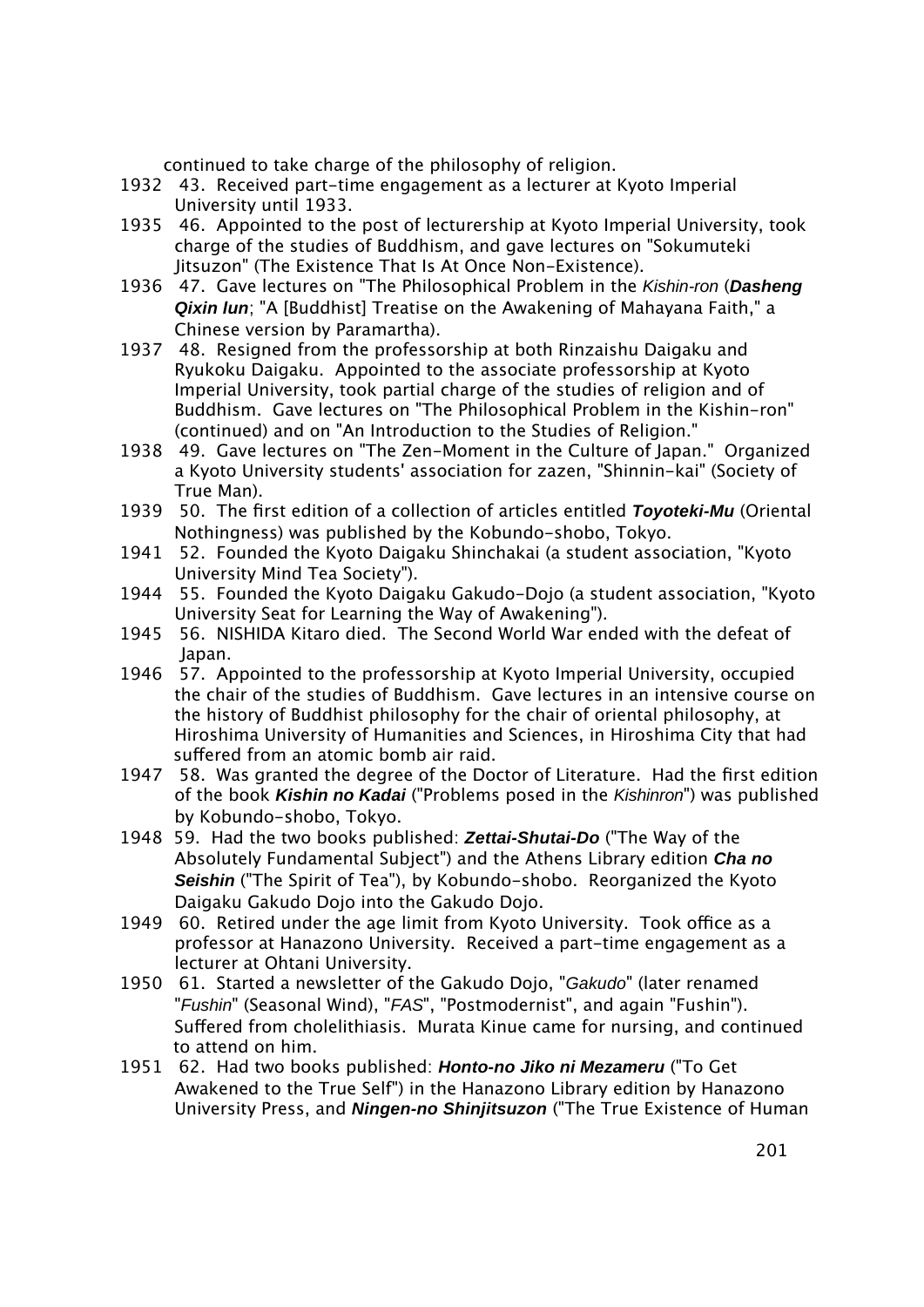continued to take charge of the philosophy of religion.

- 1932 43. Received part-time engagement as a lecturer at Kyoto Imperial University until 1933.
- 1935 46. Appointed to the post of lecturership at Kyoto Imperial University, took charge of the studies of Buddhism, and gave lectures on "Sokumuteki Jitsuzon" (The Existence That Is At Once Non-Existence).
- 1936 47. Gave lectures on "The Philosophical Problem in the Kishin-ron (**Dasheng Qixin lun**; "A [Buddhist] Treatise on the Awakening of Mahayana Faith," a Chinese version by Paramartha).
- 1937 48. Resigned from the professorship at both Rinzaishu Daigaku and Ryukoku Daigaku. Appointed to the associate professorship at Kyoto Imperial University, took partial charge of the studies of religion and of Buddhism. Gave lectures on "The Philosophical Problem in the Kishin-ron" (continued) and on "An Introduction to the Studies of Religion."
- 1938 49. Gave lectures on "The Zen-Moment in the Culture of Japan." Organized a Kyoto University students' association for zazen, "Shinnin-kai" (Society of True Man).
- 1939 50. The first edition of a collection of articles entitled **Toyoteki-Mu** (Oriental Nothingness) was published by the Kobundo-shobo, Tokyo.
- 1941 52. Founded the Kyoto Daigaku Shinchakai (a student association, "Kyoto University Mind Tea Society").
- 1944 55. Founded the Kyoto Daigaku Gakudo-Dojo (a student association, "Kyoto University Seat for Learning the Way of Awakening").
- 1945 56. NISHIDA Kitaro died. The Second World War ended with the defeat of Japan.
- 1946 57. Appointed to the professorship at Kyoto Imperial University, occupied the chair of the studies of Buddhism. Gave lectures in an intensive course on the history of Buddhist philosophy for the chair of oriental philosophy, at Hiroshima University of Humanities and Sciences, in Hiroshima City that had suffered from an atomic bomb air raid.
- 1947 58. Was granted the degree of the Doctor of Literature. Had the first edition of the book **Kishin no Kadai** ("Problems posed in the Kishinron") was published by Kobundo-shobo, Tokyo.
- 1948 59. Had the two books published: **Zettai-Shutai-Do** ("The Way of the Absolutely Fundamental Subject") and the Athens Library edition **Cha no Seishin** ("The Spirit of Tea"), by Kobundo-shobo. Reorganized the Kyoto Daigaku Gakudo Dojo into the Gakudo Dojo.
- 1949 60. Retired under the age limit from Kyoto University. Took office as a professor at Hanazono University. Received a part-time engagement as a lecturer at Ohtani University.
- 1950 61. Started a newsletter of the Gakudo Dojo, "Gakudo" (later renamed "Fushin" (Seasonal Wind), "FAS", "Postmodernist", and again "Fushin"). Suffered from cholelithiasis. Murata Kinue came for nursing, and continued to attend on him.
- 1951 62. Had two books published: **Honto-no Jiko ni Mezameru** ("To Get Awakened to the True Self") in the Hanazono Library edition by Hanazono University Press, and **Ningen-no Shinjitsuzon** ("The True Existence of Human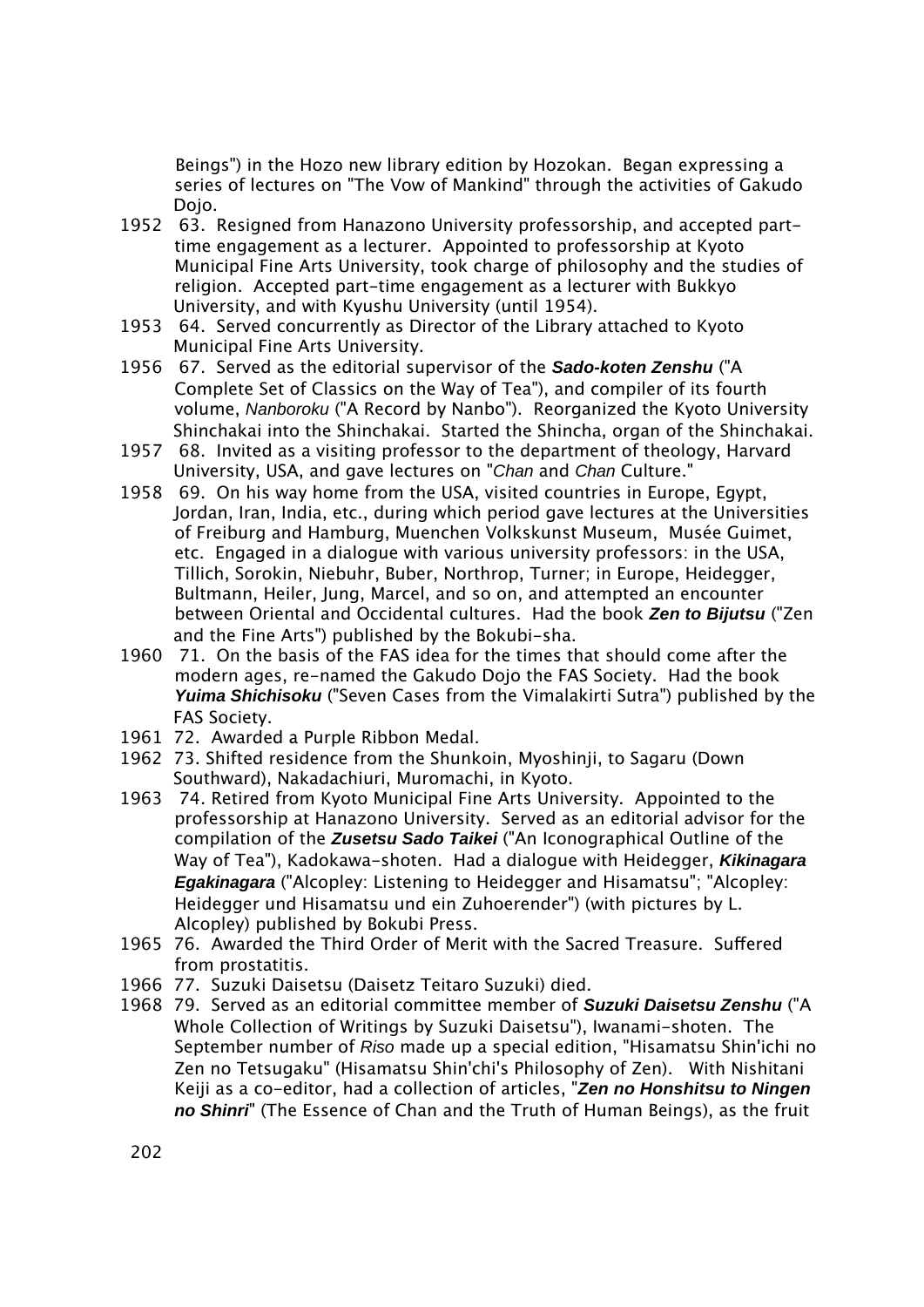Beings") in the Hozo new library edition by Hozokan. Began expressing a series of lectures on "The Vow of Mankind" through the activities of Gakudo Dojo.

- 1952 63. Resigned from Hanazono University professorship, and accepted parttime engagement as a lecturer. Appointed to professorship at Kyoto Municipal Fine Arts University, took charge of philosophy and the studies of religion. Accepted part-time engagement as a lecturer with Bukkyo University, and with Kyushu University (until 1954).
- 1953 64. Served concurrently as Director of the Library attached to Kyoto Municipal Fine Arts University.
- 1956 67. Served as the editorial supervisor of the **Sado-koten Zenshu** ("A Complete Set of Classics on the Way of Tea"), and compiler of its fourth volume, Nanboroku ("A Record by Nanbo"). Reorganized the Kyoto University Shinchakai into the Shinchakai. Started the Shincha, organ of the Shinchakai.
- 1957 68. Invited as a visiting professor to the department of theology, Harvard University, USA, and gave lectures on "Chan and Chan Culture."
- 1958 69. On his way home from the USA, visited countries in Europe, Egypt, Jordan, Iran, India, etc., during which period gave lectures at the Universities of Freiburg and Hamburg, Muenchen Volkskunst Museum, Musée Guimet, etc. Engaged in a dialogue with various university professors: in the USA, Tillich, Sorokin, Niebuhr, Buber, Northrop, Turner; in Europe, Heidegger, Bultmann, Heiler, Jung, Marcel, and so on, and attempted an encounter between Oriental and Occidental cultures. Had the book **Zen to Bijutsu** ("Zen and the Fine Arts") published by the Bokubi-sha.
- 1960 71. On the basis of the FAS idea for the times that should come after the modern ages, re-named the Gakudo Dojo the FAS Society. Had the book **Yuima Shichisoku** ("Seven Cases from the Vimalakirti Sutra") published by the FAS Society.
- 1961 72. Awarded a Purple Ribbon Medal.
- 1962 73. Shifted residence from the Shunkoin, Myoshinji, to Sagaru (Down Southward), Nakadachiuri, Muromachi, in Kyoto.
- 1963 74. Retired from Kyoto Municipal Fine Arts University. Appointed to the professorship at Hanazono University. Served as an editorial advisor for the compilation of the **Zusetsu Sado Taikei** ("An Iconographical Outline of the Way of Tea"), Kadokawa-shoten. Had a dialogue with Heidegger, **Kikinagara Egakinagara** ("Alcopley: Listening to Heidegger and Hisamatsu"; "Alcopley: Heidegger und Hisamatsu und ein Zuhoerender") (with pictures by L. Alcopley) published by Bokubi Press.
- 1965 76. Awarded the Third Order of Merit with the Sacred Treasure. Suffered from prostatitis.
- 1966 77. Suzuki Daisetsu (Daisetz Teitaro Suzuki) died.
- 1968 79. Served as an editorial committee member of **Suzuki Daisetsu Zenshu** ("A Whole Collection of Writings by Suzuki Daisetsu"), Iwanami-shoten. The September number of Riso made up a special edition, "Hisamatsu Shin'ichi no Zen no Tetsugaku" (Hisamatsu Shin'chi's Philosophy of Zen). With Nishitani Keiji as a co-editor, had a collection of articles, "**Zen no Honshitsu to Ningen no Shinri**" (The Essence of Chan and the Truth of Human Beings), as the fruit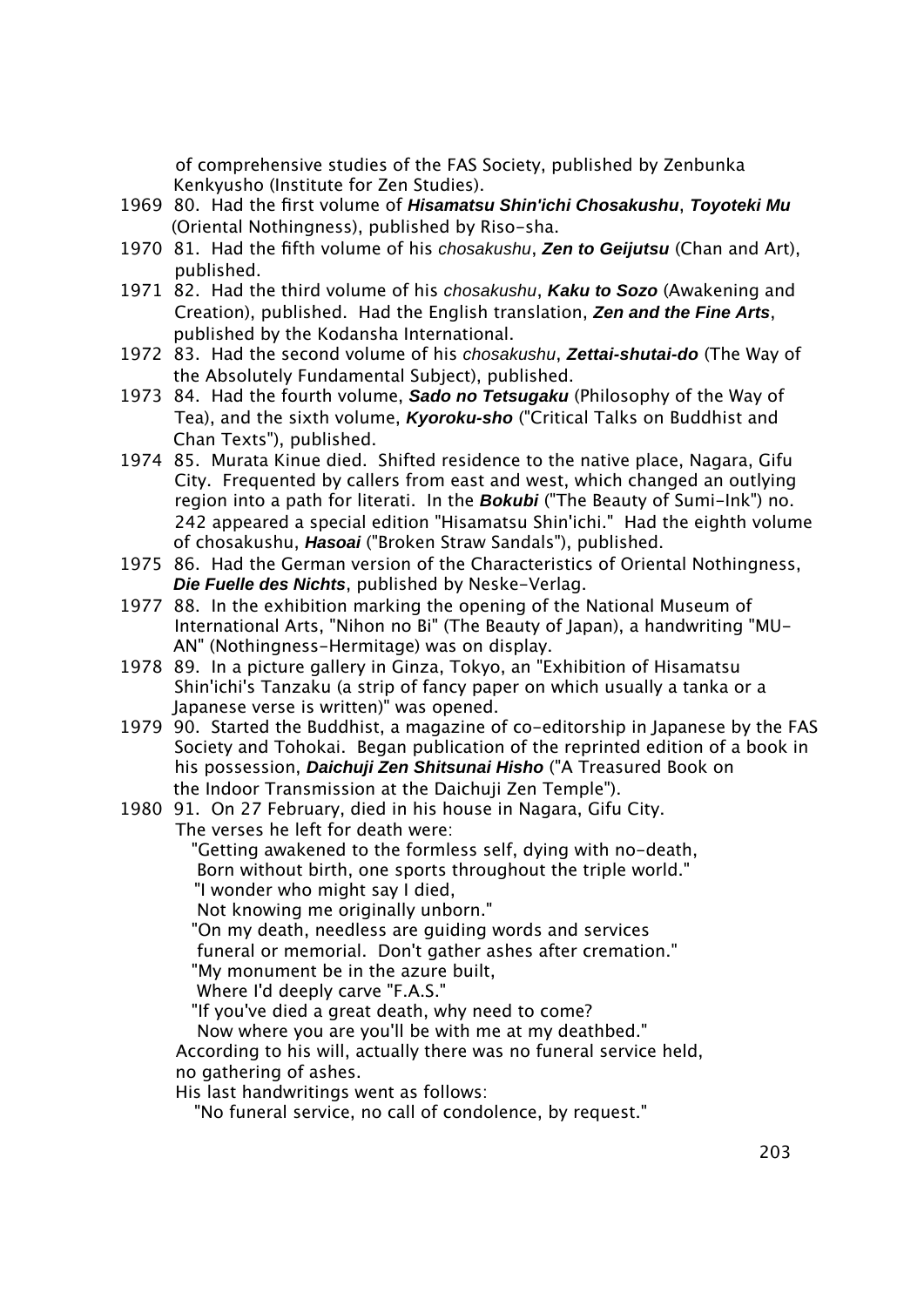of comprehensive studies of the FAS Society, published by Zenbunka Kenkyusho (Institute for Zen Studies).

- 1969 80. Had the first volume of **Hisamatsu Shin'ichi Chosakushu**, **Toyoteki Mu** (Oriental Nothingness), published by Riso-sha.
- 1970 81. Had the fifth volume of his chosakushu, **Zen to Geijutsu** (Chan and Art), published.
- 1971 82. Had the third volume of his chosakushu, **Kaku to Sozo** (Awakening and Creation), published. Had the English translation, **Zen and the Fine Arts**, published by the Kodansha International.
- 1972 83. Had the second volume of his chosakushu, **Zettai-shutai-do** (The Way of the Absolutely Fundamental Subject), published.
- 1973 84. Had the fourth volume, **Sado no Tetsugaku** (Philosophy of the Way of Tea), and the sixth volume, **Kyoroku-sho** ("Critical Talks on Buddhist and Chan Texts"), published.
- 1974 85. Murata Kinue died. Shifted residence to the native place, Nagara, Gifu City. Frequented by callers from east and west, which changed an outlying region into a path for literati. In the **Bokubi** ("The Beauty of Sumi-Ink") no. 242 appeared a special edition "Hisamatsu Shin'ichi." Had the eighth volume of chosakushu, **Hasoai** ("Broken Straw Sandals"), published.
- 1975 86. Had the German version of the Characteristics of Oriental Nothingness, **Die Fuelle des Nichts**, published by Neske-Verlag.
- 1977 88. In the exhibition marking the opening of the National Museum of International Arts, "Nihon no Bi" (The Beauty of Japan), a handwriting "MU- AN" (Nothingness-Hermitage) was on display.
- 1978 89. In a picture gallery in Ginza, Tokyo, an "Exhibition of Hisamatsu Shin'ichi's Tanzaku (a strip of fancy paper on which usually a tanka or a Japanese verse is written)" was opened.
- 1979 90. Started the Buddhist, a magazine of co-editorship in Japanese by the FAS Society and Tohokai. Began publication of the reprinted edition of a book in his possession, **Daichuji Zen Shitsunai Hisho** ("A Treasured Book on the Indoor Transmission at the Daichuji Zen Temple").
- 1980 91. On 27 February, died in his house in Nagara, Gifu City. The verses he left for death were:

 "Getting awakened to the formless self, dying with no-death, Born without birth, one sports throughout the triple world." "I wonder who might say I died,

Not knowing me originally unborn."

"On my death, needless are guiding words and services

funeral or memorial. Don't gather ashes after cremation."

"My monument be in the azure built,

Where I'd deeply carve "F.A.S."

"If you've died a great death, why need to come?

Now where you are you'll be with me at my deathbed."

 According to his will, actually there was no funeral service held, no gathering of ashes.

His last handwritings went as follows:

"No funeral service, no call of condolence, by request."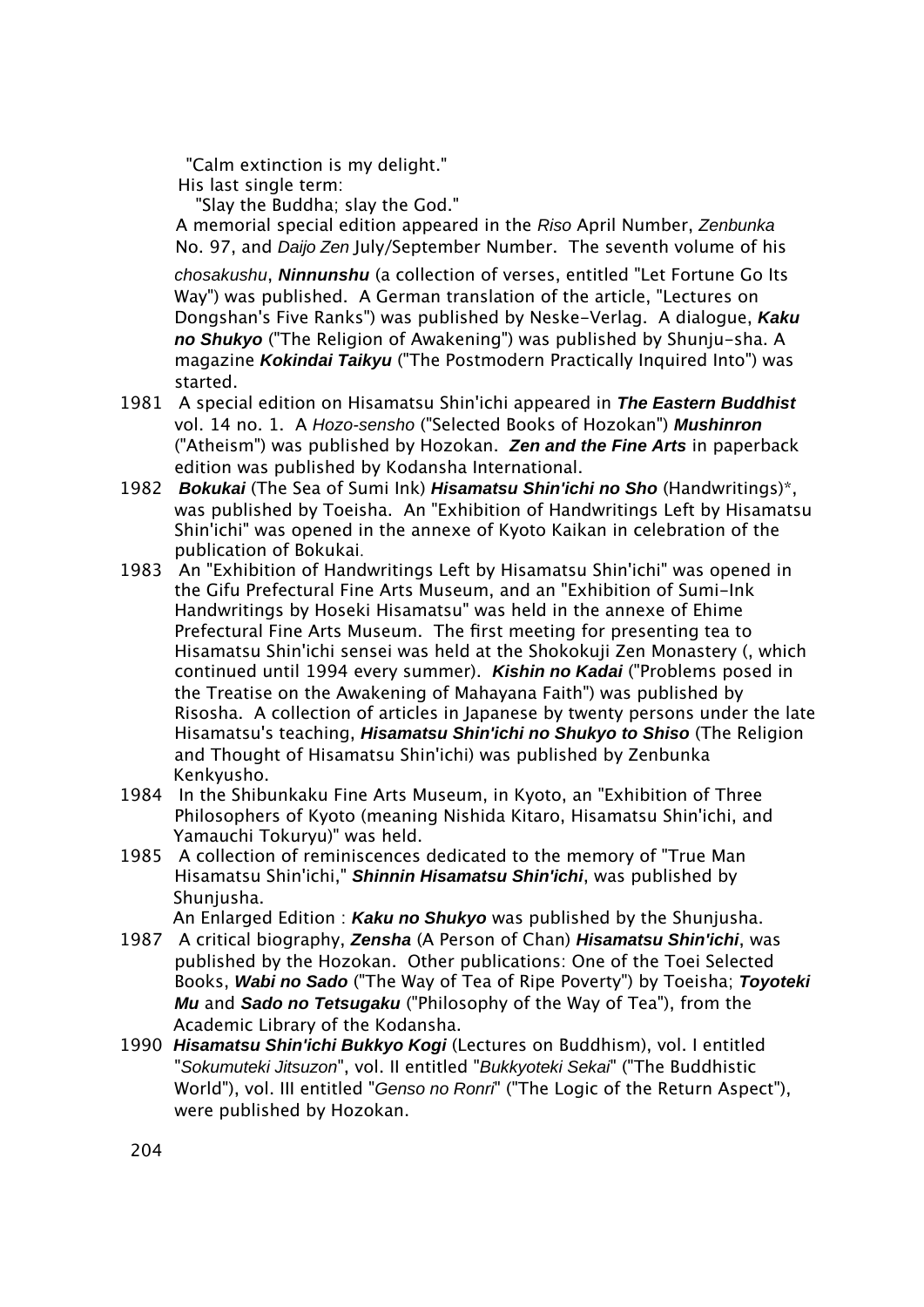"Calm extinction is my delight." His last single term:

 "Slay the Buddha; slay the God." A memorial special edition appeared in the Riso April Number, Zenbunka No. 97, and Daijo Zen July/September Number. The seventh volume of his

chosakushu, **Ninnunshu** (a collection of verses, entitled "Let Fortune Go Its Way") was published. A German translation of the article, "Lectures on Dongshan's Five Ranks") was published by Neske-Verlag. A dialogue, **Kaku no Shukyo** ("The Religion of Awakening") was published by Shunju-sha. A magazine **Kokindai Taikyu** ("The Postmodern Practically Inquired Into") was started.

- 1981 A special edition on Hisamatsu Shin'ichi appeared in **The Eastern Buddhist** vol. 14 no. 1. A Hozo-sensho ("Selected Books of Hozokan") **Mushinron** ("Atheism") was published by Hozokan. **Zen and the Fine Arts** in paperback edition was published by Kodansha International.
- 1982 **Bokukai** (The Sea of Sumi Ink) **Hisamatsu Shin'ichi no Sho** (Handwritings)\*, was published by Toeisha. An "Exhibition of Handwritings Left by Hisamatsu Shin'ichi" was opened in the annexe of Kyoto Kaikan in celebration of the publication of Bokukai.
- 1983 An "Exhibition of Handwritings Left by Hisamatsu Shin'ichi" was opened in the Gifu Prefectural Fine Arts Museum, and an "Exhibition of Sumi-Ink Handwritings by Hoseki Hisamatsu" was held in the annexe of Ehime Prefectural Fine Arts Museum. The first meeting for presenting tea to Hisamatsu Shin'ichi sensei was held at the Shokokuji Zen Monastery (, which continued until 1994 every summer). **Kishin no Kadai** ("Problems posed in the Treatise on the Awakening of Mahayana Faith") was published by Risosha. A collection of articles in Japanese by twenty persons under the late Hisamatsu's teaching, **Hisamatsu Shin'ichi no Shukyo to Shiso** (The Religion and Thought of Hisamatsu Shin'ichi) was published by Zenbunka Kenkyusho.
- 1984 In the Shibunkaku Fine Arts Museum, in Kyoto, an "Exhibition of Three Philosophers of Kyoto (meaning Nishida Kitaro, Hisamatsu Shin'ichi, and Yamauchi Tokuryu)" was held.
- 1985 A collection of reminiscences dedicated to the memory of "True Man Hisamatsu Shin'ichi," **Shinnin Hisamatsu Shin'ichi**, was published by Shuniusha.

An Enlarged Edition : **Kaku no Shukyo** was published by the Shunjusha.

- 1987 A critical biography, **Zensha** (A Person of Chan) **Hisamatsu Shin'ichi**, was published by the Hozokan. Other publications: One of the Toei Selected Books, **Wabi no Sado** ("The Way of Tea of Ripe Poverty") by Toeisha; **Toyoteki Mu** and **Sado no Tetsugaku** ("Philosophy of the Way of Tea"), from the Academic Library of the Kodansha.
- 1990 **Hisamatsu Shin'ichi Bukkyo Kogi** (Lectures on Buddhism), vol. I entitled "Sokumuteki Jitsuzon", vol. II entitled "Bukkyoteki Sekai" ("The Buddhistic World"), vol. III entitled "Genso no Ronri" ("The Logic of the Return Aspect"), were published by Hozokan.